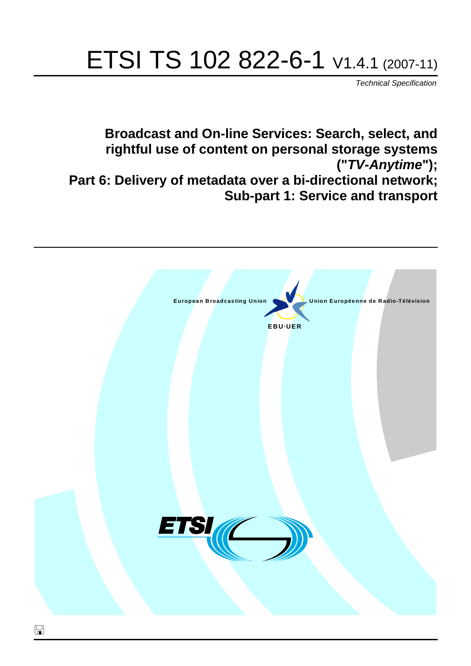# ETSI TS 102 822-6-1 V1.4.1 (2007-11)

*Technical Specification*

**Broadcast and On-line Services: Search, select, and rightful use of content on personal storage systems ("***TV-Anytime***"); Part 6: Delivery of metadata over a bi-directional network; Sub-part 1: Service and transport**

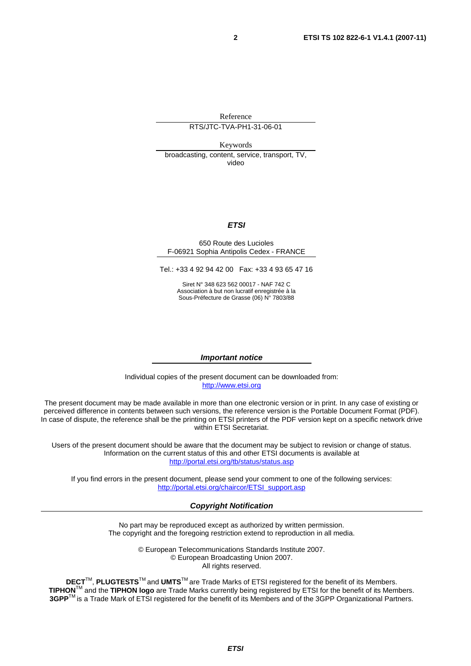Reference

RTS/JTC-TVA-PH1-31-06-01

Keywords

broadcasting, content, service, transport, TV, video

#### *ETSI*

#### 650 Route des Lucioles F-06921 Sophia Antipolis Cedex - FRANCE

Tel.: +33 4 92 94 42 00 Fax: +33 4 93 65 47 16

Siret N° 348 623 562 00017 - NAF 742 C Association à but non lucratif enregistrée à la Sous-Préfecture de Grasse (06) N° 7803/88

#### *Important notice*

Individual copies of the present document can be downloaded from: [http://www.etsi.org](http://www.etsi.org/)

The present document may be made available in more than one electronic version or in print. In any case of existing or perceived difference in contents between such versions, the reference version is the Portable Document Format (PDF). In case of dispute, the reference shall be the printing on ETSI printers of the PDF version kept on a specific network drive within ETSI Secretariat.

Users of the present document should be aware that the document may be subject to revision or change of status. Information on the current status of this and other ETSI documents is available at <http://portal.etsi.org/tb/status/status.asp>

If you find errors in the present document, please send your comment to one of the following services: [http://portal.etsi.org/chaircor/ETSI\\_support.asp](http://portal.etsi.org/chaircor/ETSI_support.asp)

#### *Copyright Notification*

No part may be reproduced except as authorized by written permission. The copyright and the foregoing restriction extend to reproduction in all media.

> © European Telecommunications Standards Institute 2007. © European Broadcasting Union 2007. All rights reserved.

**DECT**TM, **PLUGTESTS**TM and **UMTS**TM are Trade Marks of ETSI registered for the benefit of its Members. **TIPHON**TM and the **TIPHON logo** are Trade Marks currently being registered by ETSI for the benefit of its Members. **3GPP**TM is a Trade Mark of ETSI registered for the benefit of its Members and of the 3GPP Organizational Partners.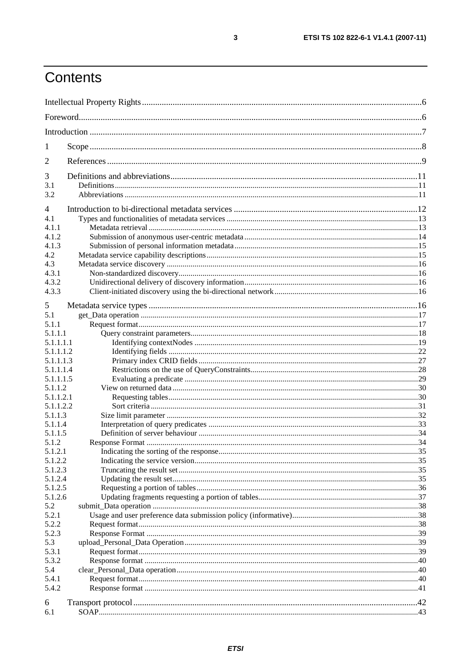## Contents

| 1                  |  |  |
|--------------------|--|--|
| $\overline{2}$     |  |  |
| 3                  |  |  |
| 3.1<br>3.2         |  |  |
| $\overline{4}$     |  |  |
| 4.1                |  |  |
| 4.1.1              |  |  |
| 4.1.2              |  |  |
| 4.1.3              |  |  |
| 4.2                |  |  |
| 4.3                |  |  |
| 4.3.1              |  |  |
| 4.3.2<br>4.3.3     |  |  |
|                    |  |  |
| 5                  |  |  |
| 5.1                |  |  |
| 5.1.1              |  |  |
| 5.1.1.1            |  |  |
| 5.1.1.1.1          |  |  |
| 5.1.1.1.2          |  |  |
| 5.1.1.1.3          |  |  |
| 5.1.1.1.4          |  |  |
| 5.1.1.1.5          |  |  |
| 5.1.1.2            |  |  |
| 5.1.1.2.1          |  |  |
| 5.1.1.2.2          |  |  |
| 5.1.1.3            |  |  |
| 5.1.1.4            |  |  |
| 5.1.1.5            |  |  |
| 5.1.2              |  |  |
| 5.1.2.1<br>5.1.2.2 |  |  |
| 5.1.2.3            |  |  |
| 5.1.2.4            |  |  |
| 5.1.2.5            |  |  |
| 5.1.2.6            |  |  |
| 5.2                |  |  |
| 5.2.1              |  |  |
| 5.2.2              |  |  |
| 5.2.3              |  |  |
| 5.3                |  |  |
| 5.3.1              |  |  |
| 5.3.2              |  |  |
| 5.4                |  |  |
| 5.4.1              |  |  |
| 5.4.2              |  |  |
| 6                  |  |  |
| 6.1                |  |  |
|                    |  |  |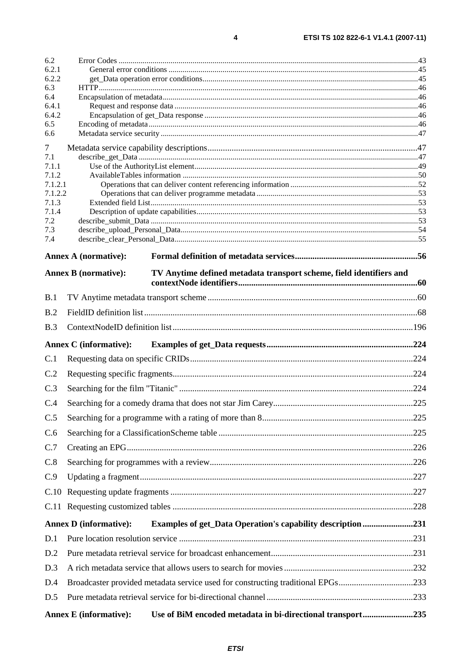| 6.2            |                                                                                                    |  |  |
|----------------|----------------------------------------------------------------------------------------------------|--|--|
| 6.2.1          |                                                                                                    |  |  |
| 6.2.2<br>6.3   |                                                                                                    |  |  |
| 6.4            |                                                                                                    |  |  |
| 6.4.1          |                                                                                                    |  |  |
| 6.4.2          |                                                                                                    |  |  |
| 6.5            |                                                                                                    |  |  |
| 6.6            |                                                                                                    |  |  |
| 7              |                                                                                                    |  |  |
| 7.1            |                                                                                                    |  |  |
| 7.1.1<br>7.1.2 |                                                                                                    |  |  |
| 7.1.2.1        |                                                                                                    |  |  |
| 7.1.2.2        |                                                                                                    |  |  |
| 7.1.3          |                                                                                                    |  |  |
| 7.1.4          |                                                                                                    |  |  |
| 7.2<br>7.3     |                                                                                                    |  |  |
| 7.4            |                                                                                                    |  |  |
|                | <b>Annex A (normative):</b>                                                                        |  |  |
|                | <b>Annex B</b> (normative):<br>TV Anytime defined metadata transport scheme, field identifiers and |  |  |
|                |                                                                                                    |  |  |
| B.1            |                                                                                                    |  |  |
| B.2            |                                                                                                    |  |  |
| B.3            |                                                                                                    |  |  |
|                | <b>Annex C</b> (informative):                                                                      |  |  |
| C.1            |                                                                                                    |  |  |
| C.2            |                                                                                                    |  |  |
| C.3            |                                                                                                    |  |  |
| C.4            |                                                                                                    |  |  |
| C.5            |                                                                                                    |  |  |
| C.6            |                                                                                                    |  |  |
| C.7            |                                                                                                    |  |  |
| C.8            |                                                                                                    |  |  |
| C.9            |                                                                                                    |  |  |
|                |                                                                                                    |  |  |
|                |                                                                                                    |  |  |
|                | <b>Annex D</b> (informative):<br><b>Examples of get_Data Operation's capability description231</b> |  |  |
| D.1            |                                                                                                    |  |  |
| D.2            |                                                                                                    |  |  |
| D.3            |                                                                                                    |  |  |
| D.4            | Broadcaster provided metadata service used for constructing traditional EPGs233                    |  |  |
| D.5            |                                                                                                    |  |  |
|                | Use of BiM encoded metadata in bi-directional transport235<br><b>Annex E</b> (informative):        |  |  |
|                |                                                                                                    |  |  |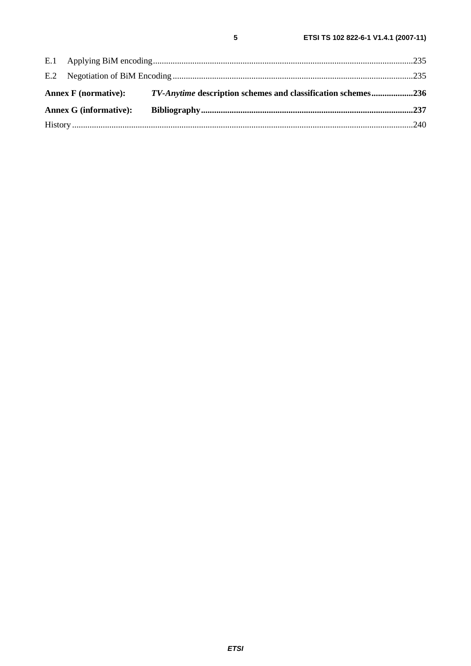|  | <b>Annex G (informative):</b> | Annex F (normative): TV-Anytime description schemes and classification schemes236 |
|--|-------------------------------|-----------------------------------------------------------------------------------|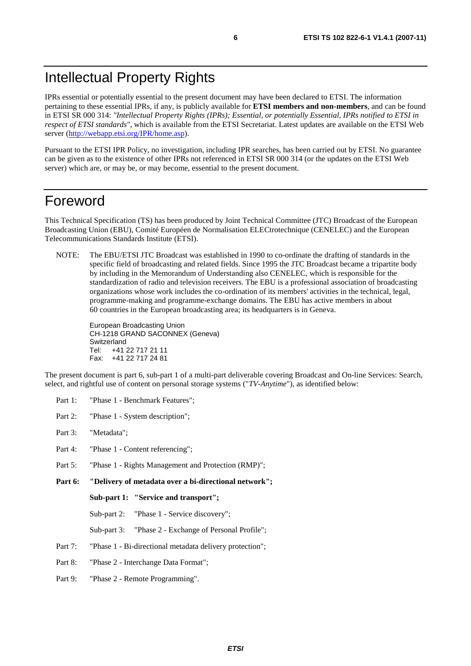IPRs essential or potentially essential to the present document may have been declared to ETSI. The information pertaining to these essential IPRs, if any, is publicly available for **ETSI members and non-members**, and can be found in ETSI SR 000 314: *"Intellectual Property Rights (IPRs); Essential, or potentially Essential, IPRs notified to ETSI in respect of ETSI standards"*, which is available from the ETSI Secretariat. Latest updates are available on the ETSI Web server ([http://webapp.etsi.org/IPR/home.asp\)](http://webapp.etsi.org/IPR/home.asp).

Pursuant to the ETSI IPR Policy, no investigation, including IPR searches, has been carried out by ETSI. No guarantee can be given as to the existence of other IPRs not referenced in ETSI SR 000 314 (or the updates on the ETSI Web server) which are, or may be, or may become, essential to the present document.

## Foreword

This Technical Specification (TS) has been produced by Joint Technical Committee (JTC) Broadcast of the European Broadcasting Union (EBU), Comité Européen de Normalisation ELECtrotechnique (CENELEC) and the European Telecommunications Standards Institute (ETSI).

NOTE: The EBU/ETSI JTC Broadcast was established in 1990 to co-ordinate the drafting of standards in the specific field of broadcasting and related fields. Since 1995 the JTC Broadcast became a tripartite body by including in the Memorandum of Understanding also CENELEC, which is responsible for the standardization of radio and television receivers. The EBU is a professional association of broadcasting organizations whose work includes the co-ordination of its members' activities in the technical, legal, programme-making and programme-exchange domains. The EBU has active members in about 60 countries in the European broadcasting area; its headquarters is in Geneva.

European Broadcasting Union CH-1218 GRAND SACONNEX (Geneva) Switzerland Tel: +41 22 717 21 11 Fax: +41 22 717 24 81

The present document is part 6, sub-part 1 of a multi-part deliverable covering Broadcast and On-line Services: Search, select, and rightful use of content on personal storage systems ("*TV-Anytime*"), as identified below:

- Part 1: "Phase 1 Benchmark Features";
- Part 2: "Phase 1 System description";
- Part 3: "Metadata";
- Part 4: "Phase 1 Content referencing":
- Part 5: "Phase 1 Rights Management and Protection (RMP)";
- **Part 6: "Delivery of metadata over a bi-directional network";** 
	- **Sub-part 1: "Service and transport";**

Sub-part 2: "Phase 1 - Service discovery";

- Sub-part 3: "Phase 2 Exchange of Personal Profile";
- Part 7: "Phase 1 Bi-directional metadata delivery protection";
- Part 8: "Phase 2 Interchange Data Format";
- Part 9: "Phase 2 Remote Programming".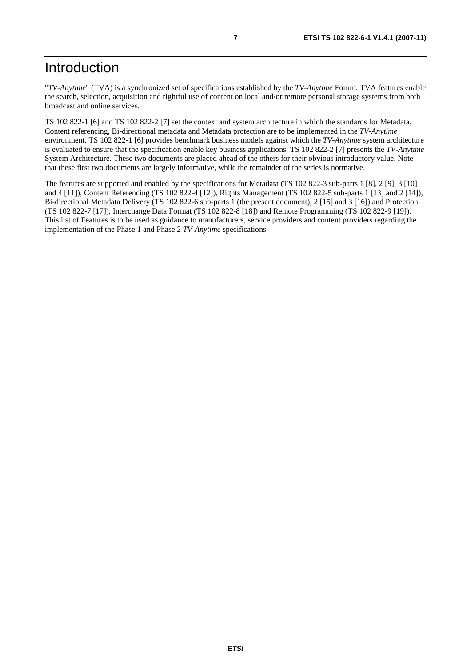## Introduction

"*TV-Anytime*" (TVA) is a synchronized set of specifications established by the *TV-Anytime* Forum. TVA features enable the search, selection, acquisition and rightful use of content on local and/or remote personal storage systems from both broadcast and online services.

TS 102 822-1 [6] and TS 102 822-2 [7] set the context and system architecture in which the standards for Metadata, Content referencing, Bi-directional metadata and Metadata protection are to be implemented in the *TV-Anytime* environment. TS 102 822-1 [6] provides benchmark business models against which the *TV-Anytime* system architecture is evaluated to ensure that the specification enable key business applications. TS 102 822-2 [7] presents the *TV-Anytime* System Architecture. These two documents are placed ahead of the others for their obvious introductory value. Note that these first two documents are largely informative, while the remainder of the series is normative.

The features are supported and enabled by the specifications for Metadata (TS 102 822-3 sub-parts 1 [8], 2 [9], 3 [10] and 4 [11]), Content Referencing (TS 102 822-4 [12]), Rights Management (TS 102 822-5 sub-parts 1 [13] and 2 [14]), Bi-directional Metadata Delivery (TS 102 822-6 sub-parts 1 (the present document), 2 [15] and 3 [16]) and Protection (TS 102 822-7 [17]), Interchange Data Format (TS 102 822-8 [18]) and Remote Programming (TS 102 822-9 [19]). This list of Features is to be used as guidance to manufacturers, service providers and content providers regarding the implementation of the Phase 1 and Phase 2 *TV-Anytime* specifications.

*ETSI*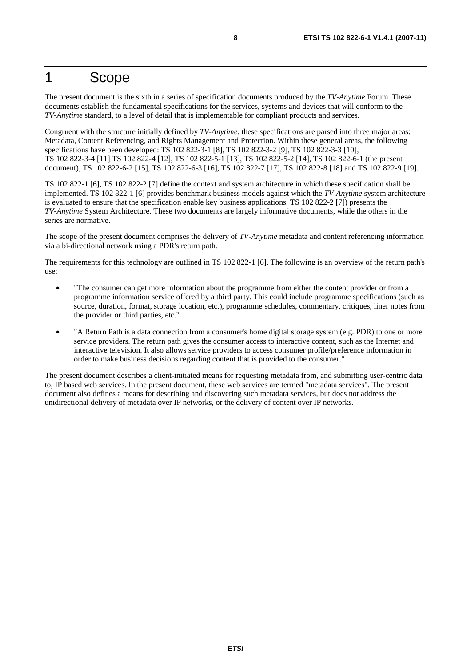## 1 Scope

The present document is the sixth in a series of specification documents produced by the *TV-Anytime* Forum. These documents establish the fundamental specifications for the services, systems and devices that will conform to the *TV-Anytime* standard, to a level of detail that is implementable for compliant products and services.

Congruent with the structure initially defined by *TV-Anytime*, these specifications are parsed into three major areas: Metadata, Content Referencing, and Rights Management and Protection. Within these general areas, the following specifications have been developed: TS 102 822-3-1 [8], TS 102 822-3-2 [9], TS 102 822-3-3 [10], TS 102 822-3-4 [11] TS 102 822-4 [12], TS 102 822-5-1 [13], TS 102 822-5-2 [14], TS 102 822-6-1 (the present document), TS 102 822-6-2 [15], TS 102 822-6-3 [16], TS 102 822-7 [17], TS 102 822-8 [18] and TS 102 822-9 [19].

TS 102 822-1 [6], TS 102 822-2 [7] define the context and system architecture in which these specification shall be implemented. TS 102 822-1 [6] provides benchmark business models against which the *TV-Anytime* system architecture is evaluated to ensure that the specification enable key business applications. TS 102 822-2 [7]) presents the *TV-Anytime* System Architecture. These two documents are largely informative documents, while the others in the series are normative.

The scope of the present document comprises the delivery of *TV-Anytime* metadata and content referencing information via a bi-directional network using a PDR's return path.

The requirements for this technology are outlined in TS 102 822-1 [6]. The following is an overview of the return path's use:

- "The consumer can get more information about the programme from either the content provider or from a programme information service offered by a third party. This could include programme specifications (such as source, duration, format, storage location, etc.), programme schedules, commentary, critiques, liner notes from the provider or third parties, etc."
- "A Return Path is a data connection from a consumer's home digital storage system (e.g. PDR) to one or more service providers. The return path gives the consumer access to interactive content, such as the Internet and interactive television. It also allows service providers to access consumer profile/preference information in order to make business decisions regarding content that is provided to the consumer."

The present document describes a client-initiated means for requesting metadata from, and submitting user-centric data to, IP based web services. In the present document, these web services are termed "metadata services". The present document also defines a means for describing and discovering such metadata services, but does not address the unidirectional delivery of metadata over IP networks, or the delivery of content over IP networks.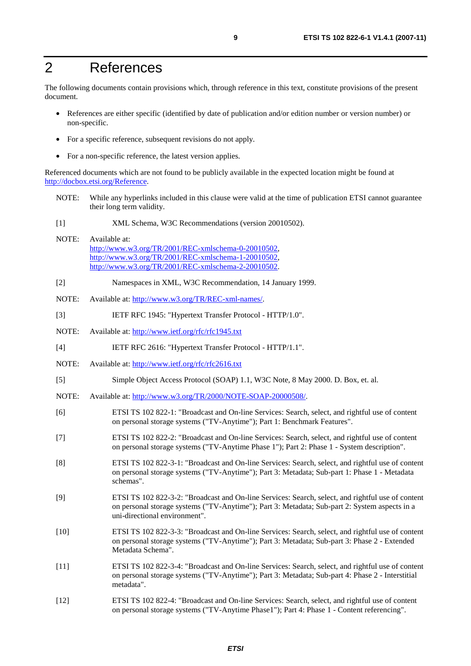## 2 References

The following documents contain provisions which, through reference in this text, constitute provisions of the present document.

- References are either specific (identified by date of publication and/or edition number or version number) or non-specific.
- For a specific reference, subsequent revisions do not apply.
- For a non-specific reference, the latest version applies.

Referenced documents which are not found to be publicly available in the expected location might be found at <http://docbox.etsi.org/Reference>.

- NOTE: While any hyperlinks included in this clause were valid at the time of publication ETSI cannot guarantee their long term validity.
- [1] XML Schema, W3C Recommendations (version 20010502).
- NOTE: Available at: [http://www.w3.org/TR/2001/REC-xmlschema-0-20010502,](http://www.w3.org/TR/2001/REC-xmlschema-0-20010502) [http://www.w3.org/TR/2001/REC-xmlschema-1-20010502,](http://www.w3.org/TR/2001/REC-xmlschema-1-20010502) [http://www.w3.org/TR/2001/REC-xmlschema-2-20010502.](http://www.w3.org/XML/Schema)
- [2] Namespaces in XML, W3C Recommendation, 14 January 1999.
- NOTE: Available at: [http://www.w3.org/TR/REC-xml-names/.](http://www.w3.org/TR/REC-xml-names/)
- [3] IETF RFC 1945: "Hypertext Transfer Protocol HTTP/1.0".
- NOTE: Available at: [http://www.ietf.org/rfc/rfc1945.txt](http://www.ietf.org/rfc/rfc2396.txt)
- [4] IETF RFC 2616: "Hypertext Transfer Protocol HTTP/1.1".
- NOTE: Available at: [http://www.ietf.org/rfc/rfc2616.txt](http://www.ietf.org/rfc/rfc2396.txt)
- [5] Simple Object Access Protocol (SOAP) 1.1, W3C Note, 8 May 2000. D. Box, et. al.
- NOTE: Available at:<http://www.w3.org/TR/2000/NOTE-SOAP-20000508/>.
- [6] ETSI TS 102 822-1: "Broadcast and On-line Services: Search, select, and rightful use of content on personal storage systems ("TV-Anytime"); Part 1: Benchmark Features".
- [7] ETSI TS 102 822-2: "Broadcast and On-line Services: Search, select, and rightful use of content on personal storage systems ("TV-Anytime Phase 1"); Part 2: Phase 1 - System description".
- [8] ETSI TS 102 822-3-1: "Broadcast and On-line Services: Search, select, and rightful use of content on personal storage systems ("TV-Anytime"); Part 3: Metadata; Sub-part 1: Phase 1 - Metadata schemas".
- [9] ETSI TS 102 822-3-2: "Broadcast and On-line Services: Search, select, and rightful use of content on personal storage systems ("TV-Anytime"); Part 3: Metadata; Sub-part 2: System aspects in a uni-directional environment".
- [10] ETSI TS 102 822-3-3: "Broadcast and On-line Services: Search, select, and rightful use of content on personal storage systems ("TV-Anytime"); Part 3: Metadata; Sub-part 3: Phase 2 - Extended Metadata Schema".
- [11] ETSI TS 102 822-3-4: "Broadcast and On-line Services: Search, select, and rightful use of content on personal storage systems ("TV-Anytime"); Part 3: Metadata; Sub-part 4: Phase 2 - Interstitial metadata".
- [12] ETSI TS 102 822-4: "Broadcast and On-line Services: Search, select, and rightful use of content on personal storage systems ("TV-Anytime Phase1"); Part 4: Phase 1 - Content referencing".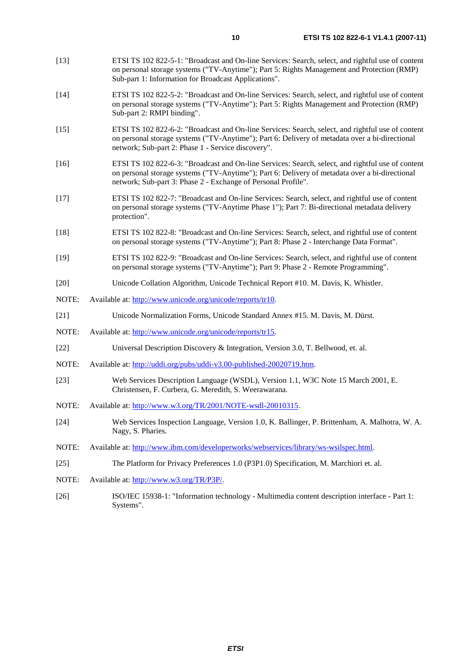- [13] ETSI TS 102 822-5-1: "Broadcast and On-line Services: Search, select, and rightful use of content on personal storage systems ("TV-Anytime"); Part 5: Rights Management and Protection (RMP) Sub-part 1: Information for Broadcast Applications".
- [14] ETSI TS 102 822-5-2: "Broadcast and On-line Services: Search, select, and rightful use of content on personal storage systems ("TV-Anytime"); Part 5: Rights Management and Protection (RMP) Sub-part 2: RMPI binding".
- [15] ETSI TS 102 822-6-2: "Broadcast and On-line Services: Search, select, and rightful use of content on personal storage systems ("TV-Anytime"); Part 6: Delivery of metadata over a bi-directional network; Sub-part 2: Phase 1 - Service discovery".
- [16] ETSI TS 102 822-6-3: "Broadcast and On-line Services: Search, select, and rightful use of content on personal storage systems ("TV-Anytime"); Part 6: Delivery of metadata over a bi-directional network; Sub-part 3: Phase 2 - Exchange of Personal Profile".
- [17] ETSI TS 102 822-7: "Broadcast and On-line Services: Search, select, and rightful use of content on personal storage systems ("TV-Anytime Phase 1"); Part 7: Bi-directional metadata delivery protection".
- [18] ETSI TS 102 822-8: "Broadcast and On-line Services: Search, select, and rightful use of content on personal storage systems ("TV-Anytime"); Part 8: Phase 2 - Interchange Data Format".
- [19] ETSI TS 102 822-9: "Broadcast and On-line Services: Search, select, and rightful use of content on personal storage systems ("TV-Anytime"); Part 9: Phase 2 - Remote Programming".
- [20] Unicode Collation Algorithm, Unicode Technical Report #10. M. Davis, K. Whistler.
- NOTE: Available at: [http://www.unicode.org/unicode/reports/tr10.](http://www.unicode.org/unicode/reports/tr10)
- [21] Unicode Normalization Forms, Unicode Standard Annex #15. M. Davis, M. Dürst.
- NOTE: Available at: [http://www.unicode.org/unicode/reports/tr15.](http://www.unicode.org/unicode/reports/tr15)
- [22] Universal Description Discovery & Integration, Version 3.0, T. Bellwood, et. al.
- NOTE: Available at:<http://uddi.org/pubs/uddi-v3.00-published-20020719.htm>.
- [23] Web Services Description Language (WSDL), Version 1.1, W3C Note 15 March 2001, E. Christensen, F. Curbera, G. Meredith, S. Weerawarana.
- NOTE: Available at: [http://www.w3.org/TR/2001/NOTE-wsdl-20010315.](http://www.w3.org/TR/2001/NOTE-wsdl-20010315)
- [24] Web Services Inspection Language, Version 1.0, K. Ballinger, P. Brittenham, A. Malhotra, W. A. Nagy, S. Pharies.
- NOTE: Available at: [http://www.ibm.com/developerworks/webservices/library/ws-wsilspec.html.](http://www.ibm.com/developerworks/webservices/library/ws-wsilspec.html)
- [25] The Platform for Privacy Preferences 1.0 (P3P1.0) Specification, M. Marchiori et. al.
- NOTE: Available at:<http://www.w3.org/TR/P3P/>.
- [26] ISO/IEC 15938-1: "Information technology Multimedia content description interface Part 1: Systems".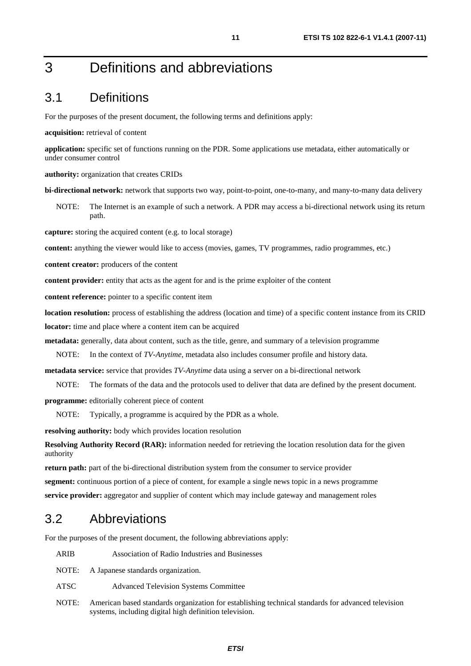## 3 Definitions and abbreviations

## 3.1 Definitions

For the purposes of the present document, the following terms and definitions apply:

#### **acquisition:** retrieval of content

**application:** specific set of functions running on the PDR. Some applications use metadata, either automatically or under consumer control

**authority:** organization that creates CRIDs

**bi-directional network:** network that supports two way, point-to-point, one-to-many, and many-to-many data delivery

NOTE: The Internet is an example of such a network. A PDR may access a bi-directional network using its return path.

**capture:** storing the acquired content (e.g. to local storage)

**content:** anything the viewer would like to access (movies, games, TV programmes, radio programmes, etc.)

**content creator:** producers of the content

**content provider:** entity that acts as the agent for and is the prime exploiter of the content

**content reference:** pointer to a specific content item

**location resolution:** process of establishing the address (location and time) of a specific content instance from its CRID **locator:** time and place where a content item can be acquired

**metadata:** generally, data about content, such as the title, genre, and summary of a television programme

NOTE: In the context of *TV-Anytime*, metadata also includes consumer profile and history data.

**metadata service:** service that provides *TV-Anytime* data using a server on a bi-directional network

NOTE: The formats of the data and the protocols used to deliver that data are defined by the present document.

**programme:** editorially coherent piece of content

NOTE: Typically, a programme is acquired by the PDR as a whole.

**resolving authority:** body which provides location resolution

**Resolving Authority Record (RAR):** information needed for retrieving the location resolution data for the given authority

**return path:** part of the bi-directional distribution system from the consumer to service provider

**segment:** continuous portion of a piece of content, for example a single news topic in a news programme

**service provider:** aggregator and supplier of content which may include gateway and management roles

## 3.2 Abbreviations

For the purposes of the present document, the following abbreviations apply:

- ARIB Association of Radio Industries and Businesses
- NOTE: A Japanese standards organization.
- ATSC Advanced Television Systems Committee
- NOTE: American based standards organization for establishing technical standards for advanced television systems, including digital high definition television.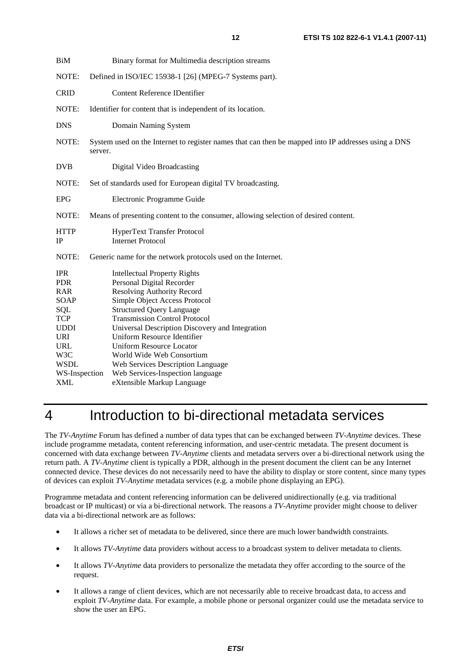| BiM                                            | Binary format for Multimedia description streams                                                                                       |  |  |
|------------------------------------------------|----------------------------------------------------------------------------------------------------------------------------------------|--|--|
| NOTE:                                          | Defined in ISO/IEC 15938-1 [26] (MPEG-7 Systems part).                                                                                 |  |  |
| <b>CRID</b>                                    | <b>Content Reference IDentifier</b>                                                                                                    |  |  |
| NOTE:                                          | Identifier for content that is independent of its location.                                                                            |  |  |
| <b>DNS</b>                                     | Domain Naming System                                                                                                                   |  |  |
| NOTE:                                          | System used on the Internet to register names that can then be mapped into IP addresses using a DNS<br>server.                         |  |  |
| <b>DVB</b>                                     | Digital Video Broadcasting                                                                                                             |  |  |
| NOTE:                                          | Set of standards used for European digital TV broadcasting.                                                                            |  |  |
| <b>EPG</b>                                     | Electronic Programme Guide                                                                                                             |  |  |
| NOTE:                                          | Means of presenting content to the consumer, allowing selection of desired content.                                                    |  |  |
| <b>HTTP</b><br>IP                              | HyperText Transfer Protocol<br><b>Internet Protocol</b>                                                                                |  |  |
| NOTE:                                          | Generic name for the network protocols used on the Internet.                                                                           |  |  |
| <b>IPR</b><br><b>PDR</b><br><b>RAR</b><br>SOAP | <b>Intellectual Property Rights</b><br>Personal Digital Recorder<br><b>Resolving Authority Record</b><br>Simple Object Access Protocol |  |  |
| <b>SQL</b><br><b>TCP</b>                       | <b>Structured Query Language</b><br><b>Transmission Control Protocol</b>                                                               |  |  |
| <b>UDDI</b><br><b>URI</b>                      | Universal Description Discovery and Integration<br>Uniform Resource Identifier                                                         |  |  |
| <b>URL</b><br>W3C                              | <b>Uniform Resource Locator</b><br>World Wide Web Consortium                                                                           |  |  |
| <b>WSDL</b>                                    | Web Services Description Language                                                                                                      |  |  |
| WS-Inspection                                  | Web Services-Inspection language                                                                                                       |  |  |
| <b>XML</b>                                     | eXtensible Markup Language                                                                                                             |  |  |

## 4 Introduction to bi-directional metadata services

The *TV-Anytime* Forum has defined a number of data types that can be exchanged between *TV-Anytime* devices. These include programme metadata, content referencing information, and user-centric metadata. The present document is concerned with data exchange between *TV-Anytime* clients and metadata servers over a bi-directional network using the return path. A *TV-Anytime* client is typically a PDR, although in the present document the client can be any Internet connected device. These devices do not necessarily need to have the ability to display or store content, since many types of devices can exploit *TV-Anytime* metadata services (e.g. a mobile phone displaying an EPG).

Programme metadata and content referencing information can be delivered unidirectionally (e.g. via traditional broadcast or IP multicast) or via a bi-directional network. The reasons a *TV-Anytime* provider might choose to deliver data via a bi-directional network are as follows:

- It allows a richer set of metadata to be delivered, since there are much lower bandwidth constraints.
- It allows *TV-Anytime* data providers without access to a broadcast system to deliver metadata to clients.
- It allows *TV-Anytime* data providers to personalize the metadata they offer according to the source of the request.
- It allows a range of client devices, which are not necessarily able to receive broadcast data, to access and exploit *TV-Anytime* data. For example, a mobile phone or personal organizer could use the metadata service to show the user an EPG.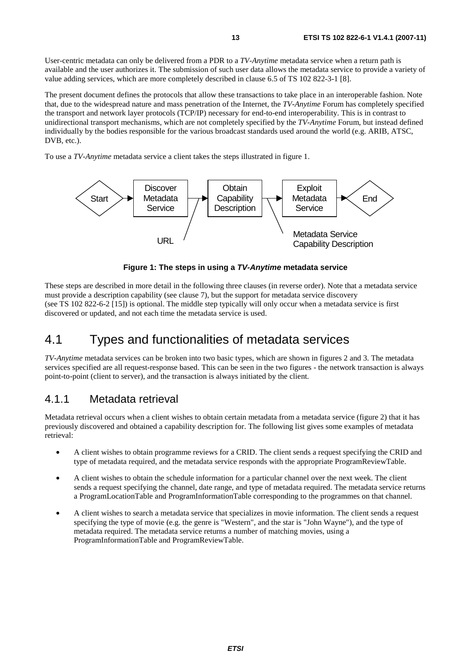User-centric metadata can only be delivered from a PDR to a *TV-Anytime* metadata service when a return path is available and the user authorizes it. The submission of such user data allows the metadata service to provide a variety of value adding services, which are more completely described in clause 6.5 of TS 102 822-3-1 [8].

The present document defines the protocols that allow these transactions to take place in an interoperable fashion. Note that, due to the widespread nature and mass penetration of the Internet, the *TV-Anytime* Forum has completely specified the transport and network layer protocols (TCP/IP) necessary for end-to-end interoperability. This is in contrast to unidirectional transport mechanisms, which are not completely specified by the *TV-Anytime* Forum, but instead defined individually by the bodies responsible for the various broadcast standards used around the world (e.g. ARIB, ATSC, DVB, etc.).

To use a *TV-Anytime* metadata service a client takes the steps illustrated in figure 1.



**Figure 1: The steps in using a** *TV-Anytime* **metadata service** 

These steps are described in more detail in the following three clauses (in reverse order). Note that a metadata service must provide a description capability (see clause 7), but the support for metadata service discovery (see TS 102 822-6-2 [15]) is optional. The middle step typically will only occur when a metadata service is first discovered or updated, and not each time the metadata service is used.

## 4.1 Types and functionalities of metadata services

*TV-Anytime* metadata services can be broken into two basic types, which are shown in figures 2 and 3. The metadata services specified are all request-response based. This can be seen in the two figures - the network transaction is always point-to-point (client to server), and the transaction is always initiated by the client.

## 4.1.1 Metadata retrieval

Metadata retrieval occurs when a client wishes to obtain certain metadata from a metadata service (figure 2) that it has previously discovered and obtained a capability description for. The following list gives some examples of metadata retrieval:

- A client wishes to obtain programme reviews for a CRID. The client sends a request specifying the CRID and type of metadata required, and the metadata service responds with the appropriate ProgramReviewTable.
- A client wishes to obtain the schedule information for a particular channel over the next week. The client sends a request specifying the channel, date range, and type of metadata required. The metadata service returns a ProgramLocationTable and ProgramInformationTable corresponding to the programmes on that channel.
- A client wishes to search a metadata service that specializes in movie information. The client sends a request specifying the type of movie (e.g. the genre is "Western", and the star is "John Wayne"), and the type of metadata required. The metadata service returns a number of matching movies, using a ProgramInformationTable and ProgramReviewTable.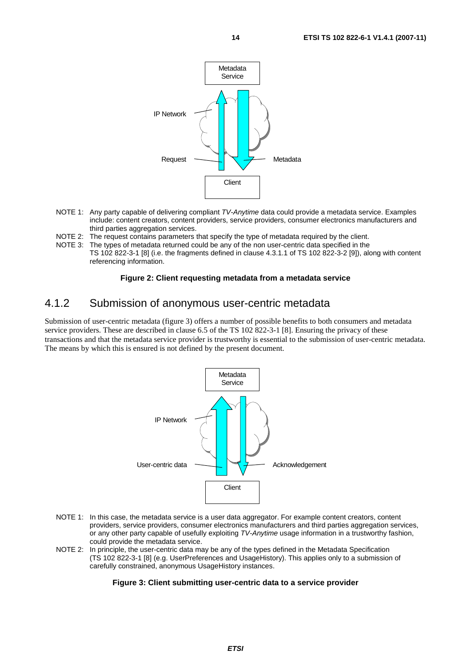

- NOTE 1: Any party capable of delivering compliant *TV-Anytime* data could provide a metadata service. Examples include: content creators, content providers, service providers, consumer electronics manufacturers and third parties aggregation services.
- NOTE 2: The request contains parameters that specify the type of metadata required by the client.
- NOTE 3: The types of metadata returned could be any of the non user-centric data specified in the TS 102 822-3-1 [8] (i.e. the fragments defined in clause 4.3.1.1 of TS 102 822-3-2 [9]), along with content referencing information.

#### **Figure 2: Client requesting metadata from a metadata service**

## 4.1.2 Submission of anonymous user-centric metadata

Submission of user-centric metadata (figure 3) offers a number of possible benefits to both consumers and metadata service providers. These are described in clause 6.5 of the TS 102 822-3-1 [8]. Ensuring the privacy of these transactions and that the metadata service provider is trustworthy is essential to the submission of user-centric metadata. The means by which this is ensured is not defined by the present document.



- NOTE 1: In this case, the metadata service is a user data aggregator. For example content creators, content providers, service providers, consumer electronics manufacturers and third parties aggregation services, or any other party capable of usefully exploiting *TV-Anytime* usage information in a trustworthy fashion, could provide the metadata service.
- NOTE 2: In principle, the user-centric data may be any of the types defined in the Metadata Specification (TS 102 822-3-1 [8] (e.g. UserPreferences and UsageHistory). This applies only to a submission of carefully constrained, anonymous UsageHistory instances.

#### **Figure 3: Client submitting user-centric data to a service provider**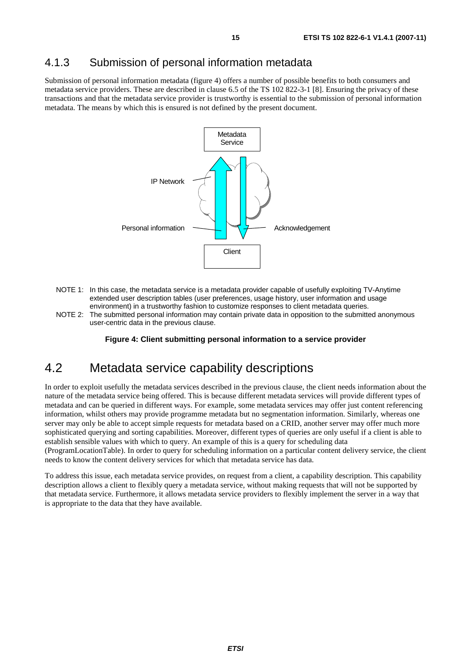## 4.1.3 Submission of personal information metadata

Submission of personal information metadata (figure 4) offers a number of possible benefits to both consumers and metadata service providers. These are described in clause 6.5 of the TS 102 822-3-1 [8]. Ensuring the privacy of these transactions and that the metadata service provider is trustworthy is essential to the submission of personal information metadata. The means by which this is ensured is not defined by the present document.



- NOTE 1: In this case, the metadata service is a metadata provider capable of usefully exploiting TV-Anytime extended user description tables (user preferences, usage history, user information and usage environment) in a trustworthy fashion to customize responses to client metadata queries.
- NOTE 2: The submitted personal information may contain private data in opposition to the submitted anonymous user-centric data in the previous clause.

#### **Figure 4: Client submitting personal information to a service provider**

## 4.2 Metadata service capability descriptions

In order to exploit usefully the metadata services described in the previous clause, the client needs information about the nature of the metadata service being offered. This is because different metadata services will provide different types of metadata and can be queried in different ways. For example, some metadata services may offer just content referencing information, whilst others may provide programme metadata but no segmentation information. Similarly, whereas one server may only be able to accept simple requests for metadata based on a CRID, another server may offer much more sophisticated querying and sorting capabilities. Moreover, different types of queries are only useful if a client is able to establish sensible values with which to query. An example of this is a query for scheduling data

(ProgramLocationTable). In order to query for scheduling information on a particular content delivery service, the client needs to know the content delivery services for which that metadata service has data.

To address this issue, each metadata service provides, on request from a client, a capability description. This capability description allows a client to flexibly query a metadata service, without making requests that will not be supported by that metadata service. Furthermore, it allows metadata service providers to flexibly implement the server in a way that is appropriate to the data that they have available.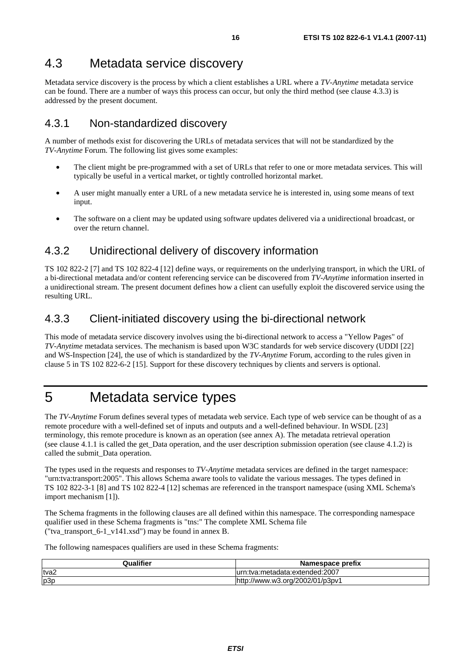## 4.3 Metadata service discovery

Metadata service discovery is the process by which a client establishes a URL where a *TV-Anytime* metadata service can be found. There are a number of ways this process can occur, but only the third method (see clause 4.3.3) is addressed by the present document.

## 4.3.1 Non-standardized discovery

A number of methods exist for discovering the URLs of metadata services that will not be standardized by the *TV-Anytime* Forum. The following list gives some examples:

- The client might be pre-programmed with a set of URLs that refer to one or more metadata services. This will typically be useful in a vertical market, or tightly controlled horizontal market.
- A user might manually enter a URL of a new metadata service he is interested in, using some means of text input.
- The software on a client may be updated using software updates delivered via a unidirectional broadcast, or over the return channel.

## 4.3.2 Unidirectional delivery of discovery information

TS 102 822-2 [7] and TS 102 822-4 [12] define ways, or requirements on the underlying transport, in which the URL of a bi-directional metadata and/or content referencing service can be discovered from *TV-Anytime* information inserted in a unidirectional stream. The present document defines how a client can usefully exploit the discovered service using the resulting URL.

## 4.3.3 Client-initiated discovery using the bi-directional network

This mode of metadata service discovery involves using the bi-directional network to access a "Yellow Pages" of *TV-Anytime* metadata services. The mechanism is based upon W3C standards for web service discovery (UDDI [22] and WS-Inspection [24], the use of which is standardized by the *TV-Anytime* Forum, according to the rules given in clause 5 in TS 102 822-6-2 [15]. Support for these discovery techniques by clients and servers is optional.

## 5 Metadata service types

The *TV-Anytime* Forum defines several types of metadata web service. Each type of web service can be thought of as a remote procedure with a well-defined set of inputs and outputs and a well-defined behaviour. In WSDL [23] terminology, this remote procedure is known as an operation (see annex A). The metadata retrieval operation (see clause 4.1.1 is called the get\_Data operation, and the user description submission operation (see clause 4.1.2) is called the submit\_Data operation.

The types used in the requests and responses to *TV-Anytime* metadata services are defined in the target namespace: "urn:tva:transport:2005". This allows Schema aware tools to validate the various messages. The types defined in TS 102 822-3-1 [8] and TS 102 822-4 [12] schemas are referenced in the transport namespace (using XML Schema's import mechanism [1]).

The Schema fragments in the following clauses are all defined within this namespace. The corresponding namespace qualifier used in these Schema fragments is "tns:" The complete XML Schema file ("tva\_transport\_6-1\_v141.xsd") may be found in annex B.

The following namespaces qualifiers are used in these Schema fragments:

| <b>Qualifier</b> | Namespace prefix            |
|------------------|-----------------------------|
| tva2             | :tva:metadata:extended:2007 |
| p3p              | ://www.w3.org/2002/01/p3pv1 |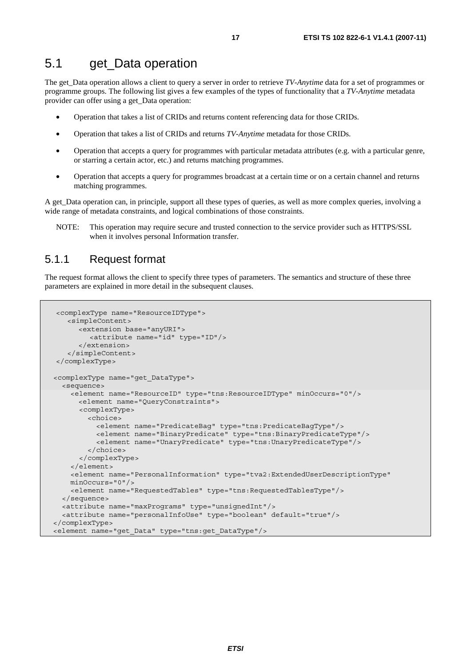The get\_Data operation allows a client to query a server in order to retrieve *TV-Anytime* data for a set of programmes or programme groups. The following list gives a few examples of the types of functionality that a *TV-Anytime* metadata provider can offer using a get\_Data operation:

- Operation that takes a list of CRIDs and returns content referencing data for those CRIDs.
- Operation that takes a list of CRIDs and returns *TV-Anytime* metadata for those CRIDs.
- Operation that accepts a query for programmes with particular metadata attributes (e.g. with a particular genre, or starring a certain actor, etc.) and returns matching programmes.
- Operation that accepts a query for programmes broadcast at a certain time or on a certain channel and returns matching programmes.

A get\_Data operation can, in principle, support all these types of queries, as well as more complex queries, involving a wide range of metadata constraints, and logical combinations of those constraints.

NOTE: This operation may require secure and trusted connection to the service provider such as HTTPS/SSL when it involves personal Information transfer.

## 5.1.1 Request format

The request format allows the client to specify three types of parameters. The semantics and structure of these three parameters are explained in more detail in the subsequent clauses.

```
<complexType name="ResourceIDType"> 
    <simpleContent> 
      <extension base="anyURI"> 
          <attribute name="id" type="ID"/> 
       </extension> 
    </simpleContent> 
</complexType> 
 <complexType name="get_DataType"> 
   <sequence> 
     <element name="ResourceID" type="tns:ResourceIDType" minOccurs="0"/> 
       <element name="QueryConstraints"> 
       <complexType> 
         <choice> 
           <element name="PredicateBag" type="tns:PredicateBagType"/> 
           <element name="BinaryPredicate" type="tns:BinaryPredicateType"/> 
           <element name="UnaryPredicate" type="tns:UnaryPredicateType"/> 
         </choice> 
       </complexType> 
     </element> 
     <element name="PersonalInformation" type="tva2:ExtendedUserDescriptionType" 
     minOccurs="0"/> 
     <element name="RequestedTables" type="tns:RequestedTablesType"/> 
   </sequence> 
   <attribute name="maxPrograms" type="unsignedInt"/> 
   <attribute name="personalInfoUse" type="boolean" default="true"/> 
</complexType> 
<element name="get_Data" type="tns:get_DataType"/>
```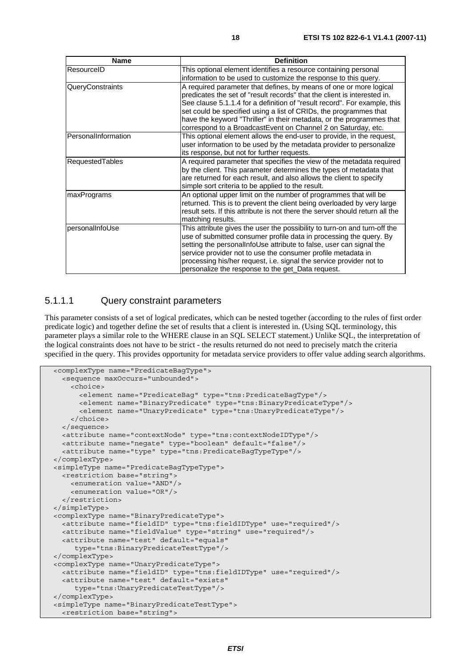| <b>Name</b>            | <b>Definition</b>                                                                                                                                                                                                                                                                                                                                                                                                                          |
|------------------------|--------------------------------------------------------------------------------------------------------------------------------------------------------------------------------------------------------------------------------------------------------------------------------------------------------------------------------------------------------------------------------------------------------------------------------------------|
| ResourceID             | This optional element identifies a resource containing personal<br>information to be used to customize the response to this query.                                                                                                                                                                                                                                                                                                         |
| QueryConstraints       | A required parameter that defines, by means of one or more logical<br>predicates the set of "result records" that the client is interested in.<br>See clause 5.1.1.4 for a definition of "result record". For example, this<br>set could be specified using a list of CRIDs, the programmes that<br>have the keyword "Thriller" in their metadata, or the programmes that<br>correspond to a BroadcastEvent on Channel 2 on Saturday, etc. |
| PersonalInformation    | This optional element allows the end-user to provide, in the request,<br>user information to be used by the metadata provider to personalize<br>its response, but not for further requests.                                                                                                                                                                                                                                                |
| <b>RequestedTables</b> | A required parameter that specifies the view of the metadata required<br>by the client. This parameter determines the types of metadata that<br>are returned for each result, and also allows the client to specify<br>simple sort criteria to be applied to the result.                                                                                                                                                                   |
| maxPrograms            | An optional upper limit on the number of programmes that will be<br>returned. This is to prevent the client being overloaded by very large<br>result sets. If this attribute is not there the server should return all the<br>matching results.                                                                                                                                                                                            |
| personalInfoUse        | This attribute gives the user the possibility to turn-on and turn-off the<br>use of submitted consumer profile data in processing the query. By<br>setting the personalInfoUse attribute to false, user can signal the<br>service provider not to use the consumer profile metadata in<br>processing his/her request, i.e. signal the service provider not to<br>personalize the response to the get_Data request.                         |

## 5.1.1.1 Query constraint parameters

This parameter consists of a set of logical predicates, which can be nested together (according to the rules of first order predicate logic) and together define the set of results that a client is interested in. (Using SQL terminology, this parameter plays a similar role to the WHERE clause in an SQL SELECT statement.) Unlike SQL, the interpretation of the logical constraints does not have to be strict - the results returned do not need to precisely match the criteria specified in the query. This provides opportunity for metadata service providers to offer value adding search algorithms.

```
 <complexType name="PredicateBagType"> 
   <sequence maxOccurs="unbounded"> 
     <choice> 
       <element name="PredicateBag" type="tns:PredicateBagType"/> 
       <element name="BinaryPredicate" type="tns:BinaryPredicateType"/> 
       <element name="UnaryPredicate" type="tns:UnaryPredicateType"/> 
     </choice> 
   </sequence> 
   <attribute name="contextNode" type="tns:contextNodeIDType"/> 
   <attribute name="negate" type="boolean" default="false"/> 
   <attribute name="type" type="tns:PredicateBagTypeType"/> 
 </complexType> 
 <simpleType name="PredicateBagTypeType"> 
   <restriction base="string"> 
     <enumeration value="AND"/> 
     <enumeration value="OR"/> 
   </restriction> 
 </simpleType> 
 <complexType name="BinaryPredicateType"> 
   <attribute name="fieldID" type="tns:fieldIDType" use="required"/> 
   <attribute name="fieldValue" type="string" use="required"/> 
   <attribute name="test" default="equals" 
      type="tns:BinaryPredicateTestType"/> 
 </complexType> 
 <complexType name="UnaryPredicateType"> 
   <attribute name="fieldID" type="tns:fieldIDType" use="required"/> 
   <attribute name="test" default="exists" 
      type="tns:UnaryPredicateTestType"/> 
 </complexType> 
 <simpleType name="BinaryPredicateTestType">
```

```
 <restriction base="string">
```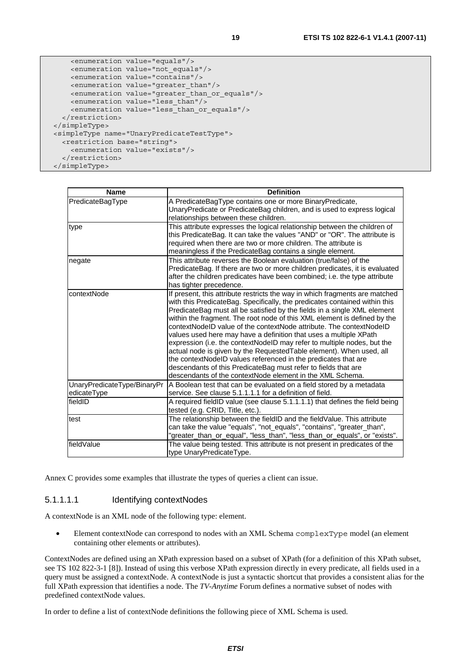```
 <enumeration value="equals"/> 
     <enumeration value="not_equals"/> 
     <enumeration value="contains"/> 
     <enumeration value="greater_than"/> 
     <enumeration value="greater_than_or_equals"/> 
     <enumeration value="less_than"/> 
     <enumeration value="less_than_or_equals"/> 
   </restriction> 
 </simpleType> 
 <simpleType name="UnaryPredicateTestType"> 
   <restriction base="string">
```

```
 <enumeration value="exists"/>
```

```
 </restriction> 
 </simpleType>
```

| <b>Name</b>                                | <b>Definition</b>                                                                                                                                                                                                                                                                                                                                                                                                                                                                                                                                                                                                                                                                                                                                                                                                 |
|--------------------------------------------|-------------------------------------------------------------------------------------------------------------------------------------------------------------------------------------------------------------------------------------------------------------------------------------------------------------------------------------------------------------------------------------------------------------------------------------------------------------------------------------------------------------------------------------------------------------------------------------------------------------------------------------------------------------------------------------------------------------------------------------------------------------------------------------------------------------------|
| PredicateBagType                           | A PredicateBagType contains one or more BinaryPredicate,<br>UnaryPredicate or PredicateBag children, and is used to express logical<br>relationships between these children.                                                                                                                                                                                                                                                                                                                                                                                                                                                                                                                                                                                                                                      |
| type                                       | This attribute expresses the logical relationship between the children of<br>this PredicateBag. It can take the values "AND" or "OR". The attribute is<br>required when there are two or more children. The attribute is<br>meaningless if the PredicateBag contains a single element.                                                                                                                                                                                                                                                                                                                                                                                                                                                                                                                            |
| negate                                     | This attribute reverses the Boolean evaluation (true/false) of the<br>PredicateBag. If there are two or more children predicates, it is evaluated<br>after the children predicates have been combined; i.e. the type attribute<br>has tighter precedence.                                                                                                                                                                                                                                                                                                                                                                                                                                                                                                                                                         |
| contextNode                                | If present, this attribute restricts the way in which fragments are matched<br>with this PredicateBag. Specifically, the predicates contained within this<br>PredicateBag must all be satisfied by the fields in a single XML element<br>within the fragment. The root node of this XML element is defined by the<br>contextNodeID value of the contextNode attribute. The contextNodeID<br>values used here may have a definition that uses a multiple XPath<br>expression (i.e. the contextNodeID may refer to multiple nodes, but the<br>actual node is given by the Requested Table element). When used, all<br>the contextNodeID values referenced in the predicates that are<br>descendants of this PredicateBag must refer to fields that are<br>descendants of the contextNode element in the XML Schema. |
| UnaryPredicateType/BinaryPr<br>edicateType | A Boolean test that can be evaluated on a field stored by a metadata<br>service. See clause 5.1.1.1.1 for a definition of field.                                                                                                                                                                                                                                                                                                                                                                                                                                                                                                                                                                                                                                                                                  |
| fieldID                                    | A required fieldID value (see clause 5.1.1.1.1) that defines the field being<br>tested (e.g. CRID, Title, etc.).                                                                                                                                                                                                                                                                                                                                                                                                                                                                                                                                                                                                                                                                                                  |
| test                                       | The relationship between the fieldID and the fieldValue. This attribute<br>can take the value "equals", "not_equals", "contains", "greater_than",<br>"greater_than_or_equal", "less_than", "less_than_or_equals", or "exists".                                                                                                                                                                                                                                                                                                                                                                                                                                                                                                                                                                                    |
| fieldValue                                 | The value being tested. This attribute is not present in predicates of the<br>type UnaryPredicateType.                                                                                                                                                                                                                                                                                                                                                                                                                                                                                                                                                                                                                                                                                                            |

Annex C provides some examples that illustrate the types of queries a client can issue.

#### 5.1.1.1.1 Identifying contextNodes

A contextNode is an XML node of the following type: element.

• Element contextNode can correspond to nodes with an XML Schema complexType model (an element containing other elements or attributes).

ContextNodes are defined using an XPath expression based on a subset of XPath (for a definition of this XPath subset, see TS 102 822-3-1 [8]). Instead of using this verbose XPath expression directly in every predicate, all fields used in a query must be assigned a contextNode. A contextNode is just a syntactic shortcut that provides a consistent alias for the full XPath expression that identifies a node. The *TV-Anytime* Forum defines a normative subset of nodes with predefined contextNode values.

In order to define a list of contextNode definitions the following piece of XML Schema is used.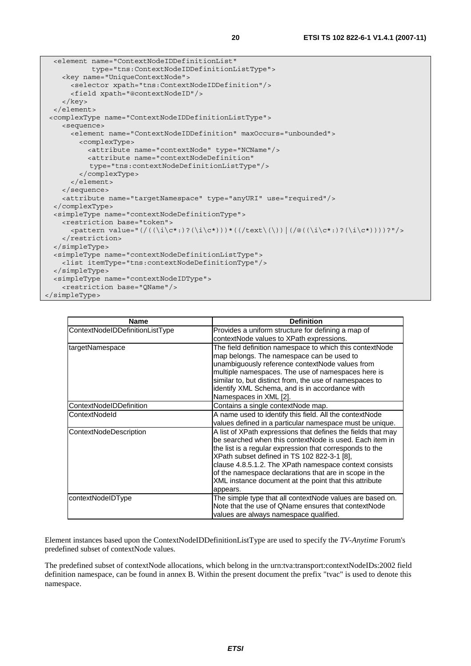```
 <element name="ContextNodeIDDefinitionList" 
             type="tns:ContextNodeIDDefinitionListType"> 
     <key name="UniqueContextNode"> 
       <selector xpath="tns:ContextNodeIDDefinition"/> 
       <field xpath="@contextNodeID"/> 
     </key> 
   </element> 
 <complexType name="ContextNodeIDDefinitionListType"> 
     <sequence> 
       <element name="ContextNodeIDDefinition" maxOccurs="unbounded"> 
          <complexType> 
            <attribute name="contextNode" type="NCName"/> 
            <attribute name="contextNodeDefinition" 
            type="tns:contextNodeDefinitionListType"/> 
          </complexType> 
       </element> 
     </sequence> 
     <attribute name="targetNamespace" type="anyURI" use="required"/> 
   </complexType> 
   <simpleType name="contextNodeDefinitionType"> 
     <restriction base="token"> 
      \langle <pattern value="(/(\langle \iota \rangle(\langle \iota \rangle)?'\langle \iota \rangle(\langle \iota \rangle)))*((/text\langle \iota \rangle)))(/\langle \iota \rangle(\langle \iota \rangle)))?"/>
     </restriction> 
   </simpleType> 
   <simpleType name="contextNodeDefinitionListType"> 
     <list itemType="tns:contextNodeDefinitionType"/> 
   </simpleType> 
   <simpleType name="contextNodeIDType"> 
     <restriction base="QName"/> 
</simpleType>
```

| <b>Name</b>                     | <b>Definition</b>                                                                                                                                                                                                                                                                                                                                                                                                            |
|---------------------------------|------------------------------------------------------------------------------------------------------------------------------------------------------------------------------------------------------------------------------------------------------------------------------------------------------------------------------------------------------------------------------------------------------------------------------|
| ContextNodeIDDefinitionListType | Provides a uniform structure for defining a map of<br>contextNode values to XPath expressions.                                                                                                                                                                                                                                                                                                                               |
| targetNamespace                 | The field definition namespace to which this contextNode<br>map belongs. The namespace can be used to<br>unambiguously reference contextNode values from<br>multiple namespaces. The use of namespaces here is<br>similar to, but distinct from, the use of namespaces to<br>identify XML Schema, and is in accordance with<br>Namespaces in XML [2].                                                                        |
| ContextNodeIDDefinition         | Contains a single contextNode map.                                                                                                                                                                                                                                                                                                                                                                                           |
| ContextNodeld                   | A name used to identify this field. All the contextNode<br>values defined in a particular namespace must be unique.                                                                                                                                                                                                                                                                                                          |
| ContextNodeDescription          | A list of XPath expressions that defines the fields that may<br>be searched when this contextNode is used. Each item in<br>the list is a regular expression that corresponds to the<br>XPath subset defined in TS 102 822-3-1 [8],<br>clause 4.8.5.1.2. The XPath namespace context consists<br>of the namespace declarations that are in scope in the<br>XML instance document at the point that this attribute<br>appears. |
| contextNodeIDType               | The simple type that all contextNode values are based on.<br>Note that the use of QName ensures that contextNode<br>values are always namespace qualified.                                                                                                                                                                                                                                                                   |

Element instances based upon the ContextNodeIDDefinitionListType are used to specify the *TV-Anytime* Forum's predefined subset of contextNode values.

The predefined subset of contextNode allocations, which belong in the urn:tva:transport:contextNodeIDs:2002 field definition namespace, can be found in annex B. Within the present document the prefix "tvac" is used to denote this namespace.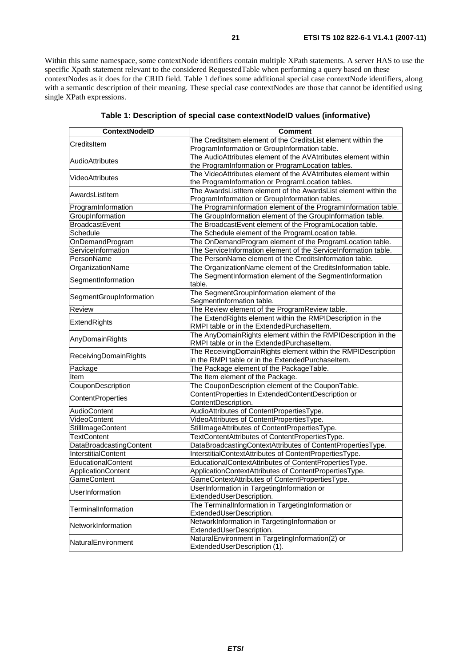Within this same namespace, some contextNode identifiers contain multiple XPath statements. A server HAS to use the specific Xpath statement relevant to the considered RequestedTable when performing a query based on these contextNodes as it does for the CRID field. Table 1 defines some additional special case contextNode identifiers, along with a semantic description of their meaning. These special case contextNodes are those that cannot be identified using single XPath expressions.

| <b>ContextNodelD</b>    | Comment                                                                                                           |
|-------------------------|-------------------------------------------------------------------------------------------------------------------|
| <b>CreditsItem</b>      | The CreditsItem element of the CreditsList element within the                                                     |
|                         | ProgramInformation or GroupInformation table.                                                                     |
| IAudioAttributes        | The AudioAttributes element of the AVAtrributes element within                                                    |
|                         | the ProgramInformation or ProgramLocation tables.                                                                 |
| <b>VideoAttributes</b>  | The VideoAttributes element of the AVAtrributes element within                                                    |
|                         | the ProgramInformation or ProgramLocation tables.                                                                 |
| AwardsListItem          | The AwardsListItem element of the AwardsList element within the                                                   |
|                         | ProgramInformation or GroupInformation tables.                                                                    |
| ProgramInformation      | The ProgramInformation element of the ProgramInformation table.                                                   |
| GroupInformation        | The GroupInformation element of the GroupInformation table.                                                       |
| BroadcastEvent          | The BroadcastEvent element of the ProgramLocation table.                                                          |
| Schedule                | The Schedule element of the ProgramLocation table.                                                                |
| OnDemandProgram         | The OnDemandProgram element of the ProgramLocation table.                                                         |
| ServiceInformation      | The ServiceInformation element of the ServiceInformation table.                                                   |
| PersonName              | The PersonName element of the CreditsInformation table.                                                           |
| OrganizationName        | The OrganizationName element of the CreditsInformation table.                                                     |
| SegmentInformation      | The SegmentInformation element of the SegmentInformation                                                          |
|                         | table.                                                                                                            |
| SegmentGroupInformation | The SegmentGroupInformation element of the                                                                        |
|                         | SegmentInformation table.                                                                                         |
| Review                  | The Review element of the ProgramReview table.                                                                    |
| ExtendRights            | The ExtendRights element within the RMPIDescription in the                                                        |
|                         | RMPI table or in the ExtendedPurchaseItem.                                                                        |
| AnyDomainRights         | The AnyDomainRights element within the RMPIDescription in the                                                     |
|                         | RMPI table or in the ExtendedPurchaseItem.                                                                        |
| ReceivingDomainRights   | The ReceivingDomainRights element within the RMPIDescription<br>in the RMPI table or in the ExtendedPurchaseItem. |
| Package                 | The Package element of the PackageTable.                                                                          |
| Item                    | The Item element of the Package.                                                                                  |
| CouponDescription       | The CouponDescription element of the CouponTable.                                                                 |
|                         | ContentProperties In ExtendedContentDescription or                                                                |
| ContentProperties       | ContentDescription.                                                                                               |
| <b>AudioContent</b>     | AudioAttributes of ContentPropertiesType.                                                                         |
| VideoContent            | VideoAttributes of ContentPropertiesType.                                                                         |
| StillImageContent       | StillImageAttributes of ContentPropertiesType.                                                                    |
| <b>TextContent</b>      | TextContentAttributes of ContentPropertiesType.                                                                   |
| DataBroadcastingContent | DataBroadcastingContextAttributes of ContentPropertiesType.                                                       |
| InterstitialContent     | InterstitialContextAttributes of ContentPropertiesType.                                                           |
| EducationalContent      | EducationalContextAttributes of ContentPropertiesType.                                                            |
| ApplicationContent      | ApplicationContextAttributes of ContentPropertiesType.                                                            |
| GameContent             | GameContextAttributes of ContentPropertiesType.                                                                   |
|                         | UserInformation in TargetingInformation or                                                                        |
| <b>UserInformation</b>  | ExtendedUserDescription.                                                                                          |
|                         | The TerminalInformation in TargetingInformation or                                                                |
| TerminalInformation     | ExtendedUserDescription.                                                                                          |
| NetworkInformation      | NetworkInformation in TargetingInformation or                                                                     |
|                         | ExtendedUserDescription.                                                                                          |
| NaturalEnvironment      | NaturalEnvironment in TargetingInformation(2) or                                                                  |
|                         | ExtendedUserDescription (1).                                                                                      |

**Table 1: Description of special case contextNodeID values (informative)**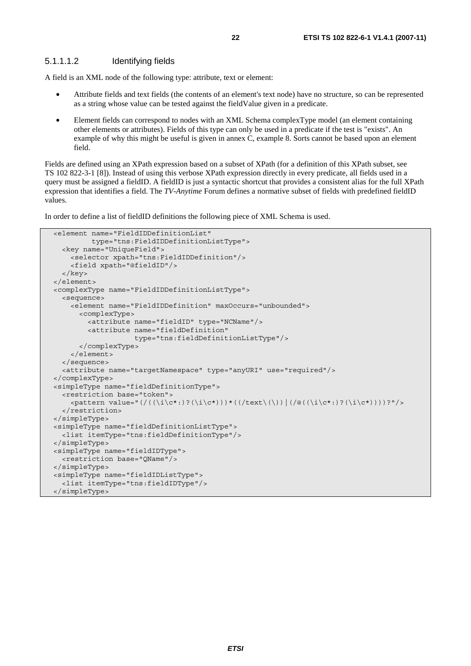#### 5.1.1.1.2 Identifying fields

A field is an XML node of the following type: attribute, text or element:

- Attribute fields and text fields (the contents of an element's text node) have no structure, so can be represented as a string whose value can be tested against the fieldValue given in a predicate.
- Element fields can correspond to nodes with an XML Schema complexType model (an element containing other elements or attributes). Fields of this type can only be used in a predicate if the test is "exists". An example of why this might be useful is given in annex C, example 8. Sorts cannot be based upon an element field.

Fields are defined using an XPath expression based on a subset of XPath (for a definition of this XPath subset, see TS 102 822-3-1 [8]). Instead of using this verbose XPath expression directly in every predicate, all fields used in a query must be assigned a fieldID. A fieldID is just a syntactic shortcut that provides a consistent alias for the full XPath expression that identifies a field. The *TV-Anytime* Forum defines a normative subset of fields with predefined fieldID values.

In order to define a list of fieldID definitions the following piece of XML Schema is used.

```
 <element name="FieldIDDefinitionList" 
          type="tns:FieldIDDefinitionListType"> 
   <key name="UniqueField"> 
     <selector xpath="tns:FieldIDDefinition"/> 
     <field xpath="@fieldID"/> 
   </key> 
 </element> 
 <complexType name="FieldIDDefinitionListType"> 
   <sequence> 
     <element name="FieldIDDefinition" maxOccurs="unbounded"> 
       <complexType> 
         <attribute name="fieldID" type="NCName"/> 
         <attribute name="fieldDefinition" 
                     type="tns:fieldDefinitionListType"/> 
       </complexType> 
     </element> 
   </sequence> 
   <attribute name="targetNamespace" type="anyURI" use="required"/> 
 </complexType> 
 <simpleType name="fieldDefinitionType"> 
   <restriction base="token"> 
     <pattern value="(/((\i\c*:)?(\i\c*)))*((/text\(\))|(/@((\i\c*:)?(\i\c*))))?"/> 
  </restriction>
 </simpleType> 
 <simpleType name="fieldDefinitionListType"> 
   <list itemType="tns:fieldDefinitionType"/> 
 </simpleType> 
 <simpleType name="fieldIDType"> 
   <restriction base="QName"/> 
 </simpleType> 
 <simpleType name="fieldIDListType"> 
   <list itemType="tns:fieldIDType"/> 
 </simpleType>
```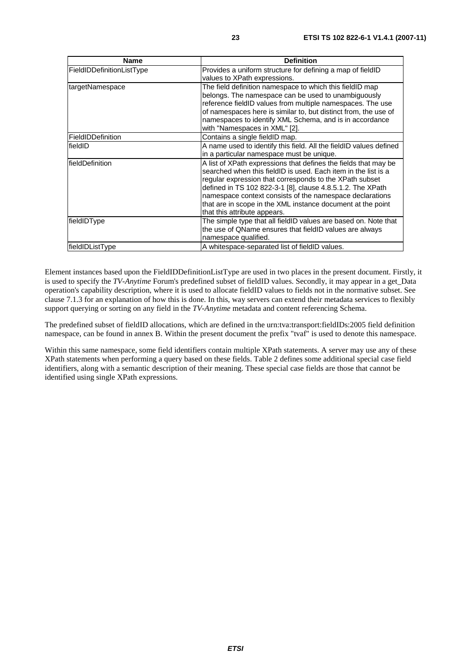| <b>Name</b>               | <b>Definition</b>                                                                                                                                                                                                                                                                                                                                                                                                     |
|---------------------------|-----------------------------------------------------------------------------------------------------------------------------------------------------------------------------------------------------------------------------------------------------------------------------------------------------------------------------------------------------------------------------------------------------------------------|
| FieldIDDefinitionListType | Provides a uniform structure for defining a map of fieldID<br>values to XPath expressions.                                                                                                                                                                                                                                                                                                                            |
| targetNamespace           | The field definition namespace to which this fieldID map<br>belongs. The namespace can be used to unambiguously<br>reference fieldID values from multiple namespaces. The use<br>of namespaces here is similar to, but distinct from, the use of<br>namespaces to identify XML Schema, and is in accordance<br>with "Namespaces in XML" [2].                                                                          |
| FieldIDDefinition         | Contains a single fieldID map.                                                                                                                                                                                                                                                                                                                                                                                        |
| fieldID                   | A name used to identify this field. All the fieldID values defined<br>in a particular namespace must be unique.                                                                                                                                                                                                                                                                                                       |
| fieldDefinition           | A list of XPath expressions that defines the fields that may be<br>searched when this fieldID is used. Each item in the list is a<br>regular expression that corresponds to the XPath subset<br>defined in TS 102 822-3-1 [8], clause 4.8.5.1.2. The XPath<br>namespace context consists of the namespace declarations<br>that are in scope in the XML instance document at the point<br>that this attribute appears. |
| fieldIDType               | The simple type that all fieldID values are based on. Note that<br>the use of QName ensures that fieldID values are always<br>namespace qualified.                                                                                                                                                                                                                                                                    |
| fieldIDListType           | A whitespace-separated list of fieldID values.                                                                                                                                                                                                                                                                                                                                                                        |

Element instances based upon the FieldIDDefinitionListType are used in two places in the present document. Firstly, it is used to specify the *TV-Anytime* Forum's predefined subset of fieldID values. Secondly, it may appear in a get\_Data operation's capability description, where it is used to allocate fieldID values to fields not in the normative subset. See clause 7.1.3 for an explanation of how this is done. In this, way servers can extend their metadata services to flexibly support querying or sorting on any field in the *TV-Anytime* metadata and content referencing Schema.

The predefined subset of fieldID allocations, which are defined in the urn:tva:transport:fieldIDs:2005 field definition namespace, can be found in annex B. Within the present document the prefix "tvaf" is used to denote this namespace.

Within this same namespace, some field identifiers contain multiple XPath statements. A server may use any of these XPath statements when performing a query based on these fields. Table 2 defines some additional special case field identifiers, along with a semantic description of their meaning. These special case fields are those that cannot be identified using single XPath expressions.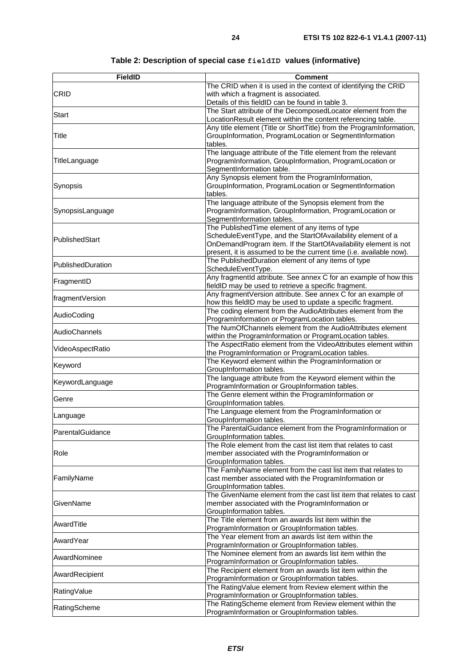| <b>FieldID</b>    | <b>Comment</b>                                                                                                                         |
|-------------------|----------------------------------------------------------------------------------------------------------------------------------------|
|                   | The CRID when it is used in the context of identifying the CRID                                                                        |
| <b>CRID</b>       | with which a fragment is associated.                                                                                                   |
|                   | Details of this fieldID can be found in table 3.                                                                                       |
| <b>Start</b>      | The Start attribute of the DecomposedLocator element from the                                                                          |
|                   | LocationResult element within the content referencing table.                                                                           |
|                   | Any title element (Title or ShortTitle) from the ProgramInformation,                                                                   |
| Title             | GroupInformation, ProgramLocation or SegmentInformation                                                                                |
|                   | tables.<br>The language attribute of the Title element from the relevant                                                               |
| TitleLanguage     | ProgramInformation, GroupInformation, ProgramLocation or                                                                               |
|                   | SegmentInformation table.                                                                                                              |
|                   | Any Synopsis element from the ProgramInformation,                                                                                      |
| Synopsis          | GroupInformation, ProgramLocation or SegmentInformation                                                                                |
|                   | tables.                                                                                                                                |
|                   | The language attribute of the Synopsis element from the                                                                                |
| SynopsisLanguage  | ProgramInformation, GroupInformation, ProgramLocation or                                                                               |
|                   | SegmentInformation tables.                                                                                                             |
|                   | The Published Time element of any items of type                                                                                        |
| PublishedStart    | ScheduleEventType, and the StartOfAvailability element of a                                                                            |
|                   | OnDemandProgram item. If the StartOfAvailability element is not<br>present, it is assumed to be the current time (i.e. available now). |
|                   | The PublishedDuration element of any items of type                                                                                     |
| PublishedDuration | ScheduleEventType.                                                                                                                     |
|                   | Any fragmentId attribute. See annex C for an example of how this                                                                       |
| FragmentID        | fieldID may be used to retrieve a specific fragment.                                                                                   |
| fragmentVersion   | Any fragmentVersion attribute. See annex C for an example of                                                                           |
|                   | how this fieldID may be used to update a specific fragment.                                                                            |
| AudioCoding       | The coding element from the AudioAttributes element from the                                                                           |
|                   | ProgramInformation or ProgramLocation tables.<br>The NumOfChannels element from the AudioAttributes element                            |
| AudioChannels     | within the ProgramInformation or ProgramLocation tables.                                                                               |
|                   | The AspectRatio element from the VideoAttributes element within                                                                        |
| VideoAspectRatio  | the ProgramInformation or ProgramLocation tables.                                                                                      |
| Keyword           | The Keyword element within the ProgramInformation or                                                                                   |
|                   | GroupInformation tables.                                                                                                               |
| KeywordLanguage   | The language attribute from the Keyword element within the                                                                             |
|                   | ProgramInformation or GroupInformation tables.<br>The Genre element within the ProgramInformation or                                   |
| Genre             | GroupInformation tables.                                                                                                               |
|                   | The Language element from the ProgramInformation or                                                                                    |
| Language          | GroupInformation tables.                                                                                                               |
| ParentalGuidance  | The ParentalGuidance element from the ProgramInformation or                                                                            |
|                   | GroupInformation tables.                                                                                                               |
|                   | The Role element from the cast list item that relates to cast                                                                          |
| Role              | member associated with the ProgramInformation or                                                                                       |
|                   | GroupInformation tables.<br>The FamilyName element from the cast list item that relates to                                             |
| FamilyName        | cast member associated with the ProgramInformation or                                                                                  |
|                   | GroupInformation tables.                                                                                                               |
|                   | The GivenName element from the cast list item that relates to cast                                                                     |
| GivenName         | member associated with the ProgramInformation or                                                                                       |
|                   | GroupInformation tables.                                                                                                               |
| AwardTitle        | The Title element from an awards list item within the                                                                                  |
|                   | ProgramInformation or GroupInformation tables.<br>The Year element from an awards list item within the                                 |
| AwardYear         | ProgramInformation or GroupInformation tables.                                                                                         |
|                   | The Nominee element from an awards list item within the                                                                                |
| AwardNominee      | ProgramInformation or GroupInformation tables.                                                                                         |
| AwardRecipient    | The Recipient element from an awards list item within the                                                                              |
|                   | ProgramInformation or GroupInformation tables.                                                                                         |
| RatingValue       | The RatingValue element from Review element within the                                                                                 |
|                   | ProgramInformation or GroupInformation tables.                                                                                         |
| RatingScheme      | The RatingScheme element from Review element within the<br>ProgramInformation or GroupInformation tables.                              |
|                   |                                                                                                                                        |

## **Table 2: Description of special case fieldID values (informative)**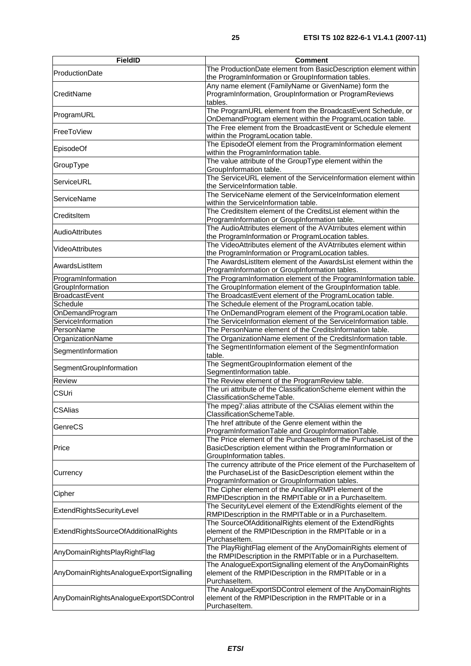| <b>FieldID</b>                          | <b>Comment</b>                                                                                                                                                                      |
|-----------------------------------------|-------------------------------------------------------------------------------------------------------------------------------------------------------------------------------------|
| ProductionDate                          | The ProductionDate element from BasicDescription element within<br>the ProgramInformation or GroupInformation tables.                                                               |
| CreditName                              | Any name element (FamilyName or GivenName) form the<br>ProgramInformation, GroupInformation or ProgramReviews<br>tables.                                                            |
| ProgramURL                              | The ProgramURL element from the BroadcastEvent Schedule, or<br>OnDemandProgram element within the ProgramLocation table.                                                            |
| FreeToView                              | The Free element from the BroadcastEvent or Schedule element<br>within the ProgramLocation table.                                                                                   |
| EpisodeOf                               | The EpisodeOf element from the ProgramInformation element<br>within the ProgramInformation table.                                                                                   |
| GroupType                               | The value attribute of the GroupType element within the<br>GroupInformation table.                                                                                                  |
| ServiceURL                              | The ServiceURL element of the ServiceInformation element within<br>the ServiceInformation table.                                                                                    |
| ServiceName                             | The ServiceName element of the ServiceInformation element<br>within the ServiceInformation table.                                                                                   |
| CreditsItem                             | The CreditsItem element of the CreditsList element within the<br>ProgramInformation or GroupInformation table.                                                                      |
| <b>AudioAttributes</b>                  | The AudioAttributes element of the AVAtrributes element within<br>the ProgramInformation or ProgramLocation tables.                                                                 |
| VideoAttributes                         | The VideoAttributes element of the AVAtrributes element within<br>the ProgramInformation or ProgramLocation tables.                                                                 |
| AwardsListItem                          | The AwardsListItem element of the AwardsList element within the<br>ProgramInformation or GroupInformation tables.                                                                   |
| ProgramInformation                      | The ProgramInformation element of the ProgramInformation table.                                                                                                                     |
| GroupInformation                        | The GroupInformation element of the GroupInformation table.                                                                                                                         |
| <b>BroadcastEvent</b>                   | The BroadcastEvent element of the ProgramLocation table.                                                                                                                            |
| Schedule                                | The Schedule element of the ProgramLocation table.                                                                                                                                  |
| OnDemandProgram                         | The OnDemandProgram element of the ProgramLocation table.                                                                                                                           |
| ServiceInformation                      | The ServiceInformation element of the ServiceInformation table.                                                                                                                     |
| PersonName                              | The PersonName element of the CreditsInformation table.                                                                                                                             |
| OrganizationName                        | The OrganizationName element of the CreditsInformation table.                                                                                                                       |
|                                         | The SegmentInformation element of the SegmentInformation                                                                                                                            |
| SegmentInformation                      | table.                                                                                                                                                                              |
| SegmentGroupInformation                 | The SegmentGroupInformation element of the<br>SegmentInformation table.                                                                                                             |
| Review                                  | The Review element of the ProgramReview table.                                                                                                                                      |
| <b>CSUri</b>                            | The uri attribute of the ClassificationScheme element within the<br>ClassificationSchemeTable.                                                                                      |
| <b>CSAlias</b>                          | The mpeg7:alias attribute of the CSAlias element within the<br>ClassificationSchemeTable.                                                                                           |
| GenreCS                                 | The href attribute of the Genre element within the<br>ProgramInformationTable and GroupInformationTable.                                                                            |
| Price                                   | The Price element of the Purchaseltem of the PurchaseList of the<br>BasicDescription element within the ProgramInformation or<br>GroupInformation tables.                           |
| Currency                                | The currency attribute of the Price element of the Purchaseltem of<br>the PurchaseList of the BasicDescription element within the<br>ProgramInformation or GroupInformation tables. |
| Cipher                                  | The Cipher element of the AncillaryRMPI element of the<br>RMPIDescription in the RMPITable or in a Purchaseltem.                                                                    |
| ExtendRightsSecurityLevel               | The SecurityLevel element of the ExtendRights element of the<br>RMPIDescription in the RMPITable or in a Purchaseltem.                                                              |
| ExtendRightsSourceOfAdditionalRights    | The SourceOfAdditionalRights element of the ExtendRights<br>element of the RMPIDescription in the RMPITable or in a<br>Purchaseltem.                                                |
| AnyDomainRightsPlayRightFlag            | The PlayRightFlag element of the AnyDomainRights element of<br>the RMPIDescription in the RMPITable or in a Purchaseltem.                                                           |
| AnyDomainRightsAnalogueExportSignalling | The AnalogueExportSignalling element of the AnyDomainRights<br>element of the RMPIDescription in the RMPITable or in a<br>Purchaseltem.                                             |
| AnyDomainRightsAnalogueExportSDControl  | The AnalogueExportSDControl element of the AnyDomainRights<br>element of the RMPIDescription in the RMPITable or in a<br>Purchaseltem.                                              |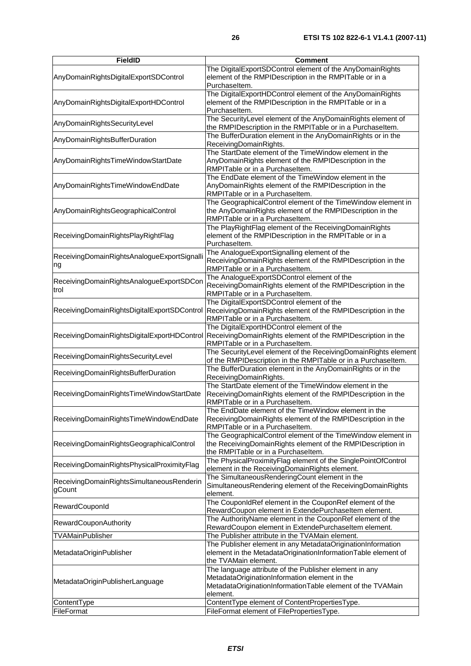| <b>FieldID</b>                                      | Comment                                                                                                                                                                           |
|-----------------------------------------------------|-----------------------------------------------------------------------------------------------------------------------------------------------------------------------------------|
| AnyDomainRightsDigitalExportSDControl               | The DigitalExportSDControl element of the AnyDomainRights<br>element of the RMPIDescription in the RMPITable or in a<br>Purchaseltem.                                             |
| AnyDomainRightsDigitalExportHDControl               | The DigitalExportHDControl element of the AnyDomainRights<br>element of the RMPIDescription in the RMPITable or in a<br>Purchaseltem.                                             |
| AnyDomainRightsSecurityLevel                        | The SecurityLevel element of the AnyDomainRights element of<br>the RMPIDescription in the RMPITable or in a PurchaseItem.                                                         |
| AnyDomainRightsBufferDuration                       | The BufferDuration element in the AnyDomainRights or in the<br>ReceivingDomainRights.                                                                                             |
| AnyDomainRightsTimeWindowStartDate                  | The StartDate element of the TimeWindow element in the<br>AnyDomainRights element of the RMPIDescription in the<br>RMPITable or in a Purchaseltem.                                |
| AnyDomainRightsTimeWindowEndDate                    | The EndDate element of the TimeWindow element in the<br>AnyDomainRights element of the RMPIDescription in the<br>RMPITable or in a Purchaseltem.                                  |
| AnyDomainRightsGeographicalControl                  | The GeographicalControl element of the TimeWindow element in<br>the AnyDomainRights element of the RMPIDescription in the<br>RMPITable or in a Purchaseltem.                      |
| ReceivingDomainRightsPlayRightFlag                  | The PlayRightFlag element of the ReceivingDomainRights<br>element of the RMPIDescription in the RMPITable or in a<br>Purchaseltem.                                                |
| ReceivingDomainRightsAnalogueExportSignalli<br>ng   | The AnalogueExportSignalling element of the<br>ReceivingDomainRights element of the RMPIDescription in the<br>RMPITable or in a Purchaseltem.                                     |
| ReceivingDomainRightsAnalogueExportSDCon<br>trol    | The AnalogueExportSDControl element of the<br>ReceivingDomainRights element of the RMPIDescription in the<br>RMPITable or in a Purchaseltem.                                      |
| ReceivingDomainRightsDigitalExportSDControl         | The DigitalExportSDControl element of the<br>ReceivingDomainRights element of the RMPIDescription in the<br>RMPITable or in a Purchaseltem.                                       |
| ReceivingDomainRightsDigitalExportHDControl         | The DigitalExportHDControl element of the<br>ReceivingDomainRights element of the RMPIDescription in the<br>RMPITable or in a Purchaseltem.                                       |
| ReceivingDomainRightsSecurityLevel                  | The SecurityLevel element of the ReceivingDomainRights element<br>of the RMPIDescription in the RMPITable or in a Purchaseltem.                                                   |
| ReceivingDomainRightsBufferDuration                 | The BufferDuration element in the AnyDomainRights or in the<br>ReceivingDomainRights.                                                                                             |
| ReceivingDomainRightsTimeWindowStartDate            | The StartDate element of the TimeWindow element in the<br>ReceivingDomainRights element of the RMPIDescription in the<br>RMPITable or in a Purchaseltem.                          |
| ReceivingDomainRightsTimeWindowEndDate              | The EndDate element of the TimeWindow element in the<br>ReceivingDomainRights element of the RMPIDescription in the<br>RMPITable or in a Purchaseltem.                            |
| ReceivingDomainRightsGeographicalControl            | The GeographicalControl element of the TimeWindow element in<br>the ReceivingDomainRights element of the RMPIDescription in<br>the RMPITable or in a Purchaseltem.                |
| ReceivingDomainRightsPhysicalProximityFlag          | The PhysicalProximityFlag element of the SinglePointOfControl<br>element in the ReceivingDomainRights element.                                                                    |
| ReceivingDomainRightsSimultaneousRenderin<br>gCount | The SimultaneousRenderingCount element in the<br>SimultaneousRendering element of the ReceivingDomainRights<br>element.                                                           |
| RewardCouponId                                      | The CouponIdRef element in the CouponRef element of the<br>RewardCoupon element in ExtendePurchaseItem element.                                                                   |
| RewardCouponAuthority                               | The AuthorityName element in the CouponRef element of the<br>RewardCoupon element in ExtendePurchaseltem element.                                                                 |
| <b>TVAMainPublisher</b>                             | The Publisher attribute in the TVAMain element.                                                                                                                                   |
| MetadataOriginPublisher                             | The Publisher element in any MetadataOriginationInformation<br>element in the MetadataOriginationInformationTable element of<br>the TVAMain element.                              |
| MetadataOriginPublisherLanguage                     | The language attribute of the Publisher element in any<br>MetadataOriginationInformation element in the<br>MetadataOriginationInformationTable element of the TVAMain<br>element. |
| ContentType                                         | ContentType element of ContentPropertiesType.                                                                                                                                     |
| FileFormat                                          | FileFormat element of FilePropertiesType.                                                                                                                                         |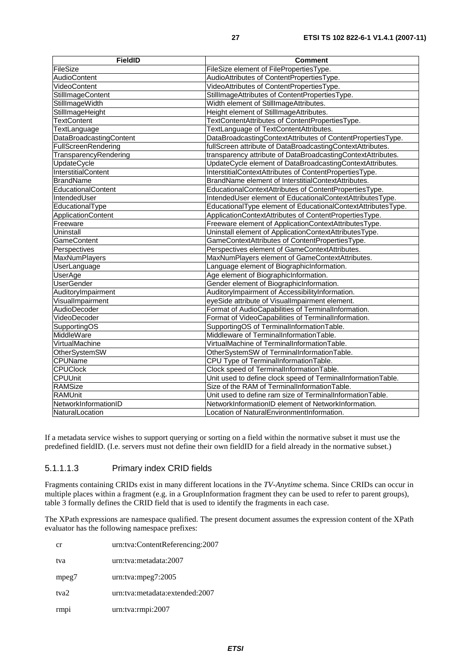| <b>FieldID</b>                 | <b>Comment</b>                                               |
|--------------------------------|--------------------------------------------------------------|
| FileSize                       | FileSize element of FilePropertiesType.                      |
| <b>AudioContent</b>            | AudioAttributes of ContentPropertiesType.                    |
| VideoContent                   | VideoAttributes of ContentPropertiesType.                    |
| StillImageContent              | StillImageAttributes of ContentPropertiesType.               |
| StillImageWidth                | Width element of StillImageAttributes.                       |
| StillImageHeight               | Height element of StillImageAttributes.                      |
| <b>TextContent</b>             | TextContentAttributes of ContentPropertiesType.              |
| TextLanguage                   | TextLanguage of TextContentAttributes.                       |
| <b>DataBroadcastingContent</b> | DataBroadcastingContextAttributes of ContentPropertiesType.  |
| FullScreenRendering            | fullScreen attribute of DataBroadcastingContextAttributes.   |
| TransparencyRendering          | transparency attribute of DataBroadcastingContextAttributes. |
| <b>UpdateCycle</b>             | UpdateCycle element of DataBroadcastingContextAttributes.    |
| <b>InterstitialContent</b>     | InterstitialContextAttributes of ContentPropertiesType.      |
| <b>BrandName</b>               | BrandName element of InterstitialContextAttributes.          |
| EducationalContent             | EducationalContextAttributes of ContentPropertiesType.       |
| IntendedUser                   | IntendedUser element of EducationalContextAttributesType.    |
| EducationalType                | EducationalType element of EducationalContextAttributesType. |
| ApplicationContent             | ApplicationContextAttributes of ContentPropertiesType.       |
| Freeware                       | Freeware element of ApplicationContextAttributesType.        |
| Uninstall                      | Uninstall element of ApplicationContextAttributesType.       |
| <b>GameContent</b>             | GameContextAttributes of ContentPropertiesType.              |
| Perspectives                   | Perspectives element of GameContextAttributes.               |
| <b>MaxNumPlayers</b>           | MaxNumPlayers element of GameContextAttributes.              |
| UserLanguage                   | Language element of BiographicInformation.                   |
| <b>UserAge</b>                 | Age element of BiographicInformation.                        |
| <b>UserGender</b>              | Gender element of BiographicInformation.                     |
| AuditoryImpairment             | AuditoryImpairment of AccessibilityInformation.              |
| VisualImpairment               | eyeSide attribute of VisualImpairment element.               |
| AudioDecoder                   | Format of AudioCapabilities of TerminalInformation.          |
| VideoDecoder                   | Format of VideoCapabilities of TerminalInformation.          |
| SupportingOS                   | SupportingOS of TerminalInformationTable.                    |
| MiddleWare                     | Middleware of TerminalInformationTable.                      |
| VirtualMachine                 | VirtualMachine of TerminalInformationTable.                  |
| OtherSystemSW                  | OtherSystemSW of TerminalInformationTable.                   |
| <b>CPUName</b>                 | CPU Type of TerminalInformationTable.                        |
| <b>CPUClock</b>                | Clock speed of TerminalInformationTable.                     |
| <b>CPUUnit</b>                 | Unit used to define clock speed of TerminalInformationTable. |
| <b>RAMSize</b>                 | Size of the RAM of TerminalInformationTable.                 |
| <b>RAMUnit</b>                 | Unit used to define ram size of TerminalInformationTable.    |
| NetworkInformationID           | NetworkInformationID element of NetworkInformation.          |
| NaturalLocation                | Location of NaturalEnvironmentInformation.                   |

If a metadata service wishes to support querying or sorting on a field within the normative subset it must use the predefined fieldID. (I.e. servers must not define their own fieldID for a field already in the normative subset.)

## 5.1.1.1.3 Primary index CRID fields

Fragments containing CRIDs exist in many different locations in the *TV-Anytime* schema. Since CRIDs can occur in multiple places within a fragment (e.g. in a GroupInformation fragment they can be used to refer to parent groups), table 3 formally defines the CRID field that is used to identify the fragments in each case.

The XPath expressions are namespace qualified. The present document assumes the expression content of the XPath evaluator has the following namespace prefixes:

| cr               | urn:tva:ContentReferencing:2007 |
|------------------|---------------------------------|
| tva              | urn:tva:metadata:2007           |
| mpeg7            | $urn:$ tva:mpeg $7:2005$        |
| tva <sub>2</sub> | urn:tva:metadata:extended:2007  |
| rmp <sub>1</sub> | urn:tva:rmpi:2007               |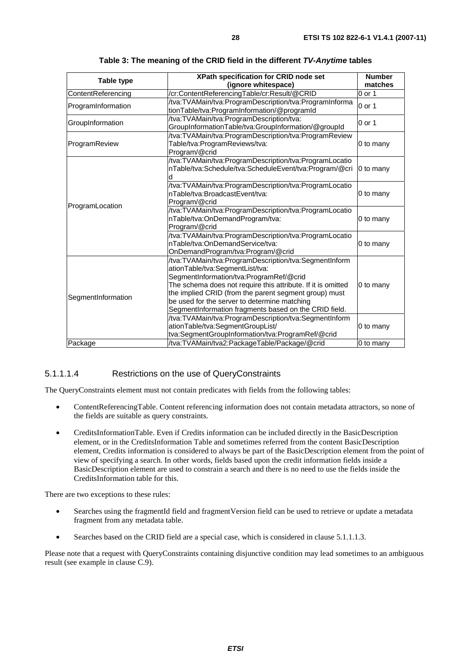| Table type         | XPath specification for CRID node set<br>(ignore whitespace)                                                                                                                                                                                                                                                                                                                                                                   | <b>Number</b><br>matches |
|--------------------|--------------------------------------------------------------------------------------------------------------------------------------------------------------------------------------------------------------------------------------------------------------------------------------------------------------------------------------------------------------------------------------------------------------------------------|--------------------------|
| ContentReferencing | /cr:ContentReferencingTable/cr:Result/@CRID                                                                                                                                                                                                                                                                                                                                                                                    | $0$ or 1                 |
| ProgramInformation | /tva:TVAMain/tva:ProgramDescription/tva:ProgramInforma<br>tionTable/tva:ProgramInformation/@programId                                                                                                                                                                                                                                                                                                                          | $0$ or 1                 |
| GroupInformation   | /tva:TVAMain/tva:ProgramDescription/tva:<br>GroupInformationTable/tva:GroupInformation/@groupId                                                                                                                                                                                                                                                                                                                                | $0$ or 1                 |
| ProgramReview      | /tva:TVAMain/tva:ProgramDescription/tva:ProgramReview<br>Table/tva:ProgramReviews/tva:<br>Program/@crid                                                                                                                                                                                                                                                                                                                        | 0 to many                |
| ProgramLocation    | /tva:TVAMain/tva:ProgramDescription/tva:ProgramLocatio<br>nTable/tva:Schedule/tva:ScheduleEvent/tva:Program/@cri<br>d                                                                                                                                                                                                                                                                                                          | 0 to many                |
|                    | /tva:TVAMain/tva:ProgramDescription/tva:ProgramLocatio<br>nTable/tva:BroadcastEvent/tva:<br>Program/@crid                                                                                                                                                                                                                                                                                                                      | 0 to many                |
|                    | /tva:TVAMain/tva:ProgramDescription/tva:ProgramLocatio<br>nTable/tva:OnDemandProgram/tva:<br>Program/@crid                                                                                                                                                                                                                                                                                                                     | 0 to many                |
|                    | /tva:TVAMain/tva:ProgramDescription/tva:ProgramLocatio<br>nTable/tva:OnDemandService/tva:<br>OnDemandProgram/tva:Program/@crid                                                                                                                                                                                                                                                                                                 | 0 to many                |
| SegmentInformation | /tva:TVAMain/tva:ProgramDescription/tva:SegmentInform<br>ationTable/tva:SegmentList/tva:<br>SegmentInformation/tva:ProgramRef/@crid<br>The schema does not require this attribute. If it is omitted<br>the implied CRID (from the parent segment group) must<br>be used for the server to determine matching<br>SegmentInformation fragments based on the CRID field.<br>/tva:TVAMain/tva:ProgramDescription/tva:SegmentInform | 0 to many                |
|                    | ationTable/tva:SegmentGroupList/<br>tva:SegmentGroupInformation/tva:ProgramRef/@crid                                                                                                                                                                                                                                                                                                                                           | 0 to many                |
| Package            | /tva:TVAMain/tva2:PackageTable/Package/@crid                                                                                                                                                                                                                                                                                                                                                                                   | 0 to many                |

**Table 3: The meaning of the CRID field in the different** *TV-Anytime* **tables** 

#### 5.1.1.1.4 Restrictions on the use of QueryConstraints

The QueryConstraints element must not contain predicates with fields from the following tables:

- ContentReferencingTable. Content referencing information does not contain metadata attractors, so none of the fields are suitable as query constraints.
- CreditsInformationTable. Even if Credits information can be included directly in the BasicDescription element, or in the CreditsInformation Table and sometimes referred from the content BasicDescription element, Credits information is considered to always be part of the BasicDescription element from the point of view of specifying a search. In other words, fields based upon the credit information fields inside a BasicDescription element are used to constrain a search and there is no need to use the fields inside the CreditsInformation table for this.

There are two exceptions to these rules:

- Searches using the fragmentId field and fragmentVersion field can be used to retrieve or update a metadata fragment from any metadata table.
- Searches based on the CRID field are a special case, which is considered in clause 5.1.1.1.3.

Please note that a request with QueryConstraints containing disjunctive condition may lead sometimes to an ambiguous result (see example in clause C.9).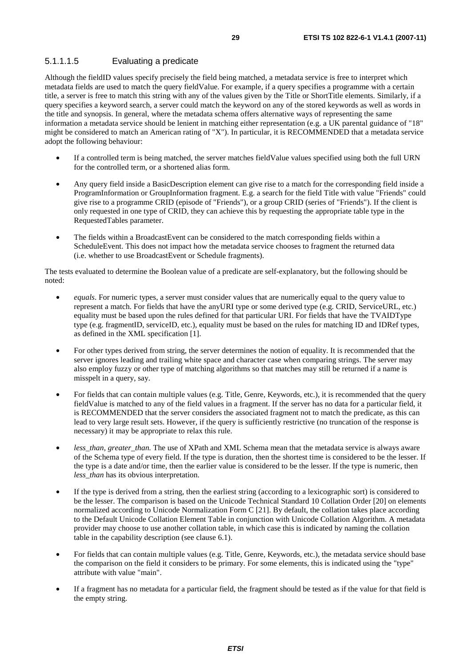### 5.1.1.1.5 Evaluating a predicate

Although the fieldID values specify precisely the field being matched, a metadata service is free to interpret which metadata fields are used to match the query fieldValue. For example, if a query specifies a programme with a certain title, a server is free to match this string with any of the values given by the Title or ShortTitle elements. Similarly, if a query specifies a keyword search, a server could match the keyword on any of the stored keywords as well as words in the title and synopsis. In general, where the metadata schema offers alternative ways of representing the same information a metadata service should be lenient in matching either representation (e.g. a UK parental guidance of "18" might be considered to match an American rating of "X"). In particular, it is RECOMMENDED that a metadata service adopt the following behaviour:

- If a controlled term is being matched, the server matches fieldValue values specified using both the full URN for the controlled term, or a shortened alias form.
- Any query field inside a BasicDescription element can give rise to a match for the corresponding field inside a ProgramInformation or GroupInformation fragment. E.g. a search for the field Title with value "Friends" could give rise to a programme CRID (episode of "Friends"), or a group CRID (series of "Friends"). If the client is only requested in one type of CRID, they can achieve this by requesting the appropriate table type in the RequestedTables parameter.
- The fields within a BroadcastEvent can be considered to the match corresponding fields within a ScheduleEvent. This does not impact how the metadata service chooses to fragment the returned data (i.e. whether to use BroadcastEvent or Schedule fragments).

The tests evaluated to determine the Boolean value of a predicate are self-explanatory, but the following should be noted:

- *equals*. For numeric types, a server must consider values that are numerically equal to the query value to represent a match. For fields that have the anyURI type or some derived type (e.g. CRID, ServiceURL, etc.) equality must be based upon the rules defined for that particular URI. For fields that have the TVAIDType type (e.g. fragmentID, serviceID, etc.), equality must be based on the rules for matching ID and IDRef types, as defined in the XML specification [1].
- For other types derived from string, the server determines the notion of equality. It is recommended that the server ignores leading and trailing white space and character case when comparing strings. The server may also employ fuzzy or other type of matching algorithms so that matches may still be returned if a name is misspelt in a query, say.
- For fields that can contain multiple values (e.g. Title, Genre, Keywords, etc.), it is recommended that the query fieldValue is matched to any of the field values in a fragment. If the server has no data for a particular field, it is RECOMMENDED that the server considers the associated fragment not to match the predicate, as this can lead to very large result sets. However, if the query is sufficiently restrictive (no truncation of the response is necessary) it may be appropriate to relax this rule.
- less than, greater than. The use of XPath and XML Schema mean that the metadata service is always aware of the Schema type of every field. If the type is duration, then the shortest time is considered to be the lesser. If the type is a date and/or time, then the earlier value is considered to be the lesser. If the type is numeric, then *less*\_*than* has its obvious interpretation.
- If the type is derived from a string, then the earliest string (according to a lexicographic sort) is considered to be the lesser. The comparison is based on the Unicode Technical Standard 10 Collation Order [20] on elements normalized according to Unicode Normalization Form C [21]. By default, the collation takes place according to the Default Unicode Collation Element Table in conjunction with Unicode Collation Algorithm. A metadata provider may choose to use another collation table, in which case this is indicated by naming the collation table in the capability description (see clause 6.1).
- For fields that can contain multiple values (e.g. Title, Genre, Keywords, etc.), the metadata service should base the comparison on the field it considers to be primary. For some elements, this is indicated using the "type" attribute with value "main".
- If a fragment has no metadata for a particular field, the fragment should be tested as if the value for that field is the empty string.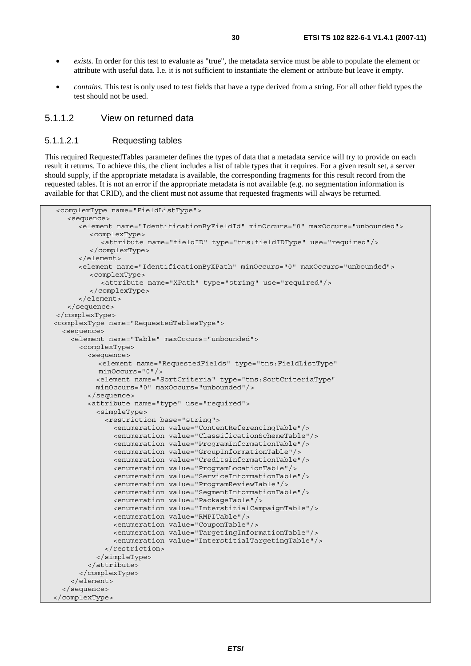- *exists.* In order for this test to evaluate as "true", the metadata service must be able to populate the element or attribute with useful data. I.e. it is not sufficient to instantiate the element or attribute but leave it empty.
- *contains*. This test is only used to test fields that have a type derived from a string. For all other field types the test should not be used.

### 5.1.1.2 View on returned data

#### 5.1.1.2.1 Requesting tables

This required RequestedTables parameter defines the types of data that a metadata service will try to provide on each result it returns. To achieve this, the client includes a list of table types that it requires. For a given result set, a server should supply, if the appropriate metadata is available, the corresponding fragments for this result record from the requested tables. It is not an error if the appropriate metadata is not available (e.g. no segmentation information is available for that CRID), and the client must not assume that requested fragments will always be returned.

```
<complexType name="FieldListType"> 
    <sequence> 
       <element name="IdentificationByFieldId" minOccurs="0" maxOccurs="unbounded"> 
          <complexType> 
            <attribute name="fieldID" type="tns:fieldIDType" use="required"/> 
          </complexType> 
       </element> 
       <element name="IdentificationByXPath" minOccurs="0" maxOccurs="unbounded"> 
          <complexType> 
            <attribute name="XPath" type="string" use="required"/> 
          </complexType> 
       </element> 
    </sequence> 
</complexType> 
 <complexType name="RequestedTablesType"> 
   <sequence> 
     <element name="Table" maxOccurs="unbounded"> 
       <complexType> 
         <sequence> 
            <element name="RequestedFields" type="tns:FieldListType" 
            minOccurs="0"/> 
           <element name="SortCriteria" type="tns:SortCriteriaType" 
           minOccurs="0" maxOccurs="unbounded"/> 
         </sequence> 
         <attribute name="type" use="required"> 
           <simpleType> 
             <restriction base="string"> 
                <enumeration value="ContentReferencingTable"/> 
                <enumeration value="ClassificationSchemeTable"/> 
                <enumeration value="ProgramInformationTable"/> 
                <enumeration value="GroupInformationTable"/> 
                <enumeration value="CreditsInformationTable"/> 
                <enumeration value="ProgramLocationTable"/> 
                <enumeration value="ServiceInformationTable"/> 
                <enumeration value="ProgramReviewTable"/> 
                <enumeration value="SegmentInformationTable"/> 
                <enumeration value="PackageTable"/> 
                <enumeration value="InterstitialCampaignTable"/> 
                <enumeration value="RMPITable"/> 
                <enumeration value="CouponTable"/> 
                <enumeration value="TargetingInformationTable"/> 
                <enumeration value="InterstitialTargetingTable"/> 
             </restriction> 
           </simpleType> 
         </attribute> 
       </complexType> 
     </element> 
   </sequence> 
 </complexType>
```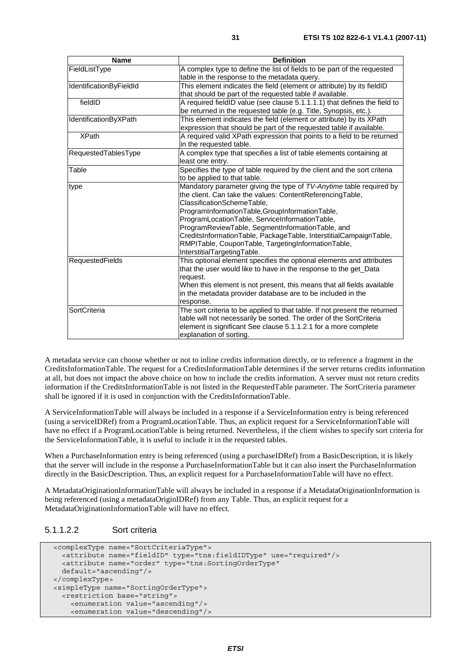| <b>Name</b>             | <b>Definition</b>                                                                                                                                              |
|-------------------------|----------------------------------------------------------------------------------------------------------------------------------------------------------------|
| FieldListType           | A complex type to define the list of fields to be part of the requested                                                                                        |
|                         | table in the response to the metadata query.                                                                                                                   |
| IdentificationByFieldId | This element indicates the field (element or attribute) by its fieldID                                                                                         |
|                         | that should be part of the requested table if available.                                                                                                       |
| fieldID                 | A required fieldID value (see clause 5.1.1.1.1) that defines the field to<br>be returned in the requested table (e.g. Title, Synopsis, etc.).                  |
| IdentificationByXPath   | This element indicates the field (element or attribute) by its XPath                                                                                           |
|                         | expression that should be part of the requested table if available.                                                                                            |
| <b>XPath</b>            | A required valid XPath expression that points to a field to be returned<br>in the requested table.                                                             |
| RequestedTablesType     | A complex type that specifies a list of table elements containing at                                                                                           |
|                         | least one entry.                                                                                                                                               |
| Table                   | Specifies the type of table required by the client and the sort criteria                                                                                       |
|                         | to be applied to that table.                                                                                                                                   |
| type                    | Mandatory parameter giving the type of TV-Anytime table required by<br>the client. Can take the values: ContentReferencingTable,<br>ClassificationSchemeTable, |
|                         | ProgramInformationTable,GroupInformationTable,                                                                                                                 |
|                         | ProgramLocationTable, ServiceInformationTable,                                                                                                                 |
|                         | ProgramReviewTable, SegmentInformationTable, and                                                                                                               |
|                         | CreditsInformationTable, PackageTable, InterstitialCampaignTable,                                                                                              |
|                         | RMPITable, CouponTable, TargetingInformationTable,                                                                                                             |
|                         | InterstitialTargetingTable.                                                                                                                                    |
| <b>RequestedFields</b>  | This optional element specifies the optional elements and attributes                                                                                           |
|                         | that the user would like to have in the response to the get_Data                                                                                               |
|                         | request.                                                                                                                                                       |
|                         | When this element is not present, this means that all fields available                                                                                         |
|                         | in the metadata provider database are to be included in the                                                                                                    |
|                         | response.                                                                                                                                                      |
| SortCriteria            | The sort criteria to be applied to that table. If not present the returned                                                                                     |
|                         | table will not necessarily be sorted. The order of the SortCriteria                                                                                            |
|                         | element is significant See clause 5.1.1.2.1 for a more complete                                                                                                |
|                         | explanation of sorting.                                                                                                                                        |

A metadata service can choose whether or not to inline credits information directly, or to reference a fragment in the CreditsInformationTable. The request for a CreditsInformationTable determines if the server returns credits information at all, but does not impact the above choice on how to include the credits information. A server must not return credits information if the CreditsInformationTable is not listed in the RequestedTable parameter. The SortCriteria parameter shall be ignored if it is used in conjunction with the CreditsInformationTable.

A ServiceInformationTable will always be included in a response if a ServiceInformation entry is being referenced (using a serviceIDRef) from a ProgramLocationTable. Thus, an explicit request for a ServiceInformationTable will have no effect if a ProgramLocationTable is being returned. Nevertheless, if the client wishes to specify sort criteria for the ServiceInformationTable, it is useful to include it in the requested tables.

When a PurchaseInformation entry is being referenced (using a purchaseIDRef) from a BasicDescription, it is likely that the server will include in the response a PurchaseInformationTable but it can also insert the PurchaseInformation directly in the BasicDescription. Thus, an explicit request for a PurchaseInformationTable will have no effect.

A MetadataOriginationInformationTable will always be included in a response if a MetadataOriginationInformation is being referenced (using a metadataOriginIDRef) from any Table. Thus, an explicit request for a MetadataOriginationInformationTable will have no effect.

## 5.1.1.2.2 Sort criteria

```
 <complexType name="SortCriteriaType"> 
   <attribute name="fieldID" type="tns:fieldIDType" use="required"/> 
   <attribute name="order" type="tns:SortingOrderType" 
  default="ascending"/> 
 </complexType> 
 <simpleType name="SortingOrderType"> 
   <restriction base="string"> 
     <enumeration value="ascending"/> 
     <enumeration value="descending"/>
```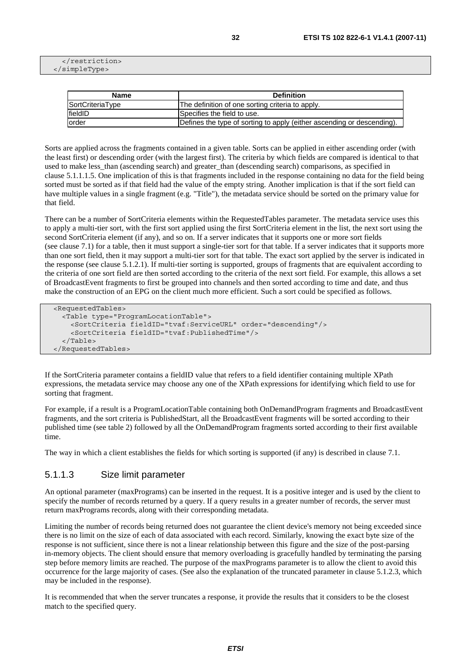```
 </restriction> 
 </simpleType>
```

| <b>Name</b>      | <b>Definition</b>                                                      |
|------------------|------------------------------------------------------------------------|
| SortCriteriaType | The definition of one sorting criteria to apply.                       |
| fieldID          | Specifies the field to use.                                            |
| lorder           | Defines the type of sorting to apply (either ascending or descending). |

Sorts are applied across the fragments contained in a given table. Sorts can be applied in either ascending order (with the least first) or descending order (with the largest first). The criteria by which fields are compared is identical to that used to make less than (ascending search) and greater than (descending search) comparisons, as specified in clause 5.1.1.1.5. One implication of this is that fragments included in the response containing no data for the field being sorted must be sorted as if that field had the value of the empty string. Another implication is that if the sort field can have multiple values in a single fragment (e.g. "Title"), the metadata service should be sorted on the primary value for that field.

There can be a number of SortCriteria elements within the RequestedTables parameter. The metadata service uses this to apply a multi-tier sort, with the first sort applied using the first SortCriteria element in the list, the next sort using the second SortCriteria element (if any), and so on. If a server indicates that it supports one or more sort fields (see clause 7.1) for a table, then it must support a single-tier sort for that table. If a server indicates that it supports more than one sort field, then it may support a multi-tier sort for that table. The exact sort applied by the server is indicated in the response (see clause 5.1.2.1). If multi-tier sorting is supported, groups of fragments that are equivalent according to the criteria of one sort field are then sorted according to the criteria of the next sort field. For example, this allows a set of BroadcastEvent fragments to first be grouped into channels and then sorted according to time and date, and thus make the construction of an EPG on the client much more efficient. Such a sort could be specified as follows.

```
 <RequestedTables> 
   <Table type="ProgramLocationTable"> 
     <SortCriteria fieldID="tvaf:ServiceURL" order="descending"/> 
     <SortCriteria fieldID="tvaf:PublishedTime"/> 
  \epsilon/Tables
 </RequestedTables>
```
If the SortCriteria parameter contains a fieldID value that refers to a field identifier containing multiple XPath expressions, the metadata service may choose any one of the XPath expressions for identifying which field to use for sorting that fragment.

For example, if a result is a ProgramLocationTable containing both OnDemandProgram fragments and BroadcastEvent fragments, and the sort criteria is PublishedStart, all the BroadcastEvent fragments will be sorted according to their published time (see table 2) followed by all the OnDemandProgram fragments sorted according to their first available time.

The way in which a client establishes the fields for which sorting is supported (if any) is described in clause 7.1.

#### 5.1.1.3 Size limit parameter

An optional parameter (maxPrograms) can be inserted in the request. It is a positive integer and is used by the client to specify the number of records returned by a query. If a query results in a greater number of records, the server must return maxPrograms records, along with their corresponding metadata.

Limiting the number of records being returned does not guarantee the client device's memory not being exceeded since there is no limit on the size of each of data associated with each record. Similarly, knowing the exact byte size of the response is not sufficient, since there is not a linear relationship between this figure and the size of the post-parsing in-memory objects. The client should ensure that memory overloading is gracefully handled by terminating the parsing step before memory limits are reached. The purpose of the maxPrograms parameter is to allow the client to avoid this occurrence for the large majority of cases. (See also the explanation of the truncated parameter in clause 5.1.2.3, which may be included in the response).

It is recommended that when the server truncates a response, it provide the results that it considers to be the closest match to the specified query.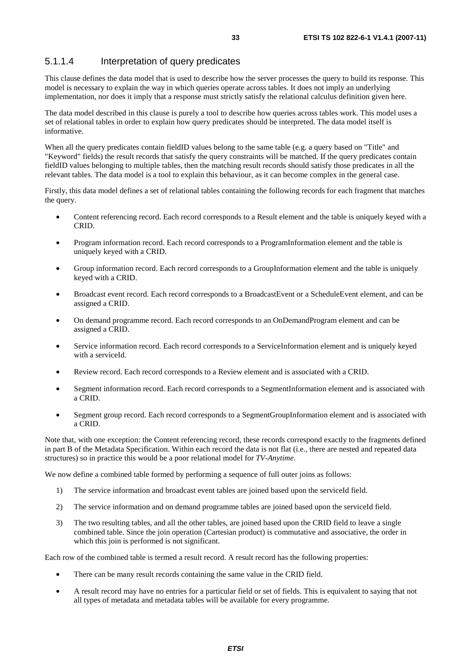## 5.1.1.4 Interpretation of query predicates

This clause defines the data model that is used to describe how the server processes the query to build its response. This model is necessary to explain the way in which queries operate across tables. It does not imply an underlying implementation, nor does it imply that a response must strictly satisfy the relational calculus definition given here.

The data model described in this clause is purely a tool to describe how queries across tables work. This model uses a set of relational tables in order to explain how query predicates should be interpreted. The data model itself is informative.

When all the query predicates contain fieldID values belong to the same table (e.g. a query based on "Title" and "Keyword" fields) the result records that satisfy the query constraints will be matched. If the query predicates contain fieldID values belonging to multiple tables, then the matching result records should satisfy those predicates in all the relevant tables. The data model is a tool to explain this behaviour, as it can become complex in the general case.

Firstly, this data model defines a set of relational tables containing the following records for each fragment that matches the query.

- Content referencing record. Each record corresponds to a Result element and the table is uniquely keyed with a CRID.
- Program information record. Each record corresponds to a ProgramInformation element and the table is uniquely keyed with a CRID.
- Group information record. Each record corresponds to a GroupInformation element and the table is uniquely keyed with a CRID.
- Broadcast event record. Each record corresponds to a BroadcastEvent or a ScheduleEvent element, and can be assigned a CRID.
- On demand programme record. Each record corresponds to an OnDemandProgram element and can be assigned a CRID.
- Service information record. Each record corresponds to a ServiceInformation element and is uniquely keyed with a serviceId.
- Review record. Each record corresponds to a Review element and is associated with a CRID.
- Segment information record. Each record corresponds to a SegmentInformation element and is associated with a CRID.
- Segment group record. Each record corresponds to a SegmentGroupInformation element and is associated with a CRID.

Note that, with one exception: the Content referencing record, these records correspond exactly to the fragments defined in part B of the Metadata Specification. Within each record the data is not flat (i.e., there are nested and repeated data structures) so in practice this would be a poor relational model for *TV-Anytime*.

We now define a combined table formed by performing a sequence of full outer joins as follows:

- 1) The service information and broadcast event tables are joined based upon the serviceId field.
- 2) The service information and on demand programme tables are joined based upon the serviceId field.
- 3) The two resulting tables, and all the other tables, are joined based upon the CRID field to leave a single combined table. Since the join operation (Cartesian product) is commutative and associative, the order in which this join is performed is not significant.

Each row of the combined table is termed a result record. A result record has the following properties:

- There can be many result records containing the same value in the CRID field.
- A result record may have no entries for a particular field or set of fields. This is equivalent to saying that not all types of metadata and metadata tables will be available for every programme.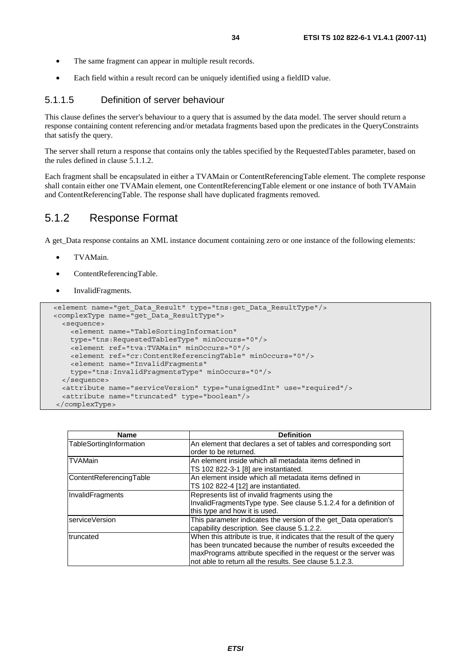- The same fragment can appear in multiple result records.
- Each field within a result record can be uniquely identified using a fieldID value.

### 5.1.1.5 Definition of server behaviour

This clause defines the server's behaviour to a query that is assumed by the data model. The server should return a response containing content referencing and/or metadata fragments based upon the predicates in the QueryConstraints that satisfy the query.

The server shall return a response that contains only the tables specified by the RequestedTables parameter, based on the rules defined in clause 5.1.1.2.

Each fragment shall be encapsulated in either a TVAMain or ContentReferencingTable element. The complete response shall contain either one TVAMain element, one ContentReferencingTable element or one instance of both TVAMain and ContentReferencingTable. The response shall have duplicated fragments removed.

## 5.1.2 Response Format

A get\_Data response contains an XML instance document containing zero or one instance of the following elements:

- TVAMain.
- ContentReferencingTable.
- InvalidFragments.

```
 <element name="get_Data_Result" type="tns:get_Data_ResultType"/> 
 <complexType name="get_Data_ResultType"> 
   <sequence> 
     <element name="TableSortingInformation" 
     type="tns:RequestedTablesType" minOccurs="0"/> 
     <element ref="tva:TVAMain" minOccurs="0"/> 
     <element ref="cr:ContentReferencingTable" minOccurs="0"/> 
     <element name="InvalidFragments" 
     type="tns:InvalidFragmentsType" minOccurs="0"/> 
  </sequence> 
  <attribute name="serviceVersion" type="unsignedInt" use="required"/> 
   <attribute name="truncated" type="boolean"/> 
 </complexType>
```

| <b>Name</b>             | <b>Definition</b>                                                                                                                                                                                                                                                      |
|-------------------------|------------------------------------------------------------------------------------------------------------------------------------------------------------------------------------------------------------------------------------------------------------------------|
| TableSortingInformation | An element that declares a set of tables and corresponding sort<br>order to be returned.                                                                                                                                                                               |
| <b>TVAMain</b>          | An element inside which all metadata items defined in<br>TS 102 822-3-1 [8] are instantiated.                                                                                                                                                                          |
| ContentReferencingTable | An element inside which all metadata items defined in<br>TS 102 822-4 [12] are instantiated.                                                                                                                                                                           |
| InvalidFragments        | Represents list of invalid fragments using the<br>InvalidFragmentsType type. See clause 5.1.2.4 for a definition of<br>this type and how it is used.                                                                                                                   |
| serviceVersion          | This parameter indicates the version of the get_Data operation's<br>capability description. See clause 5.1.2.2.                                                                                                                                                        |
| truncated               | When this attribute is true, it indicates that the result of the query<br>has been truncated because the number of results exceeded the<br>maxPrograms attribute specified in the request or the server was<br>not able to return all the results. See clause 5.1.2.3. |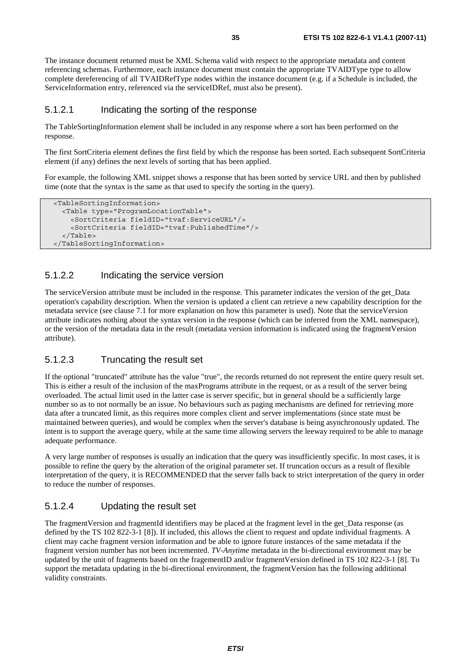The instance document returned must be XML Schema valid with respect to the appropriate metadata and content referencing schemas. Furthermore, each instance document must contain the appropriate TVAIDType type to allow complete dereferencing of all TVAIDRefType nodes within the instance document (e.g. if a Schedule is included, the ServiceInformation entry, referenced via the serviceIDRef, must also be present).

#### 5.1.2.1 Indicating the sorting of the response

The TableSortingInformation element shall be included in any response where a sort has been performed on the response.

The first SortCriteria element defines the first field by which the response has been sorted. Each subsequent SortCriteria element (if any) defines the next levels of sorting that has been applied.

For example, the following XML snippet shows a response that has been sorted by service URL and then by published time (note that the syntax is the same as that used to specify the sorting in the query).

```
 <TableSortingInformation> 
   <Table type="ProgramLocationTable"> 
     <SortCriteria fieldID="tvaf:ServiceURL"/> 
     <SortCriteria fieldID="tvaf:PublishedTime"/> 
   </Table> 
 </TableSortingInformation>
```
## 5.1.2.2 Indicating the service version

The serviceVersion attribute must be included in the response. This parameter indicates the version of the get\_Data operation's capability description. When the version is updated a client can retrieve a new capability description for the metadata service (see clause 7.1 for more explanation on how this parameter is used). Note that the serviceVersion attribute indicates nothing about the syntax version in the response (which can be inferred from the XML namespace), or the version of the metadata data in the result (metadata version information is indicated using the fragmentVersion attribute).

### 5.1.2.3 Truncating the result set

If the optional "truncated" attribute has the value "true", the records returned do not represent the entire query result set. This is either a result of the inclusion of the maxPrograms attribute in the request, or as a result of the server being overloaded. The actual limit used in the latter case is server specific, but in general should be a sufficiently large number so as to not normally be an issue. No behaviours such as paging mechanisms are defined for retrieving more data after a truncated limit, as this requires more complex client and server implementations (since state must be maintained between queries), and would be complex when the server's database is being asynchronously updated. The intent is to support the average query, while at the same time allowing servers the leeway required to be able to manage adequate performance.

A very large number of responses is usually an indication that the query was insufficiently specific. In most cases, it is possible to refine the query by the alteration of the original parameter set. If truncation occurs as a result of flexible interpretation of the query, it is RECOMMENDED that the server falls back to strict interpretation of the query in order to reduce the number of responses.

### 5.1.2.4 Updating the result set

The fragmentVersion and fragmentId identifiers may be placed at the fragment level in the get\_Data response (as defined by the TS 102 822-3-1 [8]). If included, this allows the client to request and update individual fragments. A client may cache fragment version information and be able to ignore future instances of the same metadata if the fragment version number has not been incremented. *TV-Anytime* metadata in the bi-directional environment may be updated by the unit of fragments based on the fragementID and/or fragmentVersion defined in TS 102 822-3-1 [8]. To support the metadata updating in the bi-directional environment, the fragmentVersion has the following additional validity constraints.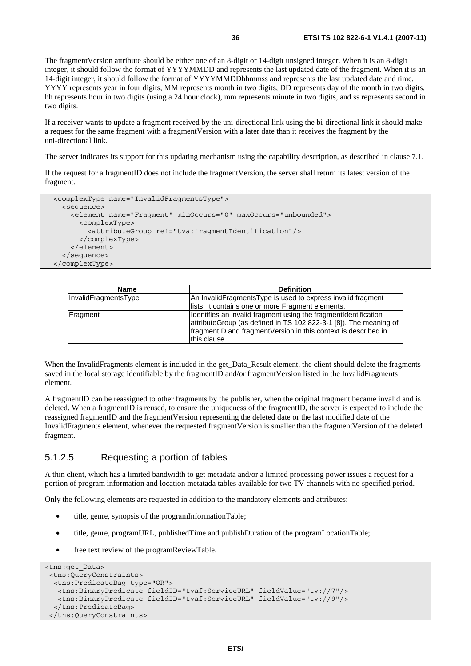The fragmentVersion attribute should be either one of an 8-digit or 14-digit unsigned integer. When it is an 8-digit integer, it should follow the format of YYYYMMDD and represents the last updated date of the fragment. When it is an 14-digit integer, it should follow the format of YYYYMMDDhhmmss and represents the last updated date and time. YYYY represents year in four digits, MM represents month in two digits, DD represents day of the month in two digits, hh represents hour in two digits (using a 24 hour clock), mm represents minute in two digits, and ss represents second in two digits.

If a receiver wants to update a fragment received by the uni-directional link using the bi-directional link it should make a request for the same fragment with a fragmentVersion with a later date than it receives the fragment by the uni-directional link.

The server indicates its support for this updating mechanism using the capability description, as described in clause 7.1.

If the request for a fragmentID does not include the fragmentVersion, the server shall return its latest version of the fragment.

```
 <complexType name="InvalidFragmentsType"> 
   <sequence> 
     <element name="Fragment" minOccurs="0" maxOccurs="unbounded"> 
       <complexType> 
         <attributeGroup ref="tva:fragmentIdentification"/> 
       </complexType> 
     </element> 
   </sequence> 
 </complexType>
```

| Name                 | <b>Definition</b>                                                                                                                                                                                                      |
|----------------------|------------------------------------------------------------------------------------------------------------------------------------------------------------------------------------------------------------------------|
| InvalidFragmentsType | An InvalidFragmentsType is used to express invalid fragment                                                                                                                                                            |
|                      | lists. It contains one or more Fragment elements.                                                                                                                                                                      |
| Fragment             | Identifies an invalid fragment using the fragment dentification<br>attributeGroup (as defined in TS 102 822-3-1 [8]). The meaning of<br>fragmentID and fragmentVersion in this context is described in<br>this clause. |

When the InvalidFragments element is included in the get\_Data\_Result element, the client should delete the fragments saved in the local storage identifiable by the fragmentID and/or fragmentVersion listed in the InvalidFragments element.

A fragmentID can be reassigned to other fragments by the publisher, when the original fragment became invalid and is deleted. When a fragmentID is reused, to ensure the uniqueness of the fragmentID, the server is expected to include the reassigned fragmentID and the fragmentVersion representing the deleted date or the last modified date of the InvalidFragments element, whenever the requested fragmentVersion is smaller than the fragmentVersion of the deleted fragment.

## 5.1.2.5 Requesting a portion of tables

A thin client, which has a limited bandwidth to get metadata and/or a limited processing power issues a request for a portion of program information and location metatada tables available for two TV channels with no specified period.

Only the following elements are requested in addition to the mandatory elements and attributes:

- title, genre, synopsis of the programInformationTable;
- title, genre, programURL, publishedTime and publishDuration of the programLocationTable;
- free text review of the programReviewTable.

```
<tns:get_Data> 
 <tns:QueryConstraints> 
  <tns:PredicateBag type="OR"> 
   <tns:BinaryPredicate fieldID="tvaf:ServiceURL" fieldValue="tv://7"/> 
   <tns:BinaryPredicate fieldID="tvaf:ServiceURL" fieldValue="tv://9"/> 
  </tns:PredicateBag> 
 </tns:QueryConstraints>
```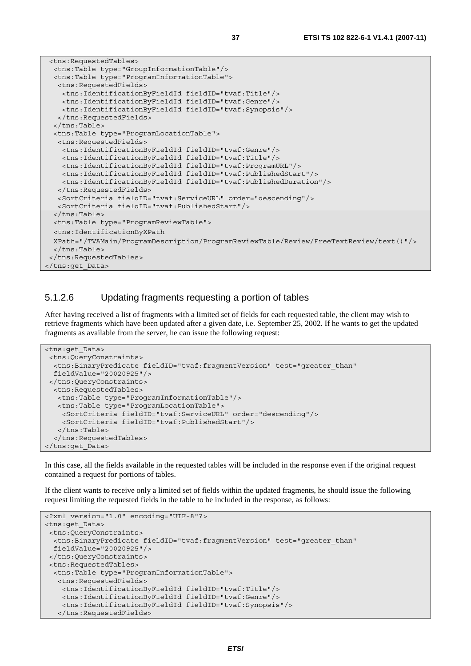```
 <tns:RequestedTables> 
  <tns:Table type="GroupInformationTable"/> 
  <tns:Table type="ProgramInformationTable"> 
   <tns:RequestedFields> 
    <tns:IdentificationByFieldId fieldID="tvaf:Title"/> 
     <tns:IdentificationByFieldId fieldID="tvaf:Genre"/> 
    <tns:IdentificationByFieldId fieldID="tvaf:Synopsis"/> 
   </tns:RequestedFields> 
  </tns:Table> 
  <tns:Table type="ProgramLocationTable"> 
   <tns:RequestedFields> 
     <tns:IdentificationByFieldId fieldID="tvaf:Genre"/> 
    <tns:IdentificationByFieldId fieldID="tvaf:Title"/> 
    <tns:IdentificationByFieldId fieldID="tvaf:ProgramURL"/> 
    <tns:IdentificationByFieldId fieldID="tvaf:PublishedStart"/> 
    <tns:IdentificationByFieldId fieldID="tvaf:PublishedDuration"/> 
   </tns:RequestedFields> 
   <SortCriteria fieldID="tvaf:ServiceURL" order="descending"/> 
   <SortCriteria fieldID="tvaf:PublishedStart"/> 
  </tns:Table> 
  <tns:Table type="ProgramReviewTable"> 
  <tns:IdentificationByXPath 
  XPath="/TVAMain/ProgramDescription/ProgramReviewTable/Review/FreeTextReview/text()"/> 
  </tns:Table> 
 </tns:RequestedTables> 
</tns:get_Data>
```
#### 5.1.2.6 Updating fragments requesting a portion of tables

After having received a list of fragments with a limited set of fields for each requested table, the client may wish to retrieve fragments which have been updated after a given date, i.e. September 25, 2002. If he wants to get the updated fragments as available from the server, he can issue the following request:

```
<tns:get_Data> 
 <tns:QueryConstraints> 
  <tns:BinaryPredicate fieldID="tvaf:fragmentVersion" test="greater_than" 
  fieldValue="20020925"/> 
 </tns:QueryConstraints> 
  <tns:RequestedTables> 
   <tns:Table type="ProgramInformationTable"/> 
   <tns:Table type="ProgramLocationTable"> 
     <SortCriteria fieldID="tvaf:ServiceURL" order="descending"/> 
     <SortCriteria fieldID="tvaf:PublishedStart"/> 
    </tns:Table> 
   </tns:RequestedTables> 
</tns:get_Data>
```
In this case, all the fields available in the requested tables will be included in the response even if the original request contained a request for portions of tables.

If the client wants to receive only a limited set of fields within the updated fragments, he should issue the following request limiting the requested fields in the table to be included in the response, as follows:

```
<?xml version="1.0" encoding="UTF-8"?> 
<tns:get_Data> 
  <tns:QueryConstraints> 
   <tns:BinaryPredicate fieldID="tvaf:fragmentVersion" test="greater_than" 
  fieldValue="20020925"/> 
  </tns:QueryConstraints> 
  <tns:RequestedTables> 
   <tns:Table type="ProgramInformationTable"> 
    <tns:RequestedFields> 
     <tns:IdentificationByFieldId fieldID="tvaf:Title"/> 
     <tns:IdentificationByFieldId fieldID="tvaf:Genre"/> 
     <tns:IdentificationByFieldId fieldID="tvaf:Synopsis"/> 
    </tns:RequestedFields>
```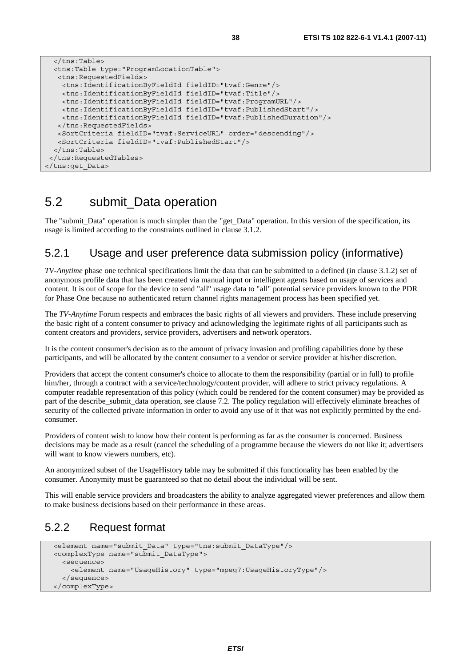```
 </tns:Table> 
 <tns:Table type="ProgramLocationTable"> 
 <tns:RequestedFields> 
   <tns:IdentificationByFieldId fieldID="tvaf:Genre"/> 
   <tns:IdentificationByFieldId fieldID="tvaf:Title"/> 
   <tns:IdentificationByFieldId fieldID="tvaf:ProgramURL"/> 
  <tns:IdentificationByFieldId fieldID="tvaf:PublishedStart"/> 
  <tns:IdentificationByFieldId fieldID="tvaf:PublishedDuration"/> 
  </tns:RequestedFields> 
  <SortCriteria fieldID="tvaf:ServiceURL" order="descending"/> 
  <SortCriteria fieldID="tvaf:PublishedStart"/> 
 </tns:Table>
```
#### </tns:RequestedTables>

```
</tns:get_Data>
```
### 5.2 submit\_Data operation

The "submit\_Data" operation is much simpler than the "get\_Data" operation. In this version of the specification, its usage is limited according to the constraints outlined in clause 3.1.2.

### 5.2.1 Usage and user preference data submission policy (informative)

*TV-Anytime* phase one technical specifications limit the data that can be submitted to a defined (in clause 3.1.2) set of anonymous profile data that has been created via manual input or intelligent agents based on usage of services and content. It is out of scope for the device to send "all" usage data to "all" potential service providers known to the PDR for Phase One because no authenticated return channel rights management process has been specified yet.

The *TV-Anytime* Forum respects and embraces the basic rights of all viewers and providers. These include preserving the basic right of a content consumer to privacy and acknowledging the legitimate rights of all participants such as content creators and providers, service providers, advertisers and network operators.

It is the content consumer's decision as to the amount of privacy invasion and profiling capabilities done by these participants, and will be allocated by the content consumer to a vendor or service provider at his/her discretion.

Providers that accept the content consumer's choice to allocate to them the responsibility (partial or in full) to profile him/her, through a contract with a service/technology/content provider, will adhere to strict privacy regulations. A computer readable representation of this policy (which could be rendered for the content consumer) may be provided as part of the describe\_submit\_data operation, see clause 7.2. The policy regulation will effectively eliminate breaches of security of the collected private information in order to avoid any use of it that was not explicitly permitted by the endconsumer.

Providers of content wish to know how their content is performing as far as the consumer is concerned. Business decisions may be made as a result (cancel the scheduling of a programme because the viewers do not like it; advertisers will want to know viewers numbers, etc).

An anonymized subset of the UsageHistory table may be submitted if this functionality has been enabled by the consumer. Anonymity must be guaranteed so that no detail about the individual will be sent.

This will enable service providers and broadcasters the ability to analyze aggregated viewer preferences and allow them to make business decisions based on their performance in these areas.

### 5.2.2 Request format

```
 <element name="submit_Data" type="tns:submit_DataType"/> 
 <complexType name="submit_DataType"> 
   <sequence> 
     <element name="UsageHistory" type="mpeg7:UsageHistoryType"/> 
   </sequence> 
 </complexType>
```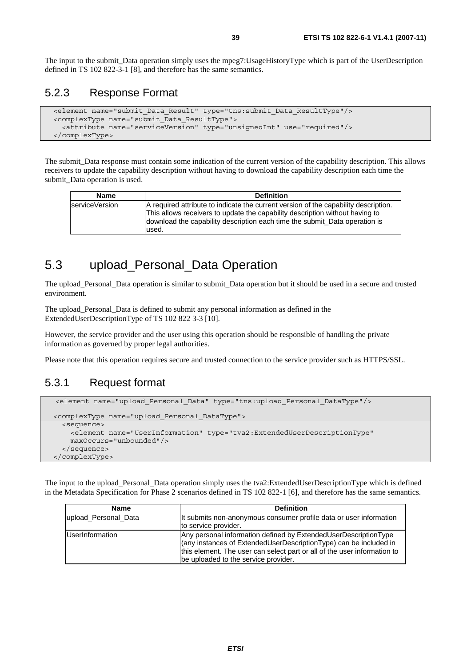The input to the submit\_Data operation simply uses the mpeg7:UsageHistoryType which is part of the UserDescription defined in TS 102 822-3-1 [8], and therefore has the same semantics.

### 5.2.3 Response Format

```
 <element name="submit_Data_Result" type="tns:submit_Data_ResultType"/> 
 <complexType name="submit_Data_ResultType"> 
   <attribute name="serviceVersion" type="unsignedInt" use="required"/> 
 </complexType>
```
The submit Data response must contain some indication of the current version of the capability description. This allows receivers to update the capability description without having to download the capability description each time the submit Data operation is used.

| <b>Name</b>    | <b>Definition</b>                                                                                                                                                                                                                                           |
|----------------|-------------------------------------------------------------------------------------------------------------------------------------------------------------------------------------------------------------------------------------------------------------|
| serviceVersion | A required attribute to indicate the current version of the capability description.<br>This allows receivers to update the capability description without having to<br>download the capability description each time the submit Data operation is<br>lused. |

## 5.3 upload\_Personal\_Data Operation

The upload\_Personal\_Data operation is similar to submit\_Data operation but it should be used in a secure and trusted environment.

The upload\_Personal\_Data is defined to submit any personal information as defined in the ExtendedUserDescriptionType of TS 102 822 3-3 [10].

However, the service provider and the user using this operation should be responsible of handling the private information as governed by proper legal authorities.

Please note that this operation requires secure and trusted connection to the service provider such as HTTPS/SSL.

#### 5.3.1 Request format

```
 <element name="upload_Personal_Data" type="tns:upload_Personal_DataType"/>
 <complexType name="upload_Personal_DataType"> 
   <sequence> 
     <element name="UserInformation" type="tva2:ExtendedUserDescriptionType" 
     maxOccurs="unbounded"/> 
   </sequence> 
 </complexType>
```
The input to the upload\_Personal\_Data operation simply uses the tva2:ExtendedUserDescriptionType which is defined in the Metadata Specification for Phase 2 scenarios defined in TS 102 822-1 [6], and therefore has the same semantics.

| <b>Name</b>          | <b>Definition</b>                                                        |
|----------------------|--------------------------------------------------------------------------|
| upload Personal Data | It submits non-anonymous consumer profile data or user information       |
|                      | to service provider.                                                     |
| UserInformation      | Any personal information defined by ExtendedUserDescriptionType          |
|                      | (any instances of ExtendedUserDescriptionType) can be included in        |
|                      | this element. The user can select part or all of the user information to |
|                      | be uploaded to the service provider.                                     |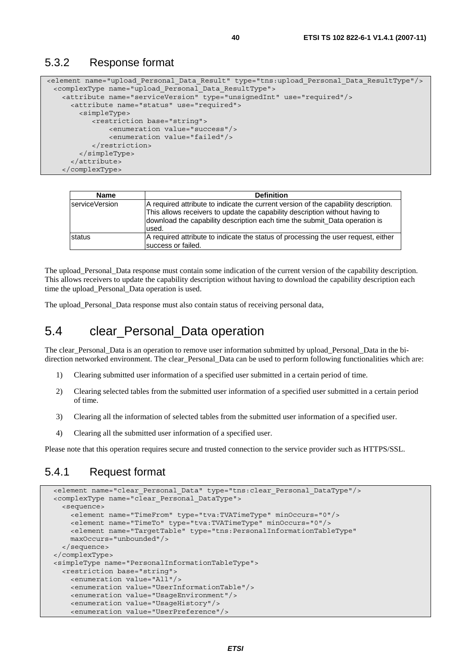#### 5.3.2 Response format

```
<element name="upload_Personal_Data_Result" type="tns:upload_Personal_Data_ResultType"/> 
  <complexType name="upload_Personal_Data_ResultType"> 
    <attribute name="serviceVersion" type="unsignedInt" use="required"/> 
      <attribute name="status" use="required"> 
        <simpleType> 
            <restriction base="string"> 
                <enumeration value="success"/> 
                <enumeration value="failed"/> 
            </restriction> 
         </simpleType> 
      </attribute> 
    </complexType>
```

| <b>Name</b>     | <b>Definition</b>                                                                                                                                                                                                                                          |
|-----------------|------------------------------------------------------------------------------------------------------------------------------------------------------------------------------------------------------------------------------------------------------------|
| IserviceVersion | A required attribute to indicate the current version of the capability description.<br>This allows receivers to update the capability description without having to<br>download the capability description each time the submit_Data operation is<br>used. |
| status          | A required attribute to indicate the status of processing the user request, either<br>success or failed.                                                                                                                                                   |

The upload\_Personal\_Data response must contain some indication of the current version of the capability description. This allows receivers to update the capability description without having to download the capability description each time the upload\_Personal\_Data operation is used.

The upload\_Personal\_Data response must also contain status of receiving personal data,

### 5.4 clear\_Personal\_Data operation

The clear Personal Data is an operation to remove user information submitted by upload Personal Data in the bidirection networked environment. The clear\_Personal\_Data can be used to perform following functionalities which are:

- 1) Clearing submitted user information of a specified user submitted in a certain period of time.
- 2) Clearing selected tables from the submitted user information of a specified user submitted in a certain period of time.
- 3) Clearing all the information of selected tables from the submitted user information of a specified user.
- 4) Clearing all the submitted user information of a specified user.

Please note that this operation requires secure and trusted connection to the service provider such as HTTPS/SSL.

#### 5.4.1 Request format

```
 <element name="clear_Personal_Data" type="tns:clear_Personal_DataType"/> 
 <complexType name="clear_Personal_DataType"> 
   <sequence> 
     <element name="TimeFrom" type="tva:TVATimeType" minOccurs="0"/> 
     <element name="TimeTo" type="tva:TVATimeType" minOccurs="0"/> 
     <element name="TargetTable" type="tns:PersonalInformationTableType" 
     maxOccurs="unbounded"/> 
   </sequence> 
 </complexType> 
 <simpleType name="PersonalInformationTableType"> 
   <restriction base="string"> 
     <enumeration value="All"/> 
     <enumeration value="UserInformationTable"/> 
     <enumeration value="UsageEnvironment"/> 
     <enumeration value="UsageHistory"/> 
     <enumeration value="UserPreference"/>
```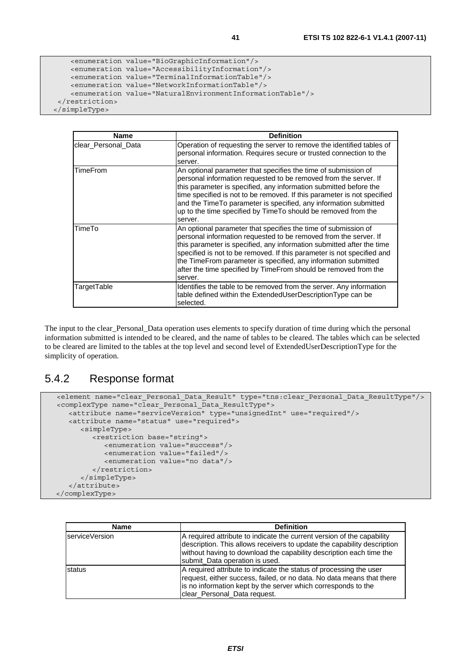```
 <enumeration value="BioGraphicInformation"/> 
     <enumeration value="AccessibilityInformation"/> 
     <enumeration value="TerminalInformationTable"/> 
     <enumeration value="NetworkInformationTable"/> 
     <enumeration value="NaturalEnvironmentInformationTable"/> 
  </restriction> 
 </simpleType>
```

| <b>Name</b>         | <b>Definition</b>                                                                                                                                                                                                                                                                                                                                                                                                                     |
|---------------------|---------------------------------------------------------------------------------------------------------------------------------------------------------------------------------------------------------------------------------------------------------------------------------------------------------------------------------------------------------------------------------------------------------------------------------------|
|                     |                                                                                                                                                                                                                                                                                                                                                                                                                                       |
| clear_Personal_Data | Operation of requesting the server to remove the identified tables of<br>personal information. Requires secure or trusted connection to the<br>server.                                                                                                                                                                                                                                                                                |
| <b>TimeFrom</b>     | An optional parameter that specifies the time of submission of<br>personal information requested to be removed from the server. If<br>this parameter is specified, any information submitted before the<br>time specified is not to be removed. If this parameter is not specified<br>and the Time To parameter is specified, any information submitted<br>up to the time specified by Time To should be removed from the<br>server.  |
| TimeTo              | An optional parameter that specifies the time of submission of<br>personal information requested to be removed from the server. If<br>this parameter is specified, any information submitted after the time<br>specified is not to be removed. If this parameter is not specified and<br>the TimeFrom parameter is specified, any information submitted<br>after the time specified by TimeFrom should be removed from the<br>server. |
| TargetTable         | Identifies the table to be removed from the server. Any information<br>table defined within the ExtendedUserDescriptionType can be<br>selected.                                                                                                                                                                                                                                                                                       |

The input to the clear Personal Data operation uses elements to specify duration of time during which the personal information submitted is intended to be cleared, and the name of tables to be cleared. The tables which can be selected to be cleared are limited to the tables at the top level and second level of ExtendedUserDescriptionType for the simplicity of operation.

### 5.4.2 Response format

```
 <element name="clear_Personal_Data_Result" type="tns:clear_Personal_Data_ResultType"/> 
 <complexType name="clear_Personal_Data_ResultType"> 
    <attribute name="serviceVersion" type="unsignedInt" use="required"/> 
    <attribute name="status" use="required"> 
      <simpleType> 
          <restriction base="string"> 
            <enumeration value="success"/> 
            <enumeration value="failed"/> 
             <enumeration value="no data"/> 
         </restriction> 
      </simpleType> 
    </attribute> 
 </complexType>
```

| <b>Name</b>    | <b>Definition</b>                                                                                                                                                                                                                                          |
|----------------|------------------------------------------------------------------------------------------------------------------------------------------------------------------------------------------------------------------------------------------------------------|
| serviceVersion | A required attribute to indicate the current version of the capability<br>description. This allows receivers to update the capability description<br>without having to download the capability description each time the<br>submit_Data operation is used. |
| <b>Istatus</b> | A required attribute to indicate the status of processing the user<br>request, either success, failed, or no data. No data means that there<br>is no information kept by the server which corresponds to the<br>clear_Personal_Data request.               |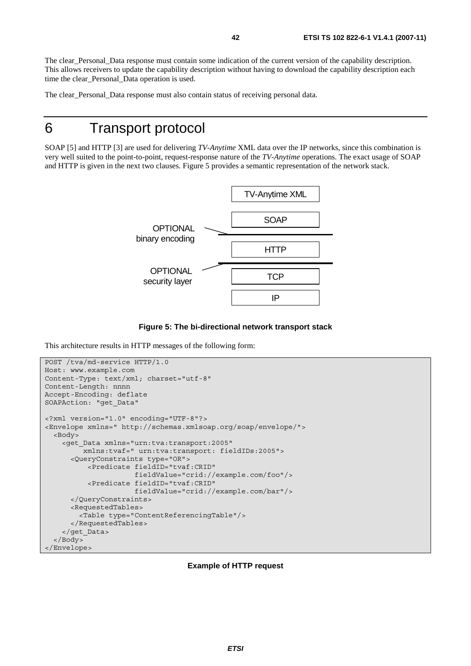The clear Personal Data response must contain some indication of the current version of the capability description. This allows receivers to update the capability description without having to download the capability description each time the clear\_Personal\_Data operation is used.

The clear\_Personal\_Data response must also contain status of receiving personal data.

# 6 Transport protocol

SOAP [5] and HTTP [3] are used for delivering *TV-Anytime* XML data over the IP networks, since this combination is very well suited to the point-to-point, request-response nature of the *TV-Anytime* operations. The exact usage of SOAP and HTTP is given in the next two clauses. Figure 5 provides a semantic representation of the network stack.





This architecture results in HTTP messages of the following form:

```
POST /tva/md-service HTTP/1.0 
Host: www.example.com 
Content-Type: text/xml; charset="utf-8" 
Content-Length: nnnn 
Accept-Encoding: deflate 
SOAPAction: "get_Data" 
<?xml version="1.0" encoding="UTF-8"?> 
<Envelope xmlns=" http://schemas.xmlsoap.org/soap/envelope/"> 
   <Body> 
     <get_Data xmlns="urn:tva:transport:2005" 
          xmlns:tvaf=" urn:tva:transport: fieldIDs:2005"> 
       <QueryConstraints type="OR"> 
            <Predicate fieldID="tvaf:CRID" 
                        fieldValue="crid://example.com/foo"/> 
            <Predicate fieldID="tvaf:CRID" 
                       fieldValue="crid://example.com/bar"/> 
       </QueryConstraints> 
       <RequestedTables> 
         <Table type="ContentReferencingTable"/> 
       </RequestedTables> 
     </get_Data> 
   </Body> 
</Envelope>
```
#### **Example of HTTP request**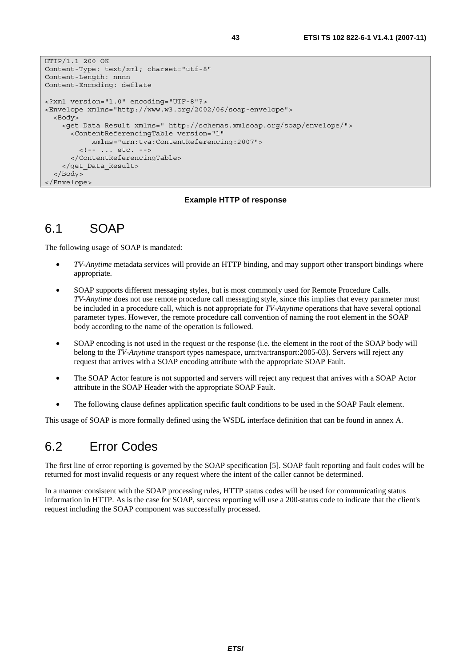```
HTTP/1.1 200 OK 
Content-Type: text/xml; charset="utf-8" 
Content-Length: nnnn 
Content-Encoding: deflate 
<?xml version="1.0" encoding="UTF-8"?> 
<Envelope xmlns="http://www.w3.org/2002/06/soap-envelope"> 
   <Body> 
     <get_Data_Result xmlns=" http://schemas.xmlsoap.org/soap/envelope/"> 
       <ContentReferencingTable version="1" 
            xmlns="urn:tva:ContentReferencing:2007"> 
         <!-- ... etc. --> 
       </ContentReferencingTable> 
     </get_Data_Result> 
   </Body> 
</Envelope>
```
#### **Example HTTP of response**

### 6.1 SOAP

The following usage of SOAP is mandated:

- *TV-Anytime* metadata services will provide an HTTP binding, and may support other transport bindings where appropriate.
- SOAP supports different messaging styles, but is most commonly used for Remote Procedure Calls. *TV-Anytime* does not use remote procedure call messaging style, since this implies that every parameter must be included in a procedure call, which is not appropriate for *TV-Anytime* operations that have several optional parameter types. However, the remote procedure call convention of naming the root element in the SOAP body according to the name of the operation is followed.
- SOAP encoding is not used in the request or the response (i.e. the element in the root of the SOAP body will belong to the *TV-Anytime* transport types namespace, urn:tva:transport:2005-03). Servers will reject any request that arrives with a SOAP encoding attribute with the appropriate SOAP Fault.
- The SOAP Actor feature is not supported and servers will reject any request that arrives with a SOAP Actor attribute in the SOAP Header with the appropriate SOAP Fault.
- The following clause defines application specific fault conditions to be used in the SOAP Fault element.

This usage of SOAP is more formally defined using the WSDL interface definition that can be found in annex A.

### 6.2 Error Codes

The first line of error reporting is governed by the SOAP specification [5]. SOAP fault reporting and fault codes will be returned for most invalid requests or any request where the intent of the caller cannot be determined.

In a manner consistent with the SOAP processing rules, HTTP status codes will be used for communicating status information in HTTP. As is the case for SOAP, success reporting will use a 200-status code to indicate that the client's request including the SOAP component was successfully processed.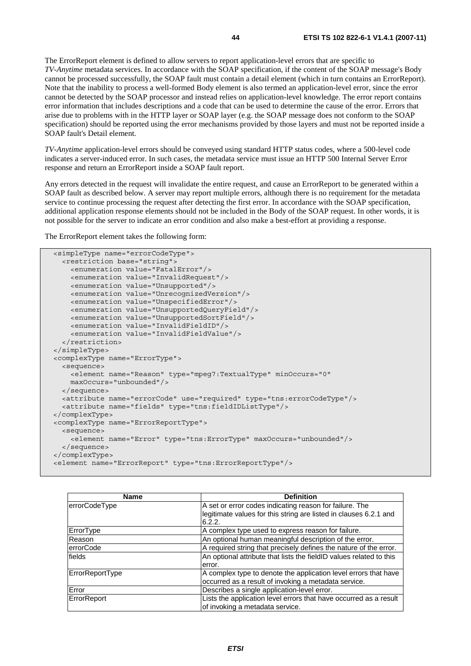The ErrorReport element is defined to allow servers to report application-level errors that are specific to *TV-Anytime* metadata services. In accordance with the SOAP specification, if the content of the SOAP message's Body cannot be processed successfully, the SOAP fault must contain a detail element (which in turn contains an ErrorReport). Note that the inability to process a well-formed Body element is also termed an application-level error, since the error cannot be detected by the SOAP processor and instead relies on application-level knowledge. The error report contains error information that includes descriptions and a code that can be used to determine the cause of the error. Errors that arise due to problems with in the HTTP layer or SOAP layer (e.g. the SOAP message does not conform to the SOAP specification) should be reported using the error mechanisms provided by those layers and must not be reported inside a SOAP fault's Detail element.

*TV-Anytime* application-level errors should be conveyed using standard HTTP status codes, where a 500-level code indicates a server-induced error. In such cases, the metadata service must issue an HTTP 500 Internal Server Error response and return an ErrorReport inside a SOAP fault report.

Any errors detected in the request will invalidate the entire request, and cause an ErrorReport to be generated within a SOAP fault as described below. A server may report multiple errors, although there is no requirement for the metadata service to continue processing the request after detecting the first error. In accordance with the SOAP specification, additional application response elements should not be included in the Body of the SOAP request. In other words, it is not possible for the server to indicate an error condition and also make a best-effort at providing a response.

The ErrorReport element takes the following form:

```
 <simpleType name="errorCodeType"> 
   <restriction base="string"> 
     <enumeration value="FatalError"/> 
     <enumeration value="InvalidRequest"/> 
     <enumeration value="Unsupported"/> 
     <enumeration value="UnrecognizedVersion"/> 
     <enumeration value="UnspecifiedError"/> 
     <enumeration value="UnsupportedQueryField"/> 
     <enumeration value="UnsupportedSortField"/> 
     <enumeration value="InvalidFieldID"/> 
     <enumeration value="InvalidFieldValue"/> 
   </restriction> 
 </simpleType> 
 <complexType name="ErrorType"> 
   <sequence> 
     <element name="Reason" type="mpeg7:TextualType" minOccurs="0" 
     maxOccurs="unbounded"/> 
   </sequence> 
   <attribute name="errorCode" use="required" type="tns:errorCodeType"/> 
   <attribute name="fields" type="tns:fieldIDListType"/> 
</complexType> 
 <complexType name="ErrorReportType"> 
   <sequence> 
     <element name="Error" type="tns:ErrorType" maxOccurs="unbounded"/> 
   </sequence> 
 </complexType> 
 <element name="ErrorReport" type="tns:ErrorReportType"/>
```

| <b>Name</b>      | <b>Definition</b>                                                           |
|------------------|-----------------------------------------------------------------------------|
| errorCodeType    | A set or error codes indicating reason for failure. The                     |
|                  | legitimate values for this string are listed in clauses 6.2.1 and<br>6.2.2. |
| ErrorType        | A complex type used to express reason for failure.                          |
| Reason           | An optional human meaningful description of the error.                      |
| <b>errorCode</b> | A required string that precisely defines the nature of the error.           |
| fields           | An optional attribute that lists the fieldID values related to this         |
|                  | error.                                                                      |
| ErrorReportType  | A complex type to denote the application level errors that have             |
|                  | occurred as a result of invoking a metadata service.                        |
| Error            | Describes a single application-level error.                                 |
| ErrorReport      | Lists the application level errors that have occurred as a result           |
|                  | of invoking a metadata service.                                             |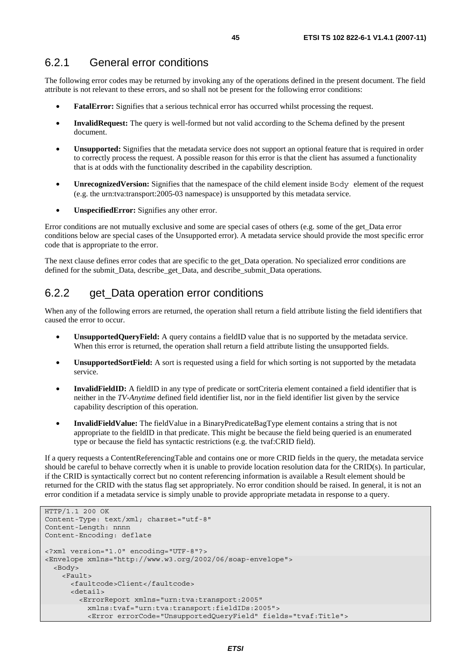### 6.2.1 General error conditions

The following error codes may be returned by invoking any of the operations defined in the present document. The field attribute is not relevant to these errors, and so shall not be present for the following error conditions:

- **FatalError:** Signifies that a serious technical error has occurred whilst processing the request.
- **InvalidRequest:** The query is well-formed but not valid according to the Schema defined by the present document.
- **Unsupported:** Signifies that the metadata service does not support an optional feature that is required in order to correctly process the request. A possible reason for this error is that the client has assumed a functionality that is at odds with the functionality described in the capability description.
- **UnrecognizedVersion:** Signifies that the namespace of the child element inside Body element of the request (e.g. the urn:tva:transport:2005-03 namespace) is unsupported by this metadata service.
- **UnspecifiedError:** Signifies any other error.

Error conditions are not mutually exclusive and some are special cases of others (e.g. some of the get\_Data error conditions below are special cases of the Unsupported error). A metadata service should provide the most specific error code that is appropriate to the error.

The next clause defines error codes that are specific to the get\_Data operation. No specialized error conditions are defined for the submit\_Data, describe\_get\_Data, and describe\_submit\_Data operations.

### 6.2.2 get\_Data operation error conditions

When any of the following errors are returned, the operation shall return a field attribute listing the field identifiers that caused the error to occur.

- **UnsupportedQueryField:** A query contains a fieldID value that is no supported by the metadata service. When this error is returned, the operation shall return a field attribute listing the unsupported fields.
- **UnsupportedSortField:** A sort is requested using a field for which sorting is not supported by the metadata service.
- **InvalidFieldID:** A fieldID in any type of predicate or sortCriteria element contained a field identifier that is neither in the *TV-Anytime* defined field identifier list, nor in the field identifier list given by the service capability description of this operation.
- **InvalidFieldValue:** The fieldValue in a BinaryPredicateBagType element contains a string that is not appropriate to the fieldID in that predicate. This might be because the field being queried is an enumerated type or because the field has syntactic restrictions (e.g. the tvaf:CRID field).

If a query requests a ContentReferencingTable and contains one or more CRID fields in the query, the metadata service should be careful to behave correctly when it is unable to provide location resolution data for the CRID(s). In particular, if the CRID is syntactically correct but no content referencing information is available a Result element should be returned for the CRID with the status flag set appropriately. No error condition should be raised. In general, it is not an error condition if a metadata service is simply unable to provide appropriate metadata in response to a query.

```
HTTP/1.1 200 OK 
Content-Type: text/xml; charset="utf-8" 
Content-Length: nnnn 
Content-Encoding: deflate 
<?xml version="1.0" encoding="UTF-8"?> 
<Envelope xmlns="http://www.w3.org/2002/06/soap-envelope"> 
   <Body> 
     <Fault> 
       <faultcode>Client</faultcode> 
       <detail> 
         <ErrorReport xmlns="urn:tva:transport:2005" 
           xmlns:tvaf="urn:tva:transport:fieldIDs:2005"> 
           <Error errorCode="UnsupportedQueryField" fields="tvaf:Title">
```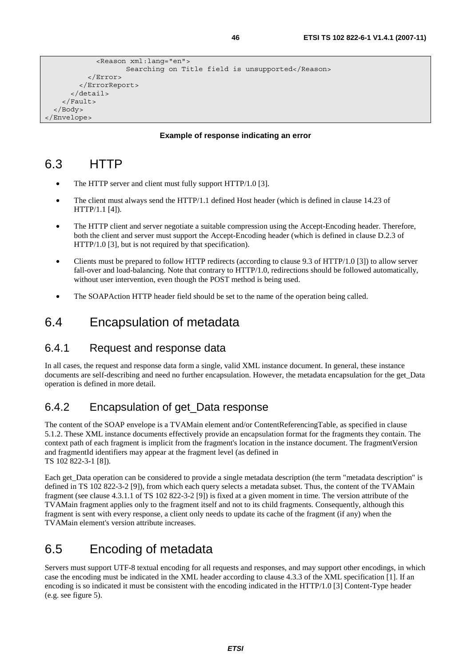```
 <Reason xml:lang="en"> 
                     Searching on Title field is unsupported</Reason>
            </Error> 
          </ErrorReport> 
       </detail> 
     </Fault> 
   </Body> 
</Envelope>
```
#### **Example of response indicating an error**

## 6.3 HTTP

- The HTTP server and client must fully support HTTP/1.0 [3].
- The client must always send the HTTP/1.1 defined Host header (which is defined in clause 14.23 of HTTP/1.1 [4]).
- The HTTP client and server negotiate a suitable compression using the Accept-Encoding header. Therefore, both the client and server must support the Accept-Encoding header (which is defined in clause D.2.3 of HTTP/1.0 [3], but is not required by that specification).
- Clients must be prepared to follow HTTP redirects (according to clause 9.3 of HTTP/1.0 [3]) to allow server fall-over and load-balancing. Note that contrary to HTTP/1.0, redirections should be followed automatically, without user intervention, even though the POST method is being used.
- The SOAPAction HTTP header field should be set to the name of the operation being called.

## 6.4 Encapsulation of metadata

#### 6.4.1 Request and response data

In all cases, the request and response data form a single, valid XML instance document. In general, these instance documents are self-describing and need no further encapsulation. However, the metadata encapsulation for the get\_Data operation is defined in more detail.

### 6.4.2 Encapsulation of get\_Data response

The content of the SOAP envelope is a TVAMain element and/or ContentReferencingTable, as specified in clause 5.1.2. These XML instance documents effectively provide an encapsulation format for the fragments they contain. The context path of each fragment is implicit from the fragment's location in the instance document. The fragmentVersion and fragmentId identifiers may appear at the fragment level (as defined in TS 102 822-3-1 [8]).

Each get Data operation can be considered to provide a single metadata description (the term "metadata description" is defined in TS 102 822-3-2 [9]), from which each query selects a metadata subset. Thus, the content of the TVAMain fragment (see clause 4.3.1.1 of TS 102 822-3-2 [9]) is fixed at a given moment in time. The version attribute of the TVAMain fragment applies only to the fragment itself and not to its child fragments. Consequently, although this fragment is sent with every response, a client only needs to update its cache of the fragment (if any) when the TVAMain element's version attribute increases.

# 6.5 Encoding of metadata

Servers must support UTF-8 textual encoding for all requests and responses, and may support other encodings, in which case the encoding must be indicated in the XML header according to clause 4.3.3 of the XML specification [1]. If an encoding is so indicated it must be consistent with the encoding indicated in the HTTP/1.0 [3] Content-Type header (e.g. see figure 5).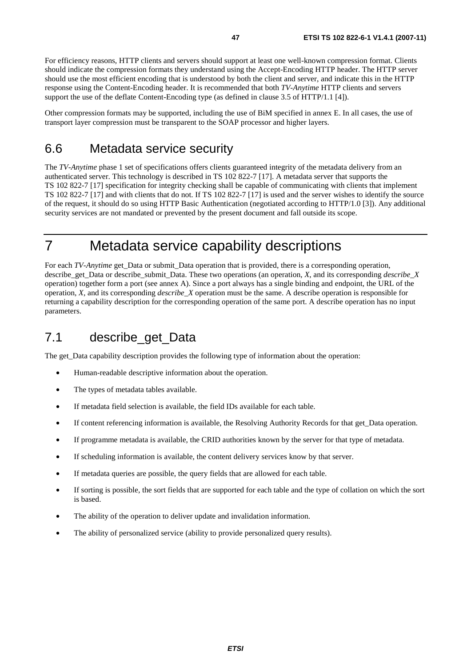For efficiency reasons, HTTP clients and servers should support at least one well-known compression format. Clients should indicate the compression formats they understand using the Accept-Encoding HTTP header. The HTTP server should use the most efficient encoding that is understood by both the client and server, and indicate this in the HTTP response using the Content-Encoding header. It is recommended that both *TV-Anytime* HTTP clients and servers support the use of the deflate Content-Encoding type (as defined in clause 3.5 of HTTP/1.1 [4]).

Other compression formats may be supported, including the use of BiM specified in annex E. In all cases, the use of transport layer compression must be transparent to the SOAP processor and higher layers.

# 6.6 Metadata service security

The *TV-Anytime* phase 1 set of specifications offers clients guaranteed integrity of the metadata delivery from an authenticated server. This technology is described in TS 102 822-7 [17]. A metadata server that supports the TS 102 822-7 [17] specification for integrity checking shall be capable of communicating with clients that implement TS 102 822-7 [17] and with clients that do not. If TS 102 822-7 [17] is used and the server wishes to identify the source of the request, it should do so using HTTP Basic Authentication (negotiated according to HTTP/1.0 [3]). Any additional security services are not mandated or prevented by the present document and fall outside its scope.

# 7 Metadata service capability descriptions

For each *TV-Anytime* get Data or submit Data operation that is provided, there is a corresponding operation, describe\_get\_Data or describe\_submit\_Data. These two operations (an operation, *X*, and its corresponding *describe*\_*X* operation) together form a port (see annex A). Since a port always has a single binding and endpoint, the URL of the operation, *X*, and its corresponding *describe\_X* operation must be the same. A describe operation is responsible for returning a capability description for the corresponding operation of the same port. A describe operation has no input parameters.

# 7.1 describe\_get\_Data

The get\_Data capability description provides the following type of information about the operation:

- Human-readable descriptive information about the operation.
- The types of metadata tables available.
- If metadata field selection is available, the field IDs available for each table.
- If content referencing information is available, the Resolving Authority Records for that get\_Data operation.
- If programme metadata is available, the CRID authorities known by the server for that type of metadata.
- If scheduling information is available, the content delivery services know by that server.
- If metadata queries are possible, the query fields that are allowed for each table.
- If sorting is possible, the sort fields that are supported for each table and the type of collation on which the sort is based.
- The ability of the operation to deliver update and invalidation information.
- The ability of personalized service (ability to provide personalized query results).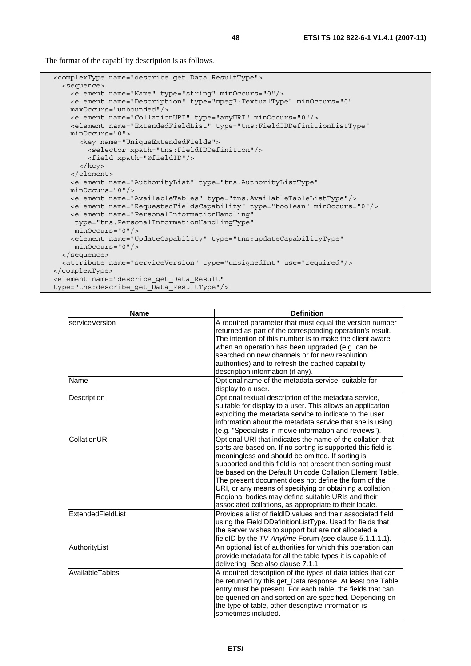The format of the capability description is as follows.

```
 <complexType name="describe_get_Data_ResultType"> 
   <sequence> 
    <element name="Name" type="string" minOccurs="0"/> 
     <element name="Description" type="mpeg7:TextualType" minOccurs="0" 
    maxOccurs="unbounded"/> 
    <element name="CollationURI" type="anyURI" minOccurs="0"/> 
     <element name="ExtendedFieldList" type="tns:FieldIDDefinitionListType" 
    minOccurs="0"> 
       <key name="UniqueExtendedFields"> 
         <selector xpath="tns:FieldIDDefinition"/> 
         <field xpath="@fieldID"/> 
       </key> 
     </element> 
     <element name="AuthorityList" type="tns:AuthorityListType" 
    minOccurs="0"/> 
    <element name="AvailableTables" type="tns:AvailableTableListType"/> 
    <element name="RequestedFieldsCapability" type="boolean" minOccurs="0"/> 
    <element name="PersonalInformationHandling" 
     type="tns:PersonalInformationHandlingType" 
      minOccurs="0"/> 
     <element name="UpdateCapability" type="tns:updateCapabilityType" 
     minOccurs="0"/> 
   </sequence> 
   <attribute name="serviceVersion" type="unsignedInt" use="required"/> 
</complexType> 
 <element name="describe_get_Data_Result" 
 type="tns:describe_get_Data_ResultType"/>
```

| <b>Name</b>       | <b>Definition</b>                                                                                                                                                                                                                                                                                                                                                                                                                                                                                                                            |
|-------------------|----------------------------------------------------------------------------------------------------------------------------------------------------------------------------------------------------------------------------------------------------------------------------------------------------------------------------------------------------------------------------------------------------------------------------------------------------------------------------------------------------------------------------------------------|
| serviceVersion    | A required parameter that must equal the version number<br>returned as part of the corresponding operation's result.<br>The intention of this number is to make the client aware<br>when an operation has been upgraded (e.g. can be<br>searched on new channels or for new resolution<br>authorities) and to refresh the cached capability<br>description information (if any).                                                                                                                                                             |
| Name              | Optional name of the metadata service, suitable for<br>display to a user.                                                                                                                                                                                                                                                                                                                                                                                                                                                                    |
| Description       | Optional textual description of the metadata service,<br>suitable for display to a user. This allows an application<br>exploiting the metadata service to indicate to the user<br>information about the metadata service that she is using<br>(e.g. "Specialists in movie information and reviews").                                                                                                                                                                                                                                         |
| CollationURI      | Optional URI that indicates the name of the collation that<br>sorts are based on. If no sorting is supported this field is<br>meaningless and should be omitted. If sorting is<br>supported and this field is not present then sorting must<br>be based on the Default Unicode Collation Element Table.<br>The present document does not define the form of the<br>URI, or any means of specifying or obtaining a collation.<br>Regional bodies may define suitable URIs and their<br>associated collations, as appropriate to their locale. |
| ExtendedFieldList | Provides a list of fieldID values and their associated field<br>using the FieldIDDefinitionListType. Used for fields that<br>the server wishes to support but are not allocated a<br>fieldID by the TV-Anytime Forum (see clause 5.1.1.1.1).                                                                                                                                                                                                                                                                                                 |
| AuthorityList     | An optional list of authorities for which this operation can<br>provide metadata for all the table types it is capable of<br>delivering. See also clause 7.1.1.                                                                                                                                                                                                                                                                                                                                                                              |
| AvailableTables   | A required description of the types of data tables that can<br>be returned by this get_Data response. At least one Table<br>entry must be present. For each table, the fields that can<br>be queried on and sorted on are specified. Depending on<br>the type of table, other descriptive information is<br>sometimes included.                                                                                                                                                                                                              |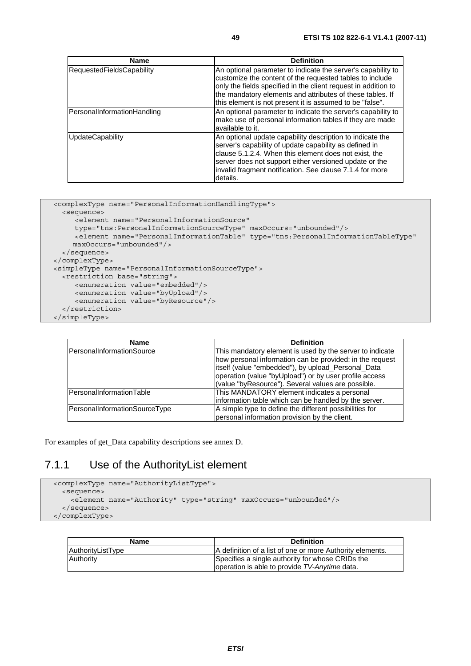| <b>Name</b>                      | <b>Definition</b>                                                                                                                                                                                                                                                                                                   |
|----------------------------------|---------------------------------------------------------------------------------------------------------------------------------------------------------------------------------------------------------------------------------------------------------------------------------------------------------------------|
| <b>RequestedFieldsCapability</b> | An optional parameter to indicate the server's capability to<br>customize the content of the requested tables to include<br>only the fields specified in the client request in addition to<br>the mandatory elements and attributes of these tables. If<br>this element is not present it is assumed to be "false". |
| PersonalInformationHandling      | An optional parameter to indicate the server's capability to<br>make use of personal information tables if they are made<br>available to it.                                                                                                                                                                        |
| <b>UpdateCapability</b>          | An optional update capability description to indicate the<br>server's capability of update capability as defined in<br>clause 5.1.2.4. When this element does not exist, the<br>server does not support either versioned update or the<br>invalid fragment notification. See clause 7.1.4 for more<br>details.      |

```
 <complexType name="PersonalInformationHandlingType"> 
    <sequence> 
       <element name="PersonalInformationSource" 
       type="tns:PersonalInformationSourceType" maxOccurs="unbounded"/> 
      <element name="PersonalInformationTable" type="tns:PersonalInformationTableType"
       maxOccurs="unbounded"/> 
    </sequence> 
  </complexType> 
  <simpleType name="PersonalInformationSourceType"> 
    <restriction base="string"> 
 <enumeration value="embedded"/> 
 <enumeration value="byUpload"/> 
        <enumeration value="byResource"/> 
    </restriction> 
  </simpleType>
```

| Name                          | <b>Definition</b>                                                                                                                                                                                                                                                                          |
|-------------------------------|--------------------------------------------------------------------------------------------------------------------------------------------------------------------------------------------------------------------------------------------------------------------------------------------|
| PersonalInformationSource     | This mandatory element is used by the server to indicate<br>how personal information can be provided: in the request<br>itself (value "embedded"), by upload_Personal_Data<br>operation (value "byUpload") or by user profile access<br>(value "byResource"). Several values are possible. |
| PersonalInformationTable      | This MANDATORY element indicates a personal<br>information table which can be handled by the server.                                                                                                                                                                                       |
| PersonalInformationSourceType | A simple type to define the different possibilities for<br>personal information provision by the client.                                                                                                                                                                                   |

For examples of get\_Data capability descriptions see annex D.

### 7.1.1 Use of the AuthorityList element

```
 <complexType name="AuthorityListType"> 
   <sequence> 
     <element name="Authority" type="string" maxOccurs="unbounded"/> 
   </sequence> 
 </complexType>
```

| Name              | <b>Definition</b>                                                                                 |
|-------------------|---------------------------------------------------------------------------------------------------|
| AuthorityListType | IA definition of a list of one or more Authority elements.                                        |
| Authority         | Specifies a single authority for whose CRIDs the<br>operation is able to provide TV-Anytime data. |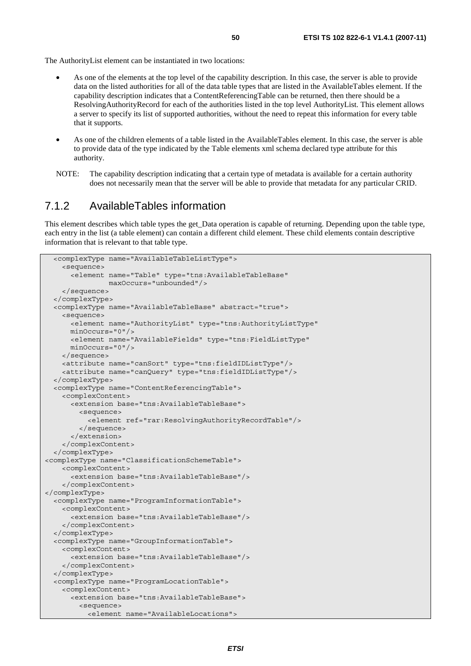The AuthorityList element can be instantiated in two locations:

- As one of the elements at the top level of the capability description. In this case, the server is able to provide data on the listed authorities for all of the data table types that are listed in the AvailableTables element. If the capability description indicates that a ContentReferencingTable can be returned, then there should be a ResolvingAuthorityRecord for each of the authorities listed in the top level AuthorityList. This element allows a server to specify its list of supported authorities, without the need to repeat this information for every table that it supports.
- As one of the children elements of a table listed in the AvailableTables element. In this case, the server is able to provide data of the type indicated by the Table elements xml schema declared type attribute for this authority.
- NOTE: The capability description indicating that a certain type of metadata is available for a certain authority does not necessarily mean that the server will be able to provide that metadata for any particular CRID.

#### 7.1.2 AvailableTables information

This element describes which table types the get Data operation is capable of returning. Depending upon the table type, each entry in the list (a table element) can contain a different child element. These child elements contain descriptive information that is relevant to that table type.

```
 <complexType name="AvailableTableListType"> 
     <sequence> 
       <element name="Table" type="tns:AvailableTableBase" 
                 maxOccurs="unbounded"/> 
     </sequence> 
   </complexType> 
   <complexType name="AvailableTableBase" abstract="true"> 
     <sequence> 
       <element name="AuthorityList" type="tns:AuthorityListType" 
       minOccurs="0"/> 
       <element name="AvailableFields" type="tns:FieldListType" 
       minOccurs="0"/> 
     </sequence> 
     <attribute name="canSort" type="tns:fieldIDListType"/> 
     <attribute name="canQuery" type="tns:fieldIDListType"/> 
   </complexType> 
   <complexType name="ContentReferencingTable"> 
     <complexContent> 
       <extension base="tns:AvailableTableBase"> 
         <sequence> 
           <element ref="rar:ResolvingAuthorityRecordTable"/> 
         </sequence> 
       </extension> 
     </complexContent> 
   </complexType> 
<complexType name="ClassificationSchemeTable"> 
     <complexContent> 
       <extension base="tns:AvailableTableBase"/> 
     </complexContent> 
</complexType> 
   <complexType name="ProgramInformationTable"> 
     <complexContent> 
       <extension base="tns:AvailableTableBase"/> 
     </complexContent> 
   </complexType> 
   <complexType name="GroupInformationTable"> 
     <complexContent> 
       <extension base="tns:AvailableTableBase"/> 
     </complexContent> 
   </complexType> 
   <complexType name="ProgramLocationTable"> 
     <complexContent> 
       <extension base="tns:AvailableTableBase"> 
         <sequence> 
           <element name="AvailableLocations">
```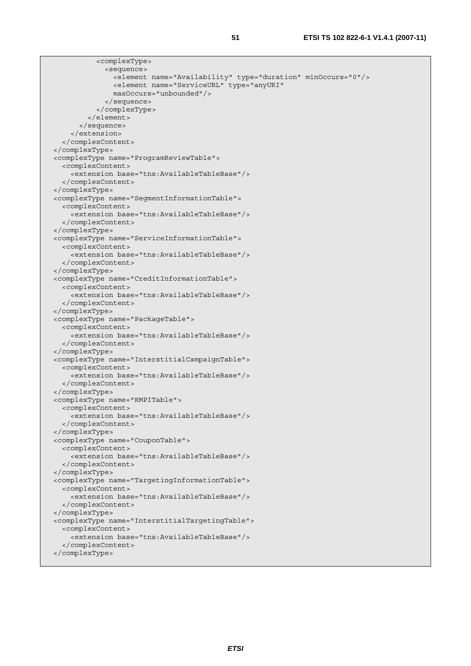| <complextype></complextype>                                             |  |
|-------------------------------------------------------------------------|--|
| <sequence></sequence>                                                   |  |
| <element minoccurs="0" name="Availability" type="duration"></element>   |  |
| <element <="" name="ServiceURL" td="" type="anyURI"><td></td></element> |  |
| $maxOccurs="unbounded"$                                                 |  |
|                                                                         |  |
|                                                                         |  |
| $\langle$ element>                                                      |  |
|                                                                         |  |
|                                                                         |  |
|                                                                         |  |
|                                                                         |  |
| <complextype name="ProgramReviewTable"></complextype>                   |  |
| <complexcontent></complexcontent>                                       |  |
| <extension base="tns:AvailableTableBase"></extension>                   |  |
|                                                                         |  |
|                                                                         |  |
| <complextype name="SegmentInformationTable"></complextype>              |  |
| <complexcontent></complexcontent>                                       |  |
| <extension base="tns:AvailableTableBase"></extension>                   |  |
|                                                                         |  |
|                                                                         |  |
| <complextype name="ServiceInformationTable"></complextype>              |  |
| <complexcontent></complexcontent>                                       |  |
| <extension base="tns:AvailableTableBase"></extension>                   |  |
|                                                                         |  |
|                                                                         |  |
| <complextype name="CreditInformationTable"></complextype>               |  |
| <complexcontent></complexcontent>                                       |  |
| <extension base="tns:AvailableTableBase"></extension>                   |  |
|                                                                         |  |
|                                                                         |  |
| <complextype name="PackageTable"></complextype>                         |  |
| <complexcontent></complexcontent>                                       |  |
| <extension base="tns:AvailableTableBase"></extension>                   |  |
|                                                                         |  |
|                                                                         |  |
| <complextype name="InterstitialCampaignTable"></complextype>            |  |
| <complexcontent></complexcontent>                                       |  |
| <extension base="tns:AvailableTableBase"></extension>                   |  |
|                                                                         |  |
|                                                                         |  |
| <complextype name="RMPITable"></complextype>                            |  |
| <complexcontent></complexcontent>                                       |  |
| <extension base="tns:AvailableTableBase"></extension>                   |  |
|                                                                         |  |
|                                                                         |  |
| <complextype name="CouponTable"></complextype>                          |  |
| <complexcontent></complexcontent>                                       |  |
| <extension base="tns:AvailableTableBase"></extension>                   |  |
|                                                                         |  |
|                                                                         |  |
| <complextype name="TargetingInformationTable"></complextype>            |  |
| <complexcontent></complexcontent>                                       |  |
| <extension base="tns:AvailableTableBase"></extension>                   |  |
|                                                                         |  |
|                                                                         |  |
| <complextype name="InterstitialTargetingTable"></complextype>           |  |
| <complexcontent></complexcontent>                                       |  |
| <extension base="tns:AvailableTableBase"></extension>                   |  |
|                                                                         |  |
|                                                                         |  |
|                                                                         |  |
|                                                                         |  |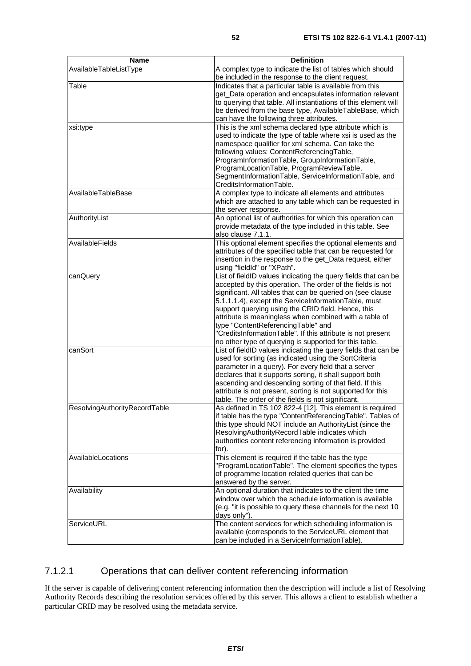| <b>Name</b>                   | <b>Definition</b>                                                                                                        |
|-------------------------------|--------------------------------------------------------------------------------------------------------------------------|
| AvailableTableListType        | A complex type to indicate the list of tables which should                                                               |
|                               | be included in the response to the client request.                                                                       |
| Table                         | Indicates that a particular table is available from this                                                                 |
|                               | get_Data operation and encapsulates information relevant                                                                 |
|                               | to querying that table. All instantiations of this element will                                                          |
|                               | be derived from the base type, AvailableTableBase, which                                                                 |
|                               | can have the following three attributes.                                                                                 |
| xsi:type                      | This is the xml schema declared type attribute which is<br>used to indicate the type of table where xsi is used as the   |
|                               | namespace qualifier for xml schema. Can take the                                                                         |
|                               | following values: ContentReferencingTable,                                                                               |
|                               | ProgramInformationTable, GroupInformationTable,                                                                          |
|                               | ProgramLocationTable, ProgramReviewTable,                                                                                |
|                               | SegmentInformationTable, ServiceInformationTable, and                                                                    |
|                               | CreditsInformationTable.                                                                                                 |
| AvailableTableBase            | A complex type to indicate all elements and attributes                                                                   |
|                               | which are attached to any table which can be requested in                                                                |
|                               | the server response.                                                                                                     |
| AuthorityList                 | An optional list of authorities for which this operation can                                                             |
|                               | provide metadata of the type included in this table. See                                                                 |
|                               | also clause 7.1.1.                                                                                                       |
| AvailableFields               | This optional element specifies the optional elements and                                                                |
|                               | attributes of the specified table that can be requested for<br>insertion in the response to the get_Data request, either |
|                               | using "fieldId" or "XPath".                                                                                              |
| canQuery                      | List of fieldID values indicating the query fields that can be                                                           |
|                               | accepted by this operation. The order of the fields is not                                                               |
|                               | significant. All tables that can be queried on (see clause                                                               |
|                               | 5.1.1.1.4), except the ServiceInformationTable, must                                                                     |
|                               | support querying using the CRID field. Hence, this                                                                       |
|                               | attribute is meaningless when combined with a table of                                                                   |
|                               | type "ContentReferencingTable" and                                                                                       |
|                               | "CreditsInformationTable". If this attribute is not present                                                              |
|                               | no other type of querying is supported for this table.                                                                   |
| canSort                       | List of fieldID values indicating the query fields that can be                                                           |
|                               | used for sorting (as indicated using the SortCriteria<br>parameter in a query). For every field that a server            |
|                               | declares that it supports sorting, it shall support both                                                                 |
|                               | ascending and descending sorting of that field. If this                                                                  |
|                               | attribute is not present, sorting is not supported for this                                                              |
|                               | table. The order of the fields is not significant.                                                                       |
| ResolvingAuthorityRecordTable | As defined in TS 102 822-4 [12]. This element is required                                                                |
|                               | if table has the type "ContentReferencingTable". Tables of                                                               |
|                               | this type should NOT include an AuthorityList (since the                                                                 |
|                               | ResolvingAuthorityRecordTable indicates which                                                                            |
|                               | authorities content referencing information is provided                                                                  |
| AvailableLocations            | for).<br>This element is required if the table has the type                                                              |
|                               | "ProgramLocationTable". The element specifies the types                                                                  |
|                               | of programme location related queries that can be                                                                        |
|                               | answered by the server.                                                                                                  |
| Availability                  | An optional duration that indicates to the client the time                                                               |
|                               | window over which the schedule information is available                                                                  |
|                               | (e.g. "it is possible to query these channels for the next 10                                                            |
|                               | days only").                                                                                                             |
| ServiceURL                    | The content services for which scheduling information is                                                                 |
|                               | available (corresponds to the ServiceURL element that                                                                    |
|                               | can be included in a ServiceInformationTable).                                                                           |

#### 7.1.2.1 Operations that can deliver content referencing information

If the server is capable of delivering content referencing information then the description will include a list of Resolving Authority Records describing the resolution services offered by this server. This allows a client to establish whether a particular CRID may be resolved using the metadata service.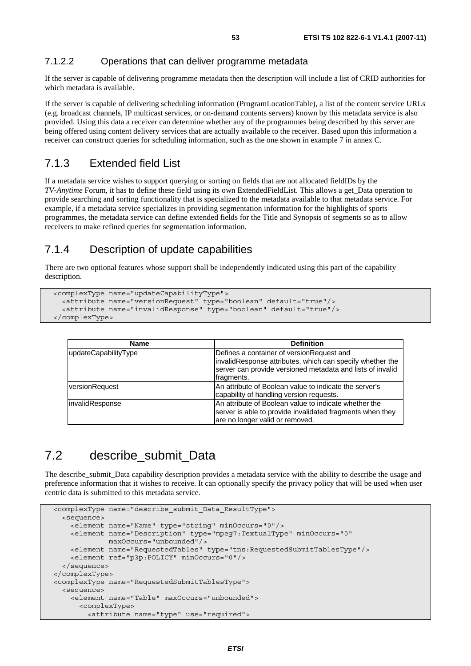#### 7.1.2.2 Operations that can deliver programme metadata

If the server is capable of delivering programme metadata then the description will include a list of CRID authorities for which metadata is available.

If the server is capable of delivering scheduling information (ProgramLocationTable), a list of the content service URLs (e.g. broadcast channels, IP multicast services, or on-demand contents servers) known by this metadata service is also provided. Using this data a receiver can determine whether any of the programmes being described by this server are being offered using content delivery services that are actually available to the receiver. Based upon this information a receiver can construct queries for scheduling information, such as the one shown in example 7 in annex C.

### 7.1.3 Extended field List

If a metadata service wishes to support querying or sorting on fields that are not allocated fieldIDs by the *TV-Anytime* Forum, it has to define these field using its own ExtendedFieldList. This allows a get\_Data operation to provide searching and sorting functionality that is specialized to the metadata available to that metadata service. For example, if a metadata service specializes in providing segmentation information for the highlights of sports programmes, the metadata service can define extended fields for the Title and Synopsis of segments so as to allow receivers to make refined queries for segmentation information.

### 7.1.4 Description of update capabilities

There are two optional features whose support shall be independently indicated using this part of the capability description.

```
 <complexType name="updateCapabilityType"> 
   <attribute name="versionRequest" type="boolean" default="true"/> 
   <attribute name="invalidResponse" type="boolean" default="true"/> 
 </complexType>
```

| <b>Name</b>          | <b>Definition</b>                                                                                                                                                                   |
|----------------------|-------------------------------------------------------------------------------------------------------------------------------------------------------------------------------------|
| updateCapabilityType | Defines a container of version Request and<br>invalidResponse attributes, which can specify whether the<br>server can provide versioned metadata and lists of invalid<br>fragments. |
| versionRequest       | An attribute of Boolean value to indicate the server's<br>capability of handling version requests.                                                                                  |
| linvalidResponse     | An attribute of Boolean value to indicate whether the<br>server is able to provide invalidated fragments when they<br>are no longer valid or removed.                               |

# 7.2 describe submit Data

The describe submit. Data capability description provides a metadata service with the ability to describe the usage and preference information that it wishes to receive. It can optionally specify the privacy policy that will be used when user centric data is submitted to this metadata service.

```
 <complexType name="describe_submit_Data_ResultType"> 
   <sequence> 
     <element name="Name" type="string" minOccurs="0"/> 
     <element name="Description" type="mpeg7:TextualType" minOccurs="0" 
              maxOccurs="unbounded"/> 
     <element name="RequestedTables" type="tns:RequestedSubmitTablesType"/> 
     <element ref="p3p:POLICY" minOccurs="0"/> 
   </sequence> 
 </complexType> 
 <complexType name="RequestedSubmitTablesType"> 
   <sequence> 
     <element name="Table" maxOccurs="unbounded"> 
       <complexType> 
         <attribute name="type" use="required">
```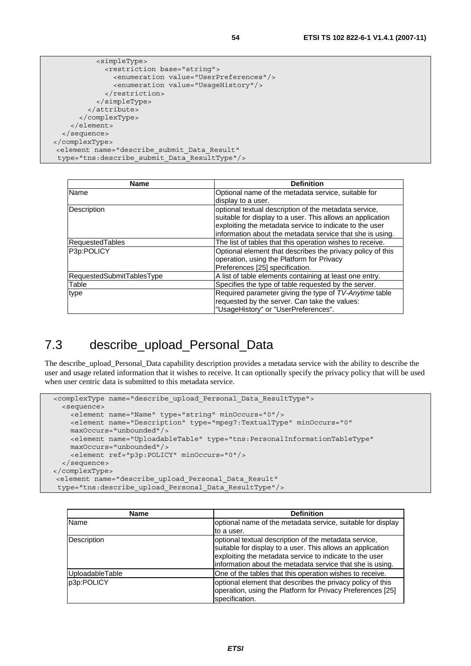```
 <simpleType> 
              <restriction base="string"> 
                <enumeration value="UserPreferences"/> 
                <enumeration value="UsageHistory"/> 
              </restriction> 
            </simpleType> 
         </attribute> 
       </complexType> 
     </element> 
   </sequence> 
</complexType> 
 <element name="describe_submit_Data_Result" 
 type="tns:describe_submit_Data_ResultType"/>
```

| Name                      | <b>Definition</b>                                          |
|---------------------------|------------------------------------------------------------|
| Name                      | Optional name of the metadata service, suitable for        |
|                           | display to a user.                                         |
| Description               | optional textual description of the metadata service,      |
|                           | suitable for display to a user. This allows an application |
|                           | exploiting the metadata service to indicate to the user    |
|                           | information about the metadata service that she is using.  |
| RequestedTables           | The list of tables that this operation wishes to receive.  |
| P3p:POLICY                | Optional element that describes the privacy policy of this |
|                           | operation, using the Platform for Privacy                  |
|                           | Preferences [25] specification.                            |
| RequestedSubmitTablesType | A list of table elements containing at least one entry.    |
| Table                     | Specifies the type of table requested by the server.       |
| type                      | Required parameter giving the type of TV-Anytime table     |
|                           | requested by the server. Can take the values:              |
|                           | "UsageHistory" or "UserPreferences".                       |

# 7.3 describe\_upload\_Personal\_Data

The describe upload Personal Data capability description provides a metadata service with the ability to describe the user and usage related information that it wishes to receive. It can optionally specify the privacy policy that will be used when user centric data is submitted to this metadata service.

```
 <complexType name="describe_upload_Personal_Data_ResultType"> 
   <sequence> 
     <element name="Name" type="string" minOccurs="0"/> 
     <element name="Description" type="mpeg7:TextualType" minOccurs="0" 
    maxOccurs="unbounded"/> 
     <element name="UploadableTable" type="tns:PersonalInformationTableType" 
    maxOccurs="unbounded"/> 
     <element ref="p3p:POLICY" minOccurs="0"/> 
   </sequence> 
</complexType> 
 <element name="describe_upload_Personal_Data_Result" 
  type="tns:describe_upload_Personal_Data_ResultType"/>
```

| <b>Name</b>     | <b>Definition</b>                                                                                                                                                                                                                           |
|-----------------|---------------------------------------------------------------------------------------------------------------------------------------------------------------------------------------------------------------------------------------------|
| Name            | optional name of the metadata service, suitable for display                                                                                                                                                                                 |
|                 | to a user.                                                                                                                                                                                                                                  |
| Description     | optional textual description of the metadata service,<br>suitable for display to a user. This allows an application<br>exploiting the metadata service to indicate to the user<br>information about the metadata service that she is using. |
| UploadableTable | One of the tables that this operation wishes to receive.                                                                                                                                                                                    |
| p3p:POLICY      | optional element that describes the privacy policy of this<br>operation, using the Platform for Privacy Preferences [25]<br>specification.                                                                                                  |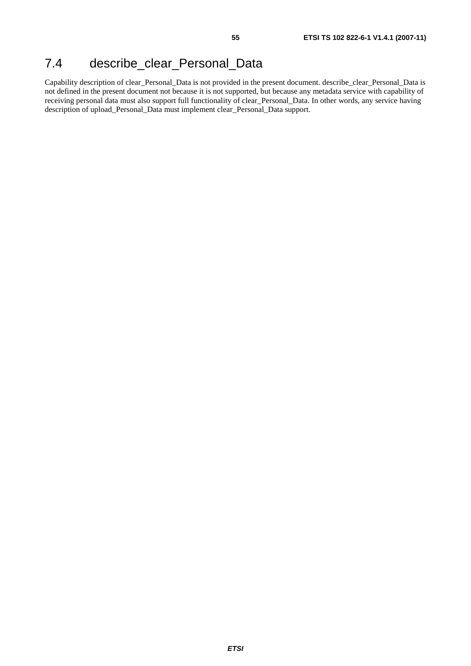# 7.4 describe\_clear\_Personal\_Data

Capability description of clear\_Personal\_Data is not provided in the present document. describe\_clear\_Personal\_Data is not defined in the present document not because it is not supported, but because any metadata service with capability of receiving personal data must also support full functionality of clear\_Personal\_Data. In other words, any service having description of upload\_Personal\_Data must implement clear\_Personal\_Data support.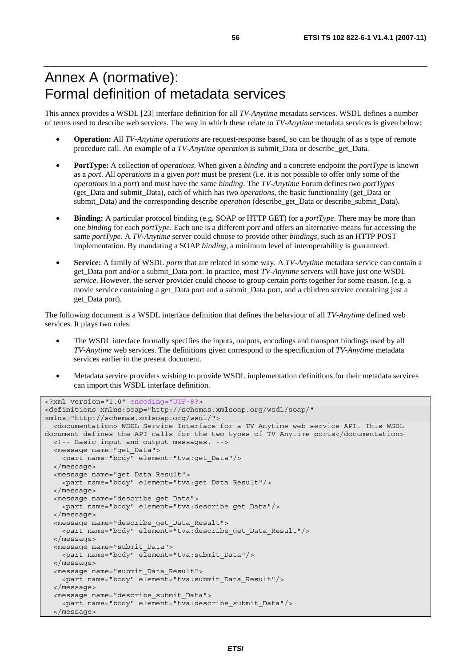# Annex A (normative): Formal definition of metadata services

This annex provides a WSDL [23] interface definition for all *TV-Anytime* metadata services. WSDL defines a number of terms used to describe web services. The way in which these relate to *TV-Anytime* metadata services is given below:

- **Operation:** All *TV-Anytime operations* are request-response based, so can be thought of as a type of remote procedure call. An example of a *TV-Anytime operation* is submit*\_*Data or describe*\_*get*\_*Data.
- **PortType:** A collection of *operations*. When given a *binding* and a concrete endpoint the *portType* is known as a *port*. All *operations* in a given *port* must be present (i.e. it is not possible to offer only some of the *operations* in a *port*) and must have the same *binding*. The *TV-Anytime* Forum defines two *portTypes* (get*\_*Data and submit*\_*Data), each of which has two *operations*, the basic functionality (get*\_*Data or submit*\_*Data) and the corresponding describe *operation* (describe\_get*\_*Data or describe\_submit*\_*Data).
- **Binding:** A particular protocol binding (e.g. SOAP or HTTP GET) for a *portType*. There may be more than one *binding* for each *portType*. Each one is a different *port* and offers an alternative means for accessing the same *portType*. A *TV-Anytime* server could choose to provide other *bindings*, such as an HTTP POST implementation. By mandating a SOAP *binding*, a minimum level of interoperability is guaranteed.
- **Service:** A family of WSDL *ports* that are related in some way. A *TV-Anytime* metadata service can contain a get\_Data port and/or a submit\_Data port. In practice, most *TV-Anytime* servers will have just one WSDL *service*. However, the server provider could choose to group certain *ports* together for some reason. (e.g. a movie service containing a get\_Data port and a submit\_Data port, and a children service containing just a get\_Data port).

The following document is a WSDL interface definition that defines the behaviour of all *TV-Anytime* defined web services. It plays two roles:

- The WSDL interface formally specifies the inputs, outputs, encodings and transport bindings used by all *TV-Anytime* web services. The definitions given correspond to the specification of *TV-Anytime* metadata services earlier in the present document.
- Metadata service providers wishing to provide WSDL implementation definitions for their metadata services can import this WSDL interface definition.

```
<?xml version="1.0" encoding="UTF-8?> 
<definitions xmlns:soap="http://schemas.xmlsoap.org/wsdl/soap/" 
xmlns="http://schemas.xmlsoap.org/wsdl/"> 
   <documentation> WSDL Service Interface for a TV Anytime web service API. This WSDL 
document defines the API calls for the two types of TV Anytime ports</documentation> 
   <!-- Basic input and output messages. --> 
   <message name="get_Data"> 
     <part name="body" element="tva:get_Data"/> 
   </message> 
   <message name="get_Data_Result"> 
     <part name="body" element="tva:get_Data_Result"/> 
   </message> 
   <message name="describe_get_Data"> 
    <part name="body" element="tva:describe_get_Data"/> 
   </message> 
   <message name="describe_get_Data_Result"> 
    <part name="body" element="tva:describe_get_Data_Result"/> 
   </message> 
   <message name="submit_Data"> 
     <part name="body" element="tva:submit_Data"/> 
   </message> 
   <message name="submit_Data_Result"> 
     <part name="body" element="tva:submit_Data_Result"/> 
   </message> 
   <message name="describe_submit_Data"> 
     <part name="body" element="tva:describe_submit_Data"/> 
   </message>
```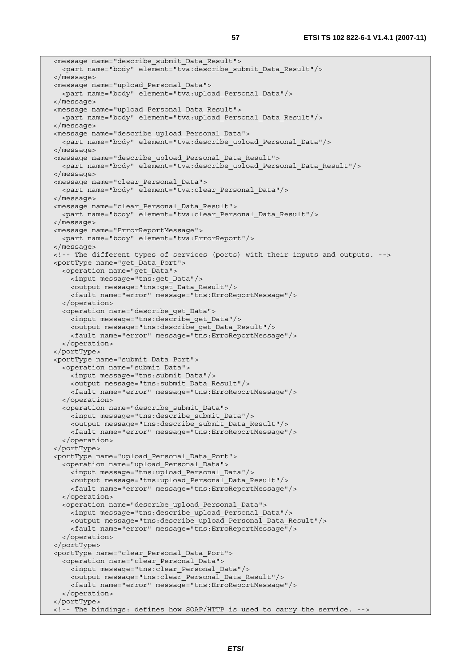```
 <message name="describe_submit_Data_Result"> 
   <part name="body" element="tva:describe_submit_Data_Result"/> 
 </message> 
 <message name="upload_Personal_Data"> 
   <part name="body" element="tva:upload_Personal_Data"/> 
 </message> 
 <message name="upload_Personal_Data_Result"> 
   <part name="body" element="tva:upload_Personal_Data_Result"/> 
 </message> 
 <message name="describe_upload_Personal_Data"> 
   <part name="body" element="tva:describe_upload_Personal_Data"/> 
 </message> 
 <message name="describe_upload_Personal_Data_Result"> 
   <part name="body" element="tva:describe_upload_Personal_Data_Result"/> 
 </message> 
 <message name="clear_Personal_Data"> 
   <part name="body" element="tva:clear_Personal_Data"/> 
 </message> 
 <message name="clear_Personal_Data_Result"> 
  <part name="body" element="tva:clear_Personal_Data_Result"/> 
</message> 
 <message name="ErrorReportMessage"> 
   <part name="body" element="tva:ErrorReport"/> 
 </message> 
 <!-- The different types of services (ports) with their inputs and outputs. --> 
 <portType name="get_Data_Port"> 
   <operation name="get_Data"> 
     <input message="tns:get_Data"/> 
     <output message="tns:get_Data_Result"/> 
     <fault name="error" message="tns:ErroReportMessage"/> 
   </operation> 
   <operation name="describe_get_Data"> 
     <input message="tns:describe_get_Data"/> 
     <output message="tns:describe_get_Data_Result"/> 
     <fault name="error" message="tns:ErroReportMessage"/> 
   </operation> 
 </portType> 
 <portType name="submit_Data_Port"> 
   <operation name="submit_Data"> 
     <input message="tns:submit_Data"/> 
     <output message="tns:submit_Data_Result"/> 
     <fault name="error" message="tns:ErroReportMessage"/> 
   </operation> 
   <operation name="describe_submit_Data"> 
     <input message="tns:describe_submit_Data"/> 
     <output message="tns:describe_submit_Data_Result"/> 
     <fault name="error" message="tns:ErroReportMessage"/> 
   </operation> 
 </portType> 
 <portType name="upload_Personal_Data_Port"> 
   <operation name="upload_Personal_Data"> 
     <input message="tns:upload_Personal_Data"/> 
     <output message="tns:upload_Personal_Data_Result"/> 
     <fault name="error" message="tns:ErroReportMessage"/> 
   </operation> 
   <operation name="describe_upload_Personal_Data"> 
     <input message="tns:describe_upload_Personal_Data"/> 
     <output message="tns:describe_upload_Personal_Data_Result"/> 
     <fault name="error" message="tns:ErroReportMessage"/> 
   </operation> 
 </portType> 
 <portType name="clear_Personal_Data_Port"> 
   <operation name="clear_Personal_Data"> 
     <input message="tns:clear_Personal_Data"/> 
     <output message="tns:clear_Personal_Data_Result"/> 
     <fault name="error" message="tns:ErroReportMessage"/> 
   </operation> 
 </portType> 
 <!-- The bindings: defines how SOAP/HTTP is used to carry the service. -->
```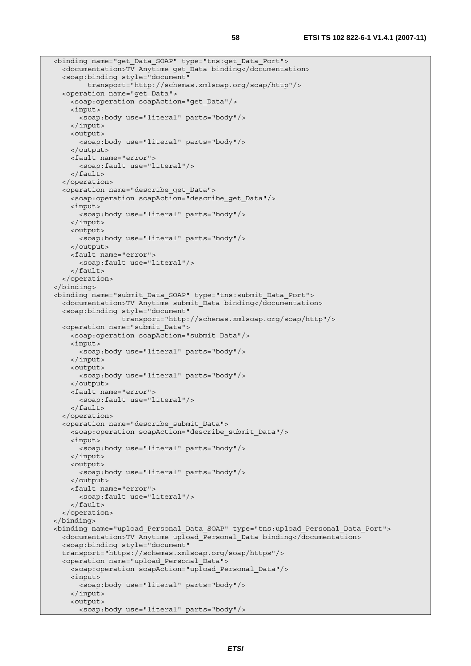```
 <binding name="get_Data_SOAP" type="tns:get_Data_Port"> 
   <documentation>TV Anytime get_Data binding</documentation> 
   <soap:binding style="document" 
         transport="http://schemas.xmlsoap.org/soap/http"/> 
   <operation name="get_Data"> 
     <soap:operation soapAction="get_Data"/> 
     <input> 
       <soap:body use="literal" parts="body"/> 
     </input> 
     <output> 
       <soap:body use="literal" parts="body"/> 
     </output> 
     <fault name="error"> 
       <soap:fault use="literal"/> 
     </fault> 
  </operation> 
   <operation name="describe_get_Data"> 
     <soap:operation soapAction="describe_get_Data"/> 
     <input> 
       <soap:body use="literal" parts="body"/> 
     </input> 
     <output> 
       <soap:body use="literal" parts="body"/> 
     </output> 
     <fault name="error"> 
       <soap:fault use="literal"/> 
     </fault> 
   </operation> 
 </binding> 
 <binding name="submit_Data_SOAP" type="tns:submit_Data_Port"> 
   <documentation>TV Anytime submit_Data binding</documentation> 
   <soap:binding style="document" 
                  transport="http://schemas.xmlsoap.org/soap/http"/> 
  <operation name="submit_Data"> 
    <soap:operation soapAction="submit_Data"/> 
     <input> 
       <soap:body use="literal" parts="body"/> 
     </input> 
     <output> 
       <soap:body use="literal" parts="body"/> 
     </output> 
     <fault name="error"> 
       <soap:fault use="literal"/> 
     </fault> 
  </operation> 
   <operation name="describe_submit_Data"> 
     <soap:operation soapAction="describe_submit_Data"/> 
     <input> 
       <soap:body use="literal" parts="body"/> 
     </input> 
     <output> 
       <soap:body use="literal" parts="body"/> 
     </output> 
     <fault name="error"> 
       <soap:fault use="literal"/> 
     </fault> 
   </operation> 
</binding> 
 <binding name="upload_Personal_Data_SOAP" type="tns:upload_Personal_Data_Port"> 
   <documentation>TV Anytime upload_Personal_Data binding</documentation> 
   <soap:binding style="document" 
  transport="https://schemas.xmlsoap.org/soap/https"/> 
  <operation name="upload_Personal_Data"> 
     <soap:operation soapAction="upload_Personal_Data"/> 
     <input> 
       <soap:body use="literal" parts="body"/> 
     </input> 
     <output> 
       <soap:body use="literal" parts="body"/>
```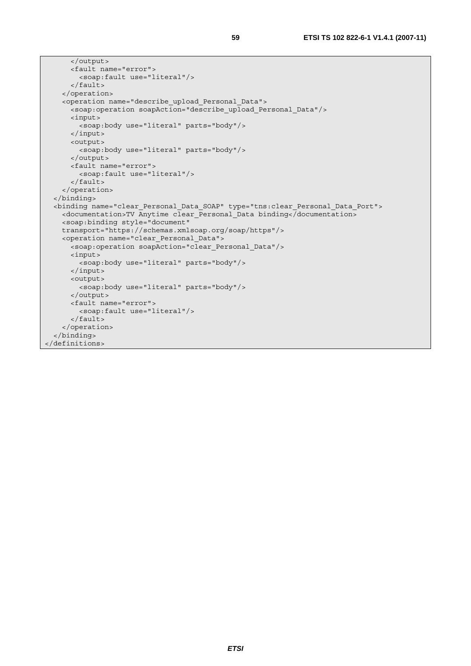```
 </output> 
       <fault name="error"> 
         <soap:fault use="literal"/> 
       </fault> 
     </operation> 
     <operation name="describe_upload_Personal_Data"> 
       <soap:operation soapAction="describe_upload_Personal_Data"/> 
       <input> 
         <soap:body use="literal" parts="body"/> 
       </input> 
       <output> 
         <soap:body use="literal" parts="body"/> 
       </output> 
       <fault name="error"> 
         <soap:fault use="literal"/> 
       </fault> 
     </operation> 
  </binding> 
  <binding name="clear_Personal_Data_SOAP" type="tns:clear_Personal_Data_Port"> 
     <documentation>TV Anytime clear_Personal_Data binding</documentation> 
     <soap:binding style="document" 
     transport="https://schemas.xmlsoap.org/soap/https"/> 
     <operation name="clear_Personal_Data"> 
      -<br><soap:operation soapAction="clear Personal Data"/>
       <input> 
         <soap:body use="literal" parts="body"/> 
       </input> 
       <output> 
         <soap:body use="literal" parts="body"/> 
       </output> 
       <fault name="error"> 
         <soap:fault use="literal"/> 
       </fault> 
     </operation> 
  </binding> 
</definitions>
```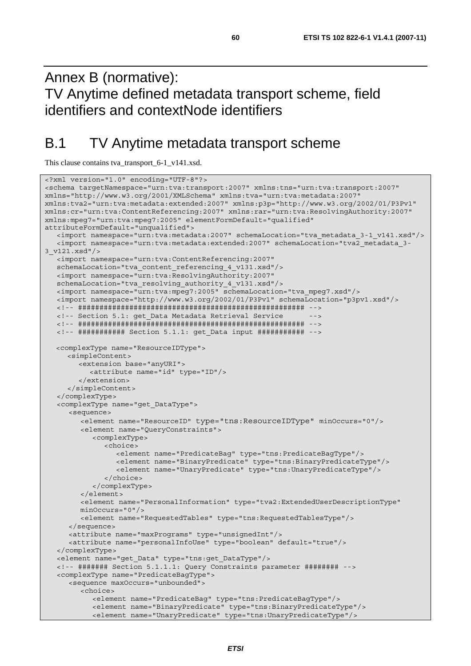# Annex B (normative): TV Anytime defined metadata transport scheme, field identifiers and contextNode identifiers

# B.1 TV Anytime metadata transport scheme

This clause contains tva\_transport\_6-1\_v141.xsd.

```
<?xml version="1.0" encoding="UTF-8"?> 
<schema targetNamespace="urn:tva:transport:2007" xmlns:tns="urn:tva:transport:2007" 
xmlns="http://www.w3.org/2001/XMLSchema" xmlns:tva="urn:tva:metadata:2007" 
xmlns:tva2="urn:tva:metadata:extended:2007" xmlns:p3p="http://www.w3.org/2002/01/P3Pv1" 
xmlns:cr="urn:tva:ContentReferencing:2007" xmlns:rar="urn:tva:ResolvingAuthority:2007" 
xmlns:mpeg7="urn:tva:mpeg7:2005" elementFormDefault="qualified" 
attributeFormDefault="unqualified"> 
    <import namespace="urn:tva:metadata:2007" schemaLocation="tva_metadata_3-1_v141.xsd"/> 
    <import namespace="urn:tva:metadata:extended:2007" schemaLocation="tva2_metadata_3-
3_v121.xsd"/> 
   <import namespace="urn:tva:ContentReferencing:2007" 
   schemaLocation="tva_content_referencing_4_v131.xsd"/> 
    <import namespace="urn:tva:ResolvingAuthority:2007" 
    schemaLocation="tva_resolving_authority_4_v131.xsd"/> 
   <import namespace="urn:tva:mpeg7:2005" schemaLocation="tva_mpeg7.xsd"/> 
   <import namespace="http://www.w3.org/2002/01/P3Pv1" schemaLocation="p3pv1.xsd"/> 
   <!-- ##################################################### --> 
   <!-- Section 5.1: get_Data Metadata Retrieval Service --> 
   <!-- ##################################################### --> 
   <!-- ########### Section 5.1.1: get_Data input ########### --> 
  <complexType name="ResourceIDType"> 
      <simpleContent> 
         <extension base="anyURI"> 
            <attribute name="id" type="ID"/> 
         </extension> 
      </simpleContent> 
    </complexType> 
    <complexType name="get_DataType"> 
       <sequence> 
         <element name="ResourceID" type="tns:ResourceIDType" minOccurs="0"/> 
         <element name="QueryConstraints"> 
            <complexType> 
               <choice> 
                  <element name="PredicateBag" type="tns:PredicateBagType"/> 
                  <element name="BinaryPredicate" type="tns:BinaryPredicateType"/> 
                  <element name="UnaryPredicate" type="tns:UnaryPredicateType"/> 
               </choice> 
            </complexType> 
         </element> 
         <element name="PersonalInformation" type="tva2:ExtendedUserDescriptionType" 
         minOccurs="0"/> 
         <element name="RequestedTables" type="tns:RequestedTablesType"/> 
      </sequence> 
      <attribute name="maxPrograms" type="unsignedInt"/> 
      <attribute name="personalInfoUse" type="boolean" default="true"/> 
    </complexType> 
    <element name="get_Data" type="tns:get_DataType"/> 
    <!-- ####### Section 5.1.1.1: Query Constraints parameter ######## --> 
    <complexType name="PredicateBagType"> 
      <sequence maxOccurs="unbounded"> 
         <choice> 
            <element name="PredicateBag" type="tns:PredicateBagType"/> 
            <element name="BinaryPredicate" type="tns:BinaryPredicateType"/> 
            <element name="UnaryPredicate" type="tns:UnaryPredicateType"/>
```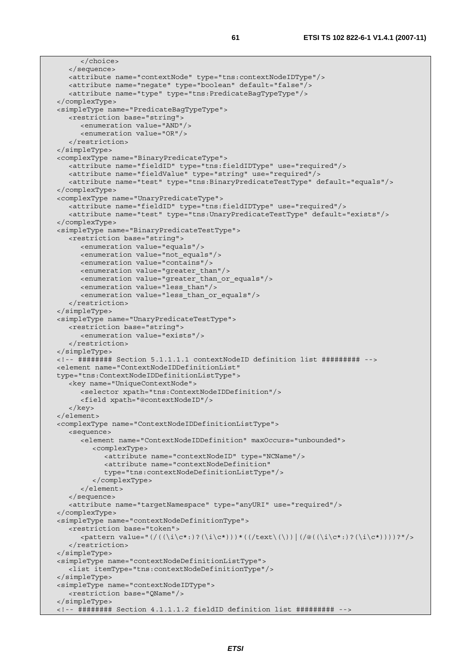```
 </choice> 
   </sequence> 
   <attribute name="contextNode" type="tns:contextNodeIDType"/> 
   <attribute name="negate" type="boolean" default="false"/> 
    <attribute name="type" type="tns:PredicateBagTypeType"/> 
 </complexType> 
 <simpleType name="PredicateBagTypeType"> 
   <restriction base="string"> 
      <enumeration value="AND"/> 
       <enumeration value="OR"/> 
    </restriction> 
 </simpleType> 
 <complexType name="BinaryPredicateType"> 
   <attribute name="fieldID" type="tns:fieldIDType" use="required"/> 
   <attribute name="fieldValue" type="string" use="required"/> 
    <attribute name="test" type="tns:BinaryPredicateTestType" default="equals"/> 
 </complexType> 
 <complexType name="UnaryPredicateType"> 
    <attribute name="fieldID" type="tns:fieldIDType" use="required"/> 
   <attribute name="test" type="tns:UnaryPredicateTestType" default="exists"/> 
 </complexType> 
 <simpleType name="BinaryPredicateTestType"> 
   <restriction base="string"> 
      <enumeration value="equals"/> 
      <enumeration value="not_equals"/> 
      <enumeration value="contains"/> 
      <enumeration value="greater_than"/> 
       <enumeration value="greater_than_or_equals"/> 
      <enumeration value="less_than"/> 
      <enumeration value="less_than_or_equals"/> 
    </restriction> 
 </simpleType> 
 <simpleType name="UnaryPredicateTestType"> 
   <restriction base="string"> 
      <enumeration value="exists"/> 
    </restriction> 
 </simpleType> 
 <!-- ######## Section 5.1.1.1.1 contextNodeID definition list ######### --> 
 <element name="ContextNodeIDDefinitionList" 
 type="tns:ContextNodeIDDefinitionListType"> 
    <key name="UniqueContextNode"> 
      <selector xpath="tns:ContextNodeIDDefinition"/> 
       <field xpath="@contextNodeID"/> 
    </key> 
 </element> 
 <complexType name="ContextNodeIDDefinitionListType"> 
    <sequence> 
       <element name="ContextNodeIDDefinition" maxOccurs="unbounded"> 
          <complexType> 
             <attribute name="contextNodeID" type="NCName"/> 
            <attribute name="contextNodeDefinition" 
            type="tns:contextNodeDefinitionListType"/> 
          </complexType> 
       </element> 
   </sequence> 
    <attribute name="targetNamespace" type="anyURI" use="required"/> 
 </complexType> 
 <simpleType name="contextNodeDefinitionType"> 
    <restriction base="token"> 
      \langle <pattern value="(/((\i\c*:)?(\i\c*)))*((/text\(\))|(/@((\i\c*:)?(\i\c*))))?"/>
    </restriction> 
 </simpleType> 
 <simpleType name="contextNodeDefinitionListType"> 
   <list itemType="tns:contextNodeDefinitionType"/> 
 </simpleType> 
 <simpleType name="contextNodeIDType"> 
    <restriction base="QName"/> 
 </simpleType> 
 <!-- ######## Section 4.1.1.1.2 fieldID definition list ######### -->
```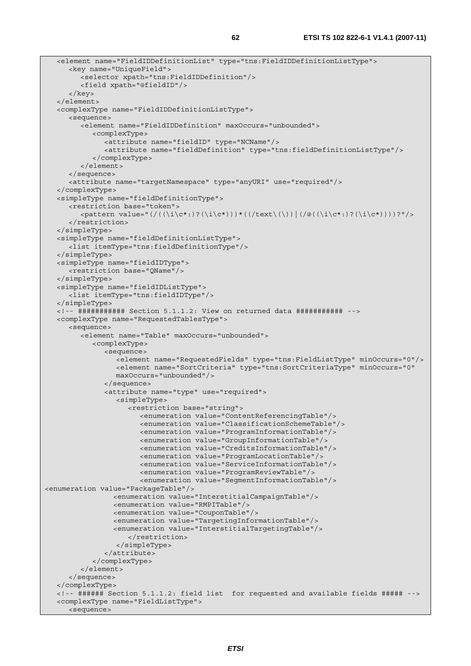```
 <element name="FieldIDDefinitionList" type="tns:FieldIDDefinitionListType"> 
      <key name="UniqueField"> 
         <selector xpath="tns:FieldIDDefinition"/> 
         <field xpath="@fieldID"/> 
       </key> 
   </element> 
   <complexType name="FieldIDDefinitionListType"> 
      <sequence> 
         <element name="FieldIDDefinition" maxOccurs="unbounded"> 
            <complexType> 
               <attribute name="fieldID" type="NCName"/> 
               <attribute name="fieldDefinition" type="tns:fieldDefinitionListType"/> 
            </complexType> 
         </element> 
      </sequence> 
      <attribute name="targetNamespace" type="anyURI" use="required"/> 
   </complexType> 
   <simpleType name="fieldDefinitionType"> 
      <restriction base="token"> 
         <pattern value="(/((\i\c*:)?(\i\c*)))*((/text\(\))|(/@((\i\c*:)?(\i\c*))))?"/> 
      </restriction> 
   </simpleType> 
   <simpleType name="fieldDefinitionListType"> 
      <list itemType="tns:fieldDefinitionType"/> 
   </simpleType> 
   <simpleType name="fieldIDType"> 
      <restriction base="QName"/> 
   </simpleType> 
   <simpleType name="fieldIDListType"> 
      <list itemType="tns:fieldIDType"/> 
   </simpleType> 
   <!-- ########### Section 5.1.1.2: View on returned data ########### --> 
   <complexType name="RequestedTablesType"> 
      <sequence> 
         <element name="Table" maxOccurs="unbounded"> 
            <complexType> 
               <sequence> 
                  <element name="RequestedFields" type="tns:FieldListType" minOccurs="0"/> 
                  <element name="SortCriteria" type="tns:SortCriteriaType" minOccurs="0" 
                  maxOccurs="unbounded"/> 
               </sequence> 
               <attribute name="type" use="required"> 
                  <simpleType> 
                     <restriction base="string"> 
                        <enumeration value="ContentReferencingTable"/> 
                        <enumeration value="ClassificationSchemeTable"/> 
                        <enumeration value="ProgramInformationTable"/> 
                        <enumeration value="GroupInformationTable"/> 
                        <enumeration value="CreditsInformationTable"/> 
                        <enumeration value="ProgramLocationTable"/> 
                        <enumeration value="ServiceInformationTable"/> 
                        <enumeration value="ProgramReviewTable"/> 
                        <enumeration value="SegmentInformationTable"/> 
<enumeration value="PackageTable"/> 
                  <enumeration value="InterstitialCampaignTable"/> 
                  <enumeration value="RMPITable"/> 
                  <enumeration value="CouponTable"/> 
                  <enumeration value="TargetingInformationTable"/> 
                  <enumeration value="InterstitialTargetingTable"/> 
                     </restriction> 
                  </simpleType> 
               </attribute> 
            </complexType> 
         </element> 
      </sequence> 
   </complexType> 
   <!-- ###### Section 5.1.1.2: field list for requested and available fields ##### --> 
   <complexType name="FieldListType"> 
      <sequence>
```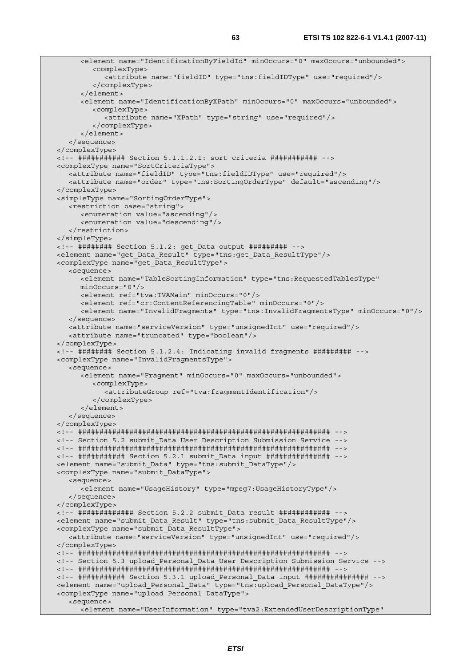<element name="IdentificationByFieldId" minOccurs="0" maxOccurs="unbounded"> <complexType> <attribute name="fieldID" type="tns:fieldIDType" use="required"/> </complexType> </element> <element name="IdentificationByXPath" minOccurs="0" maxOccurs="unbounded"> <complexType> <attribute name="XPath" type="string" use="required"/> </complexType> </element> </sequence> </complexType> <!-- ########### Section 5.1.1.2.1: sort criteria ########### --> <complexType name="SortCriteriaType"> <attribute name="fieldID" type="tns:fieldIDType" use="required"/> <attribute name="order" type="tns:SortingOrderType" default="ascending"/> </complexType> <simpleType name="SortingOrderType"> <restriction base="string"> <enumeration value="ascending"/> <enumeration value="descending"/> </restriction> </simpleType> <!-- ######## Section 5.1.2: get\_Data output ######### --> <element name="get\_Data\_Result" type="tns:get\_Data\_ResultType"/> <complexType name="get\_Data\_ResultType"> <sequence> <element name="TableSortingInformation" type="tns:RequestedTablesType" minOccurs="0"/> <element ref="tva:TVAMain" minOccurs="0"/> <element ref="cr:ContentReferencingTable" minOccurs="0"/> <element name="InvalidFragments" type="tns:InvalidFragmentsType" minOccurs="0"/> </sequence> <attribute name="serviceVersion" type="unsignedInt" use="required"/> <attribute name="truncated" type="boolean"/> </complexType> <!-- ######## Section 5.1.2.4: Indicating invalid fragments ######### --> <complexType name="InvalidFragmentsType"> <sequence> <element name="Fragment" minOccurs="0" maxOccurs="unbounded"> <complexType> <attributeGroup ref="tva:fragmentIdentification"/> </complexType> </element> </sequence> </complexType> <!-- ########################################################### --> <!-- Section 5.2 submit\_Data User Description Submission Service --> <!-- ########################################################### --> <!-- ########### Section 5.2.1 submit\_Data input ############### --> <element name="submit\_Data" type="tns:submit\_DataType"/> <complexType name="submit\_DataType"> <sequence> <element name="UsageHistory" type="mpeg7:UsageHistoryType"/> </sequence> </complexType> <!-- ############# Section 5.2.2 submit\_Data result ############ --> <element name="submit\_Data\_Result" type="tns:submit\_Data\_ResultType"/> <complexType name="submit\_Data\_ResultType"> <attribute name="serviceVersion" type="unsignedInt" use="required"/> </complexType> <!-- ########################################################### --> <!-- Section 5.3 upload\_Personal\_Data User Description Submission Service --> <!-- ########################################################### --> <!-- ########### Section 5.3.1 upload\_Personal\_Data input ############### --> <element name="upload\_Personal\_Data" type="tns:upload\_Personal\_DataType"/> <complexType name="upload\_Personal\_DataType"> <sequence> <element name="UserInformation" type="tva2:ExtendedUserDescriptionType"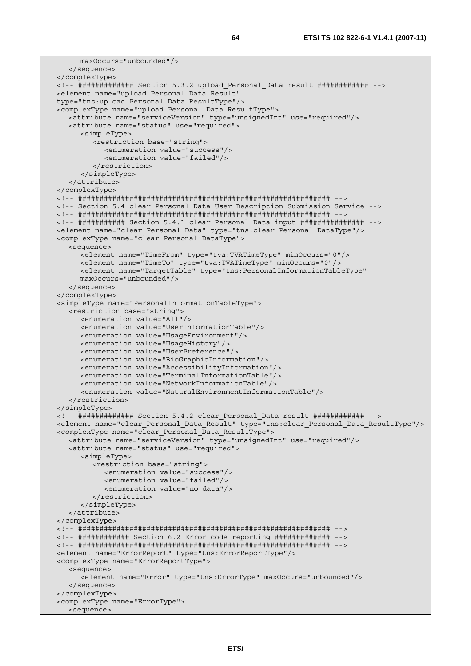```
 maxOccurs="unbounded"/> 
    </sequence> 
 </complexType> 
 <!-- ############# Section 5.3.2 upload_Personal_Data result ############ --> 
 <element name="upload_Personal_Data_Result" 
 type="tns:upload_Personal_Data_ResultType"/> 
 <complexType name="upload_Personal_Data_ResultType"> 
   <attribute name="serviceVersion" type="unsignedInt" use="required"/> 
   <attribute name="status" use="required"> 
      <simpleType> 
          <restriction base="string"> 
            <enumeration value="success"/> 
             <enumeration value="failed"/> 
          </restriction> 
       </simpleType> 
    </attribute> 
 </complexType> 
 <!-- ########################################################### --> 
 <!-- Section 5.4 clear_Personal_Data User Description Submission Service --> 
 <!-- ########################################################### --> 
 <!-- ########### Section 5.4.1 clear_Personal_Data input ############### --> 
 <element name="clear_Personal_Data" type="tns:clear_Personal_DataType"/> 
 <complexType name="clear_Personal_DataType"> 
   <sequence> 
       <element name="TimeFrom" type="tva:TVATimeType" minOccurs="0"/> 
       <element name="TimeTo" type="tva:TVATimeType" minOccurs="0"/> 
       <element name="TargetTable" type="tns:PersonalInformationTableType" 
       maxOccurs="unbounded"/> 
   </sequence> 
 </complexType> 
 <simpleType name="PersonalInformationTableType"> 
   <restriction base="string"> 
      <enumeration value="All"/> 
       <enumeration value="UserInformationTable"/> 
      <enumeration value="UsageEnvironment"/> 
      <enumeration value="UsageHistory"/> 
      <enumeration value="UserPreference"/> 
      <enumeration value="BioGraphicInformation"/> 
       <enumeration value="AccessibilityInformation"/> 
      <enumeration value="TerminalInformationTable"/> 
       <enumeration value="NetworkInformationTable"/> 
       <enumeration value="NaturalEnvironmentInformationTable"/> 
    </restriction> 
 </simpleType> 
 <!-- ############# Section 5.4.2 clear_Personal_Data result ############ --> 
 <element name="clear_Personal_Data_Result" type="tns:clear_Personal_Data_ResultType"/> 
 <complexType name="clear_Personal_Data_ResultType"> 
   <attribute name="serviceVersion" type="unsignedInt" use="required"/> 
   <attribute name="status" use="required"> 
       <simpleType> 
          <restriction base="string"> 
             <enumeration value="success"/> 
            <enumeration value="failed"/> 
             <enumeration value="no data"/> 
          </restriction> 
      </simpleType> 
   </attribute> 
 </complexType> 
 <!-- ########################################################### --> 
 <!-- ############ Section 6.2 Error code reporting ############# --> 
 <!-- ########################################################### --> 
 <element name="ErrorReport" type="tns:ErrorReportType"/> 
 <complexType name="ErrorReportType"> 
   <sequence> 
       <element name="Error" type="tns:ErrorType" maxOccurs="unbounded"/> 
    </sequence> 
 </complexType> 
 <complexType name="ErrorType"> 
   <sequence>
```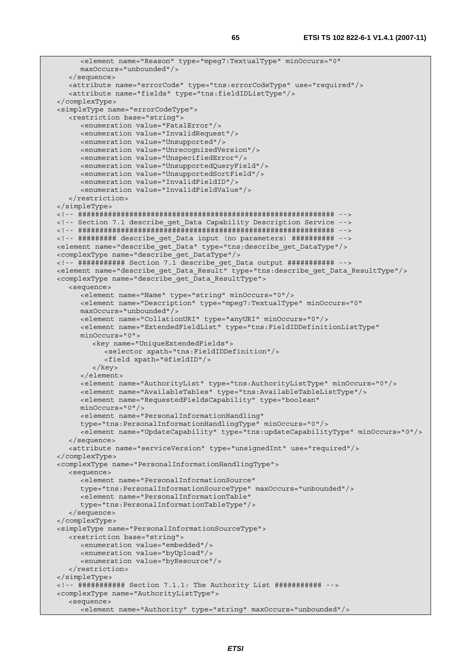```
 <element name="Reason" type="mpeg7:TextualType" minOccurs="0" 
      maxOccurs="unbounded"/> 
   </sequence> 
   <attribute name="errorCode" type="tns:errorCodeType" use="required"/> 
    <attribute name="fields" type="tns:fieldIDListType"/> 
 </complexType> 
 <simpleType name="errorCodeType"> 
    <restriction base="string"> 
      <enumeration value="FatalError"/> 
      <enumeration value="InvalidRequest"/> 
      <enumeration value="Unsupported"/> 
       <enumeration value="UnrecognizedVersion"/> 
      <enumeration value="UnspecifiedError"/> 
      <enumeration value="UnsupportedQueryField"/> 
      <enumeration value="UnsupportedSortField"/> 
      <enumeration value="InvalidFieldID"/> 
       <enumeration value="InvalidFieldValue"/> 
    </restriction> 
 </simpleType> 
 <!-- ############################################################ --> 
 <!-- Section 7.1 describe_get_Data Capability Description Service --> 
 <!-- ############################################################ --> 
 <!-- ######### describe_get_Data input (no parameters) ########## --> 
 <element name="describe_get_Data" type="tns:describe_get_DataType"/> 
 <complexType name="describe_get_DataType"/> 
 <!-- ########### Section 7.1 describe_get_Data output ########### --> 
 <element name="describe_get_Data_Result" type="tns:describe_get_Data_ResultType"/> 
 <complexType name="describe_get_Data_ResultType"> 
    <sequence> 
       <element name="Name" type="string" minOccurs="0"/> 
       <element name="Description" type="mpeg7:TextualType" minOccurs="0" 
      maxOccurs="unbounded"/> 
      <element name="CollationURI" type="anyURI" minOccurs="0"/> 
       <element name="ExtendedFieldList" type="tns:FieldIDDefinitionListType" 
      minOccurs="0"> 
          <key name="UniqueExtendedFields"> 
            <selector xpath="tns:FieldIDDefinition"/> 
            <field xpath="@fieldID"/> 
          </key> 
       </element> 
       <element name="AuthorityList" type="tns:AuthorityListType" minOccurs="0"/> 
      <element name="AvailableTables" type="tns:AvailableTableListType"/> 
      <element name="RequestedFieldsCapability" type="boolean" 
      minOccurs="0"/> 
       <element name="PersonalInformationHandling" 
      type="tns:PersonalInformationHandlingType" minOccurs="0"/> 
       <element name="UpdateCapability" type="tns:updateCapabilityType" minOccurs="0"/> 
    </sequence> 
    <attribute name="serviceVersion" type="unsignedInt" use="required"/> 
 </complexType> 
 <complexType name="PersonalInformationHandlingType"> 
    <sequence> 
      <element name="PersonalInformationSource" 
      type="tns:PersonalInformationSourceType" maxOccurs="unbounded"/> 
       <element name="PersonalInformationTable" 
       type="tns:PersonalInformationTableType"/> 
   </sequence> 
 </complexType> 
 <simpleType name="PersonalInformationSourceType"> 
    <restriction base="string"> 
       <enumeration value="embedded"/> 
      <enumeration value="byUpload"/> 
      <enumeration value="byResource"/> 
    </restriction> 
 </simpleType> 
 <!-- ########### Section 7.1.1: The Authority List ########### --> 
 <complexType name="AuthorityListType"> 
    <sequence> 
     <element name="Authority" type="string" maxOccurs="unbounded"/>
```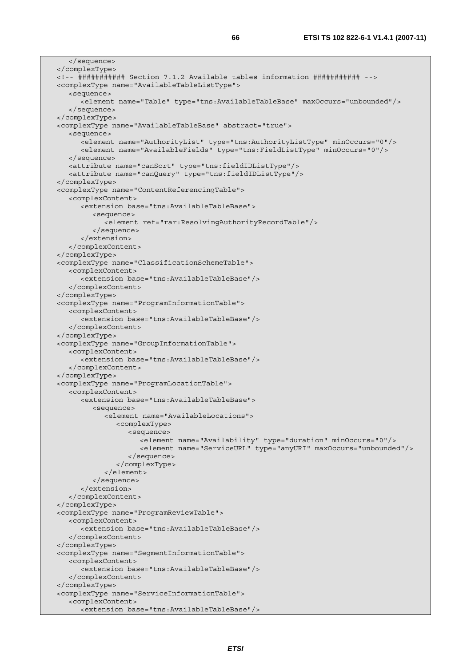</sequence> </complexType> <!-- ########### Section 7.1.2 Available tables information ########### --> <complexType name="AvailableTableListType"> <sequence> <element name="Table" type="tns:AvailableTableBase" maxOccurs="unbounded"/> </sequence> </complexType> <complexType name="AvailableTableBase" abstract="true"> <sequence> <element name="AuthorityList" type="tns:AuthorityListType" minOccurs="0"/> <element name="AvailableFields" type="tns:FieldListType" minOccurs="0"/> </sequence> <attribute name="canSort" type="tns:fieldIDListType"/> <attribute name="canQuery" type="tns:fieldIDListType"/> </complexType> <complexType name="ContentReferencingTable"> <complexContent> <extension base="tns:AvailableTableBase"> <sequence> <element ref="rar:ResolvingAuthorityRecordTable"/> </sequence> </extension> </complexContent> </complexType> <complexType name="ClassificationSchemeTable"> <complexContent> <extension base="tns:AvailableTableBase"/> </complexContent> </complexType> <complexType name="ProgramInformationTable"> <complexContent> <extension base="tns:AvailableTableBase"/> </complexContent> </complexType> <complexType name="GroupInformationTable"> <complexContent> <extension base="tns:AvailableTableBase"/> </complexContent> </complexType> <complexType name="ProgramLocationTable"> <complexContent> <extension base="tns:AvailableTableBase"> <sequence> <element name="AvailableLocations"> <complexType> <sequence> <element name="Availability" type="duration" minOccurs="0"/> <element name="ServiceURL" type="anyURI" maxOccurs="unbounded"/> </sequence> </complexType> </element> </sequence> </extension> </complexContent> </complexType> <complexType name="ProgramReviewTable"> <complexContent> <extension base="tns:AvailableTableBase"/> </complexContent> </complexType> <complexType name="SegmentInformationTable"> <complexContent> <extension base="tns:AvailableTableBase"/> </complexContent> </complexType> <complexType name="ServiceInformationTable"> <complexContent> <extension base="tns:AvailableTableBase"/>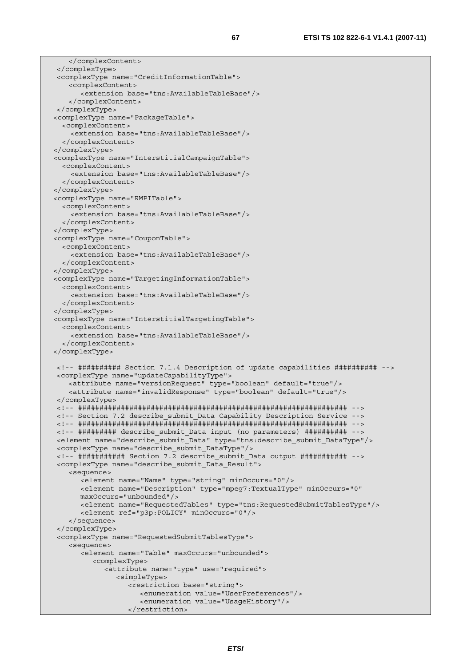```
 </complexContent> 
 </complexType> 
 <complexType name="CreditInformationTable"> 
    <complexContent> 
       <extension base="tns:AvailableTableBase"/> 
     </complexContent> 
 </complexType> 
 <complexType name="PackageTable"> 
   <complexContent> 
     <extension base="tns:AvailableTableBase"/> 
   </complexContent> 
 </complexType> 
 <complexType name="InterstitialCampaignTable"> 
   <complexContent> 
     <extension base="tns:AvailableTableBase"/> 
   </complexContent> 
 </complexType> 
 <complexType name="RMPITable"> 
   <complexContent> 
     <extension base="tns:AvailableTableBase"/> 
   </complexContent> 
 </complexType> 
 <complexType name="CouponTable"> 
   <complexContent> 
     <extension base="tns:AvailableTableBase"/> 
   </complexContent> 
 </complexType> 
 <complexType name="TargetingInformationTable"> 
   <complexContent> 
     <extension base="tns:AvailableTableBase"/> 
   </complexContent> 
 </complexType> 
 <complexType name="InterstitialTargetingTable"> 
   <complexContent> 
     <extension base="tns:AvailableTableBase"/> 
   </complexContent> 
 </complexType> 
 <!-- ########## Section 7.1.4 Description of update capabilities ########## --> 
 <complexType name="updateCapabilityType"> 
    <attribute name="versionRequest" type="boolean" default="true"/> 
    <attribute name="invalidResponse" type="boolean" default="true"/> 
 </complexType> 
 <!-- ############################################################### --> 
 <!-- Section 7.2 describe_submit_Data Capability Description Service --> 
 <!-- ############################################################### --> 
 <!-- ######### describe_submit_Data input (no parameters) ########## --> 
 <element name="describe_submit_Data" type="tns:describe_submit_DataType"/> 
 <complexType name="describe_submit_DataType"/> 
 <!-- ########### Section 7.2 describe_submit_Data output ########### --> 
 <complexType name="describe_submit_Data_Result"> 
    <sequence> 
       <element name="Name" type="string" minOccurs="0"/> 
       <element name="Description" type="mpeg7:TextualType" minOccurs="0" 
       maxOccurs="unbounded"/> 
       <element name="RequestedTables" type="tns:RequestedSubmitTablesType"/> 
       <element ref="p3p:POLICY" minOccurs="0"/> 
     </sequence> 
 </complexType> 
 <complexType name="RequestedSubmitTablesType"> 
     <sequence> 
       <element name="Table" maxOccurs="unbounded"> 
          <complexType> 
             <attribute name="type" use="required"> 
                <simpleType> 
                   <restriction base="string"> 
                      <enumeration value="UserPreferences"/> 
                      <enumeration value="UsageHistory"/> 
                   </restriction>
```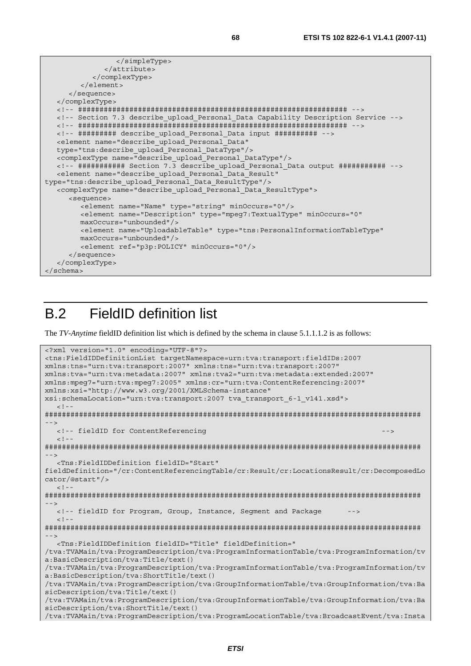```
 </simpleType> 
               </attribute> 
            </complexType> 
        \geq/element>
      </sequence> 
   </complexType> 
   <!-- ############################################################### --> 
   <!-- Section 7.3 describe_upload_Personal_Data Capability Description Service --> 
   <!-- ############################################################### --> 
   <!-- ######### describe_upload_Personal_Data input ########## --> 
   <element name="describe_upload_Personal_Data" 
   type="tns:describe_upload_Personal_DataType"/> 
   <complexType name="describe_upload_Personal_DataType"/> 
   <!-- ########### Section 7.3 describe_upload_Personal_Data output ########### --> 
   <element name="describe_upload_Personal_Data_Result" 
type="tns:describe_upload_Personal_Data_ResultType"/> 
   <complexType name="describe_upload_Personal_Data_ResultType"> 
      <sequence> 
         <element name="Name" type="string" minOccurs="0"/> 
         <element name="Description" type="mpeg7:TextualType" minOccurs="0" 
         maxOccurs="unbounded"/> 
         <element name="UploadableTable" type="tns:PersonalInformationTableType" 
         maxOccurs="unbounded"/> 
         <element ref="p3p:POLICY" minOccurs="0"/> 
      </sequence> 
   </complexType> 
</schema>
```
# B.2 FieldID definition list

The *TV-Anytime* fieldID definition list which is defined by the schema in clause 5.1.1.1.2 is as follows:

```
<?xml version="1.0" encoding="UTF-8"?> 
<tns:FieldIDDefinitionList targetNamespace=urn:tva:transport:fieldIDs:2007 
xmlns:tns="urn:tva:transport:2007" xmlns:tns="urn:tva:transport:2007" 
xmlns:tva="urn:tva:metadata:2007" xmlns:tva2="urn:tva:metadata:extended:2007" 
xmlns:mpeg7="urn:tva:mpeg7:2005" xmlns:cr="urn:tva:ContentReferencing:2007" 
xmlns:xsi="http://www.w3.org/2001/XMLSchema-instance" 
xsi:schemaLocation="urn:tva:transport:2007 tva_transport_6-1_v141.xsd"> 
  \leq ! -######################################################################################## 
 --> 
   <!-- fieldID for ContentReferencing --> 
  <! --
######################################################################################## 
--> 
   <Tns:FieldIDDefinition fieldID="Start" 
fieldDefinition="/cr:ContentReferencingTable/cr:Result/cr:LocationsResult/cr:DecomposedLo
cator/@start"/> 
  \geq 1 -######################################################################################## 
--> 
  <!-- fieldID for Program, Group, Instance, Segment and Package
  \leq ! -
######################################################################################## 
--> 
   <Tns:FieldIDDefinition fieldID="Title" fieldDefinition=" 
/tva:TVAMain/tva:ProgramDescription/tva:ProgramInformationTable/tva:ProgramInformation/tv
a:BasicDescription/tva:Title/text() 
/tva:TVAMain/tva:ProgramDescription/tva:ProgramInformationTable/tva:ProgramInformation/tv
a:BasicDescription/tva:ShortTitle/text() 
/tva:TVAMain/tva:ProgramDescription/tva:GroupInformationTable/tva:GroupInformation/tva:Ba
sicDescription/tva:Title/text() 
/tva:TVAMain/tva:ProgramDescription/tva:GroupInformationTable/tva:GroupInformation/tva:Ba
sicDescription/tva:ShortTitle/text() 
/tva:TVAMain/tva:ProgramDescription/tva:ProgramLocationTable/tva:BroadcastEvent/tva:Insta
```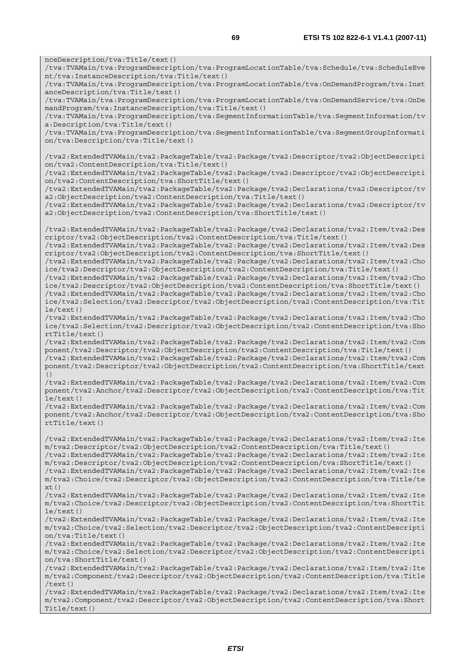nceDescription/tva:Title/text() /tva:TVAMain/tva:ProgramDescription/tva:ProgramLocationTable/tva:Schedule/tva:ScheduleEve nt/tva:InstanceDescription/tva:Title/text() /tva:TVAMain/tva:ProgramDescription/tva:ProgramLocationTable/tva:OnDemandProgram/tva:Inst anceDescription/tva:Title/text() /tva:TVAMain/tva:ProgramDescription/tva:ProgramLocationTable/tva:OnDemandService/tva:OnDe mandProgram/tva:InstanceDescription/tva:Title/text() /tva:TVAMain/tva:ProgramDescription/tva:SegmentInformationTable/tva:SegmentInformation/tv a:Description/tva:Title/text() /tva:TVAMain/tva:ProgramDescription/tva:SegmentInformationTable/tva:SegmentGroupInformati on/tva:Description/tva:Title/text() /tva2:ExtendedTVAMain/tva2:PackageTable/tva2:Package/tva2:Descriptor/tva2:ObjectDescripti on/tva2:ContentDescription/tva:Title/text() /tva2:ExtendedTVAMain/tva2:PackageTable/tva2:Package/tva2:Descriptor/tva2:ObjectDescripti on/tva2:ContentDescription/tva:ShortTitle/text() /tva2:ExtendedTVAMain/tva2:PackageTable/tva2:Package/tva2:Declarations/tva2:Descriptor/tv a2:ObjectDescription/tva2:ContentDescription/tva:Title/text() /tva2:ExtendedTVAMain/tva2:PackageTable/tva2:Package/tva2:Declarations/tva2:Descriptor/tv a2:ObjectDescription/tva2:ContentDescription/tva:ShortTitle/text() /tva2:ExtendedTVAMain/tva2:PackageTable/tva2:Package/tva2:Declarations/tva2:Item/tva2:Des criptor/tva2:ObjectDescription/tva2:ContentDescription/tva:Title/text() /tva2:ExtendedTVAMain/tva2:PackageTable/tva2:Package/tva2:Declarations/tva2:Item/tva2:Des criptor/tva2:ObjectDescription/tva2:ContentDescription/tva:ShortTitle/text() /tva2:ExtendedTVAMain/tva2:PackageTable/tva2:Package/tva2:Declarations/tva2:Item/tva2:Cho ice/tva2:Descriptor/tva2:ObjectDescription/tva2:ContentDescription/tva:Title/text() /tva2:ExtendedTVAMain/tva2:PackageTable/tva2:Package/tva2:Declarations/tva2:Item/tva2:Cho ice/tva2:Descriptor/tva2:ObjectDescription/tva2:ContentDescription/tva:ShortTitle/text() /tva2:ExtendedTVAMain/tva2:PackageTable/tva2:Package/tva2:Declarations/tva2:Item/tva2:Cho ice/tva2:Selection/tva2:Descriptor/tva2:ObjectDescription/tva2:ContentDescription/tva:Tit le/text() /tva2:ExtendedTVAMain/tva2:PackageTable/tva2:Package/tva2:Declarations/tva2:Item/tva2:Cho ice/tva2:Selection/tva2:Descriptor/tva2:ObjectDescription/tva2:ContentDescription/tva:Sho rtTitle/text() /tva2:ExtendedTVAMain/tva2:PackageTable/tva2:Package/tva2:Declarations/tva2:Item/tva2:Com ponent/tva2:Descriptor/tva2:ObjectDescription/tva2:ContentDescription/tva:Title/text() /tva2:ExtendedTVAMain/tva2:PackageTable/tva2:Package/tva2:Declarations/tva2:Item/tva2:Com ponent/tva2:Descriptor/tva2:ObjectDescription/tva2:ContentDescription/tva:ShortTitle/text /tva2:ExtendedTVAMain/tva2:PackageTable/tva2:Package/tva2:Declarations/tva2:Item/tva2:Com ponent/tva2:Anchor/tva2:Descriptor/tva2:ObjectDescription/tva2:ContentDescription/tva:Tit le/text() /tva2:ExtendedTVAMain/tva2:PackageTable/tva2:Package/tva2:Declarations/tva2:Item/tva2:Com ponent/tva2:Anchor/tva2:Descriptor/tva2:ObjectDescription/tva2:ContentDescription/tva:Sho rtTitle/text() /tva2:ExtendedTVAMain/tva2:PackageTable/tva2:Package/tva2:Declarations/tva2:Item/tva2:Ite m/tva2:Descriptor/tva2:ObjectDescription/tva2:ContentDescription/tva:Title/text() /tva2:ExtendedTVAMain/tva2:PackageTable/tva2:Package/tva2:Declarations/tva2:Item/tva2:Ite m/tva2:Descriptor/tva2:ObjectDescription/tva2:ContentDescription/tva:ShortTitle/text() /tva2:ExtendedTVAMain/tva2:PackageTable/tva2:Package/tva2:Declarations/tva2:Item/tva2:Ite m/tva2:Choice/tva2:Descriptor/tva2:ObjectDescription/tva2:ContentDescription/tva:Title/te  $xt()$ /tva2:ExtendedTVAMain/tva2:PackageTable/tva2:Package/tva2:Declarations/tva2:Item/tva2:Ite m/tva2:Choice/tva2:Descriptor/tva2:ObjectDescription/tva2:ContentDescription/tva:ShortTit le/text() /tva2:ExtendedTVAMain/tva2:PackageTable/tva2:Package/tva2:Declarations/tva2:Item/tva2:Ite m/tva2:Choice/tva2:Selection/tva2:Descriptor/tva2:ObjectDescription/tva2:ContentDescripti  $on/tva \cdot Title/text()$ /tva2:ExtendedTVAMain/tva2:PackageTable/tva2:Package/tva2:Declarations/tva2:Item/tva2:Ite m/tva2:Choice/tva2:Selection/tva2:Descriptor/tva2:ObjectDescription/tva2:ContentDescripti on/tva:ShortTitle/text() /tva2:ExtendedTVAMain/tva2:PackageTable/tva2:Package/tva2:Declarations/tva2:Item/tva2:Ite m/tva2:Component/tva2:Descriptor/tva2:ObjectDescription/tva2:ContentDescription/tva:Title /text()

()

/tva2:ExtendedTVAMain/tva2:PackageTable/tva2:Package/tva2:Declarations/tva2:Item/tva2:Ite m/tva2:Component/tva2:Descriptor/tva2:ObjectDescription/tva2:ContentDescription/tva:Short Title/text()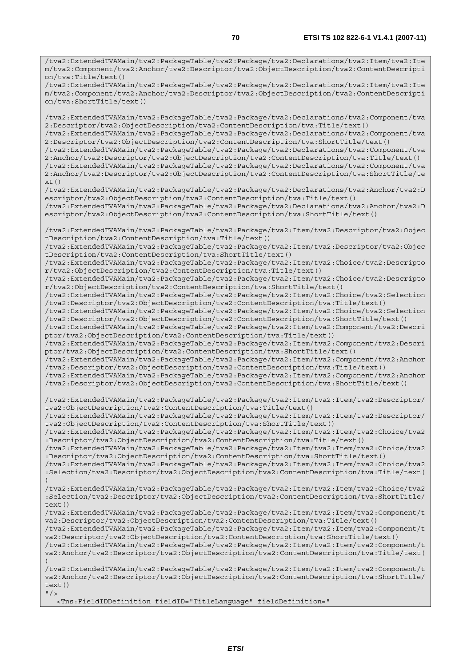/tva2:ExtendedTVAMain/tva2:PackageTable/tva2:Package/tva2:Declarations/tva2:Item/tva2:Ite m/tva2:Component/tva2:Anchor/tva2:Descriptor/tva2:ObjectDescription/tva2:ContentDescripti on/tva:ShortTitle/text()

/tva2:ExtendedTVAMain/tva2:PackageTable/tva2:Package/tva2:Declarations/tva2:Component/tva 2:Descriptor/tva2:ObjectDescription/tva2:ContentDescription/tva:Title/text() /tva2:ExtendedTVAMain/tva2:PackageTable/tva2:Package/tva2:Declarations/tva2:Component/tva

2:Descriptor/tva2:ObjectDescription/tva2:ContentDescription/tva:ShortTitle/text()

/tva2:ExtendedTVAMain/tva2:PackageTable/tva2:Package/tva2:Declarations/tva2:Component/tva 2:Anchor/tva2:Descriptor/tva2:ObjectDescription/tva2:ContentDescription/tva:Title/text()

/tva2:ExtendedTVAMain/tva2:PackageTable/tva2:Package/tva2:Declarations/tva2:Component/tva 2:Anchor/tva2:Descriptor/tva2:ObjectDescription/tva2:ContentDescription/tva:ShortTitle/te xt()

/tva2:ExtendedTVAMain/tva2:PackageTable/tva2:Package/tva2:Declarations/tva2:Anchor/tva2:D escriptor/tva2:ObjectDescription/tva2:ContentDescription/tva:Title/text()

/tva2:ExtendedTVAMain/tva2:PackageTable/tva2:Package/tva2:Declarations/tva2:Anchor/tva2:D escriptor/tva2:ObjectDescription/tva2:ContentDescription/tva:ShortTitle/text()

/tva2:ExtendedTVAMain/tva2:PackageTable/tva2:Package/tva2:Item/tva2:Descriptor/tva2:Objec tDescription/tva2:ContentDescription/tva:Title/text()

/tva2:ExtendedTVAMain/tva2:PackageTable/tva2:Package/tva2:Item/tva2:Descriptor/tva2:Objec tDescription/tva2:ContentDescription/tva:ShortTitle/text()

/tva2:ExtendedTVAMain/tva2:PackageTable/tva2:Package/tva2:Item/tva2:Choice/tva2:Descripto r/tva2:ObjectDescription/tva2:ContentDescription/tva:Title/text()

/tva2:ExtendedTVAMain/tva2:PackageTable/tva2:Package/tva2:Item/tva2:Choice/tva2:Descripto r/tva2:ObjectDescription/tva2:ContentDescription/tva:ShortTitle/text()

/tva2:ExtendedTVAMain/tva2:PackageTable/tva2:Package/tva2:Item/tva2:Choice/tva2:Selection /tva2:Descriptor/tva2:ObjectDescription/tva2:ContentDescription/tva:Title/text()

/tva2:ExtendedTVAMain/tva2:PackageTable/tva2:Package/tva2:Item/tva2:Choice/tva2:Selection /tva2:Descriptor/tva2:ObjectDescription/tva2:ContentDescription/tva:ShortTitle/text() /tva2:ExtendedTVAMain/tva2:PackageTable/tva2:Package/tva2:Item/tva2:Component/tva2:Descri ptor/tva2:ObjectDescription/tva2:ContentDescription/tva:Title/text()

/tva2:ExtendedTVAMain/tva2:PackageTable/tva2:Package/tva2:Item/tva2:Component/tva2:Descri ptor/tva2:ObjectDescription/tva2:ContentDescription/tva:ShortTitle/text()

/tva2:ExtendedTVAMain/tva2:PackageTable/tva2:Package/tva2:Item/tva2:Component/tva2:Anchor /tva2:Descriptor/tva2:ObjectDescription/tva2:ContentDescription/tva:Title/text()

/tva2:ExtendedTVAMain/tva2:PackageTable/tva2:Package/tva2:Item/tva2:Component/tva2:Anchor /tva2:Descriptor/tva2:ObjectDescription/tva2:ContentDescription/tva:ShortTitle/text()

/tva2:ExtendedTVAMain/tva2:PackageTable/tva2:Package/tva2:Item/tva2:Item/tva2:Descriptor/ tva2:ObjectDescription/tva2:ContentDescription/tva:Title/text()

/tva2:ExtendedTVAMain/tva2:PackageTable/tva2:Package/tva2:Item/tva2:Item/tva2:Descriptor/ tva2:ObjectDescription/tva2:ContentDescription/tva:ShortTitle/text()

/tva2:ExtendedTVAMain/tva2:PackageTable/tva2:Package/tva2:Item/tva2:Item/tva2:Choice/tva2 :Descriptor/tva2:ObjectDescription/tva2:ContentDescription/tva:Title/text()

/tva2:ExtendedTVAMain/tva2:PackageTable/tva2:Package/tva2:Item/tva2:Item/tva2:Choice/tva2 :Descriptor/tva2:ObjectDescription/tva2:ContentDescription/tva:ShortTitle/text()

/tva2:ExtendedTVAMain/tva2:PackageTable/tva2:Package/tva2:Item/tva2:Item/tva2:Choice/tva2 :Selection/tva2:Descriptor/tva2:ObjectDescription/tva2:ContentDescription/tva:Title/text( )

/tva2:ExtendedTVAMain/tva2:PackageTable/tva2:Package/tva2:Item/tva2:Item/tva2:Choice/tva2 :Selection/tva2:Descriptor/tva2:ObjectDescription/tva2:ContentDescription/tva:ShortTitle/ text()

/tva2:ExtendedTVAMain/tva2:PackageTable/tva2:Package/tva2:Item/tva2:Item/tva2:Component/t va2:Descriptor/tva2:ObjectDescription/tva2:ContentDescription/tva:Title/text()

/tva2:ExtendedTVAMain/tva2:PackageTable/tva2:Package/tva2:Item/tva2:Item/tva2:Component/t va2:Descriptor/tva2:ObjectDescription/tva2:ContentDescription/tva:ShortTitle/text()

/tva2:ExtendedTVAMain/tva2:PackageTable/tva2:Package/tva2:Item/tva2:Item/tva2:Component/t va2:Anchor/tva2:Descriptor/tva2:ObjectDescription/tva2:ContentDescription/tva:Title/text( )

/tva2:ExtendedTVAMain/tva2:PackageTable/tva2:Package/tva2:Item/tva2:Item/tva2:Component/t va2:Anchor/tva2:Descriptor/tva2:ObjectDescription/tva2:ContentDescription/tva:ShortTitle/ text()  $''$ />

<Tns:FieldIDDefinition fieldID="TitleLanguage" fieldDefinition="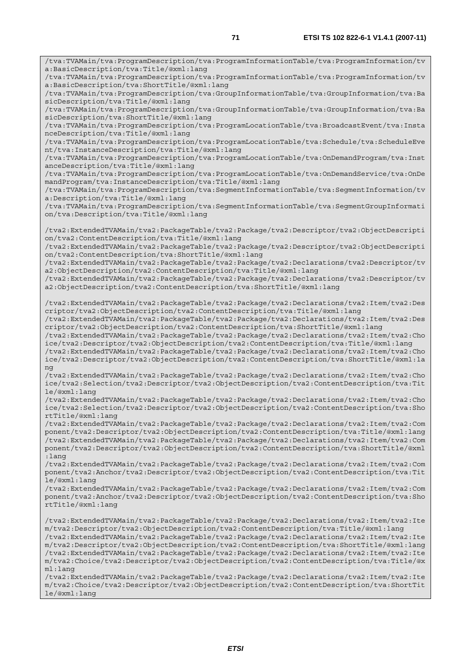/tva:TVAMain/tva:ProgramDescription/tva:ProgramInformationTable/tva:ProgramInformation/tv a:BasicDescription/tva:Title/@xml:lang /tva:TVAMain/tva:ProgramDescription/tva:ProgramInformationTable/tva:ProgramInformation/tv a:BasicDescription/tva:ShortTitle/@xml:lang /tva:TVAMain/tva:ProgramDescription/tva:GroupInformationTable/tva:GroupInformation/tva:Ba sicDescription/tva:Title/@xml:lang /tva:TVAMain/tva:ProgramDescription/tva:GroupInformationTable/tva:GroupInformation/tva:Ba sicDescription/tva:ShortTitle/@xml:lang /tva:TVAMain/tva:ProgramDescription/tva:ProgramLocationTable/tva:BroadcastEvent/tva:Insta nceDescription/tva:Title/@xml:lang /tva:TVAMain/tva:ProgramDescription/tva:ProgramLocationTable/tva:Schedule/tva:ScheduleEve nt/tva:InstanceDescription/tva:Title/@xml:lang /tva:TVAMain/tva:ProgramDescription/tva:ProgramLocationTable/tva:OnDemandProgram/tva:Inst anceDescription/tva:Title/@xml:lang /tva:TVAMain/tva:ProgramDescription/tva:ProgramLocationTable/tva:OnDemandService/tva:OnDe mandProgram/tva:InstanceDescription/tva:Title/@xml:lang /tva:TVAMain/tva:ProgramDescription/tva:SegmentInformationTable/tva:SegmentInformation/tv a:Description/tva:Title/@xml:lang /tva:TVAMain/tva:ProgramDescription/tva:SegmentInformationTable/tva:SegmentGroupInformati on/tva:Description/tva:Title/@xml:lang /tva2:ExtendedTVAMain/tva2:PackageTable/tva2:Package/tva2:Descriptor/tva2:ObjectDescripti on/tva2:ContentDescription/tva:Title/@xml:lang /tva2:ExtendedTVAMain/tva2:PackageTable/tva2:Package/tva2:Descriptor/tva2:ObjectDescripti on/tva2:ContentDescription/tva:ShortTitle/@xml:lang /tva2:ExtendedTVAMain/tva2:PackageTable/tva2:Package/tva2:Declarations/tva2:Descriptor/tv a2:ObjectDescription/tva2:ContentDescription/tva:Title/@xml:lang /tva2:ExtendedTVAMain/tva2:PackageTable/tva2:Package/tva2:Declarations/tva2:Descriptor/tv a2:ObjectDescription/tva2:ContentDescription/tva:ShortTitle/@xml:lang /tva2:ExtendedTVAMain/tva2:PackageTable/tva2:Package/tva2:Declarations/tva2:Item/tva2:Des criptor/tva2:ObjectDescription/tva2:ContentDescription/tva:Title/@xml:lang /tva2:ExtendedTVAMain/tva2:PackageTable/tva2:Package/tva2:Declarations/tva2:Item/tva2:Des criptor/tva2:ObjectDescription/tva2:ContentDescription/tva:ShortTitle/@xml:lang /tva2:ExtendedTVAMain/tva2:PackageTable/tva2:Package/tva2:Declarations/tva2:Item/tva2:Cho ice/tva2:Descriptor/tva2:ObjectDescription/tva2:ContentDescription/tva:Title/@xml:lang /tva2:ExtendedTVAMain/tva2:PackageTable/tva2:Package/tva2:Declarations/tva2:Item/tva2:Cho ice/tva2:Descriptor/tva2:ObjectDescription/tva2:ContentDescription/tva:ShortTitle/@xml:la ng /tva2:ExtendedTVAMain/tva2:PackageTable/tva2:Package/tva2:Declarations/tva2:Item/tva2:Cho ice/tva2:Selection/tva2:Descriptor/tva2:ObjectDescription/tva2:ContentDescription/tva:Tit le/@xml:lang /tva2:ExtendedTVAMain/tva2:PackageTable/tva2:Package/tva2:Declarations/tva2:Item/tva2:Cho ice/tva2:Selection/tva2:Descriptor/tva2:ObjectDescription/tva2:ContentDescription/tva:Sho rtTitle/@xml:lang /tva2:ExtendedTVAMain/tva2:PackageTable/tva2:Package/tva2:Declarations/tva2:Item/tva2:Com ponent/tva2:Descriptor/tva2:ObjectDescription/tva2:ContentDescription/tva:Title/@xml:lang /tva2:ExtendedTVAMain/tva2:PackageTable/tva2:Package/tva2:Declarations/tva2:Item/tva2:Com ponent/tva2:Descriptor/tva2:ObjectDescription/tva2:ContentDescription/tva:ShortTitle/@xml :lang /tva2:ExtendedTVAMain/tva2:PackageTable/tva2:Package/tva2:Declarations/tva2:Item/tva2:Com ponent/tva2:Anchor/tva2:Descriptor/tva2:ObjectDescription/tva2:ContentDescription/tva:Tit le/@xml:lang /tva2:ExtendedTVAMain/tva2:PackageTable/tva2:Package/tva2:Declarations/tva2:Item/tva2:Com ponent/tva2:Anchor/tva2:Descriptor/tva2:ObjectDescription/tva2:ContentDescription/tva:Sho rtTitle/@xml:lang /tva2:ExtendedTVAMain/tva2:PackageTable/tva2:Package/tva2:Declarations/tva2:Item/tva2:Ite m/tva2:Descriptor/tva2:ObjectDescription/tva2:ContentDescription/tva:Title/@xml:lang /tva2:ExtendedTVAMain/tva2:PackageTable/tva2:Package/tva2:Declarations/tva2:Item/tva2:Ite m/tva2:Descriptor/tva2:ObjectDescription/tva2:ContentDescription/tva:ShortTitle/@xml:lang /tva2:ExtendedTVAMain/tva2:PackageTable/tva2:Package/tva2:Declarations/tva2:Item/tva2:Ite m/tva2:Choice/tva2:Descriptor/tva2:ObjectDescription/tva2:ContentDescription/tva:Title/@x ml:lang /tva2:ExtendedTVAMain/tva2:PackageTable/tva2:Package/tva2:Declarations/tva2:Item/tva2:Ite m/tva2:Choice/tva2:Descriptor/tva2:ObjectDescription/tva2:ContentDescription/tva:ShortTit

le/@xml:lang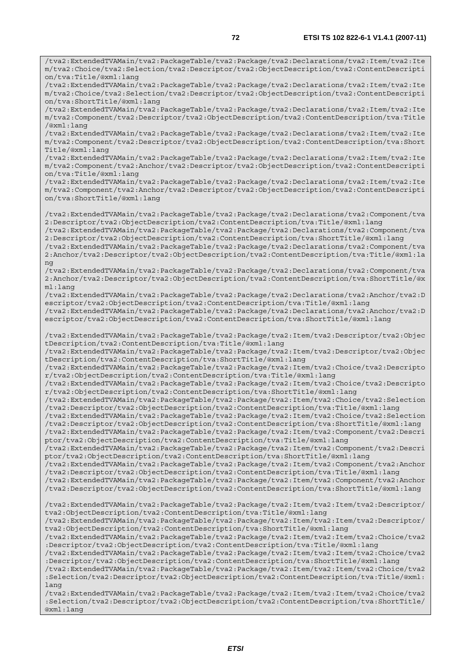/tva2:ExtendedTVAMain/tva2:PackageTable/tva2:Package/tva2:Declarations/tva2:Item/tva2:Ite m/tva2:Choice/tva2:Selection/tva2:Descriptor/tva2:ObjectDescription/tva2:ContentDescripti

on/tva:Title/@xml:lang

/tva2:ExtendedTVAMain/tva2:PackageTable/tva2:Package/tva2:Declarations/tva2:Item/tva2:Ite m/tva2:Choice/tva2:Selection/tva2:Descriptor/tva2:ObjectDescription/tva2:ContentDescripti on/tva:ShortTitle/@xml:lang /tva2:ExtendedTVAMain/tva2:PackageTable/tva2:Package/tva2:Declarations/tva2:Item/tva2:Ite m/tva2:Component/tva2:Descriptor/tva2:ObjectDescription/tva2:ContentDescription/tva:Title /@xml:lang /tva2:ExtendedTVAMain/tva2:PackageTable/tva2:Package/tva2:Declarations/tva2:Item/tva2:Ite m/tva2:Component/tva2:Descriptor/tva2:ObjectDescription/tva2:ContentDescription/tva:Short Title/@xml:lang /tva2:ExtendedTVAMain/tva2:PackageTable/tva2:Package/tva2:Declarations/tva2:Item/tva2:Ite m/tva2:Component/tva2:Anchor/tva2:Descriptor/tva2:ObjectDescription/tva2:ContentDescripti on/tva:Title/@xml:lang /tva2:ExtendedTVAMain/tva2:PackageTable/tva2:Package/tva2:Declarations/tva2:Item/tva2:Ite m/tva2:Component/tva2:Anchor/tva2:Descriptor/tva2:ObjectDescription/tva2:ContentDescripti on/tva:ShortTitle/@xml:lang /tva2:ExtendedTVAMain/tva2:PackageTable/tva2:Package/tva2:Declarations/tva2:Component/tva 2:Descriptor/tva2:ObjectDescription/tva2:ContentDescription/tva:Title/@xml:lang /tva2:ExtendedTVAMain/tva2:PackageTable/tva2:Package/tva2:Declarations/tva2:Component/tva 2:Descriptor/tva2:ObjectDescription/tva2:ContentDescription/tva:ShortTitle/@xml:lang /tva2:ExtendedTVAMain/tva2:PackageTable/tva2:Package/tva2:Declarations/tva2:Component/tva 2:Anchor/tva2:Descriptor/tva2:ObjectDescription/tva2:ContentDescription/tva:Title/@xml:la ng /tva2:ExtendedTVAMain/tva2:PackageTable/tva2:Package/tva2:Declarations/tva2:Component/tva 2:Anchor/tva2:Descriptor/tva2:ObjectDescription/tva2:ContentDescription/tva:ShortTitle/@x ml:lang /tva2:ExtendedTVAMain/tva2:PackageTable/tva2:Package/tva2:Declarations/tva2:Anchor/tva2:D escriptor/tva2:ObjectDescription/tva2:ContentDescription/tva:Title/@xml:lang /tva2:ExtendedTVAMain/tva2:PackageTable/tva2:Package/tva2:Declarations/tva2:Anchor/tva2:D escriptor/tva2:ObjectDescription/tva2:ContentDescription/tva:ShortTitle/@xml:lang /tva2:ExtendedTVAMain/tva2:PackageTable/tva2:Package/tva2:Item/tva2:Descriptor/tva2:Objec tDescription/tva2:ContentDescription/tva:Title/@xml:lang /tva2:ExtendedTVAMain/tva2:PackageTable/tva2:Package/tva2:Item/tva2:Descriptor/tva2:Objec tDescription/tva2:ContentDescription/tva:ShortTitle/@xml:lang /tva2:ExtendedTVAMain/tva2:PackageTable/tva2:Package/tva2:Item/tva2:Choice/tva2:Descripto r/tva2:ObjectDescription/tva2:ContentDescription/tva:Title/@xml:lang /tva2:ExtendedTVAMain/tva2:PackageTable/tva2:Package/tva2:Item/tva2:Choice/tva2:Descripto r/tva2:ObjectDescription/tva2:ContentDescription/tva:ShortTitle/@xml:lang /tva2:ExtendedTVAMain/tva2:PackageTable/tva2:Package/tva2:Item/tva2:Choice/tva2:Selection /tva2:Descriptor/tva2:ObjectDescription/tva2:ContentDescription/tva:Title/@xml:lang /tva2:ExtendedTVAMain/tva2:PackageTable/tva2:Package/tva2:Item/tva2:Choice/tva2:Selection /tva2:Descriptor/tva2:ObjectDescription/tva2:ContentDescription/tva:ShortTitle/@xml:lang /tva2:ExtendedTVAMain/tva2:PackageTable/tva2:Package/tva2:Item/tva2:Component/tva2:Descri ptor/tva2:ObjectDescription/tva2:ContentDescription/tva:Title/@xml:lang /tva2:ExtendedTVAMain/tva2:PackageTable/tva2:Package/tva2:Item/tva2:Component/tva2:Descri ptor/tva2:ObjectDescription/tva2:ContentDescription/tva:ShortTitle/@xml:lang /tva2:ExtendedTVAMain/tva2:PackageTable/tva2:Package/tva2:Item/tva2:Component/tva2:Anchor /tva2:Descriptor/tva2:ObjectDescription/tva2:ContentDescription/tva:Title/@xml:lang /tva2:ExtendedTVAMain/tva2:PackageTable/tva2:Package/tva2:Item/tva2:Component/tva2:Anchor /tva2:Descriptor/tva2:ObjectDescription/tva2:ContentDescription/tva:ShortTitle/@xml:lang /tva2:ExtendedTVAMain/tva2:PackageTable/tva2:Package/tva2:Item/tva2:Item/tva2:Descriptor/ tva2:ObjectDescription/tva2:ContentDescription/tva:Title/@xml:lang /tva2:ExtendedTVAMain/tva2:PackageTable/tva2:Package/tva2:Item/tva2:Item/tva2:Descriptor/ tva2:ObjectDescription/tva2:ContentDescription/tva:ShortTitle/@xml:lang /tva2:ExtendedTVAMain/tva2:PackageTable/tva2:Package/tva2:Item/tva2:Item/tva2:Choice/tva2 :Descriptor/tva2:ObjectDescription/tva2:ContentDescription/tva:Title/@xml:lang /tva2:ExtendedTVAMain/tva2:PackageTable/tva2:Package/tva2:Item/tva2:Item/tva2:Choice/tva2 :Descriptor/tva2:ObjectDescription/tva2:ContentDescription/tva:ShortTitle/@xml:lang /tva2:ExtendedTVAMain/tva2:PackageTable/tva2:Package/tva2:Item/tva2:Item/tva2:Choice/tva2 :Selection/tva2:Descriptor/tva2:ObjectDescription/tva2:ContentDescription/tva:Title/@xml: lang /tva2:ExtendedTVAMain/tva2:PackageTable/tva2:Package/tva2:Item/tva2:Item/tva2:Choice/tva2 :Selection/tva2:Descriptor/tva2:ObjectDescription/tva2:ContentDescription/tva:ShortTitle/ @xml:lang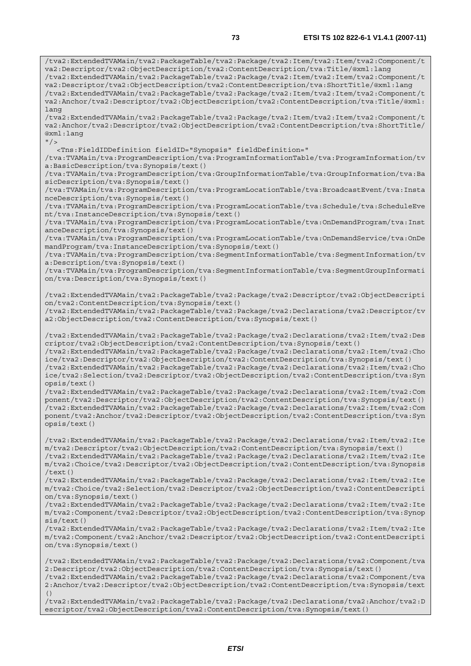/tva2:ExtendedTVAMain/tva2:PackageTable/tva2:Package/tva2:Item/tva2:Item/tva2:Component/t va2:Descriptor/tva2:ObjectDescription/tva2:ContentDescription/tva:Title/@xml:lang /tva2:ExtendedTVAMain/tva2:PackageTable/tva2:Package/tva2:Item/tva2:Item/tva2:Component/t va2:Descriptor/tva2:ObjectDescription/tva2:ContentDescription/tva:ShortTitle/@xml:lang /tva2:ExtendedTVAMain/tva2:PackageTable/tva2:Package/tva2:Item/tva2:Item/tva2:Component/t va2:Anchor/tva2:Descriptor/tva2:ObjectDescription/tva2:ContentDescription/tva:Title/@xml: lang /tva2:ExtendedTVAMain/tva2:PackageTable/tva2:Package/tva2:Item/tva2:Item/tva2:Component/t va2:Anchor/tva2:Descriptor/tva2:ObjectDescription/tva2:ContentDescription/tva:ShortTitle/ @xml:lang  $"$ /> <Tns:FieldIDDefinition fieldID="Synopsis" fieldDefinition=" /tva:TVAMain/tva:ProgramDescription/tva:ProgramInformationTable/tva:ProgramInformation/tv a:BasicDescription/tva:Synopsis/text() /tva:TVAMain/tva:ProgramDescription/tva:GroupInformationTable/tva:GroupInformation/tva:Ba sicDescription/tva:Synopsis/text() /tva:TVAMain/tva:ProgramDescription/tva:ProgramLocationTable/tva:BroadcastEvent/tva:Insta nceDescription/tva:Synopsis/text() /tva:TVAMain/tva:ProgramDescription/tva:ProgramLocationTable/tva:Schedule/tva:ScheduleEve nt/tva:InstanceDescription/tva:Synopsis/text() /tva:TVAMain/tva:ProgramDescription/tva:ProgramLocationTable/tva:OnDemandProgram/tva:Inst anceDescription/tva:Synopsis/text() /tva:TVAMain/tva:ProgramDescription/tva:ProgramLocationTable/tva:OnDemandService/tva:OnDe mandProgram/tva:InstanceDescription/tva:Synopsis/text() /tva:TVAMain/tva:ProgramDescription/tva:SegmentInformationTable/tva:SegmentInformation/tv a:Description/tva:Synopsis/text() /tva:TVAMain/tva:ProgramDescription/tva:SegmentInformationTable/tva:SegmentGroupInformati on/tva:Description/tva:Synopsis/text() /tva2:ExtendedTVAMain/tva2:PackageTable/tva2:Package/tva2:Descriptor/tva2:ObjectDescripti on/tva2:ContentDescription/tva:Synopsis/text() /tva2:ExtendedTVAMain/tva2:PackageTable/tva2:Package/tva2:Declarations/tva2:Descriptor/tv a2:ObjectDescription/tva2:ContentDescription/tva:Synopsis/text() /tva2:ExtendedTVAMain/tva2:PackageTable/tva2:Package/tva2:Declarations/tva2:Item/tva2:Des criptor/tva2:ObjectDescription/tva2:ContentDescription/tva:Synopsis/text() /tva2:ExtendedTVAMain/tva2:PackageTable/tva2:Package/tva2:Declarations/tva2:Item/tva2:Cho ice/tva2:Descriptor/tva2:ObjectDescription/tva2:ContentDescription/tva:Synopsis/text() /tva2:ExtendedTVAMain/tva2:PackageTable/tva2:Package/tva2:Declarations/tva2:Item/tva2:Cho ice/tva2:Selection/tva2:Descriptor/tva2:ObjectDescription/tva2:ContentDescription/tva:Syn opsis/text() /tva2:ExtendedTVAMain/tva2:PackageTable/tva2:Package/tva2:Declarations/tva2:Item/tva2:Com ponent/tva2:Descriptor/tva2:ObjectDescription/tva2:ContentDescription/tva:Synopsis/text() /tva2:ExtendedTVAMain/tva2:PackageTable/tva2:Package/tva2:Declarations/tva2:Item/tva2:Com ponent/tva2:Anchor/tva2:Descriptor/tva2:ObjectDescription/tva2:ContentDescription/tva:Syn opsis/text() /tva2:ExtendedTVAMain/tva2:PackageTable/tva2:Package/tva2:Declarations/tva2:Item/tva2:Ite m/tva2:Descriptor/tva2:ObjectDescription/tva2:ContentDescription/tva:Synopsis/text() /tva2:ExtendedTVAMain/tva2:PackageTable/tva2:Package/tva2:Declarations/tva2:Item/tva2:Ite m/tva2:Choice/tva2:Descriptor/tva2:ObjectDescription/tva2:ContentDescription/tva:Synopsis /text() /tva2:ExtendedTVAMain/tva2:PackageTable/tva2:Package/tva2:Declarations/tva2:Item/tva2:Ite m/tva2:Choice/tva2:Selection/tva2:Descriptor/tva2:ObjectDescription/tva2:ContentDescripti on/tva:Synopsis/text() /tva2:ExtendedTVAMain/tva2:PackageTable/tva2:Package/tva2:Declarations/tva2:Item/tva2:Ite m/tva2:Component/tva2:Descriptor/tva2:ObjectDescription/tva2:ContentDescription/tva:Synop sis/text() /tva2:ExtendedTVAMain/tva2:PackageTable/tva2:Package/tva2:Declarations/tva2:Item/tva2:Ite m/tva2:Component/tva2:Anchor/tva2:Descriptor/tva2:ObjectDescription/tva2:ContentDescripti on/tva:Synopsis/text() /tva2:ExtendedTVAMain/tva2:PackageTable/tva2:Package/tva2:Declarations/tva2:Component/tva 2:Descriptor/tva2:ObjectDescription/tva2:ContentDescription/tva:Synopsis/text() /tva2:ExtendedTVAMain/tva2:PackageTable/tva2:Package/tva2:Declarations/tva2:Component/tva 2:Anchor/tva2:Descriptor/tva2:ObjectDescription/tva2:ContentDescription/tva:Synopsis/text

 $($ )

/tva2:ExtendedTVAMain/tva2:PackageTable/tva2:Package/tva2:Declarations/tva2:Anchor/tva2:D escriptor/tva2:ObjectDescription/tva2:ContentDescription/tva:Synopsis/text()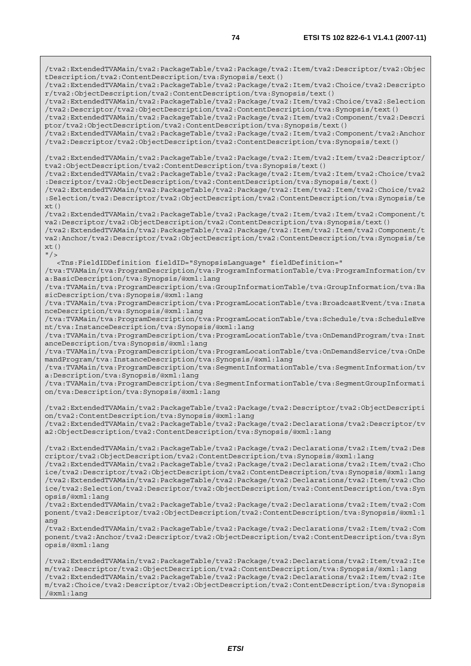/tva2:ExtendedTVAMain/tva2:PackageTable/tva2:Package/tva2:Item/tva2:Descriptor/tva2:Objec tDescription/tva2:ContentDescription/tva:Synopsis/text() /tva2:ExtendedTVAMain/tva2:PackageTable/tva2:Package/tva2:Item/tva2:Choice/tva2:Descripto r/tva2:ObjectDescription/tva2:ContentDescription/tva:Synopsis/text() /tva2:ExtendedTVAMain/tva2:PackageTable/tva2:Package/tva2:Item/tva2:Choice/tva2:Selection /tva2:Descriptor/tva2:ObjectDescription/tva2:ContentDescription/tva:Synopsis/text() /tva2:ExtendedTVAMain/tva2:PackageTable/tva2:Package/tva2:Item/tva2:Component/tva2:Descri ptor/tva2:ObjectDescription/tva2:ContentDescription/tva:Synopsis/text() /tva2:ExtendedTVAMain/tva2:PackageTable/tva2:Package/tva2:Item/tva2:Component/tva2:Anchor /tva2:Descriptor/tva2:ObjectDescription/tva2:ContentDescription/tva:Synopsis/text() /tva2:ExtendedTVAMain/tva2:PackageTable/tva2:Package/tva2:Item/tva2:Item/tva2:Descriptor/ tva2:ObjectDescription/tva2:ContentDescription/tva:Synopsis/text() /tva2:ExtendedTVAMain/tva2:PackageTable/tva2:Package/tva2:Item/tva2:Item/tva2:Choice/tva2 :Descriptor/tva2:ObjectDescription/tva2:ContentDescription/tva:Synopsis/text() /tva2:ExtendedTVAMain/tva2:PackageTable/tva2:Package/tva2:Item/tva2:Item/tva2:Choice/tva2 :Selection/tva2:Descriptor/tva2:ObjectDescription/tva2:ContentDescription/tva:Synopsis/te  $xt()$ /tva2:ExtendedTVAMain/tva2:PackageTable/tva2:Package/tva2:Item/tva2:Item/tva2:Component/t va2:Descriptor/tva2:ObjectDescription/tva2:ContentDescription/tva:Synopsis/text() /tva2:ExtendedTVAMain/tva2:PackageTable/tva2:Package/tva2:Item/tva2:Item/tva2:Component/t va2:Anchor/tva2:Descriptor/tva2:ObjectDescription/tva2:ContentDescription/tva:Synopsis/te  $xt()$  $"$  /> <Tns:FieldIDDefinition fieldID="SynopsisLanguage" fieldDefinition=" /tva:TVAMain/tva:ProgramDescription/tva:ProgramInformationTable/tva:ProgramInformation/tv a:BasicDescription/tva:Synopsis/@xml:lang /tva:TVAMain/tva:ProgramDescription/tva:GroupInformationTable/tva:GroupInformation/tva:Ba sicDescription/tva:Synopsis/@xml:lang /tva:TVAMain/tva:ProgramDescription/tva:ProgramLocationTable/tva:BroadcastEvent/tva:Insta nceDescription/tva:Synopsis/@xml:lang /tva:TVAMain/tva:ProgramDescription/tva:ProgramLocationTable/tva:Schedule/tva:ScheduleEve nt/tva:InstanceDescription/tva:Synopsis/@xml:lang /tva:TVAMain/tva:ProgramDescription/tva:ProgramLocationTable/tva:OnDemandProgram/tva:Inst anceDescription/tva:Synopsis/@xml:lang /tva:TVAMain/tva:ProgramDescription/tva:ProgramLocationTable/tva:OnDemandService/tva:OnDe mandProgram/tva:InstanceDescription/tva:Synopsis/@xml:lang /tva:TVAMain/tva:ProgramDescription/tva:SegmentInformationTable/tva:SegmentInformation/tv a:Description/tva:Synopsis/@xml:lang /tva:TVAMain/tva:ProgramDescription/tva:SegmentInformationTable/tva:SegmentGroupInformati on/tva:Description/tva:Synopsis/@xml:lang /tva2:ExtendedTVAMain/tva2:PackageTable/tva2:Package/tva2:Descriptor/tva2:ObjectDescripti on/tva2:ContentDescription/tva:Synopsis/@xml:lang /tva2:ExtendedTVAMain/tva2:PackageTable/tva2:Package/tva2:Declarations/tva2:Descriptor/tv a2:ObjectDescription/tva2:ContentDescription/tva:Synopsis/@xml:lang /tva2:ExtendedTVAMain/tva2:PackageTable/tva2:Package/tva2:Declarations/tva2:Item/tva2:Des criptor/tva2:ObjectDescription/tva2:ContentDescription/tva:Synopsis/@xml:lang /tva2:ExtendedTVAMain/tva2:PackageTable/tva2:Package/tva2:Declarations/tva2:Item/tva2:Cho ice/tva2:Descriptor/tva2:ObjectDescription/tva2:ContentDescription/tva:Synopsis/@xml:lang /tva2:ExtendedTVAMain/tva2:PackageTable/tva2:Package/tva2:Declarations/tva2:Item/tva2:Cho ice/tva2:Selection/tva2:Descriptor/tva2:ObjectDescription/tva2:ContentDescription/tva:Syn opsis/@xml:lang /tva2:ExtendedTVAMain/tva2:PackageTable/tva2:Package/tva2:Declarations/tva2:Item/tva2:Com ponent/tva2:Descriptor/tva2:ObjectDescription/tva2:ContentDescription/tva:Synopsis/@xml:l ang /tva2:ExtendedTVAMain/tva2:PackageTable/tva2:Package/tva2:Declarations/tva2:Item/tva2:Com ponent/tva2:Anchor/tva2:Descriptor/tva2:ObjectDescription/tva2:ContentDescription/tva:Syn opsis/@xml:lang /tva2:ExtendedTVAMain/tva2:PackageTable/tva2:Package/tva2:Declarations/tva2:Item/tva2:Ite m/tva2:Descriptor/tva2:ObjectDescription/tva2:ContentDescription/tva:Synopsis/@xml:lang /tva2:ExtendedTVAMain/tva2:PackageTable/tva2:Package/tva2:Declarations/tva2:Item/tva2:Ite m/tva2:Choice/tva2:Descriptor/tva2:ObjectDescription/tva2:ContentDescription/tva:Synopsis /@xml:lang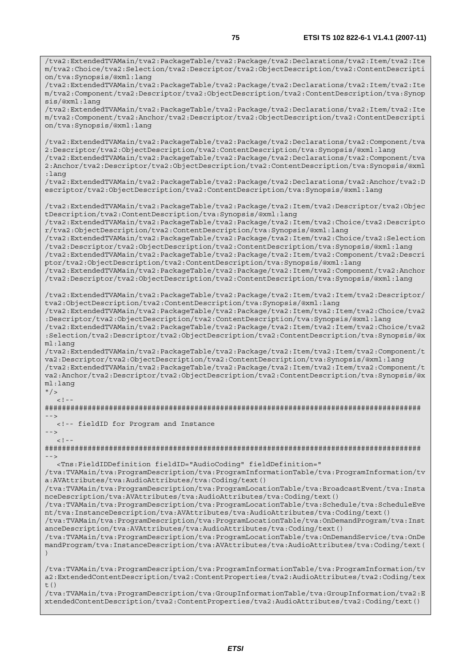/tva2:ExtendedTVAMain/tva2:PackageTable/tva2:Package/tva2:Declarations/tva2:Item/tva2:Ite m/tva2:Choice/tva2:Selection/tva2:Descriptor/tva2:ObjectDescription/tva2:ContentDescripti on/tva:Synopsis/@xml:lang /tva2:ExtendedTVAMain/tva2:PackageTable/tva2:Package/tva2:Declarations/tva2:Item/tva2:Ite m/tva2:Component/tva2:Descriptor/tva2:ObjectDescription/tva2:ContentDescription/tva:Synop sis/@xml:lang /tva2:ExtendedTVAMain/tva2:PackageTable/tva2:Package/tva2:Declarations/tva2:Item/tva2:Ite m/tva2:Component/tva2:Anchor/tva2:Descriptor/tva2:ObjectDescription/tva2:ContentDescripti on/tva:Synopsis/@xml:lang /tva2:ExtendedTVAMain/tva2:PackageTable/tva2:Package/tva2:Declarations/tva2:Component/tva 2:Descriptor/tva2:ObjectDescription/tva2:ContentDescription/tva:Synopsis/@xml:lang /tva2:ExtendedTVAMain/tva2:PackageTable/tva2:Package/tva2:Declarations/tva2:Component/tva 2:Anchor/tva2:Descriptor/tva2:ObjectDescription/tva2:ContentDescription/tva:Synopsis/@xml :lang /tva2:ExtendedTVAMain/tva2:PackageTable/tva2:Package/tva2:Declarations/tva2:Anchor/tva2:D escriptor/tva2:ObjectDescription/tva2:ContentDescription/tva:Synopsis/@xml:lang /tva2:ExtendedTVAMain/tva2:PackageTable/tva2:Package/tva2:Item/tva2:Descriptor/tva2:Objec tDescription/tva2:ContentDescription/tva:Synopsis/@xml:lang /tva2:ExtendedTVAMain/tva2:PackageTable/tva2:Package/tva2:Item/tva2:Choice/tva2:Descripto r/tva2:ObjectDescription/tva2:ContentDescription/tva:Synopsis/@xml:lang /tva2:ExtendedTVAMain/tva2:PackageTable/tva2:Package/tva2:Item/tva2:Choice/tva2:Selection /tva2:Descriptor/tva2:ObjectDescription/tva2:ContentDescription/tva:Synopsis/@xml:lang /tva2:ExtendedTVAMain/tva2:PackageTable/tva2:Package/tva2:Item/tva2:Component/tva2:Descri ptor/tva2:ObjectDescription/tva2:ContentDescription/tva:Synopsis/@xml:lang /tva2:ExtendedTVAMain/tva2:PackageTable/tva2:Package/tva2:Item/tva2:Component/tva2:Anchor /tva2:Descriptor/tva2:ObjectDescription/tva2:ContentDescription/tva:Synopsis/@xml:lang /tva2:ExtendedTVAMain/tva2:PackageTable/tva2:Package/tva2:Item/tva2:Item/tva2:Descriptor/ tva2:ObjectDescription/tva2:ContentDescription/tva:Synopsis/@xml:lang /tva2:ExtendedTVAMain/tva2:PackageTable/tva2:Package/tva2:Item/tva2:Item/tva2:Choice/tva2 :Descriptor/tva2:ObjectDescription/tva2:ContentDescription/tva:Synopsis/@xml:lang /tva2:ExtendedTVAMain/tva2:PackageTable/tva2:Package/tva2:Item/tva2:Item/tva2:Choice/tva2 :Selection/tva2:Descriptor/tva2:ObjectDescription/tva2:ContentDescription/tva:Synopsis/@x ml:lang /tva2:ExtendedTVAMain/tva2:PackageTable/tva2:Package/tva2:Item/tva2:Item/tva2:Component/t va2:Descriptor/tva2:ObjectDescription/tva2:ContentDescription/tva:Synopsis/@xml:lang /tva2:ExtendedTVAMain/tva2:PackageTable/tva2:Package/tva2:Item/tva2:Item/tva2:Component/t va2:Anchor/tva2:Descriptor/tva2:ObjectDescription/tva2:ContentDescription/tva:Synopsis/@x ml:lang  $"$  />  $\lt$  ! ######################################################################################## --> <!-- fieldID for Program and Instance -->  $\lt$  !  $-$ ######################################################################################## --> <Tns:FieldIDDefinition fieldID="AudioCoding" fieldDefinition=" /tva:TVAMain/tva:ProgramDescription/tva:ProgramInformationTable/tva:ProgramInformation/tv a:AVAttributes/tva:AudioAttributes/tva:Coding/text() /tva:TVAMain/tva:ProgramDescription/tva:ProgramLocationTable/tva:BroadcastEvent/tva:Insta nceDescription/tva:AVAttributes/tva:AudioAttributes/tva:Coding/text() /tva:TVAMain/tva:ProgramDescription/tva:ProgramLocationTable/tva:Schedule/tva:ScheduleEve nt/tva:InstanceDescription/tva:AVAttributes/tva:AudioAttributes/tva:Coding/text() /tva:TVAMain/tva:ProgramDescription/tva:ProgramLocationTable/tva:OnDemandProgram/tva:Inst anceDescription/tva:AVAttributes/tva:AudioAttributes/tva:Coding/text() /tva:TVAMain/tva:ProgramDescription/tva:ProgramLocationTable/tva:OnDemandService/tva:OnDe mandProgram/tva:InstanceDescription/tva:AVAttributes/tva:AudioAttributes/tva:Coding/text( ) /tva:TVAMain/tva:ProgramDescription/tva:ProgramInformationTable/tva:ProgramInformation/tv a2:ExtendedContentDescription/tva2:ContentProperties/tva2:AudioAttributes/tva2:Coding/tex t $($ ) /tva:TVAMain/tva:ProgramDescription/tva:GroupInformationTable/tva:GroupInformation/tva2:E

xtendedContentDescription/tva2:ContentProperties/tva2:AudioAttributes/tva2:Coding/text()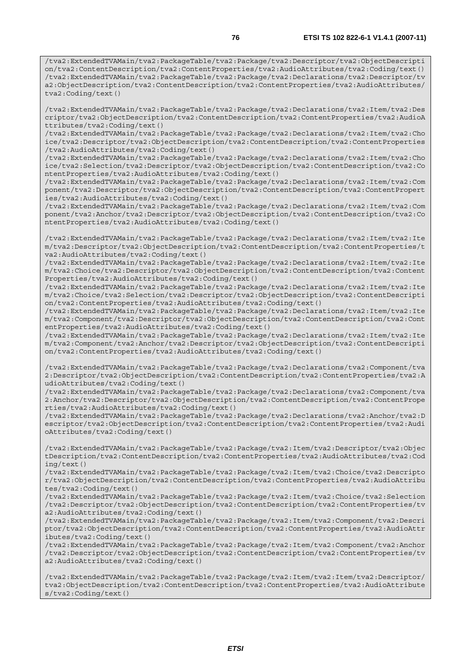/tva2:ExtendedTVAMain/tva2:PackageTable/tva2:Package/tva2:Descriptor/tva2:ObjectDescripti on/tva2:ContentDescription/tva2:ContentProperties/tva2:AudioAttributes/tva2:Coding/text() /tva2:ExtendedTVAMain/tva2:PackageTable/tva2:Package/tva2:Declarations/tva2:Descriptor/tv a2:ObjectDescription/tva2:ContentDescription/tva2:ContentProperties/tva2:AudioAttributes/ tva2:Coding/text()

/tva2:ExtendedTVAMain/tva2:PackageTable/tva2:Package/tva2:Declarations/tva2:Item/tva2:Des criptor/tva2:ObjectDescription/tva2:ContentDescription/tva2:ContentProperties/tva2:AudioA ttributes/tva2:Coding/text()

/tva2:ExtendedTVAMain/tva2:PackageTable/tva2:Package/tva2:Declarations/tva2:Item/tva2:Cho ice/tva2:Descriptor/tva2:ObjectDescription/tva2:ContentDescription/tva2:ContentProperties /tva2:AudioAttributes/tva2:Coding/text()

/tva2:ExtendedTVAMain/tva2:PackageTable/tva2:Package/tva2:Declarations/tva2:Item/tva2:Cho ice/tva2:Selection/tva2:Descriptor/tva2:ObjectDescription/tva2:ContentDescription/tva2:Co ntentProperties/tva2:AudioAttributes/tva2:Coding/text()

/tva2:ExtendedTVAMain/tva2:PackageTable/tva2:Package/tva2:Declarations/tva2:Item/tva2:Com ponent/tva2:Descriptor/tva2:ObjectDescription/tva2:ContentDescription/tva2:ContentPropert ies/tva2:AudioAttributes/tva2:Coding/text()

/tva2:ExtendedTVAMain/tva2:PackageTable/tva2:Package/tva2:Declarations/tva2:Item/tva2:Com ponent/tva2:Anchor/tva2:Descriptor/tva2:ObjectDescription/tva2:ContentDescription/tva2:Co ntentProperties/tva2:AudioAttributes/tva2:Coding/text()

/tva2:ExtendedTVAMain/tva2:PackageTable/tva2:Package/tva2:Declarations/tva2:Item/tva2:Ite m/tva2:Descriptor/tva2:ObjectDescription/tva2:ContentDescription/tva2:ContentProperties/t va2:AudioAttributes/tva2:Coding/text()

/tva2:ExtendedTVAMain/tva2:PackageTable/tva2:Package/tva2:Declarations/tva2:Item/tva2:Ite m/tva2:Choice/tva2:Descriptor/tva2:ObjectDescription/tva2:ContentDescription/tva2:Content Properties/tva2:AudioAttributes/tva2:Coding/text()

/tva2:ExtendedTVAMain/tva2:PackageTable/tva2:Package/tva2:Declarations/tva2:Item/tva2:Ite m/tva2:Choice/tva2:Selection/tva2:Descriptor/tva2:ObjectDescription/tva2:ContentDescripti on/tva2:ContentProperties/tva2:AudioAttributes/tva2:Coding/text()

/tva2:ExtendedTVAMain/tva2:PackageTable/tva2:Package/tva2:Declarations/tva2:Item/tva2:Ite m/tva2:Component/tva2:Descriptor/tva2:ObjectDescription/tva2:ContentDescription/tva2:Cont entProperties/tva2:AudioAttributes/tva2:Coding/text()

/tva2:ExtendedTVAMain/tva2:PackageTable/tva2:Package/tva2:Declarations/tva2:Item/tva2:Ite m/tva2:Component/tva2:Anchor/tva2:Descriptor/tva2:ObjectDescription/tva2:ContentDescripti on/tva2:ContentProperties/tva2:AudioAttributes/tva2:Coding/text()

/tva2:ExtendedTVAMain/tva2:PackageTable/tva2:Package/tva2:Declarations/tva2:Component/tva 2:Descriptor/tva2:ObjectDescription/tva2:ContentDescription/tva2:ContentProperties/tva2:A udioAttributes/tva2:Coding/text()

/tva2:ExtendedTVAMain/tva2:PackageTable/tva2:Package/tva2:Declarations/tva2:Component/tva 2:Anchor/tva2:Descriptor/tva2:ObjectDescription/tva2:ContentDescription/tva2:ContentPrope rties/tva2:AudioAttributes/tva2:Coding/text()

/tva2:ExtendedTVAMain/tva2:PackageTable/tva2:Package/tva2:Declarations/tva2:Anchor/tva2:D escriptor/tva2:ObjectDescription/tva2:ContentDescription/tva2:ContentProperties/tva2:Audi oAttributes/tva2:Coding/text()

/tva2:ExtendedTVAMain/tva2:PackageTable/tva2:Package/tva2:Item/tva2:Descriptor/tva2:Objec tDescription/tva2:ContentDescription/tva2:ContentProperties/tva2:AudioAttributes/tva2:Cod ing/text()

/tva2:ExtendedTVAMain/tva2:PackageTable/tva2:Package/tva2:Item/tva2:Choice/tva2:Descripto r/tva2:ObjectDescription/tva2:ContentDescription/tva2:ContentProperties/tva2:AudioAttribu tes/tva2:Coding/text()

/tva2:ExtendedTVAMain/tva2:PackageTable/tva2:Package/tva2:Item/tva2:Choice/tva2:Selection /tva2:Descriptor/tva2:ObjectDescription/tva2:ContentDescription/tva2:ContentProperties/tv a2:AudioAttributes/tva2:Coding/text()

/tva2:ExtendedTVAMain/tva2:PackageTable/tva2:Package/tva2:Item/tva2:Component/tva2:Descri ptor/tva2:ObjectDescription/tva2:ContentDescription/tva2:ContentProperties/tva2:AudioAttr ibutes/tva2:Coding/text()

/tva2:ExtendedTVAMain/tva2:PackageTable/tva2:Package/tva2:Item/tva2:Component/tva2:Anchor /tva2:Descriptor/tva2:ObjectDescription/tva2:ContentDescription/tva2:ContentProperties/tv a2:AudioAttributes/tva2:Coding/text()

/tva2:ExtendedTVAMain/tva2:PackageTable/tva2:Package/tva2:Item/tva2:Item/tva2:Descriptor/ tva2:ObjectDescription/tva2:ContentDescription/tva2:ContentProperties/tva2:AudioAttribute s/tva2:Coding/text()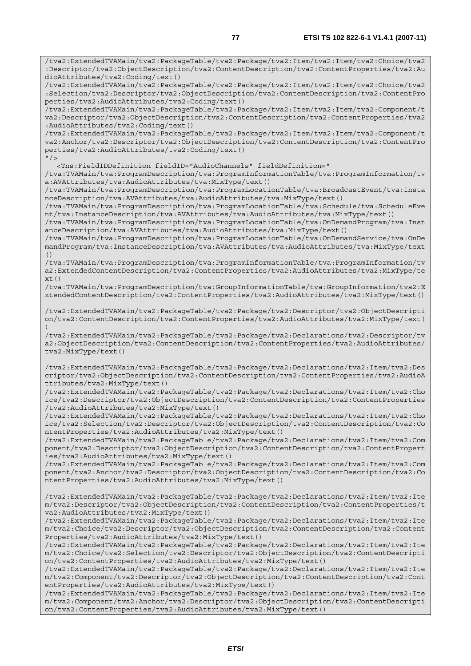/tva2:ExtendedTVAMain/tva2:PackageTable/tva2:Package/tva2:Item/tva2:Item/tva2:Choice/tva2

:Descriptor/tva2:ObjectDescription/tva2:ContentDescription/tva2:ContentProperties/tva2:Au dioAttributes/tva2:Coding/text() /tva2:ExtendedTVAMain/tva2:PackageTable/tva2:Package/tva2:Item/tva2:Item/tva2:Choice/tva2 :Selection/tva2:Descriptor/tva2:ObjectDescription/tva2:ContentDescription/tva2:ContentPro perties/tva2:AudioAttributes/tva2:Coding/text() /tva2:ExtendedTVAMain/tva2:PackageTable/tva2:Package/tva2:Item/tva2:Item/tva2:Component/t va2:Descriptor/tva2:ObjectDescription/tva2:ContentDescription/tva2:ContentProperties/tva2 :AudioAttributes/tva2:Coding/text() /tva2:ExtendedTVAMain/tva2:PackageTable/tva2:Package/tva2:Item/tva2:Item/tva2:Component/t

va2:Anchor/tva2:Descriptor/tva2:ObjectDescription/tva2:ContentDescription/tva2:ContentPro perties/tva2:AudioAttributes/tva2:Coding/text()  $"$  / >

<Tns:FieldIDDefinition fieldID="AudioChannels" fieldDefinition="

/tva:TVAMain/tva:ProgramDescription/tva:ProgramInformationTable/tva:ProgramInformation/tv a:AVAttributes/tva:AudioAttributes/tva:MixType/text()

/tva:TVAMain/tva:ProgramDescription/tva:ProgramLocationTable/tva:BroadcastEvent/tva:Insta nceDescription/tva:AVAttributes/tva:AudioAttributes/tva:MixType/text()

/tva:TVAMain/tva:ProgramDescription/tva:ProgramLocationTable/tva:Schedule/tva:ScheduleEve nt/tva:InstanceDescription/tva:AVAttributes/tva:AudioAttributes/tva:MixType/text()

/tva:TVAMain/tva:ProgramDescription/tva:ProgramLocationTable/tva:OnDemandProgram/tva:Inst anceDescription/tva:AVAttributes/tva:AudioAttributes/tva:MixType/text()

/tva:TVAMain/tva:ProgramDescription/tva:ProgramLocationTable/tva:OnDemandService/tva:OnDe mandProgram/tva:InstanceDescription/tva:AVAttributes/tva:AudioAttributes/tva:MixType/text ()

/tva:TVAMain/tva:ProgramDescription/tva:ProgramInformationTable/tva:ProgramInformation/tv a2:ExtendedContentDescription/tva2:ContentProperties/tva2:AudioAttributes/tva2:MixType/te  $xt()$ 

/tva:TVAMain/tva:ProgramDescription/tva:GroupInformationTable/tva:GroupInformation/tva2:E xtendedContentDescription/tva2:ContentProperties/tva2:AudioAttributes/tva2:MixType/text()

/tva2:ExtendedTVAMain/tva2:PackageTable/tva2:Package/tva2:Descriptor/tva2:ObjectDescripti on/tva2:ContentDescription/tva2:ContentProperties/tva2:AudioAttributes/tva2:MixType/text( )

/tva2:ExtendedTVAMain/tva2:PackageTable/tva2:Package/tva2:Declarations/tva2:Descriptor/tv a2:ObjectDescription/tva2:ContentDescription/tva2:ContentProperties/tva2:AudioAttributes/ tva2:MixType/text()

/tva2:ExtendedTVAMain/tva2:PackageTable/tva2:Package/tva2:Declarations/tva2:Item/tva2:Des criptor/tva2:ObjectDescription/tva2:ContentDescription/tva2:ContentProperties/tva2:AudioA ttributes/tva2:MixType/text()

/tva2:ExtendedTVAMain/tva2:PackageTable/tva2:Package/tva2:Declarations/tva2:Item/tva2:Cho ice/tva2:Descriptor/tva2:ObjectDescription/tva2:ContentDescription/tva2:ContentProperties /tva2:AudioAttributes/tva2:MixType/text()

/tva2:ExtendedTVAMain/tva2:PackageTable/tva2:Package/tva2:Declarations/tva2:Item/tva2:Cho ice/tva2:Selection/tva2:Descriptor/tva2:ObjectDescription/tva2:ContentDescription/tva2:Co ntentProperties/tva2:AudioAttributes/tva2:MixType/text()

/tva2:ExtendedTVAMain/tva2:PackageTable/tva2:Package/tva2:Declarations/tva2:Item/tva2:Com ponent/tva2:Descriptor/tva2:ObjectDescription/tva2:ContentDescription/tva2:ContentPropert ies/tva2:AudioAttributes/tva2:MixType/text()

/tva2:ExtendedTVAMain/tva2:PackageTable/tva2:Package/tva2:Declarations/tva2:Item/tva2:Com ponent/tva2:Anchor/tva2:Descriptor/tva2:ObjectDescription/tva2:ContentDescription/tva2:Co ntentProperties/tva2:AudioAttributes/tva2:MixType/text()

/tva2:ExtendedTVAMain/tva2:PackageTable/tva2:Package/tva2:Declarations/tva2:Item/tva2:Ite m/tva2:Descriptor/tva2:ObjectDescription/tva2:ContentDescription/tva2:ContentProperties/t va2:AudioAttributes/tva2:MixType/text()

/tva2:ExtendedTVAMain/tva2:PackageTable/tva2:Package/tva2:Declarations/tva2:Item/tva2:Ite m/tva2:Choice/tva2:Descriptor/tva2:ObjectDescription/tva2:ContentDescription/tva2:Content Properties/tva2:AudioAttributes/tva2:MixType/text()

/tva2:ExtendedTVAMain/tva2:PackageTable/tva2:Package/tva2:Declarations/tva2:Item/tva2:Ite m/tva2:Choice/tva2:Selection/tva2:Descriptor/tva2:ObjectDescription/tva2:ContentDescripti on/tva2:ContentProperties/tva2:AudioAttributes/tva2:MixType/text()

/tva2:ExtendedTVAMain/tva2:PackageTable/tva2:Package/tva2:Declarations/tva2:Item/tva2:Ite m/tva2:Component/tva2:Descriptor/tva2:ObjectDescription/tva2:ContentDescription/tva2:Cont entProperties/tva2:AudioAttributes/tva2:MixType/text()

/tva2:ExtendedTVAMain/tva2:PackageTable/tva2:Package/tva2:Declarations/tva2:Item/tva2:Ite m/tva2:Component/tva2:Anchor/tva2:Descriptor/tva2:ObjectDescription/tva2:ContentDescripti on/tva2:ContentProperties/tva2:AudioAttributes/tva2:MixType/text()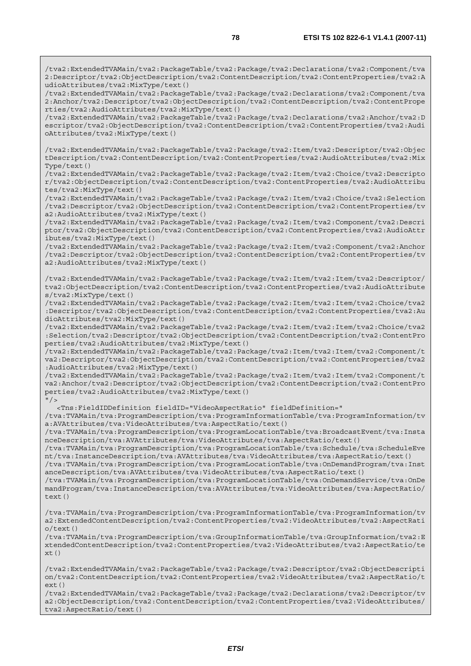/tva2:ExtendedTVAMain/tva2:PackageTable/tva2:Package/tva2:Declarations/tva2:Component/tva 2:Anchor/tva2:Descriptor/tva2:ObjectDescription/tva2:ContentDescription/tva2:ContentPrope rties/tva2:AudioAttributes/tva2:MixType/text()

/tva2:ExtendedTVAMain/tva2:PackageTable/tva2:Package/tva2:Declarations/tva2:Anchor/tva2:D escriptor/tva2:ObjectDescription/tva2:ContentDescription/tva2:ContentProperties/tva2:Audi oAttributes/tva2:MixType/text()

/tva2:ExtendedTVAMain/tva2:PackageTable/tva2:Package/tva2:Item/tva2:Descriptor/tva2:Objec tDescription/tva2:ContentDescription/tva2:ContentProperties/tva2:AudioAttributes/tva2:Mix Type/text()

/tva2:ExtendedTVAMain/tva2:PackageTable/tva2:Package/tva2:Item/tva2:Choice/tva2:Descripto r/tva2:ObjectDescription/tva2:ContentDescription/tva2:ContentProperties/tva2:AudioAttribu tes/tva2:MixType/text()

/tva2:ExtendedTVAMain/tva2:PackageTable/tva2:Package/tva2:Item/tva2:Choice/tva2:Selection /tva2:Descriptor/tva2:ObjectDescription/tva2:ContentDescription/tva2:ContentProperties/tv a2:AudioAttributes/tva2:MixType/text()

/tva2:ExtendedTVAMain/tva2:PackageTable/tva2:Package/tva2:Item/tva2:Component/tva2:Descri ptor/tva2:ObjectDescription/tva2:ContentDescription/tva2:ContentProperties/tva2:AudioAttr ibutes/tva2:MixType/text()

/tva2:ExtendedTVAMain/tva2:PackageTable/tva2:Package/tva2:Item/tva2:Component/tva2:Anchor /tva2:Descriptor/tva2:ObjectDescription/tva2:ContentDescription/tva2:ContentProperties/tv a2:AudioAttributes/tva2:MixType/text()

/tva2:ExtendedTVAMain/tva2:PackageTable/tva2:Package/tva2:Item/tva2:Item/tva2:Descriptor/ tva2:ObjectDescription/tva2:ContentDescription/tva2:ContentProperties/tva2:AudioAttribute s/tva2:MixType/text()

/tva2:ExtendedTVAMain/tva2:PackageTable/tva2:Package/tva2:Item/tva2:Item/tva2:Choice/tva2 :Descriptor/tva2:ObjectDescription/tva2:ContentDescription/tva2:ContentProperties/tva2:Au dioAttributes/tva2:MixType/text()

/tva2:ExtendedTVAMain/tva2:PackageTable/tva2:Package/tva2:Item/tva2:Item/tva2:Choice/tva2 :Selection/tva2:Descriptor/tva2:ObjectDescription/tva2:ContentDescription/tva2:ContentPro perties/tva2:AudioAttributes/tva2:MixType/text()

/tva2:ExtendedTVAMain/tva2:PackageTable/tva2:Package/tva2:Item/tva2:Item/tva2:Component/t va2:Descriptor/tva2:ObjectDescription/tva2:ContentDescription/tva2:ContentProperties/tva2 :AudioAttributes/tva2:MixType/text()

/tva2:ExtendedTVAMain/tva2:PackageTable/tva2:Package/tva2:Item/tva2:Item/tva2:Component/t va2:Anchor/tva2:Descriptor/tva2:ObjectDescription/tva2:ContentDescription/tva2:ContentPro perties/tva2:AudioAttributes/tva2:MixType/text()  $"$  / >

<Tns:FieldIDDefinition fieldID="VideoAspectRatio" fieldDefinition="

/tva:TVAMain/tva:ProgramDescription/tva:ProgramInformationTable/tva:ProgramInformation/tv a:AVAttributes/tva:VideoAttributes/tva:AspectRatio/text()

/tva:TVAMain/tva:ProgramDescription/tva:ProgramLocationTable/tva:BroadcastEvent/tva:Insta nceDescription/tva:AVAttributes/tva:VideoAttributes/tva:AspectRatio/text()

/tva:TVAMain/tva:ProgramDescription/tva:ProgramLocationTable/tva:Schedule/tva:ScheduleEve nt/tva:InstanceDescription/tva:AVAttributes/tva:VideoAttributes/tva:AspectRatio/text()

/tva:TVAMain/tva:ProgramDescription/tva:ProgramLocationTable/tva:OnDemandProgram/tva:Inst anceDescription/tva:AVAttributes/tva:VideoAttributes/tva:AspectRatio/text()

/tva:TVAMain/tva:ProgramDescription/tva:ProgramLocationTable/tva:OnDemandService/tva:OnDe mandProgram/tva:InstanceDescription/tva:AVAttributes/tva:VideoAttributes/tva:AspectRatio/ text()

/tva:TVAMain/tva:ProgramDescription/tva:ProgramInformationTable/tva:ProgramInformation/tv a2:ExtendedContentDescription/tva2:ContentProperties/tva2:VideoAttributes/tva2:AspectRati  $o$ /text $()$ 

/tva:TVAMain/tva:ProgramDescription/tva:GroupInformationTable/tva:GroupInformation/tva2:E xtendedContentDescription/tva2:ContentProperties/tva2:VideoAttributes/tva2:AspectRatio/te  $xt()$ 

/tva2:ExtendedTVAMain/tva2:PackageTable/tva2:Package/tva2:Descriptor/tva2:ObjectDescripti on/tva2:ContentDescription/tva2:ContentProperties/tva2:VideoAttributes/tva2:AspectRatio/t ext()

/tva2:ExtendedTVAMain/tva2:PackageTable/tva2:Package/tva2:Declarations/tva2:Descriptor/tv a2:ObjectDescription/tva2:ContentDescription/tva2:ContentProperties/tva2:VideoAttributes/ tva2:AspectRatio/text()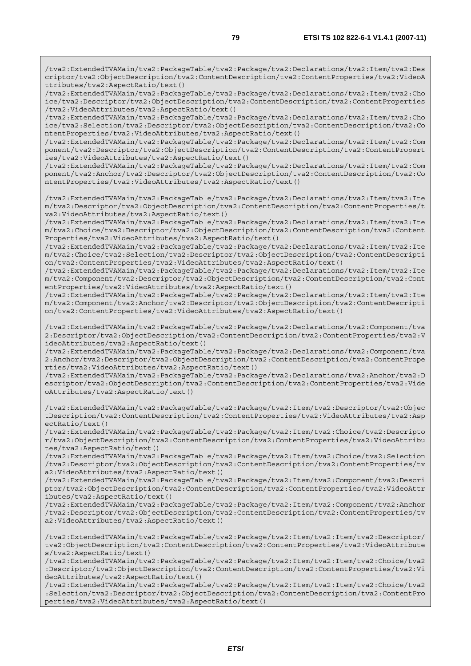/tva2:ExtendedTVAMain/tva2:PackageTable/tva2:Package/tva2:Declarations/tva2:Item/tva2:Cho ice/tva2:Descriptor/tva2:ObjectDescription/tva2:ContentDescription/tva2:ContentProperties /tva2:VideoAttributes/tva2:AspectRatio/text()

/tva2:ExtendedTVAMain/tva2:PackageTable/tva2:Package/tva2:Declarations/tva2:Item/tva2:Cho ice/tva2:Selection/tva2:Descriptor/tva2:ObjectDescription/tva2:ContentDescription/tva2:Co ntentProperties/tva2:VideoAttributes/tva2:AspectRatio/text()

/tva2:ExtendedTVAMain/tva2:PackageTable/tva2:Package/tva2:Declarations/tva2:Item/tva2:Com ponent/tva2:Descriptor/tva2:ObjectDescription/tva2:ContentDescription/tva2:ContentPropert ies/tva2:VideoAttributes/tva2:AspectRatio/text()

/tva2:ExtendedTVAMain/tva2:PackageTable/tva2:Package/tva2:Declarations/tva2:Item/tva2:Com ponent/tva2:Anchor/tva2:Descriptor/tva2:ObjectDescription/tva2:ContentDescription/tva2:Co ntentProperties/tva2:VideoAttributes/tva2:AspectRatio/text()

/tva2:ExtendedTVAMain/tva2:PackageTable/tva2:Package/tva2:Declarations/tva2:Item/tva2:Ite m/tva2:Descriptor/tva2:ObjectDescription/tva2:ContentDescription/tva2:ContentProperties/t va2:VideoAttributes/tva2:AspectRatio/text()

/tva2:ExtendedTVAMain/tva2:PackageTable/tva2:Package/tva2:Declarations/tva2:Item/tva2:Ite m/tva2:Choice/tva2:Descriptor/tva2:ObjectDescription/tva2:ContentDescription/tva2:Content Properties/tva2:VideoAttributes/tva2:AspectRatio/text()

/tva2:ExtendedTVAMain/tva2:PackageTable/tva2:Package/tva2:Declarations/tva2:Item/tva2:Ite m/tva2:Choice/tva2:Selection/tva2:Descriptor/tva2:ObjectDescription/tva2:ContentDescripti on/tva2:ContentProperties/tva2:VideoAttributes/tva2:AspectRatio/text()

/tva2:ExtendedTVAMain/tva2:PackageTable/tva2:Package/tva2:Declarations/tva2:Item/tva2:Ite m/tva2:Component/tva2:Descriptor/tva2:ObjectDescription/tva2:ContentDescription/tva2:Cont entProperties/tva2:VideoAttributes/tva2:AspectRatio/text()

/tva2:ExtendedTVAMain/tva2:PackageTable/tva2:Package/tva2:Declarations/tva2:Item/tva2:Ite m/tva2:Component/tva2:Anchor/tva2:Descriptor/tva2:ObjectDescription/tva2:ContentDescripti on/tva2:ContentProperties/tva2:VideoAttributes/tva2:AspectRatio/text()

/tva2:ExtendedTVAMain/tva2:PackageTable/tva2:Package/tva2:Declarations/tva2:Component/tva 2:Descriptor/tva2:ObjectDescription/tva2:ContentDescription/tva2:ContentProperties/tva2:V ideoAttributes/tva2:AspectRatio/text()

/tva2:ExtendedTVAMain/tva2:PackageTable/tva2:Package/tva2:Declarations/tva2:Component/tva 2:Anchor/tva2:Descriptor/tva2:ObjectDescription/tva2:ContentDescription/tva2:ContentPrope rties/tva2:VideoAttributes/tva2:AspectRatio/text()

/tva2:ExtendedTVAMain/tva2:PackageTable/tva2:Package/tva2:Declarations/tva2:Anchor/tva2:D escriptor/tva2:ObjectDescription/tva2:ContentDescription/tva2:ContentProperties/tva2:Vide oAttributes/tva2:AspectRatio/text()

/tva2:ExtendedTVAMain/tva2:PackageTable/tva2:Package/tva2:Item/tva2:Descriptor/tva2:Objec tDescription/tva2:ContentDescription/tva2:ContentProperties/tva2:VideoAttributes/tva2:Asp ectRatio/text()

/tva2:ExtendedTVAMain/tva2:PackageTable/tva2:Package/tva2:Item/tva2:Choice/tva2:Descripto r/tva2:ObjectDescription/tva2:ContentDescription/tva2:ContentProperties/tva2:VideoAttribu tes/tva2:AspectRatio/text()

/tva2:ExtendedTVAMain/tva2:PackageTable/tva2:Package/tva2:Item/tva2:Choice/tva2:Selection /tva2:Descriptor/tva2:ObjectDescription/tva2:ContentDescription/tva2:ContentProperties/tv a2:VideoAttributes/tva2:AspectRatio/text()

/tva2:ExtendedTVAMain/tva2:PackageTable/tva2:Package/tva2:Item/tva2:Component/tva2:Descri ptor/tva2:ObjectDescription/tva2:ContentDescription/tva2:ContentProperties/tva2:VideoAttr ibutes/tva2:AspectRatio/text()

/tva2:ExtendedTVAMain/tva2:PackageTable/tva2:Package/tva2:Item/tva2:Component/tva2:Anchor /tva2:Descriptor/tva2:ObjectDescription/tva2:ContentDescription/tva2:ContentProperties/tv a2:VideoAttributes/tva2:AspectRatio/text()

/tva2:ExtendedTVAMain/tva2:PackageTable/tva2:Package/tva2:Item/tva2:Item/tva2:Descriptor/ tva2:ObjectDescription/tva2:ContentDescription/tva2:ContentProperties/tva2:VideoAttribute s/tva2:AspectRatio/text()

/tva2:ExtendedTVAMain/tva2:PackageTable/tva2:Package/tva2:Item/tva2:Item/tva2:Choice/tva2 :Descriptor/tva2:ObjectDescription/tva2:ContentDescription/tva2:ContentProperties/tva2:Vi deoAttributes/tva2:AspectRatio/text()

/tva2:ExtendedTVAMain/tva2:PackageTable/tva2:Package/tva2:Item/tva2:Item/tva2:Choice/tva2 :Selection/tva2:Descriptor/tva2:ObjectDescription/tva2:ContentDescription/tva2:ContentPro perties/tva2:VideoAttributes/tva2:AspectRatio/text()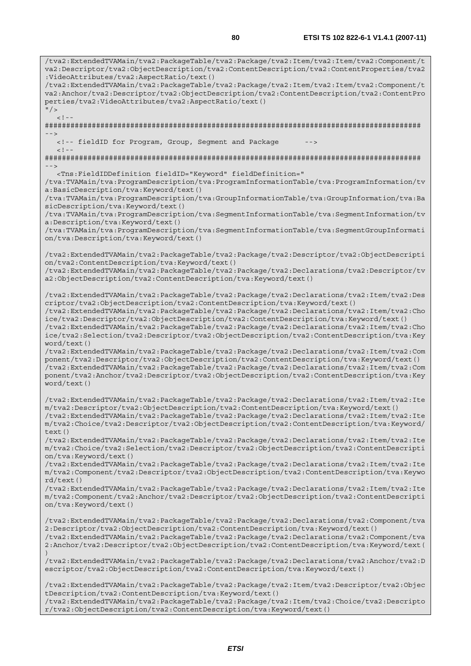/tva2:ExtendedTVAMain/tva2:PackageTable/tva2:Package/tva2:Item/tva2:Item/tva2:Component/t va2:Descriptor/tva2:ObjectDescription/tva2:ContentDescription/tva2:ContentProperties/tva2 :VideoAttributes/tva2:AspectRatio/text() /tva2:ExtendedTVAMain/tva2:PackageTable/tva2:Package/tva2:Item/tva2:Item/tva2:Component/t va2:Anchor/tva2:Descriptor/tva2:ObjectDescription/tva2:ContentDescription/tva2:ContentPro perties/tva2:VideoAttributes/tva2:AspectRatio/text()  $''$  /  $>$  $\lt$  ! -######################################################################################## --> <!-- fieldID for Program, Group, Segment and Package  $< ! - -$ ######################################################################################## --> <Tns:FieldIDDefinition fieldID="Keyword" fieldDefinition=" /tva:TVAMain/tva:ProgramDescription/tva:ProgramInformationTable/tva:ProgramInformation/tv a:BasicDescription/tva:Keyword/text() /tva:TVAMain/tva:ProgramDescription/tva:GroupInformationTable/tva:GroupInformation/tva:Ba sicDescription/tva:Keyword/text() /tva:TVAMain/tva:ProgramDescription/tva:SegmentInformationTable/tva:SegmentInformation/tv a:Description/tva:Keyword/text() /tva:TVAMain/tva:ProgramDescription/tva:SegmentInformationTable/tva:SegmentGroupInformati on/tva:Description/tva:Keyword/text() /tva2:ExtendedTVAMain/tva2:PackageTable/tva2:Package/tva2:Descriptor/tva2:ObjectDescripti on/tva2:ContentDescription/tva:Keyword/text() /tva2:ExtendedTVAMain/tva2:PackageTable/tva2:Package/tva2:Declarations/tva2:Descriptor/tv a2:ObjectDescription/tva2:ContentDescription/tva:Keyword/text() /tva2:ExtendedTVAMain/tva2:PackageTable/tva2:Package/tva2:Declarations/tva2:Item/tva2:Des criptor/tva2:ObjectDescription/tva2:ContentDescription/tva:Keyword/text() /tva2:ExtendedTVAMain/tva2:PackageTable/tva2:Package/tva2:Declarations/tva2:Item/tva2:Cho ice/tva2:Descriptor/tva2:ObjectDescription/tva2:ContentDescription/tva:Keyword/text() /tva2:ExtendedTVAMain/tva2:PackageTable/tva2:Package/tva2:Declarations/tva2:Item/tva2:Cho ice/tva2:Selection/tva2:Descriptor/tva2:ObjectDescription/tva2:ContentDescription/tva:Key word/text() /tva2:ExtendedTVAMain/tva2:PackageTable/tva2:Package/tva2:Declarations/tva2:Item/tva2:Com ponent/tva2:Descriptor/tva2:ObjectDescription/tva2:ContentDescription/tva:Keyword/text() /tva2:ExtendedTVAMain/tva2:PackageTable/tva2:Package/tva2:Declarations/tva2:Item/tva2:Com ponent/tva2:Anchor/tva2:Descriptor/tva2:ObjectDescription/tva2:ContentDescription/tva:Key word/text() /tva2:ExtendedTVAMain/tva2:PackageTable/tva2:Package/tva2:Declarations/tva2:Item/tva2:Ite m/tva2:Descriptor/tva2:ObjectDescription/tva2:ContentDescription/tva:Keyword/text() /tva2:ExtendedTVAMain/tva2:PackageTable/tva2:Package/tva2:Declarations/tva2:Item/tva2:Ite m/tva2:Choice/tva2:Descriptor/tva2:ObjectDescription/tva2:ContentDescription/tva:Keyword/ text() /tva2:ExtendedTVAMain/tva2:PackageTable/tva2:Package/tva2:Declarations/tva2:Item/tva2:Ite m/tva2:Choice/tva2:Selection/tva2:Descriptor/tva2:ObjectDescription/tva2:ContentDescripti on/tva:Keyword/text() /tva2:ExtendedTVAMain/tva2:PackageTable/tva2:Package/tva2:Declarations/tva2:Item/tva2:Ite m/tva2:Component/tva2:Descriptor/tva2:ObjectDescription/tva2:ContentDescription/tva:Keywo rd/text() /tva2:ExtendedTVAMain/tva2:PackageTable/tva2:Package/tva2:Declarations/tva2:Item/tva2:Ite m/tva2:Component/tva2:Anchor/tva2:Descriptor/tva2:ObjectDescription/tva2:ContentDescripti on/tva:Keyword/text() /tva2:ExtendedTVAMain/tva2:PackageTable/tva2:Package/tva2:Declarations/tva2:Component/tva 2:Descriptor/tva2:ObjectDescription/tva2:ContentDescription/tva:Keyword/text() /tva2:ExtendedTVAMain/tva2:PackageTable/tva2:Package/tva2:Declarations/tva2:Component/tva 2:Anchor/tva2:Descriptor/tva2:ObjectDescription/tva2:ContentDescription/tva:Keyword/text( ) /tva2:ExtendedTVAMain/tva2:PackageTable/tva2:Package/tva2:Declarations/tva2:Anchor/tva2:D escriptor/tva2:ObjectDescription/tva2:ContentDescription/tva:Keyword/text() /tva2:ExtendedTVAMain/tva2:PackageTable/tva2:Package/tva2:Item/tva2:Descriptor/tva2:Objec tDescription/tva2:ContentDescription/tva:Keyword/text()

/tva2:ExtendedTVAMain/tva2:PackageTable/tva2:Package/tva2:Item/tva2:Choice/tva2:Descripto r/tva2:ObjectDescription/tva2:ContentDescription/tva:Keyword/text()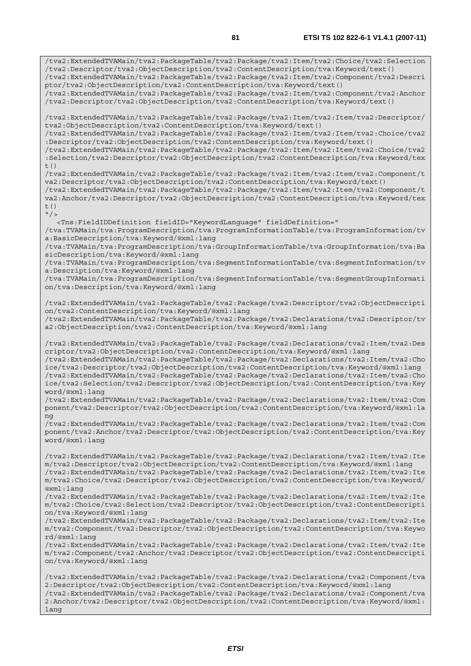/tva2:ExtendedTVAMain/tva2:PackageTable/tva2:Package/tva2:Item/tva2:Choice/tva2:Selection /tva2:Descriptor/tva2:ObjectDescription/tva2:ContentDescription/tva:Keyword/text() /tva2:ExtendedTVAMain/tva2:PackageTable/tva2:Package/tva2:Item/tva2:Component/tva2:Descri ptor/tva2:ObjectDescription/tva2:ContentDescription/tva:Keyword/text() /tva2:ExtendedTVAMain/tva2:PackageTable/tva2:Package/tva2:Item/tva2:Component/tva2:Anchor /tva2:Descriptor/tva2:ObjectDescription/tva2:ContentDescription/tva:Keyword/text() /tva2:ExtendedTVAMain/tva2:PackageTable/tva2:Package/tva2:Item/tva2:Item/tva2:Descriptor/ tva2:ObjectDescription/tva2:ContentDescription/tva:Keyword/text() /tva2:ExtendedTVAMain/tva2:PackageTable/tva2:Package/tva2:Item/tva2:Item/tva2:Choice/tva2 :Descriptor/tva2:ObjectDescription/tva2:ContentDescription/tva:Keyword/text() /tva2:ExtendedTVAMain/tva2:PackageTable/tva2:Package/tva2:Item/tva2:Item/tva2:Choice/tva2 :Selection/tva2:Descriptor/tva2:ObjectDescription/tva2:ContentDescription/tva:Keyword/tex  $t($ ) /tva2:ExtendedTVAMain/tva2:PackageTable/tva2:Package/tva2:Item/tva2:Item/tva2:Component/t va2:Descriptor/tva2:ObjectDescription/tva2:ContentDescription/tva:Keyword/text() /tva2:ExtendedTVAMain/tva2:PackageTable/tva2:Package/tva2:Item/tva2:Item/tva2:Component/t va2:Anchor/tva2:Descriptor/tva2:ObjectDescription/tva2:ContentDescription/tva:Keyword/tex  $t($ )  $''$  / > <Tns:FieldIDDefinition fieldID="KeywordLanguage" fieldDefinition=" /tva:TVAMain/tva:ProgramDescription/tva:ProgramInformationTable/tva:ProgramInformation/tv a:BasicDescription/tva:Keyword/@xml:lang /tva:TVAMain/tva:ProgramDescription/tva:GroupInformationTable/tva:GroupInformation/tva:Ba sicDescription/tva:Keyword/@xml:lang /tva:TVAMain/tva:ProgramDescription/tva:SegmentInformationTable/tva:SegmentInformation/tv a:Description/tva:Keyword/@xml:lang /tva:TVAMain/tva:ProgramDescription/tva:SegmentInformationTable/tva:SegmentGroupInformati on/tva:Description/tva:Keyword/@xml:lang /tva2:ExtendedTVAMain/tva2:PackageTable/tva2:Package/tva2:Descriptor/tva2:ObjectDescripti on/tva2:ContentDescription/tva:Keyword/@xml:lang /tva2:ExtendedTVAMain/tva2:PackageTable/tva2:Package/tva2:Declarations/tva2:Descriptor/tv a2:ObjectDescription/tva2:ContentDescription/tva:Keyword/@xml:lang /tva2:ExtendedTVAMain/tva2:PackageTable/tva2:Package/tva2:Declarations/tva2:Item/tva2:Des criptor/tva2:ObjectDescription/tva2:ContentDescription/tva:Keyword/@xml:lang /tva2:ExtendedTVAMain/tva2:PackageTable/tva2:Package/tva2:Declarations/tva2:Item/tva2:Cho ice/tva2:Descriptor/tva2:ObjectDescription/tva2:ContentDescription/tva:Keyword/@xml:lang /tva2:ExtendedTVAMain/tva2:PackageTable/tva2:Package/tva2:Declarations/tva2:Item/tva2:Cho ice/tva2:Selection/tva2:Descriptor/tva2:ObjectDescription/tva2:ContentDescription/tva:Key word/@xml:lang /tva2:ExtendedTVAMain/tva2:PackageTable/tva2:Package/tva2:Declarations/tva2:Item/tva2:Com ponent/tva2:Descriptor/tva2:ObjectDescription/tva2:ContentDescription/tva:Keyword/@xml:la ng /tva2:ExtendedTVAMain/tva2:PackageTable/tva2:Package/tva2:Declarations/tva2:Item/tva2:Com ponent/tva2:Anchor/tva2:Descriptor/tva2:ObjectDescription/tva2:ContentDescription/tva:Key word/@xml:lang /tva2:ExtendedTVAMain/tva2:PackageTable/tva2:Package/tva2:Declarations/tva2:Item/tva2:Ite m/tva2:Descriptor/tva2:ObjectDescription/tva2:ContentDescription/tva:Keyword/@xml:lang /tva2:ExtendedTVAMain/tva2:PackageTable/tva2:Package/tva2:Declarations/tva2:Item/tva2:Ite m/tva2:Choice/tva2:Descriptor/tva2:ObjectDescription/tva2:ContentDescription/tva:Keyword/ @xml:lang /tva2:ExtendedTVAMain/tva2:PackageTable/tva2:Package/tva2:Declarations/tva2:Item/tva2:Ite m/tva2:Choice/tva2:Selection/tva2:Descriptor/tva2:ObjectDescription/tva2:ContentDescripti on/tva:Keyword/@xml:lang /tva2:ExtendedTVAMain/tva2:PackageTable/tva2:Package/tva2:Declarations/tva2:Item/tva2:Ite m/tva2:Component/tva2:Descriptor/tva2:ObjectDescription/tva2:ContentDescription/tva:Keywo rd/@xml:lang /tva2:ExtendedTVAMain/tva2:PackageTable/tva2:Package/tva2:Declarations/tva2:Item/tva2:Ite m/tva2:Component/tva2:Anchor/tva2:Descriptor/tva2:ObjectDescription/tva2:ContentDescripti on/tva:Keyword/@xml:lang /tva2:ExtendedTVAMain/tva2:PackageTable/tva2:Package/tva2:Declarations/tva2:Component/tva

2:Descriptor/tva2:ObjectDescription/tva2:ContentDescription/tva:Keyword/@xml:lang /tva2:ExtendedTVAMain/tva2:PackageTable/tva2:Package/tva2:Declarations/tva2:Component/tva 2:Anchor/tva2:Descriptor/tva2:ObjectDescription/tva2:ContentDescription/tva:Keyword/@xml: lang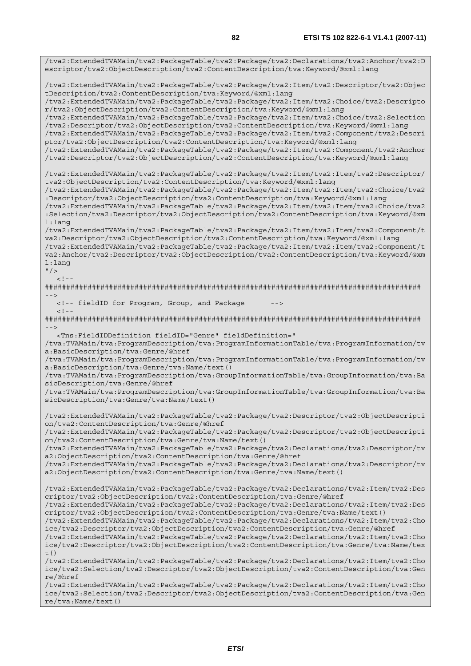/tva2:ExtendedTVAMain/tva2:PackageTable/tva2:Package/tva2:Declarations/tva2:Anchor/tva2:D escriptor/tva2:ObjectDescription/tva2:ContentDescription/tva:Keyword/@xml:lang /tva2:ExtendedTVAMain/tva2:PackageTable/tva2:Package/tva2:Item/tva2:Descriptor/tva2:Objec tDescription/tva2:ContentDescription/tva:Keyword/@xml:lang /tva2:ExtendedTVAMain/tva2:PackageTable/tva2:Package/tva2:Item/tva2:Choice/tva2:Descripto r/tva2:ObjectDescription/tva2:ContentDescription/tva:Keyword/@xml:lang /tva2:ExtendedTVAMain/tva2:PackageTable/tva2:Package/tva2:Item/tva2:Choice/tva2:Selection /tva2:Descriptor/tva2:ObjectDescription/tva2:ContentDescription/tva:Keyword/@xml:lang /tva2:ExtendedTVAMain/tva2:PackageTable/tva2:Package/tva2:Item/tva2:Component/tva2:Descri ptor/tva2:ObjectDescription/tva2:ContentDescription/tva:Keyword/@xml:lang /tva2:ExtendedTVAMain/tva2:PackageTable/tva2:Package/tva2:Item/tva2:Component/tva2:Anchor /tva2:Descriptor/tva2:ObjectDescription/tva2:ContentDescription/tva:Keyword/@xml:lang /tva2:ExtendedTVAMain/tva2:PackageTable/tva2:Package/tva2:Item/tva2:Item/tva2:Descriptor/ tva2:ObjectDescription/tva2:ContentDescription/tva:Keyword/@xml:lang /tva2:ExtendedTVAMain/tva2:PackageTable/tva2:Package/tva2:Item/tva2:Item/tva2:Choice/tva2 :Descriptor/tva2:ObjectDescription/tva2:ContentDescription/tva:Keyword/@xml:lang /tva2:ExtendedTVAMain/tva2:PackageTable/tva2:Package/tva2:Item/tva2:Item/tva2:Choice/tva2 :Selection/tva2:Descriptor/tva2:ObjectDescription/tva2:ContentDescription/tva:Keyword/@xm l:lang /tva2:ExtendedTVAMain/tva2:PackageTable/tva2:Package/tva2:Item/tva2:Item/tva2:Component/t va2:Descriptor/tva2:ObjectDescription/tva2:ContentDescription/tva:Keyword/@xml:lang /tva2:ExtendedTVAMain/tva2:PackageTable/tva2:Package/tva2:Item/tva2:Item/tva2:Component/t va2:Anchor/tva2:Descriptor/tva2:ObjectDescription/tva2:ContentDescription/tva:Keyword/@xm l:lang  $"$  />  $\geq$   $\vert$   $\vert$ ######################################################################################## --> <!-- fieldID for Program, Group, and Package -->  $\geq$   $\frac{1}{2}$ . ######################################################################################## --> <Tns:FieldIDDefinition fieldID="Genre" fieldDefinition=" /tva:TVAMain/tva:ProgramDescription/tva:ProgramInformationTable/tva:ProgramInformation/tv a:BasicDescription/tva:Genre/@href /tva:TVAMain/tva:ProgramDescription/tva:ProgramInformationTable/tva:ProgramInformation/tv a:BasicDescription/tva:Genre/tva:Name/text() /tva:TVAMain/tva:ProgramDescription/tva:GroupInformationTable/tva:GroupInformation/tva:Ba sicDescription/tva:Genre/@href /tva:TVAMain/tva:ProgramDescription/tva:GroupInformationTable/tva:GroupInformation/tva:Ba sicDescription/tva:Genre/tva:Name/text() /tva2:ExtendedTVAMain/tva2:PackageTable/tva2:Package/tva2:Descriptor/tva2:ObjectDescripti on/tva2:ContentDescription/tva:Genre/@href /tva2:ExtendedTVAMain/tva2:PackageTable/tva2:Package/tva2:Descriptor/tva2:ObjectDescripti on/tva2:ContentDescription/tva:Genre/tva:Name/text() /tva2:ExtendedTVAMain/tva2:PackageTable/tva2:Package/tva2:Declarations/tva2:Descriptor/tv a2:ObjectDescription/tva2:ContentDescription/tva:Genre/@href /tva2:ExtendedTVAMain/tva2:PackageTable/tva2:Package/tva2:Declarations/tva2:Descriptor/tv a2:ObjectDescription/tva2:ContentDescription/tva:Genre/tva:Name/text() /tva2:ExtendedTVAMain/tva2:PackageTable/tva2:Package/tva2:Declarations/tva2:Item/tva2:Des criptor/tva2:ObjectDescription/tva2:ContentDescription/tva:Genre/@href /tva2:ExtendedTVAMain/tva2:PackageTable/tva2:Package/tva2:Declarations/tva2:Item/tva2:Des criptor/tva2:ObjectDescription/tva2:ContentDescription/tva:Genre/tva:Name/text() /tva2:ExtendedTVAMain/tva2:PackageTable/tva2:Package/tva2:Declarations/tva2:Item/tva2:Cho ice/tva2:Descriptor/tva2:ObjectDescription/tva2:ContentDescription/tva:Genre/@href /tva2:ExtendedTVAMain/tva2:PackageTable/tva2:Package/tva2:Declarations/tva2:Item/tva2:Cho ice/tva2:Descriptor/tva2:ObjectDescription/tva2:ContentDescription/tva:Genre/tva:Name/tex t() /tva2:ExtendedTVAMain/tva2:PackageTable/tva2:Package/tva2:Declarations/tva2:Item/tva2:Cho ice/tva2:Selection/tva2:Descriptor/tva2:ObjectDescription/tva2:ContentDescription/tva:Gen re/@href /tva2:ExtendedTVAMain/tva2:PackageTable/tva2:Package/tva2:Declarations/tva2:Item/tva2:Cho ice/tva2:Selection/tva2:Descriptor/tva2:ObjectDescription/tva2:ContentDescription/tva:Gen re/tva:Name/text()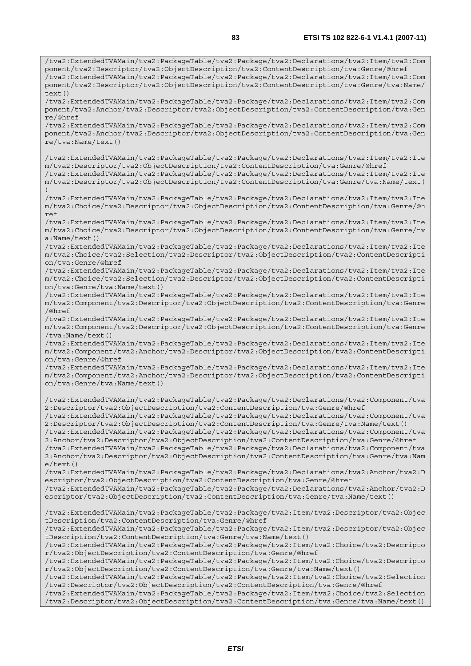/tva2:ExtendedTVAMain/tva2:PackageTable/tva2:Package/tva2:Declarations/tva2:Item/tva2:Com ponent/tva2:Descriptor/tva2:ObjectDescription/tva2:ContentDescription/tva:Genre/@href /tva2:ExtendedTVAMain/tva2:PackageTable/tva2:Package/tva2:Declarations/tva2:Item/tva2:Com ponent/tva2:Descriptor/tva2:ObjectDescription/tva2:ContentDescription/tva:Genre/tva:Name/  $text()$ 

/tva2:ExtendedTVAMain/tva2:PackageTable/tva2:Package/tva2:Declarations/tva2:Item/tva2:Com ponent/tva2:Anchor/tva2:Descriptor/tva2:ObjectDescription/tva2:ContentDescription/tva:Gen re/@href

/tva2:ExtendedTVAMain/tva2:PackageTable/tva2:Package/tva2:Declarations/tva2:Item/tva2:Com ponent/tva2:Anchor/tva2:Descriptor/tva2:ObjectDescription/tva2:ContentDescription/tva:Gen re/tva:Name/text()

/tva2:ExtendedTVAMain/tva2:PackageTable/tva2:Package/tva2:Declarations/tva2:Item/tva2:Ite m/tva2:Descriptor/tva2:ObjectDescription/tva2:ContentDescription/tva:Genre/@href

/tva2:ExtendedTVAMain/tva2:PackageTable/tva2:Package/tva2:Declarations/tva2:Item/tva2:Ite m/tva2:Descriptor/tva2:ObjectDescription/tva2:ContentDescription/tva:Genre/tva:Name/text( )

/tva2:ExtendedTVAMain/tva2:PackageTable/tva2:Package/tva2:Declarations/tva2:Item/tva2:Ite m/tva2:Choice/tva2:Descriptor/tva2:ObjectDescription/tva2:ContentDescription/tva:Genre/@h ref

/tva2:ExtendedTVAMain/tva2:PackageTable/tva2:Package/tva2:Declarations/tva2:Item/tva2:Ite m/tva2:Choice/tva2:Descriptor/tva2:ObjectDescription/tva2:ContentDescription/tva:Genre/tv a:Name/text()

/tva2:ExtendedTVAMain/tva2:PackageTable/tva2:Package/tva2:Declarations/tva2:Item/tva2:Ite m/tva2:Choice/tva2:Selection/tva2:Descriptor/tva2:ObjectDescription/tva2:ContentDescripti on/tva:Genre/@href

/tva2:ExtendedTVAMain/tva2:PackageTable/tva2:Package/tva2:Declarations/tva2:Item/tva2:Ite m/tva2:Choice/tva2:Selection/tva2:Descriptor/tva2:ObjectDescription/tva2:ContentDescripti on/tva:Genre/tva:Name/text()

/tva2:ExtendedTVAMain/tva2:PackageTable/tva2:Package/tva2:Declarations/tva2:Item/tva2:Ite m/tva2:Component/tva2:Descriptor/tva2:ObjectDescription/tva2:ContentDescription/tva:Genre /@href

/tva2:ExtendedTVAMain/tva2:PackageTable/tva2:Package/tva2:Declarations/tva2:Item/tva2:Ite m/tva2:Component/tva2:Descriptor/tva2:ObjectDescription/tva2:ContentDescription/tva:Genre /tva:Name/text()

/tva2:ExtendedTVAMain/tva2:PackageTable/tva2:Package/tva2:Declarations/tva2:Item/tva2:Ite m/tva2:Component/tva2:Anchor/tva2:Descriptor/tva2:ObjectDescription/tva2:ContentDescripti on/tva:Genre/@href

/tva2:ExtendedTVAMain/tva2:PackageTable/tva2:Package/tva2:Declarations/tva2:Item/tva2:Ite m/tva2:Component/tva2:Anchor/tva2:Descriptor/tva2:ObjectDescription/tva2:ContentDescripti on/tva:Genre/tva:Name/text()

/tva2:ExtendedTVAMain/tva2:PackageTable/tva2:Package/tva2:Declarations/tva2:Component/tva 2:Descriptor/tva2:ObjectDescription/tva2:ContentDescription/tva:Genre/@href

/tva2:ExtendedTVAMain/tva2:PackageTable/tva2:Package/tva2:Declarations/tva2:Component/tva 2:Descriptor/tva2:ObjectDescription/tva2:ContentDescription/tva:Genre/tva:Name/text()

/tva2:ExtendedTVAMain/tva2:PackageTable/tva2:Package/tva2:Declarations/tva2:Component/tva 2:Anchor/tva2:Descriptor/tva2:ObjectDescription/tva2:ContentDescription/tva:Genre/@href /tva2:ExtendedTVAMain/tva2:PackageTable/tva2:Package/tva2:Declarations/tva2:Component/tva 2:Anchor/tva2:Descriptor/tva2:ObjectDescription/tva2:ContentDescription/tva:Genre/tva:Nam e/text()

/tva2:ExtendedTVAMain/tva2:PackageTable/tva2:Package/tva2:Declarations/tva2:Anchor/tva2:D escriptor/tva2:ObjectDescription/tva2:ContentDescription/tva:Genre/@href /tva2:ExtendedTVAMain/tva2:PackageTable/tva2:Package/tva2:Declarations/tva2:Anchor/tva2:D escriptor/tva2:ObjectDescription/tva2:ContentDescription/tva:Genre/tva:Name/text()

/tva2:ExtendedTVAMain/tva2:PackageTable/tva2:Package/tva2:Item/tva2:Descriptor/tva2:Objec tDescription/tva2:ContentDescription/tva:Genre/@href

/tva2:ExtendedTVAMain/tva2:PackageTable/tva2:Package/tva2:Item/tva2:Descriptor/tva2:Objec tDescription/tva2:ContentDescription/tva:Genre/tva:Name/text()

/tva2:ExtendedTVAMain/tva2:PackageTable/tva2:Package/tva2:Item/tva2:Choice/tva2:Descripto r/tva2:ObjectDescription/tva2:ContentDescription/tva:Genre/@href

/tva2:ExtendedTVAMain/tva2:PackageTable/tva2:Package/tva2:Item/tva2:Choice/tva2:Descripto r/tva2:ObjectDescription/tva2:ContentDescription/tva:Genre/tva:Name/text()

/tva2:ExtendedTVAMain/tva2:PackageTable/tva2:Package/tva2:Item/tva2:Choice/tva2:Selection /tva2:Descriptor/tva2:ObjectDescription/tva2:ContentDescription/tva:Genre/@href

/tva2:ExtendedTVAMain/tva2:PackageTable/tva2:Package/tva2:Item/tva2:Choice/tva2:Selection /tva2:Descriptor/tva2:ObjectDescription/tva2:ContentDescription/tva:Genre/tva:Name/text()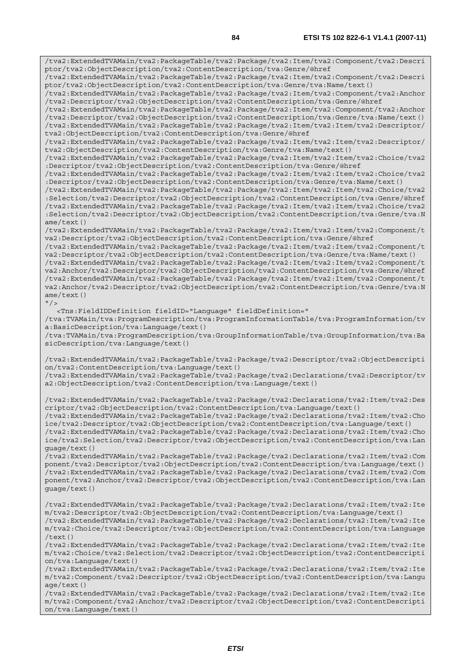/tva2:ExtendedTVAMain/tva2:PackageTable/tva2:Package/tva2:Item/tva2:Component/tva2:Descri ptor/tva2:ObjectDescription/tva2:ContentDescription/tva:Genre/@href /tva2:ExtendedTVAMain/tva2:PackageTable/tva2:Package/tva2:Item/tva2:Component/tva2:Descri ptor/tva2:ObjectDescription/tva2:ContentDescription/tva:Genre/tva:Name/text() /tva2:ExtendedTVAMain/tva2:PackageTable/tva2:Package/tva2:Item/tva2:Component/tva2:Anchor /tva2:Descriptor/tva2:ObjectDescription/tva2:ContentDescription/tva:Genre/@href /tva2:ExtendedTVAMain/tva2:PackageTable/tva2:Package/tva2:Item/tva2:Component/tva2:Anchor /tva2:Descriptor/tva2:ObjectDescription/tva2:ContentDescription/tva:Genre/tva:Name/text() /tva2:ExtendedTVAMain/tva2:PackageTable/tva2:Package/tva2:Item/tva2:Item/tva2:Descriptor/ tva2:ObjectDescription/tva2:ContentDescription/tva:Genre/@href /tva2:ExtendedTVAMain/tva2:PackageTable/tva2:Package/tva2:Item/tva2:Item/tva2:Descriptor/ tva2:ObjectDescription/tva2:ContentDescription/tva:Genre/tva:Name/text() /tva2:ExtendedTVAMain/tva2:PackageTable/tva2:Package/tva2:Item/tva2:Item/tva2:Choice/tva2 :Descriptor/tva2:ObjectDescription/tva2:ContentDescription/tva:Genre/@href /tva2:ExtendedTVAMain/tva2:PackageTable/tva2:Package/tva2:Item/tva2:Item/tva2:Choice/tva2 :Descriptor/tva2:ObjectDescription/tva2:ContentDescription/tva:Genre/tva:Name/text() /tva2:ExtendedTVAMain/tva2:PackageTable/tva2:Package/tva2:Item/tva2:Item/tva2:Choice/tva2 :Selection/tva2:Descriptor/tva2:ObjectDescription/tva2:ContentDescription/tva:Genre/@href /tva2:ExtendedTVAMain/tva2:PackageTable/tva2:Package/tva2:Item/tva2:Item/tva2:Choice/tva2 :Selection/tva2:Descriptor/tva2:ObjectDescription/tva2:ContentDescription/tva:Genre/tva:N ame/text() /tva2:ExtendedTVAMain/tva2:PackageTable/tva2:Package/tva2:Item/tva2:Item/tva2:Component/t va2:Descriptor/tva2:ObjectDescription/tva2:ContentDescription/tva:Genre/@href /tva2:ExtendedTVAMain/tva2:PackageTable/tva2:Package/tva2:Item/tva2:Item/tva2:Component/t va2:Descriptor/tva2:ObjectDescription/tva2:ContentDescription/tva:Genre/tva:Name/text() /tva2:ExtendedTVAMain/tva2:PackageTable/tva2:Package/tva2:Item/tva2:Item/tva2:Component/t va2:Anchor/tva2:Descriptor/tva2:ObjectDescription/tva2:ContentDescription/tva:Genre/@href /tva2:ExtendedTVAMain/tva2:PackageTable/tva2:Package/tva2:Item/tva2:Item/tva2:Component/t va2:Anchor/tva2:Descriptor/tva2:ObjectDescription/tva2:ContentDescription/tva:Genre/tva:N ame/text()  $"$  /> <Tns:FieldIDDefinition fieldID="Language" fieldDefinition=" /tva:TVAMain/tva:ProgramDescription/tva:ProgramInformationTable/tva:ProgramInformation/tv a:BasicDescription/tva:Language/text() /tva:TVAMain/tva:ProgramDescription/tva:GroupInformationTable/tva:GroupInformation/tva:Ba sicDescription/tva:Language/text() /tva2:ExtendedTVAMain/tva2:PackageTable/tva2:Package/tva2:Descriptor/tva2:ObjectDescripti on/tva2:ContentDescription/tva:Language/text() /tva2:ExtendedTVAMain/tva2:PackageTable/tva2:Package/tva2:Declarations/tva2:Descriptor/tv a2:ObjectDescription/tva2:ContentDescription/tva:Language/text() /tva2:ExtendedTVAMain/tva2:PackageTable/tva2:Package/tva2:Declarations/tva2:Item/tva2:Des criptor/tva2:ObjectDescription/tva2:ContentDescription/tva:Language/text() /tva2:ExtendedTVAMain/tva2:PackageTable/tva2:Package/tva2:Declarations/tva2:Item/tva2:Cho ice/tva2:Descriptor/tva2:ObjectDescription/tva2:ContentDescription/tva:Language/text() /tva2:ExtendedTVAMain/tva2:PackageTable/tva2:Package/tva2:Declarations/tva2:Item/tva2:Cho ice/tva2:Selection/tva2:Descriptor/tva2:ObjectDescription/tva2:ContentDescription/tva:Lan guage/text() /tva2:ExtendedTVAMain/tva2:PackageTable/tva2:Package/tva2:Declarations/tva2:Item/tva2:Com ponent/tva2:Descriptor/tva2:ObjectDescription/tva2:ContentDescription/tva:Language/text() /tva2:ExtendedTVAMain/tva2:PackageTable/tva2:Package/tva2:Declarations/tva2:Item/tva2:Com ponent/tva2:Anchor/tva2:Descriptor/tva2:ObjectDescription/tva2:ContentDescription/tva:Lan guage/text() /tva2:ExtendedTVAMain/tva2:PackageTable/tva2:Package/tva2:Declarations/tva2:Item/tva2:Ite m/tva2:Descriptor/tva2:ObjectDescription/tva2:ContentDescription/tva:Language/text() /tva2:ExtendedTVAMain/tva2:PackageTable/tva2:Package/tva2:Declarations/tva2:Item/tva2:Ite m/tva2:Choice/tva2:Descriptor/tva2:ObjectDescription/tva2:ContentDescription/tva:Language /text() /tva2:ExtendedTVAMain/tva2:PackageTable/tva2:Package/tva2:Declarations/tva2:Item/tva2:Ite m/tva2:Choice/tva2:Selection/tva2:Descriptor/tva2:ObjectDescription/tva2:ContentDescripti on/tva:Language/text() /tva2:ExtendedTVAMain/tva2:PackageTable/tva2:Package/tva2:Declarations/tva2:Item/tva2:Ite m/tva2:Component/tva2:Descriptor/tva2:ObjectDescription/tva2:ContentDescription/tva:Langu age/text()

/tva2:ExtendedTVAMain/tva2:PackageTable/tva2:Package/tva2:Declarations/tva2:Item/tva2:Ite m/tva2:Component/tva2:Anchor/tva2:Descriptor/tva2:ObjectDescription/tva2:ContentDescripti on/tva:Language/text()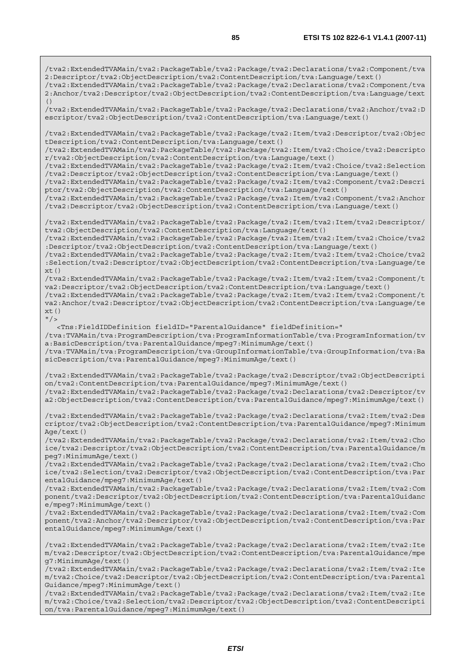/tva2:ExtendedTVAMain/tva2:PackageTable/tva2:Package/tva2:Declarations/tva2:Component/tva 2:Descriptor/tva2:ObjectDescription/tva2:ContentDescription/tva:Language/text() /tva2:ExtendedTVAMain/tva2:PackageTable/tva2:Package/tva2:Declarations/tva2:Component/tva 2:Anchor/tva2:Descriptor/tva2:ObjectDescription/tva2:ContentDescription/tva:Language/text  $( )$ /tva2:ExtendedTVAMain/tva2:PackageTable/tva2:Package/tva2:Declarations/tva2:Anchor/tva2:D escriptor/tva2:ObjectDescription/tva2:ContentDescription/tva:Language/text() /tva2:ExtendedTVAMain/tva2:PackageTable/tva2:Package/tva2:Item/tva2:Descriptor/tva2:Objec tDescription/tva2:ContentDescription/tva:Language/text() /tva2:ExtendedTVAMain/tva2:PackageTable/tva2:Package/tva2:Item/tva2:Choice/tva2:Descripto r/tva2:ObjectDescription/tva2:ContentDescription/tva:Language/text() /tva2:ExtendedTVAMain/tva2:PackageTable/tva2:Package/tva2:Item/tva2:Choice/tva2:Selection /tva2:Descriptor/tva2:ObjectDescription/tva2:ContentDescription/tva:Language/text() /tva2:ExtendedTVAMain/tva2:PackageTable/tva2:Package/tva2:Item/tva2:Component/tva2:Descri ptor/tva2:ObjectDescription/tva2:ContentDescription/tva:Language/text() /tva2:ExtendedTVAMain/tva2:PackageTable/tva2:Package/tva2:Item/tva2:Component/tva2:Anchor /tva2:Descriptor/tva2:ObjectDescription/tva2:ContentDescription/tva:Language/text() /tva2:ExtendedTVAMain/tva2:PackageTable/tva2:Package/tva2:Item/tva2:Item/tva2:Descriptor/ tva2:ObjectDescription/tva2:ContentDescription/tva:Language/text() /tva2:ExtendedTVAMain/tva2:PackageTable/tva2:Package/tva2:Item/tva2:Item/tva2:Choice/tva2 :Descriptor/tva2:ObjectDescription/tva2:ContentDescription/tva:Language/text() /tva2:ExtendedTVAMain/tva2:PackageTable/tva2:Package/tva2:Item/tva2:Item/tva2:Choice/tva2 :Selection/tva2:Descriptor/tva2:ObjectDescription/tva2:ContentDescription/tva:Language/te  $xt()$ /tva2:ExtendedTVAMain/tva2:PackageTable/tva2:Package/tva2:Item/tva2:Item/tva2:Component/t va2:Descriptor/tva2:ObjectDescription/tva2:ContentDescription/tva:Language/text() /tva2:ExtendedTVAMain/tva2:PackageTable/tva2:Package/tva2:Item/tva2:Item/tva2:Component/t va2:Anchor/tva2:Descriptor/tva2:ObjectDescription/tva2:ContentDescription/tva:Language/te  $xt()$  $''$  / > <Tns:FieldIDDefinition fieldID="ParentalGuidance" fieldDefinition=" /tva:TVAMain/tva:ProgramDescription/tva:ProgramInformationTable/tva:ProgramInformation/tv a:BasicDescription/tva:ParentalGuidance/mpeg7:MinimumAge/text() /tva:TVAMain/tva:ProgramDescription/tva:GroupInformationTable/tva:GroupInformation/tva:Ba sicDescription/tva:ParentalGuidance/mpeg7:MinimumAge/text() /tva2:ExtendedTVAMain/tva2:PackageTable/tva2:Package/tva2:Descriptor/tva2:ObjectDescripti on/tva2:ContentDescription/tva:ParentalGuidance/mpeg7:MinimumAge/text() /tva2:ExtendedTVAMain/tva2:PackageTable/tva2:Package/tva2:Declarations/tva2:Descriptor/tv a2:ObjectDescription/tva2:ContentDescription/tva:ParentalGuidance/mpeg7:MinimumAge/text() /tva2:ExtendedTVAMain/tva2:PackageTable/tva2:Package/tva2:Declarations/tva2:Item/tva2:Des criptor/tva2:ObjectDescription/tva2:ContentDescription/tva:ParentalGuidance/mpeg7:Minimum Age/text() /tva2:ExtendedTVAMain/tva2:PackageTable/tva2:Package/tva2:Declarations/tva2:Item/tva2:Cho ice/tva2:Descriptor/tva2:ObjectDescription/tva2:ContentDescription/tva:ParentalGuidance/m peg7:MinimumAge/text() /tva2:ExtendedTVAMain/tva2:PackageTable/tva2:Package/tva2:Declarations/tva2:Item/tva2:Cho ice/tva2:Selection/tva2:Descriptor/tva2:ObjectDescription/tva2:ContentDescription/tva:Par entalGuidance/mpeg7:MinimumAge/text() /tva2:ExtendedTVAMain/tva2:PackageTable/tva2:Package/tva2:Declarations/tva2:Item/tva2:Com ponent/tva2:Descriptor/tva2:ObjectDescription/tva2:ContentDescription/tva:ParentalGuidanc e/mpeg7:MinimumAge/text() /tva2:ExtendedTVAMain/tva2:PackageTable/tva2:Package/tva2:Declarations/tva2:Item/tva2:Com ponent/tva2:Anchor/tva2:Descriptor/tva2:ObjectDescription/tva2:ContentDescription/tva:Par entalGuidance/mpeg7:MinimumAge/text() /tva2:ExtendedTVAMain/tva2:PackageTable/tva2:Package/tva2:Declarations/tva2:Item/tva2:Ite m/tva2:Descriptor/tva2:ObjectDescription/tva2:ContentDescription/tva:ParentalGuidance/mpe g7:MinimumAge/text()

/tva2:ExtendedTVAMain/tva2:PackageTable/tva2:Package/tva2:Declarations/tva2:Item/tva2:Ite m/tva2:Choice/tva2:Descriptor/tva2:ObjectDescription/tva2:ContentDescription/tva:Parental Guidance/mpeg7:MinimumAge/text()

/tva2:ExtendedTVAMain/tva2:PackageTable/tva2:Package/tva2:Declarations/tva2:Item/tva2:Ite m/tva2:Choice/tva2:Selection/tva2:Descriptor/tva2:ObjectDescription/tva2:ContentDescripti on/tva:ParentalGuidance/mpeg7:MinimumAge/text()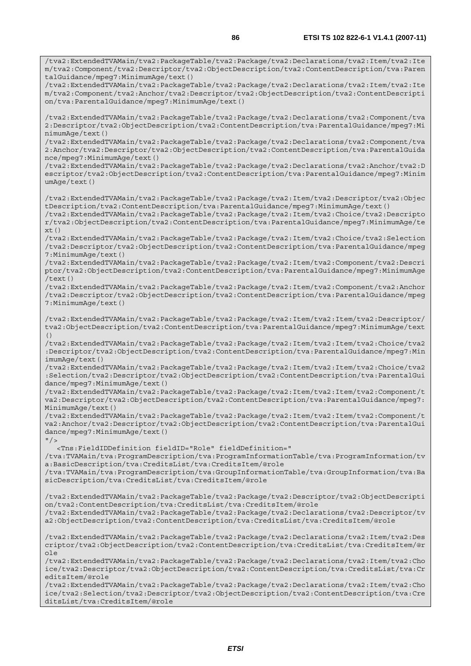/tva2:ExtendedTVAMain/tva2:PackageTable/tva2:Package/tva2:Declarations/tva2:Item/tva2:Ite m/tva2:Component/tva2:Descriptor/tva2:ObjectDescription/tva2:ContentDescription/tva:Paren talGuidance/mpeg7:MinimumAge/text() /tva2:ExtendedTVAMain/tva2:PackageTable/tva2:Package/tva2:Declarations/tva2:Item/tva2:Ite m/tva2:Component/tva2:Anchor/tva2:Descriptor/tva2:ObjectDescription/tva2:ContentDescripti on/tva:ParentalGuidance/mpeg7:MinimumAge/text() /tva2:ExtendedTVAMain/tva2:PackageTable/tva2:Package/tva2:Declarations/tva2:Component/tva 2:Descriptor/tva2:ObjectDescription/tva2:ContentDescription/tva:ParentalGuidance/mpeg7:Mi nimumAge/text() /tva2:ExtendedTVAMain/tva2:PackageTable/tva2:Package/tva2:Declarations/tva2:Component/tva 2:Anchor/tva2:Descriptor/tva2:ObjectDescription/tva2:ContentDescription/tva:ParentalGuida nce/mpeg7:MinimumAge/text() /tva2:ExtendedTVAMain/tva2:PackageTable/tva2:Package/tva2:Declarations/tva2:Anchor/tva2:D escriptor/tva2:ObjectDescription/tva2:ContentDescription/tva:ParentalGuidance/mpeg7:Minim umAge/text() /tva2:ExtendedTVAMain/tva2:PackageTable/tva2:Package/tva2:Item/tva2:Descriptor/tva2:Objec tDescription/tva2:ContentDescription/tva:ParentalGuidance/mpeg7:MinimumAge/text() /tva2:ExtendedTVAMain/tva2:PackageTable/tva2:Package/tva2:Item/tva2:Choice/tva2:Descripto r/tva2:ObjectDescription/tva2:ContentDescription/tva:ParentalGuidance/mpeg7:MinimumAge/te xt() /tva2:ExtendedTVAMain/tva2:PackageTable/tva2:Package/tva2:Item/tva2:Choice/tva2:Selection /tva2:Descriptor/tva2:ObjectDescription/tva2:ContentDescription/tva:ParentalGuidance/mpeg 7:MinimumAge/text() /tva2:ExtendedTVAMain/tva2:PackageTable/tva2:Package/tva2:Item/tva2:Component/tva2:Descri ptor/tva2:ObjectDescription/tva2:ContentDescription/tva:ParentalGuidance/mpeg7:MinimumAge /text() /tva2:ExtendedTVAMain/tva2:PackageTable/tva2:Package/tva2:Item/tva2:Component/tva2:Anchor /tva2:Descriptor/tva2:ObjectDescription/tva2:ContentDescription/tva:ParentalGuidance/mpeg 7:MinimumAge/text() /tva2:ExtendedTVAMain/tva2:PackageTable/tva2:Package/tva2:Item/tva2:Item/tva2:Descriptor/ tva2:ObjectDescription/tva2:ContentDescription/tva:ParentalGuidance/mpeg7:MinimumAge/text () /tva2:ExtendedTVAMain/tva2:PackageTable/tva2:Package/tva2:Item/tva2:Item/tva2:Choice/tva2 :Descriptor/tva2:ObjectDescription/tva2:ContentDescription/tva:ParentalGuidance/mpeg7:Min imumAge/text() /tva2:ExtendedTVAMain/tva2:PackageTable/tva2:Package/tva2:Item/tva2:Item/tva2:Choice/tva2 :Selection/tva2:Descriptor/tva2:ObjectDescription/tva2:ContentDescription/tva:ParentalGui dance/mpeg7:MinimumAge/text() /tva2:ExtendedTVAMain/tva2:PackageTable/tva2:Package/tva2:Item/tva2:Item/tva2:Component/t va2:Descriptor/tva2:ObjectDescription/tva2:ContentDescription/tva:ParentalGuidance/mpeg7: MinimumAge/text() /tva2:ExtendedTVAMain/tva2:PackageTable/tva2:Package/tva2:Item/tva2:Item/tva2:Component/t va2:Anchor/tva2:Descriptor/tva2:ObjectDescription/tva2:ContentDescription/tva:ParentalGui dance/mpeg7:MinimumAge/text()  $''$  / > <Tns:FieldIDDefinition fieldID="Role" fieldDefinition=" /tva:TVAMain/tva:ProgramDescription/tva:ProgramInformationTable/tva:ProgramInformation/tv a:BasicDescription/tva:CreditsList/tva:CreditsItem/@role /tva:TVAMain/tva:ProgramDescription/tva:GroupInformationTable/tva:GroupInformation/tva:Ba sicDescription/tva:CreditsList/tva:CreditsItem/@role /tva2:ExtendedTVAMain/tva2:PackageTable/tva2:Package/tva2:Descriptor/tva2:ObjectDescripti on/tva2:ContentDescription/tva:CreditsList/tva:CreditsItem/@role /tva2:ExtendedTVAMain/tva2:PackageTable/tva2:Package/tva2:Declarations/tva2:Descriptor/tv a2:ObjectDescription/tva2:ContentDescription/tva:CreditsList/tva:CreditsItem/@role /tva2:ExtendedTVAMain/tva2:PackageTable/tva2:Package/tva2:Declarations/tva2:Item/tva2:Des criptor/tva2:ObjectDescription/tva2:ContentDescription/tva:CreditsList/tva:CreditsItem/@r ole /tva2:ExtendedTVAMain/tva2:PackageTable/tva2:Package/tva2:Declarations/tva2:Item/tva2:Cho ice/tva2:Descriptor/tva2:ObjectDescription/tva2:ContentDescription/tva:CreditsList/tva:Cr editsItem/@role

/tva2:ExtendedTVAMain/tva2:PackageTable/tva2:Package/tva2:Declarations/tva2:Item/tva2:Cho ice/tva2:Selection/tva2:Descriptor/tva2:ObjectDescription/tva2:ContentDescription/tva:Cre ditsList/tva:CreditsItem/@role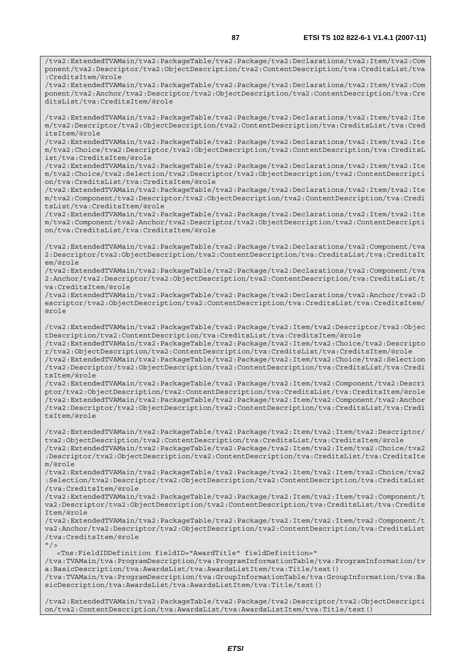/tva2:ExtendedTVAMain/tva2:PackageTable/tva2:Package/tva2:Declarations/tva2:Item/tva2:Com ponent/tva2:Descriptor/tva2:ObjectDescription/tva2:ContentDescription/tva:CreditsList/tva :CreditsItem/@role

/tva2:ExtendedTVAMain/tva2:PackageTable/tva2:Package/tva2:Declarations/tva2:Item/tva2:Com ponent/tva2:Anchor/tva2:Descriptor/tva2:ObjectDescription/tva2:ContentDescription/tva:Cre ditsList/tva:CreditsItem/@role

/tva2:ExtendedTVAMain/tva2:PackageTable/tva2:Package/tva2:Declarations/tva2:Item/tva2:Ite m/tva2:Descriptor/tva2:ObjectDescription/tva2:ContentDescription/tva:CreditsList/tva:Cred itsItem/@role

/tva2:ExtendedTVAMain/tva2:PackageTable/tva2:Package/tva2:Declarations/tva2:Item/tva2:Ite m/tva2:Choice/tva2:Descriptor/tva2:ObjectDescription/tva2:ContentDescription/tva:CreditsL ist/tva:CreditsItem/@role

/tva2:ExtendedTVAMain/tva2:PackageTable/tva2:Package/tva2:Declarations/tva2:Item/tva2:Ite m/tva2:Choice/tva2:Selection/tva2:Descriptor/tva2:ObjectDescription/tva2:ContentDescripti on/tva:CreditsList/tva:CreditsItem/@role

/tva2:ExtendedTVAMain/tva2:PackageTable/tva2:Package/tva2:Declarations/tva2:Item/tva2:Ite m/tva2:Component/tva2:Descriptor/tva2:ObjectDescription/tva2:ContentDescription/tva:Credi tsList/tva:CreditsItem/@role

/tva2:ExtendedTVAMain/tva2:PackageTable/tva2:Package/tva2:Declarations/tva2:Item/tva2:Ite m/tva2:Component/tva2:Anchor/tva2:Descriptor/tva2:ObjectDescription/tva2:ContentDescripti on/tva:CreditsList/tva:CreditsItem/@role

/tva2:ExtendedTVAMain/tva2:PackageTable/tva2:Package/tva2:Declarations/tva2:Component/tva 2:Descriptor/tva2:ObjectDescription/tva2:ContentDescription/tva:CreditsList/tva:CreditsIt em/@role

/tva2:ExtendedTVAMain/tva2:PackageTable/tva2:Package/tva2:Declarations/tva2:Component/tva 2:Anchor/tva2:Descriptor/tva2:ObjectDescription/tva2:ContentDescription/tva:CreditsList/t va:CreditsItem/@role

/tva2:ExtendedTVAMain/tva2:PackageTable/tva2:Package/tva2:Declarations/tva2:Anchor/tva2:D escriptor/tva2:ObjectDescription/tva2:ContentDescription/tva:CreditsList/tva:CreditsItem/ @role

/tva2:ExtendedTVAMain/tva2:PackageTable/tva2:Package/tva2:Item/tva2:Descriptor/tva2:Objec tDescription/tva2:ContentDescription/tva:CreditsList/tva:CreditsItem/@role

/tva2:ExtendedTVAMain/tva2:PackageTable/tva2:Package/tva2:Item/tva2:Choice/tva2:Descripto r/tva2:ObjectDescription/tva2:ContentDescription/tva:CreditsList/tva:CreditsItem/@role /tva2:ExtendedTVAMain/tva2:PackageTable/tva2:Package/tva2:Item/tva2:Choice/tva2:Selection /tva2:Descriptor/tva2:ObjectDescription/tva2:ContentDescription/tva:CreditsList/tva:Credi

tsItem/@role /tva2:ExtendedTVAMain/tva2:PackageTable/tva2:Package/tva2:Item/tva2:Component/tva2:Descri ptor/tva2:ObjectDescription/tva2:ContentDescription/tva:CreditsList/tva:CreditsItem/@role /tva2:ExtendedTVAMain/tva2:PackageTable/tva2:Package/tva2:Item/tva2:Component/tva2:Anchor /tva2:Descriptor/tva2:ObjectDescription/tva2:ContentDescription/tva:CreditsList/tva:Credi tsItem/@role

/tva2:ExtendedTVAMain/tva2:PackageTable/tva2:Package/tva2:Item/tva2:Item/tva2:Descriptor/ tva2:ObjectDescription/tva2:ContentDescription/tva:CreditsList/tva:CreditsItem/@role /tva2:ExtendedTVAMain/tva2:PackageTable/tva2:Package/tva2:Item/tva2:Item/tva2:Choice/tva2 :Descriptor/tva2:ObjectDescription/tva2:ContentDescription/tva:CreditsList/tva:CreditsIte m/@role

/tva2:ExtendedTVAMain/tva2:PackageTable/tva2:Package/tva2:Item/tva2:Item/tva2:Choice/tva2 :Selection/tva2:Descriptor/tva2:ObjectDescription/tva2:ContentDescription/tva:CreditsList /tva:CreditsItem/@role

/tva2:ExtendedTVAMain/tva2:PackageTable/tva2:Package/tva2:Item/tva2:Item/tva2:Component/t va2:Descriptor/tva2:ObjectDescription/tva2:ContentDescription/tva:CreditsList/tva:Credits Item/@role

/tva2:ExtendedTVAMain/tva2:PackageTable/tva2:Package/tva2:Item/tva2:Item/tva2:Component/t va2:Anchor/tva2:Descriptor/tva2:ObjectDescription/tva2:ContentDescription/tva:CreditsList /tva:CreditsItem/@role

 $"$  />

 <Tns:FieldIDDefinition fieldID="AwardTitle" fieldDefinition=" /tva:TVAMain/tva:ProgramDescription/tva:ProgramInformationTable/tva:ProgramInformation/tv a:BasicDescription/tva:AwardsList/tva:AwardsListItem/tva:Title/text() /tva:TVAMain/tva:ProgramDescription/tva:GroupInformationTable/tva:GroupInformation/tva:Ba sicDescription/tva:AwardsList/tva:AwardsListItem/tva:Title/text()

/tva2:ExtendedTVAMain/tva2:PackageTable/tva2:Package/tva2:Descriptor/tva2:ObjectDescripti on/tva2:ContentDescription/tva:AwardsList/tva:AwardsListItem/tva:Title/text()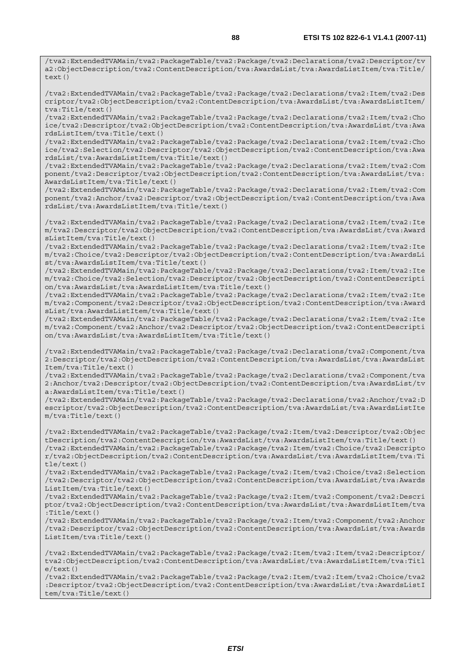/tva2:ExtendedTVAMain/tva2:PackageTable/tva2:Package/tva2:Declarations/tva2:Item/tva2:Des criptor/tva2:ObjectDescription/tva2:ContentDescription/tva:AwardsList/tva:AwardsListItem/ tva:Title/text()

/tva2:ExtendedTVAMain/tva2:PackageTable/tva2:Package/tva2:Declarations/tva2:Item/tva2:Cho ice/tva2:Descriptor/tva2:ObjectDescription/tva2:ContentDescription/tva:AwardsList/tva:Awa rdsListItem/tva:Title/text()

/tva2:ExtendedTVAMain/tva2:PackageTable/tva2:Package/tva2:Declarations/tva2:Item/tva2:Cho ice/tva2:Selection/tva2:Descriptor/tva2:ObjectDescription/tva2:ContentDescription/tva:Awa rdsList/tva:AwardsListItem/tva:Title/text()

/tva2:ExtendedTVAMain/tva2:PackageTable/tva2:Package/tva2:Declarations/tva2:Item/tva2:Com ponent/tva2:Descriptor/tva2:ObjectDescription/tva2:ContentDescription/tva:AwardsList/tva: AwardsListItem/tva:Title/text()

/tva2:ExtendedTVAMain/tva2:PackageTable/tva2:Package/tva2:Declarations/tva2:Item/tva2:Com ponent/tva2:Anchor/tva2:Descriptor/tva2:ObjectDescription/tva2:ContentDescription/tva:Awa rdsList/tva:AwardsListItem/tva:Title/text()

/tva2:ExtendedTVAMain/tva2:PackageTable/tva2:Package/tva2:Declarations/tva2:Item/tva2:Ite m/tva2:Descriptor/tva2:ObjectDescription/tva2:ContentDescription/tva:AwardsList/tva:Award sListItem/tva:Title/text()

/tva2:ExtendedTVAMain/tva2:PackageTable/tva2:Package/tva2:Declarations/tva2:Item/tva2:Ite m/tva2:Choice/tva2:Descriptor/tva2:ObjectDescription/tva2:ContentDescription/tva:AwardsLi st/tva:AwardsListItem/tva:Title/text()

/tva2:ExtendedTVAMain/tva2:PackageTable/tva2:Package/tva2:Declarations/tva2:Item/tva2:Ite m/tva2:Choice/tva2:Selection/tva2:Descriptor/tva2:ObjectDescription/tva2:ContentDescripti on/tva:AwardsList/tva:AwardsListItem/tva:Title/text()

/tva2:ExtendedTVAMain/tva2:PackageTable/tva2:Package/tva2:Declarations/tva2:Item/tva2:Ite m/tva2:Component/tva2:Descriptor/tva2:ObjectDescription/tva2:ContentDescription/tva:Award sList/tva:AwardsListItem/tva:Title/text()

/tva2:ExtendedTVAMain/tva2:PackageTable/tva2:Package/tva2:Declarations/tva2:Item/tva2:Ite m/tva2:Component/tva2:Anchor/tva2:Descriptor/tva2:ObjectDescription/tva2:ContentDescripti on/tva:AwardsList/tva:AwardsListItem/tva:Title/text()

/tva2:ExtendedTVAMain/tva2:PackageTable/tva2:Package/tva2:Declarations/tva2:Component/tva 2:Descriptor/tva2:ObjectDescription/tva2:ContentDescription/tva:AwardsList/tva:AwardsList Item/tva:Title/text()

/tva2:ExtendedTVAMain/tva2:PackageTable/tva2:Package/tva2:Declarations/tva2:Component/tva 2:Anchor/tva2:Descriptor/tva2:ObjectDescription/tva2:ContentDescription/tva:AwardsList/tv a:AwardsListItem/tva:Title/text()

/tva2:ExtendedTVAMain/tva2:PackageTable/tva2:Package/tva2:Declarations/tva2:Anchor/tva2:D escriptor/tva2:ObjectDescription/tva2:ContentDescription/tva:AwardsList/tva:AwardsListIte m/tva:Title/text()

/tva2:ExtendedTVAMain/tva2:PackageTable/tva2:Package/tva2:Item/tva2:Descriptor/tva2:Objec tDescription/tva2:ContentDescription/tva:AwardsList/tva:AwardsListItem/tva:Title/text() /tva2:ExtendedTVAMain/tva2:PackageTable/tva2:Package/tva2:Item/tva2:Choice/tva2:Descripto r/tva2:ObjectDescription/tva2:ContentDescription/tva:AwardsList/tva:AwardsListItem/tva:Ti tle/text()

/tva2:ExtendedTVAMain/tva2:PackageTable/tva2:Package/tva2:Item/tva2:Choice/tva2:Selection /tva2:Descriptor/tva2:ObjectDescription/tva2:ContentDescription/tva:AwardsList/tva:Awards ListItem/tva:Title/text()

/tva2:ExtendedTVAMain/tva2:PackageTable/tva2:Package/tva2:Item/tva2:Component/tva2:Descri ptor/tva2:ObjectDescription/tva2:ContentDescription/tva:AwardsList/tva:AwardsListItem/tva :Title/text()

/tva2:ExtendedTVAMain/tva2:PackageTable/tva2:Package/tva2:Item/tva2:Component/tva2:Anchor /tva2:Descriptor/tva2:ObjectDescription/tva2:ContentDescription/tva:AwardsList/tva:Awards ListItem/tva:Title/text()

/tva2:ExtendedTVAMain/tva2:PackageTable/tva2:Package/tva2:Item/tva2:Item/tva2:Descriptor/ tva2:ObjectDescription/tva2:ContentDescription/tva:AwardsList/tva:AwardsListItem/tva:Titl  $e$ /text()

/tva2:ExtendedTVAMain/tva2:PackageTable/tva2:Package/tva2:Item/tva2:Item/tva2:Choice/tva2 :Descriptor/tva2:ObjectDescription/tva2:ContentDescription/tva:AwardsList/tva:AwardsListI tem/tva:Title/text()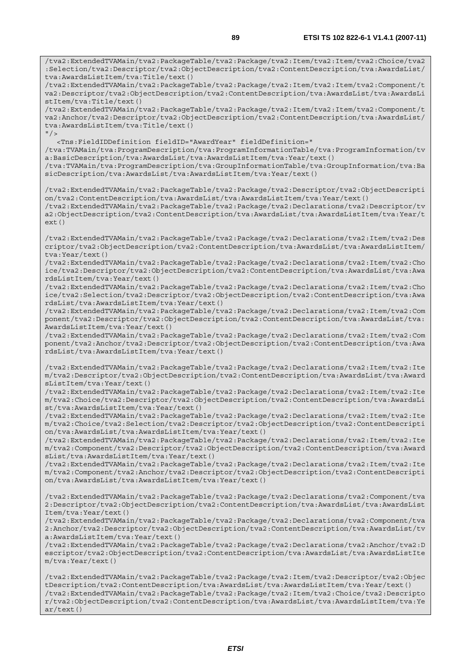/tva2:ExtendedTVAMain/tva2:PackageTable/tva2:Package/tva2:Item/tva2:Item/tva2:Choice/tva2 :Selection/tva2:Descriptor/tva2:ObjectDescription/tva2:ContentDescription/tva:AwardsList/ tva:AwardsListItem/tva:Title/text() /tva2:ExtendedTVAMain/tva2:PackageTable/tva2:Package/tva2:Item/tva2:Item/tva2:Component/t va2:Descriptor/tva2:ObjectDescription/tva2:ContentDescription/tva:AwardsList/tva:AwardsLi stItem/tva:Title/text() /tva2:ExtendedTVAMain/tva2:PackageTable/tva2:Package/tva2:Item/tva2:Item/tva2:Component/t va2:Anchor/tva2:Descriptor/tva2:ObjectDescription/tva2:ContentDescription/tva:AwardsList/ tva:AwardsListItem/tva:Title/text()  $''$  / > <Tns:FieldIDDefinition fieldID="AwardYear" fieldDefinition=" /tva:TVAMain/tva:ProgramDescription/tva:ProgramInformationTable/tva:ProgramInformation/tv a:BasicDescription/tva:AwardsList/tva:AwardsListItem/tva:Year/text() /tva:TVAMain/tva:ProgramDescription/tva:GroupInformationTable/tva:GroupInformation/tva:Ba sicDescription/tva:AwardsList/tva:AwardsListItem/tva:Year/text() /tva2:ExtendedTVAMain/tva2:PackageTable/tva2:Package/tva2:Descriptor/tva2:ObjectDescripti on/tva2:ContentDescription/tva:AwardsList/tva:AwardsListItem/tva:Year/text() /tva2:ExtendedTVAMain/tva2:PackageTable/tva2:Package/tva2:Declarations/tva2:Descriptor/tv a2:ObjectDescription/tva2:ContentDescription/tva:AwardsList/tva:AwardsListItem/tva:Year/t ext() /tva2:ExtendedTVAMain/tva2:PackageTable/tva2:Package/tva2:Declarations/tva2:Item/tva2:Des criptor/tva2:ObjectDescription/tva2:ContentDescription/tva:AwardsList/tva:AwardsListItem/ tva:Year/text() /tva2:ExtendedTVAMain/tva2:PackageTable/tva2:Package/tva2:Declarations/tva2:Item/tva2:Cho ice/tva2:Descriptor/tva2:ObjectDescription/tva2:ContentDescription/tva:AwardsList/tva:Awa rdsListItem/tva:Year/text() /tva2:ExtendedTVAMain/tva2:PackageTable/tva2:Package/tva2:Declarations/tva2:Item/tva2:Cho ice/tva2:Selection/tva2:Descriptor/tva2:ObjectDescription/tva2:ContentDescription/tva:Awa rdsList/tva:AwardsListItem/tva:Year/text() /tva2:ExtendedTVAMain/tva2:PackageTable/tva2:Package/tva2:Declarations/tva2:Item/tva2:Com ponent/tva2:Descriptor/tva2:ObjectDescription/tva2:ContentDescription/tva:AwardsList/tva: AwardsListItem/tva:Year/text() /tva2:ExtendedTVAMain/tva2:PackageTable/tva2:Package/tva2:Declarations/tva2:Item/tva2:Com ponent/tva2:Anchor/tva2:Descriptor/tva2:ObjectDescription/tva2:ContentDescription/tva:Awa rdsList/tva:AwardsListItem/tva:Year/text() /tva2:ExtendedTVAMain/tva2:PackageTable/tva2:Package/tva2:Declarations/tva2:Item/tva2:Ite m/tva2:Descriptor/tva2:ObjectDescription/tva2:ContentDescription/tva:AwardsList/tva:Award sListItem/tva:Year/text() /tva2:ExtendedTVAMain/tva2:PackageTable/tva2:Package/tva2:Declarations/tva2:Item/tva2:Ite m/tva2:Choice/tva2:Descriptor/tva2:ObjectDescription/tva2:ContentDescription/tva:AwardsLi st/tva:AwardsListItem/tva:Year/text() /tva2:ExtendedTVAMain/tva2:PackageTable/tva2:Package/tva2:Declarations/tva2:Item/tva2:Ite m/tva2:Choice/tva2:Selection/tva2:Descriptor/tva2:ObjectDescription/tva2:ContentDescripti on/tva:AwardsList/tva:AwardsListItem/tva:Year/text() /tva2:ExtendedTVAMain/tva2:PackageTable/tva2:Package/tva2:Declarations/tva2:Item/tva2:Ite m/tva2:Component/tva2:Descriptor/tva2:ObjectDescription/tva2:ContentDescription/tva:Award sList/tva:AwardsListItem/tva:Year/text() /tva2:ExtendedTVAMain/tva2:PackageTable/tva2:Package/tva2:Declarations/tva2:Item/tva2:Ite m/tva2:Component/tva2:Anchor/tva2:Descriptor/tva2:ObjectDescription/tva2:ContentDescripti on/tva:AwardsList/tva:AwardsListItem/tva:Year/text() /tva2:ExtendedTVAMain/tva2:PackageTable/tva2:Package/tva2:Declarations/tva2:Component/tva 2:Descriptor/tva2:ObjectDescription/tva2:ContentDescription/tva:AwardsList/tva:AwardsList Item/tva:Year/text() /tva2:ExtendedTVAMain/tva2:PackageTable/tva2:Package/tva2:Declarations/tva2:Component/tva 2:Anchor/tva2:Descriptor/tva2:ObjectDescription/tva2:ContentDescription/tva:AwardsList/tv a:AwardsListItem/tva:Year/text() /tva2:ExtendedTVAMain/tva2:PackageTable/tva2:Package/tva2:Declarations/tva2:Anchor/tva2:D escriptor/tva2:ObjectDescription/tva2:ContentDescription/tva:AwardsList/tva:AwardsListIte m/tva:Year/text() /tva2:ExtendedTVAMain/tva2:PackageTable/tva2:Package/tva2:Item/tva2:Descriptor/tva2:Objec tDescription/tva2:ContentDescription/tva:AwardsList/tva:AwardsListItem/tva:Year/text() /tva2:ExtendedTVAMain/tva2:PackageTable/tva2:Package/tva2:Item/tva2:Choice/tva2:Descripto

r/tva2:ObjectDescription/tva2:ContentDescription/tva:AwardsList/tva:AwardsListItem/tva:Ye ar/text()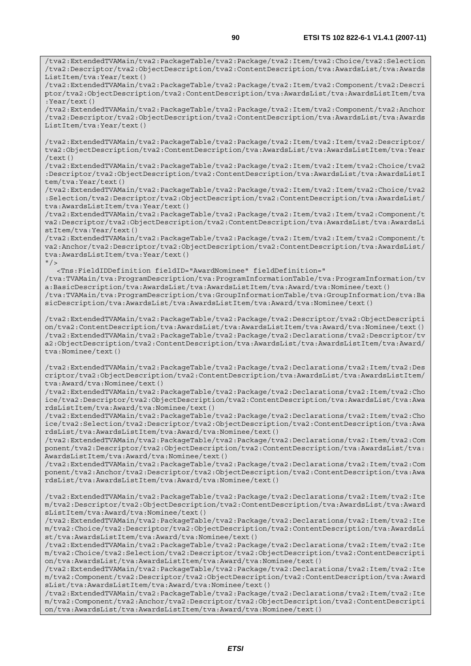/tva2:ExtendedTVAMain/tva2:PackageTable/tva2:Package/tva2:Item/tva2:Choice/tva2:Selection /tva2:Descriptor/tva2:ObjectDescription/tva2:ContentDescription/tva:AwardsList/tva:Awards ListItem/tva:Year/text()

/tva2:ExtendedTVAMain/tva2:PackageTable/tva2:Package/tva2:Item/tva2:Component/tva2:Descri ptor/tva2:ObjectDescription/tva2:ContentDescription/tva:AwardsList/tva:AwardsListItem/tva :Year/text()

/tva2:ExtendedTVAMain/tva2:PackageTable/tva2:Package/tva2:Item/tva2:Component/tva2:Anchor /tva2:Descriptor/tva2:ObjectDescription/tva2:ContentDescription/tva:AwardsList/tva:Awards ListItem/tva:Year/text()

/tva2:ExtendedTVAMain/tva2:PackageTable/tva2:Package/tva2:Item/tva2:Item/tva2:Descriptor/ tva2:ObjectDescription/tva2:ContentDescription/tva:AwardsList/tva:AwardsListItem/tva:Year /text()

/tva2:ExtendedTVAMain/tva2:PackageTable/tva2:Package/tva2:Item/tva2:Item/tva2:Choice/tva2 :Descriptor/tva2:ObjectDescription/tva2:ContentDescription/tva:AwardsList/tva:AwardsListI tem/tva:Year/text()

/tva2:ExtendedTVAMain/tva2:PackageTable/tva2:Package/tva2:Item/tva2:Item/tva2:Choice/tva2 :Selection/tva2:Descriptor/tva2:ObjectDescription/tva2:ContentDescription/tva:AwardsList/ tva:AwardsListItem/tva:Year/text()

/tva2:ExtendedTVAMain/tva2:PackageTable/tva2:Package/tva2:Item/tva2:Item/tva2:Component/t va2:Descriptor/tva2:ObjectDescription/tva2:ContentDescription/tva:AwardsList/tva:AwardsLi stItem/tva:Year/text()

/tva2:ExtendedTVAMain/tva2:PackageTable/tva2:Package/tva2:Item/tva2:Item/tva2:Component/t va2:Anchor/tva2:Descriptor/tva2:ObjectDescription/tva2:ContentDescription/tva:AwardsList/ tva:AwardsListItem/tva:Year/text()  $"$  / >

 <Tns:FieldIDDefinition fieldID="AwardNominee" fieldDefinition=" /tva:TVAMain/tva:ProgramDescription/tva:ProgramInformationTable/tva:ProgramInformation/tv a:BasicDescription/tva:AwardsList/tva:AwardsListItem/tva:Award/tva:Nominee/text() /tva:TVAMain/tva:ProgramDescription/tva:GroupInformationTable/tva:GroupInformation/tva:Ba sicDescription/tva:AwardsList/tva:AwardsListItem/tva:Award/tva:Nominee/text()

/tva2:ExtendedTVAMain/tva2:PackageTable/tva2:Package/tva2:Descriptor/tva2:ObjectDescripti on/tva2:ContentDescription/tva:AwardsList/tva:AwardsListItem/tva:Award/tva:Nominee/text() /tva2:ExtendedTVAMain/tva2:PackageTable/tva2:Package/tva2:Declarations/tva2:Descriptor/tv a2:ObjectDescription/tva2:ContentDescription/tva:AwardsList/tva:AwardsListItem/tva:Award/ tva:Nominee/text()

/tva2:ExtendedTVAMain/tva2:PackageTable/tva2:Package/tva2:Declarations/tva2:Item/tva2:Des criptor/tva2:ObjectDescription/tva2:ContentDescription/tva:AwardsList/tva:AwardsListItem/ tva:Award/tva:Nominee/text()

/tva2:ExtendedTVAMain/tva2:PackageTable/tva2:Package/tva2:Declarations/tva2:Item/tva2:Cho ice/tva2:Descriptor/tva2:ObjectDescription/tva2:ContentDescription/tva:AwardsList/tva:Awa rdsListItem/tva:Award/tva:Nominee/text()

/tva2:ExtendedTVAMain/tva2:PackageTable/tva2:Package/tva2:Declarations/tva2:Item/tva2:Cho ice/tva2:Selection/tva2:Descriptor/tva2:ObjectDescription/tva2:ContentDescription/tva:Awa rdsList/tva:AwardsListItem/tva:Award/tva:Nominee/text()

/tva2:ExtendedTVAMain/tva2:PackageTable/tva2:Package/tva2:Declarations/tva2:Item/tva2:Com ponent/tva2:Descriptor/tva2:ObjectDescription/tva2:ContentDescription/tva:AwardsList/tva: AwardsListItem/tva:Award/tva:Nominee/text()

/tva2:ExtendedTVAMain/tva2:PackageTable/tva2:Package/tva2:Declarations/tva2:Item/tva2:Com ponent/tva2:Anchor/tva2:Descriptor/tva2:ObjectDescription/tva2:ContentDescription/tva:Awa rdsList/tva:AwardsListItem/tva:Award/tva:Nominee/text()

/tva2:ExtendedTVAMain/tva2:PackageTable/tva2:Package/tva2:Declarations/tva2:Item/tva2:Ite m/tva2:Descriptor/tva2:ObjectDescription/tva2:ContentDescription/tva:AwardsList/tva:Award sListItem/tva:Award/tva:Nominee/text()

/tva2:ExtendedTVAMain/tva2:PackageTable/tva2:Package/tva2:Declarations/tva2:Item/tva2:Ite m/tva2:Choice/tva2:Descriptor/tva2:ObjectDescription/tva2:ContentDescription/tva:AwardsLi st/tva:AwardsListItem/tva:Award/tva:Nominee/text()

/tva2:ExtendedTVAMain/tva2:PackageTable/tva2:Package/tva2:Declarations/tva2:Item/tva2:Ite m/tva2:Choice/tva2:Selection/tva2:Descriptor/tva2:ObjectDescription/tva2:ContentDescripti on/tva:AwardsList/tva:AwardsListItem/tva:Award/tva:Nominee/text()

/tva2:ExtendedTVAMain/tva2:PackageTable/tva2:Package/tva2:Declarations/tva2:Item/tva2:Ite m/tva2:Component/tva2:Descriptor/tva2:ObjectDescription/tva2:ContentDescription/tva:Award sList/tva:AwardsListItem/tva:Award/tva:Nominee/text()

/tva2:ExtendedTVAMain/tva2:PackageTable/tva2:Package/tva2:Declarations/tva2:Item/tva2:Ite m/tva2:Component/tva2:Anchor/tva2:Descriptor/tva2:ObjectDescription/tva2:ContentDescripti on/tva:AwardsList/tva:AwardsListItem/tva:Award/tva:Nominee/text()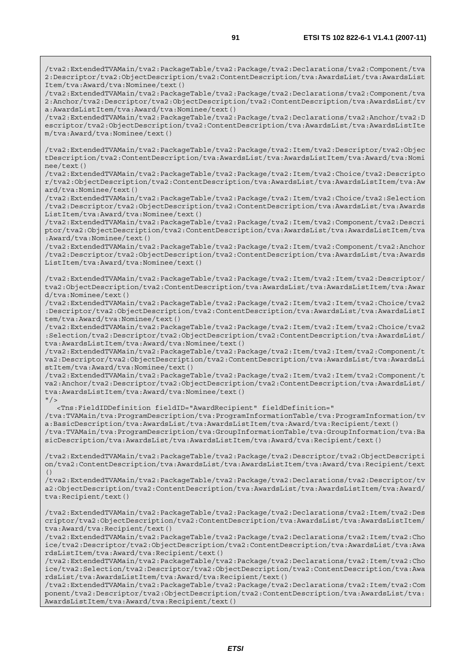/tva2:ExtendedTVAMain/tva2:PackageTable/tva2:Package/tva2:Declarations/tva2:Component/tva 2:Descriptor/tva2:ObjectDescription/tva2:ContentDescription/tva:AwardsList/tva:AwardsList Item/tva:Award/tva:Nominee/text()

/tva2:ExtendedTVAMain/tva2:PackageTable/tva2:Package/tva2:Declarations/tva2:Component/tva 2:Anchor/tva2:Descriptor/tva2:ObjectDescription/tva2:ContentDescription/tva:AwardsList/tv a:AwardsListItem/tva:Award/tva:Nominee/text()

/tva2:ExtendedTVAMain/tva2:PackageTable/tva2:Package/tva2:Declarations/tva2:Anchor/tva2:D escriptor/tva2:ObjectDescription/tva2:ContentDescription/tva:AwardsList/tva:AwardsListIte m/tva:Award/tva:Nominee/text()

/tva2:ExtendedTVAMain/tva2:PackageTable/tva2:Package/tva2:Item/tva2:Descriptor/tva2:Objec tDescription/tva2:ContentDescription/tva:AwardsList/tva:AwardsListItem/tva:Award/tva:Nomi nee/text()

/tva2:ExtendedTVAMain/tva2:PackageTable/tva2:Package/tva2:Item/tva2:Choice/tva2:Descripto r/tva2:ObjectDescription/tva2:ContentDescription/tva:AwardsList/tva:AwardsListItem/tva:Aw ard/tva:Nominee/text()

/tva2:ExtendedTVAMain/tva2:PackageTable/tva2:Package/tva2:Item/tva2:Choice/tva2:Selection /tva2:Descriptor/tva2:ObjectDescription/tva2:ContentDescription/tva:AwardsList/tva:Awards ListItem/tva:Award/tva:Nominee/text()

/tva2:ExtendedTVAMain/tva2:PackageTable/tva2:Package/tva2:Item/tva2:Component/tva2:Descri ptor/tva2:ObjectDescription/tva2:ContentDescription/tva:AwardsList/tva:AwardsListItem/tva :Award/tva:Nominee/text()

/tva2:ExtendedTVAMain/tva2:PackageTable/tva2:Package/tva2:Item/tva2:Component/tva2:Anchor /tva2:Descriptor/tva2:ObjectDescription/tva2:ContentDescription/tva:AwardsList/tva:Awards ListItem/tva:Award/tva:Nominee/text()

/tva2:ExtendedTVAMain/tva2:PackageTable/tva2:Package/tva2:Item/tva2:Item/tva2:Descriptor/ tva2:ObjectDescription/tva2:ContentDescription/tva:AwardsList/tva:AwardsListItem/tva:Awar d/tva:Nominee/text()

/tva2:ExtendedTVAMain/tva2:PackageTable/tva2:Package/tva2:Item/tva2:Item/tva2:Choice/tva2 :Descriptor/tva2:ObjectDescription/tva2:ContentDescription/tva:AwardsList/tva:AwardsListI tem/tva:Award/tva:Nominee/text()

/tva2:ExtendedTVAMain/tva2:PackageTable/tva2:Package/tva2:Item/tva2:Item/tva2:Choice/tva2 :Selection/tva2:Descriptor/tva2:ObjectDescription/tva2:ContentDescription/tva:AwardsList/ tva:AwardsListItem/tva:Award/tva:Nominee/text()

/tva2:ExtendedTVAMain/tva2:PackageTable/tva2:Package/tva2:Item/tva2:Item/tva2:Component/t va2:Descriptor/tva2:ObjectDescription/tva2:ContentDescription/tva:AwardsList/tva:AwardsLi stItem/tva:Award/tva:Nominee/text()

/tva2:ExtendedTVAMain/tva2:PackageTable/tva2:Package/tva2:Item/tva2:Item/tva2:Component/t va2:Anchor/tva2:Descriptor/tva2:ObjectDescription/tva2:ContentDescription/tva:AwardsList/ tva:AwardsListItem/tva:Award/tva:Nominee/text()  $"$ />

<Tns:FieldIDDefinition fieldID="AwardRecipient" fieldDefinition="

/tva:TVAMain/tva:ProgramDescription/tva:ProgramInformationTable/tva:ProgramInformation/tv a:BasicDescription/tva:AwardsList/tva:AwardsListItem/tva:Award/tva:Recipient/text() /tva:TVAMain/tva:ProgramDescription/tva:GroupInformationTable/tva:GroupInformation/tva:Ba sicDescription/tva:AwardsList/tva:AwardsListItem/tva:Award/tva:Recipient/text()

/tva2:ExtendedTVAMain/tva2:PackageTable/tva2:Package/tva2:Descriptor/tva2:ObjectDescripti on/tva2:ContentDescription/tva:AwardsList/tva:AwardsListItem/tva:Award/tva:Recipient/text ()

/tva2:ExtendedTVAMain/tva2:PackageTable/tva2:Package/tva2:Declarations/tva2:Descriptor/tv a2:ObjectDescription/tva2:ContentDescription/tva:AwardsList/tva:AwardsListItem/tva:Award/ tva:Recipient/text()

/tva2:ExtendedTVAMain/tva2:PackageTable/tva2:Package/tva2:Declarations/tva2:Item/tva2:Des criptor/tva2:ObjectDescription/tva2:ContentDescription/tva:AwardsList/tva:AwardsListItem/ tva:Award/tva:Recipient/text()

/tva2:ExtendedTVAMain/tva2:PackageTable/tva2:Package/tva2:Declarations/tva2:Item/tva2:Cho ice/tva2:Descriptor/tva2:ObjectDescription/tva2:ContentDescription/tva:AwardsList/tva:Awa rdsListItem/tva:Award/tva:Recipient/text()

/tva2:ExtendedTVAMain/tva2:PackageTable/tva2:Package/tva2:Declarations/tva2:Item/tva2:Cho ice/tva2:Selection/tva2:Descriptor/tva2:ObjectDescription/tva2:ContentDescription/tva:Awa rdsList/tva:AwardsListItem/tva:Award/tva:Recipient/text()

/tva2:ExtendedTVAMain/tva2:PackageTable/tva2:Package/tva2:Declarations/tva2:Item/tva2:Com ponent/tva2:Descriptor/tva2:ObjectDescription/tva2:ContentDescription/tva:AwardsList/tva: AwardsListItem/tva:Award/tva:Recipient/text()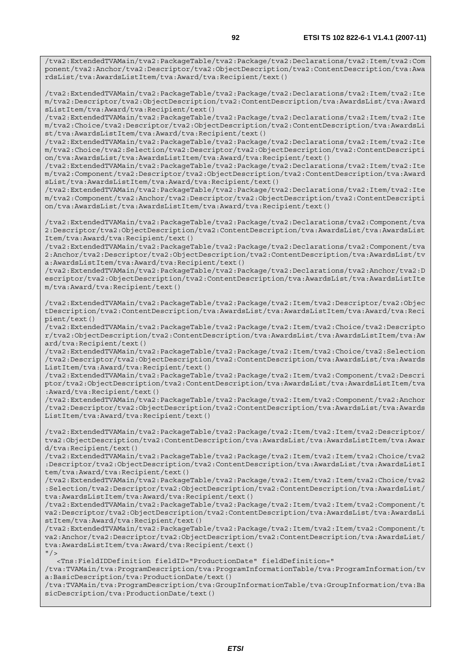/tva2:ExtendedTVAMain/tva2:PackageTable/tva2:Package/tva2:Declarations/tva2:Item/tva2:Com ponent/tva2:Anchor/tva2:Descriptor/tva2:ObjectDescription/tva2:ContentDescription/tva:Awa rdsList/tva:AwardsListItem/tva:Award/tva:Recipient/text()

/tva2:ExtendedTVAMain/tva2:PackageTable/tva2:Package/tva2:Declarations/tva2:Item/tva2:Ite m/tva2:Descriptor/tva2:ObjectDescription/tva2:ContentDescription/tva:AwardsList/tva:Award sListItem/tva:Award/tva:Recipient/text()

/tva2:ExtendedTVAMain/tva2:PackageTable/tva2:Package/tva2:Declarations/tva2:Item/tva2:Ite m/tva2:Choice/tva2:Descriptor/tva2:ObjectDescription/tva2:ContentDescription/tva:AwardsLi st/tva:AwardsListItem/tva:Award/tva:Recipient/text()

/tva2:ExtendedTVAMain/tva2:PackageTable/tva2:Package/tva2:Declarations/tva2:Item/tva2:Ite m/tva2:Choice/tva2:Selection/tva2:Descriptor/tva2:ObjectDescription/tva2:ContentDescripti on/tva:AwardsList/tva:AwardsListItem/tva:Award/tva:Recipient/text()

/tva2:ExtendedTVAMain/tva2:PackageTable/tva2:Package/tva2:Declarations/tva2:Item/tva2:Ite m/tva2:Component/tva2:Descriptor/tva2:ObjectDescription/tva2:ContentDescription/tva:Award sList/tva:AwardsListItem/tva:Award/tva:Recipient/text()

/tva2:ExtendedTVAMain/tva2:PackageTable/tva2:Package/tva2:Declarations/tva2:Item/tva2:Ite m/tva2:Component/tva2:Anchor/tva2:Descriptor/tva2:ObjectDescription/tva2:ContentDescripti on/tva:AwardsList/tva:AwardsListItem/tva:Award/tva:Recipient/text()

/tva2:ExtendedTVAMain/tva2:PackageTable/tva2:Package/tva2:Declarations/tva2:Component/tva 2:Descriptor/tva2:ObjectDescription/tva2:ContentDescription/tva:AwardsList/tva:AwardsList Item/tva:Award/tva:Recipient/text()

/tva2:ExtendedTVAMain/tva2:PackageTable/tva2:Package/tva2:Declarations/tva2:Component/tva 2:Anchor/tva2:Descriptor/tva2:ObjectDescription/tva2:ContentDescription/tva:AwardsList/tv a:AwardsListItem/tva:Award/tva:Recipient/text()

/tva2:ExtendedTVAMain/tva2:PackageTable/tva2:Package/tva2:Declarations/tva2:Anchor/tva2:D escriptor/tva2:ObjectDescription/tva2:ContentDescription/tva:AwardsList/tva:AwardsListIte m/tva:Award/tva:Recipient/text()

/tva2:ExtendedTVAMain/tva2:PackageTable/tva2:Package/tva2:Item/tva2:Descriptor/tva2:Objec tDescription/tva2:ContentDescription/tva:AwardsList/tva:AwardsListItem/tva:Award/tva:Reci pient/text()

/tva2:ExtendedTVAMain/tva2:PackageTable/tva2:Package/tva2:Item/tva2:Choice/tva2:Descripto r/tva2:ObjectDescription/tva2:ContentDescription/tva:AwardsList/tva:AwardsListItem/tva:Aw ard/tva:Recipient/text()

/tva2:ExtendedTVAMain/tva2:PackageTable/tva2:Package/tva2:Item/tva2:Choice/tva2:Selection /tva2:Descriptor/tva2:ObjectDescription/tva2:ContentDescription/tva:AwardsList/tva:Awards ListItem/tva:Award/tva:Recipient/text()

/tva2:ExtendedTVAMain/tva2:PackageTable/tva2:Package/tva2:Item/tva2:Component/tva2:Descri ptor/tva2:ObjectDescription/tva2:ContentDescription/tva:AwardsList/tva:AwardsListItem/tva :Award/tva:Recipient/text()

/tva2:ExtendedTVAMain/tva2:PackageTable/tva2:Package/tva2:Item/tva2:Component/tva2:Anchor /tva2:Descriptor/tva2:ObjectDescription/tva2:ContentDescription/tva:AwardsList/tva:Awards ListItem/tva:Award/tva:Recipient/text()

/tva2:ExtendedTVAMain/tva2:PackageTable/tva2:Package/tva2:Item/tva2:Item/tva2:Descriptor/ tva2:ObjectDescription/tva2:ContentDescription/tva:AwardsList/tva:AwardsListItem/tva:Awar d/tva:Recipient/text()

/tva2:ExtendedTVAMain/tva2:PackageTable/tva2:Package/tva2:Item/tva2:Item/tva2:Choice/tva2 :Descriptor/tva2:ObjectDescription/tva2:ContentDescription/tva:AwardsList/tva:AwardsListI tem/tva:Award/tva:Recipient/text()

/tva2:ExtendedTVAMain/tva2:PackageTable/tva2:Package/tva2:Item/tva2:Item/tva2:Choice/tva2 :Selection/tva2:Descriptor/tva2:ObjectDescription/tva2:ContentDescription/tva:AwardsList/ tva:AwardsListItem/tva:Award/tva:Recipient/text()

/tva2:ExtendedTVAMain/tva2:PackageTable/tva2:Package/tva2:Item/tva2:Item/tva2:Component/t va2:Descriptor/tva2:ObjectDescription/tva2:ContentDescription/tva:AwardsList/tva:AwardsLi stItem/tva:Award/tva:Recipient/text()

/tva2:ExtendedTVAMain/tva2:PackageTable/tva2:Package/tva2:Item/tva2:Item/tva2:Component/t va2:Anchor/tva2:Descriptor/tva2:ObjectDescription/tva2:ContentDescription/tva:AwardsList/ tva:AwardsListItem/tva:Award/tva:Recipient/text()  $"$  />

<Tns:FieldIDDefinition fieldID="ProductionDate" fieldDefinition="

/tva:TVAMain/tva:ProgramDescription/tva:ProgramInformationTable/tva:ProgramInformation/tv a:BasicDescription/tva:ProductionDate/text()

/tva:TVAMain/tva:ProgramDescription/tva:GroupInformationTable/tva:GroupInformation/tva:Ba sicDescription/tva:ProductionDate/text()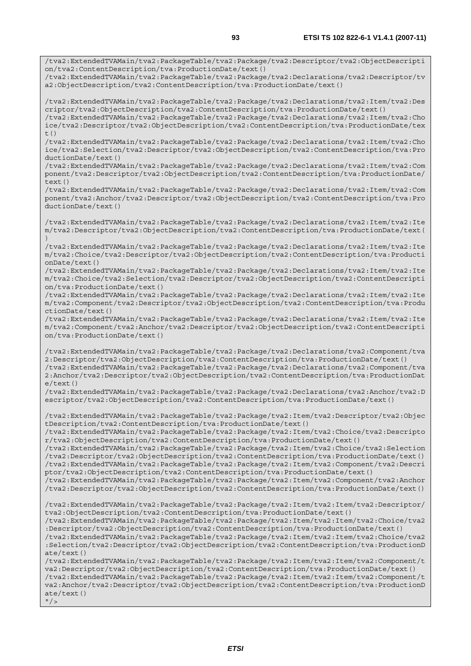/tva2:ExtendedTVAMain/tva2:PackageTable/tva2:Package/tva2:Descriptor/tva2:ObjectDescripti

on/tva2:ContentDescription/tva:ProductionDate/text()

/tva2:ExtendedTVAMain/tva2:PackageTable/tva2:Package/tva2:Declarations/tva2:Descriptor/tv a2:ObjectDescription/tva2:ContentDescription/tva:ProductionDate/text() /tva2:ExtendedTVAMain/tva2:PackageTable/tva2:Package/tva2:Declarations/tva2:Item/tva2:Des criptor/tva2:ObjectDescription/tva2:ContentDescription/tva:ProductionDate/text() /tva2:ExtendedTVAMain/tva2:PackageTable/tva2:Package/tva2:Declarations/tva2:Item/tva2:Cho ice/tva2:Descriptor/tva2:ObjectDescription/tva2:ContentDescription/tva:ProductionDate/tex  $t($ ) /tva2:ExtendedTVAMain/tva2:PackageTable/tva2:Package/tva2:Declarations/tva2:Item/tva2:Cho ice/tva2:Selection/tva2:Descriptor/tva2:ObjectDescription/tva2:ContentDescription/tva:Pro ductionDate/text() /tva2:ExtendedTVAMain/tva2:PackageTable/tva2:Package/tva2:Declarations/tva2:Item/tva2:Com ponent/tva2:Descriptor/tva2:ObjectDescription/tva2:ContentDescription/tva:ProductionDate/ text() /tva2:ExtendedTVAMain/tva2:PackageTable/tva2:Package/tva2:Declarations/tva2:Item/tva2:Com ponent/tva2:Anchor/tva2:Descriptor/tva2:ObjectDescription/tva2:ContentDescription/tva:Pro ductionDate/text() /tva2:ExtendedTVAMain/tva2:PackageTable/tva2:Package/tva2:Declarations/tva2:Item/tva2:Ite m/tva2:Descriptor/tva2:ObjectDescription/tva2:ContentDescription/tva:ProductionDate/text( ) /tva2:ExtendedTVAMain/tva2:PackageTable/tva2:Package/tva2:Declarations/tva2:Item/tva2:Ite m/tva2:Choice/tva2:Descriptor/tva2:ObjectDescription/tva2:ContentDescription/tva:Producti onDate/text() /tva2:ExtendedTVAMain/tva2:PackageTable/tva2:Package/tva2:Declarations/tva2:Item/tva2:Ite m/tva2:Choice/tva2:Selection/tva2:Descriptor/tva2:ObjectDescription/tva2:ContentDescripti on/tva:ProductionDate/text() /tva2:ExtendedTVAMain/tva2:PackageTable/tva2:Package/tva2:Declarations/tva2:Item/tva2:Ite m/tva2:Component/tva2:Descriptor/tva2:ObjectDescription/tva2:ContentDescription/tva:Produ ctionDate/text() /tva2:ExtendedTVAMain/tva2:PackageTable/tva2:Package/tva2:Declarations/tva2:Item/tva2:Ite m/tva2:Component/tva2:Anchor/tva2:Descriptor/tva2:ObjectDescription/tva2:ContentDescripti on/tva:ProductionDate/text() /tva2:ExtendedTVAMain/tva2:PackageTable/tva2:Package/tva2:Declarations/tva2:Component/tva 2:Descriptor/tva2:ObjectDescription/tva2:ContentDescription/tva:ProductionDate/text() /tva2:ExtendedTVAMain/tva2:PackageTable/tva2:Package/tva2:Declarations/tva2:Component/tva 2:Anchor/tva2:Descriptor/tva2:ObjectDescription/tva2:ContentDescription/tva:ProductionDat e/text() /tva2:ExtendedTVAMain/tva2:PackageTable/tva2:Package/tva2:Declarations/tva2:Anchor/tva2:D escriptor/tva2:ObjectDescription/tva2:ContentDescription/tva:ProductionDate/text() /tva2:ExtendedTVAMain/tva2:PackageTable/tva2:Package/tva2:Item/tva2:Descriptor/tva2:Objec tDescription/tva2:ContentDescription/tva:ProductionDate/text() /tva2:ExtendedTVAMain/tva2:PackageTable/tva2:Package/tva2:Item/tva2:Choice/tva2:Descripto r/tva2:ObjectDescription/tva2:ContentDescription/tva:ProductionDate/text() /tva2:ExtendedTVAMain/tva2:PackageTable/tva2:Package/tva2:Item/tva2:Choice/tva2:Selection /tva2:Descriptor/tva2:ObjectDescription/tva2:ContentDescription/tva:ProductionDate/text() /tva2:ExtendedTVAMain/tva2:PackageTable/tva2:Package/tva2:Item/tva2:Component/tva2:Descri ptor/tva2:ObjectDescription/tva2:ContentDescription/tva:ProductionDate/text() /tva2:ExtendedTVAMain/tva2:PackageTable/tva2:Package/tva2:Item/tva2:Component/tva2:Anchor /tva2:Descriptor/tva2:ObjectDescription/tva2:ContentDescription/tva:ProductionDate/text() /tva2:ExtendedTVAMain/tva2:PackageTable/tva2:Package/tva2:Item/tva2:Item/tva2:Descriptor/ tva2:ObjectDescription/tva2:ContentDescription/tva:ProductionDate/text() /tva2:ExtendedTVAMain/tva2:PackageTable/tva2:Package/tva2:Item/tva2:Item/tva2:Choice/tva2 :Descriptor/tva2:ObjectDescription/tva2:ContentDescription/tva:ProductionDate/text() /tva2:ExtendedTVAMain/tva2:PackageTable/tva2:Package/tva2:Item/tva2:Item/tva2:Choice/tva2 :Selection/tva2:Descriptor/tva2:ObjectDescription/tva2:ContentDescription/tva:ProductionD ate/text() /tva2:ExtendedTVAMain/tva2:PackageTable/tva2:Package/tva2:Item/tva2:Item/tva2:Component/t va2:Descriptor/tva2:ObjectDescription/tva2:ContentDescription/tva:ProductionDate/text() /tva2:ExtendedTVAMain/tva2:PackageTable/tva2:Package/tva2:Item/tva2:Item/tva2:Component/t va2:Anchor/tva2:Descriptor/tva2:ObjectDescription/tva2:ContentDescription/tva:ProductionD ate/text()  $''$  / >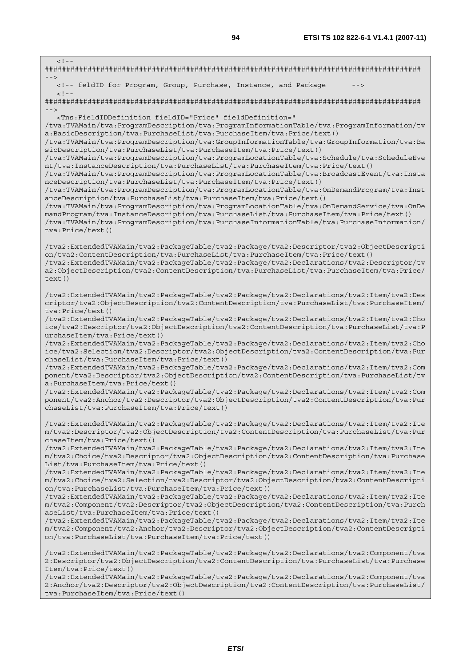| $< 1 - -$                                                                                                                                                                                                                                                                                                                                                                                                                                                                                                                                                                                                                                                                                                                                                                                                                                                                                                                                                                                                                                                                                                                                                                                                                               |
|-----------------------------------------------------------------------------------------------------------------------------------------------------------------------------------------------------------------------------------------------------------------------------------------------------------------------------------------------------------------------------------------------------------------------------------------------------------------------------------------------------------------------------------------------------------------------------------------------------------------------------------------------------------------------------------------------------------------------------------------------------------------------------------------------------------------------------------------------------------------------------------------------------------------------------------------------------------------------------------------------------------------------------------------------------------------------------------------------------------------------------------------------------------------------------------------------------------------------------------------|
| <!-- feldID for Program, Group, Purchase, Instance, and Package<br> $--$                                                                                                                                                                                                                                                                                                                                                                                                                                                                                                                                                                                                                                                                                                                                                                                                                                                                                                                                                                                                                                                                                                                                                                |
| $<$ ! - -                                                                                                                                                                                                                                                                                                                                                                                                                                                                                                                                                                                                                                                                                                                                                                                                                                                                                                                                                                                                                                                                                                                                                                                                                               |
| $- - >$<br><Tns:FieldIDDefinition fieldID="Price" fieldDefinition="<br>/tva:TVAMain/tva:ProgramDescription/tva:ProgramInformationTable/tva:ProgramInformation/tv<br>a:BasicDescription/tva:PurchaseList/tva:PurchaseItem/tva:Price/text()<br>/tva:TVAMain/tva:ProgramDescription/tva:GroupInformationTable/tva:GroupInformation/tva:Ba<br>sicDescription/tva:PurchaseList/tva:PurchaseItem/tva:Price/text()<br>/tva:TVAMain/tva:ProgramDescription/tva:ProgramLocationTable/tva:Schedule/tva:ScheduleEve<br>nt/tva:InstanceDescription/tva:PurchaseList/tva:PurchaseItem/tva:Price/text()<br>/tva:TVAMain/tva:ProgramDescription/tva:ProgramLocationTable/tva:BroadcastEvent/tva:Insta<br>nceDescription/tva:PurchaseList/tva:PurchaseItem/tva:Price/text()<br>/tva:TVAMain/tva:ProgramDescription/tva:ProgramLocationTable/tva:OnDemandProgram/tva:Inst<br>anceDescription/tva:PurchaseList/tva:PurchaseItem/tva:Price/text()<br>/tva:TVAMain/tva:ProgramDescription/tva:ProgramLocationTable/tva:OnDemandService/tva:OnDe<br>mandProgram/tva:InstanceDescription/tva:PurchaseList/tva:PurchaseItem/tva:Price/text()<br>/tva:TVAMain/tva:ProgramDescription/tva:PurchaseInformationTable/tva:PurchaseInformation/<br>tva: Price/text() |
| tva2:ExtendedTVAMain/tva2:PackageTable/tva2:Package/tva2:Descriptor/tva2:ObjectDescripti/<br>on/tva2:ContentDescription/tva:PurchaseList/tva:PurchaseItem/tva:Price/text()<br>/tva2:ExtendedTVAMain/tva2:PackageTable/tva2:Package/tva2:Declarations/tva2:Descriptor/tv<br>a2:ObjectDescription/tva2:ContentDescription/tva:PurchaseList/tva:PurchaseItem/tva:Price/<br>text()                                                                                                                                                                                                                                                                                                                                                                                                                                                                                                                                                                                                                                                                                                                                                                                                                                                          |
| tva2:ExtendedTVAMain/tva2:PackageTable/tva2:Package/tva2:Declarations/tva2:Item/tva2:Des/<br>criptor/tva2:ObjectDescription/tva2:ContentDescription/tva:PurchaseList/tva:PurchaseItem/<br>tva: Price/text()<br>tva2:ExtendedTVAMain/tva2:PackageTable/tva2:Package/tva2:Declarations/tva2:Item/tva2:Cho/<br>ice/tva2:Descriptor/tva2:ObjectDescription/tva2:ContentDescription/tva:PurchaseList/tva:P<br>urchaseItem/tva:Price/text()<br>tva2:ExtendedTVAMain/tva2:PackageTable/tva2:Package/tva2:Declarations/tva2:Item/tva2:Cho/<br>ice/tva2:Selection/tva2:Descriptor/tva2:ObjectDescription/tva2:ContentDescription/tva:Pur<br>chaseList/tva:PurchaseItem/tva:Price/text()<br>/tva2:ExtendedTVAMain/tva2:PackageTable/tva2:Package/tva2:Declarations/tva2:Item/tva2:Com<br>ponent/tva2:Descriptor/tva2:ObjectDescription/tva2:ContentDescription/tva:PurchaseList/tv<br>a:PurchaseItem/tva:Price/text()<br>/tva2:ExtendedTVAMain/tva2:PackageTable/tva2:Package/tva2:Declarations/tva2:Item/tva2:Com<br>ponent/tva2:Anchor/tva2:Descriptor/tva2:ObjectDescription/tva2:ContentDescription/tva:Pur<br>chaseList/tva:PurchaseItem/tva:Price/text()                                                                                    |
| /tva2:ExtendedTVAMain/tva2:PackageTable/tva2:Package/tva2:Declarations/tva2:Item/tva2:Ite<br>m/tva2:Descriptor/tva2:ObjectDescription/tva2:ContentDescription/tva:PurchaseList/tva:Pur<br>chaseItem/tva:Price/text()<br>tva2:ExtendedTVAMain/tva2:PackageTable/tva2:Package/tva2:Declarations/tva2:Item/tva2:Ite/<br>m/tva2:Choice/tva2:Descriptor/tva2:ObjectDescription/tva2:ContentDescription/tva:Purchase<br>List/tva:PurchaseItem/tva:Price/text()<br>tva2:ExtendedTVAMain/tva2:PackageTable/tva2:Package/tva2:Declarations/tva2:Item/tva2:Ite/<br>m/tva2:Choice/tva2:Selection/tva2:Descriptor/tva2:ObjectDescription/tva2:ContentDescripti<br>on/tva:PurchaseList/tva:PurchaseItem/tva:Price/text()<br>tva2:ExtendedTVAMain/tva2:PackageTable/tva2:Package/tva2:Declarations/tva2:Item/tva2:Ite/<br>m/tva2:Component/tva2:Descriptor/tva2:ObjectDescription/tva2:ContentDescription/tva:Purch<br>aseList/tva:PurchaseItem/tva:Price/text()<br>tva2:ExtendedTVAMain/tva2:PackageTable/tva2:Package/tva2:Declarations/tva2:Item/tva2:Ite/<br>m/tva2:Component/tva2:Anchor/tva2:Descriptor/tva2:ObjectDescription/tva2:ContentDescripti<br>on/tva:PurchaseList/tva:PurchaseItem/tva:Price/text()                                   |
| tva2:ExtendedTVAMain/tva2:PackageTable/tva2:Package/tva2:Declarations/tva2:Component/tva/<br>2:Descriptor/tva2:ObjectDescription/tva2:ContentDescription/tva:PurchaseList/tva:Purchase<br>Item/tva:Price/text()<br>/tva2:ExtendedTVAMain/tva2:PackageTable/tva2:Package/tva2:Declarations/tva2:Component/tva                                                                                                                                                                                                                                                                                                                                                                                                                                                                                                                                                                                                                                                                                                                                                                                                                                                                                                                            |

2:Anchor/tva2:Descriptor/tva2:ObjectDescription/tva2:ContentDescription/tva:PurchaseList/ tva:PurchaseItem/tva:Price/text()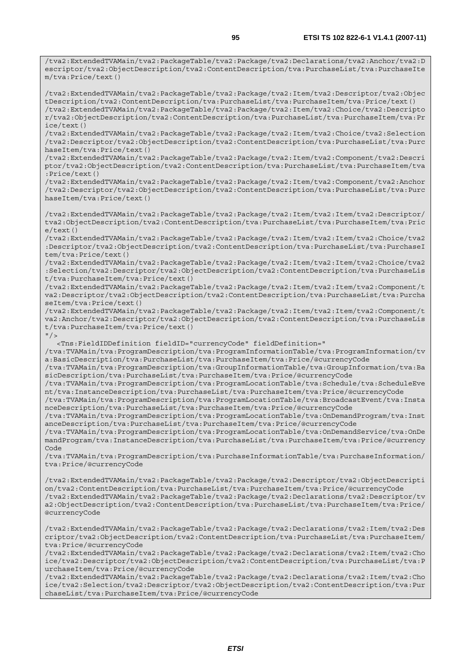/tva2:ExtendedTVAMain/tva2:PackageTable/tva2:Package/tva2:Declarations/tva2:Anchor/tva2:D escriptor/tva2:ObjectDescription/tva2:ContentDescription/tva:PurchaseList/tva:PurchaseIte m/tva:Price/text()

/tva2:ExtendedTVAMain/tva2:PackageTable/tva2:Package/tva2:Item/tva2:Descriptor/tva2:Objec tDescription/tva2:ContentDescription/tva:PurchaseList/tva:PurchaseItem/tva:Price/text() /tva2:ExtendedTVAMain/tva2:PackageTable/tva2:Package/tva2:Item/tva2:Choice/tva2:Descripto r/tva2:ObjectDescription/tva2:ContentDescription/tva:PurchaseList/tva:PurchaseItem/tva:Pr ice/text()

/tva2:ExtendedTVAMain/tva2:PackageTable/tva2:Package/tva2:Item/tva2:Choice/tva2:Selection /tva2:Descriptor/tva2:ObjectDescription/tva2:ContentDescription/tva:PurchaseList/tva:Purc haseItem/tva:Price/text()

/tva2:ExtendedTVAMain/tva2:PackageTable/tva2:Package/tva2:Item/tva2:Component/tva2:Descri ptor/tva2:ObjectDescription/tva2:ContentDescription/tva:PurchaseList/tva:PurchaseItem/tva :Price/text()

/tva2:ExtendedTVAMain/tva2:PackageTable/tva2:Package/tva2:Item/tva2:Component/tva2:Anchor /tva2:Descriptor/tva2:ObjectDescription/tva2:ContentDescription/tva:PurchaseList/tva:Purc haseItem/tva:Price/text()

/tva2:ExtendedTVAMain/tva2:PackageTable/tva2:Package/tva2:Item/tva2:Item/tva2:Descriptor/ tva2:ObjectDescription/tva2:ContentDescription/tva:PurchaseList/tva:PurchaseItem/tva:Pric e/text()

/tva2:ExtendedTVAMain/tva2:PackageTable/tva2:Package/tva2:Item/tva2:Item/tva2:Choice/tva2 :Descriptor/tva2:ObjectDescription/tva2:ContentDescription/tva:PurchaseList/tva:PurchaseI tem/tva:Price/text()

/tva2:ExtendedTVAMain/tva2:PackageTable/tva2:Package/tva2:Item/tva2:Item/tva2:Choice/tva2 :Selection/tva2:Descriptor/tva2:ObjectDescription/tva2:ContentDescription/tva:PurchaseLis t/tva:PurchaseItem/tva:Price/text()

/tva2:ExtendedTVAMain/tva2:PackageTable/tva2:Package/tva2:Item/tva2:Item/tva2:Component/t va2:Descriptor/tva2:ObjectDescription/tva2:ContentDescription/tva:PurchaseList/tva:Purcha seItem/tva:Price/text()

/tva2:ExtendedTVAMain/tva2:PackageTable/tva2:Package/tva2:Item/tva2:Item/tva2:Component/t va2:Anchor/tva2:Descriptor/tva2:ObjectDescription/tva2:ContentDescription/tva:PurchaseLis t/tva:PurchaseItem/tva:Price/text()

 $"$  />

<Tns:FieldIDDefinition fieldID="currencyCode" fieldDefinition="

/tva:TVAMain/tva:ProgramDescription/tva:ProgramInformationTable/tva:ProgramInformation/tv a:BasicDescription/tva:PurchaseList/tva:PurchaseItem/tva:Price/@currencyCode

/tva:TVAMain/tva:ProgramDescription/tva:GroupInformationTable/tva:GroupInformation/tva:Ba sicDescription/tva:PurchaseList/tva:PurchaseItem/tva:Price/@currencyCode

/tva:TVAMain/tva:ProgramDescription/tva:ProgramLocationTable/tva:Schedule/tva:ScheduleEve nt/tva:InstanceDescription/tva:PurchaseList/tva:PurchaseItem/tva:Price/@currencyCode

/tva:TVAMain/tva:ProgramDescription/tva:ProgramLocationTable/tva:BroadcastEvent/tva:Insta nceDescription/tva:PurchaseList/tva:PurchaseItem/tva:Price/@currencyCode

/tva:TVAMain/tva:ProgramDescription/tva:ProgramLocationTable/tva:OnDemandProgram/tva:Inst anceDescription/tva:PurchaseList/tva:PurchaseItem/tva:Price/@currencyCode

/tva:TVAMain/tva:ProgramDescription/tva:ProgramLocationTable/tva:OnDemandService/tva:OnDe mandProgram/tva:InstanceDescription/tva:PurchaseList/tva:PurchaseItem/tva:Price/@currency Code

/tva:TVAMain/tva:ProgramDescription/tva:PurchaseInformationTable/tva:PurchaseInformation/ tva:Price/@currencyCode

/tva2:ExtendedTVAMain/tva2:PackageTable/tva2:Package/tva2:Descriptor/tva2:ObjectDescripti on/tva2:ContentDescription/tva:PurchaseList/tva:PurchaseItem/tva:Price/@currencyCode /tva2:ExtendedTVAMain/tva2:PackageTable/tva2:Package/tva2:Declarations/tva2:Descriptor/tv a2:ObjectDescription/tva2:ContentDescription/tva:PurchaseList/tva:PurchaseItem/tva:Price/ @currencyCode

/tva2:ExtendedTVAMain/tva2:PackageTable/tva2:Package/tva2:Declarations/tva2:Item/tva2:Des criptor/tva2:ObjectDescription/tva2:ContentDescription/tva:PurchaseList/tva:PurchaseItem/ tva:Price/@currencyCode

/tva2:ExtendedTVAMain/tva2:PackageTable/tva2:Package/tva2:Declarations/tva2:Item/tva2:Cho ice/tva2:Descriptor/tva2:ObjectDescription/tva2:ContentDescription/tva:PurchaseList/tva:P urchaseItem/tva:Price/@currencyCode

/tva2:ExtendedTVAMain/tva2:PackageTable/tva2:Package/tva2:Declarations/tva2:Item/tva2:Cho ice/tva2:Selection/tva2:Descriptor/tva2:ObjectDescription/tva2:ContentDescription/tva:Pur chaseList/tva:PurchaseItem/tva:Price/@currencyCode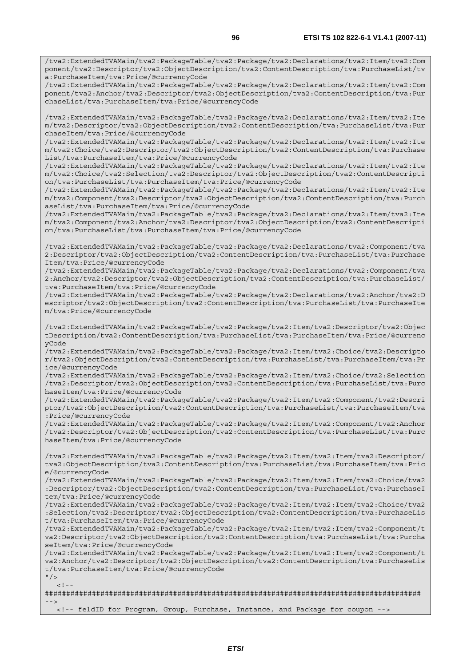/tva2:ExtendedTVAMain/tva2:PackageTable/tva2:Package/tva2:Declarations/tva2:Item/tva2:Com ponent/tva2:Descriptor/tva2:ObjectDescription/tva2:ContentDescription/tva:PurchaseList/tv a:PurchaseItem/tva:Price/@currencyCode

/tva2:ExtendedTVAMain/tva2:PackageTable/tva2:Package/tva2:Declarations/tva2:Item/tva2:Com ponent/tva2:Anchor/tva2:Descriptor/tva2:ObjectDescription/tva2:ContentDescription/tva:Pur chaseList/tva:PurchaseItem/tva:Price/@currencyCode

/tva2:ExtendedTVAMain/tva2:PackageTable/tva2:Package/tva2:Declarations/tva2:Item/tva2:Ite m/tva2:Descriptor/tva2:ObjectDescription/tva2:ContentDescription/tva:PurchaseList/tva:Pur chaseItem/tva:Price/@currencyCode

/tva2:ExtendedTVAMain/tva2:PackageTable/tva2:Package/tva2:Declarations/tva2:Item/tva2:Ite m/tva2:Choice/tva2:Descriptor/tva2:ObjectDescription/tva2:ContentDescription/tva:Purchase List/tva:PurchaseItem/tva:Price/@currencyCode

/tva2:ExtendedTVAMain/tva2:PackageTable/tva2:Package/tva2:Declarations/tva2:Item/tva2:Ite m/tva2:Choice/tva2:Selection/tva2:Descriptor/tva2:ObjectDescription/tva2:ContentDescripti on/tva:PurchaseList/tva:PurchaseItem/tva:Price/@currencyCode

/tva2:ExtendedTVAMain/tva2:PackageTable/tva2:Package/tva2:Declarations/tva2:Item/tva2:Ite m/tva2:Component/tva2:Descriptor/tva2:ObjectDescription/tva2:ContentDescription/tva:Purch aseList/tva:PurchaseItem/tva:Price/@currencyCode

/tva2:ExtendedTVAMain/tva2:PackageTable/tva2:Package/tva2:Declarations/tva2:Item/tva2:Ite m/tva2:Component/tva2:Anchor/tva2:Descriptor/tva2:ObjectDescription/tva2:ContentDescripti on/tva:PurchaseList/tva:PurchaseItem/tva:Price/@currencyCode

/tva2:ExtendedTVAMain/tva2:PackageTable/tva2:Package/tva2:Declarations/tva2:Component/tva 2:Descriptor/tva2:ObjectDescription/tva2:ContentDescription/tva:PurchaseList/tva:Purchase Item/tva:Price/@currencyCode

/tva2:ExtendedTVAMain/tva2:PackageTable/tva2:Package/tva2:Declarations/tva2:Component/tva 2:Anchor/tva2:Descriptor/tva2:ObjectDescription/tva2:ContentDescription/tva:PurchaseList/ tva:PurchaseItem/tva:Price/@currencyCode

/tva2:ExtendedTVAMain/tva2:PackageTable/tva2:Package/tva2:Declarations/tva2:Anchor/tva2:D escriptor/tva2:ObjectDescription/tva2:ContentDescription/tva:PurchaseList/tva:PurchaseIte m/tva:Price/@currencyCode

/tva2:ExtendedTVAMain/tva2:PackageTable/tva2:Package/tva2:Item/tva2:Descriptor/tva2:Objec tDescription/tva2:ContentDescription/tva:PurchaseList/tva:PurchaseItem/tva:Price/@currenc yCode

/tva2:ExtendedTVAMain/tva2:PackageTable/tva2:Package/tva2:Item/tva2:Choice/tva2:Descripto r/tva2:ObjectDescription/tva2:ContentDescription/tva:PurchaseList/tva:PurchaseItem/tva:Pr ice/@currencyCode

/tva2:ExtendedTVAMain/tva2:PackageTable/tva2:Package/tva2:Item/tva2:Choice/tva2:Selection /tva2:Descriptor/tva2:ObjectDescription/tva2:ContentDescription/tva:PurchaseList/tva:Purc haseItem/tva:Price/@currencyCode

/tva2:ExtendedTVAMain/tva2:PackageTable/tva2:Package/tva2:Item/tva2:Component/tva2:Descri ptor/tva2:ObjectDescription/tva2:ContentDescription/tva:PurchaseList/tva:PurchaseItem/tva :Price/@currencyCode

/tva2:ExtendedTVAMain/tva2:PackageTable/tva2:Package/tva2:Item/tva2:Component/tva2:Anchor /tva2:Descriptor/tva2:ObjectDescription/tva2:ContentDescription/tva:PurchaseList/tva:Purc haseItem/tva:Price/@currencyCode

/tva2:ExtendedTVAMain/tva2:PackageTable/tva2:Package/tva2:Item/tva2:Item/tva2:Descriptor/ tva2:ObjectDescription/tva2:ContentDescription/tva:PurchaseList/tva:PurchaseItem/tva:Pric e/@currencyCode

/tva2:ExtendedTVAMain/tva2:PackageTable/tva2:Package/tva2:Item/tva2:Item/tva2:Choice/tva2 :Descriptor/tva2:ObjectDescription/tva2:ContentDescription/tva:PurchaseList/tva:PurchaseI tem/tva:Price/@currencyCode

/tva2:ExtendedTVAMain/tva2:PackageTable/tva2:Package/tva2:Item/tva2:Item/tva2:Choice/tva2 :Selection/tva2:Descriptor/tva2:ObjectDescription/tva2:ContentDescription/tva:PurchaseLis t/tva:PurchaseItem/tva:Price/@currencyCode

/tva2:ExtendedTVAMain/tva2:PackageTable/tva2:Package/tva2:Item/tva2:Item/tva2:Component/t va2:Descriptor/tva2:ObjectDescription/tva2:ContentDescription/tva:PurchaseList/tva:Purcha seItem/tva:Price/@currencyCode

/tva2:ExtendedTVAMain/tva2:PackageTable/tva2:Package/tva2:Item/tva2:Item/tva2:Component/t va2:Anchor/tva2:Descriptor/tva2:ObjectDescription/tva2:ContentDescription/tva:PurchaseLis t/tva:PurchaseItem/tva:Price/@currencyCode

 $"$  / >  $\geq$  1

######################################################################################## -->

<!-- feldID for Program, Group, Purchase, Instance, and Package for coupon -->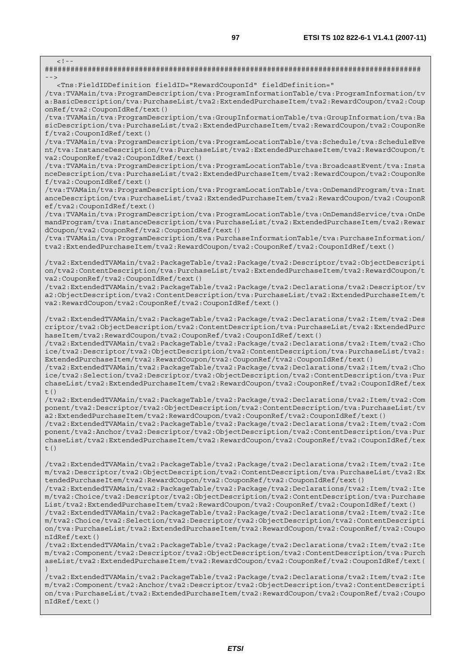######################################################################################## --> <Tns:FieldIDDefinition fieldID="RewardCouponId" fieldDefinition=" /tva:TVAMain/tva:ProgramDescription/tva:ProgramInformationTable/tva:ProgramInformation/tv a:BasicDescription/tva:PurchaseList/tva2:ExtendedPurchaseItem/tva2:RewardCoupon/tva2:Coup onRef/tva2:CouponIdRef/text() /tva:TVAMain/tva:ProgramDescription/tva:GroupInformationTable/tva:GroupInformation/tva:Ba sicDescription/tva:PurchaseList/tva2:ExtendedPurchaseItem/tva2:RewardCoupon/tva2:CouponRe f/tva2:CouponIdRef/text() /tva:TVAMain/tva:ProgramDescription/tva:ProgramLocationTable/tva:Schedule/tva:ScheduleEve nt/tva:InstanceDescription/tva:PurchaseList/tva2:ExtendedPurchaseItem/tva2:RewardCoupon/t va2:CouponRef/tva2:CouponIdRef/text() /tva:TVAMain/tva:ProgramDescription/tva:ProgramLocationTable/tva:BroadcastEvent/tva:Insta nceDescription/tva:PurchaseList/tva2:ExtendedPurchaseItem/tva2:RewardCoupon/tva2:CouponRe f/tva2:CouponIdRef/text() /tva:TVAMain/tva:ProgramDescription/tva:ProgramLocationTable/tva:OnDemandProgram/tva:Inst anceDescription/tva:PurchaseList/tva2:ExtendedPurchaseItem/tva2:RewardCoupon/tva2:CouponR ef/tva2:CouponIdRef/text() /tva:TVAMain/tva:ProgramDescription/tva:ProgramLocationTable/tva:OnDemandService/tva:OnDe mandProgram/tva:InstanceDescription/tva:PurchaseList/tva2:ExtendedPurchaseItem/tva2:Rewar dCoupon/tva2:CouponRef/tva2:CouponIdRef/text() /tva:TVAMain/tva:ProgramDescription/tva:PurchaseInformationTable/tva:PurchaseInformation/ tva2:ExtendedPurchaseItem/tva2:RewardCoupon/tva2:CouponRef/tva2:CouponIdRef/text()

/tva2:ExtendedTVAMain/tva2:PackageTable/tva2:Package/tva2:Descriptor/tva2:ObjectDescripti on/tva2:ContentDescription/tva:PurchaseList/tva2:ExtendedPurchaseItem/tva2:RewardCoupon/t va2:CouponRef/tva2:CouponIdRef/text()

/tva2:ExtendedTVAMain/tva2:PackageTable/tva2:Package/tva2:Declarations/tva2:Descriptor/tv a2:ObjectDescription/tva2:ContentDescription/tva:PurchaseList/tva2:ExtendedPurchaseItem/t va2:RewardCoupon/tva2:CouponRef/tva2:CouponIdRef/text()

/tva2:ExtendedTVAMain/tva2:PackageTable/tva2:Package/tva2:Declarations/tva2:Item/tva2:Des criptor/tva2:ObjectDescription/tva2:ContentDescription/tva:PurchaseList/tva2:ExtendedPurc haseItem/tva2:RewardCoupon/tva2:CouponRef/tva2:CouponIdRef/text()

/tva2:ExtendedTVAMain/tva2:PackageTable/tva2:Package/tva2:Declarations/tva2:Item/tva2:Cho ice/tva2:Descriptor/tva2:ObjectDescription/tva2:ContentDescription/tva:PurchaseList/tva2: ExtendedPurchaseItem/tva2:RewardCoupon/tva2:CouponRef/tva2:CouponIdRef/text()

/tva2:ExtendedTVAMain/tva2:PackageTable/tva2:Package/tva2:Declarations/tva2:Item/tva2:Cho ice/tva2:Selection/tva2:Descriptor/tva2:ObjectDescription/tva2:ContentDescription/tva:Pur chaseList/tva2:ExtendedPurchaseItem/tva2:RewardCoupon/tva2:CouponRef/tva2:CouponIdRef/tex  $+$ ()

/tva2:ExtendedTVAMain/tva2:PackageTable/tva2:Package/tva2:Declarations/tva2:Item/tva2:Com ponent/tva2:Descriptor/tva2:ObjectDescription/tva2:ContentDescription/tva:PurchaseList/tv a2:ExtendedPurchaseItem/tva2:RewardCoupon/tva2:CouponRef/tva2:CouponIdRef/text()

/tva2:ExtendedTVAMain/tva2:PackageTable/tva2:Package/tva2:Declarations/tva2:Item/tva2:Com ponent/tva2:Anchor/tva2:Descriptor/tva2:ObjectDescription/tva2:ContentDescription/tva:Pur chaseList/tva2:ExtendedPurchaseItem/tva2:RewardCoupon/tva2:CouponRef/tva2:CouponIdRef/tex t()

/tva2:ExtendedTVAMain/tva2:PackageTable/tva2:Package/tva2:Declarations/tva2:Item/tva2:Ite m/tva2:Descriptor/tva2:ObjectDescription/tva2:ContentDescription/tva:PurchaseList/tva2:Ex tendedPurchaseItem/tva2:RewardCoupon/tva2:CouponRef/tva2:CouponIdRef/text()

/tva2:ExtendedTVAMain/tva2:PackageTable/tva2:Package/tva2:Declarations/tva2:Item/tva2:Ite m/tva2:Choice/tva2:Descriptor/tva2:ObjectDescription/tva2:ContentDescription/tva:Purchase List/tva2:ExtendedPurchaseItem/tva2:RewardCoupon/tva2:CouponRef/tva2:CouponIdRef/text()

/tva2:ExtendedTVAMain/tva2:PackageTable/tva2:Package/tva2:Declarations/tva2:Item/tva2:Ite m/tva2:Choice/tva2:Selection/tva2:Descriptor/tva2:ObjectDescription/tva2:ContentDescripti on/tva:PurchaseList/tva2:ExtendedPurchaseItem/tva2:RewardCoupon/tva2:CouponRef/tva2:Coupo nIdRef/text()

/tva2:ExtendedTVAMain/tva2:PackageTable/tva2:Package/tva2:Declarations/tva2:Item/tva2:Ite m/tva2:Component/tva2:Descriptor/tva2:ObjectDescription/tva2:ContentDescription/tva:Purch aseList/tva2:ExtendedPurchaseItem/tva2:RewardCoupon/tva2:CouponRef/tva2:CouponIdRef/text( )

/tva2:ExtendedTVAMain/tva2:PackageTable/tva2:Package/tva2:Declarations/tva2:Item/tva2:Ite m/tva2:Component/tva2:Anchor/tva2:Descriptor/tva2:ObjectDescription/tva2:ContentDescripti on/tva:PurchaseList/tva2:ExtendedPurchaseItem/tva2:RewardCoupon/tva2:CouponRef/tva2:Coupo nIdRef/text()

 $\lt$  ! –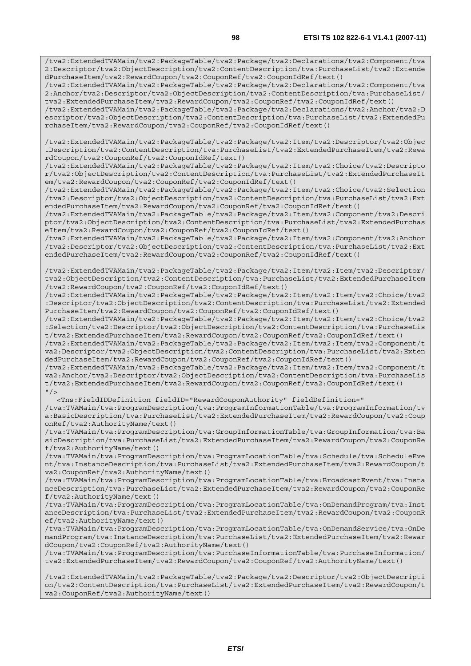/tva2:ExtendedTVAMain/tva2:PackageTable/tva2:Package/tva2:Declarations/tva2:Component/tva 2:Descriptor/tva2:ObjectDescription/tva2:ContentDescription/tva:PurchaseList/tva2:Extende dPurchaseItem/tva2:RewardCoupon/tva2:CouponRef/tva2:CouponIdRef/text()

/tva2:ExtendedTVAMain/tva2:PackageTable/tva2:Package/tva2:Declarations/tva2:Component/tva 2:Anchor/tva2:Descriptor/tva2:ObjectDescription/tva2:ContentDescription/tva:PurchaseList/ tva2:ExtendedPurchaseItem/tva2:RewardCoupon/tva2:CouponRef/tva2:CouponIdRef/text()

/tva2:ExtendedTVAMain/tva2:PackageTable/tva2:Package/tva2:Declarations/tva2:Anchor/tva2:D escriptor/tva2:ObjectDescription/tva2:ContentDescription/tva:PurchaseList/tva2:ExtendedPu rchaseItem/tva2:RewardCoupon/tva2:CouponRef/tva2:CouponIdRef/text()

/tva2:ExtendedTVAMain/tva2:PackageTable/tva2:Package/tva2:Item/tva2:Descriptor/tva2:Objec tDescription/tva2:ContentDescription/tva:PurchaseList/tva2:ExtendedPurchaseItem/tva2:Rewa rdCoupon/tva2:CouponRef/tva2:CouponIdRef/text()

/tva2:ExtendedTVAMain/tva2:PackageTable/tva2:Package/tva2:Item/tva2:Choice/tva2:Descripto r/tva2:ObjectDescription/tva2:ContentDescription/tva:PurchaseList/tva2:ExtendedPurchaseIt em/tva2:RewardCoupon/tva2:CouponRef/tva2:CouponIdRef/text()

/tva2:ExtendedTVAMain/tva2:PackageTable/tva2:Package/tva2:Item/tva2:Choice/tva2:Selection /tva2:Descriptor/tva2:ObjectDescription/tva2:ContentDescription/tva:PurchaseList/tva2:Ext endedPurchaseItem/tva2:RewardCoupon/tva2:CouponRef/tva2:CouponIdRef/text()

/tva2:ExtendedTVAMain/tva2:PackageTable/tva2:Package/tva2:Item/tva2:Component/tva2:Descri ptor/tva2:ObjectDescription/tva2:ContentDescription/tva:PurchaseList/tva2:ExtendedPurchas eItem/tva2:RewardCoupon/tva2:CouponRef/tva2:CouponIdRef/text()

/tva2:ExtendedTVAMain/tva2:PackageTable/tva2:Package/tva2:Item/tva2:Component/tva2:Anchor /tva2:Descriptor/tva2:ObjectDescription/tva2:ContentDescription/tva:PurchaseList/tva2:Ext endedPurchaseItem/tva2:RewardCoupon/tva2:CouponRef/tva2:CouponIdRef/text()

/tva2:ExtendedTVAMain/tva2:PackageTable/tva2:Package/tva2:Item/tva2:Item/tva2:Descriptor/ tva2:ObjectDescription/tva2:ContentDescription/tva:PurchaseList/tva2:ExtendedPurchaseItem /tva2:RewardCoupon/tva2:CouponRef/tva2:CouponIdRef/text()

/tva2:ExtendedTVAMain/tva2:PackageTable/tva2:Package/tva2:Item/tva2:Item/tva2:Choice/tva2 :Descriptor/tva2:ObjectDescription/tva2:ContentDescription/tva:PurchaseList/tva2:Extended PurchaseItem/tva2:RewardCoupon/tva2:CouponRef/tva2:CouponIdRef/text()

/tva2:ExtendedTVAMain/tva2:PackageTable/tva2:Package/tva2:Item/tva2:Item/tva2:Choice/tva2 :Selection/tva2:Descriptor/tva2:ObjectDescription/tva2:ContentDescription/tva:PurchaseLis t/tva2:ExtendedPurchaseItem/tva2:RewardCoupon/tva2:CouponRef/tva2:CouponIdRef/text()

/tva2:ExtendedTVAMain/tva2:PackageTable/tva2:Package/tva2:Item/tva2:Item/tva2:Component/t va2:Descriptor/tva2:ObjectDescription/tva2:ContentDescription/tva:PurchaseList/tva2:Exten dedPurchaseItem/tva2:RewardCoupon/tva2:CouponRef/tva2:CouponIdRef/text()

/tva2:ExtendedTVAMain/tva2:PackageTable/tva2:Package/tva2:Item/tva2:Item/tva2:Component/t va2:Anchor/tva2:Descriptor/tva2:ObjectDescription/tva2:ContentDescription/tva:PurchaseLis t/tva2:ExtendedPurchaseItem/tva2:RewardCoupon/tva2:CouponRef/tva2:CouponIdRef/text()  $"$  />

 <Tns:FieldIDDefinition fieldID="RewardCouponAuthority" fieldDefinition=" /tva:TVAMain/tva:ProgramDescription/tva:ProgramInformationTable/tva:ProgramInformation/tv a:BasicDescription/tva:PurchaseList/tva2:ExtendedPurchaseItem/tva2:RewardCoupon/tva2:Coup onRef/tva2:AuthorityName/text()

/tva:TVAMain/tva:ProgramDescription/tva:GroupInformationTable/tva:GroupInformation/tva:Ba sicDescription/tva:PurchaseList/tva2:ExtendedPurchaseItem/tva2:RewardCoupon/tva2:CouponRe f/tva2:AuthorityName/text()

/tva:TVAMain/tva:ProgramDescription/tva:ProgramLocationTable/tva:Schedule/tva:ScheduleEve nt/tva:InstanceDescription/tva:PurchaseList/tva2:ExtendedPurchaseItem/tva2:RewardCoupon/t va2:CouponRef/tva2:AuthorityName/text()

/tva:TVAMain/tva:ProgramDescription/tva:ProgramLocationTable/tva:BroadcastEvent/tva:Insta nceDescription/tva:PurchaseList/tva2:ExtendedPurchaseItem/tva2:RewardCoupon/tva2:CouponRe f/tva2:AuthorityName/text()

/tva:TVAMain/tva:ProgramDescription/tva:ProgramLocationTable/tva:OnDemandProgram/tva:Inst anceDescription/tva:PurchaseList/tva2:ExtendedPurchaseItem/tva2:RewardCoupon/tva2:CouponR ef/tva2:AuthorityName/text()

/tva:TVAMain/tva:ProgramDescription/tva:ProgramLocationTable/tva:OnDemandService/tva:OnDe mandProgram/tva:InstanceDescription/tva:PurchaseList/tva2:ExtendedPurchaseItem/tva2:Rewar dCoupon/tva2:CouponRef/tva2:AuthorityName/text()

/tva:TVAMain/tva:ProgramDescription/tva:PurchaseInformationTable/tva:PurchaseInformation/ tva2:ExtendedPurchaseItem/tva2:RewardCoupon/tva2:CouponRef/tva2:AuthorityName/text()

/tva2:ExtendedTVAMain/tva2:PackageTable/tva2:Package/tva2:Descriptor/tva2:ObjectDescripti on/tva2:ContentDescription/tva:PurchaseList/tva2:ExtendedPurchaseItem/tva2:RewardCoupon/t va2:CouponRef/tva2:AuthorityName/text()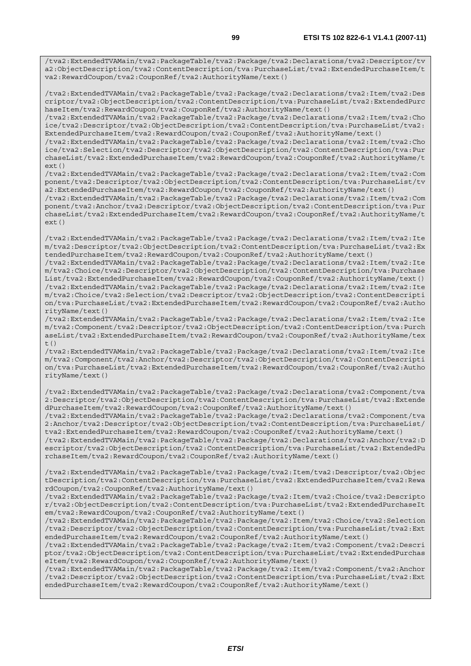/tva2:ExtendedTVAMain/tva2:PackageTable/tva2:Package/tva2:Declarations/tva2:Descriptor/tv a2:ObjectDescription/tva2:ContentDescription/tva:PurchaseList/tva2:ExtendedPurchaseItem/t va2:RewardCoupon/tva2:CouponRef/tva2:AuthorityName/text()

/tva2:ExtendedTVAMain/tva2:PackageTable/tva2:Package/tva2:Declarations/tva2:Item/tva2:Des criptor/tva2:ObjectDescription/tva2:ContentDescription/tva:PurchaseList/tva2:ExtendedPurc haseItem/tva2:RewardCoupon/tva2:CouponRef/tva2:AuthorityName/text()

/tva2:ExtendedTVAMain/tva2:PackageTable/tva2:Package/tva2:Declarations/tva2:Item/tva2:Cho ice/tva2:Descriptor/tva2:ObjectDescription/tva2:ContentDescription/tva:PurchaseList/tva2: ExtendedPurchaseItem/tva2:RewardCoupon/tva2:CouponRef/tva2:AuthorityName/text()

/tva2:ExtendedTVAMain/tva2:PackageTable/tva2:Package/tva2:Declarations/tva2:Item/tva2:Cho ice/tva2:Selection/tva2:Descriptor/tva2:ObjectDescription/tva2:ContentDescription/tva:Pur chaseList/tva2:ExtendedPurchaseItem/tva2:RewardCoupon/tva2:CouponRef/tva2:AuthorityName/t  $ext()$ 

/tva2:ExtendedTVAMain/tva2:PackageTable/tva2:Package/tva2:Declarations/tva2:Item/tva2:Com ponent/tva2:Descriptor/tva2:ObjectDescription/tva2:ContentDescription/tva:PurchaseList/tv a2:ExtendedPurchaseItem/tva2:RewardCoupon/tva2:CouponRef/tva2:AuthorityName/text()

/tva2:ExtendedTVAMain/tva2:PackageTable/tva2:Package/tva2:Declarations/tva2:Item/tva2:Com ponent/tva2:Anchor/tva2:Descriptor/tva2:ObjectDescription/tva2:ContentDescription/tva:Pur chaseList/tva2:ExtendedPurchaseItem/tva2:RewardCoupon/tva2:CouponRef/tva2:AuthorityName/t ext()

/tva2:ExtendedTVAMain/tva2:PackageTable/tva2:Package/tva2:Declarations/tva2:Item/tva2:Ite m/tva2:Descriptor/tva2:ObjectDescription/tva2:ContentDescription/tva:PurchaseList/tva2:Ex tendedPurchaseItem/tva2:RewardCoupon/tva2:CouponRef/tva2:AuthorityName/text()

/tva2:ExtendedTVAMain/tva2:PackageTable/tva2:Package/tva2:Declarations/tva2:Item/tva2:Ite m/tva2:Choice/tva2:Descriptor/tva2:ObjectDescription/tva2:ContentDescription/tva:Purchase List/tva2:ExtendedPurchaseItem/tva2:RewardCoupon/tva2:CouponRef/tva2:AuthorityName/text() /tva2:ExtendedTVAMain/tva2:PackageTable/tva2:Package/tva2:Declarations/tva2:Item/tva2:Ite m/tva2:Choice/tva2:Selection/tva2:Descriptor/tva2:ObjectDescription/tva2:ContentDescripti on/tva:PurchaseList/tva2:ExtendedPurchaseItem/tva2:RewardCoupon/tva2:CouponRef/tva2:Autho rityName/text()

/tva2:ExtendedTVAMain/tva2:PackageTable/tva2:Package/tva2:Declarations/tva2:Item/tva2:Ite m/tva2:Component/tva2:Descriptor/tva2:ObjectDescription/tva2:ContentDescription/tva:Purch aseList/tva2:ExtendedPurchaseItem/tva2:RewardCoupon/tva2:CouponRef/tva2:AuthorityName/tex t()

/tva2:ExtendedTVAMain/tva2:PackageTable/tva2:Package/tva2:Declarations/tva2:Item/tva2:Ite m/tva2:Component/tva2:Anchor/tva2:Descriptor/tva2:ObjectDescription/tva2:ContentDescripti on/tva:PurchaseList/tva2:ExtendedPurchaseItem/tva2:RewardCoupon/tva2:CouponRef/tva2:Autho rityName/text()

/tva2:ExtendedTVAMain/tva2:PackageTable/tva2:Package/tva2:Declarations/tva2:Component/tva 2:Descriptor/tva2:ObjectDescription/tva2:ContentDescription/tva:PurchaseList/tva2:Extende dPurchaseItem/tva2:RewardCoupon/tva2:CouponRef/tva2:AuthorityName/text()

/tva2:ExtendedTVAMain/tva2:PackageTable/tva2:Package/tva2:Declarations/tva2:Component/tva 2:Anchor/tva2:Descriptor/tva2:ObjectDescription/tva2:ContentDescription/tva:PurchaseList/ tva2:ExtendedPurchaseItem/tva2:RewardCoupon/tva2:CouponRef/tva2:AuthorityName/text()

/tva2:ExtendedTVAMain/tva2:PackageTable/tva2:Package/tva2:Declarations/tva2:Anchor/tva2:D escriptor/tva2:ObjectDescription/tva2:ContentDescription/tva:PurchaseList/tva2:ExtendedPu rchaseItem/tva2:RewardCoupon/tva2:CouponRef/tva2:AuthorityName/text()

/tva2:ExtendedTVAMain/tva2:PackageTable/tva2:Package/tva2:Item/tva2:Descriptor/tva2:Objec tDescription/tva2:ContentDescription/tva:PurchaseList/tva2:ExtendedPurchaseItem/tva2:Rewa rdCoupon/tva2:CouponRef/tva2:AuthorityName/text()

/tva2:ExtendedTVAMain/tva2:PackageTable/tva2:Package/tva2:Item/tva2:Choice/tva2:Descripto r/tva2:ObjectDescription/tva2:ContentDescription/tva:PurchaseList/tva2:ExtendedPurchaseIt em/tva2:RewardCoupon/tva2:CouponRef/tva2:AuthorityName/text()

/tva2:ExtendedTVAMain/tva2:PackageTable/tva2:Package/tva2:Item/tva2:Choice/tva2:Selection /tva2:Descriptor/tva2:ObjectDescription/tva2:ContentDescription/tva:PurchaseList/tva2:Ext endedPurchaseItem/tva2:RewardCoupon/tva2:CouponRef/tva2:AuthorityName/text()

/tva2:ExtendedTVAMain/tva2:PackageTable/tva2:Package/tva2:Item/tva2:Component/tva2:Descri ptor/tva2:ObjectDescription/tva2:ContentDescription/tva:PurchaseList/tva2:ExtendedPurchas eItem/tva2:RewardCoupon/tva2:CouponRef/tva2:AuthorityName/text()

/tva2:ExtendedTVAMain/tva2:PackageTable/tva2:Package/tva2:Item/tva2:Component/tva2:Anchor /tva2:Descriptor/tva2:ObjectDescription/tva2:ContentDescription/tva:PurchaseList/tva2:Ext endedPurchaseItem/tva2:RewardCoupon/tva2:CouponRef/tva2:AuthorityName/text()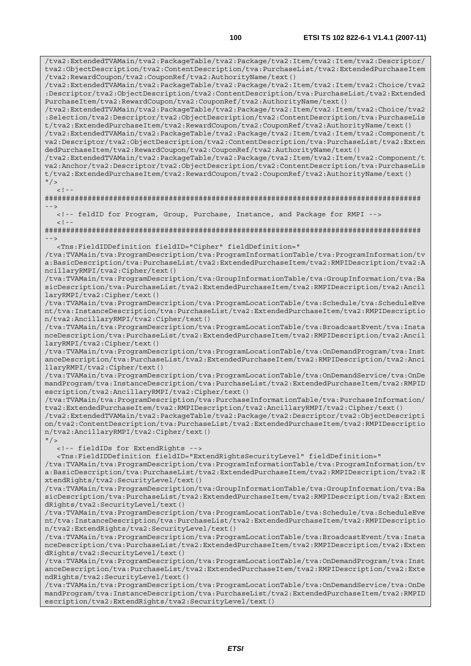/tva2:ExtendedTVAMain/tva2:PackageTable/tva2:Package/tva2:Item/tva2:Item/tva2:Descriptor/ tva2:ObjectDescription/tva2:ContentDescription/tva:PurchaseList/tva2:ExtendedPurchaseItem /tva2:RewardCoupon/tva2:CouponRef/tva2:AuthorityName/text()

/tva2:ExtendedTVAMain/tva2:PackageTable/tva2:Package/tva2:Item/tva2:Item/tva2:Choice/tva2 :Descriptor/tva2:ObjectDescription/tva2:ContentDescription/tva:PurchaseList/tva2:Extended PurchaseItem/tva2:RewardCoupon/tva2:CouponRef/tva2:AuthorityName/text()

/tva2:ExtendedTVAMain/tva2:PackageTable/tva2:Package/tva2:Item/tva2:Item/tva2:Choice/tva2 :Selection/tva2:Descriptor/tva2:ObjectDescription/tva2:ContentDescription/tva:PurchaseLis t/tva2:ExtendedPurchaseItem/tva2:RewardCoupon/tva2:CouponRef/tva2:AuthorityName/text()

/tva2:ExtendedTVAMain/tva2:PackageTable/tva2:Package/tva2:Item/tva2:Item/tva2:Component/t va2:Descriptor/tva2:ObjectDescription/tva2:ContentDescription/tva:PurchaseList/tva2:Exten dedPurchaseItem/tva2:RewardCoupon/tva2:CouponRef/tva2:AuthorityName/text()

/tva2:ExtendedTVAMain/tva2:PackageTable/tva2:Package/tva2:Item/tva2:Item/tva2:Component/t va2:Anchor/tva2:Descriptor/tva2:ObjectDescription/tva2:ContentDescription/tva:PurchaseLis t/tva2:ExtendedPurchaseItem/tva2:RewardCoupon/tva2:CouponRef/tva2:AuthorityName/text()  $"$  / >

 $\geq$   $\frac{1}{2}$ .

 $<$ ! --

######################################################################################## -->

<!-- feldID for Program, Group, Purchase, Instance, and Package for RMPI -->

######################################################################################## -->

<Tns:FieldIDDefinition fieldID="Cipher" fieldDefinition="

/tva:TVAMain/tva:ProgramDescription/tva:ProgramInformationTable/tva:ProgramInformation/tv a:BasicDescription/tva:PurchaseList/tva2:ExtendedPurchaseItem/tva2:RMPIDescription/tva2:A ncillaryRMPI/tva2:Cipher/text()

/tva:TVAMain/tva:ProgramDescription/tva:GroupInformationTable/tva:GroupInformation/tva:Ba sicDescription/tva:PurchaseList/tva2:ExtendedPurchaseItem/tva2:RMPIDescription/tva2:Ancil laryRMPI/tva2:Cipher/text()

/tva:TVAMain/tva:ProgramDescription/tva:ProgramLocationTable/tva:Schedule/tva:ScheduleEve nt/tva:InstanceDescription/tva:PurchaseList/tva2:ExtendedPurchaseItem/tva2:RMPIDescriptio n/tva2:AncillaryRMPI/tva2:Cipher/text()

/tva:TVAMain/tva:ProgramDescription/tva:ProgramLocationTable/tva:BroadcastEvent/tva:Insta nceDescription/tva:PurchaseList/tva2:ExtendedPurchaseItem/tva2:RMPIDescription/tva2:Ancil laryRMPI/tva2:Cipher/text()

/tva:TVAMain/tva:ProgramDescription/tva:ProgramLocationTable/tva:OnDemandProgram/tva:Inst anceDescription/tva:PurchaseList/tva2:ExtendedPurchaseItem/tva2:RMPIDescription/tva2:Anci llaryRMPI/tva2:Cipher/text()

/tva:TVAMain/tva:ProgramDescription/tva:ProgramLocationTable/tva:OnDemandService/tva:OnDe mandProgram/tva:InstanceDescription/tva:PurchaseList/tva2:ExtendedPurchaseItem/tva2:RMPID escription/tva2:AncillaryRMPI/tva2:Cipher/text()

/tva:TVAMain/tva:ProgramDescription/tva:PurchaseInformationTable/tva:PurchaseInformation/ tva2:ExtendedPurchaseItem/tva2:RMPIDescription/tva2:AncillaryRMPI/tva2:Cipher/text()

/tva2:ExtendedTVAMain/tva2:PackageTable/tva2:Package/tva2:Descriptor/tva2:ObjectDescripti on/tva2:ContentDescription/tva:PurchaseList/tva2:ExtendedPurchaseItem/tva2:RMPIDescriptio n/tva2:AncillaryRMPI/tva2:Cipher/text()

 $"$  / >

<!-- fieldIDs for ExtendRights -->

<Tns:FieldIDDefinition fieldID="ExtendRightsSecurityLevel" fieldDefinition="

/tva:TVAMain/tva:ProgramDescription/tva:ProgramInformationTable/tva:ProgramInformation/tv a:BasicDescription/tva:PurchaseList/tva2:ExtendedPurchaseItem/tva2:RMPIDescription/tva2:E xtendRights/tva2:SecurityLevel/text()

/tva:TVAMain/tva:ProgramDescription/tva:GroupInformationTable/tva:GroupInformation/tva:Ba sicDescription/tva:PurchaseList/tva2:ExtendedPurchaseItem/tva2:RMPIDescription/tva2:Exten dRights/tva2:SecurityLevel/text()

/tva:TVAMain/tva:ProgramDescription/tva:ProgramLocationTable/tva:Schedule/tva:ScheduleEve nt/tva:InstanceDescription/tva:PurchaseList/tva2:ExtendedPurchaseItem/tva2:RMPIDescriptio n/tva2:ExtendRights/tva2:SecurityLevel/text()

/tva:TVAMain/tva:ProgramDescription/tva:ProgramLocationTable/tva:BroadcastEvent/tva:Insta nceDescription/tva:PurchaseList/tva2:ExtendedPurchaseItem/tva2:RMPIDescription/tva2:Exten dRights/tva2:SecurityLevel/text()

/tva:TVAMain/tva:ProgramDescription/tva:ProgramLocationTable/tva:OnDemandProgram/tva:Inst anceDescription/tva:PurchaseList/tva2:ExtendedPurchaseItem/tva2:RMPIDescription/tva2:Exte ndRights/tva2:SecurityLevel/text()

/tva:TVAMain/tva:ProgramDescription/tva:ProgramLocationTable/tva:OnDemandService/tva:OnDe mandProgram/tva:InstanceDescription/tva:PurchaseList/tva2:ExtendedPurchaseItem/tva2:RMPID escription/tva2:ExtendRights/tva2:SecurityLevel/text()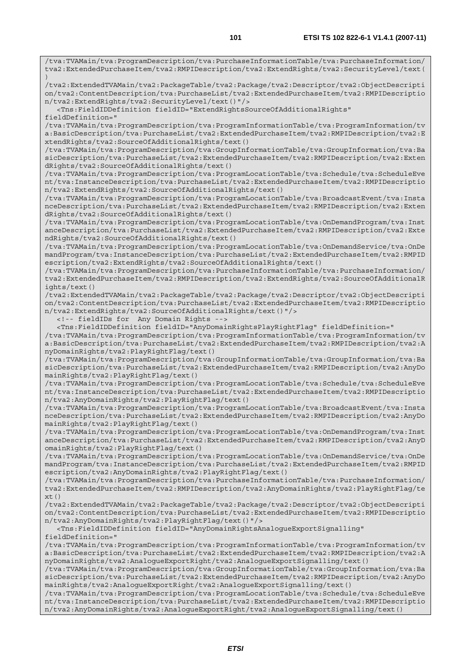tva2:ExtendedPurchaseItem/tva2:RMPIDescription/tva2:ExtendRights/tva2:SecurityLevel/text( ) /tva2:ExtendedTVAMain/tva2:PackageTable/tva2:Package/tva2:Descriptor/tva2:ObjectDescripti on/tva2:ContentDescription/tva:PurchaseList/tva2:ExtendedPurchaseItem/tva2:RMPIDescriptio n/tva2:ExtendRights/tva2:SecurityLevel/text()"/> <Tns:FieldIDDefinition fieldID="ExtendRightsSourceOfAdditionalRights" fieldDefinition=" /tva:TVAMain/tva:ProgramDescription/tva:ProgramInformationTable/tva:ProgramInformation/tv a:BasicDescription/tva:PurchaseList/tva2:ExtendedPurchaseItem/tva2:RMPIDescription/tva2:E xtendRights/tva2:SourceOfAdditionalRights/text() /tva:TVAMain/tva:ProgramDescription/tva:GroupInformationTable/tva:GroupInformation/tva:Ba sicDescription/tva:PurchaseList/tva2:ExtendedPurchaseItem/tva2:RMPIDescription/tva2:Exten dRights/tva2:SourceOfAdditionalRights/text() /tva:TVAMain/tva:ProgramDescription/tva:ProgramLocationTable/tva:Schedule/tva:ScheduleEve nt/tva:InstanceDescription/tva:PurchaseList/tva2:ExtendedPurchaseItem/tva2:RMPIDescriptio n/tva2:ExtendRights/tva2:SourceOfAdditionalRights/text() /tva:TVAMain/tva:ProgramDescription/tva:ProgramLocationTable/tva:BroadcastEvent/tva:Insta nceDescription/tva:PurchaseList/tva2:ExtendedPurchaseItem/tva2:RMPIDescription/tva2:Exten dRights/tva2:SourceOfAdditionalRights/text() /tva:TVAMain/tva:ProgramDescription/tva:ProgramLocationTable/tva:OnDemandProgram/tva:Inst anceDescription/tva:PurchaseList/tva2:ExtendedPurchaseItem/tva2:RMPIDescription/tva2:Exte ndRights/tva2:SourceOfAdditionalRights/text() /tva:TVAMain/tva:ProgramDescription/tva:ProgramLocationTable/tva:OnDemandService/tva:OnDe mandProgram/tva:InstanceDescription/tva:PurchaseList/tva2:ExtendedPurchaseItem/tva2:RMPID escription/tva2:ExtendRights/tva2:SourceOfAdditionalRights/text() /tva:TVAMain/tva:ProgramDescription/tva:PurchaseInformationTable/tva:PurchaseInformation/ tva2:ExtendedPurchaseItem/tva2:RMPIDescription/tva2:ExtendRights/tva2:SourceOfAdditionalR ights/text() /tva2:ExtendedTVAMain/tva2:PackageTable/tva2:Package/tva2:Descriptor/tva2:ObjectDescripti on/tva2:ContentDescription/tva:PurchaseList/tva2:ExtendedPurchaseItem/tva2:RMPIDescriptio n/tva2:ExtendRights/tva2:SourceOfAdditionalRights/text()"/> <!-- fieldIDs for Any Domain Rights --> <Tns:FieldIDDefinition fieldID="AnyDomainRightsPlayRightFlag" fieldDefinition=" /tva:TVAMain/tva:ProgramDescription/tva:ProgramInformationTable/tva:ProgramInformation/tv a:BasicDescription/tva:PurchaseList/tva2:ExtendedPurchaseItem/tva2:RMPIDescription/tva2:A nyDomainRights/tva2:PlayRightFlag/text() /tva:TVAMain/tva:ProgramDescription/tva:GroupInformationTable/tva:GroupInformation/tva:Ba sicDescription/tva:PurchaseList/tva2:ExtendedPurchaseItem/tva2:RMPIDescription/tva2:AnyDo mainRights/tva2:PlayRightFlag/text() /tva:TVAMain/tva:ProgramDescription/tva:ProgramLocationTable/tva:Schedule/tva:ScheduleEve nt/tva:InstanceDescription/tva:PurchaseList/tva2:ExtendedPurchaseItem/tva2:RMPIDescriptio n/tva2:AnyDomainRights/tva2:PlayRightFlag/text() /tva:TVAMain/tva:ProgramDescription/tva:ProgramLocationTable/tva:BroadcastEvent/tva:Insta nceDescription/tva:PurchaseList/tva2:ExtendedPurchaseItem/tva2:RMPIDescription/tva2:AnyDo mainRights/tva2:PlayRightFlag/text() /tva:TVAMain/tva:ProgramDescription/tva:ProgramLocationTable/tva:OnDemandProgram/tva:Inst anceDescription/tva:PurchaseList/tva2:ExtendedPurchaseItem/tva2:RMPIDescription/tva2:AnyD omainRights/tva2:PlayRightFlag/text() /tva:TVAMain/tva:ProgramDescription/tva:ProgramLocationTable/tva:OnDemandService/tva:OnDe mandProgram/tva:InstanceDescription/tva:PurchaseList/tva2:ExtendedPurchaseItem/tva2:RMPID escription/tva2:AnyDomainRights/tva2:PlayRightFlag/text() /tva:TVAMain/tva:ProgramDescription/tva:PurchaseInformationTable/tva:PurchaseInformation/ tva2:ExtendedPurchaseItem/tva2:RMPIDescription/tva2:AnyDomainRights/tva2:PlayRightFlag/te xt() /tva2:ExtendedTVAMain/tva2:PackageTable/tva2:Package/tva2:Descriptor/tva2:ObjectDescripti on/tva2:ContentDescription/tva:PurchaseList/tva2:ExtendedPurchaseItem/tva2:RMPIDescriptio n/tva2:AnyDomainRights/tva2:PlayRightFlag/text()"/> <Tns:FieldIDDefinition fieldID="AnyDomainRightsAnalogueExportSignalling" fieldDefinition=" /tva:TVAMain/tva:ProgramDescription/tva:ProgramInformationTable/tva:ProgramInformation/tv a:BasicDescription/tva:PurchaseList/tva2:ExtendedPurchaseItem/tva2:RMPIDescription/tva2:A nyDomainRights/tva2:AnalogueExportRight/tva2:AnalogueExportSignalling/text() /tva:TVAMain/tva:ProgramDescription/tva:GroupInformationTable/tva:GroupInformation/tva:Ba sicDescription/tva:PurchaseList/tva2:ExtendedPurchaseItem/tva2:RMPIDescription/tva2:AnyDo mainRights/tva2:AnalogueExportRight/tva2:AnalogueExportSignalling/text() /tva:TVAMain/tva:ProgramDescription/tva:ProgramLocationTable/tva:Schedule/tva:ScheduleEve

nt/tva:InstanceDescription/tva:PurchaseList/tva2:ExtendedPurchaseItem/tva2:RMPIDescriptio n/tva2:AnyDomainRights/tva2:AnalogueExportRight/tva2:AnalogueExportSignalling/text()

/tva:TVAMain/tva:ProgramDescription/tva:PurchaseInformationTable/tva:PurchaseInformation/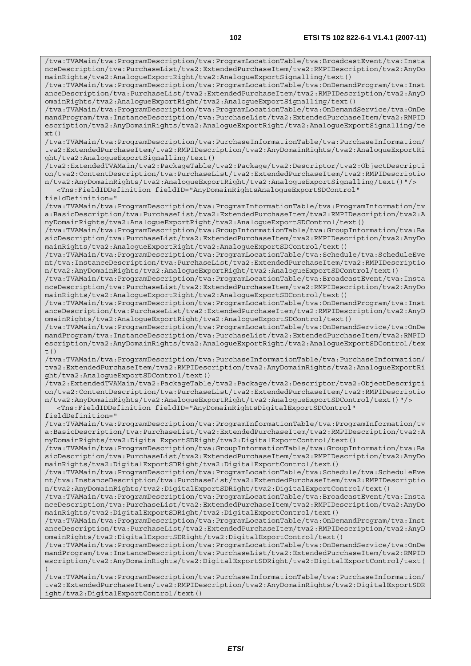/tva:TVAMain/tva:ProgramDescription/tva:ProgramLocationTable/tva:BroadcastEvent/tva:Insta nceDescription/tva:PurchaseList/tva2:ExtendedPurchaseItem/tva2:RMPIDescription/tva2:AnyDo mainRights/tva2:AnalogueExportRight/tva2:AnalogueExportSignalling/text() /tva:TVAMain/tva:ProgramDescription/tva:ProgramLocationTable/tva:OnDemandProgram/tva:Inst

anceDescription/tva:PurchaseList/tva2:ExtendedPurchaseItem/tva2:RMPIDescription/tva2:AnyD omainRights/tva2:AnalogueExportRight/tva2:AnalogueExportSignalling/text()

/tva:TVAMain/tva:ProgramDescription/tva:ProgramLocationTable/tva:OnDemandService/tva:OnDe

mandProgram/tva:InstanceDescription/tva:PurchaseList/tva2:ExtendedPurchaseItem/tva2:RMPID escription/tva2:AnyDomainRights/tva2:AnalogueExportRight/tva2:AnalogueExportSignalling/te

 $xt()$ /tva:TVAMain/tva:ProgramDescription/tva:PurchaseInformationTable/tva:PurchaseInformation/

tva2:ExtendedPurchaseItem/tva2:RMPIDescription/tva2:AnyDomainRights/tva2:AnalogueExportRi ght/tva2:AnalogueExportSignalling/text()

/tva2:ExtendedTVAMain/tva2:PackageTable/tva2:Package/tva2:Descriptor/tva2:ObjectDescripti on/tva2:ContentDescription/tva:PurchaseList/tva2:ExtendedPurchaseItem/tva2:RMPIDescriptio n/tva2:AnyDomainRights/tva2:AnalogueExportRight/tva2:AnalogueExportSignalling/text()"/>

 <Tns:FieldIDDefinition fieldID="AnyDomainRightsAnalogueExportSDControl" fieldDefinition="

/tva:TVAMain/tva:ProgramDescription/tva:ProgramInformationTable/tva:ProgramInformation/tv a:BasicDescription/tva:PurchaseList/tva2:ExtendedPurchaseItem/tva2:RMPIDescription/tva2:A nyDomainRights/tva2:AnalogueExportRight/tva2:AnalogueExportSDControl/text()

/tva:TVAMain/tva:ProgramDescription/tva:GroupInformationTable/tva:GroupInformation/tva:Ba sicDescription/tva:PurchaseList/tva2:ExtendedPurchaseItem/tva2:RMPIDescription/tva2:AnyDo mainRights/tva2:AnalogueExportRight/tva2:AnalogueExportSDControl/text()

/tva:TVAMain/tva:ProgramDescription/tva:ProgramLocationTable/tva:Schedule/tva:ScheduleEve nt/tva:InstanceDescription/tva:PurchaseList/tva2:ExtendedPurchaseItem/tva2:RMPIDescriptio n/tva2:AnyDomainRights/tva2:AnalogueExportRight/tva2:AnalogueExportSDControl/text()

/tva:TVAMain/tva:ProgramDescription/tva:ProgramLocationTable/tva:BroadcastEvent/tva:Insta nceDescription/tva:PurchaseList/tva2:ExtendedPurchaseItem/tva2:RMPIDescription/tva2:AnyDo mainRights/tva2:AnalogueExportRight/tva2:AnalogueExportSDControl/text()

/tva:TVAMain/tva:ProgramDescription/tva:ProgramLocationTable/tva:OnDemandProgram/tva:Inst anceDescription/tva:PurchaseList/tva2:ExtendedPurchaseItem/tva2:RMPIDescription/tva2:AnyD omainRights/tva2:AnalogueExportRight/tva2:AnalogueExportSDControl/text()

/tva:TVAMain/tva:ProgramDescription/tva:ProgramLocationTable/tva:OnDemandService/tva:OnDe mandProgram/tva:InstanceDescription/tva:PurchaseList/tva2:ExtendedPurchaseItem/tva2:RMPID escription/tva2:AnyDomainRights/tva2:AnalogueExportRight/tva2:AnalogueExportSDControl/tex  $t()$ 

/tva:TVAMain/tva:ProgramDescription/tva:PurchaseInformationTable/tva:PurchaseInformation/ tva2:ExtendedPurchaseItem/tva2:RMPIDescription/tva2:AnyDomainRights/tva2:AnalogueExportRi ght/tva2:AnalogueExportSDControl/text()

/tva2:ExtendedTVAMain/tva2:PackageTable/tva2:Package/tva2:Descriptor/tva2:ObjectDescripti on/tva2:ContentDescription/tva:PurchaseList/tva2:ExtendedPurchaseItem/tva2:RMPIDescriptio n/tva2:AnyDomainRights/tva2:AnalogueExportRight/tva2:AnalogueExportSDControl/text()"/> <Tns:FieldIDDefinition fieldID="AnyDomainRightsDigitalExportSDControl"

fieldDefinition="

/tva:TVAMain/tva:ProgramDescription/tva:ProgramInformationTable/tva:ProgramInformation/tv a:BasicDescription/tva:PurchaseList/tva2:ExtendedPurchaseItem/tva2:RMPIDescription/tva2:A nyDomainRights/tva2:DigitalExportSDRight/tva2:DigitalExportControl/text()

/tva:TVAMain/tva:ProgramDescription/tva:GroupInformationTable/tva:GroupInformation/tva:Ba sicDescription/tva:PurchaseList/tva2:ExtendedPurchaseItem/tva2:RMPIDescription/tva2:AnyDo mainRights/tva2:DigitalExportSDRight/tva2:DigitalExportControl/text()

/tva:TVAMain/tva:ProgramDescription/tva:ProgramLocationTable/tva:Schedule/tva:ScheduleEve nt/tva:InstanceDescription/tva:PurchaseList/tva2:ExtendedPurchaseItem/tva2:RMPIDescriptio n/tva2:AnyDomainRights/tva2:DigitalExportSDRight/tva2:DigitalExportControl/text()

/tva:TVAMain/tva:ProgramDescription/tva:ProgramLocationTable/tva:BroadcastEvent/tva:Insta nceDescription/tva:PurchaseList/tva2:ExtendedPurchaseItem/tva2:RMPIDescription/tva2:AnyDo mainRights/tva2:DigitalExportSDRight/tva2:DigitalExportControl/text()

/tva:TVAMain/tva:ProgramDescription/tva:ProgramLocationTable/tva:OnDemandProgram/tva:Inst anceDescription/tva:PurchaseList/tva2:ExtendedPurchaseItem/tva2:RMPIDescription/tva2:AnyD omainRights/tva2:DigitalExportSDRight/tva2:DigitalExportControl/text()

/tva:TVAMain/tva:ProgramDescription/tva:ProgramLocationTable/tva:OnDemandService/tva:OnDe mandProgram/tva:InstanceDescription/tva:PurchaseList/tva2:ExtendedPurchaseItem/tva2:RMPID escription/tva2:AnyDomainRights/tva2:DigitalExportSDRight/tva2:DigitalExportControl/text( )

/tva:TVAMain/tva:ProgramDescription/tva:PurchaseInformationTable/tva:PurchaseInformation/ tva2:ExtendedPurchaseItem/tva2:RMPIDescription/tva2:AnyDomainRights/tva2:DigitalExportSDR ight/tva2:DigitalExportControl/text()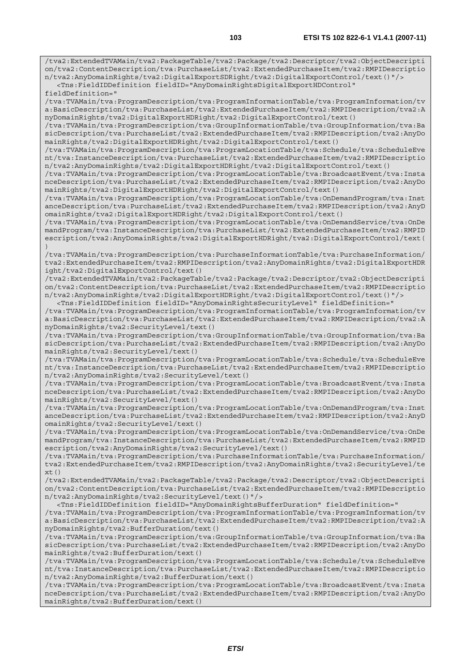/tva2:ExtendedTVAMain/tva2:PackageTable/tva2:Package/tva2:Descriptor/tva2:ObjectDescripti on/tva2:ContentDescription/tva:PurchaseList/tva2:ExtendedPurchaseItem/tva2:RMPIDescriptio n/tva2:AnyDomainRights/tva2:DigitalExportSDRight/tva2:DigitalExportControl/text()"/>

 <Tns:FieldIDDefinition fieldID="AnyDomainRightsDigitalExportHDControl" fieldDefinition="

/tva:TVAMain/tva:ProgramDescription/tva:ProgramInformationTable/tva:ProgramInformation/tv a:BasicDescription/tva:PurchaseList/tva2:ExtendedPurchaseItem/tva2:RMPIDescription/tva2:A nyDomainRights/tva2:DigitalExportHDRight/tva2:DigitalExportControl/text()

/tva:TVAMain/tva:ProgramDescription/tva:GroupInformationTable/tva:GroupInformation/tva:Ba sicDescription/tva:PurchaseList/tva2:ExtendedPurchaseItem/tva2:RMPIDescription/tva2:AnyDo mainRights/tva2:DigitalExportHDRight/tva2:DigitalExportControl/text()

/tva:TVAMain/tva:ProgramDescription/tva:ProgramLocationTable/tva:Schedule/tva:ScheduleEve nt/tva:InstanceDescription/tva:PurchaseList/tva2:ExtendedPurchaseItem/tva2:RMPIDescriptio n/tva2:AnyDomainRights/tva2:DigitalExportHDRight/tva2:DigitalExportControl/text()

/tva:TVAMain/tva:ProgramDescription/tva:ProgramLocationTable/tva:BroadcastEvent/tva:Insta nceDescription/tva:PurchaseList/tva2:ExtendedPurchaseItem/tva2:RMPIDescription/tva2:AnyDo mainRights/tva2:DigitalExportHDRight/tva2:DigitalExportControl/text()

/tva:TVAMain/tva:ProgramDescription/tva:ProgramLocationTable/tva:OnDemandProgram/tva:Inst anceDescription/tva:PurchaseList/tva2:ExtendedPurchaseItem/tva2:RMPIDescription/tva2:AnyD omainRights/tva2:DigitalExportHDRight/tva2:DigitalExportControl/text()

/tva:TVAMain/tva:ProgramDescription/tva:ProgramLocationTable/tva:OnDemandService/tva:OnDe mandProgram/tva:InstanceDescription/tva:PurchaseList/tva2:ExtendedPurchaseItem/tva2:RMPID escription/tva2:AnyDomainRights/tva2:DigitalExportHDRight/tva2:DigitalExportControl/text( )

/tva:TVAMain/tva:ProgramDescription/tva:PurchaseInformationTable/tva:PurchaseInformation/ tva2:ExtendedPurchaseItem/tva2:RMPIDescription/tva2:AnyDomainRights/tva2:DigitalExportHDR ight/tva2:DigitalExportControl/text()

/tva2:ExtendedTVAMain/tva2:PackageTable/tva2:Package/tva2:Descriptor/tva2:ObjectDescripti on/tva2:ContentDescription/tva:PurchaseList/tva2:ExtendedPurchaseItem/tva2:RMPIDescriptio n/tva2:AnyDomainRights/tva2:DigitalExportHDRight/tva2:DigitalExportControl/text()"/> <Tns:FieldIDDefinition fieldID="AnyDomainRightsSecurityLevel" fieldDefinition="

/tva:TVAMain/tva:ProgramDescription/tva:ProgramInformationTable/tva:ProgramInformation/tv a:BasicDescription/tva:PurchaseList/tva2:ExtendedPurchaseItem/tva2:RMPIDescription/tva2:A nyDomainRights/tva2:SecurityLevel/text()

/tva:TVAMain/tva:ProgramDescription/tva:GroupInformationTable/tva:GroupInformation/tva:Ba sicDescription/tva:PurchaseList/tva2:ExtendedPurchaseItem/tva2:RMPIDescription/tva2:AnyDo mainRights/tva2:SecurityLevel/text()

/tva:TVAMain/tva:ProgramDescription/tva:ProgramLocationTable/tva:Schedule/tva:ScheduleEve nt/tva:InstanceDescription/tva:PurchaseList/tva2:ExtendedPurchaseItem/tva2:RMPIDescriptio n/tva2:AnyDomainRights/tva2:SecurityLevel/text()

/tva:TVAMain/tva:ProgramDescription/tva:ProgramLocationTable/tva:BroadcastEvent/tva:Insta nceDescription/tva:PurchaseList/tva2:ExtendedPurchaseItem/tva2:RMPIDescription/tva2:AnyDo mainRights/tva2:SecurityLevel/text()

/tva:TVAMain/tva:ProgramDescription/tva:ProgramLocationTable/tva:OnDemandProgram/tva:Inst anceDescription/tva:PurchaseList/tva2:ExtendedPurchaseItem/tva2:RMPIDescription/tva2:AnyD omainRights/tva2:SecurityLevel/text()

/tva:TVAMain/tva:ProgramDescription/tva:ProgramLocationTable/tva:OnDemandService/tva:OnDe mandProgram/tva:InstanceDescription/tva:PurchaseList/tva2:ExtendedPurchaseItem/tva2:RMPID escription/tva2:AnyDomainRights/tva2:SecurityLevel/text()

/tva:TVAMain/tva:ProgramDescription/tva:PurchaseInformationTable/tva:PurchaseInformation/ tva2:ExtendedPurchaseItem/tva2:RMPIDescription/tva2:AnyDomainRights/tva2:SecurityLevel/te  $xt()$ 

/tva2:ExtendedTVAMain/tva2:PackageTable/tva2:Package/tva2:Descriptor/tva2:ObjectDescripti on/tva2:ContentDescription/tva:PurchaseList/tva2:ExtendedPurchaseItem/tva2:RMPIDescriptio n/tva2:AnyDomainRights/tva2:SecurityLevel/text()"/>

 <Tns:FieldIDDefinition fieldID="AnyDomainRightsBufferDuration" fieldDefinition=" /tva:TVAMain/tva:ProgramDescription/tva:ProgramInformationTable/tva:ProgramInformation/tv a:BasicDescription/tva:PurchaseList/tva2:ExtendedPurchaseItem/tva2:RMPIDescription/tva2:A nyDomainRights/tva2:BufferDuration/text()

/tva:TVAMain/tva:ProgramDescription/tva:GroupInformationTable/tva:GroupInformation/tva:Ba sicDescription/tva:PurchaseList/tva2:ExtendedPurchaseItem/tva2:RMPIDescription/tva2:AnyDo mainRights/tva2:BufferDuration/text()

/tva:TVAMain/tva:ProgramDescription/tva:ProgramLocationTable/tva:Schedule/tva:ScheduleEve nt/tva:InstanceDescription/tva:PurchaseList/tva2:ExtendedPurchaseItem/tva2:RMPIDescriptio n/tva2:AnyDomainRights/tva2:BufferDuration/text()

/tva:TVAMain/tva:ProgramDescription/tva:ProgramLocationTable/tva:BroadcastEvent/tva:Insta nceDescription/tva:PurchaseList/tva2:ExtendedPurchaseItem/tva2:RMPIDescription/tva2:AnyDo mainRights/tva2:BufferDuration/text()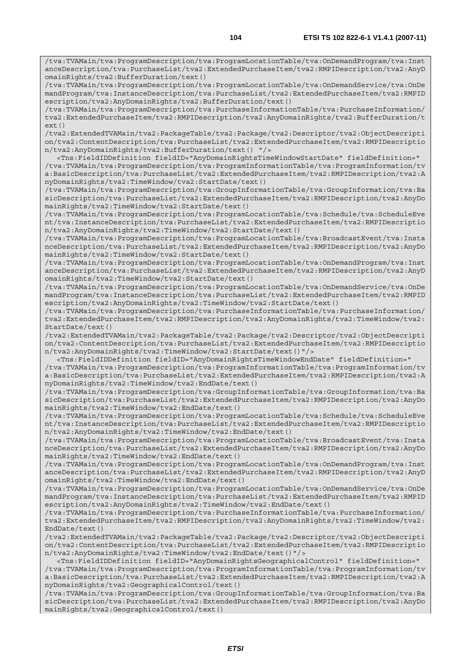/tva:TVAMain/tva:ProgramDescription/tva:ProgramLocationTable/tva:OnDemandProgram/tva:Inst anceDescription/tva:PurchaseList/tva2:ExtendedPurchaseItem/tva2:RMPIDescription/tva2:AnyD omainRights/tva2:BufferDuration/text()

/tva:TVAMain/tva:ProgramDescription/tva:ProgramLocationTable/tva:OnDemandService/tva:OnDe mandProgram/tva:InstanceDescription/tva:PurchaseList/tva2:ExtendedPurchaseItem/tva2:RMPID escription/tva2:AnyDomainRights/tva2:BufferDuration/text()

/tva:TVAMain/tva:ProgramDescription/tva:PurchaseInformationTable/tva:PurchaseInformation/ tva2:ExtendedPurchaseItem/tva2:RMPIDescription/tva2:AnyDomainRights/tva2:BufferDuration/t ext()

/tva2:ExtendedTVAMain/tva2:PackageTable/tva2:Package/tva2:Descriptor/tva2:ObjectDescripti on/tva2:ContentDescription/tva:PurchaseList/tva2:ExtendedPurchaseItem/tva2:RMPIDescriptio n/tva2:AnyDomainRights/tva2:BufferDuration/text() "/>

 <Tns:FieldIDDefinition fieldID="AnyDomainRightsTimeWindowStartDate" fieldDefinition=" /tva:TVAMain/tva:ProgramDescription/tva:ProgramInformationTable/tva:ProgramInformation/tv a:BasicDescription/tva:PurchaseList/tva2:ExtendedPurchaseItem/tva2:RMPIDescription/tva2:A nyDomainRights/tva2:TimeWindow/tva2:StartDate/text()

/tva:TVAMain/tva:ProgramDescription/tva:GroupInformationTable/tva:GroupInformation/tva:Ba sicDescription/tva:PurchaseList/tva2:ExtendedPurchaseItem/tva2:RMPIDescription/tva2:AnyDo mainRights/tva2:TimeWindow/tva2:StartDate/text()

/tva:TVAMain/tva:ProgramDescription/tva:ProgramLocationTable/tva:Schedule/tva:ScheduleEve nt/tva:InstanceDescription/tva:PurchaseList/tva2:ExtendedPurchaseItem/tva2:RMPIDescriptio n/tva2:AnyDomainRights/tva2:TimeWindow/tva2:StartDate/text()

/tva:TVAMain/tva:ProgramDescription/tva:ProgramLocationTable/tva:BroadcastEvent/tva:Insta nceDescription/tva:PurchaseList/tva2:ExtendedPurchaseItem/tva2:RMPIDescription/tva2:AnyDo mainRights/tva2:TimeWindow/tva2:StartDate/text()

/tva:TVAMain/tva:ProgramDescription/tva:ProgramLocationTable/tva:OnDemandProgram/tva:Inst anceDescription/tva:PurchaseList/tva2:ExtendedPurchaseItem/tva2:RMPIDescription/tva2:AnyD omainRights/tva2:TimeWindow/tva2:StartDate/text()

/tva:TVAMain/tva:ProgramDescription/tva:ProgramLocationTable/tva:OnDemandService/tva:OnDe mandProgram/tva:InstanceDescription/tva:PurchaseList/tva2:ExtendedPurchaseItem/tva2:RMPID escription/tva2:AnyDomainRights/tva2:TimeWindow/tva2:StartDate/text()

/tva:TVAMain/tva:ProgramDescription/tva:PurchaseInformationTable/tva:PurchaseInformation/ tva2:ExtendedPurchaseItem/tva2:RMPIDescription/tva2:AnyDomainRights/tva2:TimeWindow/tva2:  $StartData(tayt()$ 

/tva2:ExtendedTVAMain/tva2:PackageTable/tva2:Package/tva2:Descriptor/tva2:ObjectDescripti on/tva2:ContentDescription/tva:PurchaseList/tva2:ExtendedPurchaseItem/tva2:RMPIDescriptio n/tva2:AnyDomainRights/tva2:TimeWindow/tva2:StartDate/text()"/>

 <Tns:FieldIDDefinition fieldID="AnyDomainRightsTimeWindowEndDate" fieldDefinition=" /tva:TVAMain/tva:ProgramDescription/tva:ProgramInformationTable/tva:ProgramInformation/tv a:BasicDescription/tva:PurchaseList/tva2:ExtendedPurchaseItem/tva2:RMPIDescription/tva2:A nyDomainRights/tva2:TimeWindow/tva2:EndDate/text()

/tva:TVAMain/tva:ProgramDescription/tva:GroupInformationTable/tva:GroupInformation/tva:Ba sicDescription/tva:PurchaseList/tva2:ExtendedPurchaseItem/tva2:RMPIDescription/tva2:AnyDo mainRights/tva2:TimeWindow/tva2:EndDate/text()

/tva:TVAMain/tva:ProgramDescription/tva:ProgramLocationTable/tva:Schedule/tva:ScheduleEve nt/tva:InstanceDescription/tva:PurchaseList/tva2:ExtendedPurchaseItem/tva2:RMPIDescriptio n/tva2:AnyDomainRights/tva2:TimeWindow/tva2:EndDate/text()

/tva:TVAMain/tva:ProgramDescription/tva:ProgramLocationTable/tva:BroadcastEvent/tva:Insta nceDescription/tva:PurchaseList/tva2:ExtendedPurchaseItem/tva2:RMPIDescription/tva2:AnyDo mainRights/tva2:TimeWindow/tva2:EndDate/text()

/tva:TVAMain/tva:ProgramDescription/tva:ProgramLocationTable/tva:OnDemandProgram/tva:Inst anceDescription/tva:PurchaseList/tva2:ExtendedPurchaseItem/tva2:RMPIDescription/tva2:AnyD omainRights/tva2:TimeWindow/tva2:EndDate/text()

/tva:TVAMain/tva:ProgramDescription/tva:ProgramLocationTable/tva:OnDemandService/tva:OnDe mandProgram/tva:InstanceDescription/tva:PurchaseList/tva2:ExtendedPurchaseItem/tva2:RMPID escription/tva2:AnyDomainRights/tva2:TimeWindow/tva2:EndDate/text()

/tva:TVAMain/tva:ProgramDescription/tva:PurchaseInformationTable/tva:PurchaseInformation/ tva2:ExtendedPurchaseItem/tva2:RMPIDescription/tva2:AnyDomainRights/tva2:TimeWindow/tva2: EndDate/text()

/tva2:ExtendedTVAMain/tva2:PackageTable/tva2:Package/tva2:Descriptor/tva2:ObjectDescripti on/tva2:ContentDescription/tva:PurchaseList/tva2:ExtendedPurchaseItem/tva2:RMPIDescriptio n/tva2:AnyDomainRights/tva2:TimeWindow/tva2:EndDate/text()"/>

 <Tns:FieldIDDefinition fieldID="AnyDomainRightsGeographicalControl" fieldDefinition=" /tva:TVAMain/tva:ProgramDescription/tva:ProgramInformationTable/tva:ProgramInformation/tv a:BasicDescription/tva:PurchaseList/tva2:ExtendedPurchaseItem/tva2:RMPIDescription/tva2:A nyDomainRights/tva2:GeographicalControl/text()

/tva:TVAMain/tva:ProgramDescription/tva:GroupInformationTable/tva:GroupInformation/tva:Ba sicDescription/tva:PurchaseList/tva2:ExtendedPurchaseItem/tva2:RMPIDescription/tva2:AnyDo mainRights/tva2:GeographicalControl/text()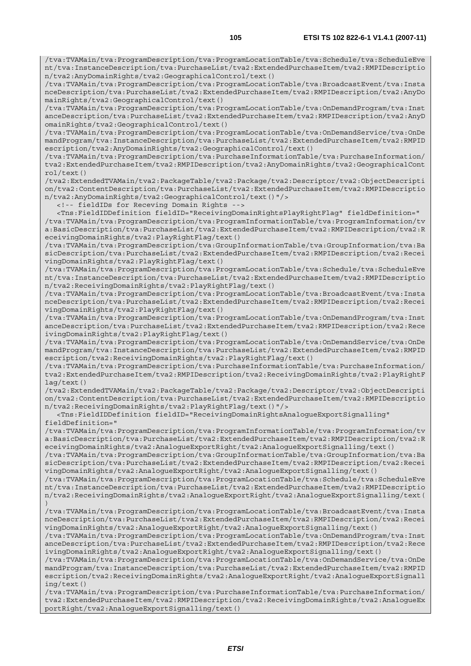/tva:TVAMain/tva:ProgramDescription/tva:ProgramLocationTable/tva:Schedule/tva:ScheduleEve nt/tva:InstanceDescription/tva:PurchaseList/tva2:ExtendedPurchaseItem/tva2:RMPIDescriptio n/tva2:AnyDomainRights/tva2:GeographicalControl/text()

/tva:TVAMain/tva:ProgramDescription/tva:ProgramLocationTable/tva:BroadcastEvent/tva:Insta nceDescription/tva:PurchaseList/tva2:ExtendedPurchaseItem/tva2:RMPIDescription/tva2:AnyDo mainRights/tva2:GeographicalControl/text()

/tva:TVAMain/tva:ProgramDescription/tva:ProgramLocationTable/tva:OnDemandProgram/tva:Inst anceDescription/tva:PurchaseList/tva2:ExtendedPurchaseItem/tva2:RMPIDescription/tva2:AnyD omainRights/tva2:GeographicalControl/text()

/tva:TVAMain/tva:ProgramDescription/tva:ProgramLocationTable/tva:OnDemandService/tva:OnDe mandProgram/tva:InstanceDescription/tva:PurchaseList/tva2:ExtendedPurchaseItem/tva2:RMPID escription/tva2:AnyDomainRights/tva2:GeographicalControl/text()

/tva:TVAMain/tva:ProgramDescription/tva:PurchaseInformationTable/tva:PurchaseInformation/ tva2:ExtendedPurchaseItem/tva2:RMPIDescription/tva2:AnyDomainRights/tva2:GeographicalCont rol/text()

/tva2:ExtendedTVAMain/tva2:PackageTable/tva2:Package/tva2:Descriptor/tva2:ObjectDescripti on/tva2:ContentDescription/tva:PurchaseList/tva2:ExtendedPurchaseItem/tva2:RMPIDescriptio n/tva2:AnyDomainRights/tva2:GeographicalControl/text()"/>

<!-- fieldIDs for Receving Domain Rights -->

 <Tns:FieldIDDefinition fieldID="ReceivingDomainRightsPlayRightFlag" fieldDefinition=" /tva:TVAMain/tva:ProgramDescription/tva:ProgramInformationTable/tva:ProgramInformation/tv a:BasicDescription/tva:PurchaseList/tva2:ExtendedPurchaseItem/tva2:RMPIDescription/tva2:R eceivingDomainRights/tva2:PlayRightFlag/text()

/tva:TVAMain/tva:ProgramDescription/tva:GroupInformationTable/tva:GroupInformation/tva:Ba sicDescription/tva:PurchaseList/tva2:ExtendedPurchaseItem/tva2:RMPIDescription/tva2:Recei vingDomainRights/tva2:PlayRightFlag/text()

/tva:TVAMain/tva:ProgramDescription/tva:ProgramLocationTable/tva:Schedule/tva:ScheduleEve nt/tva:InstanceDescription/tva:PurchaseList/tva2:ExtendedPurchaseItem/tva2:RMPIDescriptio n/tva2:ReceivingDomainRights/tva2:PlayRightFlag/text()

/tva:TVAMain/tva:ProgramDescription/tva:ProgramLocationTable/tva:BroadcastEvent/tva:Insta nceDescription/tva:PurchaseList/tva2:ExtendedPurchaseItem/tva2:RMPIDescription/tva2:Recei vingDomainRights/tva2:PlayRightFlag/text()

/tva:TVAMain/tva:ProgramDescription/tva:ProgramLocationTable/tva:OnDemandProgram/tva:Inst anceDescription/tva:PurchaseList/tva2:ExtendedPurchaseItem/tva2:RMPIDescription/tva2:Rece ivingDomainRights/tva2:PlayRightFlag/text()

/tva:TVAMain/tva:ProgramDescription/tva:ProgramLocationTable/tva:OnDemandService/tva:OnDe mandProgram/tva:InstanceDescription/tva:PurchaseList/tva2:ExtendedPurchaseItem/tva2:RMPID escription/tva2:ReceivingDomainRights/tva2:PlayRightFlag/text()

/tva:TVAMain/tva:ProgramDescription/tva:PurchaseInformationTable/tva:PurchaseInformation/ tva2:ExtendedPurchaseItem/tva2:RMPIDescription/tva2:ReceivingDomainRights/tva2:PlayRightF lag/text()

/tva2:ExtendedTVAMain/tva2:PackageTable/tva2:Package/tva2:Descriptor/tva2:ObjectDescripti on/tva2:ContentDescription/tva:PurchaseList/tva2:ExtendedPurchaseItem/tva2:RMPIDescriptio n/tva2:ReceivingDomainRights/tva2:PlayRightFlag/text()"/>

 <Tns:FieldIDDefinition fieldID="ReceivingDomainRightsAnalogueExportSignalling" fieldDefinition="

/tva:TVAMain/tva:ProgramDescription/tva:ProgramInformationTable/tva:ProgramInformation/tv a:BasicDescription/tva:PurchaseList/tva2:ExtendedPurchaseItem/tva2:RMPIDescription/tva2:R eceivingDomainRights/tva2:AnalogueExportRight/tva2:AnalogueExportSignalling/text()

/tva:TVAMain/tva:ProgramDescription/tva:GroupInformationTable/tva:GroupInformation/tva:Ba sicDescription/tva:PurchaseList/tva2:ExtendedPurchaseItem/tva2:RMPIDescription/tva2:Recei vingDomainRights/tva2:AnalogueExportRight/tva2:AnalogueExportSignalling/text()

/tva:TVAMain/tva:ProgramDescription/tva:ProgramLocationTable/tva:Schedule/tva:ScheduleEve nt/tva:InstanceDescription/tva:PurchaseList/tva2:ExtendedPurchaseItem/tva2:RMPIDescriptio n/tva2:ReceivingDomainRights/tva2:AnalogueExportRight/tva2:AnalogueExportSignalling/text( )

/tva:TVAMain/tva:ProgramDescription/tva:ProgramLocationTable/tva:BroadcastEvent/tva:Insta nceDescription/tva:PurchaseList/tva2:ExtendedPurchaseItem/tva2:RMPIDescription/tva2:Recei vingDomainRights/tva2:AnalogueExportRight/tva2:AnalogueExportSignalling/text()

/tva:TVAMain/tva:ProgramDescription/tva:ProgramLocationTable/tva:OnDemandProgram/tva:Inst anceDescription/tva:PurchaseList/tva2:ExtendedPurchaseItem/tva2:RMPIDescription/tva2:Rece ivingDomainRights/tva2:AnalogueExportRight/tva2:AnalogueExportSignalling/text()

/tva:TVAMain/tva:ProgramDescription/tva:ProgramLocationTable/tva:OnDemandService/tva:OnDe mandProgram/tva:InstanceDescription/tva:PurchaseList/tva2:ExtendedPurchaseItem/tva2:RMPID escription/tva2:ReceivingDomainRights/tva2:AnalogueExportRight/tva2:AnalogueExportSignall ing/text()

/tva:TVAMain/tva:ProgramDescription/tva:PurchaseInformationTable/tva:PurchaseInformation/ tva2:ExtendedPurchaseItem/tva2:RMPIDescription/tva2:ReceivingDomainRights/tva2:AnalogueEx portRight/tva2:AnalogueExportSignalling/text()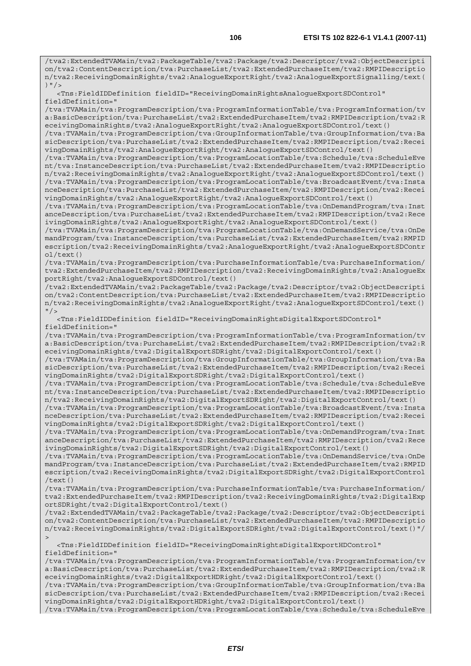/tva2:ExtendedTVAMain/tva2:PackageTable/tva2:Package/tva2:Descriptor/tva2:ObjectDescripti on/tva2:ContentDescription/tva:PurchaseList/tva2:ExtendedPurchaseItem/tva2:RMPIDescriptio n/tva2:ReceivingDomainRights/tva2:AnalogueExportRight/tva2:AnalogueExportSignalling/text( )  $"$  />

 <Tns:FieldIDDefinition fieldID="ReceivingDomainRightsAnalogueExportSDControl" fieldDefinition="

/tva:TVAMain/tva:ProgramDescription/tva:ProgramInformationTable/tva:ProgramInformation/tv a:BasicDescription/tva:PurchaseList/tva2:ExtendedPurchaseItem/tva2:RMPIDescription/tva2:R eceivingDomainRights/tva2:AnalogueExportRight/tva2:AnalogueExportSDControl/text()

/tva:TVAMain/tva:ProgramDescription/tva:GroupInformationTable/tva:GroupInformation/tva:Ba sicDescription/tva:PurchaseList/tva2:ExtendedPurchaseItem/tva2:RMPIDescription/tva2:Recei vingDomainRights/tva2:AnalogueExportRight/tva2:AnalogueExportSDControl/text()

/tva:TVAMain/tva:ProgramDescription/tva:ProgramLocationTable/tva:Schedule/tva:ScheduleEve nt/tva:InstanceDescription/tva:PurchaseList/tva2:ExtendedPurchaseItem/tva2:RMPIDescriptio n/tva2:ReceivingDomainRights/tva2:AnalogueExportRight/tva2:AnalogueExportSDControl/text() /tva:TVAMain/tva:ProgramDescription/tva:ProgramLocationTable/tva:BroadcastEvent/tva:Insta nceDescription/tva:PurchaseList/tva2:ExtendedPurchaseItem/tva2:RMPIDescription/tva2:Recei vingDomainRights/tva2:AnalogueExportRight/tva2:AnalogueExportSDControl/text()

/tva:TVAMain/tva:ProgramDescription/tva:ProgramLocationTable/tva:OnDemandProgram/tva:Inst anceDescription/tva:PurchaseList/tva2:ExtendedPurchaseItem/tva2:RMPIDescription/tva2:Rece ivingDomainRights/tva2:AnalogueExportRight/tva2:AnalogueExportSDControl/text()

/tva:TVAMain/tva:ProgramDescription/tva:ProgramLocationTable/tva:OnDemandService/tva:OnDe mandProgram/tva:InstanceDescription/tva:PurchaseList/tva2:ExtendedPurchaseItem/tva2:RMPID escription/tva2:ReceivingDomainRights/tva2:AnalogueExportRight/tva2:AnalogueExportSDContr ol/text()

/tva:TVAMain/tva:ProgramDescription/tva:PurchaseInformationTable/tva:PurchaseInformation/ tva2:ExtendedPurchaseItem/tva2:RMPIDescription/tva2:ReceivingDomainRights/tva2:AnalogueEx portRight/tva2:AnalogueExportSDControl/text()

/tva2:ExtendedTVAMain/tva2:PackageTable/tva2:Package/tva2:Descriptor/tva2:ObjectDescripti on/tva2:ContentDescription/tva:PurchaseList/tva2:ExtendedPurchaseItem/tva2:RMPIDescriptio n/tva2:ReceivingDomainRights/tva2:AnalogueExportRight/tva2:AnalogueExportSDControl/text()  $"$  />

 <Tns:FieldIDDefinition fieldID="ReceivingDomainRightsDigitalExportSDControl" fieldDefinition="

/tva:TVAMain/tva:ProgramDescription/tva:ProgramInformationTable/tva:ProgramInformation/tv a:BasicDescription/tva:PurchaseList/tva2:ExtendedPurchaseItem/tva2:RMPIDescription/tva2:R eceivingDomainRights/tva2:DigitalExportSDRight/tva2:DigitalExportControl/text()

/tva:TVAMain/tva:ProgramDescription/tva:GroupInformationTable/tva:GroupInformation/tva:Ba sicDescription/tva:PurchaseList/tva2:ExtendedPurchaseItem/tva2:RMPIDescription/tva2:Recei vingDomainRights/tva2:DigitalExportSDRight/tva2:DigitalExportControl/text()

/tva:TVAMain/tva:ProgramDescription/tva:ProgramLocationTable/tva:Schedule/tva:ScheduleEve nt/tva:InstanceDescription/tva:PurchaseList/tva2:ExtendedPurchaseItem/tva2:RMPIDescriptio n/tva2:ReceivingDomainRights/tva2:DigitalExportSDRight/tva2:DigitalExportControl/text()

/tva:TVAMain/tva:ProgramDescription/tva:ProgramLocationTable/tva:BroadcastEvent/tva:Insta nceDescription/tva:PurchaseList/tva2:ExtendedPurchaseItem/tva2:RMPIDescription/tva2:Recei vingDomainRights/tva2:DigitalExportSDRight/tva2:DigitalExportControl/text()

/tva:TVAMain/tva:ProgramDescription/tva:ProgramLocationTable/tva:OnDemandProgram/tva:Inst anceDescription/tva:PurchaseList/tva2:ExtendedPurchaseItem/tva2:RMPIDescription/tva2:Rece ivingDomainRights/tva2:DigitalExportSDRight/tva2:DigitalExportControl/text()

/tva:TVAMain/tva:ProgramDescription/tva:ProgramLocationTable/tva:OnDemandService/tva:OnDe mandProgram/tva:InstanceDescription/tva:PurchaseList/tva2:ExtendedPurchaseItem/tva2:RMPID escription/tva2:ReceivingDomainRights/tva2:DigitalExportSDRight/tva2:DigitalExportControl /text()

/tva:TVAMain/tva:ProgramDescription/tva:PurchaseInformationTable/tva:PurchaseInformation/ tva2:ExtendedPurchaseItem/tva2:RMPIDescription/tva2:ReceivingDomainRights/tva2:DigitalExp ortSDRight/tva2:DigitalExportControl/text()

/tva2:ExtendedTVAMain/tva2:PackageTable/tva2:Package/tva2:Descriptor/tva2:ObjectDescripti on/tva2:ContentDescription/tva:PurchaseList/tva2:ExtendedPurchaseItem/tva2:RMPIDescriptio n/tva2:ReceivingDomainRights/tva2:DigitalExportSDRight/tva2:DigitalExportControl/text()"/  $>$ 

 <Tns:FieldIDDefinition fieldID="ReceivingDomainRightsDigitalExportHDControl" fieldDefinition="

/tva:TVAMain/tva:ProgramDescription/tva:ProgramInformationTable/tva:ProgramInformation/tv a:BasicDescription/tva:PurchaseList/tva2:ExtendedPurchaseItem/tva2:RMPIDescription/tva2:R eceivingDomainRights/tva2:DigitalExportHDRight/tva2:DigitalExportControl/text()

/tva:TVAMain/tva:ProgramDescription/tva:GroupInformationTable/tva:GroupInformation/tva:Ba sicDescription/tva:PurchaseList/tva2:ExtendedPurchaseItem/tva2:RMPIDescription/tva2:Recei vingDomainRights/tva2:DigitalExportHDRight/tva2:DigitalExportControl/text()

/tva:TVAMain/tva:ProgramDescription/tva:ProgramLocationTable/tva:Schedule/tva:ScheduleEve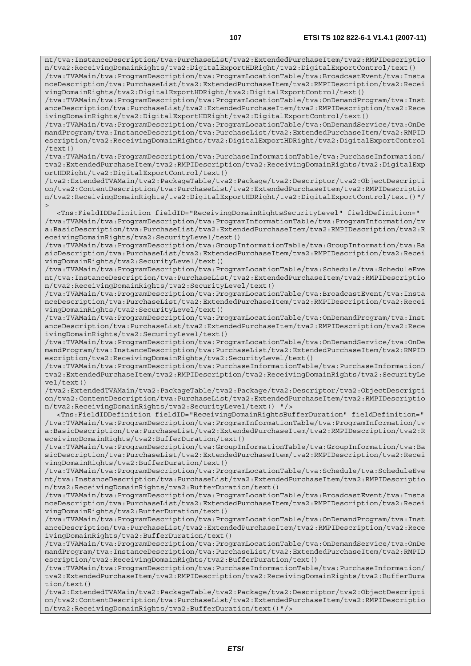nt/tva:InstanceDescription/tva:PurchaseList/tva2:ExtendedPurchaseItem/tva2:RMPIDescriptio n/tva2:ReceivingDomainRights/tva2:DigitalExportHDRight/tva2:DigitalExportControl/text()

/tva:TVAMain/tva:ProgramDescription/tva:ProgramLocationTable/tva:BroadcastEvent/tva:Insta nceDescription/tva:PurchaseList/tva2:ExtendedPurchaseItem/tva2:RMPIDescription/tva2:Recei vingDomainRights/tva2:DigitalExportHDRight/tva2:DigitalExportControl/text()

/tva:TVAMain/tva:ProgramDescription/tva:ProgramLocationTable/tva:OnDemandProgram/tva:Inst anceDescription/tva:PurchaseList/tva2:ExtendedPurchaseItem/tva2:RMPIDescription/tva2:Rece ivingDomainRights/tva2:DigitalExportHDRight/tva2:DigitalExportControl/text()

/tva:TVAMain/tva:ProgramDescription/tva:ProgramLocationTable/tva:OnDemandService/tva:OnDe mandProgram/tva:InstanceDescription/tva:PurchaseList/tva2:ExtendedPurchaseItem/tva2:RMPID escription/tva2:ReceivingDomainRights/tva2:DigitalExportHDRight/tva2:DigitalExportControl /text()

/tva:TVAMain/tva:ProgramDescription/tva:PurchaseInformationTable/tva:PurchaseInformation/ tva2:ExtendedPurchaseItem/tva2:RMPIDescription/tva2:ReceivingDomainRights/tva2:DigitalExp ortHDRight/tva2:DigitalExportControl/text()

/tva2:ExtendedTVAMain/tva2:PackageTable/tva2:Package/tva2:Descriptor/tva2:ObjectDescripti on/tva2:ContentDescription/tva:PurchaseList/tva2:ExtendedPurchaseItem/tva2:RMPIDescriptio n/tva2:ReceivingDomainRights/tva2:DigitalExportHDRight/tva2:DigitalExportControl/text()"/  $\overline{\phantom{a}}$ 

 <Tns:FieldIDDefinition fieldID="ReceivingDomainRightsSecurityLevel" fieldDefinition=" /tva:TVAMain/tva:ProgramDescription/tva:ProgramInformationTable/tva:ProgramInformation/tv a:BasicDescription/tva:PurchaseList/tva2:ExtendedPurchaseItem/tva2:RMPIDescription/tva2:R eceivingDomainRights/tva2:SecurityLevel/text()

/tva:TVAMain/tva:ProgramDescription/tva:GroupInformationTable/tva:GroupInformation/tva:Ba sicDescription/tva:PurchaseList/tva2:ExtendedPurchaseItem/tva2:RMPIDescription/tva2:Recei vingDomainRights/tva2:SecurityLevel/text()

/tva:TVAMain/tva:ProgramDescription/tva:ProgramLocationTable/tva:Schedule/tva:ScheduleEve nt/tva:InstanceDescription/tva:PurchaseList/tva2:ExtendedPurchaseItem/tva2:RMPIDescriptio n/tva2:ReceivingDomainRights/tva2:SecurityLevel/text()

/tva:TVAMain/tva:ProgramDescription/tva:ProgramLocationTable/tva:BroadcastEvent/tva:Insta nceDescription/tva:PurchaseList/tva2:ExtendedPurchaseItem/tva2:RMPIDescription/tva2:Recei vingDomainRights/tva2:SecurityLevel/text()

/tva:TVAMain/tva:ProgramDescription/tva:ProgramLocationTable/tva:OnDemandProgram/tva:Inst anceDescription/tva:PurchaseList/tva2:ExtendedPurchaseItem/tva2:RMPIDescription/tva2:Rece ivingDomainRights/tva2:SecurityLevel/text()

/tva:TVAMain/tva:ProgramDescription/tva:ProgramLocationTable/tva:OnDemandService/tva:OnDe mandProgram/tva:InstanceDescription/tva:PurchaseList/tva2:ExtendedPurchaseItem/tva2:RMPID escription/tva2:ReceivingDomainRights/tva2:SecurityLevel/text()

/tva:TVAMain/tva:ProgramDescription/tva:PurchaseInformationTable/tva:PurchaseInformation/ tva2:ExtendedPurchaseItem/tva2:RMPIDescription/tva2:ReceivingDomainRights/tva2:SecurityLe vel/text()

/tva2:ExtendedTVAMain/tva2:PackageTable/tva2:Package/tva2:Descriptor/tva2:ObjectDescripti on/tva2:ContentDescription/tva:PurchaseList/tva2:ExtendedPurchaseItem/tva2:RMPIDescriptio n/tva2:ReceivingDomainRights/tva2:SecurityLevel/text() "/>

 <Tns:FieldIDDefinition fieldID="ReceivingDomainRightsBufferDuration" fieldDefinition=" /tva:TVAMain/tva:ProgramDescription/tva:ProgramInformationTable/tva:ProgramInformation/tv a:BasicDescription/tva:PurchaseList/tva2:ExtendedPurchaseItem/tva2:RMPIDescription/tva2:R eceivingDomainRights/tva2:BufferDuration/text()

/tva:TVAMain/tva:ProgramDescription/tva:GroupInformationTable/tva:GroupInformation/tva:Ba sicDescription/tva:PurchaseList/tva2:ExtendedPurchaseItem/tva2:RMPIDescription/tva2:Recei vingDomainRights/tva2:BufferDuration/text()

/tva:TVAMain/tva:ProgramDescription/tva:ProgramLocationTable/tva:Schedule/tva:ScheduleEve nt/tva:InstanceDescription/tva:PurchaseList/tva2:ExtendedPurchaseItem/tva2:RMPIDescriptio n/tva2:ReceivingDomainRights/tva2:BufferDuration/text()

/tva:TVAMain/tva:ProgramDescription/tva:ProgramLocationTable/tva:BroadcastEvent/tva:Insta nceDescription/tva:PurchaseList/tva2:ExtendedPurchaseItem/tva2:RMPIDescription/tva2:Recei vingDomainRights/tva2:BufferDuration/text()

/tva:TVAMain/tva:ProgramDescription/tva:ProgramLocationTable/tva:OnDemandProgram/tva:Inst anceDescription/tva:PurchaseList/tva2:ExtendedPurchaseItem/tva2:RMPIDescription/tva2:Rece ivingDomainRights/tva2:BufferDuration/text()

/tva:TVAMain/tva:ProgramDescription/tva:ProgramLocationTable/tva:OnDemandService/tva:OnDe mandProgram/tva:InstanceDescription/tva:PurchaseList/tva2:ExtendedPurchaseItem/tva2:RMPID escription/tva2:ReceivingDomainRights/tva2:BufferDuration/text()

/tva:TVAMain/tva:ProgramDescription/tva:PurchaseInformationTable/tva:PurchaseInformation/ tva2:ExtendedPurchaseItem/tva2:RMPIDescription/tva2:ReceivingDomainRights/tva2:BufferDura tion/text()

/tva2:ExtendedTVAMain/tva2:PackageTable/tva2:Package/tva2:Descriptor/tva2:ObjectDescripti on/tva2:ContentDescription/tva:PurchaseList/tva2:ExtendedPurchaseItem/tva2:RMPIDescriptio n/tva2:ReceivingDomainRights/tva2:BufferDuration/text()"/>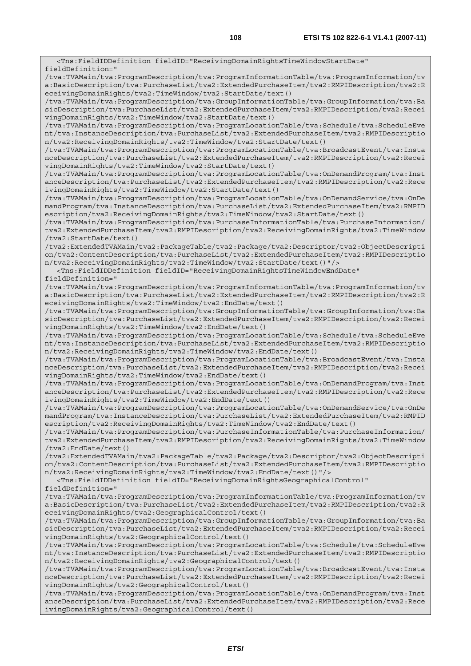<Tns:FieldIDDefinition fieldID="ReceivingDomainRightsTimeWindowStartDate" fieldDefinition=" /tva:TVAMain/tva:ProgramDescription/tva:ProgramInformationTable/tva:ProgramInformation/tv a:BasicDescription/tva:PurchaseList/tva2:ExtendedPurchaseItem/tva2:RMPIDescription/tva2:R eceivingDomainRights/tva2:TimeWindow/tva2:StartDate/text() /tva:TVAMain/tva:ProgramDescription/tva:GroupInformationTable/tva:GroupInformation/tva:Ba sicDescription/tva:PurchaseList/tva2:ExtendedPurchaseItem/tva2:RMPIDescription/tva2:Recei vingDomainRights/tva2:TimeWindow/tva2:StartDate/text() /tva:TVAMain/tva:ProgramDescription/tva:ProgramLocationTable/tva:Schedule/tva:ScheduleEve nt/tva:InstanceDescription/tva:PurchaseList/tva2:ExtendedPurchaseItem/tva2:RMPIDescriptio n/tva2:ReceivingDomainRights/tva2:TimeWindow/tva2:StartDate/text() /tva:TVAMain/tva:ProgramDescription/tva:ProgramLocationTable/tva:BroadcastEvent/tva:Insta nceDescription/tva:PurchaseList/tva2:ExtendedPurchaseItem/tva2:RMPIDescription/tva2:Recei vingDomainRights/tva2:TimeWindow/tva2:StartDate/text() /tva:TVAMain/tva:ProgramDescription/tva:ProgramLocationTable/tva:OnDemandProgram/tva:Inst anceDescription/tva:PurchaseList/tva2:ExtendedPurchaseItem/tva2:RMPIDescription/tva2:Rece ivingDomainRights/tva2:TimeWindow/tva2:StartDate/text() /tva:TVAMain/tva:ProgramDescription/tva:ProgramLocationTable/tva:OnDemandService/tva:OnDe mandProgram/tva:InstanceDescription/tva:PurchaseList/tva2:ExtendedPurchaseItem/tva2:RMPID escription/tva2:ReceivingDomainRights/tva2:TimeWindow/tva2:StartDate/text() /tva:TVAMain/tva:ProgramDescription/tva:PurchaseInformationTable/tva:PurchaseInformation/ tva2:ExtendedPurchaseItem/tva2:RMPIDescription/tva2:ReceivingDomainRights/tva2:TimeWindow /tva2:StartDate/text() /tva2:ExtendedTVAMain/tva2:PackageTable/tva2:Package/tva2:Descriptor/tva2:ObjectDescripti on/tva2:ContentDescription/tva:PurchaseList/tva2:ExtendedPurchaseItem/tva2:RMPIDescriptio n/tva2:ReceivingDomainRights/tva2:TimeWindow/tva2:StartDate/text()"/> <Tns:FieldIDDefinition fieldID="ReceivingDomainRightsTimeWindowEndDate" fieldDefinition=" /tva:TVAMain/tva:ProgramDescription/tva:ProgramInformationTable/tva:ProgramInformation/tv a:BasicDescription/tva:PurchaseList/tva2:ExtendedPurchaseItem/tva2:RMPIDescription/tva2:R eceivingDomainRights/tva2:TimeWindow/tva2:EndDate/text() /tva:TVAMain/tva:ProgramDescription/tva:GroupInformationTable/tva:GroupInformation/tva:Ba sicDescription/tva:PurchaseList/tva2:ExtendedPurchaseItem/tva2:RMPIDescription/tva2:Recei vingDomainRights/tva2:TimeWindow/tva2:EndDate/text() /tva:TVAMain/tva:ProgramDescription/tva:ProgramLocationTable/tva:Schedule/tva:ScheduleEve nt/tva:InstanceDescription/tva:PurchaseList/tva2:ExtendedPurchaseItem/tva2:RMPIDescriptio n/tva2:ReceivingDomainRights/tva2:TimeWindow/tva2:EndDate/text() /tva:TVAMain/tva:ProgramDescription/tva:ProgramLocationTable/tva:BroadcastEvent/tva:Insta nceDescription/tva:PurchaseList/tva2:ExtendedPurchaseItem/tva2:RMPIDescription/tva2:Recei vingDomainRights/tva2:TimeWindow/tva2:EndDate/text() /tva:TVAMain/tva:ProgramDescription/tva:ProgramLocationTable/tva:OnDemandProgram/tva:Inst anceDescription/tva:PurchaseList/tva2:ExtendedPurchaseItem/tva2:RMPIDescription/tva2:Rece ivingDomainRights/tva2:TimeWindow/tva2:EndDate/text() /tva:TVAMain/tva:ProgramDescription/tva:ProgramLocationTable/tva:OnDemandService/tva:OnDe mandProgram/tva:InstanceDescription/tva:PurchaseList/tva2:ExtendedPurchaseItem/tva2:RMPID escription/tva2:ReceivingDomainRights/tva2:TimeWindow/tva2:EndDate/text() /tva:TVAMain/tva:ProgramDescription/tva:PurchaseInformationTable/tva:PurchaseInformation/ tva2:ExtendedPurchaseItem/tva2:RMPIDescription/tva2:ReceivingDomainRights/tva2:TimeWindow /tva2:EndDate/text() /tva2:ExtendedTVAMain/tva2:PackageTable/tva2:Package/tva2:Descriptor/tva2:ObjectDescripti on/tva2:ContentDescription/tva:PurchaseList/tva2:ExtendedPurchaseItem/tva2:RMPIDescriptio n/tva2:ReceivingDomainRights/tva2:TimeWindow/tva2:EndDate/text()"/> <Tns:FieldIDDefinition fieldID="ReceivingDomainRightsGeographicalControl" fieldDefinition=" /tva:TVAMain/tva:ProgramDescription/tva:ProgramInformationTable/tva:ProgramInformation/tv a:BasicDescription/tva:PurchaseList/tva2:ExtendedPurchaseItem/tva2:RMPIDescription/tva2:R eceivingDomainRights/tva2:GeographicalControl/text() /tva:TVAMain/tva:ProgramDescription/tva:GroupInformationTable/tva:GroupInformation/tva:Ba sicDescription/tva:PurchaseList/tva2:ExtendedPurchaseItem/tva2:RMPIDescription/tva2:Recei vingDomainRights/tva2:GeographicalControl/text() /tva:TVAMain/tva:ProgramDescription/tva:ProgramLocationTable/tva:Schedule/tva:ScheduleEve nt/tva:InstanceDescription/tva:PurchaseList/tva2:ExtendedPurchaseItem/tva2:RMPIDescriptio n/tva2:ReceivingDomainRights/tva2:GeographicalControl/text() /tva:TVAMain/tva:ProgramDescription/tva:ProgramLocationTable/tva:BroadcastEvent/tva:Insta nceDescription/tva:PurchaseList/tva2:ExtendedPurchaseItem/tva2:RMPIDescription/tva2:Recei vingDomainRights/tva2:GeographicalControl/text() /tva:TVAMain/tva:ProgramDescription/tva:ProgramLocationTable/tva:OnDemandProgram/tva:Inst anceDescription/tva:PurchaseList/tva2:ExtendedPurchaseItem/tva2:RMPIDescription/tva2:Rece ivingDomainRights/tva2:GeographicalControl/text()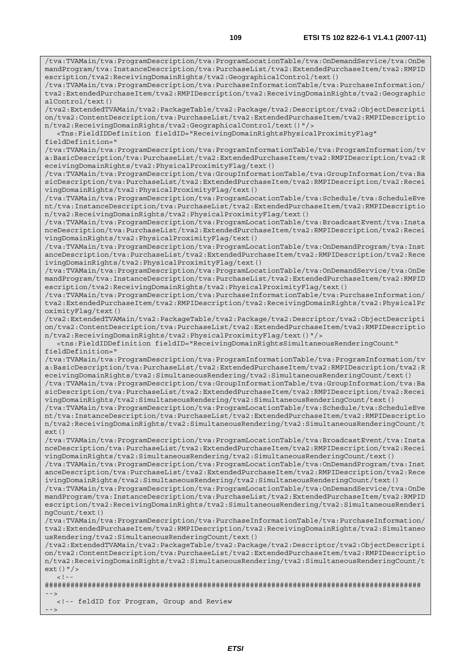/tva:TVAMain/tva:ProgramDescription/tva:ProgramLocationTable/tva:OnDemandService/tva:OnDe mandProgram/tva:InstanceDescription/tva:PurchaseList/tva2:ExtendedPurchaseItem/tva2:RMPID escription/tva2:ReceivingDomainRights/tva2:GeographicalControl/text()

/tva:TVAMain/tva:ProgramDescription/tva:PurchaseInformationTable/tva:PurchaseInformation/ tva2:ExtendedPurchaseItem/tva2:RMPIDescription/tva2:ReceivingDomainRights/tva2:Geographic alControl/text()

/tva2:ExtendedTVAMain/tva2:PackageTable/tva2:Package/tva2:Descriptor/tva2:ObjectDescripti on/tva2:ContentDescription/tva:PurchaseList/tva2:ExtendedPurchaseItem/tva2:RMPIDescriptio n/tva2:ReceivingDomainRights/tva2:GeographicalControl/text()"/>

 <Tns:FieldIDDefinition fieldID="ReceivingDomainRightsPhysicalProximityFlag" fieldDefinition="

/tva:TVAMain/tva:ProgramDescription/tva:ProgramInformationTable/tva:ProgramInformation/tv a:BasicDescription/tva:PurchaseList/tva2:ExtendedPurchaseItem/tva2:RMPIDescription/tva2:R eceivingDomainRights/tva2:PhysicalProximityFlag/text()

/tva:TVAMain/tva:ProgramDescription/tva:GroupInformationTable/tva:GroupInformation/tva:Ba sicDescription/tva:PurchaseList/tva2:ExtendedPurchaseItem/tva2:RMPIDescription/tva2:Recei vingDomainRights/tva2:PhysicalProximityFlag/text()

/tva:TVAMain/tva:ProgramDescription/tva:ProgramLocationTable/tva:Schedule/tva:ScheduleEve nt/tva:InstanceDescription/tva:PurchaseList/tva2:ExtendedPurchaseItem/tva2:RMPIDescriptio n/tva2:ReceivingDomainRights/tva2:PhysicalProximityFlag/text()

/tva:TVAMain/tva:ProgramDescription/tva:ProgramLocationTable/tva:BroadcastEvent/tva:Insta nceDescription/tva:PurchaseList/tva2:ExtendedPurchaseItem/tva2:RMPIDescription/tva2:Recei vingDomainRights/tva2:PhysicalProximityFlag/text()

/tva:TVAMain/tva:ProgramDescription/tva:ProgramLocationTable/tva:OnDemandProgram/tva:Inst anceDescription/tva:PurchaseList/tva2:ExtendedPurchaseItem/tva2:RMPIDescription/tva2:Rece ivingDomainRights/tva2:PhysicalProximityFlag/text()

/tva:TVAMain/tva:ProgramDescription/tva:ProgramLocationTable/tva:OnDemandService/tva:OnDe mandProgram/tva:InstanceDescription/tva:PurchaseList/tva2:ExtendedPurchaseItem/tva2:RMPID escription/tva2:ReceivingDomainRights/tva2:PhysicalProximityFlag/text()

/tva:TVAMain/tva:ProgramDescription/tva:PurchaseInformationTable/tva:PurchaseInformation/ tva2:ExtendedPurchaseItem/tva2:RMPIDescription/tva2:ReceivingDomainRights/tva2:PhysicalPr oximityFlag/text()

/tva2:ExtendedTVAMain/tva2:PackageTable/tva2:Package/tva2:Descriptor/tva2:ObjectDescripti on/tva2:ContentDescription/tva:PurchaseList/tva2:ExtendedPurchaseItem/tva2:RMPIDescriptio n/tva2:ReceivingDomainRights/tva2:PhysicalProximityFlag/text()"/>

 <tns:FieldIDDefinition fieldID="ReceivingDomainRightsSimultaneousRenderingCount" fieldDefinition="

/tva:TVAMain/tva:ProgramDescription/tva:ProgramInformationTable/tva:ProgramInformation/tv a:BasicDescription/tva:PurchaseList/tva2:ExtendedPurchaseItem/tva2:RMPIDescription/tva2:R eceivingDomainRights/tva2:SimultaneousRendering/tva2:SimultaneousRenderingCount/text()

/tva:TVAMain/tva:ProgramDescription/tva:GroupInformationTable/tva:GroupInformation/tva:Ba sicDescription/tva:PurchaseList/tva2:ExtendedPurchaseItem/tva2:RMPIDescription/tva2:Recei vingDomainRights/tva2:SimultaneousRendering/tva2:SimultaneousRenderingCount/text()

/tva:TVAMain/tva:ProgramDescription/tva:ProgramLocationTable/tva:Schedule/tva:ScheduleEve nt/tva:InstanceDescription/tva:PurchaseList/tva2:ExtendedPurchaseItem/tva2:RMPIDescriptio n/tva2:ReceivingDomainRights/tva2:SimultaneousRendering/tva2:SimultaneousRenderingCount/t ext()

/tva:TVAMain/tva:ProgramDescription/tva:ProgramLocationTable/tva:BroadcastEvent/tva:Insta nceDescription/tva:PurchaseList/tva2:ExtendedPurchaseItem/tva2:RMPIDescription/tva2:Recei vingDomainRights/tva2:SimultaneousRendering/tva2:SimultaneousRenderingCount/text()

/tva:TVAMain/tva:ProgramDescription/tva:ProgramLocationTable/tva:OnDemandProgram/tva:Inst anceDescription/tva:PurchaseList/tva2:ExtendedPurchaseItem/tva2:RMPIDescription/tva2:Rece ivingDomainRights/tva2:SimultaneousRendering/tva2:SimultaneousRenderingCount/text()

/tva:TVAMain/tva:ProgramDescription/tva:ProgramLocationTable/tva:OnDemandService/tva:OnDe mandProgram/tva:InstanceDescription/tva:PurchaseList/tva2:ExtendedPurchaseItem/tva2:RMPID escription/tva2:ReceivingDomainRights/tva2:SimultaneousRendering/tva2:SimultaneousRenderi ngCount/text()

/tva:TVAMain/tva:ProgramDescription/tva:PurchaseInformationTable/tva:PurchaseInformation/ tva2:ExtendedPurchaseItem/tva2:RMPIDescription/tva2:ReceivingDomainRights/tva2:Simultaneo usRendering/tva2:SimultaneousRenderingCount/text()

/tva2:ExtendedTVAMain/tva2:PackageTable/tva2:Package/tva2:Descriptor/tva2:ObjectDescripti on/tva2:ContentDescription/tva:PurchaseList/tva2:ExtendedPurchaseItem/tva2:RMPIDescriptio n/tva2:ReceivingDomainRights/tva2:SimultaneousRendering/tva2:SimultaneousRenderingCount/t ext()"/>  $\lt$  ! -

######################################################################################## -->

<!-- feldID for Program, Group and Review

 $-->$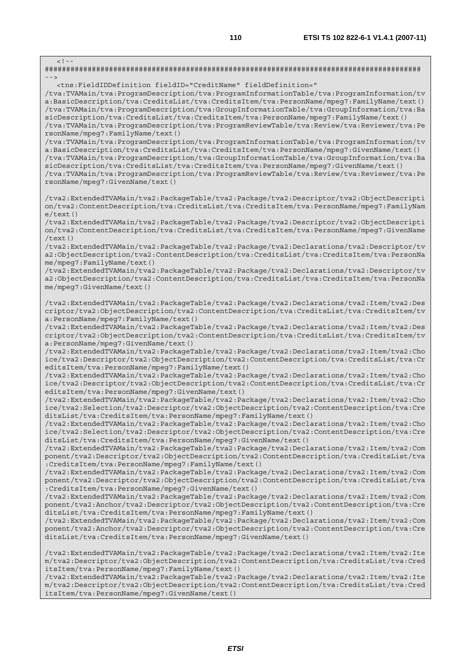$\lt$  ! -######################################################################################## --> <tns:FieldIDDefinition fieldID="CreditName" fieldDefinition=" /tva:TVAMain/tva:ProgramDescription/tva:ProgramInformationTable/tva:ProgramInformation/tv a:BasicDescription/tva:CreditsList/tva:CreditsItem/tva:PersonName/mpeg7:FamilyName/text() /tva:TVAMain/tva:ProgramDescription/tva:GroupInformationTable/tva:GroupInformation/tva:Ba sicDescription/tva:CreditsList/tva:CreditsItem/tva:PersonName/mpeg7:FamilyName/text() /tva:TVAMain/tva:ProgramDescription/tva:ProgramReviewTable/tva:Review/tva:Reviewer/tva:Pe rsonName/mpeg7:FamilyName/text() /tva:TVAMain/tva:ProgramDescription/tva:ProgramInformationTable/tva:ProgramInformation/tv a:BasicDescription/tva:CreditsList/tva:CreditsItem/tva:PersonName/mpeg7:GivenName/text() /tva:TVAMain/tva:ProgramDescription/tva:GroupInformationTable/tva:GroupInformation/tva:Ba sicDescription/tva:CreditsList/tva:CreditsItem/tva:PersonName/mpeg7:GivenName/text() /tva:TVAMain/tva:ProgramDescription/tva:ProgramReviewTable/tva:Review/tva:Reviewer/tva:Pe rsonName/mpeg7:GivenName/text() /tva2:ExtendedTVAMain/tva2:PackageTable/tva2:Package/tva2:Descriptor/tva2:ObjectDescripti on/tva2:ContentDescription/tva:CreditsList/tva:CreditsItem/tva:PersonName/mpeg7:FamilyNam  $\rho$ /text() /tva2:ExtendedTVAMain/tva2:PackageTable/tva2:Package/tva2:Descriptor/tva2:ObjectDescripti on/tva2:ContentDescription/tva:CreditsList/tva:CreditsItem/tva:PersonName/mpeg7:GivenName /text() /tva2:ExtendedTVAMain/tva2:PackageTable/tva2:Package/tva2:Declarations/tva2:Descriptor/tv a2:ObjectDescription/tva2:ContentDescription/tva:CreditsList/tva:CreditsItem/tva:PersonNa me/mpeg7:FamilyName/text() /tva2:ExtendedTVAMain/tva2:PackageTable/tva2:Package/tva2:Declarations/tva2:Descriptor/tv a2:ObjectDescription/tva2:ContentDescription/tva:CreditsList/tva:CreditsItem/tva:PersonNa me/mpeg7:GivenName/text() /tva2:ExtendedTVAMain/tva2:PackageTable/tva2:Package/tva2:Declarations/tva2:Item/tva2:Des criptor/tva2:ObjectDescription/tva2:ContentDescription/tva:CreditsList/tva:CreditsItem/tv a:PersonName/mpeg7:FamilyName/text() /tva2:ExtendedTVAMain/tva2:PackageTable/tva2:Package/tva2:Declarations/tva2:Item/tva2:Des criptor/tva2:ObjectDescription/tva2:ContentDescription/tva:CreditsList/tva:CreditsItem/tv a:PersonName/mpeg7:GivenName/text() /tva2:ExtendedTVAMain/tva2:PackageTable/tva2:Package/tva2:Declarations/tva2:Item/tva2:Cho ice/tva2:Descriptor/tva2:ObjectDescription/tva2:ContentDescription/tva:CreditsList/tva:Cr editsItem/tva:PersonName/mpeg7:FamilyName/text() /tva2:ExtendedTVAMain/tva2:PackageTable/tva2:Package/tva2:Declarations/tva2:Item/tva2:Cho ice/tva2:Descriptor/tva2:ObjectDescription/tva2:ContentDescription/tva:CreditsList/tva:Cr editsItem/tva:PersonName/mpeg7:GivenName/text() /tva2:ExtendedTVAMain/tva2:PackageTable/tva2:Package/tva2:Declarations/tva2:Item/tva2:Cho ice/tva2:Selection/tva2:Descriptor/tva2:ObjectDescription/tva2:ContentDescription/tva:Cre ditsList/tva:CreditsItem/tva:PersonName/mpeg7:FamilyName/text() /tva2:ExtendedTVAMain/tva2:PackageTable/tva2:Package/tva2:Declarations/tva2:Item/tva2:Cho ice/tva2:Selection/tva2:Descriptor/tva2:ObjectDescription/tva2:ContentDescription/tva:Cre ditsList/tva:CreditsItem/tva:PersonName/mpeg7:GivenName/text() /tva2:ExtendedTVAMain/tva2:PackageTable/tva2:Package/tva2:Declarations/tva2:Item/tva2:Com ponent/tva2:Descriptor/tva2:ObjectDescription/tva2:ContentDescription/tva:CreditsList/tva :CreditsItem/tva:PersonName/mpeg7:FamilyName/text() /tva2:ExtendedTVAMain/tva2:PackageTable/tva2:Package/tva2:Declarations/tva2:Item/tva2:Com ponent/tva2:Descriptor/tva2:ObjectDescription/tva2:ContentDescription/tva:CreditsList/tva :CreditsItem/tva:PersonName/mpeg7:GivenName/text() /tva2:ExtendedTVAMain/tva2:PackageTable/tva2:Package/tva2:Declarations/tva2:Item/tva2:Com ponent/tva2:Anchor/tva2:Descriptor/tva2:ObjectDescription/tva2:ContentDescription/tva:Cre ditsList/tva:CreditsItem/tva:PersonName/mpeg7:FamilyName/text() /tva2:ExtendedTVAMain/tva2:PackageTable/tva2:Package/tva2:Declarations/tva2:Item/tva2:Com ponent/tva2:Anchor/tva2:Descriptor/tva2:ObjectDescription/tva2:ContentDescription/tva:Cre ditsList/tva:CreditsItem/tva:PersonName/mpeg7:GivenName/text() /tva2:ExtendedTVAMain/tva2:PackageTable/tva2:Package/tva2:Declarations/tva2:Item/tva2:Ite m/tva2:Descriptor/tva2:ObjectDescription/tva2:ContentDescription/tva:CreditsList/tva:Cred itsItem/tva:PersonName/mpeg7:FamilyName/text() /tva2:ExtendedTVAMain/tva2:PackageTable/tva2:Package/tva2:Declarations/tva2:Item/tva2:Ite

m/tva2:Descriptor/tva2:ObjectDescription/tva2:ContentDescription/tva:CreditsList/tva:Cred itsItem/tva:PersonName/mpeg7:GivenName/text()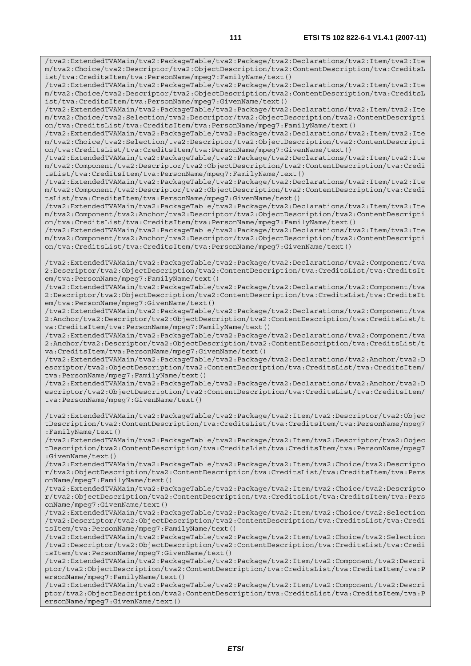/tva2:ExtendedTVAMain/tva2:PackageTable/tva2:Package/tva2:Declarations/tva2:Item/tva2:Ite m/tva2:Choice/tva2:Descriptor/tva2:ObjectDescription/tva2:ContentDescription/tva:CreditsL ist/tva:CreditsItem/tva:PersonName/mpeg7:FamilyName/text()

/tva2:ExtendedTVAMain/tva2:PackageTable/tva2:Package/tva2:Declarations/tva2:Item/tva2:Ite m/tva2:Choice/tva2:Descriptor/tva2:ObjectDescription/tva2:ContentDescription/tva:CreditsL ist/tva:CreditsItem/tva:PersonName/mpeg7:GivenName/text()

/tva2:ExtendedTVAMain/tva2:PackageTable/tva2:Package/tva2:Declarations/tva2:Item/tva2:Ite m/tva2:Choice/tva2:Selection/tva2:Descriptor/tva2:ObjectDescription/tva2:ContentDescripti on/tva:CreditsList/tva:CreditsItem/tva:PersonName/mpeg7:FamilyName/text()

/tva2:ExtendedTVAMain/tva2:PackageTable/tva2:Package/tva2:Declarations/tva2:Item/tva2:Ite m/tva2:Choice/tva2:Selection/tva2:Descriptor/tva2:ObjectDescription/tva2:ContentDescripti on/tva:CreditsList/tva:CreditsItem/tva:PersonName/mpeg7:GivenName/text()

/tva2:ExtendedTVAMain/tva2:PackageTable/tva2:Package/tva2:Declarations/tva2:Item/tva2:Ite m/tva2:Component/tva2:Descriptor/tva2:ObjectDescription/tva2:ContentDescription/tva:Credi tsList/tva:CreditsItem/tva:PersonName/mpeg7:FamilyName/text()

/tva2:ExtendedTVAMain/tva2:PackageTable/tva2:Package/tva2:Declarations/tva2:Item/tva2:Ite m/tva2:Component/tva2:Descriptor/tva2:ObjectDescription/tva2:ContentDescription/tva:Credi tsList/tva:CreditsItem/tva:PersonName/mpeg7:GivenName/text()

/tva2:ExtendedTVAMain/tva2:PackageTable/tva2:Package/tva2:Declarations/tva2:Item/tva2:Ite m/tva2:Component/tva2:Anchor/tva2:Descriptor/tva2:ObjectDescription/tva2:ContentDescripti on/tva:CreditsList/tva:CreditsItem/tva:PersonName/mpeg7:FamilyName/text()

/tva2:ExtendedTVAMain/tva2:PackageTable/tva2:Package/tva2:Declarations/tva2:Item/tva2:Ite m/tva2:Component/tva2:Anchor/tva2:Descriptor/tva2:ObjectDescription/tva2:ContentDescripti on/tva:CreditsList/tva:CreditsItem/tva:PersonName/mpeg7:GivenName/text()

/tva2:ExtendedTVAMain/tva2:PackageTable/tva2:Package/tva2:Declarations/tva2:Component/tva 2:Descriptor/tva2:ObjectDescription/tva2:ContentDescription/tva:CreditsList/tva:CreditsIt em/tva:PersonName/mpeg7:FamilyName/text()

/tva2:ExtendedTVAMain/tva2:PackageTable/tva2:Package/tva2:Declarations/tva2:Component/tva 2:Descriptor/tva2:ObjectDescription/tva2:ContentDescription/tva:CreditsList/tva:CreditsIt em/tva:PersonName/mpeg7:GivenName/text()

/tva2:ExtendedTVAMain/tva2:PackageTable/tva2:Package/tva2:Declarations/tva2:Component/tva 2:Anchor/tva2:Descriptor/tva2:ObjectDescription/tva2:ContentDescription/tva:CreditsList/t va:CreditsItem/tva:PersonName/mpeg7:FamilyName/text()

/tva2:ExtendedTVAMain/tva2:PackageTable/tva2:Package/tva2:Declarations/tva2:Component/tva 2:Anchor/tva2:Descriptor/tva2:ObjectDescription/tva2:ContentDescription/tva:CreditsList/t va:CreditsItem/tva:PersonName/mpeg7:GivenName/text()

/tva2:ExtendedTVAMain/tva2:PackageTable/tva2:Package/tva2:Declarations/tva2:Anchor/tva2:D escriptor/tva2:ObjectDescription/tva2:ContentDescription/tva:CreditsList/tva:CreditsItem/ tva:PersonName/mpeg7:FamilyName/text()

/tva2:ExtendedTVAMain/tva2:PackageTable/tva2:Package/tva2:Declarations/tva2:Anchor/tva2:D escriptor/tva2:ObjectDescription/tva2:ContentDescription/tva:CreditsList/tva:CreditsItem/ tva:PersonName/mpeg7:GivenName/text()

/tva2:ExtendedTVAMain/tva2:PackageTable/tva2:Package/tva2:Item/tva2:Descriptor/tva2:Objec tDescription/tva2:ContentDescription/tva:CreditsList/tva:CreditsItem/tva:PersonName/mpeg7 :FamilyName/text()

/tva2:ExtendedTVAMain/tva2:PackageTable/tva2:Package/tva2:Item/tva2:Descriptor/tva2:Objec tDescription/tva2:ContentDescription/tva:CreditsList/tva:CreditsItem/tva:PersonName/mpeg7 :GivenName/text()

/tva2:ExtendedTVAMain/tva2:PackageTable/tva2:Package/tva2:Item/tva2:Choice/tva2:Descripto r/tva2:ObjectDescription/tva2:ContentDescription/tva:CreditsList/tva:CreditsItem/tva:Pers onName/mpeg7:FamilyName/text()

/tva2:ExtendedTVAMain/tva2:PackageTable/tva2:Package/tva2:Item/tva2:Choice/tva2:Descripto r/tva2:ObjectDescription/tva2:ContentDescription/tva:CreditsList/tva:CreditsItem/tva:Pers onName/mpeg7:GivenName/text()

/tva2:ExtendedTVAMain/tva2:PackageTable/tva2:Package/tva2:Item/tva2:Choice/tva2:Selection /tva2:Descriptor/tva2:ObjectDescription/tva2:ContentDescription/tva:CreditsList/tva:Credi tsItem/tva:PersonName/mpeg7:FamilyName/text()

/tva2:ExtendedTVAMain/tva2:PackageTable/tva2:Package/tva2:Item/tva2:Choice/tva2:Selection /tva2:Descriptor/tva2:ObjectDescription/tva2:ContentDescription/tva:CreditsList/tva:Credi tsItem/tva:PersonName/mpeg7:GivenName/text()

/tva2:ExtendedTVAMain/tva2:PackageTable/tva2:Package/tva2:Item/tva2:Component/tva2:Descri ptor/tva2:ObjectDescription/tva2:ContentDescription/tva:CreditsList/tva:CreditsItem/tva:P ersonName/mpeg7:FamilyName/text()

/tva2:ExtendedTVAMain/tva2:PackageTable/tva2:Package/tva2:Item/tva2:Component/tva2:Descri ptor/tva2:ObjectDescription/tva2:ContentDescription/tva:CreditsList/tva:CreditsItem/tva:P ersonName/mpeg7:GivenName/text()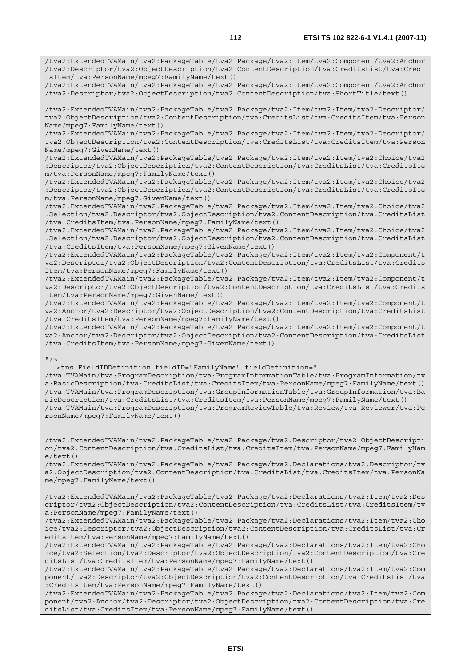/tva2:ExtendedTVAMain/tva2:PackageTable/tva2:Package/tva2:Item/tva2:Component/tva2:Anchor

/tva2:Descriptor/tva2:ObjectDescription/tva2:ContentDescription/tva:CreditsList/tva:Credi tsItem/tva:PersonName/mpeg7:FamilyName/text() /tva2:ExtendedTVAMain/tva2:PackageTable/tva2:Package/tva2:Item/tva2:Component/tva2:Anchor /tva2:Descriptor/tva2:ObjectDescription/tva2:ContentDescription/tva:ShortTitle/text() /tva2:ExtendedTVAMain/tva2:PackageTable/tva2:Package/tva2:Item/tva2:Item/tva2:Descriptor/ tva2:ObjectDescription/tva2:ContentDescription/tva:CreditsList/tva:CreditsItem/tva:Person Name/mpeg7:FamilyName/text() /tva2:ExtendedTVAMain/tva2:PackageTable/tva2:Package/tva2:Item/tva2:Item/tva2:Descriptor/ tva2:ObjectDescription/tva2:ContentDescription/tva:CreditsList/tva:CreditsItem/tva:Person Name/mpeg7:GivenName/text() /tva2:ExtendedTVAMain/tva2:PackageTable/tva2:Package/tva2:Item/tva2:Item/tva2:Choice/tva2 :Descriptor/tva2:ObjectDescription/tva2:ContentDescription/tva:CreditsList/tva:CreditsIte m/tva:PersonName/mpeg7:FamilyName/text() /tva2:ExtendedTVAMain/tva2:PackageTable/tva2:Package/tva2:Item/tva2:Item/tva2:Choice/tva2 :Descriptor/tva2:ObjectDescription/tva2:ContentDescription/tva:CreditsList/tva:CreditsIte m/tva:PersonName/mpeg7:GivenName/text() /tva2:ExtendedTVAMain/tva2:PackageTable/tva2:Package/tva2:Item/tva2:Item/tva2:Choice/tva2 :Selection/tva2:Descriptor/tva2:ObjectDescription/tva2:ContentDescription/tva:CreditsList

/tva:CreditsItem/tva:PersonName/mpeg7:FamilyName/text() /tva2:ExtendedTVAMain/tva2:PackageTable/tva2:Package/tva2:Item/tva2:Item/tva2:Choice/tva2 :Selection/tva2:Descriptor/tva2:ObjectDescription/tva2:ContentDescription/tva:CreditsList /tva:CreditsItem/tva:PersonName/mpeg7:GivenName/text()

/tva2:ExtendedTVAMain/tva2:PackageTable/tva2:Package/tva2:Item/tva2:Item/tva2:Component/t va2:Descriptor/tva2:ObjectDescription/tva2:ContentDescription/tva:CreditsList/tva:Credits Item/tva:PersonName/mpeg7:FamilyName/text()

/tva2:ExtendedTVAMain/tva2:PackageTable/tva2:Package/tva2:Item/tva2:Item/tva2:Component/t va2:Descriptor/tva2:ObjectDescription/tva2:ContentDescription/tva:CreditsList/tva:Credits Item/tva:PersonName/mpeg7:GivenName/text()

/tva2:ExtendedTVAMain/tva2:PackageTable/tva2:Package/tva2:Item/tva2:Item/tva2:Component/t va2:Anchor/tva2:Descriptor/tva2:ObjectDescription/tva2:ContentDescription/tva:CreditsList /tva:CreditsItem/tva:PersonName/mpeg7:FamilyName/text()

/tva2:ExtendedTVAMain/tva2:PackageTable/tva2:Package/tva2:Item/tva2:Item/tva2:Component/t va2:Anchor/tva2:Descriptor/tva2:ObjectDescription/tva2:ContentDescription/tva:CreditsList /tva:CreditsItem/tva:PersonName/mpeg7:GivenName/text()

## $"$  />

 <tns:FieldIDDefinition fieldID="FamilyName" fieldDefinition=" /tva:TVAMain/tva:ProgramDescription/tva:ProgramInformationTable/tva:ProgramInformation/tv a:BasicDescription/tva:CreditsList/tva:CreditsItem/tva:PersonName/mpeg7:FamilyName/text() /tva:TVAMain/tva:ProgramDescription/tva:GroupInformationTable/tva:GroupInformation/tva:Ba sicDescription/tva:CreditsList/tva:CreditsItem/tva:PersonName/mpeg7:FamilyName/text() /tva:TVAMain/tva:ProgramDescription/tva:ProgramReviewTable/tva:Review/tva:Reviewer/tva:Pe rsonName/mpeg7:FamilyName/text()

/tva2:ExtendedTVAMain/tva2:PackageTable/tva2:Package/tva2:Descriptor/tva2:ObjectDescripti on/tva2:ContentDescription/tva:CreditsList/tva:CreditsItem/tva:PersonName/mpeg7:FamilyNam  $e$ /text $()$ 

/tva2:ExtendedTVAMain/tva2:PackageTable/tva2:Package/tva2:Declarations/tva2:Descriptor/tv a2:ObjectDescription/tva2:ContentDescription/tva:CreditsList/tva:CreditsItem/tva:PersonNa me/mpeg7:FamilyName/text()

/tva2:ExtendedTVAMain/tva2:PackageTable/tva2:Package/tva2:Declarations/tva2:Item/tva2:Des criptor/tva2:ObjectDescription/tva2:ContentDescription/tva:CreditsList/tva:CreditsItem/tv a:PersonName/mpeg7:FamilyName/text()

/tva2:ExtendedTVAMain/tva2:PackageTable/tva2:Package/tva2:Declarations/tva2:Item/tva2:Cho ice/tva2:Descriptor/tva2:ObjectDescription/tva2:ContentDescription/tva:CreditsList/tva:Cr editsItem/tva:PersonName/mpeg7:FamilyName/text()

/tva2:ExtendedTVAMain/tva2:PackageTable/tva2:Package/tva2:Declarations/tva2:Item/tva2:Cho ice/tva2:Selection/tva2:Descriptor/tva2:ObjectDescription/tva2:ContentDescription/tva:Cre ditsList/tva:CreditsItem/tva:PersonName/mpeg7:FamilyName/text()

/tva2:ExtendedTVAMain/tva2:PackageTable/tva2:Package/tva2:Declarations/tva2:Item/tva2:Com ponent/tva2:Descriptor/tva2:ObjectDescription/tva2:ContentDescription/tva:CreditsList/tva :CreditsItem/tva:PersonName/mpeg7:FamilyName/text()

/tva2:ExtendedTVAMain/tva2:PackageTable/tva2:Package/tva2:Declarations/tva2:Item/tva2:Com ponent/tva2:Anchor/tva2:Descriptor/tva2:ObjectDescription/tva2:ContentDescription/tva:Cre ditsList/tva:CreditsItem/tva:PersonName/mpeg7:FamilyName/text()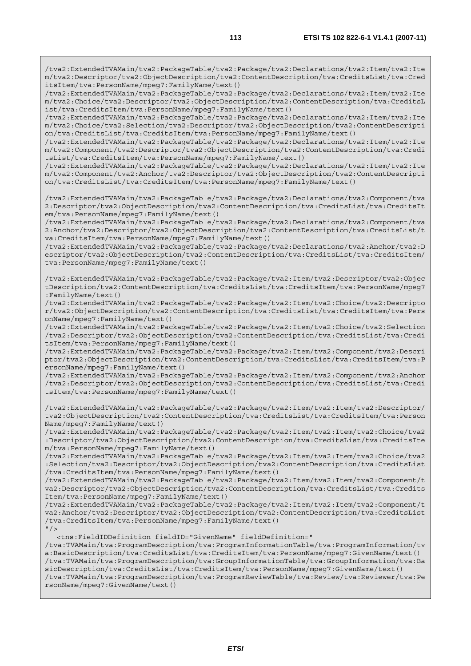/tva2:ExtendedTVAMain/tva2:PackageTable/tva2:Package/tva2:Declarations/tva2:Item/tva2:Ite m/tva2:Descriptor/tva2:ObjectDescription/tva2:ContentDescription/tva:CreditsList/tva:Cred itsItem/tva:PersonName/mpeg7:FamilyName/text()

/tva2:ExtendedTVAMain/tva2:PackageTable/tva2:Package/tva2:Declarations/tva2:Item/tva2:Ite m/tva2:Choice/tva2:Descriptor/tva2:ObjectDescription/tva2:ContentDescription/tva:CreditsL ist/tva:CreditsItem/tva:PersonName/mpeg7:FamilyName/text()

/tva2:ExtendedTVAMain/tva2:PackageTable/tva2:Package/tva2:Declarations/tva2:Item/tva2:Ite m/tva2:Choice/tva2:Selection/tva2:Descriptor/tva2:ObjectDescription/tva2:ContentDescripti on/tva:CreditsList/tva:CreditsItem/tva:PersonName/mpeg7:FamilyName/text()

/tva2:ExtendedTVAMain/tva2:PackageTable/tva2:Package/tva2:Declarations/tva2:Item/tva2:Ite m/tva2:Component/tva2:Descriptor/tva2:ObjectDescription/tva2:ContentDescription/tva:Credi tsList/tva:CreditsItem/tva:PersonName/mpeg7:FamilyName/text()

/tva2:ExtendedTVAMain/tva2:PackageTable/tva2:Package/tva2:Declarations/tva2:Item/tva2:Ite m/tva2:Component/tva2:Anchor/tva2:Descriptor/tva2:ObjectDescription/tva2:ContentDescripti on/tva:CreditsList/tva:CreditsItem/tva:PersonName/mpeg7:FamilyName/text()

/tva2:ExtendedTVAMain/tva2:PackageTable/tva2:Package/tva2:Declarations/tva2:Component/tva 2:Descriptor/tva2:ObjectDescription/tva2:ContentDescription/tva:CreditsList/tva:CreditsIt em/tva:PersonName/mpeg7:FamilyName/text()

/tva2:ExtendedTVAMain/tva2:PackageTable/tva2:Package/tva2:Declarations/tva2:Component/tva 2:Anchor/tva2:Descriptor/tva2:ObjectDescription/tva2:ContentDescription/tva:CreditsList/t va:CreditsItem/tva:PersonName/mpeg7:FamilyName/text()

/tva2:ExtendedTVAMain/tva2:PackageTable/tva2:Package/tva2:Declarations/tva2:Anchor/tva2:D escriptor/tva2:ObjectDescription/tva2:ContentDescription/tva:CreditsList/tva:CreditsItem/ tva:PersonName/mpeg7:FamilyName/text()

/tva2:ExtendedTVAMain/tva2:PackageTable/tva2:Package/tva2:Item/tva2:Descriptor/tva2:Objec tDescription/tva2:ContentDescription/tva:CreditsList/tva:CreditsItem/tva:PersonName/mpeg7 :FamilyName/text()

/tva2:ExtendedTVAMain/tva2:PackageTable/tva2:Package/tva2:Item/tva2:Choice/tva2:Descripto r/tva2:ObjectDescription/tva2:ContentDescription/tva:CreditsList/tva:CreditsItem/tva:Pers onName/mpeg7:FamilyName/text()

/tva2:ExtendedTVAMain/tva2:PackageTable/tva2:Package/tva2:Item/tva2:Choice/tva2:Selection /tva2:Descriptor/tva2:ObjectDescription/tva2:ContentDescription/tva:CreditsList/tva:Credi tsItem/tva:PersonName/mpeg7:FamilyName/text()

/tva2:ExtendedTVAMain/tva2:PackageTable/tva2:Package/tva2:Item/tva2:Component/tva2:Descri ptor/tva2:ObjectDescription/tva2:ContentDescription/tva:CreditsList/tva:CreditsItem/tva:P ersonName/mpeg7:FamilyName/text()

/tva2:ExtendedTVAMain/tva2:PackageTable/tva2:Package/tva2:Item/tva2:Component/tva2:Anchor /tva2:Descriptor/tva2:ObjectDescription/tva2:ContentDescription/tva:CreditsList/tva:Credi tsItem/tva:PersonName/mpeg7:FamilyName/text()

/tva2:ExtendedTVAMain/tva2:PackageTable/tva2:Package/tva2:Item/tva2:Item/tva2:Descriptor/ tva2:ObjectDescription/tva2:ContentDescription/tva:CreditsList/tva:CreditsItem/tva:Person Name/mpeg7:FamilyName/text()

/tva2:ExtendedTVAMain/tva2:PackageTable/tva2:Package/tva2:Item/tva2:Item/tva2:Choice/tva2 :Descriptor/tva2:ObjectDescription/tva2:ContentDescription/tva:CreditsList/tva:CreditsIte m/tva:PersonName/mpeg7:FamilyName/text()

/tva2:ExtendedTVAMain/tva2:PackageTable/tva2:Package/tva2:Item/tva2:Item/tva2:Choice/tva2 :Selection/tva2:Descriptor/tva2:ObjectDescription/tva2:ContentDescription/tva:CreditsList /tva:CreditsItem/tva:PersonName/mpeg7:FamilyName/text()

/tva2:ExtendedTVAMain/tva2:PackageTable/tva2:Package/tva2:Item/tva2:Item/tva2:Component/t va2:Descriptor/tva2:ObjectDescription/tva2:ContentDescription/tva:CreditsList/tva:Credits Item/tva:PersonName/mpeg7:FamilyName/text()

/tva2:ExtendedTVAMain/tva2:PackageTable/tva2:Package/tva2:Item/tva2:Item/tva2:Component/t va2:Anchor/tva2:Descriptor/tva2:ObjectDescription/tva2:ContentDescription/tva:CreditsList /tva:CreditsItem/tva:PersonName/mpeg7:FamilyName/text()  $"$  />

<tns:FieldIDDefinition fieldID="GivenName" fieldDefinition="

/tva:TVAMain/tva:ProgramDescription/tva:ProgramInformationTable/tva:ProgramInformation/tv a:BasicDescription/tva:CreditsList/tva:CreditsItem/tva:PersonName/mpeg7:GivenName/text() /tva:TVAMain/tva:ProgramDescription/tva:GroupInformationTable/tva:GroupInformation/tva:Ba sicDescription/tva:CreditsList/tva:CreditsItem/tva:PersonName/mpeg7:GivenName/text() /tva:TVAMain/tva:ProgramDescription/tva:ProgramReviewTable/tva:Review/tva:Reviewer/tva:Pe rsonName/mpeg7:GivenName/text()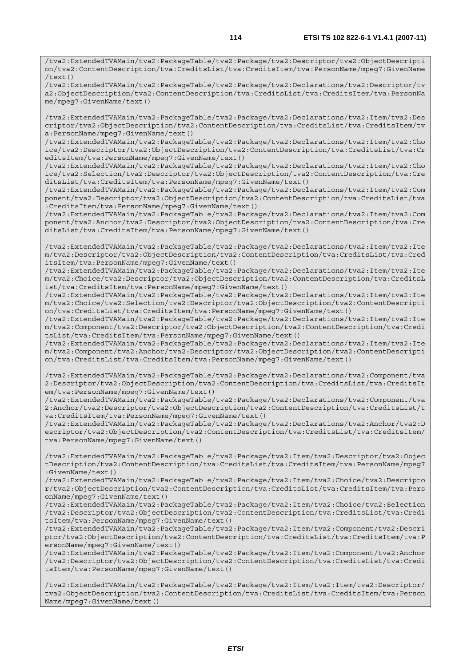/tva2:ExtendedTVAMain/tva2:PackageTable/tva2:Package/tva2:Descriptor/tva2:ObjectDescripti on/tva2:ContentDescription/tva:CreditsList/tva:CreditsItem/tva:PersonName/mpeg7:GivenName /text()

/tva2:ExtendedTVAMain/tva2:PackageTable/tva2:Package/tva2:Declarations/tva2:Descriptor/tv a2:ObjectDescription/tva2:ContentDescription/tva:CreditsList/tva:CreditsItem/tva:PersonNa me/mpeg7:GivenName/text()

/tva2:ExtendedTVAMain/tva2:PackageTable/tva2:Package/tva2:Declarations/tva2:Item/tva2:Des criptor/tva2:ObjectDescription/tva2:ContentDescription/tva:CreditsList/tva:CreditsItem/tv a:PersonName/mpeg7:GivenName/text()

/tva2:ExtendedTVAMain/tva2:PackageTable/tva2:Package/tva2:Declarations/tva2:Item/tva2:Cho ice/tva2:Descriptor/tva2:ObjectDescription/tva2:ContentDescription/tva:CreditsList/tva:Cr editsItem/tva:PersonName/mpeg7:GivenName/text()

/tva2:ExtendedTVAMain/tva2:PackageTable/tva2:Package/tva2:Declarations/tva2:Item/tva2:Cho ice/tva2:Selection/tva2:Descriptor/tva2:ObjectDescription/tva2:ContentDescription/tva:Cre ditsList/tva:CreditsItem/tva:PersonName/mpeg7:GivenName/text()

/tva2:ExtendedTVAMain/tva2:PackageTable/tva2:Package/tva2:Declarations/tva2:Item/tva2:Com ponent/tva2:Descriptor/tva2:ObjectDescription/tva2:ContentDescription/tva:CreditsList/tva :CreditsItem/tva:PersonName/mpeg7:GivenName/text()

/tva2:ExtendedTVAMain/tva2:PackageTable/tva2:Package/tva2:Declarations/tva2:Item/tva2:Com ponent/tva2:Anchor/tva2:Descriptor/tva2:ObjectDescription/tva2:ContentDescription/tva:Cre ditsList/tva:CreditsItem/tva:PersonName/mpeg7:GivenName/text()

/tva2:ExtendedTVAMain/tva2:PackageTable/tva2:Package/tva2:Declarations/tva2:Item/tva2:Ite m/tva2:Descriptor/tva2:ObjectDescription/tva2:ContentDescription/tva:CreditsList/tva:Cred itsItem/tva:PersonName/mpeg7:GivenName/text()

/tva2:ExtendedTVAMain/tva2:PackageTable/tva2:Package/tva2:Declarations/tva2:Item/tva2:Ite m/tva2:Choice/tva2:Descriptor/tva2:ObjectDescription/tva2:ContentDescription/tva:CreditsL ist/tva:CreditsItem/tva:PersonName/mpeg7:GivenName/text()

/tva2:ExtendedTVAMain/tva2:PackageTable/tva2:Package/tva2:Declarations/tva2:Item/tva2:Ite m/tva2:Choice/tva2:Selection/tva2:Descriptor/tva2:ObjectDescription/tva2:ContentDescripti on/tva:CreditsList/tva:CreditsItem/tva:PersonName/mpeg7:GivenName/text()

/tva2:ExtendedTVAMain/tva2:PackageTable/tva2:Package/tva2:Declarations/tva2:Item/tva2:Ite m/tva2:Component/tva2:Descriptor/tva2:ObjectDescription/tva2:ContentDescription/tva:Credi tsList/tva:CreditsItem/tva:PersonName/mpeg7:GivenName/text()

/tva2:ExtendedTVAMain/tva2:PackageTable/tva2:Package/tva2:Declarations/tva2:Item/tva2:Ite m/tva2:Component/tva2:Anchor/tva2:Descriptor/tva2:ObjectDescription/tva2:ContentDescripti on/tva:CreditsList/tva:CreditsItem/tva:PersonName/mpeg7:GivenName/text()

/tva2:ExtendedTVAMain/tva2:PackageTable/tva2:Package/tva2:Declarations/tva2:Component/tva 2:Descriptor/tva2:ObjectDescription/tva2:ContentDescription/tva:CreditsList/tva:CreditsIt em/tva:PersonName/mpeg7:GivenName/text()

/tva2:ExtendedTVAMain/tva2:PackageTable/tva2:Package/tva2:Declarations/tva2:Component/tva 2:Anchor/tva2:Descriptor/tva2:ObjectDescription/tva2:ContentDescription/tva:CreditsList/t va:CreditsItem/tva:PersonName/mpeg7:GivenName/text()

/tva2:ExtendedTVAMain/tva2:PackageTable/tva2:Package/tva2:Declarations/tva2:Anchor/tva2:D escriptor/tva2:ObjectDescription/tva2:ContentDescription/tva:CreditsList/tva:CreditsItem/ tva:PersonName/mpeg7:GivenName/text()

/tva2:ExtendedTVAMain/tva2:PackageTable/tva2:Package/tva2:Item/tva2:Descriptor/tva2:Objec tDescription/tva2:ContentDescription/tva:CreditsList/tva:CreditsItem/tva:PersonName/mpeg7 :GivenName/text()

/tva2:ExtendedTVAMain/tva2:PackageTable/tva2:Package/tva2:Item/tva2:Choice/tva2:Descripto r/tva2:ObjectDescription/tva2:ContentDescription/tva:CreditsList/tva:CreditsItem/tva:Pers onName/mpeg7:GivenName/text()

/tva2:ExtendedTVAMain/tva2:PackageTable/tva2:Package/tva2:Item/tva2:Choice/tva2:Selection /tva2:Descriptor/tva2:ObjectDescription/tva2:ContentDescription/tva:CreditsList/tva:Credi tsItem/tva:PersonName/mpeg7:GivenName/text()

/tva2:ExtendedTVAMain/tva2:PackageTable/tva2:Package/tva2:Item/tva2:Component/tva2:Descri ptor/tva2:ObjectDescription/tva2:ContentDescription/tva:CreditsList/tva:CreditsItem/tva:P ersonName/mpeg7:GivenName/text()

/tva2:ExtendedTVAMain/tva2:PackageTable/tva2:Package/tva2:Item/tva2:Component/tva2:Anchor /tva2:Descriptor/tva2:ObjectDescription/tva2:ContentDescription/tva:CreditsList/tva:Credi tsItem/tva:PersonName/mpeg7:GivenName/text()

/tva2:ExtendedTVAMain/tva2:PackageTable/tva2:Package/tva2:Item/tva2:Item/tva2:Descriptor/ tva2:ObjectDescription/tva2:ContentDescription/tva:CreditsList/tva:CreditsItem/tva:Person Name/mpeg7:GivenName/text()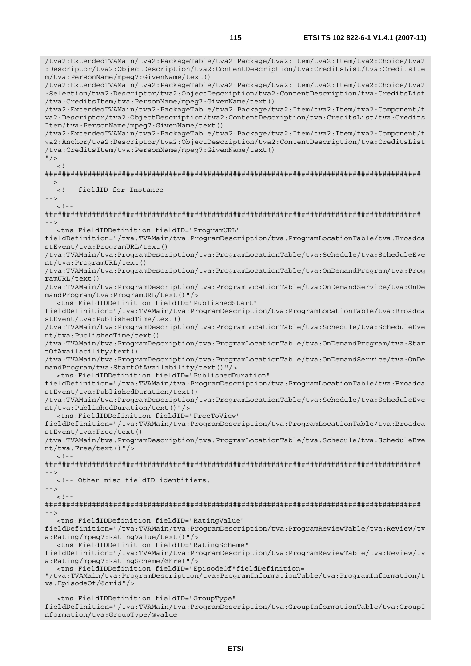/tva2:ExtendedTVAMain/tva2:PackageTable/tva2:Package/tva2:Item/tva2:Item/tva2:Choice/tva2 :Descriptor/tva2:ObjectDescription/tva2:ContentDescription/tva:CreditsList/tva:CreditsIte m/tva:PersonName/mpeg7:GivenName/text() /tva2:ExtendedTVAMain/tva2:PackageTable/tva2:Package/tva2:Item/tva2:Item/tva2:Choice/tva2 :Selection/tva2:Descriptor/tva2:ObjectDescription/tva2:ContentDescription/tva:CreditsList /tva:CreditsItem/tva:PersonName/mpeg7:GivenName/text() /tva2:ExtendedTVAMain/tva2:PackageTable/tva2:Package/tva2:Item/tva2:Item/tva2:Component/t va2:Descriptor/tva2:ObjectDescription/tva2:ContentDescription/tva:CreditsList/tva:Credits Item/tva:PersonName/mpeg7:GivenName/text() /tva2:ExtendedTVAMain/tva2:PackageTable/tva2:Package/tva2:Item/tva2:Item/tva2:Component/t va2:Anchor/tva2:Descriptor/tva2:ObjectDescription/tva2:ContentDescription/tva:CreditsList /tva:CreditsItem/tva:PersonName/mpeg7:GivenName/text()  $^{\prime\prime}$  / >  $\geq$  1. ######################################################################################## --> <!-- fieldID for Instance -->  $\lt$  ! - -######################################################################################## --> <tns:FieldIDDefinition fieldID="ProgramURL" fieldDefinition="/tva:TVAMain/tva:ProgramDescription/tva:ProgramLocationTable/tva:Broadca stEvent/tva:ProgramURL/text() /tva:TVAMain/tva:ProgramDescription/tva:ProgramLocationTable/tva:Schedule/tva:ScheduleEve nt/tva:ProgramURL/text() /tva:TVAMain/tva:ProgramDescription/tva:ProgramLocationTable/tva:OnDemandProgram/tva:Prog ramURL/text() /tva:TVAMain/tva:ProgramDescription/tva:ProgramLocationTable/tva:OnDemandService/tva:OnDe mandProgram/tva:ProgramURL/text()"/> <tns:FieldIDDefinition fieldID="PublishedStart" fieldDefinition="/tva:TVAMain/tva:ProgramDescription/tva:ProgramLocationTable/tva:Broadca stEvent/tva:PublishedTime/text() /tva:TVAMain/tva:ProgramDescription/tva:ProgramLocationTable/tva:Schedule/tva:ScheduleEve nt/tva:PublishedTime/text() /tva:TVAMain/tva:ProgramDescription/tva:ProgramLocationTable/tva:OnDemandProgram/tva:Star tOfAvailability/text() /tva:TVAMain/tva:ProgramDescription/tva:ProgramLocationTable/tva:OnDemandService/tva:OnDe mandProgram/tva:StartOfAvailability/text()"/> <tns:FieldIDDefinition fieldID="PublishedDuration" fieldDefinition="/tva:TVAMain/tva:ProgramDescription/tva:ProgramLocationTable/tva:Broadca stEvent/tva:PublishedDuration/text() /tva:TVAMain/tva:ProgramDescription/tva:ProgramLocationTable/tva:Schedule/tva:ScheduleEve nt/tva:PublishedDuration/text()"/> <tns:FieldIDDefinition fieldID="FreeToView" fieldDefinition="/tva:TVAMain/tva:ProgramDescription/tva:ProgramLocationTable/tva:Broadca stEvent/tva:Free/text() /tva:TVAMain/tva:ProgramDescription/tva:ProgramLocationTable/tva:Schedule/tva:ScheduleEve nt/tva:Free/text()"/>  $<$ ! --######################################################################################## --> <!-- Other misc fieldID identifiers: -->  $<$ ! --######################################################################################## --> <tns:FieldIDDefinition fieldID="RatingValue" fieldDefinition="/tva:TVAMain/tva:ProgramDescription/tva:ProgramReviewTable/tva:Review/tv a:Rating/mpeg7:RatingValue/text()"/> <tns:FieldIDDefinition fieldID="RatingScheme" fieldDefinition="/tva:TVAMain/tva:ProgramDescription/tva:ProgramReviewTable/tva:Review/tv a:Rating/mpeg7:RatingScheme/@href"/> <tns:FieldIDDefinition fieldID="EpisodeOf"fieldDefinition= "/tva:TVAMain/tva:ProgramDescription/tva:ProgramInformationTable/tva:ProgramInformation/t va:EpisodeOf/@crid"/> <tns:FieldIDDefinition fieldID="GroupType" fieldDefinition="/tva:TVAMain/tva:ProgramDescription/tva:GroupInformationTable/tva:GroupI nformation/tva:GroupType/@value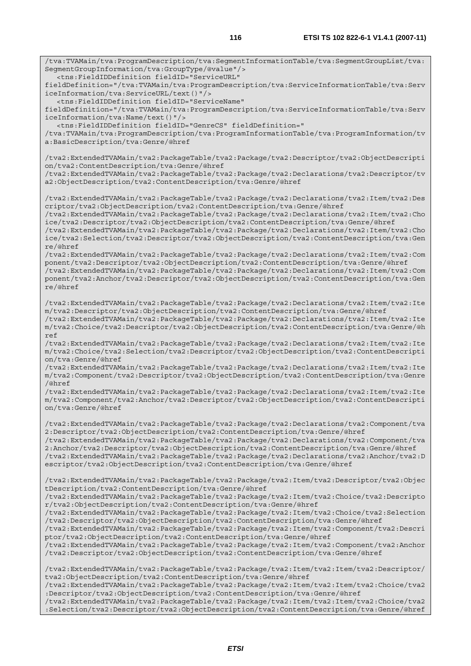/tva:TVAMain/tva:ProgramDescription/tva:SegmentInformationTable/tva:SegmentGroupList/tva:

SegmentGroupInformation/tva:GroupType/@value"/>

 <tns:FieldIDDefinition fieldID="ServiceURL" fieldDefinition="/tva:TVAMain/tva:ProgramDescription/tva:ServiceInformationTable/tva:Serv iceInformation/tva:ServiceURL/text()"/> <tns:FieldIDDefinition fieldID="ServiceName" fieldDefinition="/tva:TVAMain/tva:ProgramDescription/tva:ServiceInformationTable/tva:Serv iceInformation/tva:Name/text()"/> <tns:FieldIDDefinition fieldID="GenreCS" fieldDefinition=" /tva:TVAMain/tva:ProgramDescription/tva:ProgramInformationTable/tva:ProgramInformation/tv a:BasicDescription/tva:Genre/@href /tva2:ExtendedTVAMain/tva2:PackageTable/tva2:Package/tva2:Descriptor/tva2:ObjectDescripti on/tva2:ContentDescription/tva:Genre/@href /tva2:ExtendedTVAMain/tva2:PackageTable/tva2:Package/tva2:Declarations/tva2:Descriptor/tv a2:ObjectDescription/tva2:ContentDescription/tva:Genre/@href /tva2:ExtendedTVAMain/tva2:PackageTable/tva2:Package/tva2:Declarations/tva2:Item/tva2:Des criptor/tva2:ObjectDescription/tva2:ContentDescription/tva:Genre/@href /tva2:ExtendedTVAMain/tva2:PackageTable/tva2:Package/tva2:Declarations/tva2:Item/tva2:Cho ice/tva2:Descriptor/tva2:ObjectDescription/tva2:ContentDescription/tva:Genre/@href /tva2:ExtendedTVAMain/tva2:PackageTable/tva2:Package/tva2:Declarations/tva2:Item/tva2:Cho ice/tva2:Selection/tva2:Descriptor/tva2:ObjectDescription/tva2:ContentDescription/tva:Gen re/@href /tva2:ExtendedTVAMain/tva2:PackageTable/tva2:Package/tva2:Declarations/tva2:Item/tva2:Com ponent/tva2:Descriptor/tva2:ObjectDescription/tva2:ContentDescription/tva:Genre/@href /tva2:ExtendedTVAMain/tva2:PackageTable/tva2:Package/tva2:Declarations/tva2:Item/tva2:Com ponent/tva2:Anchor/tva2:Descriptor/tva2:ObjectDescription/tva2:ContentDescription/tva:Gen re/@href /tva2:ExtendedTVAMain/tva2:PackageTable/tva2:Package/tva2:Declarations/tva2:Item/tva2:Ite m/tva2:Descriptor/tva2:ObjectDescription/tva2:ContentDescription/tva:Genre/@href /tva2:ExtendedTVAMain/tva2:PackageTable/tva2:Package/tva2:Declarations/tva2:Item/tva2:Ite m/tva2:Choice/tva2:Descriptor/tva2:ObjectDescription/tva2:ContentDescription/tva:Genre/@h ref /tva2:ExtendedTVAMain/tva2:PackageTable/tva2:Package/tva2:Declarations/tva2:Item/tva2:Ite m/tva2:Choice/tva2:Selection/tva2:Descriptor/tva2:ObjectDescription/tva2:ContentDescripti on/tva:Genre/@href /tva2:ExtendedTVAMain/tva2:PackageTable/tva2:Package/tva2:Declarations/tva2:Item/tva2:Ite m/tva2:Component/tva2:Descriptor/tva2:ObjectDescription/tva2:ContentDescription/tva:Genre /@href /tva2:ExtendedTVAMain/tva2:PackageTable/tva2:Package/tva2:Declarations/tva2:Item/tva2:Ite m/tva2:Component/tva2:Anchor/tva2:Descriptor/tva2:ObjectDescription/tva2:ContentDescripti on/tva:Genre/@href /tva2:ExtendedTVAMain/tva2:PackageTable/tva2:Package/tva2:Declarations/tva2:Component/tva 2:Descriptor/tva2:ObjectDescription/tva2:ContentDescription/tva:Genre/@href /tva2:ExtendedTVAMain/tva2:PackageTable/tva2:Package/tva2:Declarations/tva2:Component/tva 2:Anchor/tva2:Descriptor/tva2:ObjectDescription/tva2:ContentDescription/tva:Genre/@href /tva2:ExtendedTVAMain/tva2:PackageTable/tva2:Package/tva2:Declarations/tva2:Anchor/tva2:D escriptor/tva2:ObjectDescription/tva2:ContentDescription/tva:Genre/@href /tva2:ExtendedTVAMain/tva2:PackageTable/tva2:Package/tva2:Item/tva2:Descriptor/tva2:Objec tDescription/tva2:ContentDescription/tva:Genre/@href /tva2:ExtendedTVAMain/tva2:PackageTable/tva2:Package/tva2:Item/tva2:Choice/tva2:Descripto r/tva2:ObjectDescription/tva2:ContentDescription/tva:Genre/@href /tva2:ExtendedTVAMain/tva2:PackageTable/tva2:Package/tva2:Item/tva2:Choice/tva2:Selection /tva2:Descriptor/tva2:ObjectDescription/tva2:ContentDescription/tva:Genre/@href /tva2:ExtendedTVAMain/tva2:PackageTable/tva2:Package/tva2:Item/tva2:Component/tva2:Descri ptor/tva2:ObjectDescription/tva2:ContentDescription/tva:Genre/@href /tva2:ExtendedTVAMain/tva2:PackageTable/tva2:Package/tva2:Item/tva2:Component/tva2:Anchor /tva2:Descriptor/tva2:ObjectDescription/tva2:ContentDescription/tva:Genre/@href /tva2:ExtendedTVAMain/tva2:PackageTable/tva2:Package/tva2:Item/tva2:Item/tva2:Descriptor/ tva2:ObjectDescription/tva2:ContentDescription/tva:Genre/@href /tva2:ExtendedTVAMain/tva2:PackageTable/tva2:Package/tva2:Item/tva2:Item/tva2:Choice/tva2 :Descriptor/tva2:ObjectDescription/tva2:ContentDescription/tva:Genre/@href /tva2:ExtendedTVAMain/tva2:PackageTable/tva2:Package/tva2:Item/tva2:Item/tva2:Choice/tva2 :Selection/tva2:Descriptor/tva2:ObjectDescription/tva2:ContentDescription/tva:Genre/@href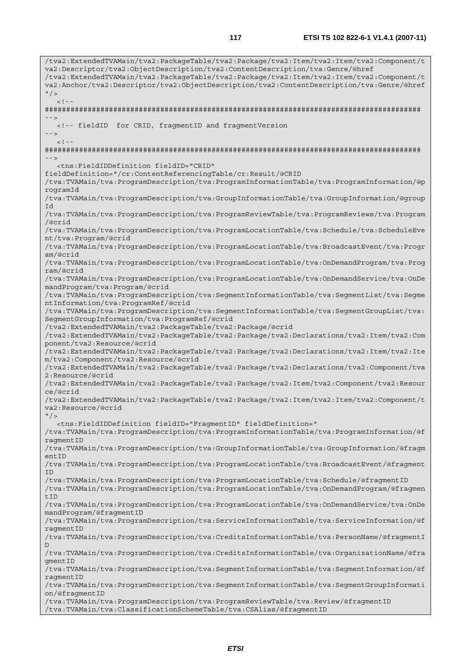/tva2:ExtendedTVAMain/tva2:PackageTable/tva2:Package/tva2:Item/tva2:Item/tva2:Component/t va2:Descriptor/tva2:ObjectDescription/tva2:ContentDescription/tva:Genre/@href /tva2:ExtendedTVAMain/tva2:PackageTable/tva2:Package/tva2:Item/tva2:Item/tva2:Component/t va2:Anchor/tva2:Descriptor/tva2:ObjectDescription/tva2:ContentDescription/tva:Genre/@href  $"$  />  $<$ ! --######################################################################################## --> <!-- fieldID for CRID, fragmentID and fragmentVersion -->  $\lt$  ! ######################################################################################## --> <tns:FieldIDDefinition fieldID="CRID" fieldDefinition="/cr:ContentReferencingTable/cr:Result/@CRID /tva:TVAMain/tva:ProgramDescription/tva:ProgramInformationTable/tva:ProgramInformation/@p rogramId /tva:TVAMain/tva:ProgramDescription/tva:GroupInformationTable/tva:GroupInformation/@group Id /tva:TVAMain/tva:ProgramDescription/tva:ProgramReviewTable/tva:ProgramReviews/tva:Program /@crid /tva:TVAMain/tva:ProgramDescription/tva:ProgramLocationTable/tva:Schedule/tva:ScheduleEve nt/tva:Program/@crid /tva:TVAMain/tva:ProgramDescription/tva:ProgramLocationTable/tva:BroadcastEvent/tva:Progr am/@crid /tva:TVAMain/tva:ProgramDescription/tva:ProgramLocationTable/tva:OnDemandProgram/tva:Prog ram/@crid /tva:TVAMain/tva:ProgramDescription/tva:ProgramLocationTable/tva:OnDemandService/tva:OnDe mandProgram/tva:Program/@crid /tva:TVAMain/tva:ProgramDescription/tva:SegmentInformationTable/tva:SegmentList/tva:Segme ntInformation/tva:ProgramRef/@crid /tva:TVAMain/tva:ProgramDescription/tva:SegmentInformationTable/tva:SegmentGroupList/tva: SegmentGroupInformation/tva:ProgramRef/@crid /tva2:ExtendedTVAMain/tva2:PackageTable/tva2:Package/@crid /tva2:ExtendedTVAMain/tva2:PackageTable/tva2:Package/tva2:Declarations/tva2:Item/tva2:Com ponent/tva2:Resource/@crid /tva2:ExtendedTVAMain/tva2:PackageTable/tva2:Package/tva2:Declarations/tva2:Item/tva2:Ite m/tva2:Component/tva2:Resource/@crid /tva2:ExtendedTVAMain/tva2:PackageTable/tva2:Package/tva2:Declarations/tva2:Component/tva 2:Resource/@crid /tva2:ExtendedTVAMain/tva2:PackageTable/tva2:Package/tva2:Item/tva2:Component/tva2:Resour ce/@crid /tva2:ExtendedTVAMain/tva2:PackageTable/tva2:Package/tva2:Item/tva2:Item/tva2:Component/t va2:Resource/@crid  $"$  /> <tns:FieldIDDefinition fieldID="FragmentID" fieldDefinition=" /tva:TVAMain/tva:ProgramDescription/tva:ProgramInformationTable/tva:ProgramInformation/@f ragmentID /tva:TVAMain/tva:ProgramDescription/tva:GroupInformationTable/tva:GroupInformation/@fragm entID /tva:TVAMain/tva:ProgramDescription/tva:ProgramLocationTable/tva:BroadcastEvent/@fragment ID /tva:TVAMain/tva:ProgramDescription/tva:ProgramLocationTable/tva:Schedule/@fragmentID /tva:TVAMain/tva:ProgramDescription/tva:ProgramLocationTable/tva:OnDemandProgram/@fragmen tID /tva:TVAMain/tva:ProgramDescription/tva:ProgramLocationTable/tva:OnDemandService/tva:OnDe mandProgram/@fragmentID /tva:TVAMain/tva:ProgramDescription/tva:ServiceInformationTable/tva:ServiceInformation/@f ragmentID /tva:TVAMain/tva:ProgramDescription/tva:CreditsInformationTable/tva:PersonName/@fragmentI D /tva:TVAMain/tva:ProgramDescription/tva:CreditsInformationTable/tva:OrganizationName/@fra gmentID /tva:TVAMain/tva:ProgramDescription/tva:SegmentInformationTable/tva:SegmentInformation/@f ragmentID /tva:TVAMain/tva:ProgramDescription/tva:SegmentInformationTable/tva:SegmentGroupInformati on/@fragmentID /tva:TVAMain/tva:ProgramDescription/tva:ProgramReviewTable/tva:Review/@fragmentID /tva:TVAMain/tva:ClassificationSchemeTable/tva:CSAlias/@fragmentID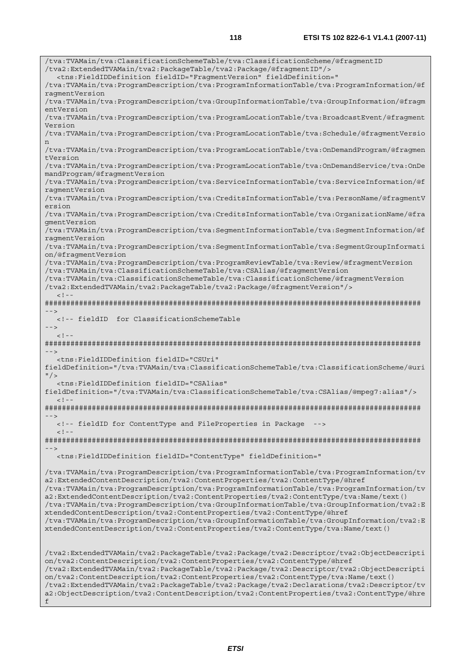/tva:TVAMain/tva:ClassificationSchemeTable/tva:ClassificationScheme/@fragmentID /tva2:ExtendedTVAMain/tva2:PackageTable/tva2:Package/@fragmentID"/> <tns:FieldIDDefinition fieldID="FragmentVersion" fieldDefinition=" /tva:TVAMain/tva:ProgramDescription/tva:ProgramInformationTable/tva:ProgramInformation/@f ragmentVersion /tva:TVAMain/tva:ProgramDescription/tva:GroupInformationTable/tva:GroupInformation/@fragm entVersion /tva:TVAMain/tva:ProgramDescription/tva:ProgramLocationTable/tva:BroadcastEvent/@fragment Version /tva:TVAMain/tva:ProgramDescription/tva:ProgramLocationTable/tva:Schedule/@fragmentVersio n /tva:TVAMain/tva:ProgramDescription/tva:ProgramLocationTable/tva:OnDemandProgram/@fragmen tVersion /tva:TVAMain/tva:ProgramDescription/tva:ProgramLocationTable/tva:OnDemandService/tva:OnDe mandProgram/@fragmentVersion /tva:TVAMain/tva:ProgramDescription/tva:ServiceInformationTable/tva:ServiceInformation/@f ragmentVersion /tva:TVAMain/tva:ProgramDescription/tva:CreditsInformationTable/tva:PersonName/@fragmentV ersion /tva:TVAMain/tva:ProgramDescription/tva:CreditsInformationTable/tva:OrganizationName/@fra gmentVersion /tva:TVAMain/tva:ProgramDescription/tva:SegmentInformationTable/tva:SegmentInformation/@f ragmentVersion /tva:TVAMain/tva:ProgramDescription/tva:SegmentInformationTable/tva:SegmentGroupInformati on/@fragmentVersion /tva:TVAMain/tva:ProgramDescription/tva:ProgramReviewTable/tva:Review/@fragmentVersion /tva:TVAMain/tva:ClassificationSchemeTable/tva:CSAlias/@fragmentVersion /tva:TVAMain/tva:ClassificationSchemeTable/tva:ClassificationScheme/@fragmentVersion /tva2:ExtendedTVAMain/tva2:PackageTable/tva2:Package/@fragmentVersion"/>  $<$ ! --######################################################################################## --> <!-- fieldID for ClassificationSchemeTable -->  $\leq$ ! ######################################################################################## --> <tns:FieldIDDefinition fieldID="CSUri" fieldDefinition="/tva:TVAMain/tva:ClassificationSchemeTable/tva:ClassificationScheme/@uri  $''$  / > <tns:FieldIDDefinition fieldID="CSAlias" fieldDefinition="/tva:TVAMain/tva:ClassificationSchemeTable/tva:CSAlias/@mpeg7:alias"/>  $\langle$ ! -######################################################################################## --> <!-- fieldID for ContentType and FileProperties in Package -->  $2 - 1 - 1$ ######################################################################################## --> <tns:FieldIDDefinition fieldID="ContentType" fieldDefinition=" /tva:TVAMain/tva:ProgramDescription/tva:ProgramInformationTable/tva:ProgramInformation/tv a2:ExtendedContentDescription/tva2:ContentProperties/tva2:ContentType/@href /tva:TVAMain/tva:ProgramDescription/tva:ProgramInformationTable/tva:ProgramInformation/tv a2:ExtendedContentDescription/tva2:ContentProperties/tva2:ContentType/tva:Name/text() /tva:TVAMain/tva:ProgramDescription/tva:GroupInformationTable/tva:GroupInformation/tva2:E xtendedContentDescription/tva2:ContentProperties/tva2:ContentType/@href /tva:TVAMain/tva:ProgramDescription/tva:GroupInformationTable/tva:GroupInformation/tva2:E xtendedContentDescription/tva2:ContentProperties/tva2:ContentType/tva:Name/text() /tva2:ExtendedTVAMain/tva2:PackageTable/tva2:Package/tva2:Descriptor/tva2:ObjectDescripti on/tva2:ContentDescription/tva2:ContentProperties/tva2:ContentType/@href /tva2:ExtendedTVAMain/tva2:PackageTable/tva2:Package/tva2:Descriptor/tva2:ObjectDescripti on/tva2:ContentDescription/tva2:ContentProperties/tva2:ContentType/tva:Name/text() /tva2:ExtendedTVAMain/tva2:PackageTable/tva2:Package/tva2:Declarations/tva2:Descriptor/tv a2:ObjectDescription/tva2:ContentDescription/tva2:ContentProperties/tva2:ContentType/@hre

```
f
```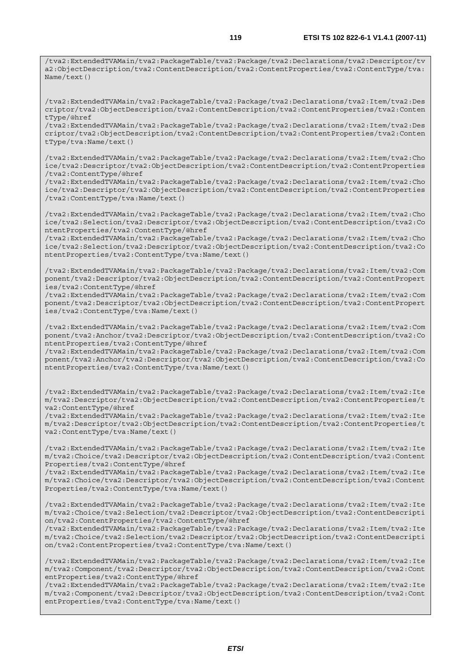/tva2:ExtendedTVAMain/tva2:PackageTable/tva2:Package/tva2:Declarations/tva2:Descriptor/tv a2:ObjectDescription/tva2:ContentDescription/tva2:ContentProperties/tva2:ContentType/tva: Name/text()

/tva2:ExtendedTVAMain/tva2:PackageTable/tva2:Package/tva2:Declarations/tva2:Item/tva2:Des criptor/tva2:ObjectDescription/tva2:ContentDescription/tva2:ContentProperties/tva2:Conten tType/@href

/tva2:ExtendedTVAMain/tva2:PackageTable/tva2:Package/tva2:Declarations/tva2:Item/tva2:Des criptor/tva2:ObjectDescription/tva2:ContentDescription/tva2:ContentProperties/tva2:Conten tType/tva:Name/text()

/tva2:ExtendedTVAMain/tva2:PackageTable/tva2:Package/tva2:Declarations/tva2:Item/tva2:Cho ice/tva2:Descriptor/tva2:ObjectDescription/tva2:ContentDescription/tva2:ContentProperties /tva2:ContentType/@href

/tva2:ExtendedTVAMain/tva2:PackageTable/tva2:Package/tva2:Declarations/tva2:Item/tva2:Cho ice/tva2:Descriptor/tva2:ObjectDescription/tva2:ContentDescription/tva2:ContentProperties /tva2:ContentType/tva:Name/text()

/tva2:ExtendedTVAMain/tva2:PackageTable/tva2:Package/tva2:Declarations/tva2:Item/tva2:Cho ice/tva2:Selection/tva2:Descriptor/tva2:ObjectDescription/tva2:ContentDescription/tva2:Co ntentProperties/tva2:ContentType/@href

/tva2:ExtendedTVAMain/tva2:PackageTable/tva2:Package/tva2:Declarations/tva2:Item/tva2:Cho ice/tva2:Selection/tva2:Descriptor/tva2:ObjectDescription/tva2:ContentDescription/tva2:Co ntentProperties/tva2:ContentType/tva:Name/text()

/tva2:ExtendedTVAMain/tva2:PackageTable/tva2:Package/tva2:Declarations/tva2:Item/tva2:Com ponent/tva2:Descriptor/tva2:ObjectDescription/tva2:ContentDescription/tva2:ContentPropert ies/tva2:ContentType/@href

/tva2:ExtendedTVAMain/tva2:PackageTable/tva2:Package/tva2:Declarations/tva2:Item/tva2:Com ponent/tva2:Descriptor/tva2:ObjectDescription/tva2:ContentDescription/tva2:ContentPropert ies/tva2:ContentType/tva:Name/text()

/tva2:ExtendedTVAMain/tva2:PackageTable/tva2:Package/tva2:Declarations/tva2:Item/tva2:Com ponent/tva2:Anchor/tva2:Descriptor/tva2:ObjectDescription/tva2:ContentDescription/tva2:Co ntentProperties/tva2:ContentType/@href

/tva2:ExtendedTVAMain/tva2:PackageTable/tva2:Package/tva2:Declarations/tva2:Item/tva2:Com ponent/tva2:Anchor/tva2:Descriptor/tva2:ObjectDescription/tva2:ContentDescription/tva2:Co ntentProperties/tva2:ContentType/tva:Name/text()

/tva2:ExtendedTVAMain/tva2:PackageTable/tva2:Package/tva2:Declarations/tva2:Item/tva2:Ite m/tva2:Descriptor/tva2:ObjectDescription/tva2:ContentDescription/tva2:ContentProperties/t va2:ContentType/@href

/tva2:ExtendedTVAMain/tva2:PackageTable/tva2:Package/tva2:Declarations/tva2:Item/tva2:Ite m/tva2:Descriptor/tva2:ObjectDescription/tva2:ContentDescription/tva2:ContentProperties/t va2:ContentType/tva:Name/text()

/tva2:ExtendedTVAMain/tva2:PackageTable/tva2:Package/tva2:Declarations/tva2:Item/tva2:Ite m/tva2:Choice/tva2:Descriptor/tva2:ObjectDescription/tva2:ContentDescription/tva2:Content Properties/tva2:ContentType/@href

/tva2:ExtendedTVAMain/tva2:PackageTable/tva2:Package/tva2:Declarations/tva2:Item/tva2:Ite m/tva2:Choice/tva2:Descriptor/tva2:ObjectDescription/tva2:ContentDescription/tva2:Content Properties/tva2:ContentType/tva:Name/text()

/tva2:ExtendedTVAMain/tva2:PackageTable/tva2:Package/tva2:Declarations/tva2:Item/tva2:Ite m/tva2:Choice/tva2:Selection/tva2:Descriptor/tva2:ObjectDescription/tva2:ContentDescripti on/tva2:ContentProperties/tva2:ContentType/@href

/tva2:ExtendedTVAMain/tva2:PackageTable/tva2:Package/tva2:Declarations/tva2:Item/tva2:Ite m/tva2:Choice/tva2:Selection/tva2:Descriptor/tva2:ObjectDescription/tva2:ContentDescripti on/tva2:ContentProperties/tva2:ContentType/tva:Name/text()

/tva2:ExtendedTVAMain/tva2:PackageTable/tva2:Package/tva2:Declarations/tva2:Item/tva2:Ite m/tva2:Component/tva2:Descriptor/tva2:ObjectDescription/tva2:ContentDescription/tva2:Cont entProperties/tva2:ContentType/@href

/tva2:ExtendedTVAMain/tva2:PackageTable/tva2:Package/tva2:Declarations/tva2:Item/tva2:Ite m/tva2:Component/tva2:Descriptor/tva2:ObjectDescription/tva2:ContentDescription/tva2:Cont entProperties/tva2:ContentType/tva:Name/text()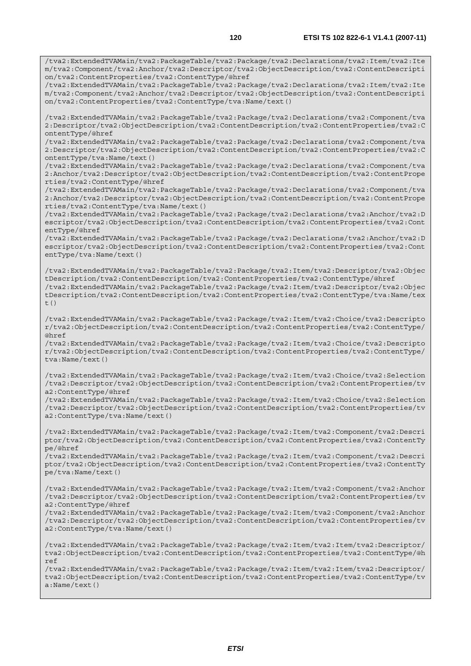/tva2:ExtendedTVAMain/tva2:PackageTable/tva2:Package/tva2:Declarations/tva2:Item/tva2:Ite m/tva2:Component/tva2:Anchor/tva2:Descriptor/tva2:ObjectDescription/tva2:ContentDescripti on/tva2:ContentProperties/tva2:ContentType/@href /tva2:ExtendedTVAMain/tva2:PackageTable/tva2:Package/tva2:Declarations/tva2:Item/tva2:Ite m/tva2:Component/tva2:Anchor/tva2:Descriptor/tva2:ObjectDescription/tva2:ContentDescripti on/tva2:ContentProperties/tva2:ContentType/tva:Name/text() /tva2:ExtendedTVAMain/tva2:PackageTable/tva2:Package/tva2:Declarations/tva2:Component/tva 2:Descriptor/tva2:ObjectDescription/tva2:ContentDescription/tva2:ContentProperties/tva2:C ontentType/@href /tva2:ExtendedTVAMain/tva2:PackageTable/tva2:Package/tva2:Declarations/tva2:Component/tva 2:Descriptor/tva2:ObjectDescription/tva2:ContentDescription/tva2:ContentProperties/tva2:C ontentType/tva:Name/text() /tva2:ExtendedTVAMain/tva2:PackageTable/tva2:Package/tva2:Declarations/tva2:Component/tva 2:Anchor/tva2:Descriptor/tva2:ObjectDescription/tva2:ContentDescription/tva2:ContentPrope rties/tva2:ContentType/@href /tva2:ExtendedTVAMain/tva2:PackageTable/tva2:Package/tva2:Declarations/tva2:Component/tva 2:Anchor/tva2:Descriptor/tva2:ObjectDescription/tva2:ContentDescription/tva2:ContentPrope rties/tva2:ContentType/tva:Name/text() /tva2:ExtendedTVAMain/tva2:PackageTable/tva2:Package/tva2:Declarations/tva2:Anchor/tva2:D escriptor/tva2:ObjectDescription/tva2:ContentDescription/tva2:ContentProperties/tva2:Cont entType/@href /tva2:ExtendedTVAMain/tva2:PackageTable/tva2:Package/tva2:Declarations/tva2:Anchor/tva2:D escriptor/tva2:ObjectDescription/tva2:ContentDescription/tva2:ContentProperties/tva2:Cont entType/tva:Name/text() /tva2:ExtendedTVAMain/tva2:PackageTable/tva2:Package/tva2:Item/tva2:Descriptor/tva2:Objec tDescription/tva2:ContentDescription/tva2:ContentProperties/tva2:ContentType/@href /tva2:ExtendedTVAMain/tva2:PackageTable/tva2:Package/tva2:Item/tva2:Descriptor/tva2:Objec tDescription/tva2:ContentDescription/tva2:ContentProperties/tva2:ContentType/tva:Name/tex t() /tva2:ExtendedTVAMain/tva2:PackageTable/tva2:Package/tva2:Item/tva2:Choice/tva2:Descripto r/tva2:ObjectDescription/tva2:ContentDescription/tva2:ContentProperties/tva2:ContentType/ @href /tva2:ExtendedTVAMain/tva2:PackageTable/tva2:Package/tva2:Item/tva2:Choice/tva2:Descripto r/tva2:ObjectDescription/tva2:ContentDescription/tva2:ContentProperties/tva2:ContentType/ tva:Name/text() /tva2:ExtendedTVAMain/tva2:PackageTable/tva2:Package/tva2:Item/tva2:Choice/tva2:Selection /tva2:Descriptor/tva2:ObjectDescription/tva2:ContentDescription/tva2:ContentProperties/tv a2:ContentType/@href /tva2:ExtendedTVAMain/tva2:PackageTable/tva2:Package/tva2:Item/tva2:Choice/tva2:Selection /tva2:Descriptor/tva2:ObjectDescription/tva2:ContentDescription/tva2:ContentProperties/tv a2:ContentType/tva:Name/text() /tva2:ExtendedTVAMain/tva2:PackageTable/tva2:Package/tva2:Item/tva2:Component/tva2:Descri ptor/tva2:ObjectDescription/tva2:ContentDescription/tva2:ContentProperties/tva2:ContentTy pe/@href /tva2:ExtendedTVAMain/tva2:PackageTable/tva2:Package/tva2:Item/tva2:Component/tva2:Descri ptor/tva2:ObjectDescription/tva2:ContentDescription/tva2:ContentProperties/tva2:ContentTy pe/tva:Name/text() /tva2:ExtendedTVAMain/tva2:PackageTable/tva2:Package/tva2:Item/tva2:Component/tva2:Anchor /tva2:Descriptor/tva2:ObjectDescription/tva2:ContentDescription/tva2:ContentProperties/tv a2:ContentType/@href /tva2:ExtendedTVAMain/tva2:PackageTable/tva2:Package/tva2:Item/tva2:Component/tva2:Anchor /tva2:Descriptor/tva2:ObjectDescription/tva2:ContentDescription/tva2:ContentProperties/tv a2:ContentType/tva:Name/text() /tva2:ExtendedTVAMain/tva2:PackageTable/tva2:Package/tva2:Item/tva2:Item/tva2:Descriptor/ tva2:ObjectDescription/tva2:ContentDescription/tva2:ContentProperties/tva2:ContentType/@h ref /tva2:ExtendedTVAMain/tva2:PackageTable/tva2:Package/tva2:Item/tva2:Item/tva2:Descriptor/ tva2:ObjectDescription/tva2:ContentDescription/tva2:ContentProperties/tva2:ContentType/tv a:Name/text()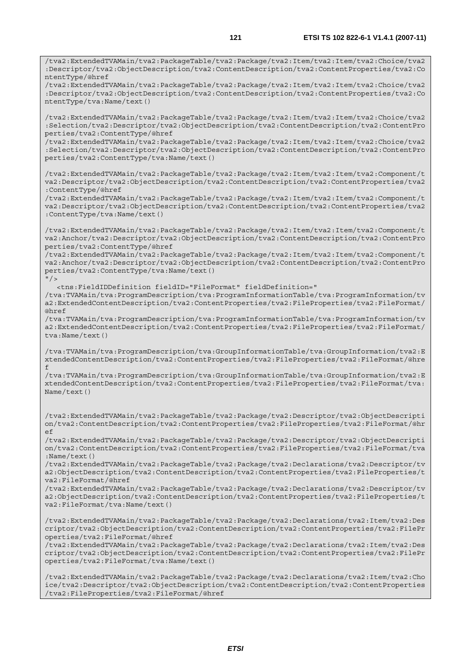/tva2:ExtendedTVAMain/tva2:PackageTable/tva2:Package/tva2:Item/tva2:Item/tva2:Choice/tva2 :Descriptor/tva2:ObjectDescription/tva2:ContentDescription/tva2:ContentProperties/tva2:Co ntentType/@href /tva2:ExtendedTVAMain/tva2:PackageTable/tva2:Package/tva2:Item/tva2:Item/tva2:Choice/tva2 :Descriptor/tva2:ObjectDescription/tva2:ContentDescription/tva2:ContentProperties/tva2:Co ntentType/tva:Name/text() /tva2:ExtendedTVAMain/tva2:PackageTable/tva2:Package/tva2:Item/tva2:Item/tva2:Choice/tva2 :Selection/tva2:Descriptor/tva2:ObjectDescription/tva2:ContentDescription/tva2:ContentPro perties/tva2:ContentType/@href /tva2:ExtendedTVAMain/tva2:PackageTable/tva2:Package/tva2:Item/tva2:Item/tva2:Choice/tva2 :Selection/tva2:Descriptor/tva2:ObjectDescription/tva2:ContentDescription/tva2:ContentPro perties/tva2:ContentType/tva:Name/text() /tva2:ExtendedTVAMain/tva2:PackageTable/tva2:Package/tva2:Item/tva2:Item/tva2:Component/t va2:Descriptor/tva2:ObjectDescription/tva2:ContentDescription/tva2:ContentProperties/tva2 :ContentType/@href /tva2:ExtendedTVAMain/tva2:PackageTable/tva2:Package/tva2:Item/tva2:Item/tva2:Component/t va2:Descriptor/tva2:ObjectDescription/tva2:ContentDescription/tva2:ContentProperties/tva2 :ContentType/tva:Name/text() /tva2:ExtendedTVAMain/tva2:PackageTable/tva2:Package/tva2:Item/tva2:Item/tva2:Component/t va2:Anchor/tva2:Descriptor/tva2:ObjectDescription/tva2:ContentDescription/tva2:ContentPro perties/tva2:ContentType/@href /tva2:ExtendedTVAMain/tva2:PackageTable/tva2:Package/tva2:Item/tva2:Item/tva2:Component/t va2:Anchor/tva2:Descriptor/tva2:ObjectDescription/tva2:ContentDescription/tva2:ContentPro perties/tva2:ContentType/tva:Name/text()  $"$  /> <tns:FieldIDDefinition fieldID="FileFormat" fieldDefinition=" /tva:TVAMain/tva:ProgramDescription/tva:ProgramInformationTable/tva:ProgramInformation/tv a2:ExtendedContentDescription/tva2:ContentProperties/tva2:FileProperties/tva2:FileFormat/ @href /tva:TVAMain/tva:ProgramDescription/tva:ProgramInformationTable/tva:ProgramInformation/tv a2:ExtendedContentDescription/tva2:ContentProperties/tva2:FileProperties/tva2:FileFormat/ tva:Name/text() /tva:TVAMain/tva:ProgramDescription/tva:GroupInformationTable/tva:GroupInformation/tva2:E xtendedContentDescription/tva2:ContentProperties/tva2:FileProperties/tva2:FileFormat/@hre f /tva:TVAMain/tva:ProgramDescription/tva:GroupInformationTable/tva:GroupInformation/tva2:E xtendedContentDescription/tva2:ContentProperties/tva2:FileProperties/tva2:FileFormat/tva: Name/text() /tva2:ExtendedTVAMain/tva2:PackageTable/tva2:Package/tva2:Descriptor/tva2:ObjectDescripti on/tva2:ContentDescription/tva2:ContentProperties/tva2:FileProperties/tva2:FileFormat/@hr  $\epsilon$ /tva2:ExtendedTVAMain/tva2:PackageTable/tva2:Package/tva2:Descriptor/tva2:ObjectDescripti on/tva2:ContentDescription/tva2:ContentProperties/tva2:FileProperties/tva2:FileFormat/tva :Name/text() /tva2:ExtendedTVAMain/tva2:PackageTable/tva2:Package/tva2:Declarations/tva2:Descriptor/tv a2:ObjectDescription/tva2:ContentDescription/tva2:ContentProperties/tva2:FileProperties/t va2:FileFormat/@href /tva2:ExtendedTVAMain/tva2:PackageTable/tva2:Package/tva2:Declarations/tva2:Descriptor/tv a2:ObjectDescription/tva2:ContentDescription/tva2:ContentProperties/tva2:FileProperties/t va2:FileFormat/tva:Name/text() /tva2:ExtendedTVAMain/tva2:PackageTable/tva2:Package/tva2:Declarations/tva2:Item/tva2:Des criptor/tva2:ObjectDescription/tva2:ContentDescription/tva2:ContentProperties/tva2:FilePr operties/tva2:FileFormat/@href /tva2:ExtendedTVAMain/tva2:PackageTable/tva2:Package/tva2:Declarations/tva2:Item/tva2:Des criptor/tva2:ObjectDescription/tva2:ContentDescription/tva2:ContentProperties/tva2:FilePr operties/tva2:FileFormat/tva:Name/text()

/tva2:ExtendedTVAMain/tva2:PackageTable/tva2:Package/tva2:Declarations/tva2:Item/tva2:Cho ice/tva2:Descriptor/tva2:ObjectDescription/tva2:ContentDescription/tva2:ContentProperties /tva2:FileProperties/tva2:FileFormat/@href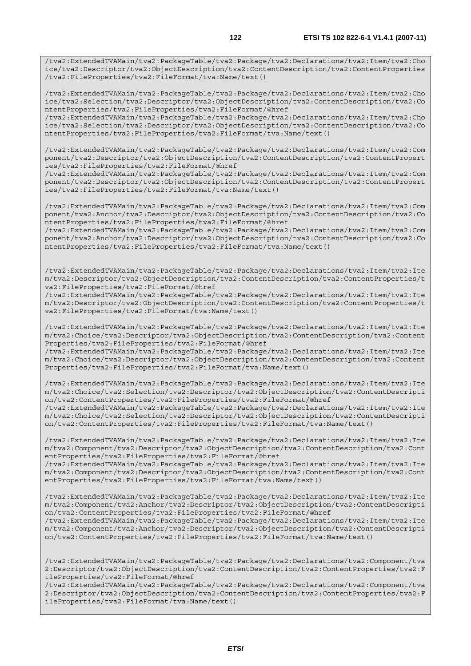/tva2:ExtendedTVAMain/tva2:PackageTable/tva2:Package/tva2:Declarations/tva2:Item/tva2:Cho ice/tva2:Descriptor/tva2:ObjectDescription/tva2:ContentDescription/tva2:ContentProperties /tva2:FileProperties/tva2:FileFormat/tva:Name/text()

/tva2:ExtendedTVAMain/tva2:PackageTable/tva2:Package/tva2:Declarations/tva2:Item/tva2:Cho ice/tva2:Selection/tva2:Descriptor/tva2:ObjectDescription/tva2:ContentDescription/tva2:Co ntentProperties/tva2:FileProperties/tva2:FileFormat/@href

/tva2:ExtendedTVAMain/tva2:PackageTable/tva2:Package/tva2:Declarations/tva2:Item/tva2:Cho ice/tva2:Selection/tva2:Descriptor/tva2:ObjectDescription/tva2:ContentDescription/tva2:Co ntentProperties/tva2:FileProperties/tva2:FileFormat/tva:Name/text()

/tva2:ExtendedTVAMain/tva2:PackageTable/tva2:Package/tva2:Declarations/tva2:Item/tva2:Com ponent/tva2:Descriptor/tva2:ObjectDescription/tva2:ContentDescription/tva2:ContentPropert ies/tva2:FileProperties/tva2:FileFormat/@href

/tva2:ExtendedTVAMain/tva2:PackageTable/tva2:Package/tva2:Declarations/tva2:Item/tva2:Com ponent/tva2:Descriptor/tva2:ObjectDescription/tva2:ContentDescription/tva2:ContentPropert ies/tva2:FileProperties/tva2:FileFormat/tva:Name/text()

/tva2:ExtendedTVAMain/tva2:PackageTable/tva2:Package/tva2:Declarations/tva2:Item/tva2:Com ponent/tva2:Anchor/tva2:Descriptor/tva2:ObjectDescription/tva2:ContentDescription/tva2:Co ntentProperties/tva2:FileProperties/tva2:FileFormat/@href

/tva2:ExtendedTVAMain/tva2:PackageTable/tva2:Package/tva2:Declarations/tva2:Item/tva2:Com ponent/tva2:Anchor/tva2:Descriptor/tva2:ObjectDescription/tva2:ContentDescription/tva2:Co ntentProperties/tva2:FileProperties/tva2:FileFormat/tva:Name/text()

/tva2:ExtendedTVAMain/tva2:PackageTable/tva2:Package/tva2:Declarations/tva2:Item/tva2:Ite m/tva2:Descriptor/tva2:ObjectDescription/tva2:ContentDescription/tva2:ContentProperties/t va2:FileProperties/tva2:FileFormat/@href

/tva2:ExtendedTVAMain/tva2:PackageTable/tva2:Package/tva2:Declarations/tva2:Item/tva2:Ite m/tva2:Descriptor/tva2:ObjectDescription/tva2:ContentDescription/tva2:ContentProperties/t va2:FileProperties/tva2:FileFormat/tva:Name/text()

/tva2:ExtendedTVAMain/tva2:PackageTable/tva2:Package/tva2:Declarations/tva2:Item/tva2:Ite m/tva2:Choice/tva2:Descriptor/tva2:ObjectDescription/tva2:ContentDescription/tva2:Content Properties/tva2:FileProperties/tva2:FileFormat/@href

/tva2:ExtendedTVAMain/tva2:PackageTable/tva2:Package/tva2:Declarations/tva2:Item/tva2:Ite m/tva2:Choice/tva2:Descriptor/tva2:ObjectDescription/tva2:ContentDescription/tva2:Content Properties/tva2:FileProperties/tva2:FileFormat/tva:Name/text()

/tva2:ExtendedTVAMain/tva2:PackageTable/tva2:Package/tva2:Declarations/tva2:Item/tva2:Ite m/tva2:Choice/tva2:Selection/tva2:Descriptor/tva2:ObjectDescription/tva2:ContentDescripti on/tva2:ContentProperties/tva2:FileProperties/tva2:FileFormat/@href

/tva2:ExtendedTVAMain/tva2:PackageTable/tva2:Package/tva2:Declarations/tva2:Item/tva2:Ite m/tva2:Choice/tva2:Selection/tva2:Descriptor/tva2:ObjectDescription/tva2:ContentDescripti on/tva2:ContentProperties/tva2:FileProperties/tva2:FileFormat/tva:Name/text()

/tva2:ExtendedTVAMain/tva2:PackageTable/tva2:Package/tva2:Declarations/tva2:Item/tva2:Ite m/tva2:Component/tva2:Descriptor/tva2:ObjectDescription/tva2:ContentDescription/tva2:Cont entProperties/tva2:FileProperties/tva2:FileFormat/@href

/tva2:ExtendedTVAMain/tva2:PackageTable/tva2:Package/tva2:Declarations/tva2:Item/tva2:Ite m/tva2:Component/tva2:Descriptor/tva2:ObjectDescription/tva2:ContentDescription/tva2:Cont entProperties/tva2:FileProperties/tva2:FileFormat/tva:Name/text()

/tva2:ExtendedTVAMain/tva2:PackageTable/tva2:Package/tva2:Declarations/tva2:Item/tva2:Ite m/tva2:Component/tva2:Anchor/tva2:Descriptor/tva2:ObjectDescription/tva2:ContentDescripti on/tva2:ContentProperties/tva2:FileProperties/tva2:FileFormat/@href

/tva2:ExtendedTVAMain/tva2:PackageTable/tva2:Package/tva2:Declarations/tva2:Item/tva2:Ite m/tva2:Component/tva2:Anchor/tva2:Descriptor/tva2:ObjectDescription/tva2:ContentDescripti on/tva2:ContentProperties/tva2:FileProperties/tva2:FileFormat/tva:Name/text()

/tva2:ExtendedTVAMain/tva2:PackageTable/tva2:Package/tva2:Declarations/tva2:Component/tva 2:Descriptor/tva2:ObjectDescription/tva2:ContentDescription/tva2:ContentProperties/tva2:F ileProperties/tva2:FileFormat/@href

/tva2:ExtendedTVAMain/tva2:PackageTable/tva2:Package/tva2:Declarations/tva2:Component/tva 2:Descriptor/tva2:ObjectDescription/tva2:ContentDescription/tva2:ContentProperties/tva2:F ileProperties/tva2:FileFormat/tva:Name/text()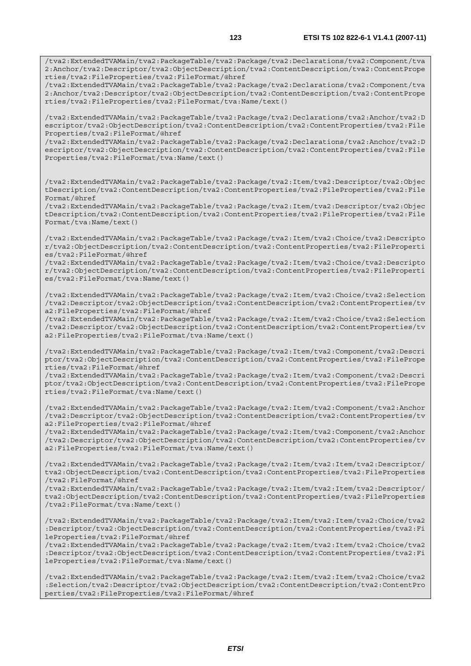/tva2:ExtendedTVAMain/tva2:PackageTable/tva2:Package/tva2:Declarations/tva2:Component/tva 2:Anchor/tva2:Descriptor/tva2:ObjectDescription/tva2:ContentDescription/tva2:ContentPrope rties/tva2:FileProperties/tva2:FileFormat/@href /tva2:ExtendedTVAMain/tva2:PackageTable/tva2:Package/tva2:Declarations/tva2:Component/tva 2:Anchor/tva2:Descriptor/tva2:ObjectDescription/tva2:ContentDescription/tva2:ContentPrope rties/tva2:FileProperties/tva2:FileFormat/tva:Name/text() /tva2:ExtendedTVAMain/tva2:PackageTable/tva2:Package/tva2:Declarations/tva2:Anchor/tva2:D escriptor/tva2:ObjectDescription/tva2:ContentDescription/tva2:ContentProperties/tva2:File Properties/tva2:FileFormat/@href /tva2:ExtendedTVAMain/tva2:PackageTable/tva2:Package/tva2:Declarations/tva2:Anchor/tva2:D escriptor/tva2:ObjectDescription/tva2:ContentDescription/tva2:ContentProperties/tva2:File Properties/tva2:FileFormat/tva:Name/text() /tva2:ExtendedTVAMain/tva2:PackageTable/tva2:Package/tva2:Item/tva2:Descriptor/tva2:Objec tDescription/tva2:ContentDescription/tva2:ContentProperties/tva2:FileProperties/tva2:File Format/@href /tva2:ExtendedTVAMain/tva2:PackageTable/tva2:Package/tva2:Item/tva2:Descriptor/tva2:Objec tDescription/tva2:ContentDescription/tva2:ContentProperties/tva2:FileProperties/tva2:File Format/tva:Name/text() /tva2:ExtendedTVAMain/tva2:PackageTable/tva2:Package/tva2:Item/tva2:Choice/tva2:Descripto r/tva2:ObjectDescription/tva2:ContentDescription/tva2:ContentProperties/tva2:FileProperti es/tva2:FileFormat/@href /tva2:ExtendedTVAMain/tva2:PackageTable/tva2:Package/tva2:Item/tva2:Choice/tva2:Descripto r/tva2:ObjectDescription/tva2:ContentDescription/tva2:ContentProperties/tva2:FileProperti es/tva2:FileFormat/tva:Name/text() /tva2:ExtendedTVAMain/tva2:PackageTable/tva2:Package/tva2:Item/tva2:Choice/tva2:Selection /tva2:Descriptor/tva2:ObjectDescription/tva2:ContentDescription/tva2:ContentProperties/tv a2:FileProperties/tva2:FileFormat/@href /tva2:ExtendedTVAMain/tva2:PackageTable/tva2:Package/tva2:Item/tva2:Choice/tva2:Selection /tva2:Descriptor/tva2:ObjectDescription/tva2:ContentDescription/tva2:ContentProperties/tv a2:FileProperties/tva2:FileFormat/tva:Name/text() /tva2:ExtendedTVAMain/tva2:PackageTable/tva2:Package/tva2:Item/tva2:Component/tva2:Descri ptor/tva2:ObjectDescription/tva2:ContentDescription/tva2:ContentProperties/tva2:FilePrope rties/tva2:FileFormat/@href /tva2:ExtendedTVAMain/tva2:PackageTable/tva2:Package/tva2:Item/tva2:Component/tva2:Descri ptor/tva2:ObjectDescription/tva2:ContentDescription/tva2:ContentProperties/tva2:FilePrope rties/tva2:FileFormat/tva:Name/text() /tva2:ExtendedTVAMain/tva2:PackageTable/tva2:Package/tva2:Item/tva2:Component/tva2:Anchor /tva2:Descriptor/tva2:ObjectDescription/tva2:ContentDescription/tva2:ContentProperties/tv a2:FileProperties/tva2:FileFormat/@href /tva2:ExtendedTVAMain/tva2:PackageTable/tva2:Package/tva2:Item/tva2:Component/tva2:Anchor /tva2:Descriptor/tva2:ObjectDescription/tva2:ContentDescription/tva2:ContentProperties/tv a2:FileProperties/tva2:FileFormat/tva:Name/text() /tva2:ExtendedTVAMain/tva2:PackageTable/tva2:Package/tva2:Item/tva2:Item/tva2:Descriptor/ tva2:ObjectDescription/tva2:ContentDescription/tva2:ContentProperties/tva2:FileProperties /tva2:FileFormat/@href /tva2:ExtendedTVAMain/tva2:PackageTable/tva2:Package/tva2:Item/tva2:Item/tva2:Descriptor/ tva2:ObjectDescription/tva2:ContentDescription/tva2:ContentProperties/tva2:FileProperties /tva2:FileFormat/tva:Name/text() /tva2:ExtendedTVAMain/tva2:PackageTable/tva2:Package/tva2:Item/tva2:Item/tva2:Choice/tva2 :Descriptor/tva2:ObjectDescription/tva2:ContentDescription/tva2:ContentProperties/tva2:Fi leProperties/tva2:FileFormat/@href /tva2:ExtendedTVAMain/tva2:PackageTable/tva2:Package/tva2:Item/tva2:Item/tva2:Choice/tva2 :Descriptor/tva2:ObjectDescription/tva2:ContentDescription/tva2:ContentProperties/tva2:Fi leProperties/tva2:FileFormat/tva:Name/text() /tva2:ExtendedTVAMain/tva2:PackageTable/tva2:Package/tva2:Item/tva2:Item/tva2:Choice/tva2 :Selection/tva2:Descriptor/tva2:ObjectDescription/tva2:ContentDescription/tva2:ContentPro

perties/tva2:FileProperties/tva2:FileFormat/@href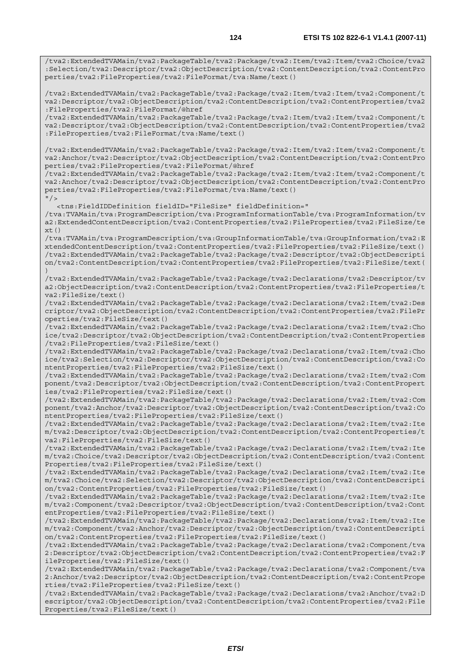/tva2:ExtendedTVAMain/tva2:PackageTable/tva2:Package/tva2:Item/tva2:Item/tva2:Choice/tva2 :Selection/tva2:Descriptor/tva2:ObjectDescription/tva2:ContentDescription/tva2:ContentPro perties/tva2:FileProperties/tva2:FileFormat/tva:Name/text()

/tva2:ExtendedTVAMain/tva2:PackageTable/tva2:Package/tva2:Item/tva2:Item/tva2:Component/t va2:Descriptor/tva2:ObjectDescription/tva2:ContentDescription/tva2:ContentProperties/tva2 :FileProperties/tva2:FileFormat/@href

/tva2:ExtendedTVAMain/tva2:PackageTable/tva2:Package/tva2:Item/tva2:Item/tva2:Component/t va2:Descriptor/tva2:ObjectDescription/tva2:ContentDescription/tva2:ContentProperties/tva2 :FileProperties/tva2:FileFormat/tva:Name/text()

/tva2:ExtendedTVAMain/tva2:PackageTable/tva2:Package/tva2:Item/tva2:Item/tva2:Component/t va2:Anchor/tva2:Descriptor/tva2:ObjectDescription/tva2:ContentDescription/tva2:ContentPro perties/tva2:FileProperties/tva2:FileFormat/@href

/tva2:ExtendedTVAMain/tva2:PackageTable/tva2:Package/tva2:Item/tva2:Item/tva2:Component/t va2:Anchor/tva2:Descriptor/tva2:ObjectDescription/tva2:ContentDescription/tva2:ContentPro perties/tva2:FileProperties/tva2:FileFormat/tva:Name/text()  $"$ />

<tns:FieldIDDefinition fieldID="FileSize" fieldDefinition="

/tva:TVAMain/tva:ProgramDescription/tva:ProgramInformationTable/tva:ProgramInformation/tv a2:ExtendedContentDescription/tva2:ContentProperties/tva2:FileProperties/tva2:FileSize/te xt()

/tva:TVAMain/tva:ProgramDescription/tva:GroupInformationTable/tva:GroupInformation/tva2:E xtendedContentDescription/tva2:ContentProperties/tva2:FileProperties/tva2:FileSize/text() /tva2:ExtendedTVAMain/tva2:PackageTable/tva2:Package/tva2:Descriptor/tva2:ObjectDescripti on/tva2:ContentDescription/tva2:ContentProperties/tva2:FileProperties/tva2:FileSize/text( )

/tva2:ExtendedTVAMain/tva2:PackageTable/tva2:Package/tva2:Declarations/tva2:Descriptor/tv a2:ObjectDescription/tva2:ContentDescription/tva2:ContentProperties/tva2:FileProperties/t va2:FileSize/text()

/tva2:ExtendedTVAMain/tva2:PackageTable/tva2:Package/tva2:Declarations/tva2:Item/tva2:Des criptor/tva2:ObjectDescription/tva2:ContentDescription/tva2:ContentProperties/tva2:FilePr operties/tva2:FileSize/text()

/tva2:ExtendedTVAMain/tva2:PackageTable/tva2:Package/tva2:Declarations/tva2:Item/tva2:Cho ice/tva2:Descriptor/tva2:ObjectDescription/tva2:ContentDescription/tva2:ContentProperties /tva2:FileProperties/tva2:FileSize/text()

/tva2:ExtendedTVAMain/tva2:PackageTable/tva2:Package/tva2:Declarations/tva2:Item/tva2:Cho ice/tva2:Selection/tva2:Descriptor/tva2:ObjectDescription/tva2:ContentDescription/tva2:Co ntentProperties/tva2:FileProperties/tva2:FileSize/text()

/tva2:ExtendedTVAMain/tva2:PackageTable/tva2:Package/tva2:Declarations/tva2:Item/tva2:Com ponent/tva2:Descriptor/tva2:ObjectDescription/tva2:ContentDescription/tva2:ContentPropert ies/tva2:FileProperties/tva2:FileSize/text()

/tva2:ExtendedTVAMain/tva2:PackageTable/tva2:Package/tva2:Declarations/tva2:Item/tva2:Com ponent/tva2:Anchor/tva2:Descriptor/tva2:ObjectDescription/tva2:ContentDescription/tva2:Co ntentProperties/tva2:FileProperties/tva2:FileSize/text()

/tva2:ExtendedTVAMain/tva2:PackageTable/tva2:Package/tva2:Declarations/tva2:Item/tva2:Ite m/tva2:Descriptor/tva2:ObjectDescription/tva2:ContentDescription/tva2:ContentProperties/t va2:FileProperties/tva2:FileSize/text()

/tva2:ExtendedTVAMain/tva2:PackageTable/tva2:Package/tva2:Declarations/tva2:Item/tva2:Ite m/tva2:Choice/tva2:Descriptor/tva2:ObjectDescription/tva2:ContentDescription/tva2:Content Properties/tva2:FileProperties/tva2:FileSize/text()

/tva2:ExtendedTVAMain/tva2:PackageTable/tva2:Package/tva2:Declarations/tva2:Item/tva2:Ite m/tva2:Choice/tva2:Selection/tva2:Descriptor/tva2:ObjectDescription/tva2:ContentDescripti on/tva2:ContentProperties/tva2:FileProperties/tva2:FileSize/text()

/tva2:ExtendedTVAMain/tva2:PackageTable/tva2:Package/tva2:Declarations/tva2:Item/tva2:Ite m/tva2:Component/tva2:Descriptor/tva2:ObjectDescription/tva2:ContentDescription/tva2:Cont entProperties/tva2:FileProperties/tva2:FileSize/text()

/tva2:ExtendedTVAMain/tva2:PackageTable/tva2:Package/tva2:Declarations/tva2:Item/tva2:Ite m/tva2:Component/tva2:Anchor/tva2:Descriptor/tva2:ObjectDescription/tva2:ContentDescripti on/tva2:ContentProperties/tva2:FileProperties/tva2:FileSize/text()

/tva2:ExtendedTVAMain/tva2:PackageTable/tva2:Package/tva2:Declarations/tva2:Component/tva 2:Descriptor/tva2:ObjectDescription/tva2:ContentDescription/tva2:ContentProperties/tva2:F ileProperties/tva2:FileSize/text()

/tva2:ExtendedTVAMain/tva2:PackageTable/tva2:Package/tva2:Declarations/tva2:Component/tva 2:Anchor/tva2:Descriptor/tva2:ObjectDescription/tva2:ContentDescription/tva2:ContentPrope rties/tva2:FileProperties/tva2:FileSize/text()

/tva2:ExtendedTVAMain/tva2:PackageTable/tva2:Package/tva2:Declarations/tva2:Anchor/tva2:D escriptor/tva2:ObjectDescription/tva2:ContentDescription/tva2:ContentProperties/tva2:File Properties/tva2:FileSize/text()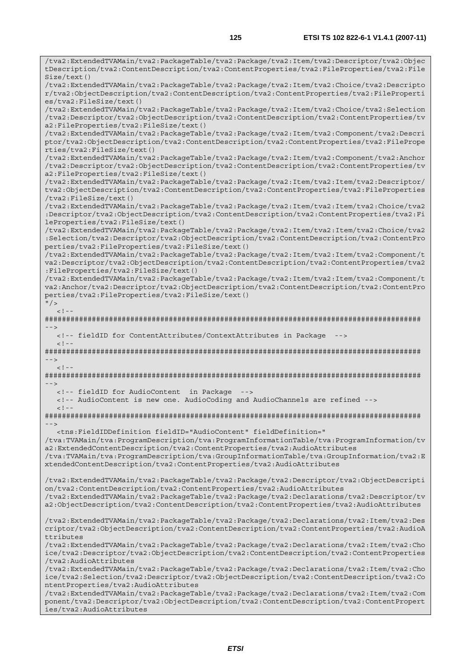/tva2:ExtendedTVAMain/tva2:PackageTable/tva2:Package/tva2:Item/tva2:Descriptor/tva2:Objec tDescription/tva2:ContentDescription/tva2:ContentProperties/tva2:FileProperties/tva2:File Size/text() /tva2:ExtendedTVAMain/tva2:PackageTable/tva2:Package/tva2:Item/tva2:Choice/tva2:Descripto r/tva2:ObjectDescription/tva2:ContentDescription/tva2:ContentProperties/tva2:FileProperti es/tva2:FileSize/text() /tva2:ExtendedTVAMain/tva2:PackageTable/tva2:Package/tva2:Item/tva2:Choice/tva2:Selection /tva2:Descriptor/tva2:ObjectDescription/tva2:ContentDescription/tva2:ContentProperties/tv a2:FileProperties/tva2:FileSize/text() /tva2:ExtendedTVAMain/tva2:PackageTable/tva2:Package/tva2:Item/tva2:Component/tva2:Descri ptor/tva2:ObjectDescription/tva2:ContentDescription/tva2:ContentProperties/tva2:FilePrope rties/tva2:FileSize/text() /tva2:ExtendedTVAMain/tva2:PackageTable/tva2:Package/tva2:Item/tva2:Component/tva2:Anchor /tva2:Descriptor/tva2:ObjectDescription/tva2:ContentDescription/tva2:ContentProperties/tv a2:FileProperties/tva2:FileSize/text() /tva2:ExtendedTVAMain/tva2:PackageTable/tva2:Package/tva2:Item/tva2:Item/tva2:Descriptor/ tva2:ObjectDescription/tva2:ContentDescription/tva2:ContentProperties/tva2:FileProperties /tva2:FileSize/text() /tva2:ExtendedTVAMain/tva2:PackageTable/tva2:Package/tva2:Item/tva2:Item/tva2:Choice/tva2 :Descriptor/tva2:ObjectDescription/tva2:ContentDescription/tva2:ContentProperties/tva2:Fi leProperties/tva2:FileSize/text() /tva2:ExtendedTVAMain/tva2:PackageTable/tva2:Package/tva2:Item/tva2:Item/tva2:Choice/tva2 :Selection/tva2:Descriptor/tva2:ObjectDescription/tva2:ContentDescription/tva2:ContentPro perties/tva2:FileProperties/tva2:FileSize/text() /tva2:ExtendedTVAMain/tva2:PackageTable/tva2:Package/tva2:Item/tva2:Item/tva2:Component/t va2:Descriptor/tva2:ObjectDescription/tva2:ContentDescription/tva2:ContentProperties/tva2 :FileProperties/tva2:FileSize/text() /tva2:ExtendedTVAMain/tva2:PackageTable/tva2:Package/tva2:Item/tva2:Item/tva2:Component/t va2:Anchor/tva2:Descriptor/tva2:ObjectDescription/tva2:ContentDescription/tva2:ContentPro perties/tva2:FileProperties/tva2:FileSize/text()  $"$  / >  $\leq$   $\perp$ ######################################################################################## --> <!-- fieldID for ContentAttributes/ContextAttributes in Package -->  $<$ ! --######################################################################################## -->  $\geq$   $\geq$   $-$ ######################################################################################## --> <!-- fieldID for AudioContent in Package --> <!-- AudioContent is new one. AudioCoding and AudioChannels are refined -->  $\leq$  ! --######################################################################################## --> <tns:FieldIDDefinition fieldID="AudioContent" fieldDefinition=" /tva:TVAMain/tva:ProgramDescription/tva:ProgramInformationTable/tva:ProgramInformation/tv a2:ExtendedContentDescription/tva2:ContentProperties/tva2:AudioAttributes /tva:TVAMain/tva:ProgramDescription/tva:GroupInformationTable/tva:GroupInformation/tva2:E xtendedContentDescription/tva2:ContentProperties/tva2:AudioAttributes /tva2:ExtendedTVAMain/tva2:PackageTable/tva2:Package/tva2:Descriptor/tva2:ObjectDescripti on/tva2:ContentDescription/tva2:ContentProperties/tva2:AudioAttributes /tva2:ExtendedTVAMain/tva2:PackageTable/tva2:Package/tva2:Declarations/tva2:Descriptor/tv a2:ObjectDescription/tva2:ContentDescription/tva2:ContentProperties/tva2:AudioAttributes /tva2:ExtendedTVAMain/tva2:PackageTable/tva2:Package/tva2:Declarations/tva2:Item/tva2:Des criptor/tva2:ObjectDescription/tva2:ContentDescription/tva2:ContentProperties/tva2:AudioA ttributes /tva2:ExtendedTVAMain/tva2:PackageTable/tva2:Package/tva2:Declarations/tva2:Item/tva2:Cho ice/tva2:Descriptor/tva2:ObjectDescription/tva2:ContentDescription/tva2:ContentProperties /tva2:AudioAttributes /tva2:ExtendedTVAMain/tva2:PackageTable/tva2:Package/tva2:Declarations/tva2:Item/tva2:Cho ice/tva2:Selection/tva2:Descriptor/tva2:ObjectDescription/tva2:ContentDescription/tva2:Co ntentProperties/tva2:AudioAttributes /tva2:ExtendedTVAMain/tva2:PackageTable/tva2:Package/tva2:Declarations/tva2:Item/tva2:Com ponent/tva2:Descriptor/tva2:ObjectDescription/tva2:ContentDescription/tva2:ContentPropert

ies/tva2:AudioAttributes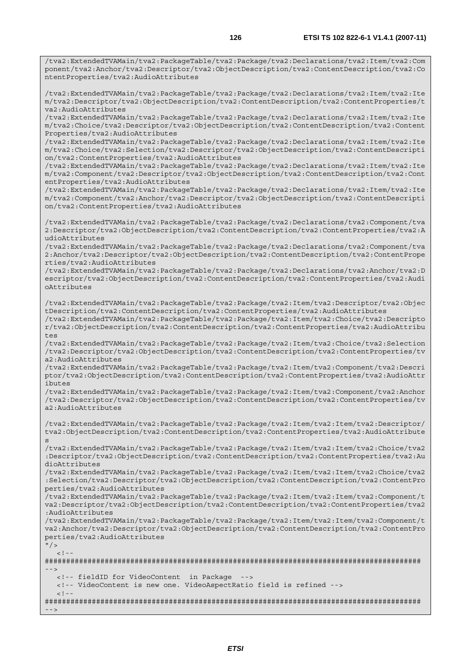/tva2:ExtendedTVAMain/tva2:PackageTable/tva2:Package/tva2:Declarations/tva2:Item/tva2:Com ponent/tva2:Anchor/tva2:Descriptor/tva2:ObjectDescription/tva2:ContentDescription/tva2:Co

ntentProperties/tva2:AudioAttributes

/tva2:ExtendedTVAMain/tva2:PackageTable/tva2:Package/tva2:Declarations/tva2:Item/tva2:Ite m/tva2:Descriptor/tva2:ObjectDescription/tva2:ContentDescription/tva2:ContentProperties/t va2:AudioAttributes /tva2:ExtendedTVAMain/tva2:PackageTable/tva2:Package/tva2:Declarations/tva2:Item/tva2:Ite m/tva2:Choice/tva2:Descriptor/tva2:ObjectDescription/tva2:ContentDescription/tva2:Content Properties/tva2:AudioAttributes /tva2:ExtendedTVAMain/tva2:PackageTable/tva2:Package/tva2:Declarations/tva2:Item/tva2:Ite m/tva2:Choice/tva2:Selection/tva2:Descriptor/tva2:ObjectDescription/tva2:ContentDescripti on/tva2:ContentProperties/tva2:AudioAttributes /tva2:ExtendedTVAMain/tva2:PackageTable/tva2:Package/tva2:Declarations/tva2:Item/tva2:Ite m/tva2:Component/tva2:Descriptor/tva2:ObjectDescription/tva2:ContentDescription/tva2:Cont entProperties/tva2:AudioAttributes /tva2:ExtendedTVAMain/tva2:PackageTable/tva2:Package/tva2:Declarations/tva2:Item/tva2:Ite m/tva2:Component/tva2:Anchor/tva2:Descriptor/tva2:ObjectDescription/tva2:ContentDescripti on/tva2:ContentProperties/tva2:AudioAttributes /tva2:ExtendedTVAMain/tva2:PackageTable/tva2:Package/tva2:Declarations/tva2:Component/tva 2:Descriptor/tva2:ObjectDescription/tva2:ContentDescription/tva2:ContentProperties/tva2:A udioAttributes /tva2:ExtendedTVAMain/tva2:PackageTable/tva2:Package/tva2:Declarations/tva2:Component/tva 2:Anchor/tva2:Descriptor/tva2:ObjectDescription/tva2:ContentDescription/tva2:ContentPrope rties/tva2:AudioAttributes /tva2:ExtendedTVAMain/tva2:PackageTable/tva2:Package/tva2:Declarations/tva2:Anchor/tva2:D escriptor/tva2:ObjectDescription/tva2:ContentDescription/tva2:ContentProperties/tva2:Audi oAttributes /tva2:ExtendedTVAMain/tva2:PackageTable/tva2:Package/tva2:Item/tva2:Descriptor/tva2:Objec tDescription/tva2:ContentDescription/tva2:ContentProperties/tva2:AudioAttributes /tva2:ExtendedTVAMain/tva2:PackageTable/tva2:Package/tva2:Item/tva2:Choice/tva2:Descripto r/tva2:ObjectDescription/tva2:ContentDescription/tva2:ContentProperties/tva2:AudioAttribu tes /tva2:ExtendedTVAMain/tva2:PackageTable/tva2:Package/tva2:Item/tva2:Choice/tva2:Selection /tva2:Descriptor/tva2:ObjectDescription/tva2:ContentDescription/tva2:ContentProperties/tv a2:AudioAttributes /tva2:ExtendedTVAMain/tva2:PackageTable/tva2:Package/tva2:Item/tva2:Component/tva2:Descri ptor/tva2:ObjectDescription/tva2:ContentDescription/tva2:ContentProperties/tva2:AudioAttr ibutes /tva2:ExtendedTVAMain/tva2:PackageTable/tva2:Package/tva2:Item/tva2:Component/tva2:Anchor /tva2:Descriptor/tva2:ObjectDescription/tva2:ContentDescription/tva2:ContentProperties/tv a2:AudioAttributes /tva2:ExtendedTVAMain/tva2:PackageTable/tva2:Package/tva2:Item/tva2:Item/tva2:Descriptor/ tva2:ObjectDescription/tva2:ContentDescription/tva2:ContentProperties/tva2:AudioAttribute s /tva2:ExtendedTVAMain/tva2:PackageTable/tva2:Package/tva2:Item/tva2:Item/tva2:Choice/tva2 :Descriptor/tva2:ObjectDescription/tva2:ContentDescription/tva2:ContentProperties/tva2:Au dioAttributes /tva2:ExtendedTVAMain/tva2:PackageTable/tva2:Package/tva2:Item/tva2:Item/tva2:Choice/tva2 :Selection/tva2:Descriptor/tva2:ObjectDescription/tva2:ContentDescription/tva2:ContentPro perties/tva2:AudioAttributes /tva2:ExtendedTVAMain/tva2:PackageTable/tva2:Package/tva2:Item/tva2:Item/tva2:Component/t va2:Descriptor/tva2:ObjectDescription/tva2:ContentDescription/tva2:ContentProperties/tva2 :AudioAttributes /tva2:ExtendedTVAMain/tva2:PackageTable/tva2:Package/tva2:Item/tva2:Item/tva2:Component/t va2:Anchor/tva2:Descriptor/tva2:ObjectDescription/tva2:ContentDescription/tva2:ContentPro perties/tva2:AudioAttributes  $\frac{11}{2}$  $\leq$   $\perp$ ######################################################################################## --> <!-- fieldID for VideoContent in Package --> <!-- VideoContent is new one. VideoAspectRatio field is refined -->

 $\geq 1$ 

######################################################################################## -->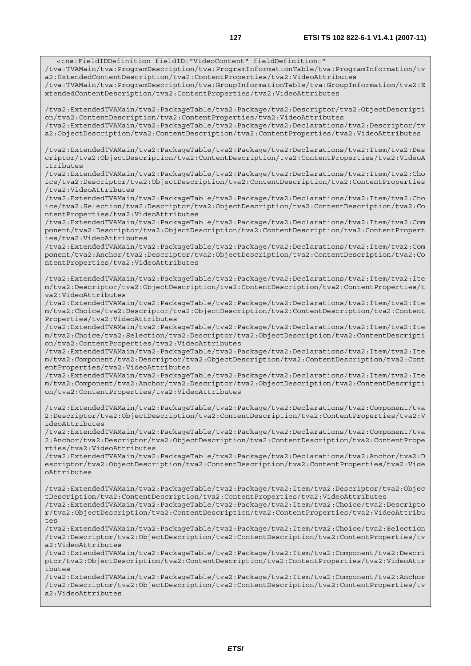/tva:TVAMain/tva:ProgramDescription/tva:ProgramInformationTable/tva:ProgramInformation/tv

/tva:TVAMain/tva:ProgramDescription/tva:GroupInformationTable/tva:GroupInformation/tva2:E

<tns:FieldIDDefinition fieldID="VideoContent" fieldDefinition="

a2:ExtendedContentDescription/tva2:ContentProperties/tva2:VideoAttributes

*ETSI*  xtendedContentDescription/tva2:ContentProperties/tva2:VideoAttributes /tva2:ExtendedTVAMain/tva2:PackageTable/tva2:Package/tva2:Descriptor/tva2:ObjectDescripti on/tva2:ContentDescription/tva2:ContentProperties/tva2:VideoAttributes /tva2:ExtendedTVAMain/tva2:PackageTable/tva2:Package/tva2:Declarations/tva2:Descriptor/tv a2:ObjectDescription/tva2:ContentDescription/tva2:ContentProperties/tva2:VideoAttributes /tva2:ExtendedTVAMain/tva2:PackageTable/tva2:Package/tva2:Declarations/tva2:Item/tva2:Des criptor/tva2:ObjectDescription/tva2:ContentDescription/tva2:ContentProperties/tva2:VideoA ttributes /tva2:ExtendedTVAMain/tva2:PackageTable/tva2:Package/tva2:Declarations/tva2:Item/tva2:Cho ice/tva2:Descriptor/tva2:ObjectDescription/tva2:ContentDescription/tva2:ContentProperties /tva2:VideoAttributes /tva2:ExtendedTVAMain/tva2:PackageTable/tva2:Package/tva2:Declarations/tva2:Item/tva2:Cho ice/tva2:Selection/tva2:Descriptor/tva2:ObjectDescription/tva2:ContentDescription/tva2:Co ntentProperties/tva2:VideoAttributes /tva2:ExtendedTVAMain/tva2:PackageTable/tva2:Package/tva2:Declarations/tva2:Item/tva2:Com ponent/tva2:Descriptor/tva2:ObjectDescription/tva2:ContentDescription/tva2:ContentPropert ies/tva2:VideoAttributes /tva2:ExtendedTVAMain/tva2:PackageTable/tva2:Package/tva2:Declarations/tva2:Item/tva2:Com ponent/tva2:Anchor/tva2:Descriptor/tva2:ObjectDescription/tva2:ContentDescription/tva2:Co ntentProperties/tva2:VideoAttributes /tva2:ExtendedTVAMain/tva2:PackageTable/tva2:Package/tva2:Declarations/tva2:Item/tva2:Ite m/tva2:Descriptor/tva2:ObjectDescription/tva2:ContentDescription/tva2:ContentProperties/t va2:VideoAttributes /tva2:ExtendedTVAMain/tva2:PackageTable/tva2:Package/tva2:Declarations/tva2:Item/tva2:Ite m/tva2:Choice/tva2:Descriptor/tva2:ObjectDescription/tva2:ContentDescription/tva2:Content Properties/tva2:VideoAttributes /tva2:ExtendedTVAMain/tva2:PackageTable/tva2:Package/tva2:Declarations/tva2:Item/tva2:Ite m/tva2:Choice/tva2:Selection/tva2:Descriptor/tva2:ObjectDescription/tva2:ContentDescripti on/tva2:ContentProperties/tva2:VideoAttributes /tva2:ExtendedTVAMain/tva2:PackageTable/tva2:Package/tva2:Declarations/tva2:Item/tva2:Ite m/tva2:Component/tva2:Descriptor/tva2:ObjectDescription/tva2:ContentDescription/tva2:Cont entProperties/tva2:VideoAttributes /tva2:ExtendedTVAMain/tva2:PackageTable/tva2:Package/tva2:Declarations/tva2:Item/tva2:Ite m/tva2:Component/tva2:Anchor/tva2:Descriptor/tva2:ObjectDescription/tva2:ContentDescripti on/tva2:ContentProperties/tva2:VideoAttributes /tva2:ExtendedTVAMain/tva2:PackageTable/tva2:Package/tva2:Declarations/tva2:Component/tva 2:Descriptor/tva2:ObjectDescription/tva2:ContentDescription/tva2:ContentProperties/tva2:V ideoAttributes /tva2:ExtendedTVAMain/tva2:PackageTable/tva2:Package/tva2:Declarations/tva2:Component/tva 2:Anchor/tva2:Descriptor/tva2:ObjectDescription/tva2:ContentDescription/tva2:ContentPrope rties/tva2:VideoAttributes /tva2:ExtendedTVAMain/tva2:PackageTable/tva2:Package/tva2:Declarations/tva2:Anchor/tva2:D escriptor/tva2:ObjectDescription/tva2:ContentDescription/tva2:ContentProperties/tva2:Vide oAttributes /tva2:ExtendedTVAMain/tva2:PackageTable/tva2:Package/tva2:Item/tva2:Descriptor/tva2:Objec tDescription/tva2:ContentDescription/tva2:ContentProperties/tva2:VideoAttributes /tva2:ExtendedTVAMain/tva2:PackageTable/tva2:Package/tva2:Item/tva2:Choice/tva2:Descripto r/tva2:ObjectDescription/tva2:ContentDescription/tva2:ContentProperties/tva2:VideoAttribu tes /tva2:ExtendedTVAMain/tva2:PackageTable/tva2:Package/tva2:Item/tva2:Choice/tva2:Selection /tva2:Descriptor/tva2:ObjectDescription/tva2:ContentDescription/tva2:ContentProperties/tv a2:VideoAttributes /tva2:ExtendedTVAMain/tva2:PackageTable/tva2:Package/tva2:Item/tva2:Component/tva2:Descri ptor/tva2:ObjectDescription/tva2:ContentDescription/tva2:ContentProperties/tva2:VideoAttr ibutes /tva2:ExtendedTVAMain/tva2:PackageTable/tva2:Package/tva2:Item/tva2:Component/tva2:Anchor /tva2:Descriptor/tva2:ObjectDescription/tva2:ContentDescription/tva2:ContentProperties/tv a2:VideoAttributes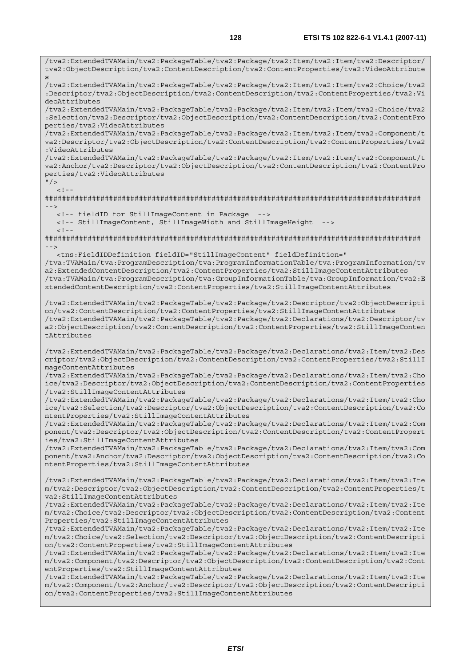/tva2:ExtendedTVAMain/tva2:PackageTable/tva2:Package/tva2:Item/tva2:Item/tva2:Descriptor/ tva2:ObjectDescription/tva2:ContentDescription/tva2:ContentProperties/tva2:VideoAttribute s /tva2:ExtendedTVAMain/tva2:PackageTable/tva2:Package/tva2:Item/tva2:Item/tva2:Choice/tva2 :Descriptor/tva2:ObjectDescription/tva2:ContentDescription/tva2:ContentProperties/tva2:Vi deoAttributes /tva2:ExtendedTVAMain/tva2:PackageTable/tva2:Package/tva2:Item/tva2:Item/tva2:Choice/tva2 :Selection/tva2:Descriptor/tva2:ObjectDescription/tva2:ContentDescription/tva2:ContentPro perties/tva2:VideoAttributes /tva2:ExtendedTVAMain/tva2:PackageTable/tva2:Package/tva2:Item/tva2:Item/tva2:Component/t va2:Descriptor/tva2:ObjectDescription/tva2:ContentDescription/tva2:ContentProperties/tva2 :VideoAttributes /tva2:ExtendedTVAMain/tva2:PackageTable/tva2:Package/tva2:Item/tva2:Item/tva2:Component/t va2:Anchor/tva2:Descriptor/tva2:ObjectDescription/tva2:ContentDescription/tva2:ContentPro perties/tva2:VideoAttributes  $"$  / >  $\geq$   $\frac{1}{2}$   $\geq$   $\frac{1}{2}$ ######################################################################################## --> <!-- fieldID for StillImageContent in Package --> <!-- StillImageContent, StillImageWidth and StillImageHeight -->  $<$ ! - -######################################################################################## --> <tns:FieldIDDefinition fieldID="StillImageContent" fieldDefinition=" /tva:TVAMain/tva:ProgramDescription/tva:ProgramInformationTable/tva:ProgramInformation/tv a2:ExtendedContentDescription/tva2:ContentProperties/tva2:StillImageContentAttributes /tva:TVAMain/tva:ProgramDescription/tva:GroupInformationTable/tva:GroupInformation/tva2:E xtendedContentDescription/tva2:ContentProperties/tva2:StillImageContentAttributes /tva2:ExtendedTVAMain/tva2:PackageTable/tva2:Package/tva2:Descriptor/tva2:ObjectDescripti on/tva2:ContentDescription/tva2:ContentProperties/tva2:StillImageContentAttributes /tva2:ExtendedTVAMain/tva2:PackageTable/tva2:Package/tva2:Declarations/tva2:Descriptor/tv a2:ObjectDescription/tva2:ContentDescription/tva2:ContentProperties/tva2:StillImageConten tAttributes /tva2:ExtendedTVAMain/tva2:PackageTable/tva2:Package/tva2:Declarations/tva2:Item/tva2:Des criptor/tva2:ObjectDescription/tva2:ContentDescription/tva2:ContentProperties/tva2:StillI mageContentAttributes /tva2:ExtendedTVAMain/tva2:PackageTable/tva2:Package/tva2:Declarations/tva2:Item/tva2:Cho ice/tva2:Descriptor/tva2:ObjectDescription/tva2:ContentDescription/tva2:ContentProperties /tva2:StillImageContentAttributes /tva2:ExtendedTVAMain/tva2:PackageTable/tva2:Package/tva2:Declarations/tva2:Item/tva2:Cho ice/tva2:Selection/tva2:Descriptor/tva2:ObjectDescription/tva2:ContentDescription/tva2:Co ntentProperties/tva2:StillImageContentAttributes /tva2:ExtendedTVAMain/tva2:PackageTable/tva2:Package/tva2:Declarations/tva2:Item/tva2:Com ponent/tva2:Descriptor/tva2:ObjectDescription/tva2:ContentDescription/tva2:ContentPropert ies/tva2:StillImageContentAttributes /tva2:ExtendedTVAMain/tva2:PackageTable/tva2:Package/tva2:Declarations/tva2:Item/tva2:Com ponent/tva2:Anchor/tva2:Descriptor/tva2:ObjectDescription/tva2:ContentDescription/tva2:Co ntentProperties/tva2:StillImageContentAttributes /tva2:ExtendedTVAMain/tva2:PackageTable/tva2:Package/tva2:Declarations/tva2:Item/tva2:Ite m/tva2:Descriptor/tva2:ObjectDescription/tva2:ContentDescription/tva2:ContentProperties/t va2:StillImageContentAttributes /tva2:ExtendedTVAMain/tva2:PackageTable/tva2:Package/tva2:Declarations/tva2:Item/tva2:Ite m/tva2:Choice/tva2:Descriptor/tva2:ObjectDescription/tva2:ContentDescription/tva2:Content Properties/tva2:StillImageContentAttributes /tva2:ExtendedTVAMain/tva2:PackageTable/tva2:Package/tva2:Declarations/tva2:Item/tva2:Ite m/tva2:Choice/tva2:Selection/tva2:Descriptor/tva2:ObjectDescription/tva2:ContentDescripti on/tva2:ContentProperties/tva2:StillImageContentAttributes /tva2:ExtendedTVAMain/tva2:PackageTable/tva2:Package/tva2:Declarations/tva2:Item/tva2:Ite m/tva2:Component/tva2:Descriptor/tva2:ObjectDescription/tva2:ContentDescription/tva2:Cont entProperties/tva2:StillImageContentAttributes /tva2:ExtendedTVAMain/tva2:PackageTable/tva2:Package/tva2:Declarations/tva2:Item/tva2:Ite m/tva2:Component/tva2:Anchor/tva2:Descriptor/tva2:ObjectDescription/tva2:ContentDescripti on/tva2:ContentProperties/tva2:StillImageContentAttributes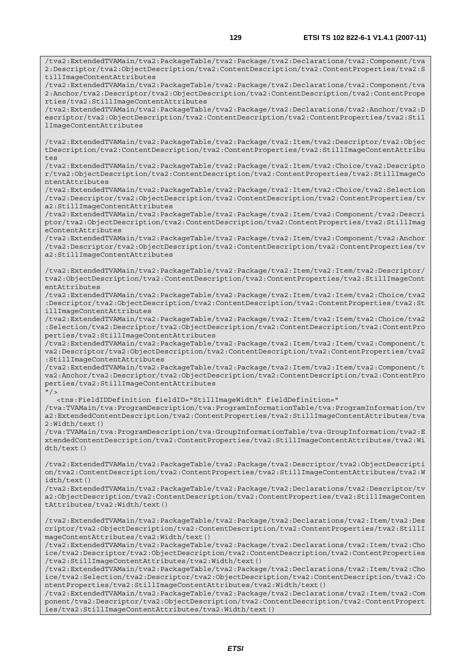/tva2:ExtendedTVAMain/tva2:PackageTable/tva2:Package/tva2:Declarations/tva2:Component/tva 2:Descriptor/tva2:ObjectDescription/tva2:ContentDescription/tva2:ContentProperties/tva2:S

/tva2:ExtendedTVAMain/tva2:PackageTable/tva2:Package/tva2:Declarations/tva2:Component/tva

tillImageContentAttributes

2:Anchor/tva2:Descriptor/tva2:ObjectDescription/tva2:ContentDescription/tva2:ContentPrope rties/tva2:StillImageContentAttributes /tva2:ExtendedTVAMain/tva2:PackageTable/tva2:Package/tva2:Declarations/tva2:Anchor/tva2:D escriptor/tva2:ObjectDescription/tva2:ContentDescription/tva2:ContentProperties/tva2:Stil lImageContentAttributes /tva2:ExtendedTVAMain/tva2:PackageTable/tva2:Package/tva2:Item/tva2:Descriptor/tva2:Objec tDescription/tva2:ContentDescription/tva2:ContentProperties/tva2:StillImageContentAttribu tes /tva2:ExtendedTVAMain/tva2:PackageTable/tva2:Package/tva2:Item/tva2:Choice/tva2:Descripto r/tva2:ObjectDescription/tva2:ContentDescription/tva2:ContentProperties/tva2:StillImageCo ntentAttributes /tva2:ExtendedTVAMain/tva2:PackageTable/tva2:Package/tva2:Item/tva2:Choice/tva2:Selection /tva2:Descriptor/tva2:ObjectDescription/tva2:ContentDescription/tva2:ContentProperties/tv a2:StillImageContentAttributes /tva2:ExtendedTVAMain/tva2:PackageTable/tva2:Package/tva2:Item/tva2:Component/tva2:Descri ptor/tva2:ObjectDescription/tva2:ContentDescription/tva2:ContentProperties/tva2:StillImag eContentAttributes /tva2:ExtendedTVAMain/tva2:PackageTable/tva2:Package/tva2:Item/tva2:Component/tva2:Anchor /tva2:Descriptor/tva2:ObjectDescription/tva2:ContentDescription/tva2:ContentProperties/tv a2:StillImageContentAttributes /tva2:ExtendedTVAMain/tva2:PackageTable/tva2:Package/tva2:Item/tva2:Item/tva2:Descriptor/ tva2:ObjectDescription/tva2:ContentDescription/tva2:ContentProperties/tva2:StillImageCont entAttributes /tva2:ExtendedTVAMain/tva2:PackageTable/tva2:Package/tva2:Item/tva2:Item/tva2:Choice/tva2 :Descriptor/tva2:ObjectDescription/tva2:ContentDescription/tva2:ContentProperties/tva2:St illImageContentAttributes /tva2:ExtendedTVAMain/tva2:PackageTable/tva2:Package/tva2:Item/tva2:Item/tva2:Choice/tva2 :Selection/tva2:Descriptor/tva2:ObjectDescription/tva2:ContentDescription/tva2:ContentPro perties/tva2:StillImageContentAttributes /tva2:ExtendedTVAMain/tva2:PackageTable/tva2:Package/tva2:Item/tva2:Item/tva2:Component/t va2:Descriptor/tva2:ObjectDescription/tva2:ContentDescription/tva2:ContentProperties/tva2 :StillImageContentAttributes /tva2:ExtendedTVAMain/tva2:PackageTable/tva2:Package/tva2:Item/tva2:Item/tva2:Component/t va2:Anchor/tva2:Descriptor/tva2:ObjectDescription/tva2:ContentDescription/tva2:ContentPro perties/tva2:StillImageContentAttributes  $''$  / > <tns:FieldIDDefinition fieldID="StillImageWidth" fieldDefinition=" /tva:TVAMain/tva:ProgramDescription/tva:ProgramInformationTable/tva:ProgramInformation/tv a2:ExtendedContentDescription/tva2:ContentProperties/tva2:StillImageContentAttributes/tva 2:Width/text() /tva:TVAMain/tva:ProgramDescription/tva:GroupInformationTable/tva:GroupInformation/tva2:E xtendedContentDescription/tva2:ContentProperties/tva2:StillImageContentAttributes/tva2:Wi dth/text() /tva2:ExtendedTVAMain/tva2:PackageTable/tva2:Package/tva2:Descriptor/tva2:ObjectDescripti on/tva2:ContentDescription/tva2:ContentProperties/tva2:StillImageContentAttributes/tva2:W idth/text() /tva2:ExtendedTVAMain/tva2:PackageTable/tva2:Package/tva2:Declarations/tva2:Descriptor/tv a2:ObjectDescription/tva2:ContentDescription/tva2:ContentProperties/tva2:StillImageConten tAttributes/tva2:Width/text() /tva2:ExtendedTVAMain/tva2:PackageTable/tva2:Package/tva2:Declarations/tva2:Item/tva2:Des criptor/tva2:ObjectDescription/tva2:ContentDescription/tva2:ContentProperties/tva2:StillI mageContentAttributes/tva2:Width/text() /tva2:ExtendedTVAMain/tva2:PackageTable/tva2:Package/tva2:Declarations/tva2:Item/tva2:Cho ice/tva2:Descriptor/tva2:ObjectDescription/tva2:ContentDescription/tva2:ContentProperties /tva2:StillImageContentAttributes/tva2:Width/text() /tva2:ExtendedTVAMain/tva2:PackageTable/tva2:Package/tva2:Declarations/tva2:Item/tva2:Cho ice/tva2:Selection/tva2:Descriptor/tva2:ObjectDescription/tva2:ContentDescription/tva2:Co ntentProperties/tva2:StillImageContentAttributes/tva2:Width/text() /tva2:ExtendedTVAMain/tva2:PackageTable/tva2:Package/tva2:Declarations/tva2:Item/tva2:Com ponent/tva2:Descriptor/tva2:ObjectDescription/tva2:ContentDescription/tva2:ContentPropert ies/tva2:StillImageContentAttributes/tva2:Width/text()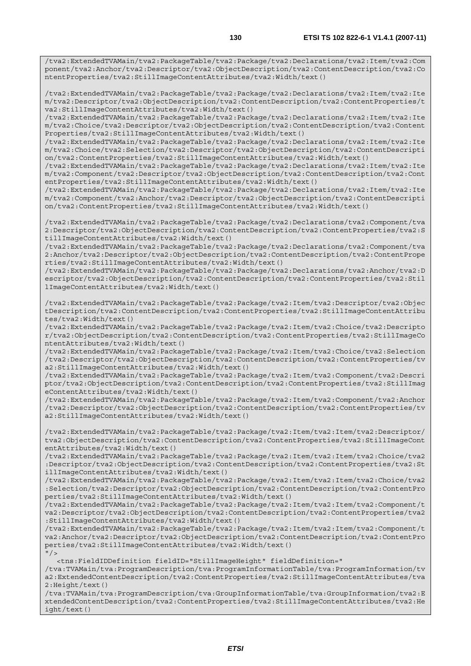/tva2:ExtendedTVAMain/tva2:PackageTable/tva2:Package/tva2:Declarations/tva2:Item/tva2:Com ponent/tva2:Anchor/tva2:Descriptor/tva2:ObjectDescription/tva2:ContentDescription/tva2:Co ntentProperties/tva2:StillImageContentAttributes/tva2:Width/text()

/tva2:ExtendedTVAMain/tva2:PackageTable/tva2:Package/tva2:Declarations/tva2:Item/tva2:Ite m/tva2:Descriptor/tva2:ObjectDescription/tva2:ContentDescription/tva2:ContentProperties/t va2:StillImageContentAttributes/tva2:Width/text()

/tva2:ExtendedTVAMain/tva2:PackageTable/tva2:Package/tva2:Declarations/tva2:Item/tva2:Ite m/tva2:Choice/tva2:Descriptor/tva2:ObjectDescription/tva2:ContentDescription/tva2:Content Properties/tva2:StillImageContentAttributes/tva2:Width/text()

/tva2:ExtendedTVAMain/tva2:PackageTable/tva2:Package/tva2:Declarations/tva2:Item/tva2:Ite m/tva2:Choice/tva2:Selection/tva2:Descriptor/tva2:ObjectDescription/tva2:ContentDescripti on/tva2:ContentProperties/tva2:StillImageContentAttributes/tva2:Width/text()

/tva2:ExtendedTVAMain/tva2:PackageTable/tva2:Package/tva2:Declarations/tva2:Item/tva2:Ite m/tva2:Component/tva2:Descriptor/tva2:ObjectDescription/tva2:ContentDescription/tva2:Cont entProperties/tva2:StillImageContentAttributes/tva2:Width/text()

/tva2:ExtendedTVAMain/tva2:PackageTable/tva2:Package/tva2:Declarations/tva2:Item/tva2:Ite m/tva2:Component/tva2:Anchor/tva2:Descriptor/tva2:ObjectDescription/tva2:ContentDescripti on/tva2:ContentProperties/tva2:StillImageContentAttributes/tva2:Width/text()

/tva2:ExtendedTVAMain/tva2:PackageTable/tva2:Package/tva2:Declarations/tva2:Component/tva 2:Descriptor/tva2:ObjectDescription/tva2:ContentDescription/tva2:ContentProperties/tva2:S tillImageContentAttributes/tva2:Width/text()

/tva2:ExtendedTVAMain/tva2:PackageTable/tva2:Package/tva2:Declarations/tva2:Component/tva 2:Anchor/tva2:Descriptor/tva2:ObjectDescription/tva2:ContentDescription/tva2:ContentPrope rties/tva2:StillImageContentAttributes/tva2:Width/text()

/tva2:ExtendedTVAMain/tva2:PackageTable/tva2:Package/tva2:Declarations/tva2:Anchor/tva2:D escriptor/tva2:ObjectDescription/tva2:ContentDescription/tva2:ContentProperties/tva2:Stil lImageContentAttributes/tva2:Width/text()

/tva2:ExtendedTVAMain/tva2:PackageTable/tva2:Package/tva2:Item/tva2:Descriptor/tva2:Objec tDescription/tva2:ContentDescription/tva2:ContentProperties/tva2:StillImageContentAttribu tes/tva2:Width/text()

/tva2:ExtendedTVAMain/tva2:PackageTable/tva2:Package/tva2:Item/tva2:Choice/tva2:Descripto r/tva2:ObjectDescription/tva2:ContentDescription/tva2:ContentProperties/tva2:StillImageCo ntentAttributes/tva2:Width/text()

/tva2:ExtendedTVAMain/tva2:PackageTable/tva2:Package/tva2:Item/tva2:Choice/tva2:Selection /tva2:Descriptor/tva2:ObjectDescription/tva2:ContentDescription/tva2:ContentProperties/tv a2:StillImageContentAttributes/tva2:Width/text()

/tva2:ExtendedTVAMain/tva2:PackageTable/tva2:Package/tva2:Item/tva2:Component/tva2:Descri ptor/tva2:ObjectDescription/tva2:ContentDescription/tva2:ContentProperties/tva2:StillImag eContentAttributes/tva2:Width/text()

/tva2:ExtendedTVAMain/tva2:PackageTable/tva2:Package/tva2:Item/tva2:Component/tva2:Anchor /tva2:Descriptor/tva2:ObjectDescription/tva2:ContentDescription/tva2:ContentProperties/tv a2:StillImageContentAttributes/tva2:Width/text()

/tva2:ExtendedTVAMain/tva2:PackageTable/tva2:Package/tva2:Item/tva2:Item/tva2:Descriptor/ tva2:ObjectDescription/tva2:ContentDescription/tva2:ContentProperties/tva2:StillImageCont entAttributes/tva2:Width/text()

/tva2:ExtendedTVAMain/tva2:PackageTable/tva2:Package/tva2:Item/tva2:Item/tva2:Choice/tva2 :Descriptor/tva2:ObjectDescription/tva2:ContentDescription/tva2:ContentProperties/tva2:St illImageContentAttributes/tva2:Width/text()

/tva2:ExtendedTVAMain/tva2:PackageTable/tva2:Package/tva2:Item/tva2:Item/tva2:Choice/tva2 :Selection/tva2:Descriptor/tva2:ObjectDescription/tva2:ContentDescription/tva2:ContentPro perties/tva2:StillImageContentAttributes/tva2:Width/text()

/tva2:ExtendedTVAMain/tva2:PackageTable/tva2:Package/tva2:Item/tva2:Item/tva2:Component/t va2:Descriptor/tva2:ObjectDescription/tva2:ContentDescription/tva2:ContentProperties/tva2 :StillImageContentAttributes/tva2:Width/text()

/tva2:ExtendedTVAMain/tva2:PackageTable/tva2:Package/tva2:Item/tva2:Item/tva2:Component/t va2:Anchor/tva2:Descriptor/tva2:ObjectDescription/tva2:ContentDescription/tva2:ContentPro perties/tva2:StillImageContentAttributes/tva2:Width/text()  $''$  / >

<tns:FieldIDDefinition fieldID="StillImageHeight" fieldDefinition="

/tva:TVAMain/tva:ProgramDescription/tva:ProgramInformationTable/tva:ProgramInformation/tv a2:ExtendedContentDescription/tva2:ContentProperties/tva2:StillImageContentAttributes/tva 2:Height/text()

/tva:TVAMain/tva:ProgramDescription/tva:GroupInformationTable/tva:GroupInformation/tva2:E xtendedContentDescription/tva2:ContentProperties/tva2:StillImageContentAttributes/tva2:He ight/text()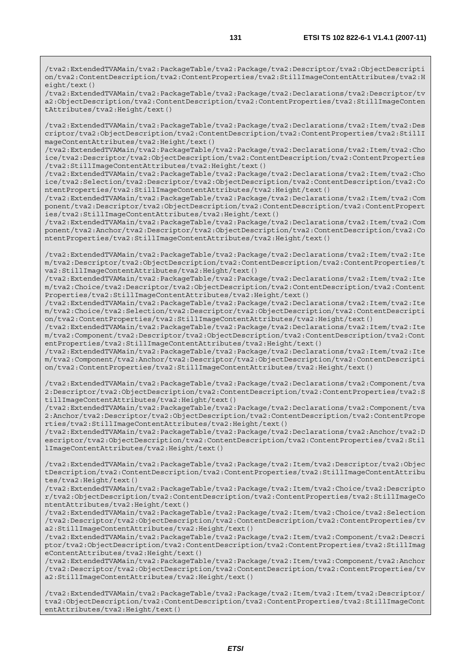/tva2:ExtendedTVAMain/tva2:PackageTable/tva2:Package/tva2:Descriptor/tva2:ObjectDescripti on/tva2:ContentDescription/tva2:ContentProperties/tva2:StillImageContentAttributes/tva2:H eight/text()

/tva2:ExtendedTVAMain/tva2:PackageTable/tva2:Package/tva2:Declarations/tva2:Descriptor/tv a2:ObjectDescription/tva2:ContentDescription/tva2:ContentProperties/tva2:StillImageConten tAttributes/tva2:Height/text()

/tva2:ExtendedTVAMain/tva2:PackageTable/tva2:Package/tva2:Declarations/tva2:Item/tva2:Des criptor/tva2:ObjectDescription/tva2:ContentDescription/tva2:ContentProperties/tva2:StillI mageContentAttributes/tva2:Height/text()

/tva2:ExtendedTVAMain/tva2:PackageTable/tva2:Package/tva2:Declarations/tva2:Item/tva2:Cho ice/tva2:Descriptor/tva2:ObjectDescription/tva2:ContentDescription/tva2:ContentProperties /tva2:StillImageContentAttributes/tva2:Height/text()

/tva2:ExtendedTVAMain/tva2:PackageTable/tva2:Package/tva2:Declarations/tva2:Item/tva2:Cho ice/tva2:Selection/tva2:Descriptor/tva2:ObjectDescription/tva2:ContentDescription/tva2:Co ntentProperties/tva2:StillImageContentAttributes/tva2:Height/text()

/tva2:ExtendedTVAMain/tva2:PackageTable/tva2:Package/tva2:Declarations/tva2:Item/tva2:Com ponent/tva2:Descriptor/tva2:ObjectDescription/tva2:ContentDescription/tva2:ContentPropert ies/tva2:StillImageContentAttributes/tva2:Height/text()

/tva2:ExtendedTVAMain/tva2:PackageTable/tva2:Package/tva2:Declarations/tva2:Item/tva2:Com ponent/tva2:Anchor/tva2:Descriptor/tva2:ObjectDescription/tva2:ContentDescription/tva2:Co ntentProperties/tva2:StillImageContentAttributes/tva2:Height/text()

/tva2:ExtendedTVAMain/tva2:PackageTable/tva2:Package/tva2:Declarations/tva2:Item/tva2:Ite m/tva2:Descriptor/tva2:ObjectDescription/tva2:ContentDescription/tva2:ContentProperties/t va2:StillImageContentAttributes/tva2:Height/text()

/tva2:ExtendedTVAMain/tva2:PackageTable/tva2:Package/tva2:Declarations/tva2:Item/tva2:Ite m/tva2:Choice/tva2:Descriptor/tva2:ObjectDescription/tva2:ContentDescription/tva2:Content Properties/tva2:StillImageContentAttributes/tva2:Height/text()

/tva2:ExtendedTVAMain/tva2:PackageTable/tva2:Package/tva2:Declarations/tva2:Item/tva2:Ite m/tva2:Choice/tva2:Selection/tva2:Descriptor/tva2:ObjectDescription/tva2:ContentDescripti on/tva2:ContentProperties/tva2:StillImageContentAttributes/tva2:Height/text()

/tva2:ExtendedTVAMain/tva2:PackageTable/tva2:Package/tva2:Declarations/tva2:Item/tva2:Ite m/tva2:Component/tva2:Descriptor/tva2:ObjectDescription/tva2:ContentDescription/tva2:Cont entProperties/tva2:StillImageContentAttributes/tva2:Height/text()

/tva2:ExtendedTVAMain/tva2:PackageTable/tva2:Package/tva2:Declarations/tva2:Item/tva2:Ite m/tva2:Component/tva2:Anchor/tva2:Descriptor/tva2:ObjectDescription/tva2:ContentDescripti on/tva2:ContentProperties/tva2:StillImageContentAttributes/tva2:Height/text()

/tva2:ExtendedTVAMain/tva2:PackageTable/tva2:Package/tva2:Declarations/tva2:Component/tva 2:Descriptor/tva2:ObjectDescription/tva2:ContentDescription/tva2:ContentProperties/tva2:S tillImageContentAttributes/tva2:Height/text()

/tva2:ExtendedTVAMain/tva2:PackageTable/tva2:Package/tva2:Declarations/tva2:Component/tva 2:Anchor/tva2:Descriptor/tva2:ObjectDescription/tva2:ContentDescription/tva2:ContentPrope rties/tva2:StillImageContentAttributes/tva2:Height/text()

/tva2:ExtendedTVAMain/tva2:PackageTable/tva2:Package/tva2:Declarations/tva2:Anchor/tva2:D escriptor/tva2:ObjectDescription/tva2:ContentDescription/tva2:ContentProperties/tva2:Stil lImageContentAttributes/tva2:Height/text()

/tva2:ExtendedTVAMain/tva2:PackageTable/tva2:Package/tva2:Item/tva2:Descriptor/tva2:Objec tDescription/tva2:ContentDescription/tva2:ContentProperties/tva2:StillImageContentAttribu tes/tva2:Height/text()

/tva2:ExtendedTVAMain/tva2:PackageTable/tva2:Package/tva2:Item/tva2:Choice/tva2:Descripto r/tva2:ObjectDescription/tva2:ContentDescription/tva2:ContentProperties/tva2:StillImageCo ntentAttributes/tva2:Height/text()

/tva2:ExtendedTVAMain/tva2:PackageTable/tva2:Package/tva2:Item/tva2:Choice/tva2:Selection /tva2:Descriptor/tva2:ObjectDescription/tva2:ContentDescription/tva2:ContentProperties/tv a2:StillImageContentAttributes/tva2:Height/text()

/tva2:ExtendedTVAMain/tva2:PackageTable/tva2:Package/tva2:Item/tva2:Component/tva2:Descri ptor/tva2:ObjectDescription/tva2:ContentDescription/tva2:ContentProperties/tva2:StillImag eContentAttributes/tva2:Height/text()

/tva2:ExtendedTVAMain/tva2:PackageTable/tva2:Package/tva2:Item/tva2:Component/tva2:Anchor /tva2:Descriptor/tva2:ObjectDescription/tva2:ContentDescription/tva2:ContentProperties/tv a2:StillImageContentAttributes/tva2:Height/text()

/tva2:ExtendedTVAMain/tva2:PackageTable/tva2:Package/tva2:Item/tva2:Item/tva2:Descriptor/ tva2:ObjectDescription/tva2:ContentDescription/tva2:ContentProperties/tva2:StillImageCont entAttributes/tva2:Height/text()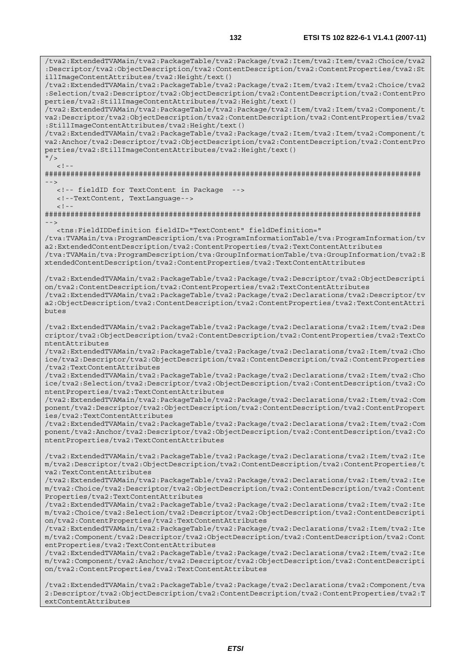/tva2:ExtendedTVAMain/tva2:PackageTable/tva2:Package/tva2:Item/tva2:Item/tva2:Choice/tva2 :Descriptor/tva2:ObjectDescription/tva2:ContentDescription/tva2:ContentProperties/tva2:St illImageContentAttributes/tva2:Height/text() /tva2:ExtendedTVAMain/tva2:PackageTable/tva2:Package/tva2:Item/tva2:Item/tva2:Choice/tva2 :Selection/tva2:Descriptor/tva2:ObjectDescription/tva2:ContentDescription/tva2:ContentPro perties/tva2:StillImageContentAttributes/tva2:Height/text() /tva2:ExtendedTVAMain/tva2:PackageTable/tva2:Package/tva2:Item/tva2:Item/tva2:Component/t va2:Descriptor/tva2:ObjectDescription/tva2:ContentDescription/tva2:ContentProperties/tva2 :StillImageContentAttributes/tva2:Height/text() /tva2:ExtendedTVAMain/tva2:PackageTable/tva2:Package/tva2:Item/tva2:Item/tva2:Component/t va2:Anchor/tva2:Descriptor/tva2:ObjectDescription/tva2:ContentDescription/tva2:ContentPro perties/tva2:StillImageContentAttributes/tva2:Height/text()  $\frac{1}{2}$  $\geq$   $\geq$ ######################################################################################## --> <!-- fieldID for TextContent in Package --> <!--TextContent, TextLanguage-->  $<$ ! --######################################################################################## --> <tns:FieldIDDefinition fieldID="TextContent" fieldDefinition=" /tva:TVAMain/tva:ProgramDescription/tva:ProgramInformationTable/tva:ProgramInformation/tv a2:ExtendedContentDescription/tva2:ContentProperties/tva2:TextContentAttributes /tva:TVAMain/tva:ProgramDescription/tva:GroupInformationTable/tva:GroupInformation/tva2:E xtendedContentDescription/tva2:ContentProperties/tva2:TextContentAttributes /tva2:ExtendedTVAMain/tva2:PackageTable/tva2:Package/tva2:Descriptor/tva2:ObjectDescripti on/tva2:ContentDescription/tva2:ContentProperties/tva2:TextContentAttributes /tva2:ExtendedTVAMain/tva2:PackageTable/tva2:Package/tva2:Declarations/tva2:Descriptor/tv a2:ObjectDescription/tva2:ContentDescription/tva2:ContentProperties/tva2:TextContentAttri butes /tva2:ExtendedTVAMain/tva2:PackageTable/tva2:Package/tva2:Declarations/tva2:Item/tva2:Des criptor/tva2:ObjectDescription/tva2:ContentDescription/tva2:ContentProperties/tva2:TextCo ntentAttributes /tva2:ExtendedTVAMain/tva2:PackageTable/tva2:Package/tva2:Declarations/tva2:Item/tva2:Cho ice/tva2:Descriptor/tva2:ObjectDescription/tva2:ContentDescription/tva2:ContentProperties /tva2:TextContentAttributes /tva2:ExtendedTVAMain/tva2:PackageTable/tva2:Package/tva2:Declarations/tva2:Item/tva2:Cho ice/tva2:Selection/tva2:Descriptor/tva2:ObjectDescription/tva2:ContentDescription/tva2:Co ntentProperties/tva2:TextContentAttributes /tva2:ExtendedTVAMain/tva2:PackageTable/tva2:Package/tva2:Declarations/tva2:Item/tva2:Com ponent/tva2:Descriptor/tva2:ObjectDescription/tva2:ContentDescription/tva2:ContentPropert ies/tva2:TextContentAttributes /tva2:ExtendedTVAMain/tva2:PackageTable/tva2:Package/tva2:Declarations/tva2:Item/tva2:Com ponent/tva2:Anchor/tva2:Descriptor/tva2:ObjectDescription/tva2:ContentDescription/tva2:Co ntentProperties/tva2:TextContentAttributes /tva2:ExtendedTVAMain/tva2:PackageTable/tva2:Package/tva2:Declarations/tva2:Item/tva2:Ite m/tva2:Descriptor/tva2:ObjectDescription/tva2:ContentDescription/tva2:ContentProperties/t va2:TextContentAttributes /tva2:ExtendedTVAMain/tva2:PackageTable/tva2:Package/tva2:Declarations/tva2:Item/tva2:Ite m/tva2:Choice/tva2:Descriptor/tva2:ObjectDescription/tva2:ContentDescription/tva2:Content Properties/tva2:TextContentAttributes /tva2:ExtendedTVAMain/tva2:PackageTable/tva2:Package/tva2:Declarations/tva2:Item/tva2:Ite m/tva2:Choice/tva2:Selection/tva2:Descriptor/tva2:ObjectDescription/tva2:ContentDescripti on/tva2:ContentProperties/tva2:TextContentAttributes /tva2:ExtendedTVAMain/tva2:PackageTable/tva2:Package/tva2:Declarations/tva2:Item/tva2:Ite m/tva2:Component/tva2:Descriptor/tva2:ObjectDescription/tva2:ContentDescription/tva2:Cont entProperties/tva2:TextContentAttributes /tva2:ExtendedTVAMain/tva2:PackageTable/tva2:Package/tva2:Declarations/tva2:Item/tva2:Ite m/tva2:Component/tva2:Anchor/tva2:Descriptor/tva2:ObjectDescription/tva2:ContentDescripti on/tva2:ContentProperties/tva2:TextContentAttributes

/tva2:ExtendedTVAMain/tva2:PackageTable/tva2:Package/tva2:Declarations/tva2:Component/tva 2:Descriptor/tva2:ObjectDescription/tva2:ContentDescription/tva2:ContentProperties/tva2:T extContentAttributes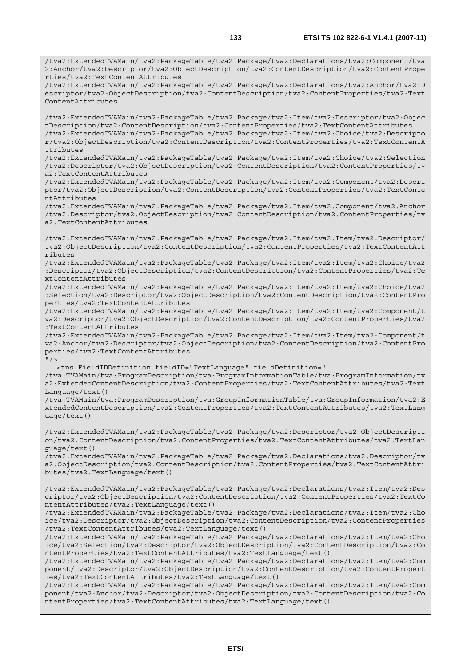/tva2:ExtendedTVAMain/tva2:PackageTable/tva2:Package/tva2:Declarations/tva2:Component/tva 2:Anchor/tva2:Descriptor/tva2:ObjectDescription/tva2:ContentDescription/tva2:ContentPrope rties/tva2:TextContentAttributes /tva2:ExtendedTVAMain/tva2:PackageTable/tva2:Package/tva2:Declarations/tva2:Anchor/tva2:D escriptor/tva2:ObjectDescription/tva2:ContentDescription/tva2:ContentProperties/tva2:Text ContentAttributes /tva2:ExtendedTVAMain/tva2:PackageTable/tva2:Package/tva2:Item/tva2:Descriptor/tva2:Objec tDescription/tva2:ContentDescription/tva2:ContentProperties/tva2:TextContentAttributes /tva2:ExtendedTVAMain/tva2:PackageTable/tva2:Package/tva2:Item/tva2:Choice/tva2:Descripto r/tva2:ObjectDescription/tva2:ContentDescription/tva2:ContentProperties/tva2:TextContentA ttributes /tva2:ExtendedTVAMain/tva2:PackageTable/tva2:Package/tva2:Item/tva2:Choice/tva2:Selection /tva2:Descriptor/tva2:ObjectDescription/tva2:ContentDescription/tva2:ContentProperties/tv a2:TextContentAttributes /tva2:ExtendedTVAMain/tva2:PackageTable/tva2:Package/tva2:Item/tva2:Component/tva2:Descri ptor/tva2:ObjectDescription/tva2:ContentDescription/tva2:ContentProperties/tva2:TextConte ntAttributes /tva2:ExtendedTVAMain/tva2:PackageTable/tva2:Package/tva2:Item/tva2:Component/tva2:Anchor /tva2:Descriptor/tva2:ObjectDescription/tva2:ContentDescription/tva2:ContentProperties/tv a2:TextContentAttributes /tva2:ExtendedTVAMain/tva2:PackageTable/tva2:Package/tva2:Item/tva2:Item/tva2:Descriptor/ tva2:ObjectDescription/tva2:ContentDescription/tva2:ContentProperties/tva2:TextContentAtt ributes /tva2:ExtendedTVAMain/tva2:PackageTable/tva2:Package/tva2:Item/tva2:Item/tva2:Choice/tva2 :Descriptor/tva2:ObjectDescription/tva2:ContentDescription/tva2:ContentProperties/tva2:Te xtContentAttributes /tva2:ExtendedTVAMain/tva2:PackageTable/tva2:Package/tva2:Item/tva2:Item/tva2:Choice/tva2 :Selection/tva2:Descriptor/tva2:ObjectDescription/tva2:ContentDescription/tva2:ContentPro perties/tva2:TextContentAttributes /tva2:ExtendedTVAMain/tva2:PackageTable/tva2:Package/tva2:Item/tva2:Item/tva2:Component/t va2:Descriptor/tva2:ObjectDescription/tva2:ContentDescription/tva2:ContentProperties/tva2 :TextContentAttributes /tva2:ExtendedTVAMain/tva2:PackageTable/tva2:Package/tva2:Item/tva2:Item/tva2:Component/t va2:Anchor/tva2:Descriptor/tva2:ObjectDescription/tva2:ContentDescription/tva2:ContentPro perties/tva2:TextContentAttributes  $"$  / > <tns:FieldIDDefinition fieldID="TextLanguage" fieldDefinition=" /tva:TVAMain/tva:ProgramDescription/tva:ProgramInformationTable/tva:ProgramInformation/tv a2:ExtendedContentDescription/tva2:ContentProperties/tva2:TextContentAttributes/tva2:Text Language/text() /tva:TVAMain/tva:ProgramDescription/tva:GroupInformationTable/tva:GroupInformation/tva2:E xtendedContentDescription/tva2:ContentProperties/tva2:TextContentAttributes/tva2:TextLang uage/text() /tva2:ExtendedTVAMain/tva2:PackageTable/tva2:Package/tva2:Descriptor/tva2:ObjectDescripti on/tva2:ContentDescription/tva2:ContentProperties/tva2:TextContentAttributes/tva2:TextLan guage/text() /tva2:ExtendedTVAMain/tva2:PackageTable/tva2:Package/tva2:Declarations/tva2:Descriptor/tv a2:ObjectDescription/tva2:ContentDescription/tva2:ContentProperties/tva2:TextContentAttri butes/tva2:TextLanguage/text() /tva2:ExtendedTVAMain/tva2:PackageTable/tva2:Package/tva2:Declarations/tva2:Item/tva2:Des criptor/tva2:ObjectDescription/tva2:ContentDescription/tva2:ContentProperties/tva2:TextCo ntentAttributes/tva2:TextLanguage/text() /tva2:ExtendedTVAMain/tva2:PackageTable/tva2:Package/tva2:Declarations/tva2:Item/tva2:Cho ice/tva2:Descriptor/tva2:ObjectDescription/tva2:ContentDescription/tva2:ContentProperties /tva2:TextContentAttributes/tva2:TextLanguage/text() /tva2:ExtendedTVAMain/tva2:PackageTable/tva2:Package/tva2:Declarations/tva2:Item/tva2:Cho ice/tva2:Selection/tva2:Descriptor/tva2:ObjectDescription/tva2:ContentDescription/tva2:Co ntentProperties/tva2:TextContentAttributes/tva2:TextLanguage/text() /tva2:ExtendedTVAMain/tva2:PackageTable/tva2:Package/tva2:Declarations/tva2:Item/tva2:Com ponent/tva2:Descriptor/tva2:ObjectDescription/tva2:ContentDescription/tva2:ContentPropert ies/tva2:TextContentAttributes/tva2:TextLanguage/text() /tva2:ExtendedTVAMain/tva2:PackageTable/tva2:Package/tva2:Declarations/tva2:Item/tva2:Com ponent/tva2:Anchor/tva2:Descriptor/tva2:ObjectDescription/tva2:ContentDescription/tva2:Co ntentProperties/tva2:TextContentAttributes/tva2:TextLanguage/text()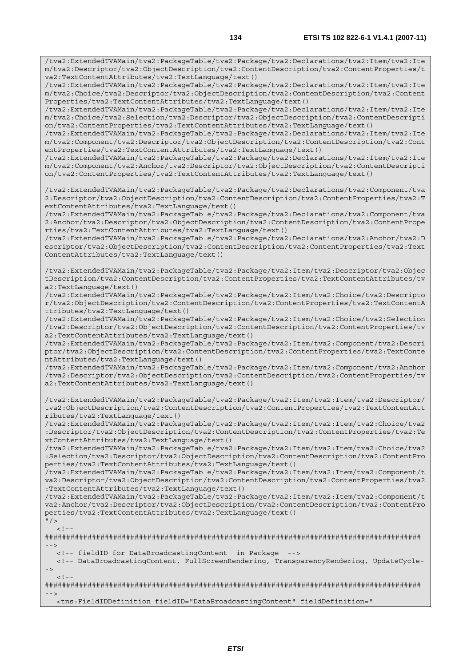/tva2:ExtendedTVAMain/tva2:PackageTable/tva2:Package/tva2:Declarations/tva2:Item/tva2:Ite m/tva2:Descriptor/tva2:ObjectDescription/tva2:ContentDescription/tva2:ContentProperties/t va2:TextContentAttributes/tva2:TextLanguage/text()

/tva2:ExtendedTVAMain/tva2:PackageTable/tva2:Package/tva2:Declarations/tva2:Item/tva2:Ite m/tva2:Choice/tva2:Descriptor/tva2:ObjectDescription/tva2:ContentDescription/tva2:Content Properties/tva2:TextContentAttributes/tva2:TextLanguage/text()

/tva2:ExtendedTVAMain/tva2:PackageTable/tva2:Package/tva2:Declarations/tva2:Item/tva2:Ite m/tva2:Choice/tva2:Selection/tva2:Descriptor/tva2:ObjectDescription/tva2:ContentDescripti on/tva2:ContentProperties/tva2:TextContentAttributes/tva2:TextLanguage/text()

/tva2:ExtendedTVAMain/tva2:PackageTable/tva2:Package/tva2:Declarations/tva2:Item/tva2:Ite m/tva2:Component/tva2:Descriptor/tva2:ObjectDescription/tva2:ContentDescription/tva2:Cont entProperties/tva2:TextContentAttributes/tva2:TextLanguage/text()

/tva2:ExtendedTVAMain/tva2:PackageTable/tva2:Package/tva2:Declarations/tva2:Item/tva2:Ite m/tva2:Component/tva2:Anchor/tva2:Descriptor/tva2:ObjectDescription/tva2:ContentDescripti on/tva2:ContentProperties/tva2:TextContentAttributes/tva2:TextLanguage/text()

/tva2:ExtendedTVAMain/tva2:PackageTable/tva2:Package/tva2:Declarations/tva2:Component/tva 2:Descriptor/tva2:ObjectDescription/tva2:ContentDescription/tva2:ContentProperties/tva2:T extContentAttributes/tva2:TextLanguage/text()

/tva2:ExtendedTVAMain/tva2:PackageTable/tva2:Package/tva2:Declarations/tva2:Component/tva 2:Anchor/tva2:Descriptor/tva2:ObjectDescription/tva2:ContentDescription/tva2:ContentPrope rties/tva2:TextContentAttributes/tva2:TextLanguage/text()

/tva2:ExtendedTVAMain/tva2:PackageTable/tva2:Package/tva2:Declarations/tva2:Anchor/tva2:D escriptor/tva2:ObjectDescription/tva2:ContentDescription/tva2:ContentProperties/tva2:Text ContentAttributes/tva2:TextLanguage/text()

/tva2:ExtendedTVAMain/tva2:PackageTable/tva2:Package/tva2:Item/tva2:Descriptor/tva2:Objec tDescription/tva2:ContentDescription/tva2:ContentProperties/tva2:TextContentAttributes/tv a2:TextLanguage/text()

/tva2:ExtendedTVAMain/tva2:PackageTable/tva2:Package/tva2:Item/tva2:Choice/tva2:Descripto r/tva2:ObjectDescription/tva2:ContentDescription/tva2:ContentProperties/tva2:TextContentA ttributes/tva2:TextLanguage/text()

/tva2:ExtendedTVAMain/tva2:PackageTable/tva2:Package/tva2:Item/tva2:Choice/tva2:Selection /tva2:Descriptor/tva2:ObjectDescription/tva2:ContentDescription/tva2:ContentProperties/tv a2:TextContentAttributes/tva2:TextLanguage/text()

/tva2:ExtendedTVAMain/tva2:PackageTable/tva2:Package/tva2:Item/tva2:Component/tva2:Descri ptor/tva2:ObjectDescription/tva2:ContentDescription/tva2:ContentProperties/tva2:TextConte ntAttributes/tva2:TextLanguage/text()

/tva2:ExtendedTVAMain/tva2:PackageTable/tva2:Package/tva2:Item/tva2:Component/tva2:Anchor /tva2:Descriptor/tva2:ObjectDescription/tva2:ContentDescription/tva2:ContentProperties/tv a2:TextContentAttributes/tva2:TextLanguage/text()

/tva2:ExtendedTVAMain/tva2:PackageTable/tva2:Package/tva2:Item/tva2:Item/tva2:Descriptor/ tva2:ObjectDescription/tva2:ContentDescription/tva2:ContentProperties/tva2:TextContentAtt ributes/tva2:TextLanguage/text()

/tva2:ExtendedTVAMain/tva2:PackageTable/tva2:Package/tva2:Item/tva2:Item/tva2:Choice/tva2 :Descriptor/tva2:ObjectDescription/tva2:ContentDescription/tva2:ContentProperties/tva2:Te xtContentAttributes/tva2:TextLanguage/text()

/tva2:ExtendedTVAMain/tva2:PackageTable/tva2:Package/tva2:Item/tva2:Item/tva2:Choice/tva2 :Selection/tva2:Descriptor/tva2:ObjectDescription/tva2:ContentDescription/tva2:ContentPro perties/tva2:TextContentAttributes/tva2:TextLanguage/text()

/tva2:ExtendedTVAMain/tva2:PackageTable/tva2:Package/tva2:Item/tva2:Item/tva2:Component/t va2:Descriptor/tva2:ObjectDescription/tva2:ContentDescription/tva2:ContentProperties/tva2 :TextContentAttributes/tva2:TextLanguage/text()

/tva2:ExtendedTVAMain/tva2:PackageTable/tva2:Package/tva2:Item/tva2:Item/tva2:Component/t va2:Anchor/tva2:Descriptor/tva2:ObjectDescription/tva2:ContentDescription/tva2:ContentPro perties/tva2:TextContentAttributes/tva2:TextLanguage/text()

```
" / >
     \geq \geq
```
######################################################################################## -->

<!-- fieldID for DataBroadcastingContent in Package -->

 <!-- DataBroadcastingContent, FullScreenRendering, TransparencyRendering, UpdateCycle- ->  $\lt$  !

```
######################################################################################## 
-->
```
<tns:FieldIDDefinition fieldID="DataBroadcastingContent" fieldDefinition="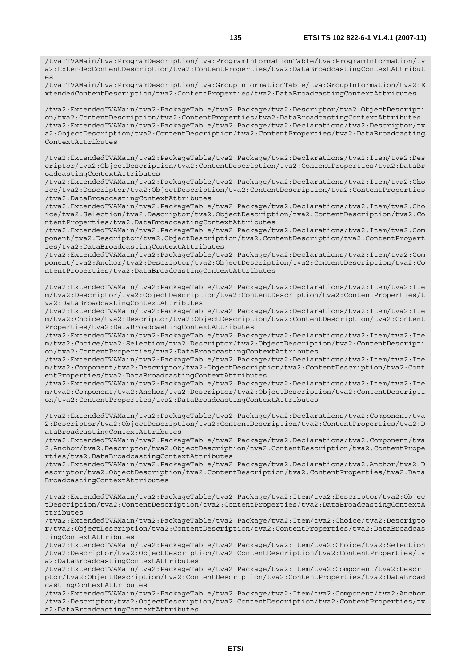/tva:TVAMain/tva:ProgramDescription/tva:ProgramInformationTable/tva:ProgramInformation/tv a2:ExtendedContentDescription/tva2:ContentProperties/tva2:DataBroadcastingContextAttribut es

/tva:TVAMain/tva:ProgramDescription/tva:GroupInformationTable/tva:GroupInformation/tva2:E xtendedContentDescription/tva2:ContentProperties/tva2:DataBroadcastingContextAttributes

/tva2:ExtendedTVAMain/tva2:PackageTable/tva2:Package/tva2:Descriptor/tva2:ObjectDescripti on/tva2:ContentDescription/tva2:ContentProperties/tva2:DataBroadcastingContextAttributes /tva2:ExtendedTVAMain/tva2:PackageTable/tva2:Package/tva2:Declarations/tva2:Descriptor/tv a2:ObjectDescription/tva2:ContentDescription/tva2:ContentProperties/tva2:DataBroadcasting ContextAttributes

/tva2:ExtendedTVAMain/tva2:PackageTable/tva2:Package/tva2:Declarations/tva2:Item/tva2:Des criptor/tva2:ObjectDescription/tva2:ContentDescription/tva2:ContentProperties/tva2:DataBr oadcastingContextAttributes

/tva2:ExtendedTVAMain/tva2:PackageTable/tva2:Package/tva2:Declarations/tva2:Item/tva2:Cho ice/tva2:Descriptor/tva2:ObjectDescription/tva2:ContentDescription/tva2:ContentProperties /tva2:DataBroadcastingContextAttributes

/tva2:ExtendedTVAMain/tva2:PackageTable/tva2:Package/tva2:Declarations/tva2:Item/tva2:Cho ice/tva2:Selection/tva2:Descriptor/tva2:ObjectDescription/tva2:ContentDescription/tva2:Co ntentProperties/tva2:DataBroadcastingContextAttributes

/tva2:ExtendedTVAMain/tva2:PackageTable/tva2:Package/tva2:Declarations/tva2:Item/tva2:Com ponent/tva2:Descriptor/tva2:ObjectDescription/tva2:ContentDescription/tva2:ContentPropert ies/tva2:DataBroadcastingContextAttributes

/tva2:ExtendedTVAMain/tva2:PackageTable/tva2:Package/tva2:Declarations/tva2:Item/tva2:Com ponent/tva2:Anchor/tva2:Descriptor/tva2:ObjectDescription/tva2:ContentDescription/tva2:Co ntentProperties/tva2:DataBroadcastingContextAttributes

/tva2:ExtendedTVAMain/tva2:PackageTable/tva2:Package/tva2:Declarations/tva2:Item/tva2:Ite m/tva2:Descriptor/tva2:ObjectDescription/tva2:ContentDescription/tva2:ContentProperties/t va2:DataBroadcastingContextAttributes

/tva2:ExtendedTVAMain/tva2:PackageTable/tva2:Package/tva2:Declarations/tva2:Item/tva2:Ite m/tva2:Choice/tva2:Descriptor/tva2:ObjectDescription/tva2:ContentDescription/tva2:Content Properties/tva2:DataBroadcastingContextAttributes

/tva2:ExtendedTVAMain/tva2:PackageTable/tva2:Package/tva2:Declarations/tva2:Item/tva2:Ite m/tva2:Choice/tva2:Selection/tva2:Descriptor/tva2:ObjectDescription/tva2:ContentDescripti on/tva2:ContentProperties/tva2:DataBroadcastingContextAttributes

/tva2:ExtendedTVAMain/tva2:PackageTable/tva2:Package/tva2:Declarations/tva2:Item/tva2:Ite m/tva2:Component/tva2:Descriptor/tva2:ObjectDescription/tva2:ContentDescription/tva2:Cont entProperties/tva2:DataBroadcastingContextAttributes

/tva2:ExtendedTVAMain/tva2:PackageTable/tva2:Package/tva2:Declarations/tva2:Item/tva2:Ite m/tva2:Component/tva2:Anchor/tva2:Descriptor/tva2:ObjectDescription/tva2:ContentDescripti on/tva2:ContentProperties/tva2:DataBroadcastingContextAttributes

/tva2:ExtendedTVAMain/tva2:PackageTable/tva2:Package/tva2:Declarations/tva2:Component/tva 2:Descriptor/tva2:ObjectDescription/tva2:ContentDescription/tva2:ContentProperties/tva2:D ataBroadcastingContextAttributes

/tva2:ExtendedTVAMain/tva2:PackageTable/tva2:Package/tva2:Declarations/tva2:Component/tva 2:Anchor/tva2:Descriptor/tva2:ObjectDescription/tva2:ContentDescription/tva2:ContentPrope rties/tva2:DataBroadcastingContextAttributes

/tva2:ExtendedTVAMain/tva2:PackageTable/tva2:Package/tva2:Declarations/tva2:Anchor/tva2:D escriptor/tva2:ObjectDescription/tva2:ContentDescription/tva2:ContentProperties/tva2:Data BroadcastingContextAttributes

/tva2:ExtendedTVAMain/tva2:PackageTable/tva2:Package/tva2:Item/tva2:Descriptor/tva2:Objec tDescription/tva2:ContentDescription/tva2:ContentProperties/tva2:DataBroadcastingContextA ttributes

/tva2:ExtendedTVAMain/tva2:PackageTable/tva2:Package/tva2:Item/tva2:Choice/tva2:Descripto r/tva2:ObjectDescription/tva2:ContentDescription/tva2:ContentProperties/tva2:DataBroadcas tingContextAttributes

/tva2:ExtendedTVAMain/tva2:PackageTable/tva2:Package/tva2:Item/tva2:Choice/tva2:Selection /tva2:Descriptor/tva2:ObjectDescription/tva2:ContentDescription/tva2:ContentProperties/tv a2:DataBroadcastingContextAttributes

/tva2:ExtendedTVAMain/tva2:PackageTable/tva2:Package/tva2:Item/tva2:Component/tva2:Descri ptor/tva2:ObjectDescription/tva2:ContentDescription/tva2:ContentProperties/tva2:DataBroad castingContextAttributes

/tva2:ExtendedTVAMain/tva2:PackageTable/tva2:Package/tva2:Item/tva2:Component/tva2:Anchor /tva2:Descriptor/tva2:ObjectDescription/tva2:ContentDescription/tva2:ContentProperties/tv a2:DataBroadcastingContextAttributes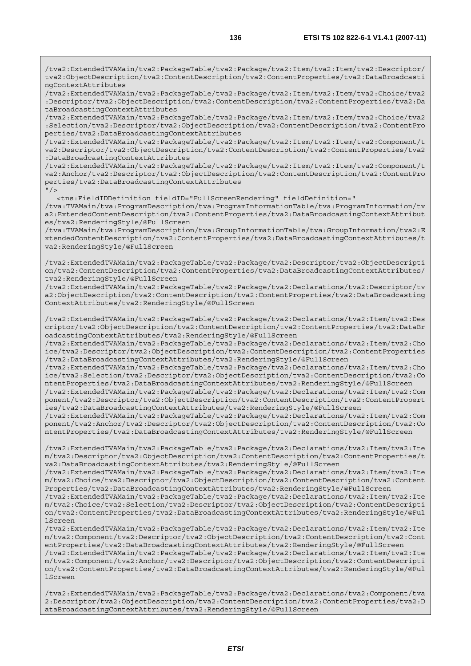/tva2:ExtendedTVAMain/tva2:PackageTable/tva2:Package/tva2:Item/tva2:Item/tva2:Descriptor/ tva2:ObjectDescription/tva2:ContentDescription/tva2:ContentProperties/tva2:DataBroadcasti ngContextAttributes

/tva2:ExtendedTVAMain/tva2:PackageTable/tva2:Package/tva2:Item/tva2:Item/tva2:Choice/tva2 :Descriptor/tva2:ObjectDescription/tva2:ContentDescription/tva2:ContentProperties/tva2:Da taBroadcastingContextAttributes

/tva2:ExtendedTVAMain/tva2:PackageTable/tva2:Package/tva2:Item/tva2:Item/tva2:Choice/tva2 :Selection/tva2:Descriptor/tva2:ObjectDescription/tva2:ContentDescription/tva2:ContentPro perties/tva2:DataBroadcastingContextAttributes

/tva2:ExtendedTVAMain/tva2:PackageTable/tva2:Package/tva2:Item/tva2:Item/tva2:Component/t va2:Descriptor/tva2:ObjectDescription/tva2:ContentDescription/tva2:ContentProperties/tva2 :DataBroadcastingContextAttributes

/tva2:ExtendedTVAMain/tva2:PackageTable/tva2:Package/tva2:Item/tva2:Item/tva2:Component/t va2:Anchor/tva2:Descriptor/tva2:ObjectDescription/tva2:ContentDescription/tva2:ContentPro perties/tva2:DataBroadcastingContextAttributes

 $"$  / >

<tns:FieldIDDefinition fieldID="FullScreenRendering" fieldDefinition="

/tva:TVAMain/tva:ProgramDescription/tva:ProgramInformationTable/tva:ProgramInformation/tv a2:ExtendedContentDescription/tva2:ContentProperties/tva2:DataBroadcastingContextAttribut es/tva2:RenderingStyle/@FullScreen

/tva:TVAMain/tva:ProgramDescription/tva:GroupInformationTable/tva:GroupInformation/tva2:E xtendedContentDescription/tva2:ContentProperties/tva2:DataBroadcastingContextAttributes/t va2:RenderingStyle/@FullScreen

/tva2:ExtendedTVAMain/tva2:PackageTable/tva2:Package/tva2:Descriptor/tva2:ObjectDescripti on/tva2:ContentDescription/tva2:ContentProperties/tva2:DataBroadcastingContextAttributes/ tva2:RenderingStyle/@FullScreen

/tva2:ExtendedTVAMain/tva2:PackageTable/tva2:Package/tva2:Declarations/tva2:Descriptor/tv a2:ObjectDescription/tva2:ContentDescription/tva2:ContentProperties/tva2:DataBroadcasting ContextAttributes/tva2:RenderingStyle/@FullScreen

/tva2:ExtendedTVAMain/tva2:PackageTable/tva2:Package/tva2:Declarations/tva2:Item/tva2:Des criptor/tva2:ObjectDescription/tva2:ContentDescription/tva2:ContentProperties/tva2:DataBr oadcastingContextAttributes/tva2:RenderingStyle/@FullScreen

/tva2:ExtendedTVAMain/tva2:PackageTable/tva2:Package/tva2:Declarations/tva2:Item/tva2:Cho ice/tva2:Descriptor/tva2:ObjectDescription/tva2:ContentDescription/tva2:ContentProperties /tva2:DataBroadcastingContextAttributes/tva2:RenderingStyle/@FullScreen

/tva2:ExtendedTVAMain/tva2:PackageTable/tva2:Package/tva2:Declarations/tva2:Item/tva2:Cho ice/tva2:Selection/tva2:Descriptor/tva2:ObjectDescription/tva2:ContentDescription/tva2:Co ntentProperties/tva2:DataBroadcastingContextAttributes/tva2:RenderingStyle/@FullScreen

/tva2:ExtendedTVAMain/tva2:PackageTable/tva2:Package/tva2:Declarations/tva2:Item/tva2:Com ponent/tva2:Descriptor/tva2:ObjectDescription/tva2:ContentDescription/tva2:ContentPropert ies/tva2:DataBroadcastingContextAttributes/tva2:RenderingStyle/@FullScreen

/tva2:ExtendedTVAMain/tva2:PackageTable/tva2:Package/tva2:Declarations/tva2:Item/tva2:Com ponent/tva2:Anchor/tva2:Descriptor/tva2:ObjectDescription/tva2:ContentDescription/tva2:Co ntentProperties/tva2:DataBroadcastingContextAttributes/tva2:RenderingStyle/@FullScreen

/tva2:ExtendedTVAMain/tva2:PackageTable/tva2:Package/tva2:Declarations/tva2:Item/tva2:Ite m/tva2:Descriptor/tva2:ObjectDescription/tva2:ContentDescription/tva2:ContentProperties/t va2:DataBroadcastingContextAttributes/tva2:RenderingStyle/@FullScreen

/tva2:ExtendedTVAMain/tva2:PackageTable/tva2:Package/tva2:Declarations/tva2:Item/tva2:Ite m/tva2:Choice/tva2:Descriptor/tva2:ObjectDescription/tva2:ContentDescription/tva2:Content Properties/tva2:DataBroadcastingContextAttributes/tva2:RenderingStyle/@FullScreen

/tva2:ExtendedTVAMain/tva2:PackageTable/tva2:Package/tva2:Declarations/tva2:Item/tva2:Ite m/tva2:Choice/tva2:Selection/tva2:Descriptor/tva2:ObjectDescription/tva2:ContentDescripti on/tva2:ContentProperties/tva2:DataBroadcastingContextAttributes/tva2:RenderingStyle/@Ful lScreen

/tva2:ExtendedTVAMain/tva2:PackageTable/tva2:Package/tva2:Declarations/tva2:Item/tva2:Ite m/tva2:Component/tva2:Descriptor/tva2:ObjectDescription/tva2:ContentDescription/tva2:Cont entProperties/tva2:DataBroadcastingContextAttributes/tva2:RenderingStyle/@FullScreen /tva2:ExtendedTVAMain/tva2:PackageTable/tva2:Package/tva2:Declarations/tva2:Item/tva2:Ite

m/tva2:Component/tva2:Anchor/tva2:Descriptor/tva2:ObjectDescription/tva2:ContentDescripti on/tva2:ContentProperties/tva2:DataBroadcastingContextAttributes/tva2:RenderingStyle/@Ful lScreen

/tva2:ExtendedTVAMain/tva2:PackageTable/tva2:Package/tva2:Declarations/tva2:Component/tva 2:Descriptor/tva2:ObjectDescription/tva2:ContentDescription/tva2:ContentProperties/tva2:D ataBroadcastingContextAttributes/tva2:RenderingStyle/@FullScreen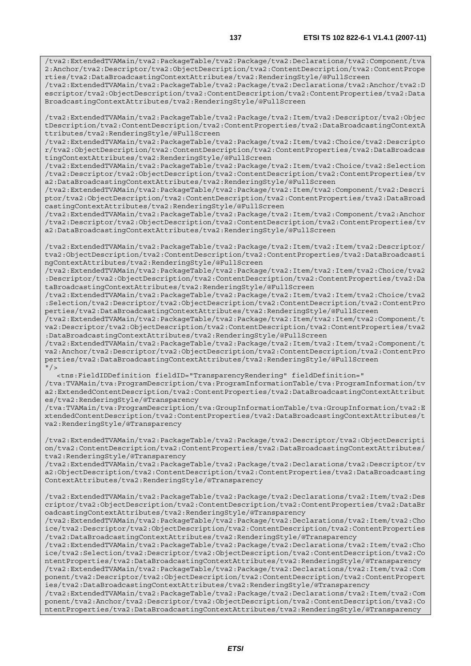/tva2:ExtendedTVAMain/tva2:PackageTable/tva2:Package/tva2:Declarations/tva2:Anchor/tva2:D escriptor/tva2:ObjectDescription/tva2:ContentDescription/tva2:ContentProperties/tva2:Data BroadcastingContextAttributes/tva2:RenderingStyle/@FullScreen

/tva2:ExtendedTVAMain/tva2:PackageTable/tva2:Package/tva2:Item/tva2:Descriptor/tva2:Objec tDescription/tva2:ContentDescription/tva2:ContentProperties/tva2:DataBroadcastingContextA ttributes/tva2:RenderingStyle/@FullScreen

/tva2:ExtendedTVAMain/tva2:PackageTable/tva2:Package/tva2:Item/tva2:Choice/tva2:Descripto r/tva2:ObjectDescription/tva2:ContentDescription/tva2:ContentProperties/tva2:DataBroadcas tingContextAttributes/tva2:RenderingStyle/@FullScreen

/tva2:ExtendedTVAMain/tva2:PackageTable/tva2:Package/tva2:Item/tva2:Choice/tva2:Selection /tva2:Descriptor/tva2:ObjectDescription/tva2:ContentDescription/tva2:ContentProperties/tv a2:DataBroadcastingContextAttributes/tva2:RenderingStyle/@FullScreen

/tva2:ExtendedTVAMain/tva2:PackageTable/tva2:Package/tva2:Item/tva2:Component/tva2:Descri ptor/tva2:ObjectDescription/tva2:ContentDescription/tva2:ContentProperties/tva2:DataBroad castingContextAttributes/tva2:RenderingStyle/@FullScreen

/tva2:ExtendedTVAMain/tva2:PackageTable/tva2:Package/tva2:Item/tva2:Component/tva2:Anchor /tva2:Descriptor/tva2:ObjectDescription/tva2:ContentDescription/tva2:ContentProperties/tv a2:DataBroadcastingContextAttributes/tva2:RenderingStyle/@FullScreen

/tva2:ExtendedTVAMain/tva2:PackageTable/tva2:Package/tva2:Item/tva2:Item/tva2:Descriptor/ tva2:ObjectDescription/tva2:ContentDescription/tva2:ContentProperties/tva2:DataBroadcasti ngContextAttributes/tva2:RenderingStyle/@FullScreen

/tva2:ExtendedTVAMain/tva2:PackageTable/tva2:Package/tva2:Item/tva2:Item/tva2:Choice/tva2 :Descriptor/tva2:ObjectDescription/tva2:ContentDescription/tva2:ContentProperties/tva2:Da taBroadcastingContextAttributes/tva2:RenderingStyle/@FullScreen

/tva2:ExtendedTVAMain/tva2:PackageTable/tva2:Package/tva2:Item/tva2:Item/tva2:Choice/tva2 :Selection/tva2:Descriptor/tva2:ObjectDescription/tva2:ContentDescription/tva2:ContentPro perties/tva2:DataBroadcastingContextAttributes/tva2:RenderingStyle/@FullScreen

/tva2:ExtendedTVAMain/tva2:PackageTable/tva2:Package/tva2:Item/tva2:Item/tva2:Component/t va2:Descriptor/tva2:ObjectDescription/tva2:ContentDescription/tva2:ContentProperties/tva2 :DataBroadcastingContextAttributes/tva2:RenderingStyle/@FullScreen

/tva2:ExtendedTVAMain/tva2:PackageTable/tva2:Package/tva2:Item/tva2:Item/tva2:Component/t va2:Anchor/tva2:Descriptor/tva2:ObjectDescription/tva2:ContentDescription/tva2:ContentPro perties/tva2:DataBroadcastingContextAttributes/tva2:RenderingStyle/@FullScreen  $''$  /  $>$ 

 <tns:FieldIDDefinition fieldID="TransparencyRendering" fieldDefinition=" /tva:TVAMain/tva:ProgramDescription/tva:ProgramInformationTable/tva:ProgramInformation/tv a2:ExtendedContentDescription/tva2:ContentProperties/tva2:DataBroadcastingContextAttribut

es/tva2:RenderingStyle/@Transparency /tva:TVAMain/tva:ProgramDescription/tva:GroupInformationTable/tva:GroupInformation/tva2:E xtendedContentDescription/tva2:ContentProperties/tva2:DataBroadcastingContextAttributes/t va2:RenderingStyle/@Transparency

/tva2:ExtendedTVAMain/tva2:PackageTable/tva2:Package/tva2:Descriptor/tva2:ObjectDescripti on/tva2:ContentDescription/tva2:ContentProperties/tva2:DataBroadcastingContextAttributes/ tva2:RenderingStyle/@Transparency

/tva2:ExtendedTVAMain/tva2:PackageTable/tva2:Package/tva2:Declarations/tva2:Descriptor/tv a2:ObjectDescription/tva2:ContentDescription/tva2:ContentProperties/tva2:DataBroadcasting ContextAttributes/tva2:RenderingStyle/@Transparency

/tva2:ExtendedTVAMain/tva2:PackageTable/tva2:Package/tva2:Declarations/tva2:Item/tva2:Des criptor/tva2:ObjectDescription/tva2:ContentDescription/tva2:ContentProperties/tva2:DataBr oadcastingContextAttributes/tva2:RenderingStyle/@Transparency

/tva2:ExtendedTVAMain/tva2:PackageTable/tva2:Package/tva2:Declarations/tva2:Item/tva2:Cho ice/tva2:Descriptor/tva2:ObjectDescription/tva2:ContentDescription/tva2:ContentProperties /tva2:DataBroadcastingContextAttributes/tva2:RenderingStyle/@Transparency

/tva2:ExtendedTVAMain/tva2:PackageTable/tva2:Package/tva2:Declarations/tva2:Item/tva2:Cho ice/tva2:Selection/tva2:Descriptor/tva2:ObjectDescription/tva2:ContentDescription/tva2:Co ntentProperties/tva2:DataBroadcastingContextAttributes/tva2:RenderingStyle/@Transparency /tva2:ExtendedTVAMain/tva2:PackageTable/tva2:Package/tva2:Declarations/tva2:Item/tva2:Com ponent/tva2:Descriptor/tva2:ObjectDescription/tva2:ContentDescription/tva2:ContentPropert

ies/tva2:DataBroadcastingContextAttributes/tva2:RenderingStyle/@Transparency /tva2:ExtendedTVAMain/tva2:PackageTable/tva2:Package/tva2:Declarations/tva2:Item/tva2:Com ponent/tva2:Anchor/tva2:Descriptor/tva2:ObjectDescription/tva2:ContentDescription/tva2:Co

ntentProperties/tva2:DataBroadcastingContextAttributes/tva2:RenderingStyle/@Transparency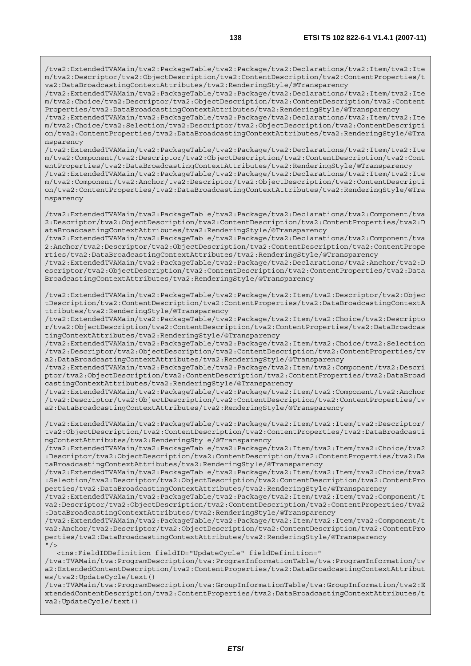/tva2:ExtendedTVAMain/tva2:PackageTable/tva2:Package/tva2:Declarations/tva2:Item/tva2:Ite m/tva2:Descriptor/tva2:ObjectDescription/tva2:ContentDescription/tva2:ContentProperties/t va2:DataBroadcastingContextAttributes/tva2:RenderingStyle/@Transparency

/tva2:ExtendedTVAMain/tva2:PackageTable/tva2:Package/tva2:Declarations/tva2:Item/tva2:Ite m/tva2:Choice/tva2:Descriptor/tva2:ObjectDescription/tva2:ContentDescription/tva2:Content Properties/tva2:DataBroadcastingContextAttributes/tva2:RenderingStyle/@Transparency

/tva2:ExtendedTVAMain/tva2:PackageTable/tva2:Package/tva2:Declarations/tva2:Item/tva2:Ite m/tva2:Choice/tva2:Selection/tva2:Descriptor/tva2:ObjectDescription/tva2:ContentDescripti on/tva2:ContentProperties/tva2:DataBroadcastingContextAttributes/tva2:RenderingStyle/@Tra nsparency

/tva2:ExtendedTVAMain/tva2:PackageTable/tva2:Package/tva2:Declarations/tva2:Item/tva2:Ite m/tva2:Component/tva2:Descriptor/tva2:ObjectDescription/tva2:ContentDescription/tva2:Cont entProperties/tva2:DataBroadcastingContextAttributes/tva2:RenderingStyle/@Transparency

/tva2:ExtendedTVAMain/tva2:PackageTable/tva2:Package/tva2:Declarations/tva2:Item/tva2:Ite m/tva2:Component/tva2:Anchor/tva2:Descriptor/tva2:ObjectDescription/tva2:ContentDescripti on/tva2:ContentProperties/tva2:DataBroadcastingContextAttributes/tva2:RenderingStyle/@Tra nsparency

/tva2:ExtendedTVAMain/tva2:PackageTable/tva2:Package/tva2:Declarations/tva2:Component/tva 2:Descriptor/tva2:ObjectDescription/tva2:ContentDescription/tva2:ContentProperties/tva2:D ataBroadcastingContextAttributes/tva2:RenderingStyle/@Transparency

/tva2:ExtendedTVAMain/tva2:PackageTable/tva2:Package/tva2:Declarations/tva2:Component/tva 2:Anchor/tva2:Descriptor/tva2:ObjectDescription/tva2:ContentDescription/tva2:ContentPrope rties/tva2:DataBroadcastingContextAttributes/tva2:RenderingStyle/@Transparency

/tva2:ExtendedTVAMain/tva2:PackageTable/tva2:Package/tva2:Declarations/tva2:Anchor/tva2:D escriptor/tva2:ObjectDescription/tva2:ContentDescription/tva2:ContentProperties/tva2:Data BroadcastingContextAttributes/tva2:RenderingStyle/@Transparency

/tva2:ExtendedTVAMain/tva2:PackageTable/tva2:Package/tva2:Item/tva2:Descriptor/tva2:Objec tDescription/tva2:ContentDescription/tva2:ContentProperties/tva2:DataBroadcastingContextA ttributes/tva2:RenderingStyle/@Transparency

/tva2:ExtendedTVAMain/tva2:PackageTable/tva2:Package/tva2:Item/tva2:Choice/tva2:Descripto r/tva2:ObjectDescription/tva2:ContentDescription/tva2:ContentProperties/tva2:DataBroadcas tingContextAttributes/tva2:RenderingStyle/@Transparency

/tva2:ExtendedTVAMain/tva2:PackageTable/tva2:Package/tva2:Item/tva2:Choice/tva2:Selection /tva2:Descriptor/tva2:ObjectDescription/tva2:ContentDescription/tva2:ContentProperties/tv a2:DataBroadcastingContextAttributes/tva2:RenderingStyle/@Transparency

/tva2:ExtendedTVAMain/tva2:PackageTable/tva2:Package/tva2:Item/tva2:Component/tva2:Descri ptor/tva2:ObjectDescription/tva2:ContentDescription/tva2:ContentProperties/tva2:DataBroad castingContextAttributes/tva2:RenderingStyle/@Transparency

/tva2:ExtendedTVAMain/tva2:PackageTable/tva2:Package/tva2:Item/tva2:Component/tva2:Anchor /tva2:Descriptor/tva2:ObjectDescription/tva2:ContentDescription/tva2:ContentProperties/tv a2:DataBroadcastingContextAttributes/tva2:RenderingStyle/@Transparency

/tva2:ExtendedTVAMain/tva2:PackageTable/tva2:Package/tva2:Item/tva2:Item/tva2:Descriptor/ tva2:ObjectDescription/tva2:ContentDescription/tva2:ContentProperties/tva2:DataBroadcasti ngContextAttributes/tva2:RenderingStyle/@Transparency

/tva2:ExtendedTVAMain/tva2:PackageTable/tva2:Package/tva2:Item/tva2:Item/tva2:Choice/tva2 :Descriptor/tva2:ObjectDescription/tva2:ContentDescription/tva2:ContentProperties/tva2:Da taBroadcastingContextAttributes/tva2:RenderingStyle/@Transparency

/tva2:ExtendedTVAMain/tva2:PackageTable/tva2:Package/tva2:Item/tva2:Item/tva2:Choice/tva2 :Selection/tva2:Descriptor/tva2:ObjectDescription/tva2:ContentDescription/tva2:ContentPro perties/tva2:DataBroadcastingContextAttributes/tva2:RenderingStyle/@Transparency

/tva2:ExtendedTVAMain/tva2:PackageTable/tva2:Package/tva2:Item/tva2:Item/tva2:Component/t va2:Descriptor/tva2:ObjectDescription/tva2:ContentDescription/tva2:ContentProperties/tva2 :DataBroadcastingContextAttributes/tva2:RenderingStyle/@Transparency

/tva2:ExtendedTVAMain/tva2:PackageTable/tva2:Package/tva2:Item/tva2:Item/tva2:Component/t va2:Anchor/tva2:Descriptor/tva2:ObjectDescription/tva2:ContentDescription/tva2:ContentPro perties/tva2:DataBroadcastingContextAttributes/tva2:RenderingStyle/@Transparency  $"$  />

<tns:FieldIDDefinition fieldID="UpdateCycle" fieldDefinition="

/tva:TVAMain/tva:ProgramDescription/tva:ProgramInformationTable/tva:ProgramInformation/tv a2:ExtendedContentDescription/tva2:ContentProperties/tva2:DataBroadcastingContextAttribut es/tva2:UpdateCycle/text()

/tva:TVAMain/tva:ProgramDescription/tva:GroupInformationTable/tva:GroupInformation/tva2:E xtendedContentDescription/tva2:ContentProperties/tva2:DataBroadcastingContextAttributes/t va2:UpdateCycle/text()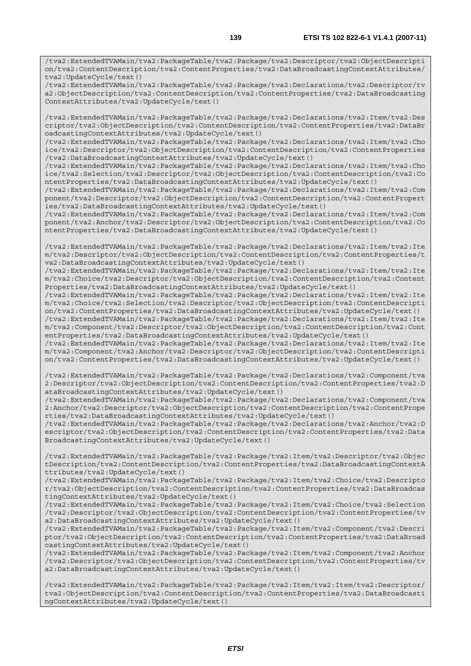/tva2:ExtendedTVAMain/tva2:PackageTable/tva2:Package/tva2:Declarations/tva2:Descriptor/tv a2:ObjectDescription/tva2:ContentDescription/tva2:ContentProperties/tva2:DataBroadcasting ContextAttributes/tva2:UpdateCycle/text()

/tva2:ExtendedTVAMain/tva2:PackageTable/tva2:Package/tva2:Declarations/tva2:Item/tva2:Des criptor/tva2:ObjectDescription/tva2:ContentDescription/tva2:ContentProperties/tva2:DataBr oadcastingContextAttributes/tva2:UpdateCycle/text()

/tva2:ExtendedTVAMain/tva2:PackageTable/tva2:Package/tva2:Declarations/tva2:Item/tva2:Cho ice/tva2:Descriptor/tva2:ObjectDescription/tva2:ContentDescription/tva2:ContentProperties /tva2:DataBroadcastingContextAttributes/tva2:UpdateCycle/text()

/tva2:ExtendedTVAMain/tva2:PackageTable/tva2:Package/tva2:Declarations/tva2:Item/tva2:Cho ice/tva2:Selection/tva2:Descriptor/tva2:ObjectDescription/tva2:ContentDescription/tva2:Co ntentProperties/tva2:DataBroadcastingContextAttributes/tva2:UpdateCycle/text()

/tva2:ExtendedTVAMain/tva2:PackageTable/tva2:Package/tva2:Declarations/tva2:Item/tva2:Com ponent/tva2:Descriptor/tva2:ObjectDescription/tva2:ContentDescription/tva2:ContentPropert ies/tva2:DataBroadcastingContextAttributes/tva2:UpdateCycle/text()

/tva2:ExtendedTVAMain/tva2:PackageTable/tva2:Package/tva2:Declarations/tva2:Item/tva2:Com ponent/tva2:Anchor/tva2:Descriptor/tva2:ObjectDescription/tva2:ContentDescription/tva2:Co ntentProperties/tva2:DataBroadcastingContextAttributes/tva2:UpdateCycle/text()

/tva2:ExtendedTVAMain/tva2:PackageTable/tva2:Package/tva2:Declarations/tva2:Item/tva2:Ite m/tva2:Descriptor/tva2:ObjectDescription/tva2:ContentDescription/tva2:ContentProperties/t va2:DataBroadcastingContextAttributes/tva2:UpdateCycle/text()

/tva2:ExtendedTVAMain/tva2:PackageTable/tva2:Package/tva2:Declarations/tva2:Item/tva2:Ite m/tva2:Choice/tva2:Descriptor/tva2:ObjectDescription/tva2:ContentDescription/tva2:Content Properties/tva2:DataBroadcastingContextAttributes/tva2:UpdateCycle/text()

/tva2:ExtendedTVAMain/tva2:PackageTable/tva2:Package/tva2:Declarations/tva2:Item/tva2:Ite m/tva2:Choice/tva2:Selection/tva2:Descriptor/tva2:ObjectDescription/tva2:ContentDescripti on/tva2:ContentProperties/tva2:DataBroadcastingContextAttributes/tva2:UpdateCycle/text()

/tva2:ExtendedTVAMain/tva2:PackageTable/tva2:Package/tva2:Declarations/tva2:Item/tva2:Ite m/tva2:Component/tva2:Descriptor/tva2:ObjectDescription/tva2:ContentDescription/tva2:Cont entProperties/tva2:DataBroadcastingContextAttributes/tva2:UpdateCycle/text()

/tva2:ExtendedTVAMain/tva2:PackageTable/tva2:Package/tva2:Declarations/tva2:Item/tva2:Ite m/tva2:Component/tva2:Anchor/tva2:Descriptor/tva2:ObjectDescription/tva2:ContentDescripti on/tva2:ContentProperties/tva2:DataBroadcastingContextAttributes/tva2:UpdateCycle/text()

/tva2:ExtendedTVAMain/tva2:PackageTable/tva2:Package/tva2:Declarations/tva2:Component/tva 2:Descriptor/tva2:ObjectDescription/tva2:ContentDescription/tva2:ContentProperties/tva2:D ataBroadcastingContextAttributes/tva2:UpdateCycle/text()

/tva2:ExtendedTVAMain/tva2:PackageTable/tva2:Package/tva2:Declarations/tva2:Component/tva 2:Anchor/tva2:Descriptor/tva2:ObjectDescription/tva2:ContentDescription/tva2:ContentPrope rties/tva2:DataBroadcastingContextAttributes/tva2:UpdateCycle/text()

/tva2:ExtendedTVAMain/tva2:PackageTable/tva2:Package/tva2:Declarations/tva2:Anchor/tva2:D escriptor/tva2:ObjectDescription/tva2:ContentDescription/tva2:ContentProperties/tva2:Data BroadcastingContextAttributes/tva2:UpdateCycle/text()

/tva2:ExtendedTVAMain/tva2:PackageTable/tva2:Package/tva2:Item/tva2:Descriptor/tva2:Objec tDescription/tva2:ContentDescription/tva2:ContentProperties/tva2:DataBroadcastingContextA ttributes/tva2:UpdateCycle/text()

/tva2:ExtendedTVAMain/tva2:PackageTable/tva2:Package/tva2:Item/tva2:Choice/tva2:Descripto r/tva2:ObjectDescription/tva2:ContentDescription/tva2:ContentProperties/tva2:DataBroadcas tingContextAttributes/tva2:UpdateCycle/text()

/tva2:ExtendedTVAMain/tva2:PackageTable/tva2:Package/tva2:Item/tva2:Choice/tva2:Selection /tva2:Descriptor/tva2:ObjectDescription/tva2:ContentDescription/tva2:ContentProperties/tv a2:DataBroadcastingContextAttributes/tva2:UpdateCycle/text()

/tva2:ExtendedTVAMain/tva2:PackageTable/tva2:Package/tva2:Item/tva2:Component/tva2:Descri ptor/tva2:ObjectDescription/tva2:ContentDescription/tva2:ContentProperties/tva2:DataBroad castingContextAttributes/tva2:UpdateCycle/text()

/tva2:ExtendedTVAMain/tva2:PackageTable/tva2:Package/tva2:Item/tva2:Component/tva2:Anchor /tva2:Descriptor/tva2:ObjectDescription/tva2:ContentDescription/tva2:ContentProperties/tv a2:DataBroadcastingContextAttributes/tva2:UpdateCycle/text()

/tva2:ExtendedTVAMain/tva2:PackageTable/tva2:Package/tva2:Item/tva2:Item/tva2:Descriptor/ tva2:ObjectDescription/tva2:ContentDescription/tva2:ContentProperties/tva2:DataBroadcasti ngContextAttributes/tva2:UpdateCycle/text()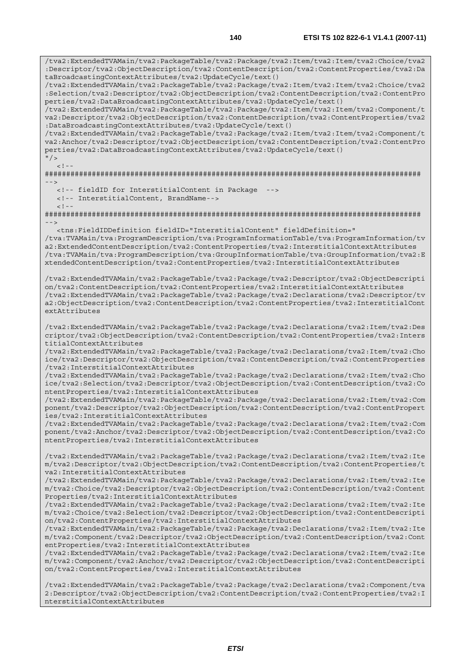/tva2:ExtendedTVAMain/tva2:PackageTable/tva2:Package/tva2:Item/tva2:Item/tva2:Choice/tva2 :Descriptor/tva2:ObjectDescription/tva2:ContentDescription/tva2:ContentProperties/tva2:Da taBroadcastingContextAttributes/tva2:UpdateCycle/text() /tva2:ExtendedTVAMain/tva2:PackageTable/tva2:Package/tva2:Item/tva2:Item/tva2:Choice/tva2 :Selection/tva2:Descriptor/tva2:ObjectDescription/tva2:ContentDescription/tva2:ContentPro perties/tva2:DataBroadcastingContextAttributes/tva2:UpdateCycle/text() /tva2:ExtendedTVAMain/tva2:PackageTable/tva2:Package/tva2:Item/tva2:Item/tva2:Component/t va2:Descriptor/tva2:ObjectDescription/tva2:ContentDescription/tva2:ContentProperties/tva2 :DataBroadcastingContextAttributes/tva2:UpdateCycle/text() /tva2:ExtendedTVAMain/tva2:PackageTable/tva2:Package/tva2:Item/tva2:Item/tva2:Component/t va2:Anchor/tva2:Descriptor/tva2:ObjectDescription/tva2:ContentDescription/tva2:ContentPro perties/tva2:DataBroadcastingContextAttributes/tva2:UpdateCycle/text()  $\frac{1}{2}$  $\geq$   $\frac{1}{2}$ ######################################################################################## --> <!-- fieldID for InterstitialContent in Package --> <!-- InterstitialContent, BrandName-->  $<$ ! --######################################################################################## --> <tns:FieldIDDefinition fieldID="InterstitialContent" fieldDefinition=" /tva:TVAMain/tva:ProgramDescription/tva:ProgramInformationTable/tva:ProgramInformation/tv a2:ExtendedContentDescription/tva2:ContentProperties/tva2:InterstitialContextAttributes /tva:TVAMain/tva:ProgramDescription/tva:GroupInformationTable/tva:GroupInformation/tva2:E xtendedContentDescription/tva2:ContentProperties/tva2:InterstitialContextAttributes /tva2:ExtendedTVAMain/tva2:PackageTable/tva2:Package/tva2:Descriptor/tva2:ObjectDescripti on/tva2:ContentDescription/tva2:ContentProperties/tva2:InterstitialContextAttributes /tva2:ExtendedTVAMain/tva2:PackageTable/tva2:Package/tva2:Declarations/tva2:Descriptor/tv a2:ObjectDescription/tva2:ContentDescription/tva2:ContentProperties/tva2:InterstitialCont extAttributes /tva2:ExtendedTVAMain/tva2:PackageTable/tva2:Package/tva2:Declarations/tva2:Item/tva2:Des criptor/tva2:ObjectDescription/tva2:ContentDescription/tva2:ContentProperties/tva2:Inters titialContextAttributes /tva2:ExtendedTVAMain/tva2:PackageTable/tva2:Package/tva2:Declarations/tva2:Item/tva2:Cho ice/tva2:Descriptor/tva2:ObjectDescription/tva2:ContentDescription/tva2:ContentProperties /tva2:InterstitialContextAttributes /tva2:ExtendedTVAMain/tva2:PackageTable/tva2:Package/tva2:Declarations/tva2:Item/tva2:Cho ice/tva2:Selection/tva2:Descriptor/tva2:ObjectDescription/tva2:ContentDescription/tva2:Co ntentProperties/tva2:InterstitialContextAttributes /tva2:ExtendedTVAMain/tva2:PackageTable/tva2:Package/tva2:Declarations/tva2:Item/tva2:Com ponent/tva2:Descriptor/tva2:ObjectDescription/tva2:ContentDescription/tva2:ContentPropert ies/tva2:InterstitialContextAttributes /tva2:ExtendedTVAMain/tva2:PackageTable/tva2:Package/tva2:Declarations/tva2:Item/tva2:Com ponent/tva2:Anchor/tva2:Descriptor/tva2:ObjectDescription/tva2:ContentDescription/tva2:Co ntentProperties/tva2:InterstitialContextAttributes /tva2:ExtendedTVAMain/tva2:PackageTable/tva2:Package/tva2:Declarations/tva2:Item/tva2:Ite m/tva2:Descriptor/tva2:ObjectDescription/tva2:ContentDescription/tva2:ContentProperties/t va2:InterstitialContextAttributes /tva2:ExtendedTVAMain/tva2:PackageTable/tva2:Package/tva2:Declarations/tva2:Item/tva2:Ite m/tva2:Choice/tva2:Descriptor/tva2:ObjectDescription/tva2:ContentDescription/tva2:Content Properties/tva2:InterstitialContextAttributes /tva2:ExtendedTVAMain/tva2:PackageTable/tva2:Package/tva2:Declarations/tva2:Item/tva2:Ite m/tva2:Choice/tva2:Selection/tva2:Descriptor/tva2:ObjectDescription/tva2:ContentDescripti on/tva2:ContentProperties/tva2:InterstitialContextAttributes /tva2:ExtendedTVAMain/tva2:PackageTable/tva2:Package/tva2:Declarations/tva2:Item/tva2:Ite m/tva2:Component/tva2:Descriptor/tva2:ObjectDescription/tva2:ContentDescription/tva2:Cont entProperties/tva2:InterstitialContextAttributes /tva2:ExtendedTVAMain/tva2:PackageTable/tva2:Package/tva2:Declarations/tva2:Item/tva2:Ite m/tva2:Component/tva2:Anchor/tva2:Descriptor/tva2:ObjectDescription/tva2:ContentDescripti on/tva2:ContentProperties/tva2:InterstitialContextAttributes

/tva2:ExtendedTVAMain/tva2:PackageTable/tva2:Package/tva2:Declarations/tva2:Component/tva 2:Descriptor/tva2:ObjectDescription/tva2:ContentDescription/tva2:ContentProperties/tva2:I nterstitialContextAttributes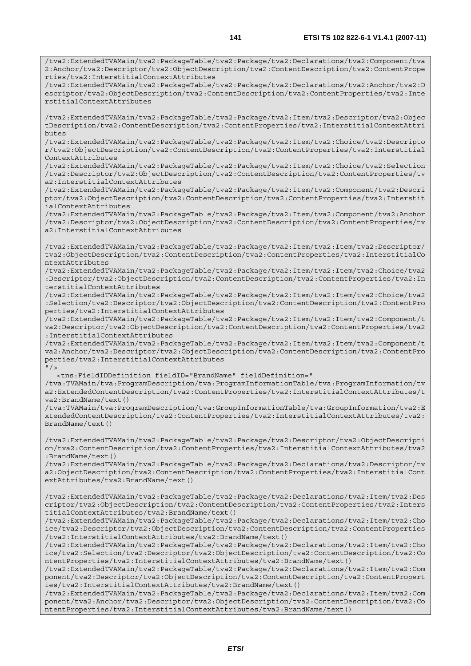/tva2:ExtendedTVAMain/tva2:PackageTable/tva2:Package/tva2:Declarations/tva2:Component/tva 2:Anchor/tva2:Descriptor/tva2:ObjectDescription/tva2:ContentDescription/tva2:ContentPrope rties/tva2:InterstitialContextAttributes

/tva2:ExtendedTVAMain/tva2:PackageTable/tva2:Package/tva2:Declarations/tva2:Anchor/tva2:D escriptor/tva2:ObjectDescription/tva2:ContentDescription/tva2:ContentProperties/tva2:Inte rstitialContextAttributes

/tva2:ExtendedTVAMain/tva2:PackageTable/tva2:Package/tva2:Item/tva2:Descriptor/tva2:Objec tDescription/tva2:ContentDescription/tva2:ContentProperties/tva2:InterstitialContextAttri butes

/tva2:ExtendedTVAMain/tva2:PackageTable/tva2:Package/tva2:Item/tva2:Choice/tva2:Descripto r/tva2:ObjectDescription/tva2:ContentDescription/tva2:ContentProperties/tva2:Interstitial ContextAttributes

/tva2:ExtendedTVAMain/tva2:PackageTable/tva2:Package/tva2:Item/tva2:Choice/tva2:Selection /tva2:Descriptor/tva2:ObjectDescription/tva2:ContentDescription/tva2:ContentProperties/tv a2:InterstitialContextAttributes

/tva2:ExtendedTVAMain/tva2:PackageTable/tva2:Package/tva2:Item/tva2:Component/tva2:Descri ptor/tva2:ObjectDescription/tva2:ContentDescription/tva2:ContentProperties/tva2:Interstit ialContextAttributes

/tva2:ExtendedTVAMain/tva2:PackageTable/tva2:Package/tva2:Item/tva2:Component/tva2:Anchor /tva2:Descriptor/tva2:ObjectDescription/tva2:ContentDescription/tva2:ContentProperties/tv a2:InterstitialContextAttributes

/tva2:ExtendedTVAMain/tva2:PackageTable/tva2:Package/tva2:Item/tva2:Item/tva2:Descriptor/ tva2:ObjectDescription/tva2:ContentDescription/tva2:ContentProperties/tva2:InterstitialCo ntextAttributes

/tva2:ExtendedTVAMain/tva2:PackageTable/tva2:Package/tva2:Item/tva2:Item/tva2:Choice/tva2 :Descriptor/tva2:ObjectDescription/tva2:ContentDescription/tva2:ContentProperties/tva2:In terstitialContextAttributes

/tva2:ExtendedTVAMain/tva2:PackageTable/tva2:Package/tva2:Item/tva2:Item/tva2:Choice/tva2 :Selection/tva2:Descriptor/tva2:ObjectDescription/tva2:ContentDescription/tva2:ContentPro perties/tva2:InterstitialContextAttributes

/tva2:ExtendedTVAMain/tva2:PackageTable/tva2:Package/tva2:Item/tva2:Item/tva2:Component/t va2:Descriptor/tva2:ObjectDescription/tva2:ContentDescription/tva2:ContentProperties/tva2 :InterstitialContextAttributes

/tva2:ExtendedTVAMain/tva2:PackageTable/tva2:Package/tva2:Item/tva2:Item/tva2:Component/t va2:Anchor/tva2:Descriptor/tva2:ObjectDescription/tva2:ContentDescription/tva2:ContentPro perties/tva2:InterstitialContextAttributes  $"$ />

<tns:FieldIDDefinition fieldID="BrandName" fieldDefinition="

/tva:TVAMain/tva:ProgramDescription/tva:ProgramInformationTable/tva:ProgramInformation/tv a2:ExtendedContentDescription/tva2:ContentProperties/tva2:InterstitialContextAttributes/t va2:BrandName/text()

/tva:TVAMain/tva:ProgramDescription/tva:GroupInformationTable/tva:GroupInformation/tva2:E xtendedContentDescription/tva2:ContentProperties/tva2:InterstitialContextAttributes/tva2: BrandName/text()

/tva2:ExtendedTVAMain/tva2:PackageTable/tva2:Package/tva2:Descriptor/tva2:ObjectDescripti on/tva2:ContentDescription/tva2:ContentProperties/tva2:InterstitialContextAttributes/tva2 :BrandName/text()

/tva2:ExtendedTVAMain/tva2:PackageTable/tva2:Package/tva2:Declarations/tva2:Descriptor/tv a2:ObjectDescription/tva2:ContentDescription/tva2:ContentProperties/tva2:InterstitialCont extAttributes/tva2:BrandName/text()

/tva2:ExtendedTVAMain/tva2:PackageTable/tva2:Package/tva2:Declarations/tva2:Item/tva2:Des criptor/tva2:ObjectDescription/tva2:ContentDescription/tva2:ContentProperties/tva2:Inters titialContextAttributes/tva2:BrandName/text()

/tva2:ExtendedTVAMain/tva2:PackageTable/tva2:Package/tva2:Declarations/tva2:Item/tva2:Cho ice/tva2:Descriptor/tva2:ObjectDescription/tva2:ContentDescription/tva2:ContentProperties /tva2:InterstitialContextAttributes/tva2:BrandName/text()

/tva2:ExtendedTVAMain/tva2:PackageTable/tva2:Package/tva2:Declarations/tva2:Item/tva2:Cho ice/tva2:Selection/tva2:Descriptor/tva2:ObjectDescription/tva2:ContentDescription/tva2:Co ntentProperties/tva2:InterstitialContextAttributes/tva2:BrandName/text()

/tva2:ExtendedTVAMain/tva2:PackageTable/tva2:Package/tva2:Declarations/tva2:Item/tva2:Com ponent/tva2:Descriptor/tva2:ObjectDescription/tva2:ContentDescription/tva2:ContentPropert ies/tva2:InterstitialContextAttributes/tva2:BrandName/text()

/tva2:ExtendedTVAMain/tva2:PackageTable/tva2:Package/tva2:Declarations/tva2:Item/tva2:Com ponent/tva2:Anchor/tva2:Descriptor/tva2:ObjectDescription/tva2:ContentDescription/tva2:Co ntentProperties/tva2:InterstitialContextAttributes/tva2:BrandName/text()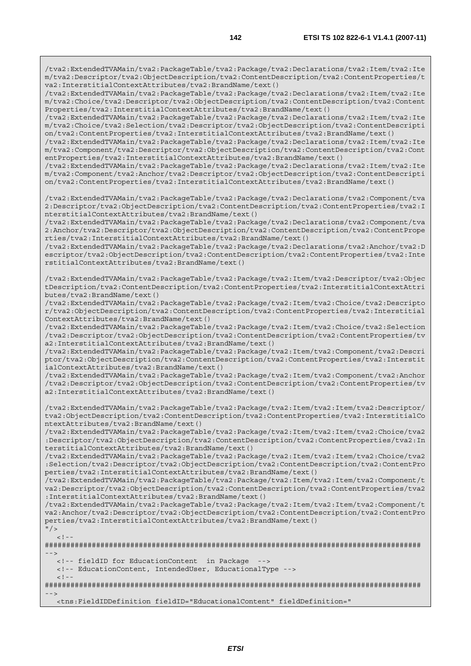/tva2:ExtendedTVAMain/tva2:PackageTable/tva2:Package/tva2:Declarations/tva2:Item/tva2:Ite m/tva2:Descriptor/tva2:ObjectDescription/tva2:ContentDescription/tva2:ContentProperties/t va2:InterstitialContextAttributes/tva2:BrandName/text()

/tva2:ExtendedTVAMain/tva2:PackageTable/tva2:Package/tva2:Declarations/tva2:Item/tva2:Ite m/tva2:Choice/tva2:Descriptor/tva2:ObjectDescription/tva2:ContentDescription/tva2:Content Properties/tva2:InterstitialContextAttributes/tva2:BrandName/text()

/tva2:ExtendedTVAMain/tva2:PackageTable/tva2:Package/tva2:Declarations/tva2:Item/tva2:Ite m/tva2:Choice/tva2:Selection/tva2:Descriptor/tva2:ObjectDescription/tva2:ContentDescripti on/tva2:ContentProperties/tva2:InterstitialContextAttributes/tva2:BrandName/text()

/tva2:ExtendedTVAMain/tva2:PackageTable/tva2:Package/tva2:Declarations/tva2:Item/tva2:Ite m/tva2:Component/tva2:Descriptor/tva2:ObjectDescription/tva2:ContentDescription/tva2:Cont entProperties/tva2:InterstitialContextAttributes/tva2:BrandName/text()

/tva2:ExtendedTVAMain/tva2:PackageTable/tva2:Package/tva2:Declarations/tva2:Item/tva2:Ite m/tva2:Component/tva2:Anchor/tva2:Descriptor/tva2:ObjectDescription/tva2:ContentDescripti on/tva2:ContentProperties/tva2:InterstitialContextAttributes/tva2:BrandName/text()

/tva2:ExtendedTVAMain/tva2:PackageTable/tva2:Package/tva2:Declarations/tva2:Component/tva 2:Descriptor/tva2:ObjectDescription/tva2:ContentDescription/tva2:ContentProperties/tva2:I nterstitialContextAttributes/tva2:BrandName/text()

/tva2:ExtendedTVAMain/tva2:PackageTable/tva2:Package/tva2:Declarations/tva2:Component/tva 2:Anchor/tva2:Descriptor/tva2:ObjectDescription/tva2:ContentDescription/tva2:ContentPrope rties/tva2:InterstitialContextAttributes/tva2:BrandName/text()

/tva2:ExtendedTVAMain/tva2:PackageTable/tva2:Package/tva2:Declarations/tva2:Anchor/tva2:D escriptor/tva2:ObjectDescription/tva2:ContentDescription/tva2:ContentProperties/tva2:Inte rstitialContextAttributes/tva2:BrandName/text()

/tva2:ExtendedTVAMain/tva2:PackageTable/tva2:Package/tva2:Item/tva2:Descriptor/tva2:Objec tDescription/tva2:ContentDescription/tva2:ContentProperties/tva2:InterstitialContextAttri butes/tva2:BrandName/text()

/tva2:ExtendedTVAMain/tva2:PackageTable/tva2:Package/tva2:Item/tva2:Choice/tva2:Descripto r/tva2:ObjectDescription/tva2:ContentDescription/tva2:ContentProperties/tva2:Interstitial ContextAttributes/tva2:BrandName/text()

/tva2:ExtendedTVAMain/tva2:PackageTable/tva2:Package/tva2:Item/tva2:Choice/tva2:Selection /tva2:Descriptor/tva2:ObjectDescription/tva2:ContentDescription/tva2:ContentProperties/tv a2:InterstitialContextAttributes/tva2:BrandName/text()

/tva2:ExtendedTVAMain/tva2:PackageTable/tva2:Package/tva2:Item/tva2:Component/tva2:Descri ptor/tva2:ObjectDescription/tva2:ContentDescription/tva2:ContentProperties/tva2:Interstit ialContextAttributes/tva2:BrandName/text()

/tva2:ExtendedTVAMain/tva2:PackageTable/tva2:Package/tva2:Item/tva2:Component/tva2:Anchor /tva2:Descriptor/tva2:ObjectDescription/tva2:ContentDescription/tva2:ContentProperties/tv a2:InterstitialContextAttributes/tva2:BrandName/text()

/tva2:ExtendedTVAMain/tva2:PackageTable/tva2:Package/tva2:Item/tva2:Item/tva2:Descriptor/ tva2:ObjectDescription/tva2:ContentDescription/tva2:ContentProperties/tva2:InterstitialCo ntextAttributes/tva2:BrandName/text()

/tva2:ExtendedTVAMain/tva2:PackageTable/tva2:Package/tva2:Item/tva2:Item/tva2:Choice/tva2 :Descriptor/tva2:ObjectDescription/tva2:ContentDescription/tva2:ContentProperties/tva2:In terstitialContextAttributes/tva2:BrandName/text()

/tva2:ExtendedTVAMain/tva2:PackageTable/tva2:Package/tva2:Item/tva2:Item/tva2:Choice/tva2 :Selection/tva2:Descriptor/tva2:ObjectDescription/tva2:ContentDescription/tva2:ContentPro perties/tva2:InterstitialContextAttributes/tva2:BrandName/text()

/tva2:ExtendedTVAMain/tva2:PackageTable/tva2:Package/tva2:Item/tva2:Item/tva2:Component/t va2:Descriptor/tva2:ObjectDescription/tva2:ContentDescription/tva2:ContentProperties/tva2 :InterstitialContextAttributes/tva2:BrandName/text()

/tva2:ExtendedTVAMain/tva2:PackageTable/tva2:Package/tva2:Item/tva2:Item/tva2:Component/t va2:Anchor/tva2:Descriptor/tva2:ObjectDescription/tva2:ContentDescription/tva2:ContentPro perties/tva2:InterstitialContextAttributes/tva2:BrandName/text()

```
^{\prime\prime} / >
        <! --
```
######################################################################################## -->

<!-- fieldID for EducationContent in Package -->

<!-- EducationContent, IntendedUser, EducationalType -->

 $\lt$  !  $-$ 

######################################################################################## -->

<tns:FieldIDDefinition fieldID="EducationalContent" fieldDefinition="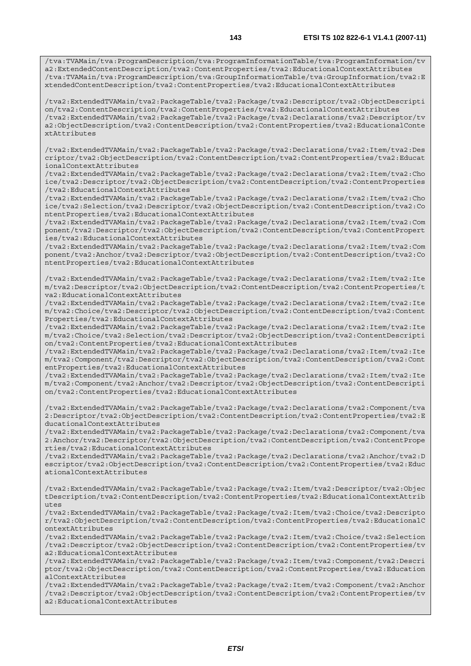/tva2:ExtendedTVAMain/tva2:PackageTable/tva2:Package/tva2:Descriptor/tva2:ObjectDescripti on/tva2:ContentDescription/tva2:ContentProperties/tva2:EducationalContextAttributes /tva2:ExtendedTVAMain/tva2:PackageTable/tva2:Package/tva2:Declarations/tva2:Descriptor/tv a2:ObjectDescription/tva2:ContentDescription/tva2:ContentProperties/tva2:EducationalConte xtAttributes

/tva2:ExtendedTVAMain/tva2:PackageTable/tva2:Package/tva2:Declarations/tva2:Item/tva2:Des criptor/tva2:ObjectDescription/tva2:ContentDescription/tva2:ContentProperties/tva2:Educat ionalContextAttributes

/tva2:ExtendedTVAMain/tva2:PackageTable/tva2:Package/tva2:Declarations/tva2:Item/tva2:Cho ice/tva2:Descriptor/tva2:ObjectDescription/tva2:ContentDescription/tva2:ContentProperties /tva2:EducationalContextAttributes

/tva2:ExtendedTVAMain/tva2:PackageTable/tva2:Package/tva2:Declarations/tva2:Item/tva2:Cho ice/tva2:Selection/tva2:Descriptor/tva2:ObjectDescription/tva2:ContentDescription/tva2:Co ntentProperties/tva2:EducationalContextAttributes

/tva2:ExtendedTVAMain/tva2:PackageTable/tva2:Package/tva2:Declarations/tva2:Item/tva2:Com ponent/tva2:Descriptor/tva2:ObjectDescription/tva2:ContentDescription/tva2:ContentPropert ies/tva2:EducationalContextAttributes

/tva2:ExtendedTVAMain/tva2:PackageTable/tva2:Package/tva2:Declarations/tva2:Item/tva2:Com ponent/tva2:Anchor/tva2:Descriptor/tva2:ObjectDescription/tva2:ContentDescription/tva2:Co ntentProperties/tva2:EducationalContextAttributes

/tva2:ExtendedTVAMain/tva2:PackageTable/tva2:Package/tva2:Declarations/tva2:Item/tva2:Ite m/tva2:Descriptor/tva2:ObjectDescription/tva2:ContentDescription/tva2:ContentProperties/t va2:EducationalContextAttributes

/tva2:ExtendedTVAMain/tva2:PackageTable/tva2:Package/tva2:Declarations/tva2:Item/tva2:Ite m/tva2:Choice/tva2:Descriptor/tva2:ObjectDescription/tva2:ContentDescription/tva2:Content Properties/tva2:EducationalContextAttributes

/tva2:ExtendedTVAMain/tva2:PackageTable/tva2:Package/tva2:Declarations/tva2:Item/tva2:Ite m/tva2:Choice/tva2:Selection/tva2:Descriptor/tva2:ObjectDescription/tva2:ContentDescripti on/tva2:ContentProperties/tva2:EducationalContextAttributes

/tva2:ExtendedTVAMain/tva2:PackageTable/tva2:Package/tva2:Declarations/tva2:Item/tva2:Ite m/tva2:Component/tva2:Descriptor/tva2:ObjectDescription/tva2:ContentDescription/tva2:Cont entProperties/tva2:EducationalContextAttributes

/tva2:ExtendedTVAMain/tva2:PackageTable/tva2:Package/tva2:Declarations/tva2:Item/tva2:Ite m/tva2:Component/tva2:Anchor/tva2:Descriptor/tva2:ObjectDescription/tva2:ContentDescripti on/tva2:ContentProperties/tva2:EducationalContextAttributes

/tva2:ExtendedTVAMain/tva2:PackageTable/tva2:Package/tva2:Declarations/tva2:Component/tva 2:Descriptor/tva2:ObjectDescription/tva2:ContentDescription/tva2:ContentProperties/tva2:E ducationalContextAttributes

/tva2:ExtendedTVAMain/tva2:PackageTable/tva2:Package/tva2:Declarations/tva2:Component/tva 2:Anchor/tva2:Descriptor/tva2:ObjectDescription/tva2:ContentDescription/tva2:ContentPrope rties/tva2:EducationalContextAttributes

/tva2:ExtendedTVAMain/tva2:PackageTable/tva2:Package/tva2:Declarations/tva2:Anchor/tva2:D escriptor/tva2:ObjectDescription/tva2:ContentDescription/tva2:ContentProperties/tva2:Educ ationalContextAttributes

/tva2:ExtendedTVAMain/tva2:PackageTable/tva2:Package/tva2:Item/tva2:Descriptor/tva2:Objec tDescription/tva2:ContentDescription/tva2:ContentProperties/tva2:EducationalContextAttrib utes

/tva2:ExtendedTVAMain/tva2:PackageTable/tva2:Package/tva2:Item/tva2:Choice/tva2:Descripto r/tva2:ObjectDescription/tva2:ContentDescription/tva2:ContentProperties/tva2:EducationalC ontextAttributes

/tva2:ExtendedTVAMain/tva2:PackageTable/tva2:Package/tva2:Item/tva2:Choice/tva2:Selection /tva2:Descriptor/tva2:ObjectDescription/tva2:ContentDescription/tva2:ContentProperties/tv a2:EducationalContextAttributes

/tva2:ExtendedTVAMain/tva2:PackageTable/tva2:Package/tva2:Item/tva2:Component/tva2:Descri ptor/tva2:ObjectDescription/tva2:ContentDescription/tva2:ContentProperties/tva2:Education alContextAttributes

/tva2:ExtendedTVAMain/tva2:PackageTable/tva2:Package/tva2:Item/tva2:Component/tva2:Anchor /tva2:Descriptor/tva2:ObjectDescription/tva2:ContentDescription/tva2:ContentProperties/tv a2:EducationalContextAttributes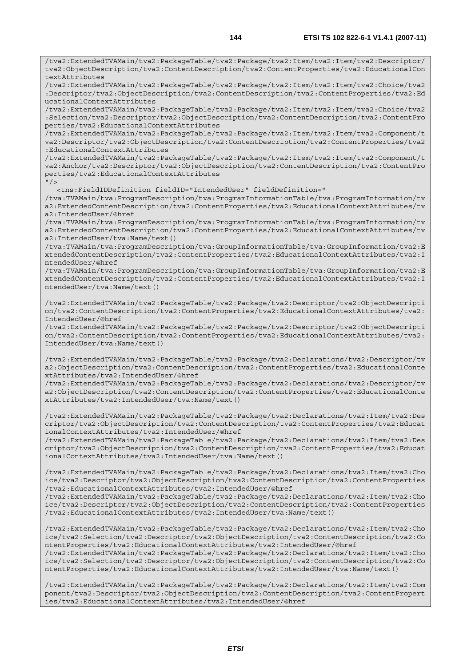/tva2:ExtendedTVAMain/tva2:PackageTable/tva2:Package/tva2:Item/tva2:Item/tva2:Descriptor/ tva2:ObjectDescription/tva2:ContentDescription/tva2:ContentProperties/tva2:EducationalCon textAttributes

/tva2:ExtendedTVAMain/tva2:PackageTable/tva2:Package/tva2:Item/tva2:Item/tva2:Choice/tva2 :Descriptor/tva2:ObjectDescription/tva2:ContentDescription/tva2:ContentProperties/tva2:Ed ucationalContextAttributes

/tva2:ExtendedTVAMain/tva2:PackageTable/tva2:Package/tva2:Item/tva2:Item/tva2:Choice/tva2 :Selection/tva2:Descriptor/tva2:ObjectDescription/tva2:ContentDescription/tva2:ContentPro perties/tva2:EducationalContextAttributes

/tva2:ExtendedTVAMain/tva2:PackageTable/tva2:Package/tva2:Item/tva2:Item/tva2:Component/t va2:Descriptor/tva2:ObjectDescription/tva2:ContentDescription/tva2:ContentProperties/tva2 :EducationalContextAttributes

/tva2:ExtendedTVAMain/tva2:PackageTable/tva2:Package/tva2:Item/tva2:Item/tva2:Component/t va2:Anchor/tva2:Descriptor/tva2:ObjectDescription/tva2:ContentDescription/tva2:ContentPro perties/tva2:EducationalContextAttributes  $"$  />

<tns:FieldIDDefinition fieldID="IntendedUser" fieldDefinition="

/tva:TVAMain/tva:ProgramDescription/tva:ProgramInformationTable/tva:ProgramInformation/tv a2:ExtendedContentDescription/tva2:ContentProperties/tva2:EducationalContextAttributes/tv a2:IntendedUser/@href

/tva:TVAMain/tva:ProgramDescription/tva:ProgramInformationTable/tva:ProgramInformation/tv a2:ExtendedContentDescription/tva2:ContentProperties/tva2:EducationalContextAttributes/tv a2:IntendedUser/tva:Name/text()

/tva:TVAMain/tva:ProgramDescription/tva:GroupInformationTable/tva:GroupInformation/tva2:E xtendedContentDescription/tva2:ContentProperties/tva2:EducationalContextAttributes/tva2:I ntendedUser/@href

/tva:TVAMain/tva:ProgramDescription/tva:GroupInformationTable/tva:GroupInformation/tva2:E xtendedContentDescription/tva2:ContentProperties/tva2:EducationalContextAttributes/tva2:I ntendedUser/tva:Name/text()

/tva2:ExtendedTVAMain/tva2:PackageTable/tva2:Package/tva2:Descriptor/tva2:ObjectDescripti on/tva2:ContentDescription/tva2:ContentProperties/tva2:EducationalContextAttributes/tva2: IntendedUser/@href

/tva2:ExtendedTVAMain/tva2:PackageTable/tva2:Package/tva2:Descriptor/tva2:ObjectDescripti on/tva2:ContentDescription/tva2:ContentProperties/tva2:EducationalContextAttributes/tva2: IntendedUser/tva:Name/text()

/tva2:ExtendedTVAMain/tva2:PackageTable/tva2:Package/tva2:Declarations/tva2:Descriptor/tv a2:ObjectDescription/tva2:ContentDescription/tva2:ContentProperties/tva2:EducationalConte xtAttributes/tva2:IntendedUser/@href

/tva2:ExtendedTVAMain/tva2:PackageTable/tva2:Package/tva2:Declarations/tva2:Descriptor/tv a2:ObjectDescription/tva2:ContentDescription/tva2:ContentProperties/tva2:EducationalConte xtAttributes/tva2:IntendedUser/tva:Name/text()

/tva2:ExtendedTVAMain/tva2:PackageTable/tva2:Package/tva2:Declarations/tva2:Item/tva2:Des criptor/tva2:ObjectDescription/tva2:ContentDescription/tva2:ContentProperties/tva2:Educat ionalContextAttributes/tva2:IntendedUser/@href

/tva2:ExtendedTVAMain/tva2:PackageTable/tva2:Package/tva2:Declarations/tva2:Item/tva2:Des criptor/tva2:ObjectDescription/tva2:ContentDescription/tva2:ContentProperties/tva2:Educat ionalContextAttributes/tva2:IntendedUser/tva:Name/text()

/tva2:ExtendedTVAMain/tva2:PackageTable/tva2:Package/tva2:Declarations/tva2:Item/tva2:Cho ice/tva2:Descriptor/tva2:ObjectDescription/tva2:ContentDescription/tva2:ContentProperties /tva2:EducationalContextAttributes/tva2:IntendedUser/@href

/tva2:ExtendedTVAMain/tva2:PackageTable/tva2:Package/tva2:Declarations/tva2:Item/tva2:Cho ice/tva2:Descriptor/tva2:ObjectDescription/tva2:ContentDescription/tva2:ContentProperties /tva2:EducationalContextAttributes/tva2:IntendedUser/tva:Name/text()

/tva2:ExtendedTVAMain/tva2:PackageTable/tva2:Package/tva2:Declarations/tva2:Item/tva2:Cho ice/tva2:Selection/tva2:Descriptor/tva2:ObjectDescription/tva2:ContentDescription/tva2:Co ntentProperties/tva2:EducationalContextAttributes/tva2:IntendedUser/@href /tva2:ExtendedTVAMain/tva2:PackageTable/tva2:Package/tva2:Declarations/tva2:Item/tva2:Cho

ice/tva2:Selection/tva2:Descriptor/tva2:ObjectDescription/tva2:ContentDescription/tva2:Co ntentProperties/tva2:EducationalContextAttributes/tva2:IntendedUser/tva:Name/text()

/tva2:ExtendedTVAMain/tva2:PackageTable/tva2:Package/tva2:Declarations/tva2:Item/tva2:Com ponent/tva2:Descriptor/tva2:ObjectDescription/tva2:ContentDescription/tva2:ContentPropert ies/tva2:EducationalContextAttributes/tva2:IntendedUser/@href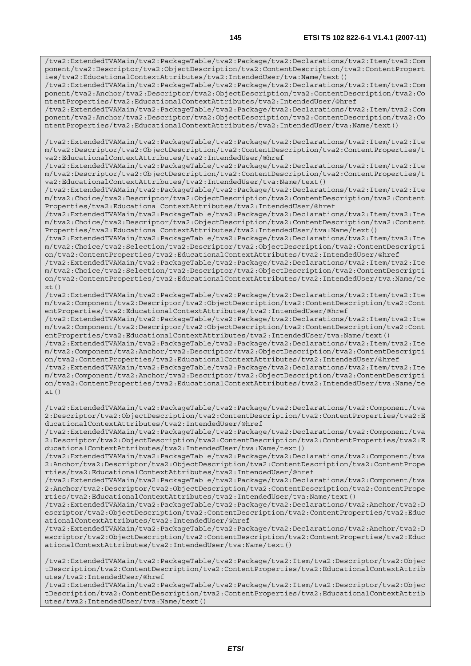/tva2:ExtendedTVAMain/tva2:PackageTable/tva2:Package/tva2:Declarations/tva2:Item/tva2:Com ponent/tva2:Descriptor/tva2:ObjectDescription/tva2:ContentDescription/tva2:ContentPropert ies/tva2:EducationalContextAttributes/tva2:IntendedUser/tva:Name/text()

/tva2:ExtendedTVAMain/tva2:PackageTable/tva2:Package/tva2:Declarations/tva2:Item/tva2:Com ponent/tva2:Anchor/tva2:Descriptor/tva2:ObjectDescription/tva2:ContentDescription/tva2:Co ntentProperties/tva2:EducationalContextAttributes/tva2:IntendedUser/@href

/tva2:ExtendedTVAMain/tva2:PackageTable/tva2:Package/tva2:Declarations/tva2:Item/tva2:Com ponent/tva2:Anchor/tva2:Descriptor/tva2:ObjectDescription/tva2:ContentDescription/tva2:Co ntentProperties/tva2:EducationalContextAttributes/tva2:IntendedUser/tva:Name/text()

/tva2:ExtendedTVAMain/tva2:PackageTable/tva2:Package/tva2:Declarations/tva2:Item/tva2:Ite m/tva2:Descriptor/tva2:ObjectDescription/tva2:ContentDescription/tva2:ContentProperties/t va2:EducationalContextAttributes/tva2:IntendedUser/@href

/tva2:ExtendedTVAMain/tva2:PackageTable/tva2:Package/tva2:Declarations/tva2:Item/tva2:Ite m/tva2:Descriptor/tva2:ObjectDescription/tva2:ContentDescription/tva2:ContentProperties/t va2:EducationalContextAttributes/tva2:IntendedUser/tva:Name/text()

/tva2:ExtendedTVAMain/tva2:PackageTable/tva2:Package/tva2:Declarations/tva2:Item/tva2:Ite m/tva2:Choice/tva2:Descriptor/tva2:ObjectDescription/tva2:ContentDescription/tva2:Content Properties/tva2:EducationalContextAttributes/tva2:IntendedUser/@href

/tva2:ExtendedTVAMain/tva2:PackageTable/tva2:Package/tva2:Declarations/tva2:Item/tva2:Ite m/tva2:Choice/tva2:Descriptor/tva2:ObjectDescription/tva2:ContentDescription/tva2:Content Properties/tva2:EducationalContextAttributes/tva2:IntendedUser/tva:Name/text()

/tva2:ExtendedTVAMain/tva2:PackageTable/tva2:Package/tva2:Declarations/tva2:Item/tva2:Ite m/tva2:Choice/tva2:Selection/tva2:Descriptor/tva2:ObjectDescription/tva2:ContentDescripti on/tva2:ContentProperties/tva2:EducationalContextAttributes/tva2:IntendedUser/@href

/tva2:ExtendedTVAMain/tva2:PackageTable/tva2:Package/tva2:Declarations/tva2:Item/tva2:Ite m/tva2:Choice/tva2:Selection/tva2:Descriptor/tva2:ObjectDescription/tva2:ContentDescripti on/tva2:ContentProperties/tva2:EducationalContextAttributes/tva2:IntendedUser/tva:Name/te  $xt()$ 

/tva2:ExtendedTVAMain/tva2:PackageTable/tva2:Package/tva2:Declarations/tva2:Item/tva2:Ite m/tva2:Component/tva2:Descriptor/tva2:ObjectDescription/tva2:ContentDescription/tva2:Cont entProperties/tva2:EducationalContextAttributes/tva2:IntendedUser/@href

/tva2:ExtendedTVAMain/tva2:PackageTable/tva2:Package/tva2:Declarations/tva2:Item/tva2:Ite m/tva2:Component/tva2:Descriptor/tva2:ObjectDescription/tva2:ContentDescription/tva2:Cont entProperties/tva2:EducationalContextAttributes/tva2:IntendedUser/tva:Name/text()

/tva2:ExtendedTVAMain/tva2:PackageTable/tva2:Package/tva2:Declarations/tva2:Item/tva2:Ite m/tva2:Component/tva2:Anchor/tva2:Descriptor/tva2:ObjectDescription/tva2:ContentDescripti on/tva2:ContentProperties/tva2:EducationalContextAttributes/tva2:IntendedUser/@href

/tva2:ExtendedTVAMain/tva2:PackageTable/tva2:Package/tva2:Declarations/tva2:Item/tva2:Ite m/tva2:Component/tva2:Anchor/tva2:Descriptor/tva2:ObjectDescription/tva2:ContentDescripti on/tva2:ContentProperties/tva2:EducationalContextAttributes/tva2:IntendedUser/tva:Name/te xt()

/tva2:ExtendedTVAMain/tva2:PackageTable/tva2:Package/tva2:Declarations/tva2:Component/tva 2:Descriptor/tva2:ObjectDescription/tva2:ContentDescription/tva2:ContentProperties/tva2:E ducationalContextAttributes/tva2:IntendedUser/@href

/tva2:ExtendedTVAMain/tva2:PackageTable/tva2:Package/tva2:Declarations/tva2:Component/tva 2:Descriptor/tva2:ObjectDescription/tva2:ContentDescription/tva2:ContentProperties/tva2:E ducationalContextAttributes/tva2:IntendedUser/tva:Name/text()

/tva2:ExtendedTVAMain/tva2:PackageTable/tva2:Package/tva2:Declarations/tva2:Component/tva 2:Anchor/tva2:Descriptor/tva2:ObjectDescription/tva2:ContentDescription/tva2:ContentPrope rties/tva2:EducationalContextAttributes/tva2:IntendedUser/@href

/tva2:ExtendedTVAMain/tva2:PackageTable/tva2:Package/tva2:Declarations/tva2:Component/tva 2:Anchor/tva2:Descriptor/tva2:ObjectDescription/tva2:ContentDescription/tva2:ContentPrope rties/tva2:EducationalContextAttributes/tva2:IntendedUser/tva:Name/text()

/tva2:ExtendedTVAMain/tva2:PackageTable/tva2:Package/tva2:Declarations/tva2:Anchor/tva2:D escriptor/tva2:ObjectDescription/tva2:ContentDescription/tva2:ContentProperties/tva2:Educ ationalContextAttributes/tva2:IntendedUser/@href

/tva2:ExtendedTVAMain/tva2:PackageTable/tva2:Package/tva2:Declarations/tva2:Anchor/tva2:D escriptor/tva2:ObjectDescription/tva2:ContentDescription/tva2:ContentProperties/tva2:Educ ationalContextAttributes/tva2:IntendedUser/tva:Name/text()

/tva2:ExtendedTVAMain/tva2:PackageTable/tva2:Package/tva2:Item/tva2:Descriptor/tva2:Objec tDescription/tva2:ContentDescription/tva2:ContentProperties/tva2:EducationalContextAttrib utes/tva2:IntendedUser/@href

/tva2:ExtendedTVAMain/tva2:PackageTable/tva2:Package/tva2:Item/tva2:Descriptor/tva2:Objec tDescription/tva2:ContentDescription/tva2:ContentProperties/tva2:EducationalContextAttrib utes/tva2:IntendedUser/tva:Name/text()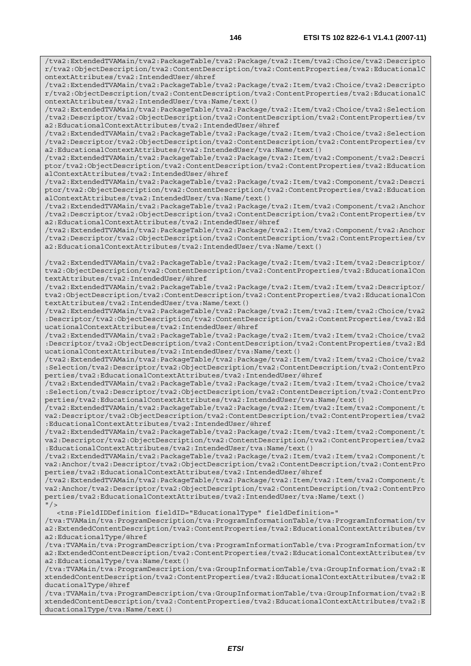/tva2:ExtendedTVAMain/tva2:PackageTable/tva2:Package/tva2:Item/tva2:Choice/tva2:Descripto r/tva2:ObjectDescription/tva2:ContentDescription/tva2:ContentProperties/tva2:EducationalC

ontextAttributes/tva2:IntendedUser/@href

/tva2:ExtendedTVAMain/tva2:PackageTable/tva2:Package/tva2:Item/tva2:Choice/tva2:Descripto r/tva2:ObjectDescription/tva2:ContentDescription/tva2:ContentProperties/tva2:EducationalC ontextAttributes/tva2:IntendedUser/tva:Name/text() /tva2:ExtendedTVAMain/tva2:PackageTable/tva2:Package/tva2:Item/tva2:Choice/tva2:Selection /tva2:Descriptor/tva2:ObjectDescription/tva2:ContentDescription/tva2:ContentProperties/tv a2:EducationalContextAttributes/tva2:IntendedUser/@href /tva2:ExtendedTVAMain/tva2:PackageTable/tva2:Package/tva2:Item/tva2:Choice/tva2:Selection /tva2:Descriptor/tva2:ObjectDescription/tva2:ContentDescription/tva2:ContentProperties/tv a2:EducationalContextAttributes/tva2:IntendedUser/tva:Name/text() /tva2:ExtendedTVAMain/tva2:PackageTable/tva2:Package/tva2:Item/tva2:Component/tva2:Descri ptor/tva2:ObjectDescription/tva2:ContentDescription/tva2:ContentProperties/tva2:Education alContextAttributes/tva2:IntendedUser/@href /tva2:ExtendedTVAMain/tva2:PackageTable/tva2:Package/tva2:Item/tva2:Component/tva2:Descri ptor/tva2:ObjectDescription/tva2:ContentDescription/tva2:ContentProperties/tva2:Education alContextAttributes/tva2:IntendedUser/tva:Name/text() /tva2:ExtendedTVAMain/tva2:PackageTable/tva2:Package/tva2:Item/tva2:Component/tva2:Anchor /tva2:Descriptor/tva2:ObjectDescription/tva2:ContentDescription/tva2:ContentProperties/tv a2:EducationalContextAttributes/tva2:IntendedUser/@href /tva2:ExtendedTVAMain/tva2:PackageTable/tva2:Package/tva2:Item/tva2:Component/tva2:Anchor /tva2:Descriptor/tva2:ObjectDescription/tva2:ContentDescription/tva2:ContentProperties/tv a2:EducationalContextAttributes/tva2:IntendedUser/tva:Name/text() /tva2:ExtendedTVAMain/tva2:PackageTable/tva2:Package/tva2:Item/tva2:Item/tva2:Descriptor/ tva2:ObjectDescription/tva2:ContentDescription/tva2:ContentProperties/tva2:EducationalCon textAttributes/tva2:IntendedUser/@href /tva2:ExtendedTVAMain/tva2:PackageTable/tva2:Package/tva2:Item/tva2:Item/tva2:Descriptor/ tva2:ObjectDescription/tva2:ContentDescription/tva2:ContentProperties/tva2:EducationalCon textAttributes/tva2:IntendedUser/tva:Name/text() /tva2:ExtendedTVAMain/tva2:PackageTable/tva2:Package/tva2:Item/tva2:Item/tva2:Choice/tva2 :Descriptor/tva2:ObjectDescription/tva2:ContentDescription/tva2:ContentProperties/tva2:Ed ucationalContextAttributes/tva2:IntendedUser/@href /tva2:ExtendedTVAMain/tva2:PackageTable/tva2:Package/tva2:Item/tva2:Item/tva2:Choice/tva2 :Descriptor/tva2:ObjectDescription/tva2:ContentDescription/tva2:ContentProperties/tva2:Ed ucationalContextAttributes/tva2:IntendedUser/tva:Name/text() /tva2:ExtendedTVAMain/tva2:PackageTable/tva2:Package/tva2:Item/tva2:Item/tva2:Choice/tva2 :Selection/tva2:Descriptor/tva2:ObjectDescription/tva2:ContentDescription/tva2:ContentPro perties/tva2:EducationalContextAttributes/tva2:IntendedUser/@href /tva2:ExtendedTVAMain/tva2:PackageTable/tva2:Package/tva2:Item/tva2:Item/tva2:Choice/tva2 :Selection/tva2:Descriptor/tva2:ObjectDescription/tva2:ContentDescription/tva2:ContentPro perties/tva2:EducationalContextAttributes/tva2:IntendedUser/tva:Name/text() /tva2:ExtendedTVAMain/tva2:PackageTable/tva2:Package/tva2:Item/tva2:Item/tva2:Component/t va2:Descriptor/tva2:ObjectDescription/tva2:ContentDescription/tva2:ContentProperties/tva2 :EducationalContextAttributes/tva2:IntendedUser/@href /tva2:ExtendedTVAMain/tva2:PackageTable/tva2:Package/tva2:Item/tva2:Item/tva2:Component/t va2:Descriptor/tva2:ObjectDescription/tva2:ContentDescription/tva2:ContentProperties/tva2 :EducationalContextAttributes/tva2:IntendedUser/tva:Name/text() /tva2:ExtendedTVAMain/tva2:PackageTable/tva2:Package/tva2:Item/tva2:Item/tva2:Component/t va2:Anchor/tva2:Descriptor/tva2:ObjectDescription/tva2:ContentDescription/tva2:ContentPro perties/tva2:EducationalContextAttributes/tva2:IntendedUser/@href /tva2:ExtendedTVAMain/tva2:PackageTable/tva2:Package/tva2:Item/tva2:Item/tva2:Component/t va2:Anchor/tva2:Descriptor/tva2:ObjectDescription/tva2:ContentDescription/tva2:ContentPro perties/tva2:EducationalContextAttributes/tva2:IntendedUser/tva:Name/text()  $"$  / > <tns:FieldIDDefinition fieldID="EducationalType" fieldDefinition=" /tva:TVAMain/tva:ProgramDescription/tva:ProgramInformationTable/tva:ProgramInformation/tv a2:ExtendedContentDescription/tva2:ContentProperties/tva2:EducationalContextAttributes/tv a2:EducationalType/@href /tva:TVAMain/tva:ProgramDescription/tva:ProgramInformationTable/tva:ProgramInformation/tv a2:ExtendedContentDescription/tva2:ContentProperties/tva2:EducationalContextAttributes/tv

a2:EducationalType/tva:Name/text() /tva:TVAMain/tva:ProgramDescription/tva:GroupInformationTable/tva:GroupInformation/tva2:E xtendedContentDescription/tva2:ContentProperties/tva2:EducationalContextAttributes/tva2:E ducationalType/@href

/tva:TVAMain/tva:ProgramDescription/tva:GroupInformationTable/tva:GroupInformation/tva2:E xtendedContentDescription/tva2:ContentProperties/tva2:EducationalContextAttributes/tva2:E ducationalType/tva:Name/text()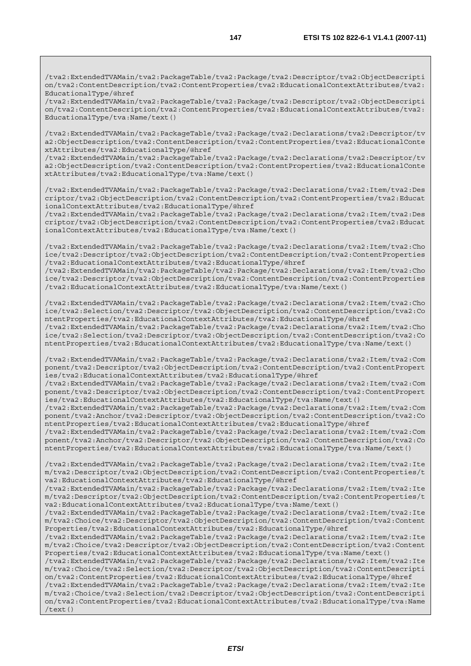/tva2:ExtendedTVAMain/tva2:PackageTable/tva2:Package/tva2:Descriptor/tva2:ObjectDescripti on/tva2:ContentDescription/tva2:ContentProperties/tva2:EducationalContextAttributes/tva2: EducationalType/@href

/tva2:ExtendedTVAMain/tva2:PackageTable/tva2:Package/tva2:Descriptor/tva2:ObjectDescripti on/tva2:ContentDescription/tva2:ContentProperties/tva2:EducationalContextAttributes/tva2: EducationalType/tva:Name/text()

/tva2:ExtendedTVAMain/tva2:PackageTable/tva2:Package/tva2:Declarations/tva2:Descriptor/tv a2:ObjectDescription/tva2:ContentDescription/tva2:ContentProperties/tva2:EducationalConte xtAttributes/tva2:EducationalType/@href

/tva2:ExtendedTVAMain/tva2:PackageTable/tva2:Package/tva2:Declarations/tva2:Descriptor/tv a2:ObjectDescription/tva2:ContentDescription/tva2:ContentProperties/tva2:EducationalConte xtAttributes/tva2:EducationalType/tva:Name/text()

/tva2:ExtendedTVAMain/tva2:PackageTable/tva2:Package/tva2:Declarations/tva2:Item/tva2:Des criptor/tva2:ObjectDescription/tva2:ContentDescription/tva2:ContentProperties/tva2:Educat ionalContextAttributes/tva2:EducationalType/@href

/tva2:ExtendedTVAMain/tva2:PackageTable/tva2:Package/tva2:Declarations/tva2:Item/tva2:Des criptor/tva2:ObjectDescription/tva2:ContentDescription/tva2:ContentProperties/tva2:Educat ionalContextAttributes/tva2:EducationalType/tva:Name/text()

/tva2:ExtendedTVAMain/tva2:PackageTable/tva2:Package/tva2:Declarations/tva2:Item/tva2:Cho ice/tva2:Descriptor/tva2:ObjectDescription/tva2:ContentDescription/tva2:ContentProperties /tva2:EducationalContextAttributes/tva2:EducationalType/@href /tva2:ExtendedTVAMain/tva2:PackageTable/tva2:Package/tva2:Declarations/tva2:Item/tva2:Cho

ice/tva2:Descriptor/tva2:ObjectDescription/tva2:ContentDescription/tva2:ContentProperties /tva2:EducationalContextAttributes/tva2:EducationalType/tva:Name/text()

/tva2:ExtendedTVAMain/tva2:PackageTable/tva2:Package/tva2:Declarations/tva2:Item/tva2:Cho ice/tva2:Selection/tva2:Descriptor/tva2:ObjectDescription/tva2:ContentDescription/tva2:Co ntentProperties/tva2:EducationalContextAttributes/tva2:EducationalType/@href /tva2:ExtendedTVAMain/tva2:PackageTable/tva2:Package/tva2:Declarations/tva2:Item/tva2:Cho ice/tva2:Selection/tva2:Descriptor/tva2:ObjectDescription/tva2:ContentDescription/tva2:Co ntentProperties/tva2:EducationalContextAttributes/tva2:EducationalType/tva:Name/text()

/tva2:ExtendedTVAMain/tva2:PackageTable/tva2:Package/tva2:Declarations/tva2:Item/tva2:Com ponent/tva2:Descriptor/tva2:ObjectDescription/tva2:ContentDescription/tva2:ContentPropert ies/tva2:EducationalContextAttributes/tva2:EducationalType/@href

/tva2:ExtendedTVAMain/tva2:PackageTable/tva2:Package/tva2:Declarations/tva2:Item/tva2:Com ponent/tva2:Descriptor/tva2:ObjectDescription/tva2:ContentDescription/tva2:ContentPropert ies/tva2:EducationalContextAttributes/tva2:EducationalType/tva:Name/text()

/tva2:ExtendedTVAMain/tva2:PackageTable/tva2:Package/tva2:Declarations/tva2:Item/tva2:Com ponent/tva2:Anchor/tva2:Descriptor/tva2:ObjectDescription/tva2:ContentDescription/tva2:Co ntentProperties/tva2:EducationalContextAttributes/tva2:EducationalType/@href

/tva2:ExtendedTVAMain/tva2:PackageTable/tva2:Package/tva2:Declarations/tva2:Item/tva2:Com ponent/tva2:Anchor/tva2:Descriptor/tva2:ObjectDescription/tva2:ContentDescription/tva2:Co ntentProperties/tva2:EducationalContextAttributes/tva2:EducationalType/tva:Name/text()

/tva2:ExtendedTVAMain/tva2:PackageTable/tva2:Package/tva2:Declarations/tva2:Item/tva2:Ite m/tva2:Descriptor/tva2:ObjectDescription/tva2:ContentDescription/tva2:ContentProperties/t va2:EducationalContextAttributes/tva2:EducationalType/@href

/tva2:ExtendedTVAMain/tva2:PackageTable/tva2:Package/tva2:Declarations/tva2:Item/tva2:Ite m/tva2:Descriptor/tva2:ObjectDescription/tva2:ContentDescription/tva2:ContentProperties/t va2:EducationalContextAttributes/tva2:EducationalType/tva:Name/text()

/tva2:ExtendedTVAMain/tva2:PackageTable/tva2:Package/tva2:Declarations/tva2:Item/tva2:Ite m/tva2:Choice/tva2:Descriptor/tva2:ObjectDescription/tva2:ContentDescription/tva2:Content Properties/tva2:EducationalContextAttributes/tva2:EducationalType/@href

/tva2:ExtendedTVAMain/tva2:PackageTable/tva2:Package/tva2:Declarations/tva2:Item/tva2:Ite m/tva2:Choice/tva2:Descriptor/tva2:ObjectDescription/tva2:ContentDescription/tva2:Content Properties/tva2:EducationalContextAttributes/tva2:EducationalType/tva:Name/text()

/tva2:ExtendedTVAMain/tva2:PackageTable/tva2:Package/tva2:Declarations/tva2:Item/tva2:Ite m/tva2:Choice/tva2:Selection/tva2:Descriptor/tva2:ObjectDescription/tva2:ContentDescripti on/tva2:ContentProperties/tva2:EducationalContextAttributes/tva2:EducationalType/@href

/tva2:ExtendedTVAMain/tva2:PackageTable/tva2:Package/tva2:Declarations/tva2:Item/tva2:Ite m/tva2:Choice/tva2:Selection/tva2:Descriptor/tva2:ObjectDescription/tva2:ContentDescripti on/tva2:ContentProperties/tva2:EducationalContextAttributes/tva2:EducationalType/tva:Name /text()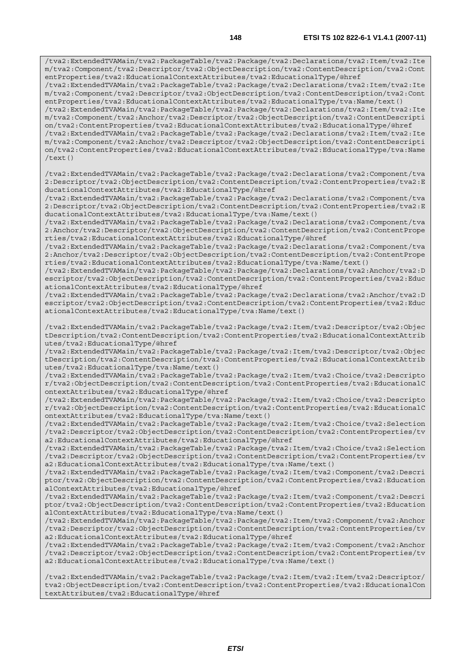/tva2:ExtendedTVAMain/tva2:PackageTable/tva2:Package/tva2:Declarations/tva2:Item/tva2:Ite m/tva2:Component/tva2:Descriptor/tva2:ObjectDescription/tva2:ContentDescription/tva2:Cont entProperties/tva2:EducationalContextAttributes/tva2:EducationalType/@href /tva2:ExtendedTVAMain/tva2:PackageTable/tva2:Package/tva2:Declarations/tva2:Item/tva2:Ite m/tva2:Component/tva2:Descriptor/tva2:ObjectDescription/tva2:ContentDescription/tva2:Cont entProperties/tva2:EducationalContextAttributes/tva2:EducationalType/tva:Name/text() /tva2:ExtendedTVAMain/tva2:PackageTable/tva2:Package/tva2:Declarations/tva2:Item/tva2:Ite m/tva2:Component/tva2:Anchor/tva2:Descriptor/tva2:ObjectDescription/tva2:ContentDescripti on/tva2:ContentProperties/tva2:EducationalContextAttributes/tva2:EducationalType/@href /tva2:ExtendedTVAMain/tva2:PackageTable/tva2:Package/tva2:Declarations/tva2:Item/tva2:Ite m/tva2:Component/tva2:Anchor/tva2:Descriptor/tva2:ObjectDescription/tva2:ContentDescripti on/tva2:ContentProperties/tva2:EducationalContextAttributes/tva2:EducationalType/tva:Name /text() /tva2:ExtendedTVAMain/tva2:PackageTable/tva2:Package/tva2:Declarations/tva2:Component/tva 2:Descriptor/tva2:ObjectDescription/tva2:ContentDescription/tva2:ContentProperties/tva2:E ducationalContextAttributes/tva2:EducationalType/@href /tva2:ExtendedTVAMain/tva2:PackageTable/tva2:Package/tva2:Declarations/tva2:Component/tva 2:Descriptor/tva2:ObjectDescription/tva2:ContentDescription/tva2:ContentProperties/tva2:E ducationalContextAttributes/tva2:EducationalType/tva:Name/text() /tva2:ExtendedTVAMain/tva2:PackageTable/tva2:Package/tva2:Declarations/tva2:Component/tva 2:Anchor/tva2:Descriptor/tva2:ObjectDescription/tva2:ContentDescription/tva2:ContentPrope rties/tva2:EducationalContextAttributes/tva2:EducationalType/@href /tva2:ExtendedTVAMain/tva2:PackageTable/tva2:Package/tva2:Declarations/tva2:Component/tva 2:Anchor/tva2:Descriptor/tva2:ObjectDescription/tva2:ContentDescription/tva2:ContentPrope rties/tva2:EducationalContextAttributes/tva2:EducationalType/tva:Name/text() /tva2:ExtendedTVAMain/tva2:PackageTable/tva2:Package/tva2:Declarations/tva2:Anchor/tva2:D escriptor/tva2:ObjectDescription/tva2:ContentDescription/tva2:ContentProperties/tva2:Educ ationalContextAttributes/tva2:EducationalType/@href /tva2:ExtendedTVAMain/tva2:PackageTable/tva2:Package/tva2:Declarations/tva2:Anchor/tva2:D escriptor/tva2:ObjectDescription/tva2:ContentDescription/tva2:ContentProperties/tva2:Educ ationalContextAttributes/tva2:EducationalType/tva:Name/text() /tva2:ExtendedTVAMain/tva2:PackageTable/tva2:Package/tva2:Item/tva2:Descriptor/tva2:Objec tDescription/tva2:ContentDescription/tva2:ContentProperties/tva2:EducationalContextAttrib utes/tva2:EducationalType/@href /tva2:ExtendedTVAMain/tva2:PackageTable/tva2:Package/tva2:Item/tva2:Descriptor/tva2:Objec tDescription/tva2:ContentDescription/tva2:ContentProperties/tva2:EducationalContextAttrib utes/tva2:EducationalType/tva:Name/text() /tva2:ExtendedTVAMain/tva2:PackageTable/tva2:Package/tva2:Item/tva2:Choice/tva2:Descripto r/tva2:ObjectDescription/tva2:ContentDescription/tva2:ContentProperties/tva2:EducationalC ontextAttributes/tva2:EducationalType/@href /tva2:ExtendedTVAMain/tva2:PackageTable/tva2:Package/tva2:Item/tva2:Choice/tva2:Descripto r/tva2:ObjectDescription/tva2:ContentDescription/tva2:ContentProperties/tva2:EducationalC ontextAttributes/tva2:EducationalType/tva:Name/text() /tva2:ExtendedTVAMain/tva2:PackageTable/tva2:Package/tva2:Item/tva2:Choice/tva2:Selection /tva2:Descriptor/tva2:ObjectDescription/tva2:ContentDescription/tva2:ContentProperties/tv a2:EducationalContextAttributes/tva2:EducationalType/@href /tva2:ExtendedTVAMain/tva2:PackageTable/tva2:Package/tva2:Item/tva2:Choice/tva2:Selection /tva2:Descriptor/tva2:ObjectDescription/tva2:ContentDescription/tva2:ContentProperties/tv a2:EducationalContextAttributes/tva2:EducationalType/tva:Name/text() /tva2:ExtendedTVAMain/tva2:PackageTable/tva2:Package/tva2:Item/tva2:Component/tva2:Descri ptor/tva2:ObjectDescription/tva2:ContentDescription/tva2:ContentProperties/tva2:Education alContextAttributes/tva2:EducationalType/@href /tva2:ExtendedTVAMain/tva2:PackageTable/tva2:Package/tva2:Item/tva2:Component/tva2:Descri ptor/tva2:ObjectDescription/tva2:ContentDescription/tva2:ContentProperties/tva2:Education alContextAttributes/tva2:EducationalType/tva:Name/text() /tva2:ExtendedTVAMain/tva2:PackageTable/tva2:Package/tva2:Item/tva2:Component/tva2:Anchor /tva2:Descriptor/tva2:ObjectDescription/tva2:ContentDescription/tva2:ContentProperties/tv a2:EducationalContextAttributes/tva2:EducationalType/@href /tva2:ExtendedTVAMain/tva2:PackageTable/tva2:Package/tva2:Item/tva2:Component/tva2:Anchor /tva2:Descriptor/tva2:ObjectDescription/tva2:ContentDescription/tva2:ContentProperties/tv a2:EducationalContextAttributes/tva2:EducationalType/tva:Name/text()

/tva2:ExtendedTVAMain/tva2:PackageTable/tva2:Package/tva2:Item/tva2:Item/tva2:Descriptor/ tva2:ObjectDescription/tva2:ContentDescription/tva2:ContentProperties/tva2:EducationalCon textAttributes/tva2:EducationalType/@href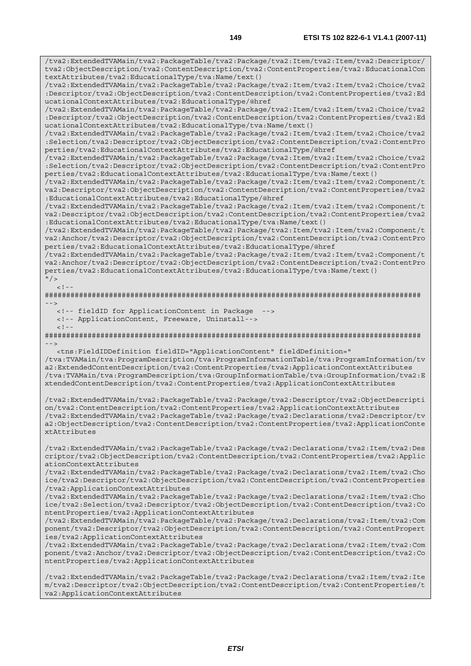/tva2:ExtendedTVAMain/tva2:PackageTable/tva2:Package/tva2:Item/tva2:Item/tva2:Descriptor/ tva2:ObjectDescription/tva2:ContentDescription/tva2:ContentProperties/tva2:EducationalCon textAttributes/tva2:EducationalType/tva:Name/text()

/tva2:ExtendedTVAMain/tva2:PackageTable/tva2:Package/tva2:Item/tva2:Item/tva2:Choice/tva2 :Descriptor/tva2:ObjectDescription/tva2:ContentDescription/tva2:ContentProperties/tva2:Ed ucationalContextAttributes/tva2:EducationalType/@href

/tva2:ExtendedTVAMain/tva2:PackageTable/tva2:Package/tva2:Item/tva2:Item/tva2:Choice/tva2 :Descriptor/tva2:ObjectDescription/tva2:ContentDescription/tva2:ContentProperties/tva2:Ed ucationalContextAttributes/tva2:EducationalType/tva:Name/text()

/tva2:ExtendedTVAMain/tva2:PackageTable/tva2:Package/tva2:Item/tva2:Item/tva2:Choice/tva2 :Selection/tva2:Descriptor/tva2:ObjectDescription/tva2:ContentDescription/tva2:ContentPro perties/tva2:EducationalContextAttributes/tva2:EducationalType/@href

/tva2:ExtendedTVAMain/tva2:PackageTable/tva2:Package/tva2:Item/tva2:Item/tva2:Choice/tva2 :Selection/tva2:Descriptor/tva2:ObjectDescription/tva2:ContentDescription/tva2:ContentPro perties/tva2:EducationalContextAttributes/tva2:EducationalType/tva:Name/text()

/tva2:ExtendedTVAMain/tva2:PackageTable/tva2:Package/tva2:Item/tva2:Item/tva2:Component/t va2:Descriptor/tva2:ObjectDescription/tva2:ContentDescription/tva2:ContentProperties/tva2 :EducationalContextAttributes/tva2:EducationalType/@href

/tva2:ExtendedTVAMain/tva2:PackageTable/tva2:Package/tva2:Item/tva2:Item/tva2:Component/t va2:Descriptor/tva2:ObjectDescription/tva2:ContentDescription/tva2:ContentProperties/tva2 :EducationalContextAttributes/tva2:EducationalType/tva:Name/text()

/tva2:ExtendedTVAMain/tva2:PackageTable/tva2:Package/tva2:Item/tva2:Item/tva2:Component/t va2:Anchor/tva2:Descriptor/tva2:ObjectDescription/tva2:ContentDescription/tva2:ContentPro perties/tva2:EducationalContextAttributes/tva2:EducationalType/@href

/tva2:ExtendedTVAMain/tva2:PackageTable/tva2:Package/tva2:Item/tva2:Item/tva2:Component/t va2:Anchor/tva2:Descriptor/tva2:ObjectDescription/tva2:ContentDescription/tva2:ContentPro perties/tva2:EducationalContextAttributes/tva2:EducationalType/tva:Name/text()  $"$  />

 $\geq$   $\perp$ 

######################################################################################## -->

<!-- fieldID for ApplicationContent in Package -->

<!-- ApplicationContent, Freeware, Uninstall-->

 $<$ ! - -

######################################################################################## -->

<tns:FieldIDDefinition fieldID="ApplicationContent" fieldDefinition="

/tva:TVAMain/tva:ProgramDescription/tva:ProgramInformationTable/tva:ProgramInformation/tv a2:ExtendedContentDescription/tva2:ContentProperties/tva2:ApplicationContextAttributes /tva:TVAMain/tva:ProgramDescription/tva:GroupInformationTable/tva:GroupInformation/tva2:E xtendedContentDescription/tva2:ContentProperties/tva2:ApplicationContextAttributes

/tva2:ExtendedTVAMain/tva2:PackageTable/tva2:Package/tva2:Descriptor/tva2:ObjectDescripti on/tva2:ContentDescription/tva2:ContentProperties/tva2:ApplicationContextAttributes /tva2:ExtendedTVAMain/tva2:PackageTable/tva2:Package/tva2:Declarations/tva2:Descriptor/tv a2:ObjectDescription/tva2:ContentDescription/tva2:ContentProperties/tva2:ApplicationConte xtAttributes

/tva2:ExtendedTVAMain/tva2:PackageTable/tva2:Package/tva2:Declarations/tva2:Item/tva2:Des criptor/tva2:ObjectDescription/tva2:ContentDescription/tva2:ContentProperties/tva2:Applic ationContextAttributes

/tva2:ExtendedTVAMain/tva2:PackageTable/tva2:Package/tva2:Declarations/tva2:Item/tva2:Cho ice/tva2:Descriptor/tva2:ObjectDescription/tva2:ContentDescription/tva2:ContentProperties /tva2:ApplicationContextAttributes

/tva2:ExtendedTVAMain/tva2:PackageTable/tva2:Package/tva2:Declarations/tva2:Item/tva2:Cho ice/tva2:Selection/tva2:Descriptor/tva2:ObjectDescription/tva2:ContentDescription/tva2:Co ntentProperties/tva2:ApplicationContextAttributes

/tva2:ExtendedTVAMain/tva2:PackageTable/tva2:Package/tva2:Declarations/tva2:Item/tva2:Com ponent/tva2:Descriptor/tva2:ObjectDescription/tva2:ContentDescription/tva2:ContentPropert ies/tva2:ApplicationContextAttributes

/tva2:ExtendedTVAMain/tva2:PackageTable/tva2:Package/tva2:Declarations/tva2:Item/tva2:Com ponent/tva2:Anchor/tva2:Descriptor/tva2:ObjectDescription/tva2:ContentDescription/tva2:Co ntentProperties/tva2:ApplicationContextAttributes

/tva2:ExtendedTVAMain/tva2:PackageTable/tva2:Package/tva2:Declarations/tva2:Item/tva2:Ite m/tva2:Descriptor/tva2:ObjectDescription/tva2:ContentDescription/tva2:ContentProperties/t va2:ApplicationContextAttributes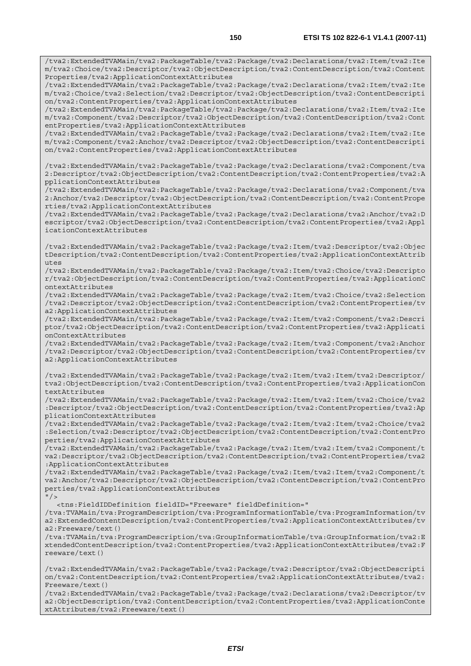/tva2:ExtendedTVAMain/tva2:PackageTable/tva2:Package/tva2:Declarations/tva2:Item/tva2:Ite m/tva2:Choice/tva2:Descriptor/tva2:ObjectDescription/tva2:ContentDescription/tva2:Content Properties/tva2:ApplicationContextAttributes

/tva2:ExtendedTVAMain/tva2:PackageTable/tva2:Package/tva2:Declarations/tva2:Item/tva2:Ite m/tva2:Choice/tva2:Selection/tva2:Descriptor/tva2:ObjectDescription/tva2:ContentDescripti on/tva2:ContentProperties/tva2:ApplicationContextAttributes

/tva2:ExtendedTVAMain/tva2:PackageTable/tva2:Package/tva2:Declarations/tva2:Item/tva2:Ite m/tva2:Component/tva2:Descriptor/tva2:ObjectDescription/tva2:ContentDescription/tva2:Cont entProperties/tva2:ApplicationContextAttributes

/tva2:ExtendedTVAMain/tva2:PackageTable/tva2:Package/tva2:Declarations/tva2:Item/tva2:Ite m/tva2:Component/tva2:Anchor/tva2:Descriptor/tva2:ObjectDescription/tva2:ContentDescripti on/tva2:ContentProperties/tva2:ApplicationContextAttributes

/tva2:ExtendedTVAMain/tva2:PackageTable/tva2:Package/tva2:Declarations/tva2:Component/tva 2:Descriptor/tva2:ObjectDescription/tva2:ContentDescription/tva2:ContentProperties/tva2:A pplicationContextAttributes

/tva2:ExtendedTVAMain/tva2:PackageTable/tva2:Package/tva2:Declarations/tva2:Component/tva 2:Anchor/tva2:Descriptor/tva2:ObjectDescription/tva2:ContentDescription/tva2:ContentPrope rties/tva2:ApplicationContextAttributes

/tva2:ExtendedTVAMain/tva2:PackageTable/tva2:Package/tva2:Declarations/tva2:Anchor/tva2:D escriptor/tva2:ObjectDescription/tva2:ContentDescription/tva2:ContentProperties/tva2:Appl icationContextAttributes

/tva2:ExtendedTVAMain/tva2:PackageTable/tva2:Package/tva2:Item/tva2:Descriptor/tva2:Objec tDescription/tva2:ContentDescription/tva2:ContentProperties/tva2:ApplicationContextAttrib utes

/tva2:ExtendedTVAMain/tva2:PackageTable/tva2:Package/tva2:Item/tva2:Choice/tva2:Descripto r/tva2:ObjectDescription/tva2:ContentDescription/tva2:ContentProperties/tva2:ApplicationC ontextAttributes

/tva2:ExtendedTVAMain/tva2:PackageTable/tva2:Package/tva2:Item/tva2:Choice/tva2:Selection /tva2:Descriptor/tva2:ObjectDescription/tva2:ContentDescription/tva2:ContentProperties/tv a2:ApplicationContextAttributes

/tva2:ExtendedTVAMain/tva2:PackageTable/tva2:Package/tva2:Item/tva2:Component/tva2:Descri ptor/tva2:ObjectDescription/tva2:ContentDescription/tva2:ContentProperties/tva2:Applicati onContextAttributes

/tva2:ExtendedTVAMain/tva2:PackageTable/tva2:Package/tva2:Item/tva2:Component/tva2:Anchor /tva2:Descriptor/tva2:ObjectDescription/tva2:ContentDescription/tva2:ContentProperties/tv a2:ApplicationContextAttributes

/tva2:ExtendedTVAMain/tva2:PackageTable/tva2:Package/tva2:Item/tva2:Item/tva2:Descriptor/ tva2:ObjectDescription/tva2:ContentDescription/tva2:ContentProperties/tva2:ApplicationCon textAttributes

/tva2:ExtendedTVAMain/tva2:PackageTable/tva2:Package/tva2:Item/tva2:Item/tva2:Choice/tva2 :Descriptor/tva2:ObjectDescription/tva2:ContentDescription/tva2:ContentProperties/tva2:Ap plicationContextAttributes

/tva2:ExtendedTVAMain/tva2:PackageTable/tva2:Package/tva2:Item/tva2:Item/tva2:Choice/tva2 :Selection/tva2:Descriptor/tva2:ObjectDescription/tva2:ContentDescription/tva2:ContentPro perties/tva2:ApplicationContextAttributes

/tva2:ExtendedTVAMain/tva2:PackageTable/tva2:Package/tva2:Item/tva2:Item/tva2:Component/t va2:Descriptor/tva2:ObjectDescription/tva2:ContentDescription/tva2:ContentProperties/tva2 :ApplicationContextAttributes

/tva2:ExtendedTVAMain/tva2:PackageTable/tva2:Package/tva2:Item/tva2:Item/tva2:Component/t va2:Anchor/tva2:Descriptor/tva2:ObjectDescription/tva2:ContentDescription/tva2:ContentPro perties/tva2:ApplicationContextAttributes

 $"$ />

<tns:FieldIDDefinition fieldID="Freeware" fieldDefinition="

/tva:TVAMain/tva:ProgramDescription/tva:ProgramInformationTable/tva:ProgramInformation/tv a2:ExtendedContentDescription/tva2:ContentProperties/tva2:ApplicationContextAttributes/tv a2:Freeware/text()

/tva:TVAMain/tva:ProgramDescription/tva:GroupInformationTable/tva:GroupInformation/tva2:E xtendedContentDescription/tva2:ContentProperties/tva2:ApplicationContextAttributes/tva2:F reeware/text()

/tva2:ExtendedTVAMain/tva2:PackageTable/tva2:Package/tva2:Descriptor/tva2:ObjectDescripti on/tva2:ContentDescription/tva2:ContentProperties/tva2:ApplicationContextAttributes/tva2: Freeware/text()

/tva2:ExtendedTVAMain/tva2:PackageTable/tva2:Package/tva2:Declarations/tva2:Descriptor/tv a2:ObjectDescription/tva2:ContentDescription/tva2:ContentProperties/tva2:ApplicationConte xtAttributes/tva2:Freeware/text()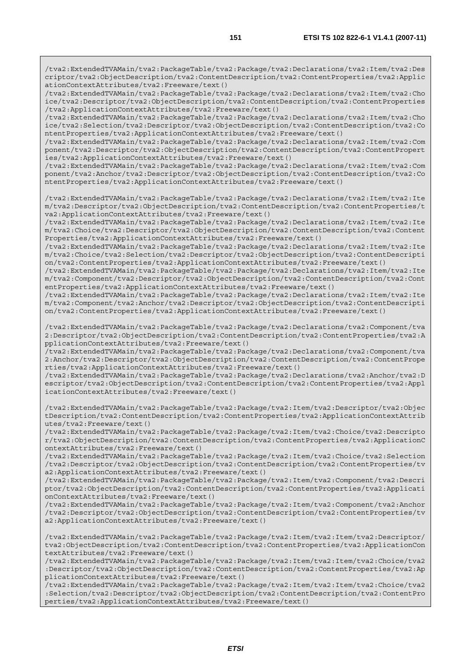/tva2:ExtendedTVAMain/tva2:PackageTable/tva2:Package/tva2:Declarations/tva2:Item/tva2:Des criptor/tva2:ObjectDescription/tva2:ContentDescription/tva2:ContentProperties/tva2:Applic ationContextAttributes/tva2:Freeware/text()

/tva2:ExtendedTVAMain/tva2:PackageTable/tva2:Package/tva2:Declarations/tva2:Item/tva2:Cho ice/tva2:Descriptor/tva2:ObjectDescription/tva2:ContentDescription/tva2:ContentProperties /tva2:ApplicationContextAttributes/tva2:Freeware/text()

/tva2:ExtendedTVAMain/tva2:PackageTable/tva2:Package/tva2:Declarations/tva2:Item/tva2:Cho ice/tva2:Selection/tva2:Descriptor/tva2:ObjectDescription/tva2:ContentDescription/tva2:Co ntentProperties/tva2:ApplicationContextAttributes/tva2:Freeware/text()

/tva2:ExtendedTVAMain/tva2:PackageTable/tva2:Package/tva2:Declarations/tva2:Item/tva2:Com ponent/tva2:Descriptor/tva2:ObjectDescription/tva2:ContentDescription/tva2:ContentPropert ies/tva2:ApplicationContextAttributes/tva2:Freeware/text()

/tva2:ExtendedTVAMain/tva2:PackageTable/tva2:Package/tva2:Declarations/tva2:Item/tva2:Com ponent/tva2:Anchor/tva2:Descriptor/tva2:ObjectDescription/tva2:ContentDescription/tva2:Co ntentProperties/tva2:ApplicationContextAttributes/tva2:Freeware/text()

/tva2:ExtendedTVAMain/tva2:PackageTable/tva2:Package/tva2:Declarations/tva2:Item/tva2:Ite m/tva2:Descriptor/tva2:ObjectDescription/tva2:ContentDescription/tva2:ContentProperties/t va2:ApplicationContextAttributes/tva2:Freeware/text()

/tva2:ExtendedTVAMain/tva2:PackageTable/tva2:Package/tva2:Declarations/tva2:Item/tva2:Ite m/tva2:Choice/tva2:Descriptor/tva2:ObjectDescription/tva2:ContentDescription/tva2:Content Properties/tva2:ApplicationContextAttributes/tva2:Freeware/text()

/tva2:ExtendedTVAMain/tva2:PackageTable/tva2:Package/tva2:Declarations/tva2:Item/tva2:Ite m/tva2:Choice/tva2:Selection/tva2:Descriptor/tva2:ObjectDescription/tva2:ContentDescripti on/tva2:ContentProperties/tva2:ApplicationContextAttributes/tva2:Freeware/text()

/tva2:ExtendedTVAMain/tva2:PackageTable/tva2:Package/tva2:Declarations/tva2:Item/tva2:Ite m/tva2:Component/tva2:Descriptor/tva2:ObjectDescription/tva2:ContentDescription/tva2:Cont entProperties/tva2:ApplicationContextAttributes/tva2:Freeware/text()

/tva2:ExtendedTVAMain/tva2:PackageTable/tva2:Package/tva2:Declarations/tva2:Item/tva2:Ite m/tva2:Component/tva2:Anchor/tva2:Descriptor/tva2:ObjectDescription/tva2:ContentDescripti on/tva2:ContentProperties/tva2:ApplicationContextAttributes/tva2:Freeware/text()

/tva2:ExtendedTVAMain/tva2:PackageTable/tva2:Package/tva2:Declarations/tva2:Component/tva 2:Descriptor/tva2:ObjectDescription/tva2:ContentDescription/tva2:ContentProperties/tva2:A pplicationContextAttributes/tva2:Freeware/text()

/tva2:ExtendedTVAMain/tva2:PackageTable/tva2:Package/tva2:Declarations/tva2:Component/tva 2:Anchor/tva2:Descriptor/tva2:ObjectDescription/tva2:ContentDescription/tva2:ContentPrope rties/tva2:ApplicationContextAttributes/tva2:Freeware/text()

/tva2:ExtendedTVAMain/tva2:PackageTable/tva2:Package/tva2:Declarations/tva2:Anchor/tva2:D escriptor/tva2:ObjectDescription/tva2:ContentDescription/tva2:ContentProperties/tva2:Appl icationContextAttributes/tva2:Freeware/text()

/tva2:ExtendedTVAMain/tva2:PackageTable/tva2:Package/tva2:Item/tva2:Descriptor/tva2:Objec tDescription/tva2:ContentDescription/tva2:ContentProperties/tva2:ApplicationContextAttrib utes/tva2:Freeware/text()

/tva2:ExtendedTVAMain/tva2:PackageTable/tva2:Package/tva2:Item/tva2:Choice/tva2:Descripto r/tva2:ObjectDescription/tva2:ContentDescription/tva2:ContentProperties/tva2:ApplicationC ontextAttributes/tva2:Freeware/text()

/tva2:ExtendedTVAMain/tva2:PackageTable/tva2:Package/tva2:Item/tva2:Choice/tva2:Selection /tva2:Descriptor/tva2:ObjectDescription/tva2:ContentDescription/tva2:ContentProperties/tv a2:ApplicationContextAttributes/tva2:Freeware/text()

/tva2:ExtendedTVAMain/tva2:PackageTable/tva2:Package/tva2:Item/tva2:Component/tva2:Descri ptor/tva2:ObjectDescription/tva2:ContentDescription/tva2:ContentProperties/tva2:Applicati onContextAttributes/tva2:Freeware/text()

/tva2:ExtendedTVAMain/tva2:PackageTable/tva2:Package/tva2:Item/tva2:Component/tva2:Anchor /tva2:Descriptor/tva2:ObjectDescription/tva2:ContentDescription/tva2:ContentProperties/tv a2:ApplicationContextAttributes/tva2:Freeware/text()

/tva2:ExtendedTVAMain/tva2:PackageTable/tva2:Package/tva2:Item/tva2:Item/tva2:Descriptor/ tva2:ObjectDescription/tva2:ContentDescription/tva2:ContentProperties/tva2:ApplicationCon textAttributes/tva2:Freeware/text()

/tva2:ExtendedTVAMain/tva2:PackageTable/tva2:Package/tva2:Item/tva2:Item/tva2:Choice/tva2 :Descriptor/tva2:ObjectDescription/tva2:ContentDescription/tva2:ContentProperties/tva2:Ap plicationContextAttributes/tva2:Freeware/text()

/tva2:ExtendedTVAMain/tva2:PackageTable/tva2:Package/tva2:Item/tva2:Item/tva2:Choice/tva2 :Selection/tva2:Descriptor/tva2:ObjectDescription/tva2:ContentDescription/tva2:ContentPro perties/tva2:ApplicationContextAttributes/tva2:Freeware/text()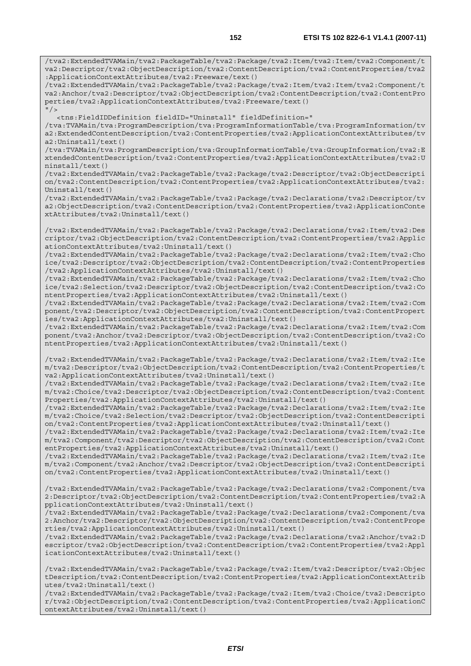/tva2:ExtendedTVAMain/tva2:PackageTable/tva2:Package/tva2:Item/tva2:Item/tva2:Component/t va2:Descriptor/tva2:ObjectDescription/tva2:ContentDescription/tva2:ContentProperties/tva2 :ApplicationContextAttributes/tva2:Freeware/text()

/tva2:ExtendedTVAMain/tva2:PackageTable/tva2:Package/tva2:Item/tva2:Item/tva2:Component/t va2:Anchor/tva2:Descriptor/tva2:ObjectDescription/tva2:ContentDescription/tva2:ContentPro perties/tva2:ApplicationContextAttributes/tva2:Freeware/text()  $^{\prime\prime}$  /  $\rightarrow$ 

<tns:FieldIDDefinition fieldID="Uninstall" fieldDefinition="

/tva:TVAMain/tva:ProgramDescription/tva:ProgramInformationTable/tva:ProgramInformation/tv a2:ExtendedContentDescription/tva2:ContentProperties/tva2:ApplicationContextAttributes/tv a2:Uninstall/text()

/tva:TVAMain/tva:ProgramDescription/tva:GroupInformationTable/tva:GroupInformation/tva2:E xtendedContentDescription/tva2:ContentProperties/tva2:ApplicationContextAttributes/tva2:U ninstall/text()

/tva2:ExtendedTVAMain/tva2:PackageTable/tva2:Package/tva2:Descriptor/tva2:ObjectDescripti on/tva2:ContentDescription/tva2:ContentProperties/tva2:ApplicationContextAttributes/tva2: Uninstall/text()

/tva2:ExtendedTVAMain/tva2:PackageTable/tva2:Package/tva2:Declarations/tva2:Descriptor/tv a2:ObjectDescription/tva2:ContentDescription/tva2:ContentProperties/tva2:ApplicationConte xtAttributes/tva2:Uninstall/text()

/tva2:ExtendedTVAMain/tva2:PackageTable/tva2:Package/tva2:Declarations/tva2:Item/tva2:Des criptor/tva2:ObjectDescription/tva2:ContentDescription/tva2:ContentProperties/tva2:Applic ationContextAttributes/tva2:Uninstall/text()

/tva2:ExtendedTVAMain/tva2:PackageTable/tva2:Package/tva2:Declarations/tva2:Item/tva2:Cho ice/tva2:Descriptor/tva2:ObjectDescription/tva2:ContentDescription/tva2:ContentProperties /tva2:ApplicationContextAttributes/tva2:Uninstall/text()

/tva2:ExtendedTVAMain/tva2:PackageTable/tva2:Package/tva2:Declarations/tva2:Item/tva2:Cho ice/tva2:Selection/tva2:Descriptor/tva2:ObjectDescription/tva2:ContentDescription/tva2:Co ntentProperties/tva2:ApplicationContextAttributes/tva2:Uninstall/text()

/tva2:ExtendedTVAMain/tva2:PackageTable/tva2:Package/tva2:Declarations/tva2:Item/tva2:Com ponent/tva2:Descriptor/tva2:ObjectDescription/tva2:ContentDescription/tva2:ContentPropert ies/tva2:ApplicationContextAttributes/tva2:Uninstall/text()

/tva2:ExtendedTVAMain/tva2:PackageTable/tva2:Package/tva2:Declarations/tva2:Item/tva2:Com ponent/tva2:Anchor/tva2:Descriptor/tva2:ObjectDescription/tva2:ContentDescription/tva2:Co ntentProperties/tva2:ApplicationContextAttributes/tva2:Uninstall/text()

/tva2:ExtendedTVAMain/tva2:PackageTable/tva2:Package/tva2:Declarations/tva2:Item/tva2:Ite m/tva2:Descriptor/tva2:ObjectDescription/tva2:ContentDescription/tva2:ContentProperties/t va2:ApplicationContextAttributes/tva2:Uninstall/text()

/tva2:ExtendedTVAMain/tva2:PackageTable/tva2:Package/tva2:Declarations/tva2:Item/tva2:Ite m/tva2:Choice/tva2:Descriptor/tva2:ObjectDescription/tva2:ContentDescription/tva2:Content Properties/tva2:ApplicationContextAttributes/tva2:Uninstall/text()

/tva2:ExtendedTVAMain/tva2:PackageTable/tva2:Package/tva2:Declarations/tva2:Item/tva2:Ite m/tva2:Choice/tva2:Selection/tva2:Descriptor/tva2:ObjectDescription/tva2:ContentDescripti on/tva2:ContentProperties/tva2:ApplicationContextAttributes/tva2:Uninstall/text()

/tva2:ExtendedTVAMain/tva2:PackageTable/tva2:Package/tva2:Declarations/tva2:Item/tva2:Ite m/tva2:Component/tva2:Descriptor/tva2:ObjectDescription/tva2:ContentDescription/tva2:Cont entProperties/tva2:ApplicationContextAttributes/tva2:Uninstall/text()

/tva2:ExtendedTVAMain/tva2:PackageTable/tva2:Package/tva2:Declarations/tva2:Item/tva2:Ite m/tva2:Component/tva2:Anchor/tva2:Descriptor/tva2:ObjectDescription/tva2:ContentDescripti on/tva2:ContentProperties/tva2:ApplicationContextAttributes/tva2:Uninstall/text()

/tva2:ExtendedTVAMain/tva2:PackageTable/tva2:Package/tva2:Declarations/tva2:Component/tva 2:Descriptor/tva2:ObjectDescription/tva2:ContentDescription/tva2:ContentProperties/tva2:A pplicationContextAttributes/tva2:Uninstall/text()

/tva2:ExtendedTVAMain/tva2:PackageTable/tva2:Package/tva2:Declarations/tva2:Component/tva 2:Anchor/tva2:Descriptor/tva2:ObjectDescription/tva2:ContentDescription/tva2:ContentPrope rties/tva2:ApplicationContextAttributes/tva2:Uninstall/text()

/tva2:ExtendedTVAMain/tva2:PackageTable/tva2:Package/tva2:Declarations/tva2:Anchor/tva2:D escriptor/tva2:ObjectDescription/tva2:ContentDescription/tva2:ContentProperties/tva2:Appl icationContextAttributes/tva2:Uninstall/text()

/tva2:ExtendedTVAMain/tva2:PackageTable/tva2:Package/tva2:Item/tva2:Descriptor/tva2:Objec tDescription/tva2:ContentDescription/tva2:ContentProperties/tva2:ApplicationContextAttrib utes/tva2:Uninstall/text()

/tva2:ExtendedTVAMain/tva2:PackageTable/tva2:Package/tva2:Item/tva2:Choice/tva2:Descripto r/tva2:ObjectDescription/tva2:ContentDescription/tva2:ContentProperties/tva2:ApplicationC ontextAttributes/tva2:Uninstall/text()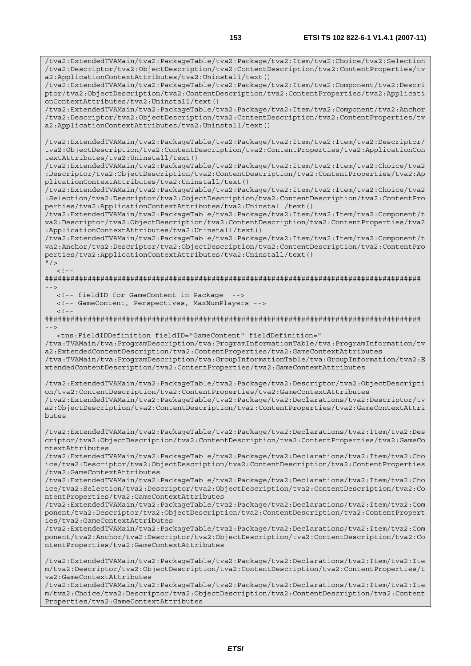/tva2:ExtendedTVAMain/tva2:PackageTable/tva2:Package/tva2:Item/tva2:Choice/tva2:Selection /tva2:Descriptor/tva2:ObjectDescription/tva2:ContentDescription/tva2:ContentProperties/tv

/tva2:ExtendedTVAMain/tva2:PackageTable/tva2:Package/tva2:Item/tva2:Component/tva2:Descri ptor/tva2:ObjectDescription/tva2:ContentDescription/tva2:ContentProperties/tva2:Applicati

a2:ApplicationContextAttributes/tva2:Uninstall/text()

onContextAttributes/tva2:Uninstall/text() /tva2:ExtendedTVAMain/tva2:PackageTable/tva2:Package/tva2:Item/tva2:Component/tva2:Anchor /tva2:Descriptor/tva2:ObjectDescription/tva2:ContentDescription/tva2:ContentProperties/tv a2:ApplicationContextAttributes/tva2:Uninstall/text() /tva2:ExtendedTVAMain/tva2:PackageTable/tva2:Package/tva2:Item/tva2:Item/tva2:Descriptor/ tva2:ObjectDescription/tva2:ContentDescription/tva2:ContentProperties/tva2:ApplicationCon textAttributes/tva2:Uninstall/text() /tva2:ExtendedTVAMain/tva2:PackageTable/tva2:Package/tva2:Item/tva2:Item/tva2:Choice/tva2 :Descriptor/tva2:ObjectDescription/tva2:ContentDescription/tva2:ContentProperties/tva2:Ap plicationContextAttributes/tva2:Uninstall/text() /tva2:ExtendedTVAMain/tva2:PackageTable/tva2:Package/tva2:Item/tva2:Item/tva2:Choice/tva2 :Selection/tva2:Descriptor/tva2:ObjectDescription/tva2:ContentDescription/tva2:ContentPro perties/tva2:ApplicationContextAttributes/tva2:Uninstall/text() /tva2:ExtendedTVAMain/tva2:PackageTable/tva2:Package/tva2:Item/tva2:Item/tva2:Component/t va2:Descriptor/tva2:ObjectDescription/tva2:ContentDescription/tva2:ContentProperties/tva2 :ApplicationContextAttributes/tva2:Uninstall/text() /tva2:ExtendedTVAMain/tva2:PackageTable/tva2:Package/tva2:Item/tva2:Item/tva2:Component/t va2:Anchor/tva2:Descriptor/tva2:ObjectDescription/tva2:ContentDescription/tva2:ContentPro perties/tva2:ApplicationContextAttributes/tva2:Uninstall/text()  $^{\prime\prime}$  / >  $<$ ! --######################################################################################## --> <!-- fieldID for GameContent in Package --> <!-- GameContent, Perspectives, MaxNumPlayers -->  $\geq$   $\frac{1}{2}$ . ########################################################################################  $-$  <tns:FieldIDDefinition fieldID="GameContent" fieldDefinition=" /tva:TVAMain/tva:ProgramDescription/tva:ProgramInformationTable/tva:ProgramInformation/tv a2:ExtendedContentDescription/tva2:ContentProperties/tva2:GameContextAttributes /tva:TVAMain/tva:ProgramDescription/tva:GroupInformationTable/tva:GroupInformation/tva2:E xtendedContentDescription/tva2:ContentProperties/tva2:GameContextAttributes /tva2:ExtendedTVAMain/tva2:PackageTable/tva2:Package/tva2:Descriptor/tva2:ObjectDescripti on/tva2:ContentDescription/tva2:ContentProperties/tva2:GameContextAttributes /tva2:ExtendedTVAMain/tva2:PackageTable/tva2:Package/tva2:Declarations/tva2:Descriptor/tv a2:ObjectDescription/tva2:ContentDescription/tva2:ContentProperties/tva2:GameContextAttri butes /tva2:ExtendedTVAMain/tva2:PackageTable/tva2:Package/tva2:Declarations/tva2:Item/tva2:Des criptor/tva2:ObjectDescription/tva2:ContentDescription/tva2:ContentProperties/tva2:GameCo ntextAttributes /tva2:ExtendedTVAMain/tva2:PackageTable/tva2:Package/tva2:Declarations/tva2:Item/tva2:Cho ice/tva2:Descriptor/tva2:ObjectDescription/tva2:ContentDescription/tva2:ContentProperties /tva2:GameContextAttributes /tva2:ExtendedTVAMain/tva2:PackageTable/tva2:Package/tva2:Declarations/tva2:Item/tva2:Cho ice/tva2:Selection/tva2:Descriptor/tva2:ObjectDescription/tva2:ContentDescription/tva2:Co ntentProperties/tva2:GameContextAttributes /tva2:ExtendedTVAMain/tva2:PackageTable/tva2:Package/tva2:Declarations/tva2:Item/tva2:Com ponent/tva2:Descriptor/tva2:ObjectDescription/tva2:ContentDescription/tva2:ContentPropert ies/tva2:GameContextAttributes /tva2:ExtendedTVAMain/tva2:PackageTable/tva2:Package/tva2:Declarations/tva2:Item/tva2:Com ponent/tva2:Anchor/tva2:Descriptor/tva2:ObjectDescription/tva2:ContentDescription/tva2:Co ntentProperties/tva2:GameContextAttributes /tva2:ExtendedTVAMain/tva2:PackageTable/tva2:Package/tva2:Declarations/tva2:Item/tva2:Ite m/tva2:Descriptor/tva2:ObjectDescription/tva2:ContentDescription/tva2:ContentProperties/t va2:GameContextAttributes /tva2:ExtendedTVAMain/tva2:PackageTable/tva2:Package/tva2:Declarations/tva2:Item/tva2:Ite m/tva2:Choice/tva2:Descriptor/tva2:ObjectDescription/tva2:ContentDescription/tva2:Content Properties/tva2:GameContextAttributes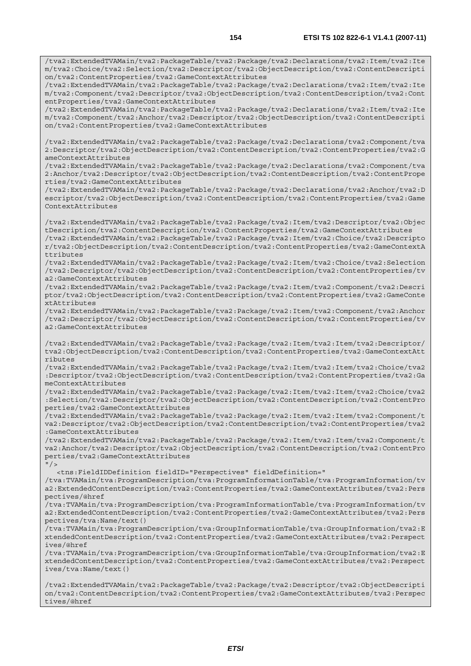/tva2:ExtendedTVAMain/tva2:PackageTable/tva2:Package/tva2:Declarations/tva2:Item/tva2:Ite m/tva2:Choice/tva2:Selection/tva2:Descriptor/tva2:ObjectDescription/tva2:ContentDescripti

/tva2:ExtendedTVAMain/tva2:PackageTable/tva2:Package/tva2:Declarations/tva2:Item/tva2:Ite

on/tva2:ContentProperties/tva2:GameContextAttributes

m/tva2:Component/tva2:Descriptor/tva2:ObjectDescription/tva2:ContentDescription/tva2:Cont entProperties/tva2:GameContextAttributes /tva2:ExtendedTVAMain/tva2:PackageTable/tva2:Package/tva2:Declarations/tva2:Item/tva2:Ite m/tva2:Component/tva2:Anchor/tva2:Descriptor/tva2:ObjectDescription/tva2:ContentDescripti on/tva2:ContentProperties/tva2:GameContextAttributes /tva2:ExtendedTVAMain/tva2:PackageTable/tva2:Package/tva2:Declarations/tva2:Component/tva 2:Descriptor/tva2:ObjectDescription/tva2:ContentDescription/tva2:ContentProperties/tva2:G ameContextAttributes /tva2:ExtendedTVAMain/tva2:PackageTable/tva2:Package/tva2:Declarations/tva2:Component/tva 2:Anchor/tva2:Descriptor/tva2:ObjectDescription/tva2:ContentDescription/tva2:ContentPrope rties/tva2:GameContextAttributes /tva2:ExtendedTVAMain/tva2:PackageTable/tva2:Package/tva2:Declarations/tva2:Anchor/tva2:D escriptor/tva2:ObjectDescription/tva2:ContentDescription/tva2:ContentProperties/tva2:Game ContextAttributes /tva2:ExtendedTVAMain/tva2:PackageTable/tva2:Package/tva2:Item/tva2:Descriptor/tva2:Objec tDescription/tva2:ContentDescription/tva2:ContentProperties/tva2:GameContextAttributes /tva2:ExtendedTVAMain/tva2:PackageTable/tva2:Package/tva2:Item/tva2:Choice/tva2:Descripto r/tva2:ObjectDescription/tva2:ContentDescription/tva2:ContentProperties/tva2:GameContextA ttributes /tva2:ExtendedTVAMain/tva2:PackageTable/tva2:Package/tva2:Item/tva2:Choice/tva2:Selection /tva2:Descriptor/tva2:ObjectDescription/tva2:ContentDescription/tva2:ContentProperties/tv a2:GameContextAttributes /tva2:ExtendedTVAMain/tva2:PackageTable/tva2:Package/tva2:Item/tva2:Component/tva2:Descri ptor/tva2:ObjectDescription/tva2:ContentDescription/tva2:ContentProperties/tva2:GameConte xtAttributes /tva2:ExtendedTVAMain/tva2:PackageTable/tva2:Package/tva2:Item/tva2:Component/tva2:Anchor /tva2:Descriptor/tva2:ObjectDescription/tva2:ContentDescription/tva2:ContentProperties/tv a2:GameContextAttributes /tva2:ExtendedTVAMain/tva2:PackageTable/tva2:Package/tva2:Item/tva2:Item/tva2:Descriptor/ tva2:ObjectDescription/tva2:ContentDescription/tva2:ContentProperties/tva2:GameContextAtt ributes /tva2:ExtendedTVAMain/tva2:PackageTable/tva2:Package/tva2:Item/tva2:Item/tva2:Choice/tva2 :Descriptor/tva2:ObjectDescription/tva2:ContentDescription/tva2:ContentProperties/tva2:Ga meContextAttributes /tva2:ExtendedTVAMain/tva2:PackageTable/tva2:Package/tva2:Item/tva2:Item/tva2:Choice/tva2 :Selection/tva2:Descriptor/tva2:ObjectDescription/tva2:ContentDescription/tva2:ContentPro perties/tva2:GameContextAttributes .<br>/tva2:ExtendedTVAMain/tva2:PackageTable/tva2:Package/tva2:Item/tva2:Item/tva2:Component/t va2:Descriptor/tva2:ObjectDescription/tva2:ContentDescription/tva2:ContentProperties/tva2 :GameContextAttributes /tva2:ExtendedTVAMain/tva2:PackageTable/tva2:Package/tva2:Item/tva2:Item/tva2:Component/t va2:Anchor/tva2:Descriptor/tva2:ObjectDescription/tva2:ContentDescription/tva2:ContentPro perties/tva2:GameContextAttributes  $''$  / > <tns:FieldIDDefinition fieldID="Perspectives" fieldDefinition=" /tva:TVAMain/tva:ProgramDescription/tva:ProgramInformationTable/tva:ProgramInformation/tv a2:ExtendedContentDescription/tva2:ContentProperties/tva2:GameContextAttributes/tva2:Pers pectives/@href /tva:TVAMain/tva:ProgramDescription/tva:ProgramInformationTable/tva:ProgramInformation/tv a2:ExtendedContentDescription/tva2:ContentProperties/tva2:GameContextAttributes/tva2:Pers pectives/tva:Name/text() /tva:TVAMain/tva:ProgramDescription/tva:GroupInformationTable/tva:GroupInformation/tva2:E xtendedContentDescription/tva2:ContentProperties/tva2:GameContextAttributes/tva2:Perspect ives/@href /tva:TVAMain/tva:ProgramDescription/tva:GroupInformationTable/tva:GroupInformation/tva2:E xtendedContentDescription/tva2:ContentProperties/tva2:GameContextAttributes/tva2:Perspect ives/tva:Name/text() /tva2:ExtendedTVAMain/tva2:PackageTable/tva2:Package/tva2:Descriptor/tva2:ObjectDescripti on/tva2:ContentDescription/tva2:ContentProperties/tva2:GameContextAttributes/tva2:Perspec tives/@href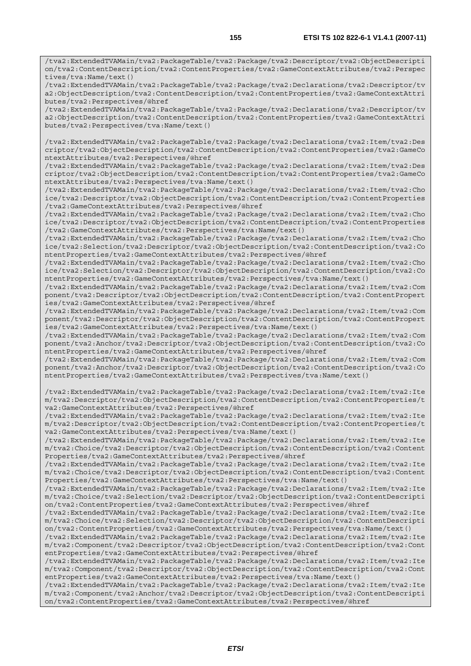/tva2:ExtendedTVAMain/tva2:PackageTable/tva2:Package/tva2:Descriptor/tva2:ObjectDescripti on/tva2:ContentDescription/tva2:ContentProperties/tva2:GameContextAttributes/tva2:Perspec tives/tva:Name/text()

/tva2:ExtendedTVAMain/tva2:PackageTable/tva2:Package/tva2:Declarations/tva2:Descriptor/tv a2:ObjectDescription/tva2:ContentDescription/tva2:ContentProperties/tva2:GameContextAttri butes/tva2:Perspectives/@href

/tva2:ExtendedTVAMain/tva2:PackageTable/tva2:Package/tva2:Declarations/tva2:Descriptor/tv a2:ObjectDescription/tva2:ContentDescription/tva2:ContentProperties/tva2:GameContextAttri butes/tva2:Perspectives/tva:Name/text()

/tva2:ExtendedTVAMain/tva2:PackageTable/tva2:Package/tva2:Declarations/tva2:Item/tva2:Des criptor/tva2:ObjectDescription/tva2:ContentDescription/tva2:ContentProperties/tva2:GameCo ntextAttributes/tva2:Perspectives/@href

/tva2:ExtendedTVAMain/tva2:PackageTable/tva2:Package/tva2:Declarations/tva2:Item/tva2:Des criptor/tva2:ObjectDescription/tva2:ContentDescription/tva2:ContentProperties/tva2:GameCo ntextAttributes/tva2:Perspectives/tva:Name/text()

/tva2:ExtendedTVAMain/tva2:PackageTable/tva2:Package/tva2:Declarations/tva2:Item/tva2:Cho ice/tva2:Descriptor/tva2:ObjectDescription/tva2:ContentDescription/tva2:ContentProperties /tva2:GameContextAttributes/tva2:Perspectives/@href

/tva2:ExtendedTVAMain/tva2:PackageTable/tva2:Package/tva2:Declarations/tva2:Item/tva2:Cho ice/tva2:Descriptor/tva2:ObjectDescription/tva2:ContentDescription/tva2:ContentProperties /tva2:GameContextAttributes/tva2:Perspectives/tva:Name/text()

/tva2:ExtendedTVAMain/tva2:PackageTable/tva2:Package/tva2:Declarations/tva2:Item/tva2:Cho ice/tva2:Selection/tva2:Descriptor/tva2:ObjectDescription/tva2:ContentDescription/tva2:Co ntentProperties/tva2:GameContextAttributes/tva2:Perspectives/@href

/tva2:ExtendedTVAMain/tva2:PackageTable/tva2:Package/tva2:Declarations/tva2:Item/tva2:Cho ice/tva2:Selection/tva2:Descriptor/tva2:ObjectDescription/tva2:ContentDescription/tva2:Co ntentProperties/tva2:GameContextAttributes/tva2:Perspectives/tva:Name/text()

/tva2:ExtendedTVAMain/tva2:PackageTable/tva2:Package/tva2:Declarations/tva2:Item/tva2:Com ponent/tva2:Descriptor/tva2:ObjectDescription/tva2:ContentDescription/tva2:ContentPropert ies/tva2:GameContextAttributes/tva2:Perspectives/@href

/tva2:ExtendedTVAMain/tva2:PackageTable/tva2:Package/tva2:Declarations/tva2:Item/tva2:Com ponent/tva2:Descriptor/tva2:ObjectDescription/tva2:ContentDescription/tva2:ContentPropert ies/tva2:GameContextAttributes/tva2:Perspectives/tva:Name/text()

/tva2:ExtendedTVAMain/tva2:PackageTable/tva2:Package/tva2:Declarations/tva2:Item/tva2:Com ponent/tva2:Anchor/tva2:Descriptor/tva2:ObjectDescription/tva2:ContentDescription/tva2:Co ntentProperties/tva2:GameContextAttributes/tva2:Perspectives/@href

/tva2:ExtendedTVAMain/tva2:PackageTable/tva2:Package/tva2:Declarations/tva2:Item/tva2:Com ponent/tva2:Anchor/tva2:Descriptor/tva2:ObjectDescription/tva2:ContentDescription/tva2:Co ntentProperties/tva2:GameContextAttributes/tva2:Perspectives/tva:Name/text()

/tva2:ExtendedTVAMain/tva2:PackageTable/tva2:Package/tva2:Declarations/tva2:Item/tva2:Ite m/tva2:Descriptor/tva2:ObjectDescription/tva2:ContentDescription/tva2:ContentProperties/t va2:GameContextAttributes/tva2:Perspectives/@href

/tva2:ExtendedTVAMain/tva2:PackageTable/tva2:Package/tva2:Declarations/tva2:Item/tva2:Ite m/tva2:Descriptor/tva2:ObjectDescription/tva2:ContentDescription/tva2:ContentProperties/t va2:GameContextAttributes/tva2:Perspectives/tva:Name/text()

/tva2:ExtendedTVAMain/tva2:PackageTable/tva2:Package/tva2:Declarations/tva2:Item/tva2:Ite m/tva2:Choice/tva2:Descriptor/tva2:ObjectDescription/tva2:ContentDescription/tva2:Content Properties/tva2:GameContextAttributes/tva2:Perspectives/@href

/tva2:ExtendedTVAMain/tva2:PackageTable/tva2:Package/tva2:Declarations/tva2:Item/tva2:Ite m/tva2:Choice/tva2:Descriptor/tva2:ObjectDescription/tva2:ContentDescription/tva2:Content Properties/tva2:GameContextAttributes/tva2:Perspectives/tva:Name/text()

/tva2:ExtendedTVAMain/tva2:PackageTable/tva2:Package/tva2:Declarations/tva2:Item/tva2:Ite m/tva2:Choice/tva2:Selection/tva2:Descriptor/tva2:ObjectDescription/tva2:ContentDescripti on/tva2:ContentProperties/tva2:GameContextAttributes/tva2:Perspectives/@href

/tva2:ExtendedTVAMain/tva2:PackageTable/tva2:Package/tva2:Declarations/tva2:Item/tva2:Ite m/tva2:Choice/tva2:Selection/tva2:Descriptor/tva2:ObjectDescription/tva2:ContentDescripti on/tva2:ContentProperties/tva2:GameContextAttributes/tva2:Perspectives/tva:Name/text()

/tva2:ExtendedTVAMain/tva2:PackageTable/tva2:Package/tva2:Declarations/tva2:Item/tva2:Ite m/tva2:Component/tva2:Descriptor/tva2:ObjectDescription/tva2:ContentDescription/tva2:Cont entProperties/tva2:GameContextAttributes/tva2:Perspectives/@href

/tva2:ExtendedTVAMain/tva2:PackageTable/tva2:Package/tva2:Declarations/tva2:Item/tva2:Ite m/tva2:Component/tva2:Descriptor/tva2:ObjectDescription/tva2:ContentDescription/tva2:Cont entProperties/tva2:GameContextAttributes/tva2:Perspectives/tva:Name/text()

/tva2:ExtendedTVAMain/tva2:PackageTable/tva2:Package/tva2:Declarations/tva2:Item/tva2:Ite m/tva2:Component/tva2:Anchor/tva2:Descriptor/tva2:ObjectDescription/tva2:ContentDescripti on/tva2:ContentProperties/tva2:GameContextAttributes/tva2:Perspectives/@href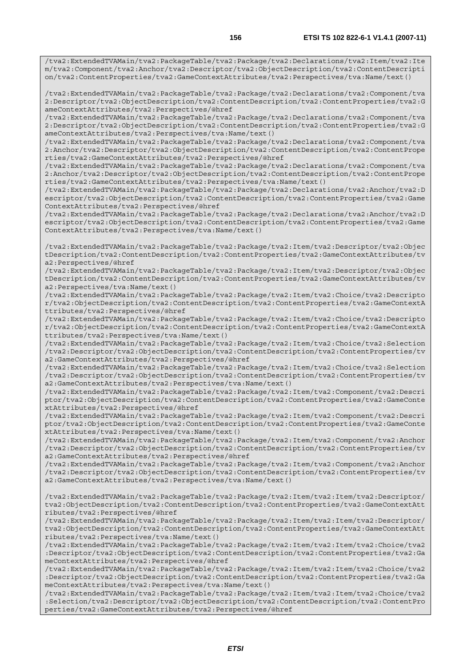/tva2:ExtendedTVAMain/tva2:PackageTable/tva2:Package/tva2:Declarations/tva2:Item/tva2:Ite m/tva2:Component/tva2:Anchor/tva2:Descriptor/tva2:ObjectDescription/tva2:ContentDescripti on/tva2:ContentProperties/tva2:GameContextAttributes/tva2:Perspectives/tva:Name/text()

/tva2:ExtendedTVAMain/tva2:PackageTable/tva2:Package/tva2:Declarations/tva2:Component/tva 2:Descriptor/tva2:ObjectDescription/tva2:ContentDescription/tva2:ContentProperties/tva2:G ameContextAttributes/tva2:Perspectives/@href

/tva2:ExtendedTVAMain/tva2:PackageTable/tva2:Package/tva2:Declarations/tva2:Component/tva 2:Descriptor/tva2:ObjectDescription/tva2:ContentDescription/tva2:ContentProperties/tva2:G ameContextAttributes/tva2:Perspectives/tva:Name/text()

/tva2:ExtendedTVAMain/tva2:PackageTable/tva2:Package/tva2:Declarations/tva2:Component/tva 2:Anchor/tva2:Descriptor/tva2:ObjectDescription/tva2:ContentDescription/tva2:ContentPrope rties/tva2:GameContextAttributes/tva2:Perspectives/@href

/tva2:ExtendedTVAMain/tva2:PackageTable/tva2:Package/tva2:Declarations/tva2:Component/tva 2:Anchor/tva2:Descriptor/tva2:ObjectDescription/tva2:ContentDescription/tva2:ContentPrope rties/tva2:GameContextAttributes/tva2:Perspectives/tva:Name/text()

/tva2:ExtendedTVAMain/tva2:PackageTable/tva2:Package/tva2:Declarations/tva2:Anchor/tva2:D escriptor/tva2:ObjectDescription/tva2:ContentDescription/tva2:ContentProperties/tva2:Game ContextAttributes/tva2:Perspectives/@href

/tva2:ExtendedTVAMain/tva2:PackageTable/tva2:Package/tva2:Declarations/tva2:Anchor/tva2:D escriptor/tva2:ObjectDescription/tva2:ContentDescription/tva2:ContentProperties/tva2:Game ContextAttributes/tva2:Perspectives/tva:Name/text()

/tva2:ExtendedTVAMain/tva2:PackageTable/tva2:Package/tva2:Item/tva2:Descriptor/tva2:Objec tDescription/tva2:ContentDescription/tva2:ContentProperties/tva2:GameContextAttributes/tv a2:Perspectives/@href

/tva2:ExtendedTVAMain/tva2:PackageTable/tva2:Package/tva2:Item/tva2:Descriptor/tva2:Objec tDescription/tva2:ContentDescription/tva2:ContentProperties/tva2:GameContextAttributes/tv a2:Perspectives/tva:Name/text()

/tva2:ExtendedTVAMain/tva2:PackageTable/tva2:Package/tva2:Item/tva2:Choice/tva2:Descripto r/tva2:ObjectDescription/tva2:ContentDescription/tva2:ContentProperties/tva2:GameContextA ttributes/tva2:Perspectives/@href

/tva2:ExtendedTVAMain/tva2:PackageTable/tva2:Package/tva2:Item/tva2:Choice/tva2:Descripto r/tva2:ObjectDescription/tva2:ContentDescription/tva2:ContentProperties/tva2:GameContextA ttributes/tva2:Perspectives/tva:Name/text()

/tva2:ExtendedTVAMain/tva2:PackageTable/tva2:Package/tva2:Item/tva2:Choice/tva2:Selection /tva2:Descriptor/tva2:ObjectDescription/tva2:ContentDescription/tva2:ContentProperties/tv a2:GameContextAttributes/tva2:Perspectives/@href

/tva2:ExtendedTVAMain/tva2:PackageTable/tva2:Package/tva2:Item/tva2:Choice/tva2:Selection /tva2:Descriptor/tva2:ObjectDescription/tva2:ContentDescription/tva2:ContentProperties/tv a2:GameContextAttributes/tva2:Perspectives/tva:Name/text()

/tva2:ExtendedTVAMain/tva2:PackageTable/tva2:Package/tva2:Item/tva2:Component/tva2:Descri ptor/tva2:ObjectDescription/tva2:ContentDescription/tva2:ContentProperties/tva2:GameConte xtAttributes/tva2:Perspectives/@href

/tva2:ExtendedTVAMain/tva2:PackageTable/tva2:Package/tva2:Item/tva2:Component/tva2:Descri ptor/tva2:ObjectDescription/tva2:ContentDescription/tva2:ContentProperties/tva2:GameConte xtAttributes/tva2:Perspectives/tva:Name/text()

/tva2:ExtendedTVAMain/tva2:PackageTable/tva2:Package/tva2:Item/tva2:Component/tva2:Anchor /tva2:Descriptor/tva2:ObjectDescription/tva2:ContentDescription/tva2:ContentProperties/tv a2:GameContextAttributes/tva2:Perspectives/@href

/tva2:ExtendedTVAMain/tva2:PackageTable/tva2:Package/tva2:Item/tva2:Component/tva2:Anchor /tva2:Descriptor/tva2:ObjectDescription/tva2:ContentDescription/tva2:ContentProperties/tv a2:GameContextAttributes/tva2:Perspectives/tva:Name/text()

/tva2:ExtendedTVAMain/tva2:PackageTable/tva2:Package/tva2:Item/tva2:Item/tva2:Descriptor/ tva2:ObjectDescription/tva2:ContentDescription/tva2:ContentProperties/tva2:GameContextAtt ributes/tva2:Perspectives/@href

/tva2:ExtendedTVAMain/tva2:PackageTable/tva2:Package/tva2:Item/tva2:Item/tva2:Descriptor/ tva2:ObjectDescription/tva2:ContentDescription/tva2:ContentProperties/tva2:GameContextAtt ributes/tva2:Perspectives/tva:Name/text()

/tva2:ExtendedTVAMain/tva2:PackageTable/tva2:Package/tva2:Item/tva2:Item/tva2:Choice/tva2 :Descriptor/tva2:ObjectDescription/tva2:ContentDescription/tva2:ContentProperties/tva2:Ga meContextAttributes/tva2:Perspectives/@href

/tva2:ExtendedTVAMain/tva2:PackageTable/tva2:Package/tva2:Item/tva2:Item/tva2:Choice/tva2 :Descriptor/tva2:ObjectDescription/tva2:ContentDescription/tva2:ContentProperties/tva2:Ga meContextAttributes/tva2:Perspectives/tva:Name/text()

/tva2:ExtendedTVAMain/tva2:PackageTable/tva2:Package/tva2:Item/tva2:Item/tva2:Choice/tva2 :Selection/tva2:Descriptor/tva2:ObjectDescription/tva2:ContentDescription/tva2:ContentPro perties/tva2:GameContextAttributes/tva2:Perspectives/@href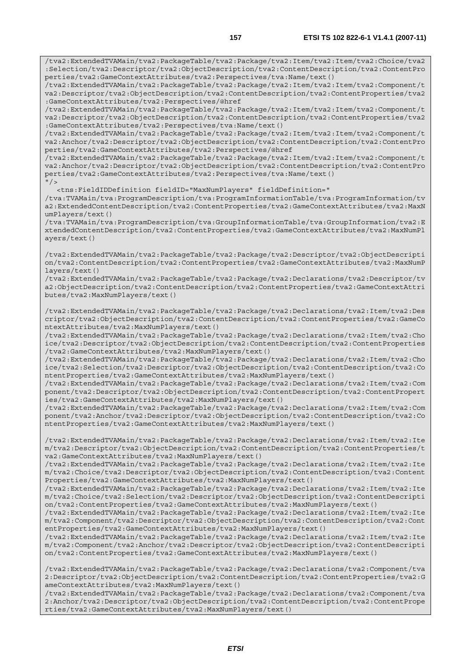/tva2:ExtendedTVAMain/tva2:PackageTable/tva2:Package/tva2:Item/tva2:Item/tva2:Choice/tva2 :Selection/tva2:Descriptor/tva2:ObjectDescription/tva2:ContentDescription/tva2:ContentPro perties/tva2:GameContextAttributes/tva2:Perspectives/tva:Name/text()

/tva2:ExtendedTVAMain/tva2:PackageTable/tva2:Package/tva2:Item/tva2:Item/tva2:Component/t va2:Descriptor/tva2:ObjectDescription/tva2:ContentDescription/tva2:ContentProperties/tva2 :GameContextAttributes/tva2:Perspectives/@href

/tva2:ExtendedTVAMain/tva2:PackageTable/tva2:Package/tva2:Item/tva2:Item/tva2:Component/t va2:Descriptor/tva2:ObjectDescription/tva2:ContentDescription/tva2:ContentProperties/tva2 :GameContextAttributes/tva2:Perspectives/tva:Name/text()

/tva2:ExtendedTVAMain/tva2:PackageTable/tva2:Package/tva2:Item/tva2:Item/tva2:Component/t va2:Anchor/tva2:Descriptor/tva2:ObjectDescription/tva2:ContentDescription/tva2:ContentPro perties/tva2:GameContextAttributes/tva2:Perspectives/@href

/tva2:ExtendedTVAMain/tva2:PackageTable/tva2:Package/tva2:Item/tva2:Item/tva2:Component/t va2:Anchor/tva2:Descriptor/tva2:ObjectDescription/tva2:ContentDescription/tva2:ContentPro perties/tva2:GameContextAttributes/tva2:Perspectives/tva:Name/text()  $"$  />

<tns:FieldIDDefinition fieldID="MaxNumPlayers" fieldDefinition="

/tva:TVAMain/tva:ProgramDescription/tva:ProgramInformationTable/tva:ProgramInformation/tv a2:ExtendedContentDescription/tva2:ContentProperties/tva2:GameContextAttributes/tva2:MaxN umPlayers/text()

/tva:TVAMain/tva:ProgramDescription/tva:GroupInformationTable/tva:GroupInformation/tva2:E xtendedContentDescription/tva2:ContentProperties/tva2:GameContextAttributes/tva2:MaxNumPl ayers/text()

/tva2:ExtendedTVAMain/tva2:PackageTable/tva2:Package/tva2:Descriptor/tva2:ObjectDescripti on/tva2:ContentDescription/tva2:ContentProperties/tva2:GameContextAttributes/tva2:MaxNumP layers/text()

/tva2:ExtendedTVAMain/tva2:PackageTable/tva2:Package/tva2:Declarations/tva2:Descriptor/tv a2:ObjectDescription/tva2:ContentDescription/tva2:ContentProperties/tva2:GameContextAttri butes/tva2:MaxNumPlayers/text()

/tva2:ExtendedTVAMain/tva2:PackageTable/tva2:Package/tva2:Declarations/tva2:Item/tva2:Des criptor/tva2:ObjectDescription/tva2:ContentDescription/tva2:ContentProperties/tva2:GameCo ntextAttributes/tva2:MaxNumPlayers/text()

/tva2:ExtendedTVAMain/tva2:PackageTable/tva2:Package/tva2:Declarations/tva2:Item/tva2:Cho ice/tva2:Descriptor/tva2:ObjectDescription/tva2:ContentDescription/tva2:ContentProperties /tva2:GameContextAttributes/tva2:MaxNumPlayers/text()

/tva2:ExtendedTVAMain/tva2:PackageTable/tva2:Package/tva2:Declarations/tva2:Item/tva2:Cho ice/tva2:Selection/tva2:Descriptor/tva2:ObjectDescription/tva2:ContentDescription/tva2:Co ntentProperties/tva2:GameContextAttributes/tva2:MaxNumPlayers/text()

/tva2:ExtendedTVAMain/tva2:PackageTable/tva2:Package/tva2:Declarations/tva2:Item/tva2:Com ponent/tva2:Descriptor/tva2:ObjectDescription/tva2:ContentDescription/tva2:ContentPropert ies/tva2:GameContextAttributes/tva2:MaxNumPlayers/text()

/tva2:ExtendedTVAMain/tva2:PackageTable/tva2:Package/tva2:Declarations/tva2:Item/tva2:Com ponent/tva2:Anchor/tva2:Descriptor/tva2:ObjectDescription/tva2:ContentDescription/tva2:Co ntentProperties/tva2:GameContextAttributes/tva2:MaxNumPlayers/text()

/tva2:ExtendedTVAMain/tva2:PackageTable/tva2:Package/tva2:Declarations/tva2:Item/tva2:Ite m/tva2:Descriptor/tva2:ObjectDescription/tva2:ContentDescription/tva2:ContentProperties/t va2:GameContextAttributes/tva2:MaxNumPlayers/text()

/tva2:ExtendedTVAMain/tva2:PackageTable/tva2:Package/tva2:Declarations/tva2:Item/tva2:Ite m/tva2:Choice/tva2:Descriptor/tva2:ObjectDescription/tva2:ContentDescription/tva2:Content Properties/tva2:GameContextAttributes/tva2:MaxNumPlayers/text()

/tva2:ExtendedTVAMain/tva2:PackageTable/tva2:Package/tva2:Declarations/tva2:Item/tva2:Ite m/tva2:Choice/tva2:Selection/tva2:Descriptor/tva2:ObjectDescription/tva2:ContentDescripti on/tva2:ContentProperties/tva2:GameContextAttributes/tva2:MaxNumPlayers/text()

/tva2:ExtendedTVAMain/tva2:PackageTable/tva2:Package/tva2:Declarations/tva2:Item/tva2:Ite m/tva2:Component/tva2:Descriptor/tva2:ObjectDescription/tva2:ContentDescription/tva2:Cont entProperties/tva2:GameContextAttributes/tva2:MaxNumPlayers/text()

/tva2:ExtendedTVAMain/tva2:PackageTable/tva2:Package/tva2:Declarations/tva2:Item/tva2:Ite m/tva2:Component/tva2:Anchor/tva2:Descriptor/tva2:ObjectDescription/tva2:ContentDescripti on/tva2:ContentProperties/tva2:GameContextAttributes/tva2:MaxNumPlayers/text()

/tva2:ExtendedTVAMain/tva2:PackageTable/tva2:Package/tva2:Declarations/tva2:Component/tva 2:Descriptor/tva2:ObjectDescription/tva2:ContentDescription/tva2:ContentProperties/tva2:G ameContextAttributes/tva2:MaxNumPlayers/text()

/tva2:ExtendedTVAMain/tva2:PackageTable/tva2:Package/tva2:Declarations/tva2:Component/tva 2:Anchor/tva2:Descriptor/tva2:ObjectDescription/tva2:ContentDescription/tva2:ContentPrope rties/tva2:GameContextAttributes/tva2:MaxNumPlayers/text()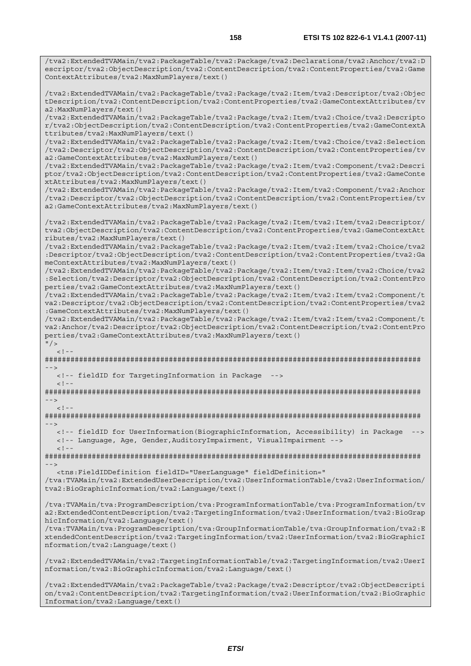/tva2:ExtendedTVAMain/tva2:PackageTable/tva2:Package/tva2:Declarations/tva2:Anchor/tva2:D escriptor/tva2:ObjectDescription/tva2:ContentDescription/tva2:ContentProperties/tva2:Game

/tva2:ExtendedTVAMain/tva2:PackageTable/tva2:Package/tva2:Item/tva2:Descriptor/tva2:Objec

ContextAttributes/tva2:MaxNumPlayers/text()

Information/tva2:Language/text()

tDescription/tva2:ContentDescription/tva2:ContentProperties/tva2:GameContextAttributes/tv a2:MaxNumPlayers/text() /tva2:ExtendedTVAMain/tva2:PackageTable/tva2:Package/tva2:Item/tva2:Choice/tva2:Descripto r/tva2:ObjectDescription/tva2:ContentDescription/tva2:ContentProperties/tva2:GameContextA ttributes/tva2:MaxNumPlayers/text() /tva2:ExtendedTVAMain/tva2:PackageTable/tva2:Package/tva2:Item/tva2:Choice/tva2:Selection /tva2:Descriptor/tva2:ObjectDescription/tva2:ContentDescription/tva2:ContentProperties/tv a2:GameContextAttributes/tva2:MaxNumPlayers/text() /tva2:ExtendedTVAMain/tva2:PackageTable/tva2:Package/tva2:Item/tva2:Component/tva2:Descri ptor/tva2:ObjectDescription/tva2:ContentDescription/tva2:ContentProperties/tva2:GameConte xtAttributes/tva2:MaxNumPlayers/text() /tva2:ExtendedTVAMain/tva2:PackageTable/tva2:Package/tva2:Item/tva2:Component/tva2:Anchor /tva2:Descriptor/tva2:ObjectDescription/tva2:ContentDescription/tva2:ContentProperties/tv a2:GameContextAttributes/tva2:MaxNumPlayers/text() /tva2:ExtendedTVAMain/tva2:PackageTable/tva2:Package/tva2:Item/tva2:Item/tva2:Descriptor/ tva2:ObjectDescription/tva2:ContentDescription/tva2:ContentProperties/tva2:GameContextAtt ributes/tva2:MaxNumPlayers/text() /tva2:ExtendedTVAMain/tva2:PackageTable/tva2:Package/tva2:Item/tva2:Item/tva2:Choice/tva2 :Descriptor/tva2:ObjectDescription/tva2:ContentDescription/tva2:ContentProperties/tva2:Ga meContextAttributes/tva2:MaxNumPlayers/text() /tva2:ExtendedTVAMain/tva2:PackageTable/tva2:Package/tva2:Item/tva2:Item/tva2:Choice/tva2 :Selection/tva2:Descriptor/tva2:ObjectDescription/tva2:ContentDescription/tva2:ContentPro perties/tva2:GameContextAttributes/tva2:MaxNumPlayers/text() /tva2:ExtendedTVAMain/tva2:PackageTable/tva2:Package/tva2:Item/tva2:Item/tva2:Component/t va2:Descriptor/tva2:ObjectDescription/tva2:ContentDescription/tva2:ContentProperties/tva2 :GameContextAttributes/tva2:MaxNumPlayers/text() /tva2:ExtendedTVAMain/tva2:PackageTable/tva2:Package/tva2:Item/tva2:Item/tva2:Component/t va2:Anchor/tva2:Descriptor/tva2:ObjectDescription/tva2:ContentDescription/tva2:ContentPro perties/tva2:GameContextAttributes/tva2:MaxNumPlayers/text()  $"$  / >  $\lt$  ! -######################################################################################## --> <!-- fieldID for TargetingInformation in Package -->  $<$ ! - -######################################################################################## -->  $\geq 1$  =  $-$ ######################################################################################## --> <!-- fieldID for UserInformation(BiographicInformation, Accessibility) in Package --> <!-- Language, Age, Gender,AuditoryImpairment, VisualImpairment -->  $<$ ! --######################################################################################## --> <tns:FieldIDDefinition fieldID="UserLanguage" fieldDefinition=" /tva:TVAMain/tva2:ExtendedUserDescription/tva2:UserInformationTable/tva2:UserInformation/ tva2:BioGraphicInformation/tva2:Language/text() /tva:TVAMain/tva:ProgramDescription/tva:ProgramInformationTable/tva:ProgramInformation/tv a2:ExtendedContentDescription/tva2:TargetingInformation/tva2:UserInformation/tva2:BioGrap hicInformation/tva2:Language/text() /tva:TVAMain/tva:ProgramDescription/tva:GroupInformationTable/tva:GroupInformation/tva2:E xtendedContentDescription/tva2:TargetingInformation/tva2:UserInformation/tva2:BioGraphicI nformation/tva2:Language/text() /tva2:ExtendedTVAMain/tva2:TargetingInformationTable/tva2:TargetingInformation/tva2:UserI nformation/tva2:BioGraphicInformation/tva2:Language/text() /tva2:ExtendedTVAMain/tva2:PackageTable/tva2:Package/tva2:Descriptor/tva2:ObjectDescripti on/tva2:ContentDescription/tva2:TargetingInformation/tva2:UserInformation/tva2:BioGraphic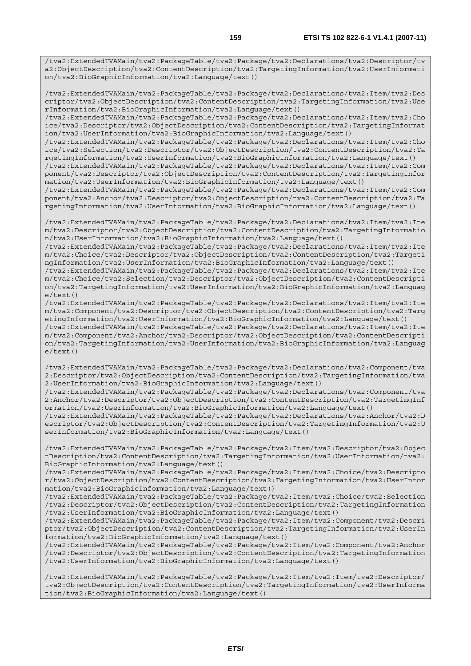/tva2:ExtendedTVAMain/tva2:PackageTable/tva2:Package/tva2:Declarations/tva2:Descriptor/tv a2:ObjectDescription/tva2:ContentDescription/tva2:TargetingInformation/tva2:UserInformati on/tva2:BioGraphicInformation/tva2:Language/text()

/tva2:ExtendedTVAMain/tva2:PackageTable/tva2:Package/tva2:Declarations/tva2:Item/tva2:Des criptor/tva2:ObjectDescription/tva2:ContentDescription/tva2:TargetingInformation/tva2:Use rInformation/tva2:BioGraphicInformation/tva2:Language/text()

/tva2:ExtendedTVAMain/tva2:PackageTable/tva2:Package/tva2:Declarations/tva2:Item/tva2:Cho ice/tva2:Descriptor/tva2:ObjectDescription/tva2:ContentDescription/tva2:TargetingInformat ion/tva2:UserInformation/tva2:BioGraphicInformation/tva2:Language/text()

/tva2:ExtendedTVAMain/tva2:PackageTable/tva2:Package/tva2:Declarations/tva2:Item/tva2:Cho ice/tva2:Selection/tva2:Descriptor/tva2:ObjectDescription/tva2:ContentDescription/tva2:Ta rgetingInformation/tva2:UserInformation/tva2:BioGraphicInformation/tva2:Language/text()

/tva2:ExtendedTVAMain/tva2:PackageTable/tva2:Package/tva2:Declarations/tva2:Item/tva2:Com ponent/tva2:Descriptor/tva2:ObjectDescription/tva2:ContentDescription/tva2:TargetingInfor mation/tva2:UserInformation/tva2:BioGraphicInformation/tva2:Language/text()

/tva2:ExtendedTVAMain/tva2:PackageTable/tva2:Package/tva2:Declarations/tva2:Item/tva2:Com ponent/tva2:Anchor/tva2:Descriptor/tva2:ObjectDescription/tva2:ContentDescription/tva2:Ta rgetingInformation/tva2:UserInformation/tva2:BioGraphicInformation/tva2:Language/text()

/tva2:ExtendedTVAMain/tva2:PackageTable/tva2:Package/tva2:Declarations/tva2:Item/tva2:Ite m/tva2:Descriptor/tva2:ObjectDescription/tva2:ContentDescription/tva2:TargetingInformatio n/tva2:UserInformation/tva2:BioGraphicInformation/tva2:Language/text()

/tva2:ExtendedTVAMain/tva2:PackageTable/tva2:Package/tva2:Declarations/tva2:Item/tva2:Ite m/tva2:Choice/tva2:Descriptor/tva2:ObjectDescription/tva2:ContentDescription/tva2:Targeti ngInformation/tva2:UserInformation/tva2:BioGraphicInformation/tva2:Language/text()

/tva2:ExtendedTVAMain/tva2:PackageTable/tva2:Package/tva2:Declarations/tva2:Item/tva2:Ite m/tva2:Choice/tva2:Selection/tva2:Descriptor/tva2:ObjectDescription/tva2:ContentDescripti on/tva2:TargetingInformation/tva2:UserInformation/tva2:BioGraphicInformation/tva2:Languag  $e$ /text $()$ 

/tva2:ExtendedTVAMain/tva2:PackageTable/tva2:Package/tva2:Declarations/tva2:Item/tva2:Ite m/tva2:Component/tva2:Descriptor/tva2:ObjectDescription/tva2:ContentDescription/tva2:Targ etingInformation/tva2:UserInformation/tva2:BioGraphicInformation/tva2:Language/text() /tva2:ExtendedTVAMain/tva2:PackageTable/tva2:Package/tva2:Declarations/tva2:Item/tva2:Ite m/tva2:Component/tva2:Anchor/tva2:Descriptor/tva2:ObjectDescription/tva2:ContentDescripti

on/tva2:TargetingInformation/tva2:UserInformation/tva2:BioGraphicInformation/tva2:Languag e/text()

/tva2:ExtendedTVAMain/tva2:PackageTable/tva2:Package/tva2:Declarations/tva2:Component/tva 2:Descriptor/tva2:ObjectDescription/tva2:ContentDescription/tva2:TargetingInformation/tva 2:UserInformation/tva2:BioGraphicInformation/tva2:Language/text()

/tva2:ExtendedTVAMain/tva2:PackageTable/tva2:Package/tva2:Declarations/tva2:Component/tva 2:Anchor/tva2:Descriptor/tva2:ObjectDescription/tva2:ContentDescription/tva2:TargetingInf ormation/tva2:UserInformation/tva2:BioGraphicInformation/tva2:Language/text()

/tva2:ExtendedTVAMain/tva2:PackageTable/tva2:Package/tva2:Declarations/tva2:Anchor/tva2:D escriptor/tva2:ObjectDescription/tva2:ContentDescription/tva2:TargetingInformation/tva2:U serInformation/tva2:BioGraphicInformation/tva2:Language/text()

/tva2:ExtendedTVAMain/tva2:PackageTable/tva2:Package/tva2:Item/tva2:Descriptor/tva2:Objec tDescription/tva2:ContentDescription/tva2:TargetingInformation/tva2:UserInformation/tva2: BioGraphicInformation/tva2:Language/text()

/tva2:ExtendedTVAMain/tva2:PackageTable/tva2:Package/tva2:Item/tva2:Choice/tva2:Descripto r/tva2:ObjectDescription/tva2:ContentDescription/tva2:TargetingInformation/tva2:UserInfor mation/tva2:BioGraphicInformation/tva2:Language/text()

/tva2:ExtendedTVAMain/tva2:PackageTable/tva2:Package/tva2:Item/tva2:Choice/tva2:Selection /tva2:Descriptor/tva2:ObjectDescription/tva2:ContentDescription/tva2:TargetingInformation /tva2:UserInformation/tva2:BioGraphicInformation/tva2:Language/text()

/tva2:ExtendedTVAMain/tva2:PackageTable/tva2:Package/tva2:Item/tva2:Component/tva2:Descri ptor/tva2:ObjectDescription/tva2:ContentDescription/tva2:TargetingInformation/tva2:UserIn formation/tva2:BioGraphicInformation/tva2:Language/text()

/tva2:ExtendedTVAMain/tva2:PackageTable/tva2:Package/tva2:Item/tva2:Component/tva2:Anchor /tva2:Descriptor/tva2:ObjectDescription/tva2:ContentDescription/tva2:TargetingInformation /tva2:UserInformation/tva2:BioGraphicInformation/tva2:Language/text()

/tva2:ExtendedTVAMain/tva2:PackageTable/tva2:Package/tva2:Item/tva2:Item/tva2:Descriptor/ tva2:ObjectDescription/tva2:ContentDescription/tva2:TargetingInformation/tva2:UserInforma tion/tva2:BioGraphicInformation/tva2:Language/text()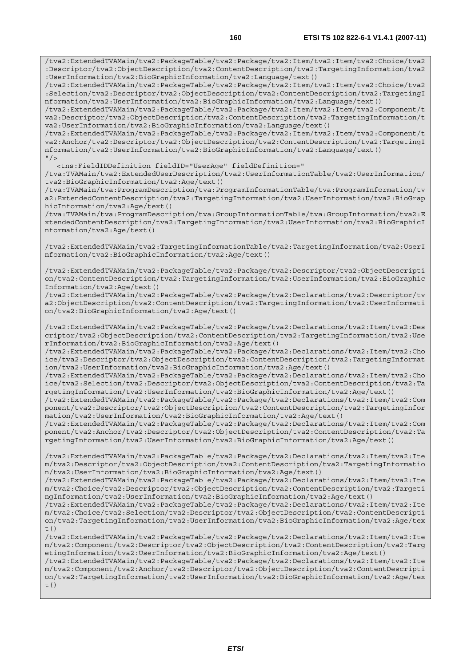/tva2:ExtendedTVAMain/tva2:PackageTable/tva2:Package/tva2:Item/tva2:Item/tva2:Choice/tva2 :Descriptor/tva2:ObjectDescription/tva2:ContentDescription/tva2:TargetingInformation/tva2 :UserInformation/tva2:BioGraphicInformation/tva2:Language/text()

/tva2:ExtendedTVAMain/tva2:PackageTable/tva2:Package/tva2:Item/tva2:Item/tva2:Choice/tva2 :Selection/tva2:Descriptor/tva2:ObjectDescription/tva2:ContentDescription/tva2:TargetingI nformation/tva2:UserInformation/tva2:BioGraphicInformation/tva2:Language/text()

/tva2:ExtendedTVAMain/tva2:PackageTable/tva2:Package/tva2:Item/tva2:Item/tva2:Component/t va2:Descriptor/tva2:ObjectDescription/tva2:ContentDescription/tva2:TargetingInformation/t va2:UserInformation/tva2:BioGraphicInformation/tva2:Language/text()

/tva2:ExtendedTVAMain/tva2:PackageTable/tva2:Package/tva2:Item/tva2:Item/tva2:Component/t va2:Anchor/tva2:Descriptor/tva2:ObjectDescription/tva2:ContentDescription/tva2:TargetingI nformation/tva2:UserInformation/tva2:BioGraphicInformation/tva2:Language/text()  $"$  / >

<tns:FieldIDDefinition fieldID="UserAge" fieldDefinition="

/tva:TVAMain/tva2:ExtendedUserDescription/tva2:UserInformationTable/tva2:UserInformation/ tva2:BioGraphicInformation/tva2:Age/text()

/tva:TVAMain/tva:ProgramDescription/tva:ProgramInformationTable/tva:ProgramInformation/tv a2:ExtendedContentDescription/tva2:TargetingInformation/tva2:UserInformation/tva2:BioGrap hicInformation/tva2:Age/text()

/tva:TVAMain/tva:ProgramDescription/tva:GroupInformationTable/tva:GroupInformation/tva2:E xtendedContentDescription/tva2:TargetingInformation/tva2:UserInformation/tva2:BioGraphicI nformation/tva2:Age/text()

/tva2:ExtendedTVAMain/tva2:TargetingInformationTable/tva2:TargetingInformation/tva2:UserI nformation/tva2:BioGraphicInformation/tva2:Age/text()

/tva2:ExtendedTVAMain/tva2:PackageTable/tva2:Package/tva2:Descriptor/tva2:ObjectDescripti on/tva2:ContentDescription/tva2:TargetingInformation/tva2:UserInformation/tva2:BioGraphic Information/tva2:Age/text()

/tva2:ExtendedTVAMain/tva2:PackageTable/tva2:Package/tva2:Declarations/tva2:Descriptor/tv a2:ObjectDescription/tva2:ContentDescription/tva2:TargetingInformation/tva2:UserInformati on/tva2:BioGraphicInformation/tva2:Age/text()

/tva2:ExtendedTVAMain/tva2:PackageTable/tva2:Package/tva2:Declarations/tva2:Item/tva2:Des criptor/tva2:ObjectDescription/tva2:ContentDescription/tva2:TargetingInformation/tva2:Use rInformation/tva2:BioGraphicInformation/tva2:Age/text()

/tva2:ExtendedTVAMain/tva2:PackageTable/tva2:Package/tva2:Declarations/tva2:Item/tva2:Cho ice/tva2:Descriptor/tva2:ObjectDescription/tva2:ContentDescription/tva2:TargetingInformat ion/tva2:UserInformation/tva2:BioGraphicInformation/tva2:Age/text()

/tva2:ExtendedTVAMain/tva2:PackageTable/tva2:Package/tva2:Declarations/tva2:Item/tva2:Cho ice/tva2:Selection/tva2:Descriptor/tva2:ObjectDescription/tva2:ContentDescription/tva2:Ta rgetingInformation/tva2:UserInformation/tva2:BioGraphicInformation/tva2:Age/text()

/tva2:ExtendedTVAMain/tva2:PackageTable/tva2:Package/tva2:Declarations/tva2:Item/tva2:Com ponent/tva2:Descriptor/tva2:ObjectDescription/tva2:ContentDescription/tva2:TargetingInfor mation/tva2:UserInformation/tva2:BioGraphicInformation/tva2:Age/text()

/tva2:ExtendedTVAMain/tva2:PackageTable/tva2:Package/tva2:Declarations/tva2:Item/tva2:Com ponent/tva2:Anchor/tva2:Descriptor/tva2:ObjectDescription/tva2:ContentDescription/tva2:Ta rgetingInformation/tva2:UserInformation/tva2:BioGraphicInformation/tva2:Age/text()

/tva2:ExtendedTVAMain/tva2:PackageTable/tva2:Package/tva2:Declarations/tva2:Item/tva2:Ite m/tva2:Descriptor/tva2:ObjectDescription/tva2:ContentDescription/tva2:TargetingInformatio n/tva2:UserInformation/tva2:BioGraphicInformation/tva2:Age/text()

/tva2:ExtendedTVAMain/tva2:PackageTable/tva2:Package/tva2:Declarations/tva2:Item/tva2:Ite m/tva2:Choice/tva2:Descriptor/tva2:ObjectDescription/tva2:ContentDescription/tva2:Targeti ngInformation/tva2:UserInformation/tva2:BioGraphicInformation/tva2:Age/text()

/tva2:ExtendedTVAMain/tva2:PackageTable/tva2:Package/tva2:Declarations/tva2:Item/tva2:Ite m/tva2:Choice/tva2:Selection/tva2:Descriptor/tva2:ObjectDescription/tva2:ContentDescripti on/tva2:TargetingInformation/tva2:UserInformation/tva2:BioGraphicInformation/tva2:Age/tex  $t($ )

/tva2:ExtendedTVAMain/tva2:PackageTable/tva2:Package/tva2:Declarations/tva2:Item/tva2:Ite m/tva2:Component/tva2:Descriptor/tva2:ObjectDescription/tva2:ContentDescription/tva2:Targ etingInformation/tva2:UserInformation/tva2:BioGraphicInformation/tva2:Age/text()

/tva2:ExtendedTVAMain/tva2:PackageTable/tva2:Package/tva2:Declarations/tva2:Item/tva2:Ite m/tva2:Component/tva2:Anchor/tva2:Descriptor/tva2:ObjectDescription/tva2:ContentDescripti on/tva2:TargetingInformation/tva2:UserInformation/tva2:BioGraphicInformation/tva2:Age/tex  $t($ )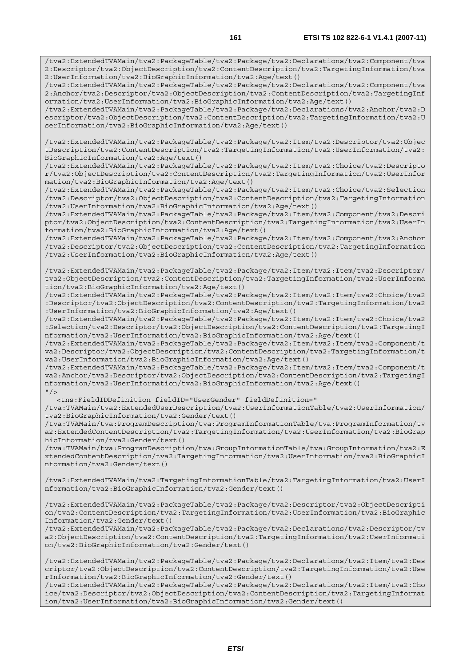/tva2:ExtendedTVAMain/tva2:PackageTable/tva2:Package/tva2:Declarations/tva2:Component/tva 2:Descriptor/tva2:ObjectDescription/tva2:ContentDescription/tva2:TargetingInformation/tva 2:UserInformation/tva2:BioGraphicInformation/tva2:Age/text()

/tva2:ExtendedTVAMain/tva2:PackageTable/tva2:Package/tva2:Declarations/tva2:Component/tva 2:Anchor/tva2:Descriptor/tva2:ObjectDescription/tva2:ContentDescription/tva2:TargetingInf ormation/tva2:UserInformation/tva2:BioGraphicInformation/tva2:Age/text()

/tva2:ExtendedTVAMain/tva2:PackageTable/tva2:Package/tva2:Declarations/tva2:Anchor/tva2:D escriptor/tva2:ObjectDescription/tva2:ContentDescription/tva2:TargetingInformation/tva2:U serInformation/tva2:BioGraphicInformation/tva2:Age/text()

/tva2:ExtendedTVAMain/tva2:PackageTable/tva2:Package/tva2:Item/tva2:Descriptor/tva2:Objec tDescription/tva2:ContentDescription/tva2:TargetingInformation/tva2:UserInformation/tva2: BioGraphicInformation/tva2:Age/text()

/tva2:ExtendedTVAMain/tva2:PackageTable/tva2:Package/tva2:Item/tva2:Choice/tva2:Descripto r/tva2:ObjectDescription/tva2:ContentDescription/tva2:TargetingInformation/tva2:UserInfor mation/tva2:BioGraphicInformation/tva2:Age/text()

/tva2:ExtendedTVAMain/tva2:PackageTable/tva2:Package/tva2:Item/tva2:Choice/tva2:Selection /tva2:Descriptor/tva2:ObjectDescription/tva2:ContentDescription/tva2:TargetingInformation /tva2:UserInformation/tva2:BioGraphicInformation/tva2:Age/text()

/tva2:ExtendedTVAMain/tva2:PackageTable/tva2:Package/tva2:Item/tva2:Component/tva2:Descri ptor/tva2:ObjectDescription/tva2:ContentDescription/tva2:TargetingInformation/tva2:UserIn formation/tva2:BioGraphicInformation/tva2:Age/text()

/tva2:ExtendedTVAMain/tva2:PackageTable/tva2:Package/tva2:Item/tva2:Component/tva2:Anchor /tva2:Descriptor/tva2:ObjectDescription/tva2:ContentDescription/tva2:TargetingInformation /tva2:UserInformation/tva2:BioGraphicInformation/tva2:Age/text()

/tva2:ExtendedTVAMain/tva2:PackageTable/tva2:Package/tva2:Item/tva2:Item/tva2:Descriptor/ tva2:ObjectDescription/tva2:ContentDescription/tva2:TargetingInformation/tva2:UserInforma tion/tva2:BioGraphicInformation/tva2:Age/text()

/tva2:ExtendedTVAMain/tva2:PackageTable/tva2:Package/tva2:Item/tva2:Item/tva2:Choice/tva2 :Descriptor/tva2:ObjectDescription/tva2:ContentDescription/tva2:TargetingInformation/tva2 :UserInformation/tva2:BioGraphicInformation/tva2:Age/text()

/tva2:ExtendedTVAMain/tva2:PackageTable/tva2:Package/tva2:Item/tva2:Item/tva2:Choice/tva2 :Selection/tva2:Descriptor/tva2:ObjectDescription/tva2:ContentDescription/tva2:TargetingI nformation/tva2:UserInformation/tva2:BioGraphicInformation/tva2:Age/text()

/tva2:ExtendedTVAMain/tva2:PackageTable/tva2:Package/tva2:Item/tva2:Item/tva2:Component/t va2:Descriptor/tva2:ObjectDescription/tva2:ContentDescription/tva2:TargetingInformation/t va2:UserInformation/tva2:BioGraphicInformation/tva2:Age/text()

/tva2:ExtendedTVAMain/tva2:PackageTable/tva2:Package/tva2:Item/tva2:Item/tva2:Component/t va2:Anchor/tva2:Descriptor/tva2:ObjectDescription/tva2:ContentDescription/tva2:TargetingI nformation/tva2:UserInformation/tva2:BioGraphicInformation/tva2:Age/text()  $''$  / >

<tns:FieldIDDefinition fieldID="UserGender" fieldDefinition="

/tva:TVAMain/tva2:ExtendedUserDescription/tva2:UserInformationTable/tva2:UserInformation/ tva2:BioGraphicInformation/tva2:Gender/text()

/tva:TVAMain/tva:ProgramDescription/tva:ProgramInformationTable/tva:ProgramInformation/tv a2:ExtendedContentDescription/tva2:TargetingInformation/tva2:UserInformation/tva2:BioGrap hicInformation/tva2:Gender/text()

/tva:TVAMain/tva:ProgramDescription/tva:GroupInformationTable/tva:GroupInformation/tva2:E xtendedContentDescription/tva2:TargetingInformation/tva2:UserInformation/tva2:BioGraphicI nformation/tva2:Gender/text()

/tva2:ExtendedTVAMain/tva2:TargetingInformationTable/tva2:TargetingInformation/tva2:UserI nformation/tva2:BioGraphicInformation/tva2:Gender/text()

/tva2:ExtendedTVAMain/tva2:PackageTable/tva2:Package/tva2:Descriptor/tva2:ObjectDescripti on/tva2:ContentDescription/tva2:TargetingInformation/tva2:UserInformation/tva2:BioGraphic Information/tva2:Gender/text()

/tva2:ExtendedTVAMain/tva2:PackageTable/tva2:Package/tva2:Declarations/tva2:Descriptor/tv a2:ObjectDescription/tva2:ContentDescription/tva2:TargetingInformation/tva2:UserInformati on/tva2:BioGraphicInformation/tva2:Gender/text()

/tva2:ExtendedTVAMain/tva2:PackageTable/tva2:Package/tva2:Declarations/tva2:Item/tva2:Des criptor/tva2:ObjectDescription/tva2:ContentDescription/tva2:TargetingInformation/tva2:Use rInformation/tva2:BioGraphicInformation/tva2:Gender/text()

/tva2:ExtendedTVAMain/tva2:PackageTable/tva2:Package/tva2:Declarations/tva2:Item/tva2:Cho ice/tva2:Descriptor/tva2:ObjectDescription/tva2:ContentDescription/tva2:TargetingInformat ion/tva2:UserInformation/tva2:BioGraphicInformation/tva2:Gender/text()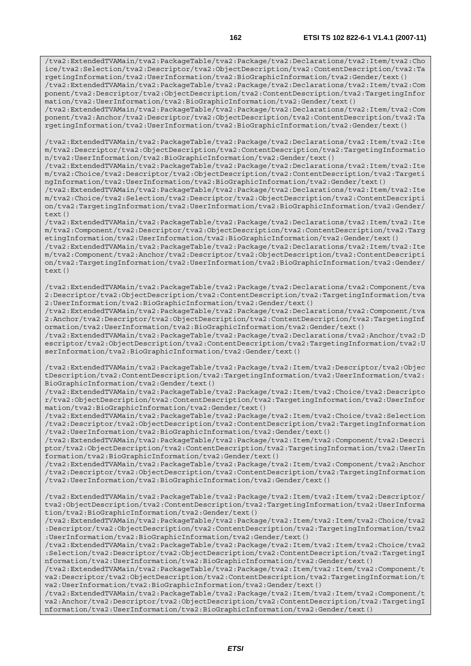/tva2:ExtendedTVAMain/tva2:PackageTable/tva2:Package/tva2:Declarations/tva2:Item/tva2:Cho ice/tva2:Selection/tva2:Descriptor/tva2:ObjectDescription/tva2:ContentDescription/tva2:Ta rgetingInformation/tva2:UserInformation/tva2:BioGraphicInformation/tva2:Gender/text() /tva2:ExtendedTVAMain/tva2:PackageTable/tva2:Package/tva2:Declarations/tva2:Item/tva2:Com ponent/tva2:Descriptor/tva2:ObjectDescription/tva2:ContentDescription/tva2:TargetingInfor mation/tva2:UserInformation/tva2:BioGraphicInformation/tva2:Gender/text() /tva2:ExtendedTVAMain/tva2:PackageTable/tva2:Package/tva2:Declarations/tva2:Item/tva2:Com ponent/tva2:Anchor/tva2:Descriptor/tva2:ObjectDescription/tva2:ContentDescription/tva2:Ta

rgetingInformation/tva2:UserInformation/tva2:BioGraphicInformation/tva2:Gender/text()

/tva2:ExtendedTVAMain/tva2:PackageTable/tva2:Package/tva2:Declarations/tva2:Item/tva2:Ite m/tva2:Descriptor/tva2:ObjectDescription/tva2:ContentDescription/tva2:TargetingInformatio n/tva2:UserInformation/tva2:BioGraphicInformation/tva2:Gender/text()

/tva2:ExtendedTVAMain/tva2:PackageTable/tva2:Package/tva2:Declarations/tva2:Item/tva2:Ite m/tva2:Choice/tva2:Descriptor/tva2:ObjectDescription/tva2:ContentDescription/tva2:Targeti ngInformation/tva2:UserInformation/tva2:BioGraphicInformation/tva2:Gender/text()

/tva2:ExtendedTVAMain/tva2:PackageTable/tva2:Package/tva2:Declarations/tva2:Item/tva2:Ite m/tva2:Choice/tva2:Selection/tva2:Descriptor/tva2:ObjectDescription/tva2:ContentDescripti on/tva2:TargetingInformation/tva2:UserInformation/tva2:BioGraphicInformation/tva2:Gender/  $text()$ 

/tva2:ExtendedTVAMain/tva2:PackageTable/tva2:Package/tva2:Declarations/tva2:Item/tva2:Ite m/tva2:Component/tva2:Descriptor/tva2:ObjectDescription/tva2:ContentDescription/tva2:Targ etingInformation/tva2:UserInformation/tva2:BioGraphicInformation/tva2:Gender/text()

/tva2:ExtendedTVAMain/tva2:PackageTable/tva2:Package/tva2:Declarations/tva2:Item/tva2:Ite m/tva2:Component/tva2:Anchor/tva2:Descriptor/tva2:ObjectDescription/tva2:ContentDescripti on/tva2:TargetingInformation/tva2:UserInformation/tva2:BioGraphicInformation/tva2:Gender/ text()

/tva2:ExtendedTVAMain/tva2:PackageTable/tva2:Package/tva2:Declarations/tva2:Component/tva 2:Descriptor/tva2:ObjectDescription/tva2:ContentDescription/tva2:TargetingInformation/tva 2:UserInformation/tva2:BioGraphicInformation/tva2:Gender/text()

/tva2:ExtendedTVAMain/tva2:PackageTable/tva2:Package/tva2:Declarations/tva2:Component/tva 2:Anchor/tva2:Descriptor/tva2:ObjectDescription/tva2:ContentDescription/tva2:TargetingInf ormation/tva2:UserInformation/tva2:BioGraphicInformation/tva2:Gender/text()

/tva2:ExtendedTVAMain/tva2:PackageTable/tva2:Package/tva2:Declarations/tva2:Anchor/tva2:D escriptor/tva2:ObjectDescription/tva2:ContentDescription/tva2:TargetingInformation/tva2:U serInformation/tva2:BioGraphicInformation/tva2:Gender/text()

/tva2:ExtendedTVAMain/tva2:PackageTable/tva2:Package/tva2:Item/tva2:Descriptor/tva2:Objec tDescription/tva2:ContentDescription/tva2:TargetingInformation/tva2:UserInformation/tva2: BioGraphicInformation/tva2:Gender/text()

/tva2:ExtendedTVAMain/tva2:PackageTable/tva2:Package/tva2:Item/tva2:Choice/tva2:Descripto r/tva2:ObjectDescription/tva2:ContentDescription/tva2:TargetingInformation/tva2:UserInfor mation/tva2:BioGraphicInformation/tva2:Gender/text()

/tva2:ExtendedTVAMain/tva2:PackageTable/tva2:Package/tva2:Item/tva2:Choice/tva2:Selection /tva2:Descriptor/tva2:ObjectDescription/tva2:ContentDescription/tva2:TargetingInformation /tva2:UserInformation/tva2:BioGraphicInformation/tva2:Gender/text()

/tva2:ExtendedTVAMain/tva2:PackageTable/tva2:Package/tva2:Item/tva2:Component/tva2:Descri ptor/tva2:ObjectDescription/tva2:ContentDescription/tva2:TargetingInformation/tva2:UserIn formation/tva2:BioGraphicInformation/tva2:Gender/text()

/tva2:ExtendedTVAMain/tva2:PackageTable/tva2:Package/tva2:Item/tva2:Component/tva2:Anchor /tva2:Descriptor/tva2:ObjectDescription/tva2:ContentDescription/tva2:TargetingInformation /tva2:UserInformation/tva2:BioGraphicInformation/tva2:Gender/text()

/tva2:ExtendedTVAMain/tva2:PackageTable/tva2:Package/tva2:Item/tva2:Item/tva2:Descriptor/ tva2:ObjectDescription/tva2:ContentDescription/tva2:TargetingInformation/tva2:UserInforma tion/tva2:BioGraphicInformation/tva2:Gender/text()

/tva2:ExtendedTVAMain/tva2:PackageTable/tva2:Package/tva2:Item/tva2:Item/tva2:Choice/tva2 :Descriptor/tva2:ObjectDescription/tva2:ContentDescription/tva2:TargetingInformation/tva2 :UserInformation/tva2:BioGraphicInformation/tva2:Gender/text()

/tva2:ExtendedTVAMain/tva2:PackageTable/tva2:Package/tva2:Item/tva2:Item/tva2:Choice/tva2 :Selection/tva2:Descriptor/tva2:ObjectDescription/tva2:ContentDescription/tva2:TargetingI nformation/tva2:UserInformation/tva2:BioGraphicInformation/tva2:Gender/text()

/tva2:ExtendedTVAMain/tva2:PackageTable/tva2:Package/tva2:Item/tva2:Item/tva2:Component/t va2:Descriptor/tva2:ObjectDescription/tva2:ContentDescription/tva2:TargetingInformation/t va2:UserInformation/tva2:BioGraphicInformation/tva2:Gender/text()

/tva2:ExtendedTVAMain/tva2:PackageTable/tva2:Package/tva2:Item/tva2:Item/tva2:Component/t va2:Anchor/tva2:Descriptor/tva2:ObjectDescription/tva2:ContentDescription/tva2:TargetingI nformation/tva2:UserInformation/tva2:BioGraphicInformation/tva2:Gender/text()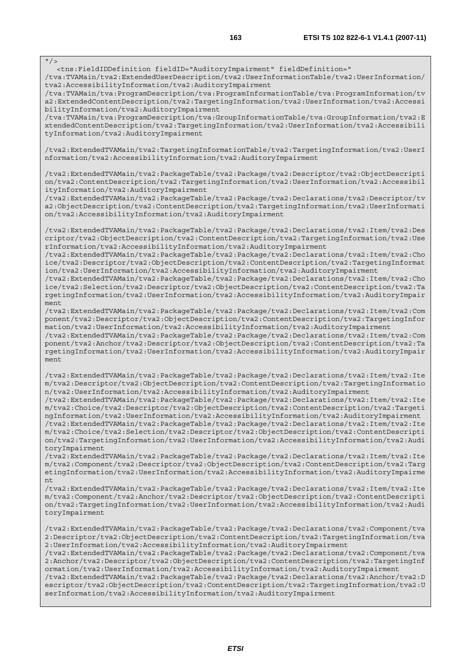$\frac{1}{\sqrt{}}$ 

<tns:FieldIDDefinition fieldID="AuditoryImpairment" fieldDefinition="

/tva:TVAMain/tva2:ExtendedUserDescription/tva2:UserInformationTable/tva2:UserInformation/ tva2:AccessibilityInformation/tva2:AuditoryImpairment

/tva:TVAMain/tva:ProgramDescription/tva:ProgramInformationTable/tva:ProgramInformation/tv a2:ExtendedContentDescription/tva2:TargetingInformation/tva2:UserInformation/tva2:Accessi bilityInformation/tva2:AuditoryImpairment

/tva:TVAMain/tva:ProgramDescription/tva:GroupInformationTable/tva:GroupInformation/tva2:E xtendedContentDescription/tva2:TargetingInformation/tva2:UserInformation/tva2:Accessibili tyInformation/tva2:AuditoryImpairment

/tva2:ExtendedTVAMain/tva2:TargetingInformationTable/tva2:TargetingInformation/tva2:UserI nformation/tva2:AccessibilityInformation/tva2:AuditoryImpairment

/tva2:ExtendedTVAMain/tva2:PackageTable/tva2:Package/tva2:Descriptor/tva2:ObjectDescripti on/tva2:ContentDescription/tva2:TargetingInformation/tva2:UserInformation/tva2:Accessibil ityInformation/tva2:AuditoryImpairment

/tva2:ExtendedTVAMain/tva2:PackageTable/tva2:Package/tva2:Declarations/tva2:Descriptor/tv a2:ObjectDescription/tva2:ContentDescription/tva2:TargetingInformation/tva2:UserInformati on/tva2:AccessibilityInformation/tva2:AuditoryImpairment

/tva2:ExtendedTVAMain/tva2:PackageTable/tva2:Package/tva2:Declarations/tva2:Item/tva2:Des criptor/tva2:ObjectDescription/tva2:ContentDescription/tva2:TargetingInformation/tva2:Use rInformation/tva2:AccessibilityInformation/tva2:AuditoryImpairment

/tva2:ExtendedTVAMain/tva2:PackageTable/tva2:Package/tva2:Declarations/tva2:Item/tva2:Cho ice/tva2:Descriptor/tva2:ObjectDescription/tva2:ContentDescription/tva2:TargetingInformat ion/tva2:UserInformation/tva2:AccessibilityInformation/tva2:AuditoryImpairment

/tva2:ExtendedTVAMain/tva2:PackageTable/tva2:Package/tva2:Declarations/tva2:Item/tva2:Cho ice/tva2:Selection/tva2:Descriptor/tva2:ObjectDescription/tva2:ContentDescription/tva2:Ta rgetingInformation/tva2:UserInformation/tva2:AccessibilityInformation/tva2:AuditoryImpair ment

/tva2:ExtendedTVAMain/tva2:PackageTable/tva2:Package/tva2:Declarations/tva2:Item/tva2:Com ponent/tva2:Descriptor/tva2:ObjectDescription/tva2:ContentDescription/tva2:TargetingInfor mation/tva2:UserInformation/tva2:AccessibilityInformation/tva2:AuditoryImpairment

/tva2:ExtendedTVAMain/tva2:PackageTable/tva2:Package/tva2:Declarations/tva2:Item/tva2:Com ponent/tva2:Anchor/tva2:Descriptor/tva2:ObjectDescription/tva2:ContentDescription/tva2:Ta rgetingInformation/tva2:UserInformation/tva2:AccessibilityInformation/tva2:AuditoryImpair ment

/tva2:ExtendedTVAMain/tva2:PackageTable/tva2:Package/tva2:Declarations/tva2:Item/tva2:Ite m/tva2:Descriptor/tva2:ObjectDescription/tva2:ContentDescription/tva2:TargetingInformatio n/tva2:UserInformation/tva2:AccessibilityInformation/tva2:AuditoryImpairment

/tva2:ExtendedTVAMain/tva2:PackageTable/tva2:Package/tva2:Declarations/tva2:Item/tva2:Ite m/tva2:Choice/tva2:Descriptor/tva2:ObjectDescription/tva2:ContentDescription/tva2:Targeti ngInformation/tva2:UserInformation/tva2:AccessibilityInformation/tva2:AuditoryImpairment /tva2:ExtendedTVAMain/tva2:PackageTable/tva2:Package/tva2:Declarations/tva2:Item/tva2:Ite m/tva2:Choice/tva2:Selection/tva2:Descriptor/tva2:ObjectDescription/tva2:ContentDescripti on/tva2:TargetingInformation/tva2:UserInformation/tva2:AccessibilityInformation/tva2:Audi toryImpairment

/tva2:ExtendedTVAMain/tva2:PackageTable/tva2:Package/tva2:Declarations/tva2:Item/tva2:Ite m/tva2:Component/tva2:Descriptor/tva2:ObjectDescription/tva2:ContentDescription/tva2:Targ etingInformation/tva2:UserInformation/tva2:AccessibilityInformation/tva2:AuditoryImpairme nt

/tva2:ExtendedTVAMain/tva2:PackageTable/tva2:Package/tva2:Declarations/tva2:Item/tva2:Ite m/tva2:Component/tva2:Anchor/tva2:Descriptor/tva2:ObjectDescription/tva2:ContentDescripti on/tva2:TargetingInformation/tva2:UserInformation/tva2:AccessibilityInformation/tva2:Audi toryImpairment

/tva2:ExtendedTVAMain/tva2:PackageTable/tva2:Package/tva2:Declarations/tva2:Component/tva 2:Descriptor/tva2:ObjectDescription/tva2:ContentDescription/tva2:TargetingInformation/tva 2:UserInformation/tva2:AccessibilityInformation/tva2:AuditoryImpairment

/tva2:ExtendedTVAMain/tva2:PackageTable/tva2:Package/tva2:Declarations/tva2:Component/tva 2:Anchor/tva2:Descriptor/tva2:ObjectDescription/tva2:ContentDescription/tva2:TargetingInf ormation/tva2:UserInformation/tva2:AccessibilityInformation/tva2:AuditoryImpairment

/tva2:ExtendedTVAMain/tva2:PackageTable/tva2:Package/tva2:Declarations/tva2:Anchor/tva2:D escriptor/tva2:ObjectDescription/tva2:ContentDescription/tva2:TargetingInformation/tva2:U serInformation/tva2:AccessibilityInformation/tva2:AuditoryImpairment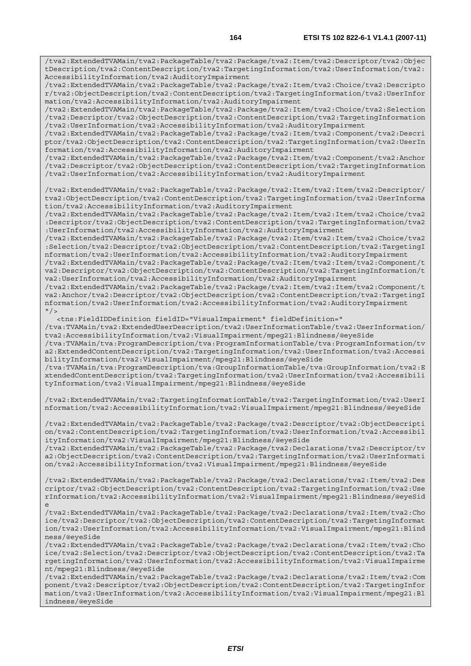/tva2:ExtendedTVAMain/tva2:PackageTable/tva2:Package/tva2:Item/tva2:Descriptor/tva2:Objec tDescription/tva2:ContentDescription/tva2:TargetingInformation/tva2:UserInformation/tva2: AccessibilityInformation/tva2:AuditoryImpairment

/tva2:ExtendedTVAMain/tva2:PackageTable/tva2:Package/tva2:Item/tva2:Choice/tva2:Descripto r/tva2:ObjectDescription/tva2:ContentDescription/tva2:TargetingInformation/tva2:UserInfor mation/tva2:AccessibilityInformation/tva2:AuditoryImpairment

/tva2:ExtendedTVAMain/tva2:PackageTable/tva2:Package/tva2:Item/tva2:Choice/tva2:Selection /tva2:Descriptor/tva2:ObjectDescription/tva2:ContentDescription/tva2:TargetingInformation /tva2:UserInformation/tva2:AccessibilityInformation/tva2:AuditoryImpairment

/tva2:ExtendedTVAMain/tva2:PackageTable/tva2:Package/tva2:Item/tva2:Component/tva2:Descri ptor/tva2:ObjectDescription/tva2:ContentDescription/tva2:TargetingInformation/tva2:UserIn formation/tva2:AccessibilityInformation/tva2:AuditoryImpairment

/tva2:ExtendedTVAMain/tva2:PackageTable/tva2:Package/tva2:Item/tva2:Component/tva2:Anchor /tva2:Descriptor/tva2:ObjectDescription/tva2:ContentDescription/tva2:TargetingInformation /tva2:UserInformation/tva2:AccessibilityInformation/tva2:AuditoryImpairment

/tva2:ExtendedTVAMain/tva2:PackageTable/tva2:Package/tva2:Item/tva2:Item/tva2:Descriptor/ tva2:ObjectDescription/tva2:ContentDescription/tva2:TargetingInformation/tva2:UserInforma tion/tva2:AccessibilityInformation/tva2:AuditoryImpairment

/tva2:ExtendedTVAMain/tva2:PackageTable/tva2:Package/tva2:Item/tva2:Item/tva2:Choice/tva2 :Descriptor/tva2:ObjectDescription/tva2:ContentDescription/tva2:TargetingInformation/tva2 :UserInformation/tva2:AccessibilityInformation/tva2:AuditoryImpairment

/tva2:ExtendedTVAMain/tva2:PackageTable/tva2:Package/tva2:Item/tva2:Item/tva2:Choice/tva2 :Selection/tva2:Descriptor/tva2:ObjectDescription/tva2:ContentDescription/tva2:TargetingI nformation/tva2:UserInformation/tva2:AccessibilityInformation/tva2:AuditoryImpairment

/tva2:ExtendedTVAMain/tva2:PackageTable/tva2:Package/tva2:Item/tva2:Item/tva2:Component/t va2:Descriptor/tva2:ObjectDescription/tva2:ContentDescription/tva2:TargetingInformation/t va2:UserInformation/tva2:AccessibilityInformation/tva2:AuditoryImpairment

/tva2:ExtendedTVAMain/tva2:PackageTable/tva2:Package/tva2:Item/tva2:Item/tva2:Component/t va2:Anchor/tva2:Descriptor/tva2:ObjectDescription/tva2:ContentDescription/tva2:TargetingI nformation/tva2:UserInformation/tva2:AccessibilityInformation/tva2:AuditoryImpairment  $"$  / >

 <tns:FieldIDDefinition fieldID="VisualImpairment" fieldDefinition=" /tva:TVAMain/tva2:ExtendedUserDescription/tva2:UserInformationTable/tva2:UserInformation/ tva2:AccessibilityInformation/tva2:VisualImpairment/mpeg21:Blindness/@eyeSide /tva:TVAMain/tva:ProgramDescription/tva:ProgramInformationTable/tva:ProgramInformation/tv a2:ExtendedContentDescription/tva2:TargetingInformation/tva2:UserInformation/tva2:Accessi bilityInformation/tva2:VisualImpairment/mpeg21:Blindness/@eyeSide /tva:TVAMain/tva:ProgramDescription/tva:GroupInformationTable/tva:GroupInformation/tva2:E

xtendedContentDescription/tva2:TargetingInformation/tva2:UserInformation/tva2:Accessibili tyInformation/tva2:VisualImpairment/mpeg21:Blindness/@eyeSide

/tva2:ExtendedTVAMain/tva2:TargetingInformationTable/tva2:TargetingInformation/tva2:UserI nformation/tva2:AccessibilityInformation/tva2:VisualImpairment/mpeg21:Blindness/@eyeSide

/tva2:ExtendedTVAMain/tva2:PackageTable/tva2:Package/tva2:Descriptor/tva2:ObjectDescripti on/tva2:ContentDescription/tva2:TargetingInformation/tva2:UserInformation/tva2:Accessibil ityInformation/tva2:VisualImpairment/mpeg21:Blindness/@eyeSide /tva2:ExtendedTVAMain/tva2:PackageTable/tva2:Package/tva2:Declarations/tva2:Descriptor/tv

a2:ObjectDescription/tva2:ContentDescription/tva2:TargetingInformation/tva2:UserInformati on/tva2:AccessibilityInformation/tva2:VisualImpairment/mpeg21:Blindness/@eyeSide

/tva2:ExtendedTVAMain/tva2:PackageTable/tva2:Package/tva2:Declarations/tva2:Item/tva2:Des criptor/tva2:ObjectDescription/tva2:ContentDescription/tva2:TargetingInformation/tva2:Use rInformation/tva2:AccessibilityInformation/tva2:VisualImpairment/mpeg21:Blindness/@eyeSid e

/tva2:ExtendedTVAMain/tva2:PackageTable/tva2:Package/tva2:Declarations/tva2:Item/tva2:Cho ice/tva2:Descriptor/tva2:ObjectDescription/tva2:ContentDescription/tva2:TargetingInformat ion/tva2:UserInformation/tva2:AccessibilityInformation/tva2:VisualImpairment/mpeg21:Blind ness/@eyeSide

/tva2:ExtendedTVAMain/tva2:PackageTable/tva2:Package/tva2:Declarations/tva2:Item/tva2:Cho ice/tva2:Selection/tva2:Descriptor/tva2:ObjectDescription/tva2:ContentDescription/tva2:Ta rgetingInformation/tva2:UserInformation/tva2:AccessibilityInformation/tva2:VisualImpairme nt/mpeg21:Blindness/@eyeSide

/tva2:ExtendedTVAMain/tva2:PackageTable/tva2:Package/tva2:Declarations/tva2:Item/tva2:Com ponent/tva2:Descriptor/tva2:ObjectDescription/tva2:ContentDescription/tva2:TargetingInfor mation/tva2:UserInformation/tva2:AccessibilityInformation/tva2:VisualImpairment/mpeg21:Bl indness/@eyeSide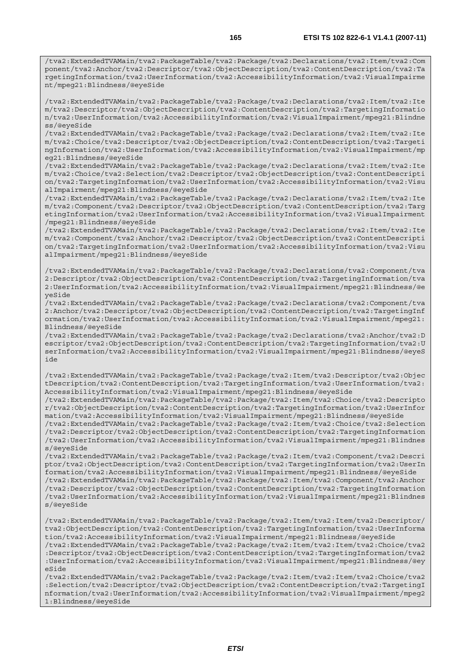/tva2:ExtendedTVAMain/tva2:PackageTable/tva2:Package/tva2:Declarations/tva2:Item/tva2:Com ponent/tva2:Anchor/tva2:Descriptor/tva2:ObjectDescription/tva2:ContentDescription/tva2:Ta rgetingInformation/tva2:UserInformation/tva2:AccessibilityInformation/tva2:VisualImpairme nt/mpeg21:Blindness/@eyeSide

/tva2:ExtendedTVAMain/tva2:PackageTable/tva2:Package/tva2:Declarations/tva2:Item/tva2:Ite m/tva2:Descriptor/tva2:ObjectDescription/tva2:ContentDescription/tva2:TargetingInformatio n/tva2:UserInformation/tva2:AccessibilityInformation/tva2:VisualImpairment/mpeg21:Blindne ss/@eyeSide

/tva2:ExtendedTVAMain/tva2:PackageTable/tva2:Package/tva2:Declarations/tva2:Item/tva2:Ite m/tva2:Choice/tva2:Descriptor/tva2:ObjectDescription/tva2:ContentDescription/tva2:Targeti ngInformation/tva2:UserInformation/tva2:AccessibilityInformation/tva2:VisualImpairment/mp eg21:Blindness/@eyeSide

/tva2:ExtendedTVAMain/tva2:PackageTable/tva2:Package/tva2:Declarations/tva2:Item/tva2:Ite m/tva2:Choice/tva2:Selection/tva2:Descriptor/tva2:ObjectDescription/tva2:ContentDescripti on/tva2:TargetingInformation/tva2:UserInformation/tva2:AccessibilityInformation/tva2:Visu alImpairment/mpeg21:Blindness/@eyeSide

/tva2:ExtendedTVAMain/tva2:PackageTable/tva2:Package/tva2:Declarations/tva2:Item/tva2:Ite m/tva2:Component/tva2:Descriptor/tva2:ObjectDescription/tva2:ContentDescription/tva2:Targ etingInformation/tva2:UserInformation/tva2:AccessibilityInformation/tva2:VisualImpairment /mpeg21:Blindness/@eyeSide

/tva2:ExtendedTVAMain/tva2:PackageTable/tva2:Package/tva2:Declarations/tva2:Item/tva2:Ite m/tva2:Component/tva2:Anchor/tva2:Descriptor/tva2:ObjectDescription/tva2:ContentDescripti on/tva2:TargetingInformation/tva2:UserInformation/tva2:AccessibilityInformation/tva2:Visu alImpairment/mpeg21:Blindness/@eyeSide

/tva2:ExtendedTVAMain/tva2:PackageTable/tva2:Package/tva2:Declarations/tva2:Component/tva 2:Descriptor/tva2:ObjectDescription/tva2:ContentDescription/tva2:TargetingInformation/tva 2:UserInformation/tva2:AccessibilityInformation/tva2:VisualImpairment/mpeg21:Blindness/@e yeSide

/tva2:ExtendedTVAMain/tva2:PackageTable/tva2:Package/tva2:Declarations/tva2:Component/tva 2:Anchor/tva2:Descriptor/tva2:ObjectDescription/tva2:ContentDescription/tva2:TargetingInf ormation/tva2:UserInformation/tva2:AccessibilityInformation/tva2:VisualImpairment/mpeg21: Blindness/@eyeSide

/tva2:ExtendedTVAMain/tva2:PackageTable/tva2:Package/tva2:Declarations/tva2:Anchor/tva2:D escriptor/tva2:ObjectDescription/tva2:ContentDescription/tva2:TargetingInformation/tva2:U serInformation/tva2:AccessibilityInformation/tva2:VisualImpairment/mpeg21:Blindness/@eyeS ide

/tva2:ExtendedTVAMain/tva2:PackageTable/tva2:Package/tva2:Item/tva2:Descriptor/tva2:Objec tDescription/tva2:ContentDescription/tva2:TargetingInformation/tva2:UserInformation/tva2: AccessibilityInformation/tva2:VisualImpairment/mpeg21:Blindness/@eyeSide

/tva2:ExtendedTVAMain/tva2:PackageTable/tva2:Package/tva2:Item/tva2:Choice/tva2:Descripto r/tva2:ObjectDescription/tva2:ContentDescription/tva2:TargetingInformation/tva2:UserInfor mation/tva2:AccessibilityInformation/tva2:VisualImpairment/mpeg21:Blindness/@eyeSide

/tva2:ExtendedTVAMain/tva2:PackageTable/tva2:Package/tva2:Item/tva2:Choice/tva2:Selection /tva2:Descriptor/tva2:ObjectDescription/tva2:ContentDescription/tva2:TargetingInformation /tva2:UserInformation/tva2:AccessibilityInformation/tva2:VisualImpairment/mpeg21:Blindnes s/@eyeSide

/tva2:ExtendedTVAMain/tva2:PackageTable/tva2:Package/tva2:Item/tva2:Component/tva2:Descri ptor/tva2:ObjectDescription/tva2:ContentDescription/tva2:TargetingInformation/tva2:UserIn formation/tva2:AccessibilityInformation/tva2:VisualImpairment/mpeg21:Blindness/@eyeSide /tva2:ExtendedTVAMain/tva2:PackageTable/tva2:Package/tva2:Item/tva2:Component/tva2:Anchor /tva2:Descriptor/tva2:ObjectDescription/tva2:ContentDescription/tva2:TargetingInformation

/tva2:UserInformation/tva2:AccessibilityInformation/tva2:VisualImpairment/mpeg21:Blindnes s/@eyeSide

/tva2:ExtendedTVAMain/tva2:PackageTable/tva2:Package/tva2:Item/tva2:Item/tva2:Descriptor/ tva2:ObjectDescription/tva2:ContentDescription/tva2:TargetingInformation/tva2:UserInforma tion/tva2:AccessibilityInformation/tva2:VisualImpairment/mpeg21:Blindness/@eyeSide /tva2:ExtendedTVAMain/tva2:PackageTable/tva2:Package/tva2:Item/tva2:Item/tva2:Choice/tva2 :Descriptor/tva2:ObjectDescription/tva2:ContentDescription/tva2:TargetingInformation/tva2 :UserInformation/tva2:AccessibilityInformation/tva2:VisualImpairment/mpeg21:Blindness/@ey

eSide /tva2:ExtendedTVAMain/tva2:PackageTable/tva2:Package/tva2:Item/tva2:Item/tva2:Choice/tva2 :Selection/tva2:Descriptor/tva2:ObjectDescription/tva2:ContentDescription/tva2:TargetingI nformation/tva2:UserInformation/tva2:AccessibilityInformation/tva2:VisualImpairment/mpeg2 1:Blindness/@eyeSide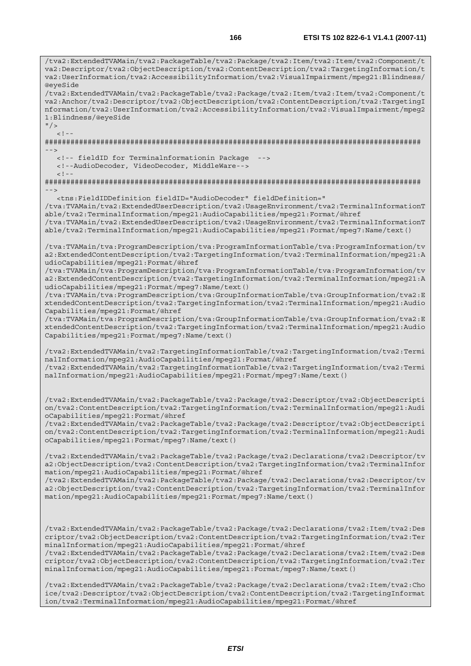va2:Descriptor/tva2:ObjectDescription/tva2:ContentDescription/tva2:TargetingInformation/t va2:UserInformation/tva2:AccessibilityInformation/tva2:VisualImpairment/mpeg21:Blindness/ @eyeSide /tva2:ExtendedTVAMain/tva2:PackageTable/tva2:Package/tva2:Item/tva2:Item/tva2:Component/t va2:Anchor/tva2:Descriptor/tva2:ObjectDescription/tva2:ContentDescription/tva2:TargetingI nformation/tva2:UserInformation/tva2:AccessibilityInformation/tva2:VisualImpairment/mpeg2 1:Blindness/@eyeSide  $"$  />  $\lt$  ! -######################################################################################## --> <!-- fieldID for Terminalnformationin Package --> <!--AudioDecoder, VideoDecoder, MiddleWare-->  $\geq$   $\frac{1}{2}$ . ######################################################################################## --> <tns:FieldIDDefinition fieldID="AudioDecoder" fieldDefinition=" /tva:TVAMain/tva2:ExtendedUserDescription/tva2:UsageEnvironment/tva2:TerminalInformationT able/tva2:TerminalInformation/mpeg21:AudioCapabilities/mpeg21:Format/@href /tva:TVAMain/tva2:ExtendedUserDescription/tva2:UsageEnvironment/tva2:TerminalInformationT able/tva2:TerminalInformation/mpeg21:AudioCapabilities/mpeg21:Format/mpeg7:Name/text() /tva:TVAMain/tva:ProgramDescription/tva:ProgramInformationTable/tva:ProgramInformation/tv a2:ExtendedContentDescription/tva2:TargetingInformation/tva2:TerminalInformation/mpeg21:A udioCapabilities/mpeg21:Format/@href /tva:TVAMain/tva:ProgramDescription/tva:ProgramInformationTable/tva:ProgramInformation/tv a2:ExtendedContentDescription/tva2:TargetingInformation/tva2:TerminalInformation/mpeg21:A udioCapabilities/mpeg21:Format/mpeg7:Name/text() /tva:TVAMain/tva:ProgramDescription/tva:GroupInformationTable/tva:GroupInformation/tva2:E xtendedContentDescription/tva2:TargetingInformation/tva2:TerminalInformation/mpeg21:Audio Capabilities/mpeg21:Format/@href /tva:TVAMain/tva:ProgramDescription/tva:GroupInformationTable/tva:GroupInformation/tva2:E xtendedContentDescription/tva2:TargetingInformation/tva2:TerminalInformation/mpeg21:Audio Capabilities/mpeg21:Format/mpeg7:Name/text() /tva2:ExtendedTVAMain/tva2:TargetingInformationTable/tva2:TargetingInformation/tva2:Termi nalInformation/mpeg21:AudioCapabilities/mpeg21:Format/@href /tva2:ExtendedTVAMain/tva2:TargetingInformationTable/tva2:TargetingInformation/tva2:Termi nalInformation/mpeg21:AudioCapabilities/mpeg21:Format/mpeg7:Name/text() /tva2:ExtendedTVAMain/tva2:PackageTable/tva2:Package/tva2:Descriptor/tva2:ObjectDescripti on/tva2:ContentDescription/tva2:TargetingInformation/tva2:TerminalInformation/mpeg21:Audi oCapabilities/mpeg21:Format/@href /tva2:ExtendedTVAMain/tva2:PackageTable/tva2:Package/tva2:Descriptor/tva2:ObjectDescripti on/tva2:ContentDescription/tva2:TargetingInformation/tva2:TerminalInformation/mpeg21:Audi oCapabilities/mpeg21:Format/mpeg7:Name/text() /tva2:ExtendedTVAMain/tva2:PackageTable/tva2:Package/tva2:Declarations/tva2:Descriptor/tv a2:ObjectDescription/tva2:ContentDescription/tva2:TargetingInformation/tva2:TerminalInfor mation/mpeg21:AudioCapabilities/mpeg21:Format/@href /tva2:ExtendedTVAMain/tva2:PackageTable/tva2:Package/tva2:Declarations/tva2:Descriptor/tv a2:ObjectDescription/tva2:ContentDescription/tva2:TargetingInformation/tva2:TerminalInfor mation/mpeg21:AudioCapabilities/mpeg21:Format/mpeg7:Name/text() /tva2:ExtendedTVAMain/tva2:PackageTable/tva2:Package/tva2:Declarations/tva2:Item/tva2:Des criptor/tva2:ObjectDescription/tva2:ContentDescription/tva2:TargetingInformation/tva2:Ter minalInformation/mpeg21:AudioCapabilities/mpeg21:Format/@href /tva2:ExtendedTVAMain/tva2:PackageTable/tva2:Package/tva2:Declarations/tva2:Item/tva2:Des criptor/tva2:ObjectDescription/tva2:ContentDescription/tva2:TargetingInformation/tva2:Ter minalInformation/mpeg21:AudioCapabilities/mpeg21:Format/mpeg7:Name/text() /tva2:ExtendedTVAMain/tva2:PackageTable/tva2:Package/tva2:Declarations/tva2:Item/tva2:Cho ice/tva2:Descriptor/tva2:ObjectDescription/tva2:ContentDescription/tva2:TargetingInformat

/tva2:ExtendedTVAMain/tva2:PackageTable/tva2:Package/tva2:Item/tva2:Item/tva2:Component/t

ion/tva2:TerminalInformation/mpeg21:AudioCapabilities/mpeg21:Format/@href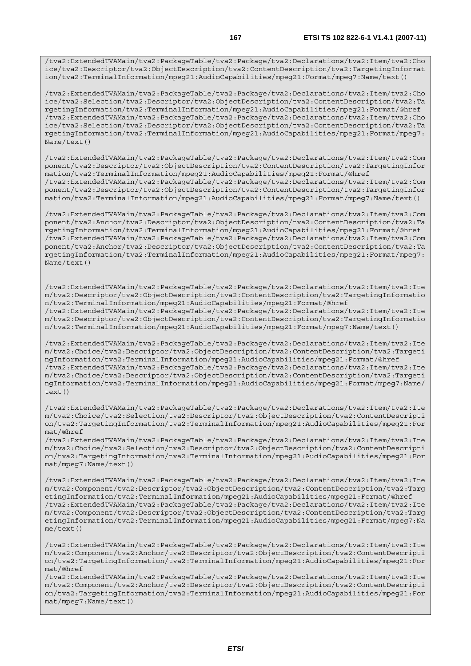/tva2:ExtendedTVAMain/tva2:PackageTable/tva2:Package/tva2:Declarations/tva2:Item/tva2:Cho ice/tva2:Descriptor/tva2:ObjectDescription/tva2:ContentDescription/tva2:TargetingInformat ion/tva2:TerminalInformation/mpeg21:AudioCapabilities/mpeg21:Format/mpeg7:Name/text()

/tva2:ExtendedTVAMain/tva2:PackageTable/tva2:Package/tva2:Declarations/tva2:Item/tva2:Cho ice/tva2:Selection/tva2:Descriptor/tva2:ObjectDescription/tva2:ContentDescription/tva2:Ta rgetingInformation/tva2:TerminalInformation/mpeg21:AudioCapabilities/mpeg21:Format/@href /tva2:ExtendedTVAMain/tva2:PackageTable/tva2:Package/tva2:Declarations/tva2:Item/tva2:Cho ice/tva2:Selection/tva2:Descriptor/tva2:ObjectDescription/tva2:ContentDescription/tva2:Ta rgetingInformation/tva2:TerminalInformation/mpeg21:AudioCapabilities/mpeg21:Format/mpeg7: Name/text()

/tva2:ExtendedTVAMain/tva2:PackageTable/tva2:Package/tva2:Declarations/tva2:Item/tva2:Com ponent/tva2:Descriptor/tva2:ObjectDescription/tva2:ContentDescription/tva2:TargetingInfor mation/tva2:TerminalInformation/mpeg21:AudioCapabilities/mpeg21:Format/@href /tva2:ExtendedTVAMain/tva2:PackageTable/tva2:Package/tva2:Declarations/tva2:Item/tva2:Com ponent/tva2:Descriptor/tva2:ObjectDescription/tva2:ContentDescription/tva2:TargetingInfor mation/tva2:TerminalInformation/mpeg21:AudioCapabilities/mpeg21:Format/mpeg7:Name/text()

/tva2:ExtendedTVAMain/tva2:PackageTable/tva2:Package/tva2:Declarations/tva2:Item/tva2:Com ponent/tva2:Anchor/tva2:Descriptor/tva2:ObjectDescription/tva2:ContentDescription/tva2:Ta rgetingInformation/tva2:TerminalInformation/mpeg21:AudioCapabilities/mpeg21:Format/@href /tva2:ExtendedTVAMain/tva2:PackageTable/tva2:Package/tva2:Declarations/tva2:Item/tva2:Com ponent/tva2:Anchor/tva2:Descriptor/tva2:ObjectDescription/tva2:ContentDescription/tva2:Ta rgetingInformation/tva2:TerminalInformation/mpeg21:AudioCapabilities/mpeg21:Format/mpeg7: Name/text()

/tva2:ExtendedTVAMain/tva2:PackageTable/tva2:Package/tva2:Declarations/tva2:Item/tva2:Ite m/tva2:Descriptor/tva2:ObjectDescription/tva2:ContentDescription/tva2:TargetingInformatio n/tva2:TerminalInformation/mpeg21:AudioCapabilities/mpeg21:Format/@href /tva2:ExtendedTVAMain/tva2:PackageTable/tva2:Package/tva2:Declarations/tva2:Item/tva2:Ite m/tva2:Descriptor/tva2:ObjectDescription/tva2:ContentDescription/tva2:TargetingInformatio n/tva2:TerminalInformation/mpeg21:AudioCapabilities/mpeg21:Format/mpeg7:Name/text()

/tva2:ExtendedTVAMain/tva2:PackageTable/tva2:Package/tva2:Declarations/tva2:Item/tva2:Ite m/tva2:Choice/tva2:Descriptor/tva2:ObjectDescription/tva2:ContentDescription/tva2:Targeti ngInformation/tva2:TerminalInformation/mpeg21:AudioCapabilities/mpeg21:Format/@href /tva2:ExtendedTVAMain/tva2:PackageTable/tva2:Package/tva2:Declarations/tva2:Item/tva2:Ite m/tva2:Choice/tva2:Descriptor/tva2:ObjectDescription/tva2:ContentDescription/tva2:Targeti ngInformation/tva2:TerminalInformation/mpeg21:AudioCapabilities/mpeg21:Format/mpeg7:Name/  $text()$ 

/tva2:ExtendedTVAMain/tva2:PackageTable/tva2:Package/tva2:Declarations/tva2:Item/tva2:Ite m/tva2:Choice/tva2:Selection/tva2:Descriptor/tva2:ObjectDescription/tva2:ContentDescripti on/tva2:TargetingInformation/tva2:TerminalInformation/mpeg21:AudioCapabilities/mpeg21:For mat/@href

/tva2:ExtendedTVAMain/tva2:PackageTable/tva2:Package/tva2:Declarations/tva2:Item/tva2:Ite m/tva2:Choice/tva2:Selection/tva2:Descriptor/tva2:ObjectDescription/tva2:ContentDescripti on/tva2:TargetingInformation/tva2:TerminalInformation/mpeg21:AudioCapabilities/mpeg21:For mat/mpeg7:Name/text()

/tva2:ExtendedTVAMain/tva2:PackageTable/tva2:Package/tva2:Declarations/tva2:Item/tva2:Ite m/tva2:Component/tva2:Descriptor/tva2:ObjectDescription/tva2:ContentDescription/tva2:Targ etingInformation/tva2:TerminalInformation/mpeg21:AudioCapabilities/mpeg21:Format/@href /tva2:ExtendedTVAMain/tva2:PackageTable/tva2:Package/tva2:Declarations/tva2:Item/tva2:Ite m/tva2:Component/tva2:Descriptor/tva2:ObjectDescription/tva2:ContentDescription/tva2:Targ etingInformation/tva2:TerminalInformation/mpeg21:AudioCapabilities/mpeg21:Format/mpeg7:Na me/text()

/tva2:ExtendedTVAMain/tva2:PackageTable/tva2:Package/tva2:Declarations/tva2:Item/tva2:Ite m/tva2:Component/tva2:Anchor/tva2:Descriptor/tva2:ObjectDescription/tva2:ContentDescripti on/tva2:TargetingInformation/tva2:TerminalInformation/mpeg21:AudioCapabilities/mpeg21:For mat/@href

/tva2:ExtendedTVAMain/tva2:PackageTable/tva2:Package/tva2:Declarations/tva2:Item/tva2:Ite m/tva2:Component/tva2:Anchor/tva2:Descriptor/tva2:ObjectDescription/tva2:ContentDescripti on/tva2:TargetingInformation/tva2:TerminalInformation/mpeg21:AudioCapabilities/mpeg21:For mat/mpeg7:Name/text()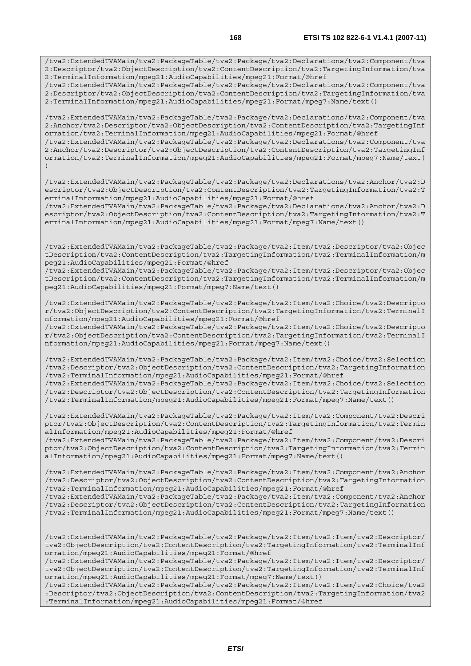2:TerminalInformation/mpeg21:AudioCapabilities/mpeg21:Format/@href /tva2:ExtendedTVAMain/tva2:PackageTable/tva2:Package/tva2:Declarations/tva2:Component/tva 2:Descriptor/tva2:ObjectDescription/tva2:ContentDescription/tva2:TargetingInformation/tva 2:TerminalInformation/mpeg21:AudioCapabilities/mpeg21:Format/mpeg7:Name/text()

/tva2:ExtendedTVAMain/tva2:PackageTable/tva2:Package/tva2:Declarations/tva2:Component/tva 2:Anchor/tva2:Descriptor/tva2:ObjectDescription/tva2:ContentDescription/tva2:TargetingInf ormation/tva2:TerminalInformation/mpeg21:AudioCapabilities/mpeg21:Format/@href /tva2:ExtendedTVAMain/tva2:PackageTable/tva2:Package/tva2:Declarations/tva2:Component/tva

2:Anchor/tva2:Descriptor/tva2:ObjectDescription/tva2:ContentDescription/tva2:TargetingInf ormation/tva2:TerminalInformation/mpeg21:AudioCapabilities/mpeg21:Format/mpeg7:Name/text( )

/tva2:ExtendedTVAMain/tva2:PackageTable/tva2:Package/tva2:Declarations/tva2:Anchor/tva2:D escriptor/tva2:ObjectDescription/tva2:ContentDescription/tva2:TargetingInformation/tva2:T erminalInformation/mpeg21:AudioCapabilities/mpeg21:Format/@href

/tva2:ExtendedTVAMain/tva2:PackageTable/tva2:Package/tva2:Declarations/tva2:Anchor/tva2:D escriptor/tva2:ObjectDescription/tva2:ContentDescription/tva2:TargetingInformation/tva2:T erminalInformation/mpeg21:AudioCapabilities/mpeg21:Format/mpeg7:Name/text()

/tva2:ExtendedTVAMain/tva2:PackageTable/tva2:Package/tva2:Item/tva2:Descriptor/tva2:Objec tDescription/tva2:ContentDescription/tva2:TargetingInformation/tva2:TerminalInformation/m peg21:AudioCapabilities/mpeg21:Format/@href

/tva2:ExtendedTVAMain/tva2:PackageTable/tva2:Package/tva2:Item/tva2:Descriptor/tva2:Objec tDescription/tva2:ContentDescription/tva2:TargetingInformation/tva2:TerminalInformation/m peg21:AudioCapabilities/mpeg21:Format/mpeg7:Name/text()

/tva2:ExtendedTVAMain/tva2:PackageTable/tva2:Package/tva2:Item/tva2:Choice/tva2:Descripto r/tva2:ObjectDescription/tva2:ContentDescription/tva2:TargetingInformation/tva2:TerminalI nformation/mpeg21:AudioCapabilities/mpeg21:Format/@href

/tva2:ExtendedTVAMain/tva2:PackageTable/tva2:Package/tva2:Item/tva2:Choice/tva2:Descripto r/tva2:ObjectDescription/tva2:ContentDescription/tva2:TargetingInformation/tva2:TerminalI nformation/mpeg21:AudioCapabilities/mpeg21:Format/mpeg7:Name/text()

/tva2:ExtendedTVAMain/tva2:PackageTable/tva2:Package/tva2:Item/tva2:Choice/tva2:Selection /tva2:Descriptor/tva2:ObjectDescription/tva2:ContentDescription/tva2:TargetingInformation /tva2:TerminalInformation/mpeg21:AudioCapabilities/mpeg21:Format/@href

/tva2:ExtendedTVAMain/tva2:PackageTable/tva2:Package/tva2:Item/tva2:Choice/tva2:Selection /tva2:Descriptor/tva2:ObjectDescription/tva2:ContentDescription/tva2:TargetingInformation /tva2:TerminalInformation/mpeg21:AudioCapabilities/mpeg21:Format/mpeg7:Name/text()

/tva2:ExtendedTVAMain/tva2:PackageTable/tva2:Package/tva2:Item/tva2:Component/tva2:Descri ptor/tva2:ObjectDescription/tva2:ContentDescription/tva2:TargetingInformation/tva2:Termin alInformation/mpeg21:AudioCapabilities/mpeg21:Format/@href

/tva2:ExtendedTVAMain/tva2:PackageTable/tva2:Package/tva2:Item/tva2:Component/tva2:Descri ptor/tva2:ObjectDescription/tva2:ContentDescription/tva2:TargetingInformation/tva2:Termin alInformation/mpeg21:AudioCapabilities/mpeg21:Format/mpeg7:Name/text()

/tva2:ExtendedTVAMain/tva2:PackageTable/tva2:Package/tva2:Item/tva2:Component/tva2:Anchor /tva2:Descriptor/tva2:ObjectDescription/tva2:ContentDescription/tva2:TargetingInformation /tva2:TerminalInformation/mpeg21:AudioCapabilities/mpeg21:Format/@href

/tva2:ExtendedTVAMain/tva2:PackageTable/tva2:Package/tva2:Item/tva2:Component/tva2:Anchor /tva2:Descriptor/tva2:ObjectDescription/tva2:ContentDescription/tva2:TargetingInformation /tva2:TerminalInformation/mpeg21:AudioCapabilities/mpeg21:Format/mpeg7:Name/text()

/tva2:ExtendedTVAMain/tva2:PackageTable/tva2:Package/tva2:Item/tva2:Item/tva2:Descriptor/ tva2:ObjectDescription/tva2:ContentDescription/tva2:TargetingInformation/tva2:TerminalInf ormation/mpeg21:AudioCapabilities/mpeg21:Format/@href

/tva2:ExtendedTVAMain/tva2:PackageTable/tva2:Package/tva2:Item/tva2:Item/tva2:Descriptor/ tva2:ObjectDescription/tva2:ContentDescription/tva2:TargetingInformation/tva2:TerminalInf ormation/mpeg21:AudioCapabilities/mpeg21:Format/mpeg7:Name/text()

/tva2:ExtendedTVAMain/tva2:PackageTable/tva2:Package/tva2:Item/tva2:Item/tva2:Choice/tva2 :Descriptor/tva2:ObjectDescription/tva2:ContentDescription/tva2:TargetingInformation/tva2 :TerminalInformation/mpeg21:AudioCapabilities/mpeg21:Format/@href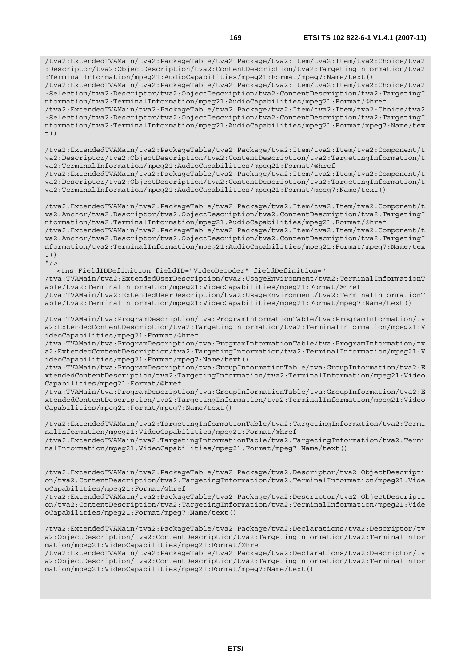/tva2:ExtendedTVAMain/tva2:PackageTable/tva2:Package/tva2:Item/tva2:Item/tva2:Choice/tva2 :Descriptor/tva2:ObjectDescription/tva2:ContentDescription/tva2:TargetingInformation/tva2 :TerminalInformation/mpeg21:AudioCapabilities/mpeg21:Format/mpeg7:Name/text() /tva2:ExtendedTVAMain/tva2:PackageTable/tva2:Package/tva2:Item/tva2:Item/tva2:Choice/tva2 :Selection/tva2:Descriptor/tva2:ObjectDescription/tva2:ContentDescription/tva2:TargetingI nformation/tva2:TerminalInformation/mpeg21:AudioCapabilities/mpeg21:Format/@href /tva2:ExtendedTVAMain/tva2:PackageTable/tva2:Package/tva2:Item/tva2:Item/tva2:Choice/tva2 :Selection/tva2:Descriptor/tva2:ObjectDescription/tva2:ContentDescription/tva2:TargetingI nformation/tva2:TerminalInformation/mpeg21:AudioCapabilities/mpeg21:Format/mpeg7:Name/tex t()

/tva2:ExtendedTVAMain/tva2:PackageTable/tva2:Package/tva2:Item/tva2:Item/tva2:Component/t va2:Descriptor/tva2:ObjectDescription/tva2:ContentDescription/tva2:TargetingInformation/t va2:TerminalInformation/mpeg21:AudioCapabilities/mpeg21:Format/@href /tva2:ExtendedTVAMain/tva2:PackageTable/tva2:Package/tva2:Item/tva2:Item/tva2:Component/t

va2:Descriptor/tva2:ObjectDescription/tva2:ContentDescription/tva2:TargetingInformation/t va2:TerminalInformation/mpeg21:AudioCapabilities/mpeg21:Format/mpeg7:Name/text()

/tva2:ExtendedTVAMain/tva2:PackageTable/tva2:Package/tva2:Item/tva2:Item/tva2:Component/t va2:Anchor/tva2:Descriptor/tva2:ObjectDescription/tva2:ContentDescription/tva2:TargetingI nformation/tva2:TerminalInformation/mpeg21:AudioCapabilities/mpeg21:Format/@href /tva2:ExtendedTVAMain/tva2:PackageTable/tva2:Package/tva2:Item/tva2:Item/tva2:Component/t va2:Anchor/tva2:Descriptor/tva2:ObjectDescription/tva2:ContentDescription/tva2:TargetingI nformation/tva2:TerminalInformation/mpeg21:AudioCapabilities/mpeg21:Format/mpeg7:Name/tex t()

 $''$  / > <tns:FieldIDDefinition fieldID="VideoDecoder" fieldDefinition=" /tva:TVAMain/tva2:ExtendedUserDescription/tva2:UsageEnvironment/tva2:TerminalInformationT able/tva2:TerminalInformation/mpeg21:VideoCapabilities/mpeg21:Format/@href /tva:TVAMain/tva2:ExtendedUserDescription/tva2:UsageEnvironment/tva2:TerminalInformationT able/tva2:TerminalInformation/mpeg21:VideoCapabilities/mpeg21:Format/mpeg7:Name/text()

/tva:TVAMain/tva:ProgramDescription/tva:ProgramInformationTable/tva:ProgramInformation/tv a2:ExtendedContentDescription/tva2:TargetingInformation/tva2:TerminalInformation/mpeg21:V ideoCapabilities/mpeg21:Format/@href

/tva:TVAMain/tva:ProgramDescription/tva:ProgramInformationTable/tva:ProgramInformation/tv a2:ExtendedContentDescription/tva2:TargetingInformation/tva2:TerminalInformation/mpeg21:V ideoCapabilities/mpeg21:Format/mpeg7:Name/text()

/tva:TVAMain/tva:ProgramDescription/tva:GroupInformationTable/tva:GroupInformation/tva2:E xtendedContentDescription/tva2:TargetingInformation/tva2:TerminalInformation/mpeg21:Video Capabilities/mpeg21:Format/@href

/tva:TVAMain/tva:ProgramDescription/tva:GroupInformationTable/tva:GroupInformation/tva2:E xtendedContentDescription/tva2:TargetingInformation/tva2:TerminalInformation/mpeg21:Video Capabilities/mpeg21:Format/mpeg7:Name/text()

/tva2:ExtendedTVAMain/tva2:TargetingInformationTable/tva2:TargetingInformation/tva2:Termi nalInformation/mpeg21:VideoCapabilities/mpeg21:Format/@href /tva2:ExtendedTVAMain/tva2:TargetingInformationTable/tva2:TargetingInformation/tva2:Termi nalInformation/mpeg21:VideoCapabilities/mpeg21:Format/mpeg7:Name/text()

/tva2:ExtendedTVAMain/tva2:PackageTable/tva2:Package/tva2:Descriptor/tva2:ObjectDescripti on/tva2:ContentDescription/tva2:TargetingInformation/tva2:TerminalInformation/mpeg21:Vide oCapabilities/mpeg21:Format/@href

/tva2:ExtendedTVAMain/tva2:PackageTable/tva2:Package/tva2:Descriptor/tva2:ObjectDescripti on/tva2:ContentDescription/tva2:TargetingInformation/tva2:TerminalInformation/mpeg21:Vide oCapabilities/mpeg21:Format/mpeg7:Name/text()

/tva2:ExtendedTVAMain/tva2:PackageTable/tva2:Package/tva2:Declarations/tva2:Descriptor/tv a2:ObjectDescription/tva2:ContentDescription/tva2:TargetingInformation/tva2:TerminalInfor mation/mpeg21:VideoCapabilities/mpeg21:Format/@href

/tva2:ExtendedTVAMain/tva2:PackageTable/tva2:Package/tva2:Declarations/tva2:Descriptor/tv a2:ObjectDescription/tva2:ContentDescription/tva2:TargetingInformation/tva2:TerminalInfor mation/mpeg21:VideoCapabilities/mpeg21:Format/mpeg7:Name/text()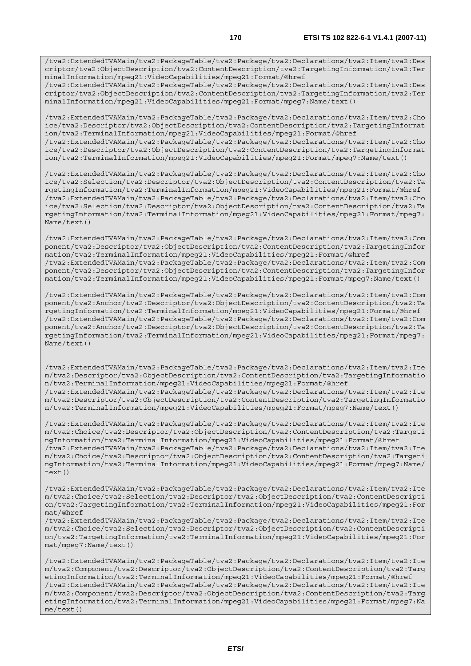/tva2:ExtendedTVAMain/tva2:PackageTable/tva2:Package/tva2:Declarations/tva2:Item/tva2:Des criptor/tva2:ObjectDescription/tva2:ContentDescription/tva2:TargetingInformation/tva2:Ter minalInformation/mpeg21:VideoCapabilities/mpeg21:Format/mpeg7:Name/text()

/tva2:ExtendedTVAMain/tva2:PackageTable/tva2:Package/tva2:Declarations/tva2:Item/tva2:Cho ice/tva2:Descriptor/tva2:ObjectDescription/tva2:ContentDescription/tva2:TargetingInformat ion/tva2:TerminalInformation/mpeg21:VideoCapabilities/mpeg21:Format/@href /tva2:ExtendedTVAMain/tva2:PackageTable/tva2:Package/tva2:Declarations/tva2:Item/tva2:Cho ice/tva2:Descriptor/tva2:ObjectDescription/tva2:ContentDescription/tva2:TargetingInformat ion/tva2:TerminalInformation/mpeg21:VideoCapabilities/mpeg21:Format/mpeg7:Name/text()

/tva2:ExtendedTVAMain/tva2:PackageTable/tva2:Package/tva2:Declarations/tva2:Item/tva2:Cho ice/tva2:Selection/tva2:Descriptor/tva2:ObjectDescription/tva2:ContentDescription/tva2:Ta rgetingInformation/tva2:TerminalInformation/mpeg21:VideoCapabilities/mpeg21:Format/@href /tva2:ExtendedTVAMain/tva2:PackageTable/tva2:Package/tva2:Declarations/tva2:Item/tva2:Cho ice/tva2:Selection/tva2:Descriptor/tva2:ObjectDescription/tva2:ContentDescription/tva2:Ta rgetingInformation/tva2:TerminalInformation/mpeg21:VideoCapabilities/mpeg21:Format/mpeg7: Name/text()

/tva2:ExtendedTVAMain/tva2:PackageTable/tva2:Package/tva2:Declarations/tva2:Item/tva2:Com ponent/tva2:Descriptor/tva2:ObjectDescription/tva2:ContentDescription/tva2:TargetingInfor mation/tva2:TerminalInformation/mpeg21:VideoCapabilities/mpeg21:Format/@href /tva2:ExtendedTVAMain/tva2:PackageTable/tva2:Package/tva2:Declarations/tva2:Item/tva2:Com ponent/tva2:Descriptor/tva2:ObjectDescription/tva2:ContentDescription/tva2:TargetingInfor mation/tva2:TerminalInformation/mpeg21:VideoCapabilities/mpeg21:Format/mpeg7:Name/text()

/tva2:ExtendedTVAMain/tva2:PackageTable/tva2:Package/tva2:Declarations/tva2:Item/tva2:Com ponent/tva2:Anchor/tva2:Descriptor/tva2:ObjectDescription/tva2:ContentDescription/tva2:Ta rgetingInformation/tva2:TerminalInformation/mpeg21:VideoCapabilities/mpeg21:Format/@href /tva2:ExtendedTVAMain/tva2:PackageTable/tva2:Package/tva2:Declarations/tva2:Item/tva2:Com ponent/tva2:Anchor/tva2:Descriptor/tva2:ObjectDescription/tva2:ContentDescription/tva2:Ta rgetingInformation/tva2:TerminalInformation/mpeg21:VideoCapabilities/mpeg21:Format/mpeg7: Name/text()

/tva2:ExtendedTVAMain/tva2:PackageTable/tva2:Package/tva2:Declarations/tva2:Item/tva2:Ite m/tva2:Descriptor/tva2:ObjectDescription/tva2:ContentDescription/tva2:TargetingInformatio n/tva2:TerminalInformation/mpeg21:VideoCapabilities/mpeg21:Format/@href /tva2:ExtendedTVAMain/tva2:PackageTable/tva2:Package/tva2:Declarations/tva2:Item/tva2:Ite m/tva2:Descriptor/tva2:ObjectDescription/tva2:ContentDescription/tva2:TargetingInformatio n/tva2:TerminalInformation/mpeg21:VideoCapabilities/mpeg21:Format/mpeg7:Name/text()

/tva2:ExtendedTVAMain/tva2:PackageTable/tva2:Package/tva2:Declarations/tva2:Item/tva2:Ite m/tva2:Choice/tva2:Descriptor/tva2:ObjectDescription/tva2:ContentDescription/tva2:Targeti ngInformation/tva2:TerminalInformation/mpeg21:VideoCapabilities/mpeg21:Format/@href /tva2:ExtendedTVAMain/tva2:PackageTable/tva2:Package/tva2:Declarations/tva2:Item/tva2:Ite m/tva2:Choice/tva2:Descriptor/tva2:ObjectDescription/tva2:ContentDescription/tva2:Targeti ngInformation/tva2:TerminalInformation/mpeg21:VideoCapabilities/mpeg21:Format/mpeg7:Name/ text()

/tva2:ExtendedTVAMain/tva2:PackageTable/tva2:Package/tva2:Declarations/tva2:Item/tva2:Ite m/tva2:Choice/tva2:Selection/tva2:Descriptor/tva2:ObjectDescription/tva2:ContentDescripti on/tva2:TargetingInformation/tva2:TerminalInformation/mpeg21:VideoCapabilities/mpeg21:For mat/@href

/tva2:ExtendedTVAMain/tva2:PackageTable/tva2:Package/tva2:Declarations/tva2:Item/tva2:Ite m/tva2:Choice/tva2:Selection/tva2:Descriptor/tva2:ObjectDescription/tva2:ContentDescripti on/tva2:TargetingInformation/tva2:TerminalInformation/mpeg21:VideoCapabilities/mpeg21:For mat/mpeg7:Name/text()

/tva2:ExtendedTVAMain/tva2:PackageTable/tva2:Package/tva2:Declarations/tva2:Item/tva2:Ite m/tva2:Component/tva2:Descriptor/tva2:ObjectDescription/tva2:ContentDescription/tva2:Targ etingInformation/tva2:TerminalInformation/mpeg21:VideoCapabilities/mpeg21:Format/@href /tva2:ExtendedTVAMain/tva2:PackageTable/tva2:Package/tva2:Declarations/tva2:Item/tva2:Ite m/tva2:Component/tva2:Descriptor/tva2:ObjectDescription/tva2:ContentDescription/tva2:Targ etingInformation/tva2:TerminalInformation/mpeg21:VideoCapabilities/mpeg21:Format/mpeg7:Na me/text()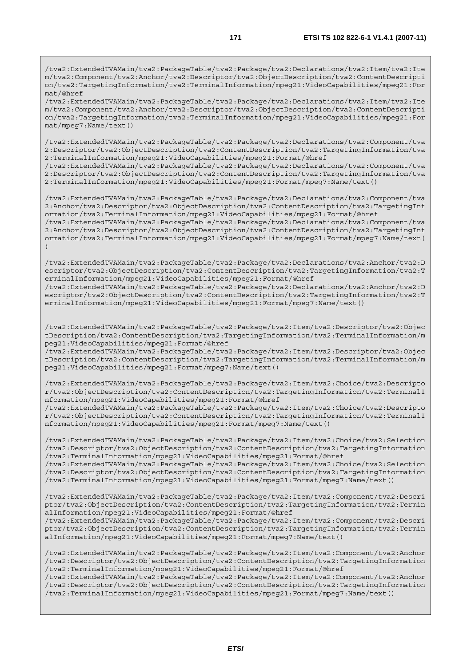/tva2:ExtendedTVAMain/tva2:PackageTable/tva2:Package/tva2:Declarations/tva2:Item/tva2:Ite m/tva2:Component/tva2:Anchor/tva2:Descriptor/tva2:ObjectDescription/tva2:ContentDescripti on/tva2:TargetingInformation/tva2:TerminalInformation/mpeg21:VideoCapabilities/mpeg21:For mat/@href

/tva2:ExtendedTVAMain/tva2:PackageTable/tva2:Package/tva2:Declarations/tva2:Item/tva2:Ite m/tva2:Component/tva2:Anchor/tva2:Descriptor/tva2:ObjectDescription/tva2:ContentDescripti on/tva2:TargetingInformation/tva2:TerminalInformation/mpeg21:VideoCapabilities/mpeg21:For mat/mpeg7:Name/text()

/tva2:ExtendedTVAMain/tva2:PackageTable/tva2:Package/tva2:Declarations/tva2:Component/tva 2:Descriptor/tva2:ObjectDescription/tva2:ContentDescription/tva2:TargetingInformation/tva 2:TerminalInformation/mpeg21:VideoCapabilities/mpeg21:Format/@href

/tva2:ExtendedTVAMain/tva2:PackageTable/tva2:Package/tva2:Declarations/tva2:Component/tva 2:Descriptor/tva2:ObjectDescription/tva2:ContentDescription/tva2:TargetingInformation/tva 2:TerminalInformation/mpeg21:VideoCapabilities/mpeg21:Format/mpeg7:Name/text()

/tva2:ExtendedTVAMain/tva2:PackageTable/tva2:Package/tva2:Declarations/tva2:Component/tva 2:Anchor/tva2:Descriptor/tva2:ObjectDescription/tva2:ContentDescription/tva2:TargetingInf ormation/tva2:TerminalInformation/mpeg21:VideoCapabilities/mpeg21:Format/@href /tva2:ExtendedTVAMain/tva2:PackageTable/tva2:Package/tva2:Declarations/tva2:Component/tva 2:Anchor/tva2:Descriptor/tva2:ObjectDescription/tva2:ContentDescription/tva2:TargetingInf ormation/tva2:TerminalInformation/mpeg21:VideoCapabilities/mpeg21:Format/mpeg7:Name/text(

)

/tva2:ExtendedTVAMain/tva2:PackageTable/tva2:Package/tva2:Declarations/tva2:Anchor/tva2:D escriptor/tva2:ObjectDescription/tva2:ContentDescription/tva2:TargetingInformation/tva2:T erminalInformation/mpeg21:VideoCapabilities/mpeg21:Format/@href /tva2:ExtendedTVAMain/tva2:PackageTable/tva2:Package/tva2:Declarations/tva2:Anchor/tva2:D

escriptor/tva2:ObjectDescription/tva2:ContentDescription/tva2:TargetingInformation/tva2:T erminalInformation/mpeg21:VideoCapabilities/mpeg21:Format/mpeg7:Name/text()

/tva2:ExtendedTVAMain/tva2:PackageTable/tva2:Package/tva2:Item/tva2:Descriptor/tva2:Objec tDescription/tva2:ContentDescription/tva2:TargetingInformation/tva2:TerminalInformation/m peg21:VideoCapabilities/mpeg21:Format/@href

/tva2:ExtendedTVAMain/tva2:PackageTable/tva2:Package/tva2:Item/tva2:Descriptor/tva2:Objec tDescription/tva2:ContentDescription/tva2:TargetingInformation/tva2:TerminalInformation/m peg21:VideoCapabilities/mpeg21:Format/mpeg7:Name/text()

/tva2:ExtendedTVAMain/tva2:PackageTable/tva2:Package/tva2:Item/tva2:Choice/tva2:Descripto r/tva2:ObjectDescription/tva2:ContentDescription/tva2:TargetingInformation/tva2:TerminalI nformation/mpeg21:VideoCapabilities/mpeg21:Format/@href

/tva2:ExtendedTVAMain/tva2:PackageTable/tva2:Package/tva2:Item/tva2:Choice/tva2:Descripto r/tva2:ObjectDescription/tva2:ContentDescription/tva2:TargetingInformation/tva2:TerminalI nformation/mpeg21:VideoCapabilities/mpeg21:Format/mpeg7:Name/text()

/tva2:ExtendedTVAMain/tva2:PackageTable/tva2:Package/tva2:Item/tva2:Choice/tva2:Selection /tva2:Descriptor/tva2:ObjectDescription/tva2:ContentDescription/tva2:TargetingInformation /tva2:TerminalInformation/mpeg21:VideoCapabilities/mpeg21:Format/@href

/tva2:ExtendedTVAMain/tva2:PackageTable/tva2:Package/tva2:Item/tva2:Choice/tva2:Selection /tva2:Descriptor/tva2:ObjectDescription/tva2:ContentDescription/tva2:TargetingInformation /tva2:TerminalInformation/mpeg21:VideoCapabilities/mpeg21:Format/mpeg7:Name/text()

/tva2:ExtendedTVAMain/tva2:PackageTable/tva2:Package/tva2:Item/tva2:Component/tva2:Descri ptor/tva2:ObjectDescription/tva2:ContentDescription/tva2:TargetingInformation/tva2:Termin alInformation/mpeg21:VideoCapabilities/mpeg21:Format/@href

/tva2:ExtendedTVAMain/tva2:PackageTable/tva2:Package/tva2:Item/tva2:Component/tva2:Descri ptor/tva2:ObjectDescription/tva2:ContentDescription/tva2:TargetingInformation/tva2:Termin alInformation/mpeg21:VideoCapabilities/mpeg21:Format/mpeg7:Name/text()

/tva2:ExtendedTVAMain/tva2:PackageTable/tva2:Package/tva2:Item/tva2:Component/tva2:Anchor /tva2:Descriptor/tva2:ObjectDescription/tva2:ContentDescription/tva2:TargetingInformation /tva2:TerminalInformation/mpeg21:VideoCapabilities/mpeg21:Format/@href

/tva2:ExtendedTVAMain/tva2:PackageTable/tva2:Package/tva2:Item/tva2:Component/tva2:Anchor /tva2:Descriptor/tva2:ObjectDescription/tva2:ContentDescription/tva2:TargetingInformation /tva2:TerminalInformation/mpeg21:VideoCapabilities/mpeg21:Format/mpeg7:Name/text()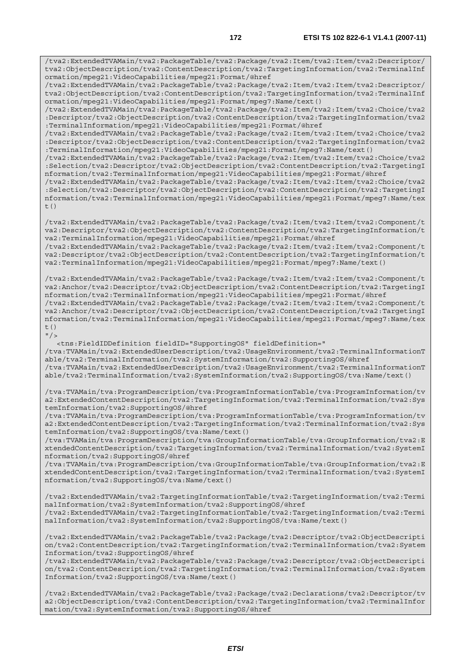/tva2:ExtendedTVAMain/tva2:PackageTable/tva2:Package/tva2:Item/tva2:Item/tva2:Descriptor/ tva2:ObjectDescription/tva2:ContentDescription/tva2:TargetingInformation/tva2:TerminalInf ormation/mpeg21:VideoCapabilities/mpeg21:Format/@href

/tva2:ExtendedTVAMain/tva2:PackageTable/tva2:Package/tva2:Item/tva2:Item/tva2:Descriptor/ tva2:ObjectDescription/tva2:ContentDescription/tva2:TargetingInformation/tva2:TerminalInf ormation/mpeg21:VideoCapabilities/mpeg21:Format/mpeg7:Name/text()

/tva2:ExtendedTVAMain/tva2:PackageTable/tva2:Package/tva2:Item/tva2:Item/tva2:Choice/tva2 :Descriptor/tva2:ObjectDescription/tva2:ContentDescription/tva2:TargetingInformation/tva2 :TerminalInformation/mpeg21:VideoCapabilities/mpeg21:Format/@href

/tva2:ExtendedTVAMain/tva2:PackageTable/tva2:Package/tva2:Item/tva2:Item/tva2:Choice/tva2 :Descriptor/tva2:ObjectDescription/tva2:ContentDescription/tva2:TargetingInformation/tva2 :TerminalInformation/mpeg21:VideoCapabilities/mpeg21:Format/mpeg7:Name/text()

/tva2:ExtendedTVAMain/tva2:PackageTable/tva2:Package/tva2:Item/tva2:Item/tva2:Choice/tva2 :Selection/tva2:Descriptor/tva2:ObjectDescription/tva2:ContentDescription/tva2:TargetingI nformation/tva2:TerminalInformation/mpeg21:VideoCapabilities/mpeg21:Format/@href

/tva2:ExtendedTVAMain/tva2:PackageTable/tva2:Package/tva2:Item/tva2:Item/tva2:Choice/tva2 :Selection/tva2:Descriptor/tva2:ObjectDescription/tva2:ContentDescription/tva2:TargetingI nformation/tva2:TerminalInformation/mpeg21:VideoCapabilities/mpeg21:Format/mpeg7:Name/tex  $t($ )

/tva2:ExtendedTVAMain/tva2:PackageTable/tva2:Package/tva2:Item/tva2:Item/tva2:Component/t va2:Descriptor/tva2:ObjectDescription/tva2:ContentDescription/tva2:TargetingInformation/t va2:TerminalInformation/mpeg21:VideoCapabilities/mpeg21:Format/@href /tva2:ExtendedTVAMain/tva2:PackageTable/tva2:Package/tva2:Item/tva2:Item/tva2:Component/t

va2:Descriptor/tva2:ObjectDescription/tva2:ContentDescription/tva2:TargetingInformation/t va2:TerminalInformation/mpeg21:VideoCapabilities/mpeg21:Format/mpeg7:Name/text()

/tva2:ExtendedTVAMain/tva2:PackageTable/tva2:Package/tva2:Item/tva2:Item/tva2:Component/t va2:Anchor/tva2:Descriptor/tva2:ObjectDescription/tva2:ContentDescription/tva2:TargetingI nformation/tva2:TerminalInformation/mpeg21:VideoCapabilities/mpeg21:Format/@href /tva2:ExtendedTVAMain/tva2:PackageTable/tva2:Package/tva2:Item/tva2:Item/tva2:Component/t va2:Anchor/tva2:Descriptor/tva2:ObjectDescription/tva2:ContentDescription/tva2:TargetingI nformation/tva2:TerminalInformation/mpeg21:VideoCapabilities/mpeg21:Format/mpeg7:Name/tex  $+$  ()

 $"$  />

 <tns:FieldIDDefinition fieldID="SupportingOS" fieldDefinition=" /tva:TVAMain/tva2:ExtendedUserDescription/tva2:UsageEnvironment/tva2:TerminalInformationT able/tva2:TerminalInformation/tva2:SystemInformation/tva2:SupportingOS/@href /tva:TVAMain/tva2:ExtendedUserDescription/tva2:UsageEnvironment/tva2:TerminalInformationT able/tva2:TerminalInformation/tva2:SystemInformation/tva2:SupportingOS/tva:Name/text()

/tva:TVAMain/tva:ProgramDescription/tva:ProgramInformationTable/tva:ProgramInformation/tv a2:ExtendedContentDescription/tva2:TargetingInformation/tva2:TerminalInformation/tva2:Sys temInformation/tva2:SupportingOS/@href

/tva:TVAMain/tva:ProgramDescription/tva:ProgramInformationTable/tva:ProgramInformation/tv a2:ExtendedContentDescription/tva2:TargetingInformation/tva2:TerminalInformation/tva2:Sys temInformation/tva2:SupportingOS/tva:Name/text()

/tva:TVAMain/tva:ProgramDescription/tva:GroupInformationTable/tva:GroupInformation/tva2:E xtendedContentDescription/tva2:TargetingInformation/tva2:TerminalInformation/tva2:SystemI nformation/tva2:SupportingOS/@href

/tva:TVAMain/tva:ProgramDescription/tva:GroupInformationTable/tva:GroupInformation/tva2:E xtendedContentDescription/tva2:TargetingInformation/tva2:TerminalInformation/tva2:SystemI nformation/tva2:SupportingOS/tva:Name/text()

/tva2:ExtendedTVAMain/tva2:TargetingInformationTable/tva2:TargetingInformation/tva2:Termi nalInformation/tva2:SystemInformation/tva2:SupportingOS/@href /tva2:ExtendedTVAMain/tva2:TargetingInformationTable/tva2:TargetingInformation/tva2:Termi nalInformation/tva2:SystemInformation/tva2:SupportingOS/tva:Name/text()

/tva2:ExtendedTVAMain/tva2:PackageTable/tva2:Package/tva2:Descriptor/tva2:ObjectDescripti on/tva2:ContentDescription/tva2:TargetingInformation/tva2:TerminalInformation/tva2:System Information/tva2:SupportingOS/@href

/tva2:ExtendedTVAMain/tva2:PackageTable/tva2:Package/tva2:Descriptor/tva2:ObjectDescripti on/tva2:ContentDescription/tva2:TargetingInformation/tva2:TerminalInformation/tva2:System Information/tva2:SupportingOS/tva:Name/text()

/tva2:ExtendedTVAMain/tva2:PackageTable/tva2:Package/tva2:Declarations/tva2:Descriptor/tv a2:ObjectDescription/tva2:ContentDescription/tva2:TargetingInformation/tva2:TerminalInfor mation/tva2:SystemInformation/tva2:SupportingOS/@href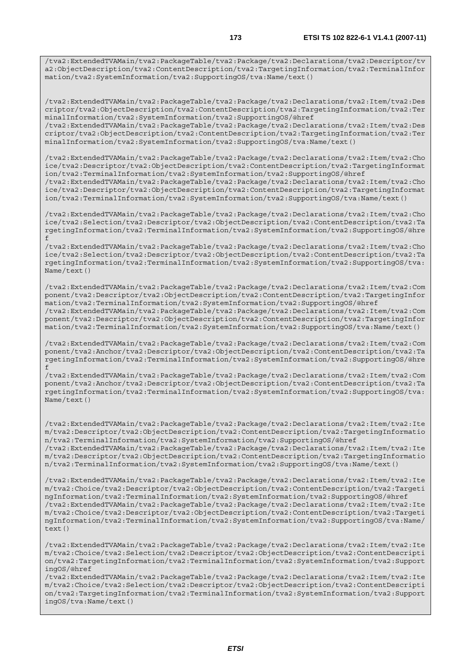/tva2:ExtendedTVAMain/tva2:PackageTable/tva2:Package/tva2:Declarations/tva2:Descriptor/tv a2:ObjectDescription/tva2:ContentDescription/tva2:TargetingInformation/tva2:TerminalInfor mation/tva2:SystemInformation/tva2:SupportingOS/tva:Name/text()

/tva2:ExtendedTVAMain/tva2:PackageTable/tva2:Package/tva2:Declarations/tva2:Item/tva2:Des criptor/tva2:ObjectDescription/tva2:ContentDescription/tva2:TargetingInformation/tva2:Ter minalInformation/tva2:SystemInformation/tva2:SupportingOS/@href /tva2:ExtendedTVAMain/tva2:PackageTable/tva2:Package/tva2:Declarations/tva2:Item/tva2:Des criptor/tva2:ObjectDescription/tva2:ContentDescription/tva2:TargetingInformation/tva2:Ter minalInformation/tva2:SystemInformation/tva2:SupportingOS/tva:Name/text()

/tva2:ExtendedTVAMain/tva2:PackageTable/tva2:Package/tva2:Declarations/tva2:Item/tva2:Cho ice/tva2:Descriptor/tva2:ObjectDescription/tva2:ContentDescription/tva2:TargetingInformat ion/tva2:TerminalInformation/tva2:SystemInformation/tva2:SupportingOS/@href /tva2:ExtendedTVAMain/tva2:PackageTable/tva2:Package/tva2:Declarations/tva2:Item/tva2:Cho ice/tva2:Descriptor/tva2:ObjectDescription/tva2:ContentDescription/tva2:TargetingInformat ion/tva2:TerminalInformation/tva2:SystemInformation/tva2:SupportingOS/tva:Name/text()

/tva2:ExtendedTVAMain/tva2:PackageTable/tva2:Package/tva2:Declarations/tva2:Item/tva2:Cho ice/tva2:Selection/tva2:Descriptor/tva2:ObjectDescription/tva2:ContentDescription/tva2:Ta rgetingInformation/tva2:TerminalInformation/tva2:SystemInformation/tva2:SupportingOS/@hre f

/tva2:ExtendedTVAMain/tva2:PackageTable/tva2:Package/tva2:Declarations/tva2:Item/tva2:Cho ice/tva2:Selection/tva2:Descriptor/tva2:ObjectDescription/tva2:ContentDescription/tva2:Ta rgetingInformation/tva2:TerminalInformation/tva2:SystemInformation/tva2:SupportingOS/tva: Name/text()

/tva2:ExtendedTVAMain/tva2:PackageTable/tva2:Package/tva2:Declarations/tva2:Item/tva2:Com ponent/tva2:Descriptor/tva2:ObjectDescription/tva2:ContentDescription/tva2:TargetingInfor mation/tva2:TerminalInformation/tva2:SystemInformation/tva2:SupportingOS/@href /tva2:ExtendedTVAMain/tva2:PackageTable/tva2:Package/tva2:Declarations/tva2:Item/tva2:Com ponent/tva2:Descriptor/tva2:ObjectDescription/tva2:ContentDescription/tva2:TargetingInfor mation/tva2:TerminalInformation/tva2:SystemInformation/tva2:SupportingOS/tva:Name/text()

/tva2:ExtendedTVAMain/tva2:PackageTable/tva2:Package/tva2:Declarations/tva2:Item/tva2:Com ponent/tva2:Anchor/tva2:Descriptor/tva2:ObjectDescription/tva2:ContentDescription/tva2:Ta rgetingInformation/tva2:TerminalInformation/tva2:SystemInformation/tva2:SupportingOS/@hre f

/tva2:ExtendedTVAMain/tva2:PackageTable/tva2:Package/tva2:Declarations/tva2:Item/tva2:Com ponent/tva2:Anchor/tva2:Descriptor/tva2:ObjectDescription/tva2:ContentDescription/tva2:Ta rgetingInformation/tva2:TerminalInformation/tva2:SystemInformation/tva2:SupportingOS/tva: Name/text()

/tva2:ExtendedTVAMain/tva2:PackageTable/tva2:Package/tva2:Declarations/tva2:Item/tva2:Ite m/tva2:Descriptor/tva2:ObjectDescription/tva2:ContentDescription/tva2:TargetingInformatio n/tva2:TerminalInformation/tva2:SystemInformation/tva2:SupportingOS/@href /tva2:ExtendedTVAMain/tva2:PackageTable/tva2:Package/tva2:Declarations/tva2:Item/tva2:Ite m/tva2:Descriptor/tva2:ObjectDescription/tva2:ContentDescription/tva2:TargetingInformatio n/tva2:TerminalInformation/tva2:SystemInformation/tva2:SupportingOS/tva:Name/text()

/tva2:ExtendedTVAMain/tva2:PackageTable/tva2:Package/tva2:Declarations/tva2:Item/tva2:Ite m/tva2:Choice/tva2:Descriptor/tva2:ObjectDescription/tva2:ContentDescription/tva2:Targeti ngInformation/tva2:TerminalInformation/tva2:SystemInformation/tva2:SupportingOS/@href /tva2:ExtendedTVAMain/tva2:PackageTable/tva2:Package/tva2:Declarations/tva2:Item/tva2:Ite m/tva2:Choice/tva2:Descriptor/tva2:ObjectDescription/tva2:ContentDescription/tva2:Targeti ngInformation/tva2:TerminalInformation/tva2:SystemInformation/tva2:SupportingOS/tva:Name/  $t \in x + (x)$ 

/tva2:ExtendedTVAMain/tva2:PackageTable/tva2:Package/tva2:Declarations/tva2:Item/tva2:Ite m/tva2:Choice/tva2:Selection/tva2:Descriptor/tva2:ObjectDescription/tva2:ContentDescripti on/tva2:TargetingInformation/tva2:TerminalInformation/tva2:SystemInformation/tva2:Support ingOS/@href

/tva2:ExtendedTVAMain/tva2:PackageTable/tva2:Package/tva2:Declarations/tva2:Item/tva2:Ite m/tva2:Choice/tva2:Selection/tva2:Descriptor/tva2:ObjectDescription/tva2:ContentDescripti on/tva2:TargetingInformation/tva2:TerminalInformation/tva2:SystemInformation/tva2:Support ingOS/tva:Name/text()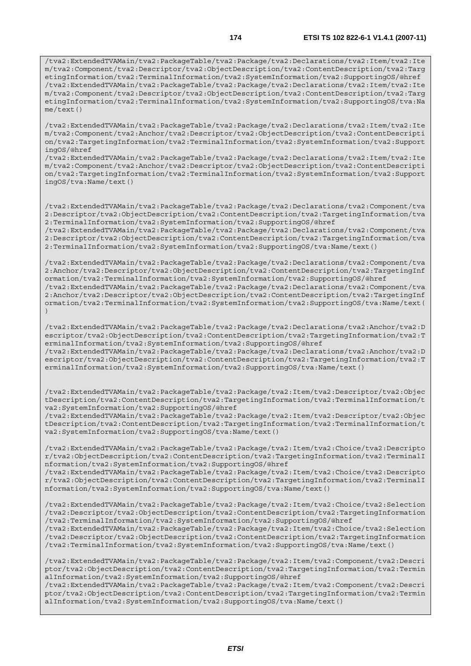/tva2:ExtendedTVAMain/tva2:PackageTable/tva2:Package/tva2:Declarations/tva2:Item/tva2:Ite m/tva2:Component/tva2:Descriptor/tva2:ObjectDescription/tva2:ContentDescription/tva2:Targ etingInformation/tva2:TerminalInformation/tva2:SystemInformation/tva2:SupportingOS/@href /tva2:ExtendedTVAMain/tva2:PackageTable/tva2:Package/tva2:Declarations/tva2:Item/tva2:Ite m/tva2:Component/tva2:Descriptor/tva2:ObjectDescription/tva2:ContentDescription/tva2:Targ etingInformation/tva2:TerminalInformation/tva2:SystemInformation/tva2:SupportingOS/tva:Na me/text()

/tva2:ExtendedTVAMain/tva2:PackageTable/tva2:Package/tva2:Declarations/tva2:Item/tva2:Ite m/tva2:Component/tva2:Anchor/tva2:Descriptor/tva2:ObjectDescription/tva2:ContentDescripti on/tva2:TargetingInformation/tva2:TerminalInformation/tva2:SystemInformation/tva2:Support ingOS/@href

/tva2:ExtendedTVAMain/tva2:PackageTable/tva2:Package/tva2:Declarations/tva2:Item/tva2:Ite m/tva2:Component/tva2:Anchor/tva2:Descriptor/tva2:ObjectDescription/tva2:ContentDescripti on/tva2:TargetingInformation/tva2:TerminalInformation/tva2:SystemInformation/tva2:Support ingOS/tva:Name/text()

/tva2:ExtendedTVAMain/tva2:PackageTable/tva2:Package/tva2:Declarations/tva2:Component/tva 2:Descriptor/tva2:ObjectDescription/tva2:ContentDescription/tva2:TargetingInformation/tva 2:TerminalInformation/tva2:SystemInformation/tva2:SupportingOS/@href

/tva2:ExtendedTVAMain/tva2:PackageTable/tva2:Package/tva2:Declarations/tva2:Component/tva 2:Descriptor/tva2:ObjectDescription/tva2:ContentDescription/tva2:TargetingInformation/tva 2:TerminalInformation/tva2:SystemInformation/tva2:SupportingOS/tva:Name/text()

/tva2:ExtendedTVAMain/tva2:PackageTable/tva2:Package/tva2:Declarations/tva2:Component/tva 2:Anchor/tva2:Descriptor/tva2:ObjectDescription/tva2:ContentDescription/tva2:TargetingInf ormation/tva2:TerminalInformation/tva2:SystemInformation/tva2:SupportingOS/@href /tva2:ExtendedTVAMain/tva2:PackageTable/tva2:Package/tva2:Declarations/tva2:Component/tva 2:Anchor/tva2:Descriptor/tva2:ObjectDescription/tva2:ContentDescription/tva2:TargetingInf ormation/tva2:TerminalInformation/tva2:SystemInformation/tva2:SupportingOS/tva:Name/text(

)

/tva2:ExtendedTVAMain/tva2:PackageTable/tva2:Package/tva2:Declarations/tva2:Anchor/tva2:D escriptor/tva2:ObjectDescription/tva2:ContentDescription/tva2:TargetingInformation/tva2:T erminalInformation/tva2:SystemInformation/tva2:SupportingOS/@href /tva2:ExtendedTVAMain/tva2:PackageTable/tva2:Package/tva2:Declarations/tva2:Anchor/tva2:D escriptor/tva2:ObjectDescription/tva2:ContentDescription/tva2:TargetingInformation/tva2:T erminalInformation/tva2:SystemInformation/tva2:SupportingOS/tva:Name/text()

/tva2:ExtendedTVAMain/tva2:PackageTable/tva2:Package/tva2:Item/tva2:Descriptor/tva2:Objec tDescription/tva2:ContentDescription/tva2:TargetingInformation/tva2:TerminalInformation/t va2:SystemInformation/tva2:SupportingOS/@href

/tva2:ExtendedTVAMain/tva2:PackageTable/tva2:Package/tva2:Item/tva2:Descriptor/tva2:Objec tDescription/tva2:ContentDescription/tva2:TargetingInformation/tva2:TerminalInformation/t va2:SystemInformation/tva2:SupportingOS/tva:Name/text()

/tva2:ExtendedTVAMain/tva2:PackageTable/tva2:Package/tva2:Item/tva2:Choice/tva2:Descripto r/tva2:ObjectDescription/tva2:ContentDescription/tva2:TargetingInformation/tva2:TerminalI nformation/tva2:SystemInformation/tva2:SupportingOS/@href

/tva2:ExtendedTVAMain/tva2:PackageTable/tva2:Package/tva2:Item/tva2:Choice/tva2:Descripto r/tva2:ObjectDescription/tva2:ContentDescription/tva2:TargetingInformation/tva2:TerminalI nformation/tva2:SystemInformation/tva2:SupportingOS/tva:Name/text()

/tva2:ExtendedTVAMain/tva2:PackageTable/tva2:Package/tva2:Item/tva2:Choice/tva2:Selection /tva2:Descriptor/tva2:ObjectDescription/tva2:ContentDescription/tva2:TargetingInformation /tva2:TerminalInformation/tva2:SystemInformation/tva2:SupportingOS/@href

/tva2:ExtendedTVAMain/tva2:PackageTable/tva2:Package/tva2:Item/tva2:Choice/tva2:Selection /tva2:Descriptor/tva2:ObjectDescription/tva2:ContentDescription/tva2:TargetingInformation /tva2:TerminalInformation/tva2:SystemInformation/tva2:SupportingOS/tva:Name/text()

/tva2:ExtendedTVAMain/tva2:PackageTable/tva2:Package/tva2:Item/tva2:Component/tva2:Descri ptor/tva2:ObjectDescription/tva2:ContentDescription/tva2:TargetingInformation/tva2:Termin alInformation/tva2:SystemInformation/tva2:SupportingOS/@href /tva2:ExtendedTVAMain/tva2:PackageTable/tva2:Package/tva2:Item/tva2:Component/tva2:Descri ptor/tva2:ObjectDescription/tva2:ContentDescription/tva2:TargetingInformation/tva2:Termin alInformation/tva2:SystemInformation/tva2:SupportingOS/tva:Name/text()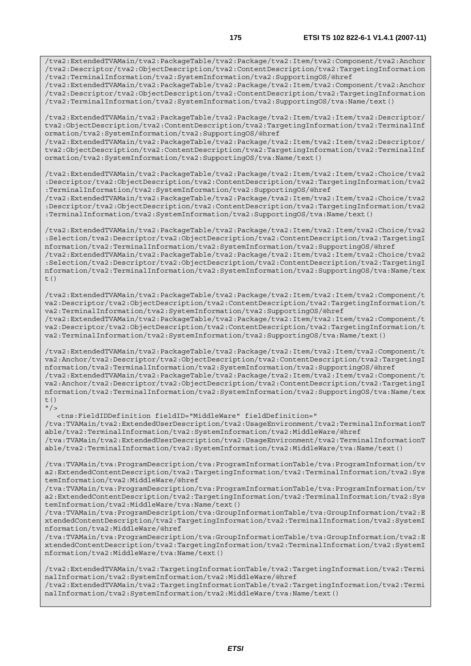/tva2:ExtendedTVAMain/tva2:PackageTable/tva2:Package/tva2:Item/tva2:Component/tva2:Anchor /tva2:Descriptor/tva2:ObjectDescription/tva2:ContentDescription/tva2:TargetingInformation /tva2:TerminalInformation/tva2:SystemInformation/tva2:SupportingOS/@href

/tva2:ExtendedTVAMain/tva2:PackageTable/tva2:Package/tva2:Item/tva2:Component/tva2:Anchor /tva2:Descriptor/tva2:ObjectDescription/tva2:ContentDescription/tva2:TargetingInformation /tva2:TerminalInformation/tva2:SystemInformation/tva2:SupportingOS/tva:Name/text()

/tva2:ExtendedTVAMain/tva2:PackageTable/tva2:Package/tva2:Item/tva2:Item/tva2:Descriptor/ tva2:ObjectDescription/tva2:ContentDescription/tva2:TargetingInformation/tva2:TerminalInf ormation/tva2:SystemInformation/tva2:SupportingOS/@href /tva2:ExtendedTVAMain/tva2:PackageTable/tva2:Package/tva2:Item/tva2:Item/tva2:Descriptor/ tva2:ObjectDescription/tva2:ContentDescription/tva2:TargetingInformation/tva2:TerminalInf ormation/tva2:SystemInformation/tva2:SupportingOS/tva:Name/text()

/tva2:ExtendedTVAMain/tva2:PackageTable/tva2:Package/tva2:Item/tva2:Item/tva2:Choice/tva2 :Descriptor/tva2:ObjectDescription/tva2:ContentDescription/tva2:TargetingInformation/tva2 :TerminalInformation/tva2:SystemInformation/tva2:SupportingOS/@href

/tva2:ExtendedTVAMain/tva2:PackageTable/tva2:Package/tva2:Item/tva2:Item/tva2:Choice/tva2 :Descriptor/tva2:ObjectDescription/tva2:ContentDescription/tva2:TargetingInformation/tva2 :TerminalInformation/tva2:SystemInformation/tva2:SupportingOS/tva:Name/text()

/tva2:ExtendedTVAMain/tva2:PackageTable/tva2:Package/tva2:Item/tva2:Item/tva2:Choice/tva2 :Selection/tva2:Descriptor/tva2:ObjectDescription/tva2:ContentDescription/tva2:TargetingI nformation/tva2:TerminalInformation/tva2:SystemInformation/tva2:SupportingOS/@href /tva2:ExtendedTVAMain/tva2:PackageTable/tva2:Package/tva2:Item/tva2:Item/tva2:Choice/tva2 :Selection/tva2:Descriptor/tva2:ObjectDescription/tva2:ContentDescription/tva2:TargetingI nformation/tva2:TerminalInformation/tva2:SystemInformation/tva2:SupportingOS/tva:Name/tex t $()$ 

/tva2:ExtendedTVAMain/tva2:PackageTable/tva2:Package/tva2:Item/tva2:Item/tva2:Component/t va2:Descriptor/tva2:ObjectDescription/tva2:ContentDescription/tva2:TargetingInformation/t va2:TerminalInformation/tva2:SystemInformation/tva2:SupportingOS/@href /tva2:ExtendedTVAMain/tva2:PackageTable/tva2:Package/tva2:Item/tva2:Item/tva2:Component/t va2:Descriptor/tva2:ObjectDescription/tva2:ContentDescription/tva2:TargetingInformation/t va2:TerminalInformation/tva2:SystemInformation/tva2:SupportingOS/tva:Name/text()

/tva2:ExtendedTVAMain/tva2:PackageTable/tva2:Package/tva2:Item/tva2:Item/tva2:Component/t va2:Anchor/tva2:Descriptor/tva2:ObjectDescription/tva2:ContentDescription/tva2:TargetingI nformation/tva2:TerminalInformation/tva2:SystemInformation/tva2:SupportingOS/@href /tva2:ExtendedTVAMain/tva2:PackageTable/tva2:Package/tva2:Item/tva2:Item/tva2:Component/t va2:Anchor/tva2:Descriptor/tva2:ObjectDescription/tva2:ContentDescription/tva2:TargetingI nformation/tva2:TerminalInformation/tva2:SystemInformation/tva2:SupportingOS/tva:Name/tex t()  $"$  />

 <tns:FieldIDDefinition fieldID="MiddleWare" fieldDefinition=" /tva:TVAMain/tva2:ExtendedUserDescription/tva2:UsageEnvironment/tva2:TerminalInformationT able/tva2:TerminalInformation/tva2:SystemInformation/tva2:MiddleWare/@href /tva:TVAMain/tva2:ExtendedUserDescription/tva2:UsageEnvironment/tva2:TerminalInformationT able/tva2:TerminalInformation/tva2:SystemInformation/tva2:MiddleWare/tva:Name/text()

/tva:TVAMain/tva:ProgramDescription/tva:ProgramInformationTable/tva:ProgramInformation/tv a2:ExtendedContentDescription/tva2:TargetingInformation/tva2:TerminalInformation/tva2:Sys temInformation/tva2:MiddleWare/@href

/tva:TVAMain/tva:ProgramDescription/tva:ProgramInformationTable/tva:ProgramInformation/tv a2:ExtendedContentDescription/tva2:TargetingInformation/tva2:TerminalInformation/tva2:Sys temInformation/tva2:MiddleWare/tva:Name/text()

/tva:TVAMain/tva:ProgramDescription/tva:GroupInformationTable/tva:GroupInformation/tva2:E xtendedContentDescription/tva2:TargetingInformation/tva2:TerminalInformation/tva2:SystemI nformation/tva2:MiddleWare/@href

/tva:TVAMain/tva:ProgramDescription/tva:GroupInformationTable/tva:GroupInformation/tva2:E xtendedContentDescription/tva2:TargetingInformation/tva2:TerminalInformation/tva2:SystemI nformation/tva2:MiddleWare/tva:Name/text()

/tva2:ExtendedTVAMain/tva2:TargetingInformationTable/tva2:TargetingInformation/tva2:Termi nalInformation/tva2:SystemInformation/tva2:MiddleWare/@href /tva2:ExtendedTVAMain/tva2:TargetingInformationTable/tva2:TargetingInformation/tva2:Termi

nalInformation/tva2:SystemInformation/tva2:MiddleWare/tva:Name/text()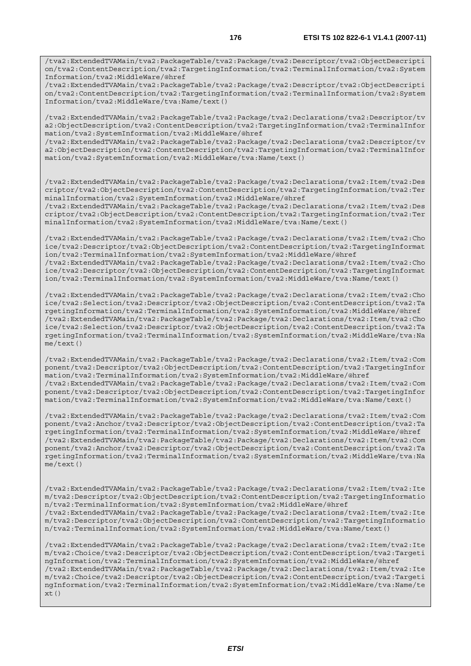/tva2:ExtendedTVAMain/tva2:PackageTable/tva2:Package/tva2:Descriptor/tva2:ObjectDescripti on/tva2:ContentDescription/tva2:TargetingInformation/tva2:TerminalInformation/tva2:System Information/tva2:MiddleWare/tva:Name/text()

/tva2:ExtendedTVAMain/tva2:PackageTable/tva2:Package/tva2:Declarations/tva2:Descriptor/tv a2:ObjectDescription/tva2:ContentDescription/tva2:TargetingInformation/tva2:TerminalInfor mation/tva2:SystemInformation/tva2:MiddleWare/@href

/tva2:ExtendedTVAMain/tva2:PackageTable/tva2:Package/tva2:Declarations/tva2:Descriptor/tv a2:ObjectDescription/tva2:ContentDescription/tva2:TargetingInformation/tva2:TerminalInfor mation/tva2:SystemInformation/tva2:MiddleWare/tva:Name/text()

/tva2:ExtendedTVAMain/tva2:PackageTable/tva2:Package/tva2:Declarations/tva2:Item/tva2:Des criptor/tva2:ObjectDescription/tva2:ContentDescription/tva2:TargetingInformation/tva2:Ter minalInformation/tva2:SystemInformation/tva2:MiddleWare/@href

/tva2:ExtendedTVAMain/tva2:PackageTable/tva2:Package/tva2:Declarations/tva2:Item/tva2:Des criptor/tva2:ObjectDescription/tva2:ContentDescription/tva2:TargetingInformation/tva2:Ter minalInformation/tva2:SystemInformation/tva2:MiddleWare/tva:Name/text()

/tva2:ExtendedTVAMain/tva2:PackageTable/tva2:Package/tva2:Declarations/tva2:Item/tva2:Cho ice/tva2:Descriptor/tva2:ObjectDescription/tva2:ContentDescription/tva2:TargetingInformat ion/tva2:TerminalInformation/tva2:SystemInformation/tva2:MiddleWare/@href /tva2:ExtendedTVAMain/tva2:PackageTable/tva2:Package/tva2:Declarations/tva2:Item/tva2:Cho ice/tva2:Descriptor/tva2:ObjectDescription/tva2:ContentDescription/tva2:TargetingInformat ion/tva2:TerminalInformation/tva2:SystemInformation/tva2:MiddleWare/tva:Name/text()

/tva2:ExtendedTVAMain/tva2:PackageTable/tva2:Package/tva2:Declarations/tva2:Item/tva2:Cho ice/tva2:Selection/tva2:Descriptor/tva2:ObjectDescription/tva2:ContentDescription/tva2:Ta rgetingInformation/tva2:TerminalInformation/tva2:SystemInformation/tva2:MiddleWare/@href /tva2:ExtendedTVAMain/tva2:PackageTable/tva2:Package/tva2:Declarations/tva2:Item/tva2:Cho ice/tva2:Selection/tva2:Descriptor/tva2:ObjectDescription/tva2:ContentDescription/tva2:Ta rgetingInformation/tva2:TerminalInformation/tva2:SystemInformation/tva2:MiddleWare/tva:Na me/text()

/tva2:ExtendedTVAMain/tva2:PackageTable/tva2:Package/tva2:Declarations/tva2:Item/tva2:Com ponent/tva2:Descriptor/tva2:ObjectDescription/tva2:ContentDescription/tva2:TargetingInfor mation/tva2:TerminalInformation/tva2:SystemInformation/tva2:MiddleWare/@href /tva2:ExtendedTVAMain/tva2:PackageTable/tva2:Package/tva2:Declarations/tva2:Item/tva2:Com ponent/tva2:Descriptor/tva2:ObjectDescription/tva2:ContentDescription/tva2:TargetingInfor mation/tva2:TerminalInformation/tva2:SystemInformation/tva2:MiddleWare/tva:Name/text()

/tva2:ExtendedTVAMain/tva2:PackageTable/tva2:Package/tva2:Declarations/tva2:Item/tva2:Com ponent/tva2:Anchor/tva2:Descriptor/tva2:ObjectDescription/tva2:ContentDescription/tva2:Ta rgetingInformation/tva2:TerminalInformation/tva2:SystemInformation/tva2:MiddleWare/@href /tva2:ExtendedTVAMain/tva2:PackageTable/tva2:Package/tva2:Declarations/tva2:Item/tva2:Com ponent/tva2:Anchor/tva2:Descriptor/tva2:ObjectDescription/tva2:ContentDescription/tva2:Ta rgetingInformation/tva2:TerminalInformation/tva2:SystemInformation/tva2:MiddleWare/tva:Na me/text()

/tva2:ExtendedTVAMain/tva2:PackageTable/tva2:Package/tva2:Declarations/tva2:Item/tva2:Ite m/tva2:Descriptor/tva2:ObjectDescription/tva2:ContentDescription/tva2:TargetingInformatio n/tva2:TerminalInformation/tva2:SystemInformation/tva2:MiddleWare/@href /tva2:ExtendedTVAMain/tva2:PackageTable/tva2:Package/tva2:Declarations/tva2:Item/tva2:Ite m/tva2:Descriptor/tva2:ObjectDescription/tva2:ContentDescription/tva2:TargetingInformatio n/tva2:TerminalInformation/tva2:SystemInformation/tva2:MiddleWare/tva:Name/text()

/tva2:ExtendedTVAMain/tva2:PackageTable/tva2:Package/tva2:Declarations/tva2:Item/tva2:Ite m/tva2:Choice/tva2:Descriptor/tva2:ObjectDescription/tva2:ContentDescription/tva2:Targeti ngInformation/tva2:TerminalInformation/tva2:SystemInformation/tva2:MiddleWare/@href /tva2:ExtendedTVAMain/tva2:PackageTable/tva2:Package/tva2:Declarations/tva2:Item/tva2:Ite m/tva2:Choice/tva2:Descriptor/tva2:ObjectDescription/tva2:ContentDescription/tva2:Targeti ngInformation/tva2:TerminalInformation/tva2:SystemInformation/tva2:MiddleWare/tva:Name/te  $xt()$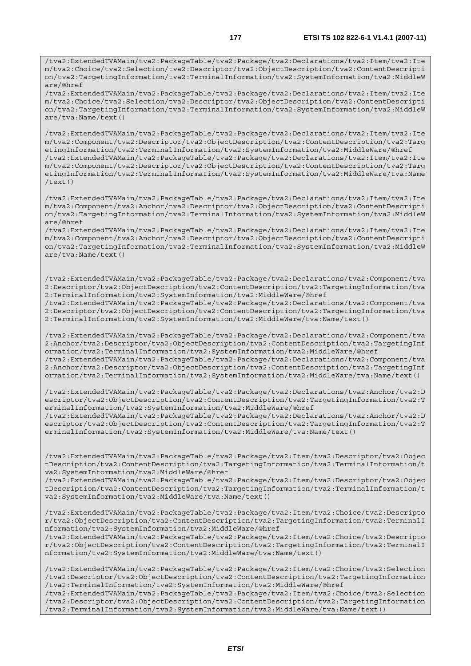/tva2:ExtendedTVAMain/tva2:PackageTable/tva2:Package/tva2:Declarations/tva2:Item/tva2:Ite m/tva2:Choice/tva2:Selection/tva2:Descriptor/tva2:ObjectDescription/tva2:ContentDescripti on/tva2:TargetingInformation/tva2:TerminalInformation/tva2:SystemInformation/tva2:MiddleW are/tva:Name/text()

/tva2:ExtendedTVAMain/tva2:PackageTable/tva2:Package/tva2:Declarations/tva2:Item/tva2:Ite m/tva2:Component/tva2:Descriptor/tva2:ObjectDescription/tva2:ContentDescription/tva2:Targ etingInformation/tva2:TerminalInformation/tva2:SystemInformation/tva2:MiddleWare/@href /tva2:ExtendedTVAMain/tva2:PackageTable/tva2:Package/tva2:Declarations/tva2:Item/tva2:Ite m/tva2:Component/tva2:Descriptor/tva2:ObjectDescription/tva2:ContentDescription/tva2:Targ etingInformation/tva2:TerminalInformation/tva2:SystemInformation/tva2:MiddleWare/tva:Name /text()

/tva2:ExtendedTVAMain/tva2:PackageTable/tva2:Package/tva2:Declarations/tva2:Item/tva2:Ite m/tva2:Component/tva2:Anchor/tva2:Descriptor/tva2:ObjectDescription/tva2:ContentDescripti on/tva2:TargetingInformation/tva2:TerminalInformation/tva2:SystemInformation/tva2:MiddleW are/@href

/tva2:ExtendedTVAMain/tva2:PackageTable/tva2:Package/tva2:Declarations/tva2:Item/tva2:Ite m/tva2:Component/tva2:Anchor/tva2:Descriptor/tva2:ObjectDescription/tva2:ContentDescripti on/tva2:TargetingInformation/tva2:TerminalInformation/tva2:SystemInformation/tva2:MiddleW are/tva:Name/text()

/tva2:ExtendedTVAMain/tva2:PackageTable/tva2:Package/tva2:Declarations/tva2:Component/tva 2:Descriptor/tva2:ObjectDescription/tva2:ContentDescription/tva2:TargetingInformation/tva 2:TerminalInformation/tva2:SystemInformation/tva2:MiddleWare/@href

/tva2:ExtendedTVAMain/tva2:PackageTable/tva2:Package/tva2:Declarations/tva2:Component/tva 2:Descriptor/tva2:ObjectDescription/tva2:ContentDescription/tva2:TargetingInformation/tva 2:TerminalInformation/tva2:SystemInformation/tva2:MiddleWare/tva:Name/text()

/tva2:ExtendedTVAMain/tva2:PackageTable/tva2:Package/tva2:Declarations/tva2:Component/tva 2:Anchor/tva2:Descriptor/tva2:ObjectDescription/tva2:ContentDescription/tva2:TargetingInf ormation/tva2:TerminalInformation/tva2:SystemInformation/tva2:MiddleWare/@href /tva2:ExtendedTVAMain/tva2:PackageTable/tva2:Package/tva2:Declarations/tva2:Component/tva 2:Anchor/tva2:Descriptor/tva2:ObjectDescription/tva2:ContentDescription/tva2:TargetingInf ormation/tva2:TerminalInformation/tva2:SystemInformation/tva2:MiddleWare/tva:Name/text()

/tva2:ExtendedTVAMain/tva2:PackageTable/tva2:Package/tva2:Declarations/tva2:Anchor/tva2:D escriptor/tva2:ObjectDescription/tva2:ContentDescription/tva2:TargetingInformation/tva2:T erminalInformation/tva2:SystemInformation/tva2:MiddleWare/@href /tva2:ExtendedTVAMain/tva2:PackageTable/tva2:Package/tva2:Declarations/tva2:Anchor/tva2:D escriptor/tva2:ObjectDescription/tva2:ContentDescription/tva2:TargetingInformation/tva2:T erminalInformation/tva2:SystemInformation/tva2:MiddleWare/tva:Name/text()

/tva2:ExtendedTVAMain/tva2:PackageTable/tva2:Package/tva2:Item/tva2:Descriptor/tva2:Objec tDescription/tva2:ContentDescription/tva2:TargetingInformation/tva2:TerminalInformation/t va2:SystemInformation/tva2:MiddleWare/@href

/tva2:ExtendedTVAMain/tva2:PackageTable/tva2:Package/tva2:Item/tva2:Descriptor/tva2:Objec tDescription/tva2:ContentDescription/tva2:TargetingInformation/tva2:TerminalInformation/t va2:SystemInformation/tva2:MiddleWare/tva:Name/text()

/tva2:ExtendedTVAMain/tva2:PackageTable/tva2:Package/tva2:Item/tva2:Choice/tva2:Descripto r/tva2:ObjectDescription/tva2:ContentDescription/tva2:TargetingInformation/tva2:TerminalI nformation/tva2:SystemInformation/tva2:MiddleWare/@href

/tva2:ExtendedTVAMain/tva2:PackageTable/tva2:Package/tva2:Item/tva2:Choice/tva2:Descripto r/tva2:ObjectDescription/tva2:ContentDescription/tva2:TargetingInformation/tva2:TerminalI nformation/tva2:SystemInformation/tva2:MiddleWare/tva:Name/text()

/tva2:ExtendedTVAMain/tva2:PackageTable/tva2:Package/tva2:Item/tva2:Choice/tva2:Selection /tva2:Descriptor/tva2:ObjectDescription/tva2:ContentDescription/tva2:TargetingInformation /tva2:TerminalInformation/tva2:SystemInformation/tva2:MiddleWare/@href

/tva2:ExtendedTVAMain/tva2:PackageTable/tva2:Package/tva2:Item/tva2:Choice/tva2:Selection /tva2:Descriptor/tva2:ObjectDescription/tva2:ContentDescription/tva2:TargetingInformation /tva2:TerminalInformation/tva2:SystemInformation/tva2:MiddleWare/tva:Name/text()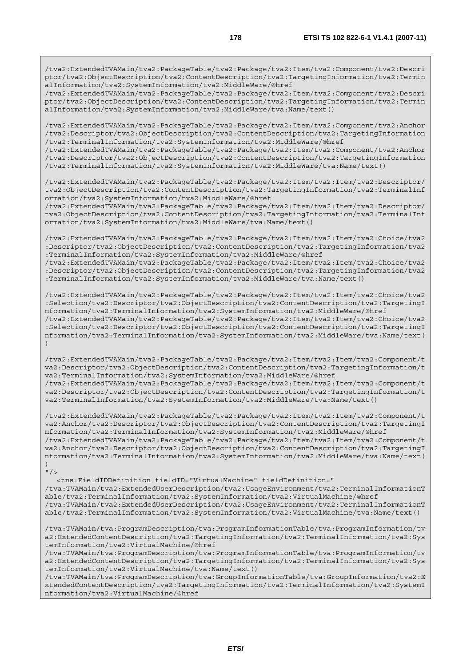/tva2:ExtendedTVAMain/tva2:PackageTable/tva2:Package/tva2:Item/tva2:Component/tva2:Descri ptor/tva2:ObjectDescription/tva2:ContentDescription/tva2:TargetingInformation/tva2:Termin alInformation/tva2:SystemInformation/tva2:MiddleWare/@href

/tva2:ExtendedTVAMain/tva2:PackageTable/tva2:Package/tva2:Item/tva2:Component/tva2:Descri ptor/tva2:ObjectDescription/tva2:ContentDescription/tva2:TargetingInformation/tva2:Termin alInformation/tva2:SystemInformation/tva2:MiddleWare/tva:Name/text()

/tva2:ExtendedTVAMain/tva2:PackageTable/tva2:Package/tva2:Item/tva2:Component/tva2:Anchor /tva2:Descriptor/tva2:ObjectDescription/tva2:ContentDescription/tva2:TargetingInformation /tva2:TerminalInformation/tva2:SystemInformation/tva2:MiddleWare/@href

/tva2:ExtendedTVAMain/tva2:PackageTable/tva2:Package/tva2:Item/tva2:Component/tva2:Anchor /tva2:Descriptor/tva2:ObjectDescription/tva2:ContentDescription/tva2:TargetingInformation /tva2:TerminalInformation/tva2:SystemInformation/tva2:MiddleWare/tva:Name/text()

/tva2:ExtendedTVAMain/tva2:PackageTable/tva2:Package/tva2:Item/tva2:Item/tva2:Descriptor/ tva2:ObjectDescription/tva2:ContentDescription/tva2:TargetingInformation/tva2:TerminalInf ormation/tva2:SystemInformation/tva2:MiddleWare/@href

/tva2:ExtendedTVAMain/tva2:PackageTable/tva2:Package/tva2:Item/tva2:Item/tva2:Descriptor/ tva2:ObjectDescription/tva2:ContentDescription/tva2:TargetingInformation/tva2:TerminalInf ormation/tva2:SystemInformation/tva2:MiddleWare/tva:Name/text()

/tva2:ExtendedTVAMain/tva2:PackageTable/tva2:Package/tva2:Item/tva2:Item/tva2:Choice/tva2 :Descriptor/tva2:ObjectDescription/tva2:ContentDescription/tva2:TargetingInformation/tva2 :TerminalInformation/tva2:SystemInformation/tva2:MiddleWare/@href

/tva2:ExtendedTVAMain/tva2:PackageTable/tva2:Package/tva2:Item/tva2:Item/tva2:Choice/tva2 :Descriptor/tva2:ObjectDescription/tva2:ContentDescription/tva2:TargetingInformation/tva2 :TerminalInformation/tva2:SystemInformation/tva2:MiddleWare/tva:Name/text()

/tva2:ExtendedTVAMain/tva2:PackageTable/tva2:Package/tva2:Item/tva2:Item/tva2:Choice/tva2 :Selection/tva2:Descriptor/tva2:ObjectDescription/tva2:ContentDescription/tva2:TargetingI nformation/tva2:TerminalInformation/tva2:SystemInformation/tva2:MiddleWare/@href /tva2:ExtendedTVAMain/tva2:PackageTable/tva2:Package/tva2:Item/tva2:Item/tva2:Choice/tva2 :Selection/tva2:Descriptor/tva2:ObjectDescription/tva2:ContentDescription/tva2:TargetingI nformation/tva2:TerminalInformation/tva2:SystemInformation/tva2:MiddleWare/tva:Name/text( )

/tva2:ExtendedTVAMain/tva2:PackageTable/tva2:Package/tva2:Item/tva2:Item/tva2:Component/t va2:Descriptor/tva2:ObjectDescription/tva2:ContentDescription/tva2:TargetingInformation/t va2:TerminalInformation/tva2:SystemInformation/tva2:MiddleWare/@href /tva2:ExtendedTVAMain/tva2:PackageTable/tva2:Package/tva2:Item/tva2:Item/tva2:Component/t va2:Descriptor/tva2:ObjectDescription/tva2:ContentDescription/tva2:TargetingInformation/t va2:TerminalInformation/tva2:SystemInformation/tva2:MiddleWare/tva:Name/text()

/tva2:ExtendedTVAMain/tva2:PackageTable/tva2:Package/tva2:Item/tva2:Item/tva2:Component/t va2:Anchor/tva2:Descriptor/tva2:ObjectDescription/tva2:ContentDescription/tva2:TargetingI nformation/tva2:TerminalInformation/tva2:SystemInformation/tva2:MiddleWare/@href /tva2:ExtendedTVAMain/tva2:PackageTable/tva2:Package/tva2:Item/tva2:Item/tva2:Component/t va2:Anchor/tva2:Descriptor/tva2:ObjectDescription/tva2:ContentDescription/tva2:TargetingI nformation/tva2:TerminalInformation/tva2:SystemInformation/tva2:MiddleWare/tva:Name/text( )

 $''/2$ 

 <tns:FieldIDDefinition fieldID="VirtualMachine" fieldDefinition=" /tva:TVAMain/tva2:ExtendedUserDescription/tva2:UsageEnvironment/tva2:TerminalInformationT able/tva2:TerminalInformation/tva2:SystemInformation/tva2:VirtualMachine/@href /tva:TVAMain/tva2:ExtendedUserDescription/tva2:UsageEnvironment/tva2:TerminalInformationT able/tva2:TerminalInformation/tva2:SystemInformation/tva2:VirtualMachine/tva:Name/text()

/tva:TVAMain/tva:ProgramDescription/tva:ProgramInformationTable/tva:ProgramInformation/tv a2:ExtendedContentDescription/tva2:TargetingInformation/tva2:TerminalInformation/tva2:Sys temInformation/tva2:VirtualMachine/@href

/tva:TVAMain/tva:ProgramDescription/tva:ProgramInformationTable/tva:ProgramInformation/tv a2:ExtendedContentDescription/tva2:TargetingInformation/tva2:TerminalInformation/tva2:Sys temInformation/tva2:VirtualMachine/tva:Name/text()

/tva:TVAMain/tva:ProgramDescription/tva:GroupInformationTable/tva:GroupInformation/tva2:E xtendedContentDescription/tva2:TargetingInformation/tva2:TerminalInformation/tva2:SystemI nformation/tva2:VirtualMachine/@href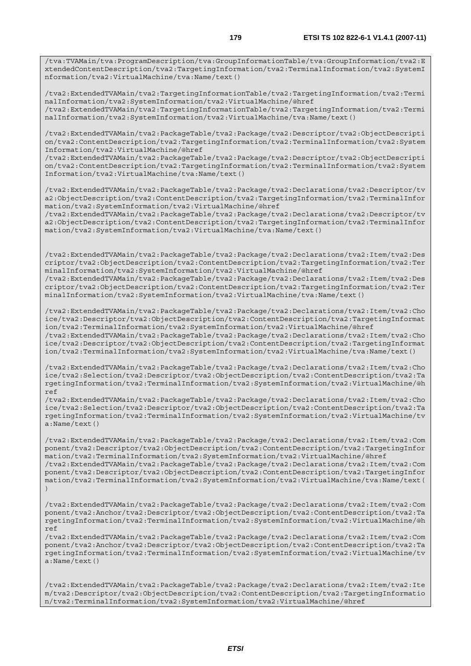/tva:TVAMain/tva:ProgramDescription/tva:GroupInformationTable/tva:GroupInformation/tva2:E xtendedContentDescription/tva2:TargetingInformation/tva2:TerminalInformation/tva2:SystemI nformation/tva2:VirtualMachine/tva:Name/text()

/tva2:ExtendedTVAMain/tva2:TargetingInformationTable/tva2:TargetingInformation/tva2:Termi nalInformation/tva2:SystemInformation/tva2:VirtualMachine/@href /tva2:ExtendedTVAMain/tva2:TargetingInformationTable/tva2:TargetingInformation/tva2:Termi nalInformation/tva2:SystemInformation/tva2:VirtualMachine/tva:Name/text()

/tva2:ExtendedTVAMain/tva2:PackageTable/tva2:Package/tva2:Descriptor/tva2:ObjectDescripti on/tva2:ContentDescription/tva2:TargetingInformation/tva2:TerminalInformation/tva2:System Information/tva2:VirtualMachine/@href

/tva2:ExtendedTVAMain/tva2:PackageTable/tva2:Package/tva2:Descriptor/tva2:ObjectDescripti on/tva2:ContentDescription/tva2:TargetingInformation/tva2:TerminalInformation/tva2:System Information/tva2:VirtualMachine/tva:Name/text()

/tva2:ExtendedTVAMain/tva2:PackageTable/tva2:Package/tva2:Declarations/tva2:Descriptor/tv a2:ObjectDescription/tva2:ContentDescription/tva2:TargetingInformation/tva2:TerminalInfor mation/tva2:SystemInformation/tva2:VirtualMachine/@href

/tva2:ExtendedTVAMain/tva2:PackageTable/tva2:Package/tva2:Declarations/tva2:Descriptor/tv a2:ObjectDescription/tva2:ContentDescription/tva2:TargetingInformation/tva2:TerminalInfor mation/tva2:SystemInformation/tva2:VirtualMachine/tva:Name/text()

/tva2:ExtendedTVAMain/tva2:PackageTable/tva2:Package/tva2:Declarations/tva2:Item/tva2:Des criptor/tva2:ObjectDescription/tva2:ContentDescription/tva2:TargetingInformation/tva2:Ter minalInformation/tva2:SystemInformation/tva2:VirtualMachine/@href /tva2:ExtendedTVAMain/tva2:PackageTable/tva2:Package/tva2:Declarations/tva2:Item/tva2:Des

criptor/tva2:ObjectDescription/tva2:ContentDescription/tva2:TargetingInformation/tva2:Ter minalInformation/tva2:SystemInformation/tva2:VirtualMachine/tva:Name/text()

/tva2:ExtendedTVAMain/tva2:PackageTable/tva2:Package/tva2:Declarations/tva2:Item/tva2:Cho ice/tva2:Descriptor/tva2:ObjectDescription/tva2:ContentDescription/tva2:TargetingInformat ion/tva2:TerminalInformation/tva2:SystemInformation/tva2:VirtualMachine/@href /tva2:ExtendedTVAMain/tva2:PackageTable/tva2:Package/tva2:Declarations/tva2:Item/tva2:Cho ice/tva2:Descriptor/tva2:ObjectDescription/tva2:ContentDescription/tva2:TargetingInformat ion/tva2:TerminalInformation/tva2:SystemInformation/tva2:VirtualMachine/tva:Name/text()

/tva2:ExtendedTVAMain/tva2:PackageTable/tva2:Package/tva2:Declarations/tva2:Item/tva2:Cho ice/tva2:Selection/tva2:Descriptor/tva2:ObjectDescription/tva2:ContentDescription/tva2:Ta rgetingInformation/tva2:TerminalInformation/tva2:SystemInformation/tva2:VirtualMachine/@h ref

/tva2:ExtendedTVAMain/tva2:PackageTable/tva2:Package/tva2:Declarations/tva2:Item/tva2:Cho ice/tva2:Selection/tva2:Descriptor/tva2:ObjectDescription/tva2:ContentDescription/tva2:Ta rgetingInformation/tva2:TerminalInformation/tva2:SystemInformation/tva2:VirtualMachine/tv a:Name/text()

/tva2:ExtendedTVAMain/tva2:PackageTable/tva2:Package/tva2:Declarations/tva2:Item/tva2:Com ponent/tva2:Descriptor/tva2:ObjectDescription/tva2:ContentDescription/tva2:TargetingInfor mation/tva2:TerminalInformation/tva2:SystemInformation/tva2:VirtualMachine/@href /tva2:ExtendedTVAMain/tva2:PackageTable/tva2:Package/tva2:Declarations/tva2:Item/tva2:Com ponent/tva2:Descriptor/tva2:ObjectDescription/tva2:ContentDescription/tva2:TargetingInfor mation/tva2:TerminalInformation/tva2:SystemInformation/tva2:VirtualMachine/tva:Name/text( )

/tva2:ExtendedTVAMain/tva2:PackageTable/tva2:Package/tva2:Declarations/tva2:Item/tva2:Com ponent/tva2:Anchor/tva2:Descriptor/tva2:ObjectDescription/tva2:ContentDescription/tva2:Ta rgetingInformation/tva2:TerminalInformation/tva2:SystemInformation/tva2:VirtualMachine/@h ref

/tva2:ExtendedTVAMain/tva2:PackageTable/tva2:Package/tva2:Declarations/tva2:Item/tva2:Com ponent/tva2:Anchor/tva2:Descriptor/tva2:ObjectDescription/tva2:ContentDescription/tva2:Ta rgetingInformation/tva2:TerminalInformation/tva2:SystemInformation/tva2:VirtualMachine/tv a:Name/text()

/tva2:ExtendedTVAMain/tva2:PackageTable/tva2:Package/tva2:Declarations/tva2:Item/tva2:Ite m/tva2:Descriptor/tva2:ObjectDescription/tva2:ContentDescription/tva2:TargetingInformatio n/tva2:TerminalInformation/tva2:SystemInformation/tva2:VirtualMachine/@href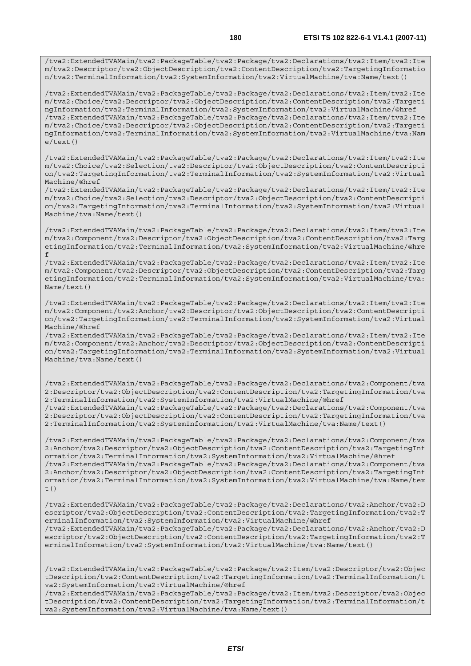/tva2:ExtendedTVAMain/tva2:PackageTable/tva2:Package/tva2:Declarations/tva2:Item/tva2:Ite m/tva2:Choice/tva2:Descriptor/tva2:ObjectDescription/tva2:ContentDescription/tva2:Targeti ngInformation/tva2:TerminalInformation/tva2:SystemInformation/tva2:VirtualMachine/@href /tva2:ExtendedTVAMain/tva2:PackageTable/tva2:Package/tva2:Declarations/tva2:Item/tva2:Ite m/tva2:Choice/tva2:Descriptor/tva2:ObjectDescription/tva2:ContentDescription/tva2:Targeti ngInformation/tva2:TerminalInformation/tva2:SystemInformation/tva2:VirtualMachine/tva:Nam e/text()

/tva2:ExtendedTVAMain/tva2:PackageTable/tva2:Package/tva2:Declarations/tva2:Item/tva2:Ite m/tva2:Choice/tva2:Selection/tva2:Descriptor/tva2:ObjectDescription/tva2:ContentDescripti on/tva2:TargetingInformation/tva2:TerminalInformation/tva2:SystemInformation/tva2:Virtual Machine/@href

/tva2:ExtendedTVAMain/tva2:PackageTable/tva2:Package/tva2:Declarations/tva2:Item/tva2:Ite m/tva2:Choice/tva2:Selection/tva2:Descriptor/tva2:ObjectDescription/tva2:ContentDescripti on/tva2:TargetingInformation/tva2:TerminalInformation/tva2:SystemInformation/tva2:Virtual Machine/tva:Name/text()

/tva2:ExtendedTVAMain/tva2:PackageTable/tva2:Package/tva2:Declarations/tva2:Item/tva2:Ite m/tva2:Component/tva2:Descriptor/tva2:ObjectDescription/tva2:ContentDescription/tva2:Targ etingInformation/tva2:TerminalInformation/tva2:SystemInformation/tva2:VirtualMachine/@hre f

/tva2:ExtendedTVAMain/tva2:PackageTable/tva2:Package/tva2:Declarations/tva2:Item/tva2:Ite m/tva2:Component/tva2:Descriptor/tva2:ObjectDescription/tva2:ContentDescription/tva2:Targ etingInformation/tva2:TerminalInformation/tva2:SystemInformation/tva2:VirtualMachine/tva: Name/text()

/tva2:ExtendedTVAMain/tva2:PackageTable/tva2:Package/tva2:Declarations/tva2:Item/tva2:Ite m/tva2:Component/tva2:Anchor/tva2:Descriptor/tva2:ObjectDescription/tva2:ContentDescripti on/tva2:TargetingInformation/tva2:TerminalInformation/tva2:SystemInformation/tva2:Virtual Machine/@href

/tva2:ExtendedTVAMain/tva2:PackageTable/tva2:Package/tva2:Declarations/tva2:Item/tva2:Ite m/tva2:Component/tva2:Anchor/tva2:Descriptor/tva2:ObjectDescription/tva2:ContentDescripti on/tva2:TargetingInformation/tva2:TerminalInformation/tva2:SystemInformation/tva2:Virtual Machine/tva:Name/text()

/tva2:ExtendedTVAMain/tva2:PackageTable/tva2:Package/tva2:Declarations/tva2:Component/tva 2:Descriptor/tva2:ObjectDescription/tva2:ContentDescription/tva2:TargetingInformation/tva 2:TerminalInformation/tva2:SystemInformation/tva2:VirtualMachine/@href /tva2:ExtendedTVAMain/tva2:PackageTable/tva2:Package/tva2:Declarations/tva2:Component/tva

2:Descriptor/tva2:ObjectDescription/tva2:ContentDescription/tva2:TargetingInformation/tva 2:TerminalInformation/tva2:SystemInformation/tva2:VirtualMachine/tva:Name/text()

/tva2:ExtendedTVAMain/tva2:PackageTable/tva2:Package/tva2:Declarations/tva2:Component/tva 2:Anchor/tva2:Descriptor/tva2:ObjectDescription/tva2:ContentDescription/tva2:TargetingInf ormation/tva2:TerminalInformation/tva2:SystemInformation/tva2:VirtualMachine/@href /tva2:ExtendedTVAMain/tva2:PackageTable/tva2:Package/tva2:Declarations/tva2:Component/tva 2:Anchor/tva2:Descriptor/tva2:ObjectDescription/tva2:ContentDescription/tva2:TargetingInf ormation/tva2:TerminalInformation/tva2:SystemInformation/tva2:VirtualMachine/tva:Name/tex t $($ )

/tva2:ExtendedTVAMain/tva2:PackageTable/tva2:Package/tva2:Declarations/tva2:Anchor/tva2:D escriptor/tva2:ObjectDescription/tva2:ContentDescription/tva2:TargetingInformation/tva2:T erminalInformation/tva2:SystemInformation/tva2:VirtualMachine/@href /tva2:ExtendedTVAMain/tva2:PackageTable/tva2:Package/tva2:Declarations/tva2:Anchor/tva2:D escriptor/tva2:ObjectDescription/tva2:ContentDescription/tva2:TargetingInformation/tva2:T erminalInformation/tva2:SystemInformation/tva2:VirtualMachine/tva:Name/text()

/tva2:ExtendedTVAMain/tva2:PackageTable/tva2:Package/tva2:Item/tva2:Descriptor/tva2:Objec tDescription/tva2:ContentDescription/tva2:TargetingInformation/tva2:TerminalInformation/t va2:SystemInformation/tva2:VirtualMachine/@href

/tva2:ExtendedTVAMain/tva2:PackageTable/tva2:Package/tva2:Item/tva2:Descriptor/tva2:Objec tDescription/tva2:ContentDescription/tva2:TargetingInformation/tva2:TerminalInformation/t va2:SystemInformation/tva2:VirtualMachine/tva:Name/text()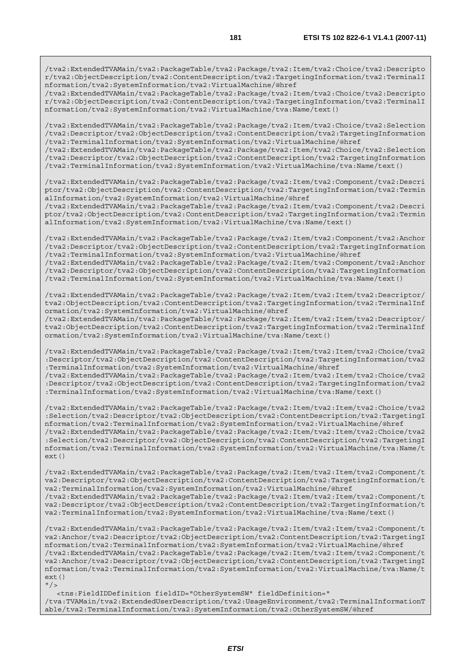/tva2:ExtendedTVAMain/tva2:PackageTable/tva2:Package/tva2:Item/tva2:Choice/tva2:Descripto r/tva2:ObjectDescription/tva2:ContentDescription/tva2:TargetingInformation/tva2:TerminalI nformation/tva2:SystemInformation/tva2:VirtualMachine/@href

/tva2:ExtendedTVAMain/tva2:PackageTable/tva2:Package/tva2:Item/tva2:Choice/tva2:Descripto r/tva2:ObjectDescription/tva2:ContentDescription/tva2:TargetingInformation/tva2:TerminalI nformation/tva2:SystemInformation/tva2:VirtualMachine/tva:Name/text()

/tva2:ExtendedTVAMain/tva2:PackageTable/tva2:Package/tva2:Item/tva2:Choice/tva2:Selection /tva2:Descriptor/tva2:ObjectDescription/tva2:ContentDescription/tva2:TargetingInformation /tva2:TerminalInformation/tva2:SystemInformation/tva2:VirtualMachine/@href

/tva2:ExtendedTVAMain/tva2:PackageTable/tva2:Package/tva2:Item/tva2:Choice/tva2:Selection /tva2:Descriptor/tva2:ObjectDescription/tva2:ContentDescription/tva2:TargetingInformation /tva2:TerminalInformation/tva2:SystemInformation/tva2:VirtualMachine/tva:Name/text()

/tva2:ExtendedTVAMain/tva2:PackageTable/tva2:Package/tva2:Item/tva2:Component/tva2:Descri ptor/tva2:ObjectDescription/tva2:ContentDescription/tva2:TargetingInformation/tva2:Termin alInformation/tva2:SystemInformation/tva2:VirtualMachine/@href

/tva2:ExtendedTVAMain/tva2:PackageTable/tva2:Package/tva2:Item/tva2:Component/tva2:Descri ptor/tva2:ObjectDescription/tva2:ContentDescription/tva2:TargetingInformation/tva2:Termin alInformation/tva2:SystemInformation/tva2:VirtualMachine/tva:Name/text()

/tva2:ExtendedTVAMain/tva2:PackageTable/tva2:Package/tva2:Item/tva2:Component/tva2:Anchor /tva2:Descriptor/tva2:ObjectDescription/tva2:ContentDescription/tva2:TargetingInformation /tva2:TerminalInformation/tva2:SystemInformation/tva2:VirtualMachine/@href /tva2:ExtendedTVAMain/tva2:PackageTable/tva2:Package/tva2:Item/tva2:Component/tva2:Anchor

/tva2:Descriptor/tva2:ObjectDescription/tva2:ContentDescription/tva2:TargetingInformation /tva2:TerminalInformation/tva2:SystemInformation/tva2:VirtualMachine/tva:Name/text()

/tva2:ExtendedTVAMain/tva2:PackageTable/tva2:Package/tva2:Item/tva2:Item/tva2:Descriptor/ tva2:ObjectDescription/tva2:ContentDescription/tva2:TargetingInformation/tva2:TerminalInf ormation/tva2:SystemInformation/tva2:VirtualMachine/@href

/tva2:ExtendedTVAMain/tva2:PackageTable/tva2:Package/tva2:Item/tva2:Item/tva2:Descriptor/ tva2:ObjectDescription/tva2:ContentDescription/tva2:TargetingInformation/tva2:TerminalInf ormation/tva2:SystemInformation/tva2:VirtualMachine/tva:Name/text()

/tva2:ExtendedTVAMain/tva2:PackageTable/tva2:Package/tva2:Item/tva2:Item/tva2:Choice/tva2 :Descriptor/tva2:ObjectDescription/tva2:ContentDescription/tva2:TargetingInformation/tva2 :TerminalInformation/tva2:SystemInformation/tva2:VirtualMachine/@href /tva2:ExtendedTVAMain/tva2:PackageTable/tva2:Package/tva2:Item/tva2:Item/tva2:Choice/tva2 :Descriptor/tva2:ObjectDescription/tva2:ContentDescription/tva2:TargetingInformation/tva2 :TerminalInformation/tva2:SystemInformation/tva2:VirtualMachine/tva:Name/text()

/tva2:ExtendedTVAMain/tva2:PackageTable/tva2:Package/tva2:Item/tva2:Item/tva2:Choice/tva2 :Selection/tva2:Descriptor/tva2:ObjectDescription/tva2:ContentDescription/tva2:TargetingI nformation/tva2:TerminalInformation/tva2:SystemInformation/tva2:VirtualMachine/@href /tva2:ExtendedTVAMain/tva2:PackageTable/tva2:Package/tva2:Item/tva2:Item/tva2:Choice/tva2 :Selection/tva2:Descriptor/tva2:ObjectDescription/tva2:ContentDescription/tva2:TargetingI nformation/tva2:TerminalInformation/tva2:SystemInformation/tva2:VirtualMachine/tva:Name/t  $ext()$ 

/tva2:ExtendedTVAMain/tva2:PackageTable/tva2:Package/tva2:Item/tva2:Item/tva2:Component/t va2:Descriptor/tva2:ObjectDescription/tva2:ContentDescription/tva2:TargetingInformation/t va2:TerminalInformation/tva2:SystemInformation/tva2:VirtualMachine/@href /tva2:ExtendedTVAMain/tva2:PackageTable/tva2:Package/tva2:Item/tva2:Item/tva2:Component/t va2:Descriptor/tva2:ObjectDescription/tva2:ContentDescription/tva2:TargetingInformation/t va2:TerminalInformation/tva2:SystemInformation/tva2:VirtualMachine/tva:Name/text()

/tva2:ExtendedTVAMain/tva2:PackageTable/tva2:Package/tva2:Item/tva2:Item/tva2:Component/t va2:Anchor/tva2:Descriptor/tva2:ObjectDescription/tva2:ContentDescription/tva2:TargetingI nformation/tva2:TerminalInformation/tva2:SystemInformation/tva2:VirtualMachine/@href /tva2:ExtendedTVAMain/tva2:PackageTable/tva2:Package/tva2:Item/tva2:Item/tva2:Component/t va2:Anchor/tva2:Descriptor/tva2:ObjectDescription/tva2:ContentDescription/tva2:TargetingI nformation/tva2:TerminalInformation/tva2:SystemInformation/tva2:VirtualMachine/tva:Name/t ext()  $''$  /  $>$ 

 <tns:FieldIDDefinition fieldID="OtherSystemSW" fieldDefinition=" /tva:TVAMain/tva2:ExtendedUserDescription/tva2:UsageEnvironment/tva2:TerminalInformationT able/tva2:TerminalInformation/tva2:SystemInformation/tva2:OtherSystemSW/@href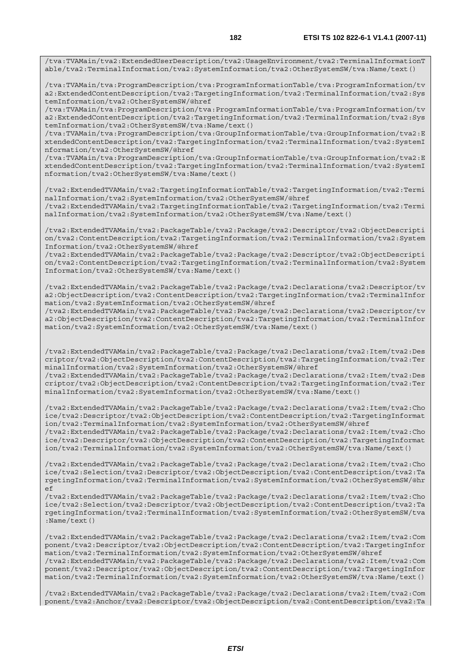/tva:TVAMain/tva2:ExtendedUserDescription/tva2:UsageEnvironment/tva2:TerminalInformationT able/tva2:TerminalInformation/tva2:SystemInformation/tva2:OtherSystemSW/tva:Name/text()

/tva:TVAMain/tva:ProgramDescription/tva:ProgramInformationTable/tva:ProgramInformation/tv a2:ExtendedContentDescription/tva2:TargetingInformation/tva2:TerminalInformation/tva2:Sys temInformation/tva2:OtherSystemSW/@href

/tva:TVAMain/tva:ProgramDescription/tva:ProgramInformationTable/tva:ProgramInformation/tv a2:ExtendedContentDescription/tva2:TargetingInformation/tva2:TerminalInformation/tva2:Sys temInformation/tva2:OtherSystemSW/tva:Name/text()

/tva:TVAMain/tva:ProgramDescription/tva:GroupInformationTable/tva:GroupInformation/tva2:E xtendedContentDescription/tva2:TargetingInformation/tva2:TerminalInformation/tva2:SystemI nformation/tva2:OtherSystemSW/@href

/tva:TVAMain/tva:ProgramDescription/tva:GroupInformationTable/tva:GroupInformation/tva2:E xtendedContentDescription/tva2:TargetingInformation/tva2:TerminalInformation/tva2:SystemI nformation/tva2:OtherSystemSW/tva:Name/text()

/tva2:ExtendedTVAMain/tva2:TargetingInformationTable/tva2:TargetingInformation/tva2:Termi nalInformation/tva2:SystemInformation/tva2:OtherSystemSW/@href /tva2:ExtendedTVAMain/tva2:TargetingInformationTable/tva2:TargetingInformation/tva2:Termi nalInformation/tva2:SystemInformation/tva2:OtherSystemSW/tva:Name/text()

/tva2:ExtendedTVAMain/tva2:PackageTable/tva2:Package/tva2:Descriptor/tva2:ObjectDescripti on/tva2:ContentDescription/tva2:TargetingInformation/tva2:TerminalInformation/tva2:System Information/tva2:OtherSystemSW/@href

/tva2:ExtendedTVAMain/tva2:PackageTable/tva2:Package/tva2:Descriptor/tva2:ObjectDescripti on/tva2:ContentDescription/tva2:TargetingInformation/tva2:TerminalInformation/tva2:System Information/tva2:OtherSystemSW/tva:Name/text()

/tva2:ExtendedTVAMain/tva2:PackageTable/tva2:Package/tva2:Declarations/tva2:Descriptor/tv a2:ObjectDescription/tva2:ContentDescription/tva2:TargetingInformation/tva2:TerminalInfor mation/tva2:SystemInformation/tva2:OtherSystemSW/@href

/tva2:ExtendedTVAMain/tva2:PackageTable/tva2:Package/tva2:Declarations/tva2:Descriptor/tv a2:ObjectDescription/tva2:ContentDescription/tva2:TargetingInformation/tva2:TerminalInfor mation/tva2:SystemInformation/tva2:OtherSystemSW/tva:Name/text()

/tva2:ExtendedTVAMain/tva2:PackageTable/tva2:Package/tva2:Declarations/tva2:Item/tva2:Des criptor/tva2:ObjectDescription/tva2:ContentDescription/tva2:TargetingInformation/tva2:Ter minalInformation/tva2:SystemInformation/tva2:OtherSystemSW/@href

/tva2:ExtendedTVAMain/tva2:PackageTable/tva2:Package/tva2:Declarations/tva2:Item/tva2:Des criptor/tva2:ObjectDescription/tva2:ContentDescription/tva2:TargetingInformation/tva2:Ter minalInformation/tva2:SystemInformation/tva2:OtherSystemSW/tva:Name/text()

/tva2:ExtendedTVAMain/tva2:PackageTable/tva2:Package/tva2:Declarations/tva2:Item/tva2:Cho ice/tva2:Descriptor/tva2:ObjectDescription/tva2:ContentDescription/tva2:TargetingInformat ion/tva2:TerminalInformation/tva2:SystemInformation/tva2:OtherSystemSW/@href /tva2:ExtendedTVAMain/tva2:PackageTable/tva2:Package/tva2:Declarations/tva2:Item/tva2:Cho ice/tva2:Descriptor/tva2:ObjectDescription/tva2:ContentDescription/tva2:TargetingInformat ion/tva2:TerminalInformation/tva2:SystemInformation/tva2:OtherSystemSW/tva:Name/text()

/tva2:ExtendedTVAMain/tva2:PackageTable/tva2:Package/tva2:Declarations/tva2:Item/tva2:Cho ice/tva2:Selection/tva2:Descriptor/tva2:ObjectDescription/tva2:ContentDescription/tva2:Ta rgetingInformation/tva2:TerminalInformation/tva2:SystemInformation/tva2:OtherSystemSW/@hr

ef /tva2:ExtendedTVAMain/tva2:PackageTable/tva2:Package/tva2:Declarations/tva2:Item/tva2:Cho ice/tva2:Selection/tva2:Descriptor/tva2:ObjectDescription/tva2:ContentDescription/tva2:Ta rgetingInformation/tva2:TerminalInformation/tva2:SystemInformation/tva2:OtherSystemSW/tva :Name/text()

/tva2:ExtendedTVAMain/tva2:PackageTable/tva2:Package/tva2:Declarations/tva2:Item/tva2:Com ponent/tva2:Descriptor/tva2:ObjectDescription/tva2:ContentDescription/tva2:TargetingInfor mation/tva2:TerminalInformation/tva2:SystemInformation/tva2:OtherSystemSW/@href /tva2:ExtendedTVAMain/tva2:PackageTable/tva2:Package/tva2:Declarations/tva2:Item/tva2:Com ponent/tva2:Descriptor/tva2:ObjectDescription/tva2:ContentDescription/tva2:TargetingInfor mation/tva2:TerminalInformation/tva2:SystemInformation/tva2:OtherSystemSW/tva:Name/text()

/tva2:ExtendedTVAMain/tva2:PackageTable/tva2:Package/tva2:Declarations/tva2:Item/tva2:Com ponent/tva2:Anchor/tva2:Descriptor/tva2:ObjectDescription/tva2:ContentDescription/tva2:Ta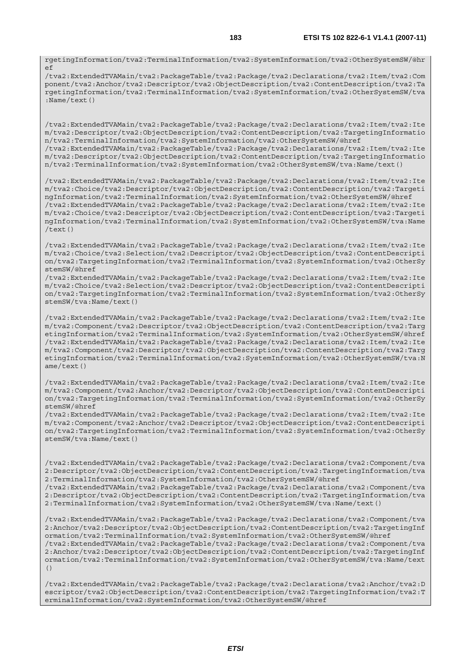rgetingInformation/tva2:TerminalInformation/tva2:SystemInformation/tva2:OtherSystemSW/@hr  $\circ$ 

/tva2:ExtendedTVAMain/tva2:PackageTable/tva2:Package/tva2:Declarations/tva2:Item/tva2:Com ponent/tva2:Anchor/tva2:Descriptor/tva2:ObjectDescription/tva2:ContentDescription/tva2:Ta rgetingInformation/tva2:TerminalInformation/tva2:SystemInformation/tva2:OtherSystemSW/tva :Name/text()

/tva2:ExtendedTVAMain/tva2:PackageTable/tva2:Package/tva2:Declarations/tva2:Item/tva2:Ite m/tva2:Descriptor/tva2:ObjectDescription/tva2:ContentDescription/tva2:TargetingInformatio n/tva2:TerminalInformation/tva2:SystemInformation/tva2:OtherSystemSW/@href /tva2:ExtendedTVAMain/tva2:PackageTable/tva2:Package/tva2:Declarations/tva2:Item/tva2:Ite m/tva2:Descriptor/tva2:ObjectDescription/tva2:ContentDescription/tva2:TargetingInformatio n/tva2:TerminalInformation/tva2:SystemInformation/tva2:OtherSystemSW/tva:Name/text()

/tva2:ExtendedTVAMain/tva2:PackageTable/tva2:Package/tva2:Declarations/tva2:Item/tva2:Ite m/tva2:Choice/tva2:Descriptor/tva2:ObjectDescription/tva2:ContentDescription/tva2:Targeti ngInformation/tva2:TerminalInformation/tva2:SystemInformation/tva2:OtherSystemSW/@href /tva2:ExtendedTVAMain/tva2:PackageTable/tva2:Package/tva2:Declarations/tva2:Item/tva2:Ite m/tva2:Choice/tva2:Descriptor/tva2:ObjectDescription/tva2:ContentDescription/tva2:Targeti ngInformation/tva2:TerminalInformation/tva2:SystemInformation/tva2:OtherSystemSW/tva:Name  $/$ text $()$ 

/tva2:ExtendedTVAMain/tva2:PackageTable/tva2:Package/tva2:Declarations/tva2:Item/tva2:Ite m/tva2:Choice/tva2:Selection/tva2:Descriptor/tva2:ObjectDescription/tva2:ContentDescripti on/tva2:TargetingInformation/tva2:TerminalInformation/tva2:SystemInformation/tva2:OtherSy stemSW/@href

/tva2:ExtendedTVAMain/tva2:PackageTable/tva2:Package/tva2:Declarations/tva2:Item/tva2:Ite m/tva2:Choice/tva2:Selection/tva2:Descriptor/tva2:ObjectDescription/tva2:ContentDescripti on/tva2:TargetingInformation/tva2:TerminalInformation/tva2:SystemInformation/tva2:OtherSy stemSW/tva:Name/text()

/tva2:ExtendedTVAMain/tva2:PackageTable/tva2:Package/tva2:Declarations/tva2:Item/tva2:Ite m/tva2:Component/tva2:Descriptor/tva2:ObjectDescription/tva2:ContentDescription/tva2:Targ etingInformation/tva2:TerminalInformation/tva2:SystemInformation/tva2:OtherSystemSW/@href /tva2:ExtendedTVAMain/tva2:PackageTable/tva2:Package/tva2:Declarations/tva2:Item/tva2:Ite m/tva2:Component/tva2:Descriptor/tva2:ObjectDescription/tva2:ContentDescription/tva2:Targ etingInformation/tva2:TerminalInformation/tva2:SystemInformation/tva2:OtherSystemSW/tva:N ame/text()

/tva2:ExtendedTVAMain/tva2:PackageTable/tva2:Package/tva2:Declarations/tva2:Item/tva2:Ite m/tva2:Component/tva2:Anchor/tva2:Descriptor/tva2:ObjectDescription/tva2:ContentDescripti on/tva2:TargetingInformation/tva2:TerminalInformation/tva2:SystemInformation/tva2:OtherSy stemSW/@href

/tva2:ExtendedTVAMain/tva2:PackageTable/tva2:Package/tva2:Declarations/tva2:Item/tva2:Ite m/tva2:Component/tva2:Anchor/tva2:Descriptor/tva2:ObjectDescription/tva2:ContentDescripti on/tva2:TargetingInformation/tva2:TerminalInformation/tva2:SystemInformation/tva2:OtherSy stemSW/tva:Name/text()

/tva2:ExtendedTVAMain/tva2:PackageTable/tva2:Package/tva2:Declarations/tva2:Component/tva 2:Descriptor/tva2:ObjectDescription/tva2:ContentDescription/tva2:TargetingInformation/tva 2:TerminalInformation/tva2:SystemInformation/tva2:OtherSystemSW/@href

/tva2:ExtendedTVAMain/tva2:PackageTable/tva2:Package/tva2:Declarations/tva2:Component/tva 2:Descriptor/tva2:ObjectDescription/tva2:ContentDescription/tva2:TargetingInformation/tva 2:TerminalInformation/tva2:SystemInformation/tva2:OtherSystemSW/tva:Name/text()

/tva2:ExtendedTVAMain/tva2:PackageTable/tva2:Package/tva2:Declarations/tva2:Component/tva 2:Anchor/tva2:Descriptor/tva2:ObjectDescription/tva2:ContentDescription/tva2:TargetingInf ormation/tva2:TerminalInformation/tva2:SystemInformation/tva2:OtherSystemSW/@href /tva2:ExtendedTVAMain/tva2:PackageTable/tva2:Package/tva2:Declarations/tva2:Component/tva 2:Anchor/tva2:Descriptor/tva2:ObjectDescription/tva2:ContentDescription/tva2:TargetingInf ormation/tva2:TerminalInformation/tva2:SystemInformation/tva2:OtherSystemSW/tva:Name/text ()

/tva2:ExtendedTVAMain/tva2:PackageTable/tva2:Package/tva2:Declarations/tva2:Anchor/tva2:D escriptor/tva2:ObjectDescription/tva2:ContentDescription/tva2:TargetingInformation/tva2:T erminalInformation/tva2:SystemInformation/tva2:OtherSystemSW/@href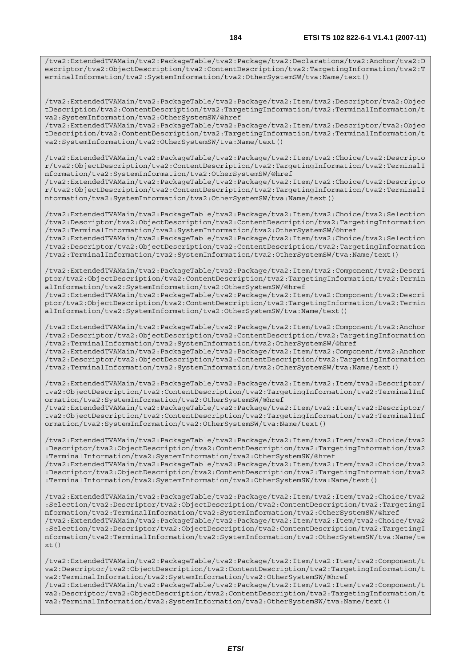/tva2:ExtendedTVAMain/tva2:PackageTable/tva2:Package/tva2:Declarations/tva2:Anchor/tva2:D escriptor/tva2:ObjectDescription/tva2:ContentDescription/tva2:TargetingInformation/tva2:T erminalInformation/tva2:SystemInformation/tva2:OtherSystemSW/tva:Name/text()

/tva2:ExtendedTVAMain/tva2:PackageTable/tva2:Package/tva2:Item/tva2:Descriptor/tva2:Objec tDescription/tva2:ContentDescription/tva2:TargetingInformation/tva2:TerminalInformation/t va2:SystemInformation/tva2:OtherSystemSW/@href

/tva2:ExtendedTVAMain/tva2:PackageTable/tva2:Package/tva2:Item/tva2:Descriptor/tva2:Objec tDescription/tva2:ContentDescription/tva2:TargetingInformation/tva2:TerminalInformation/t va2:SystemInformation/tva2:OtherSystemSW/tva:Name/text()

/tva2:ExtendedTVAMain/tva2:PackageTable/tva2:Package/tva2:Item/tva2:Choice/tva2:Descripto r/tva2:ObjectDescription/tva2:ContentDescription/tva2:TargetingInformation/tva2:TerminalI nformation/tva2:SystemInformation/tva2:OtherSystemSW/@href

/tva2:ExtendedTVAMain/tva2:PackageTable/tva2:Package/tva2:Item/tva2:Choice/tva2:Descripto r/tva2:ObjectDescription/tva2:ContentDescription/tva2:TargetingInformation/tva2:TerminalI nformation/tva2:SystemInformation/tva2:OtherSystemSW/tva:Name/text()

/tva2:ExtendedTVAMain/tva2:PackageTable/tva2:Package/tva2:Item/tva2:Choice/tva2:Selection /tva2:Descriptor/tva2:ObjectDescription/tva2:ContentDescription/tva2:TargetingInformation /tva2:TerminalInformation/tva2:SystemInformation/tva2:OtherSystemSW/@href /tva2:ExtendedTVAMain/tva2:PackageTable/tva2:Package/tva2:Item/tva2:Choice/tva2:Selection

/tva2:Descriptor/tva2:ObjectDescription/tva2:ContentDescription/tva2:TargetingInformation /tva2:TerminalInformation/tva2:SystemInformation/tva2:OtherSystemSW/tva:Name/text()

/tva2:ExtendedTVAMain/tva2:PackageTable/tva2:Package/tva2:Item/tva2:Component/tva2:Descri ptor/tva2:ObjectDescription/tva2:ContentDescription/tva2:TargetingInformation/tva2:Termin alInformation/tva2:SystemInformation/tva2:OtherSystemSW/@href

/tva2:ExtendedTVAMain/tva2:PackageTable/tva2:Package/tva2:Item/tva2:Component/tva2:Descri ptor/tva2:ObjectDescription/tva2:ContentDescription/tva2:TargetingInformation/tva2:Termin alInformation/tva2:SystemInformation/tva2:OtherSystemSW/tva:Name/text()

/tva2:ExtendedTVAMain/tva2:PackageTable/tva2:Package/tva2:Item/tva2:Component/tva2:Anchor /tva2:Descriptor/tva2:ObjectDescription/tva2:ContentDescription/tva2:TargetingInformation /tva2:TerminalInformation/tva2:SystemInformation/tva2:OtherSystemSW/@href /tva2:ExtendedTVAMain/tva2:PackageTable/tva2:Package/tva2:Item/tva2:Component/tva2:Anchor

/tva2:Descriptor/tva2:ObjectDescription/tva2:ContentDescription/tva2:TargetingInformation /tva2:TerminalInformation/tva2:SystemInformation/tva2:OtherSystemSW/tva:Name/text()

/tva2:ExtendedTVAMain/tva2:PackageTable/tva2:Package/tva2:Item/tva2:Item/tva2:Descriptor/ tva2:ObjectDescription/tva2:ContentDescription/tva2:TargetingInformation/tva2:TerminalInf ormation/tva2:SystemInformation/tva2:OtherSystemSW/@href

/tva2:ExtendedTVAMain/tva2:PackageTable/tva2:Package/tva2:Item/tva2:Item/tva2:Descriptor/ tva2:ObjectDescription/tva2:ContentDescription/tva2:TargetingInformation/tva2:TerminalInf ormation/tva2:SystemInformation/tva2:OtherSystemSW/tva:Name/text()

/tva2:ExtendedTVAMain/tva2:PackageTable/tva2:Package/tva2:Item/tva2:Item/tva2:Choice/tva2 :Descriptor/tva2:ObjectDescription/tva2:ContentDescription/tva2:TargetingInformation/tva2 :TerminalInformation/tva2:SystemInformation/tva2:OtherSystemSW/@href

/tva2:ExtendedTVAMain/tva2:PackageTable/tva2:Package/tva2:Item/tva2:Item/tva2:Choice/tva2 :Descriptor/tva2:ObjectDescription/tva2:ContentDescription/tva2:TargetingInformation/tva2 :TerminalInformation/tva2:SystemInformation/tva2:OtherSystemSW/tva:Name/text()

/tva2:ExtendedTVAMain/tva2:PackageTable/tva2:Package/tva2:Item/tva2:Item/tva2:Choice/tva2 :Selection/tva2:Descriptor/tva2:ObjectDescription/tva2:ContentDescription/tva2:TargetingI nformation/tva2:TerminalInformation/tva2:SystemInformation/tva2:OtherSystemSW/@href /tva2:ExtendedTVAMain/tva2:PackageTable/tva2:Package/tva2:Item/tva2:Item/tva2:Choice/tva2 :Selection/tva2:Descriptor/tva2:ObjectDescription/tva2:ContentDescription/tva2:TargetingI nformation/tva2:TerminalInformation/tva2:SystemInformation/tva2:OtherSystemSW/tva:Name/te  $xt()$ 

/tva2:ExtendedTVAMain/tva2:PackageTable/tva2:Package/tva2:Item/tva2:Item/tva2:Component/t va2:Descriptor/tva2:ObjectDescription/tva2:ContentDescription/tva2:TargetingInformation/t va2:TerminalInformation/tva2:SystemInformation/tva2:OtherSystemSW/@href /tva2:ExtendedTVAMain/tva2:PackageTable/tva2:Package/tva2:Item/tva2:Item/tva2:Component/t va2:Descriptor/tva2:ObjectDescription/tva2:ContentDescription/tva2:TargetingInformation/t va2:TerminalInformation/tva2:SystemInformation/tva2:OtherSystemSW/tva:Name/text()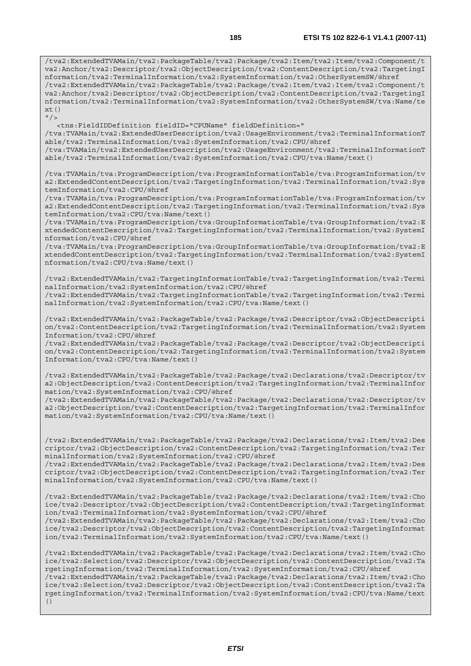/tva2:ExtendedTVAMain/tva2:PackageTable/tva2:Package/tva2:Item/tva2:Item/tva2:Component/t va2:Anchor/tva2:Descriptor/tva2:ObjectDescription/tva2:ContentDescription/tva2:TargetingI nformation/tva2:TerminalInformation/tva2:SystemInformation/tva2:OtherSystemSW/@href /tva2:ExtendedTVAMain/tva2:PackageTable/tva2:Package/tva2:Item/tva2:Item/tva2:Component/t va2:Anchor/tva2:Descriptor/tva2:ObjectDescription/tva2:ContentDescription/tva2:TargetingI nformation/tva2:TerminalInformation/tva2:SystemInformation/tva2:OtherSystemSW/tva:Name/te  $xt()$  $''$  / >

 <tns:FieldIDDefinition fieldID="CPUName" fieldDefinition=" /tva:TVAMain/tva2:ExtendedUserDescription/tva2:UsageEnvironment/tva2:TerminalInformationT able/tva2:TerminalInformation/tva2:SystemInformation/tva2:CPU/@href /tva:TVAMain/tva2:ExtendedUserDescription/tva2:UsageEnvironment/tva2:TerminalInformationT able/tva2:TerminalInformation/tva2:SystemInformation/tva2:CPU/tva:Name/text()

/tva:TVAMain/tva:ProgramDescription/tva:ProgramInformationTable/tva:ProgramInformation/tv a2:ExtendedContentDescription/tva2:TargetingInformation/tva2:TerminalInformation/tva2:Sys temInformation/tva2:CPU/@href

/tva:TVAMain/tva:ProgramDescription/tva:ProgramInformationTable/tva:ProgramInformation/tv a2:ExtendedContentDescription/tva2:TargetingInformation/tva2:TerminalInformation/tva2:Sys temInformation/tva2:CPU/tva:Name/text()

/tva:TVAMain/tva:ProgramDescription/tva:GroupInformationTable/tva:GroupInformation/tva2:E xtendedContentDescription/tva2:TargetingInformation/tva2:TerminalInformation/tva2:SystemI nformation/tva2:CPU/@href

/tva:TVAMain/tva:ProgramDescription/tva:GroupInformationTable/tva:GroupInformation/tva2:E xtendedContentDescription/tva2:TargetingInformation/tva2:TerminalInformation/tva2:SystemI nformation/tva2:CPU/tva:Name/text()

/tva2:ExtendedTVAMain/tva2:TargetingInformationTable/tva2:TargetingInformation/tva2:Termi nalInformation/tva2:SystemInformation/tva2:CPU/@href

/tva2:ExtendedTVAMain/tva2:TargetingInformationTable/tva2:TargetingInformation/tva2:Termi nalInformation/tva2:SystemInformation/tva2:CPU/tva:Name/text()

/tva2:ExtendedTVAMain/tva2:PackageTable/tva2:Package/tva2:Descriptor/tva2:ObjectDescripti on/tva2:ContentDescription/tva2:TargetingInformation/tva2:TerminalInformation/tva2:System Information/tva2:CPU/@href

/tva2:ExtendedTVAMain/tva2:PackageTable/tva2:Package/tva2:Descriptor/tva2:ObjectDescripti on/tva2:ContentDescription/tva2:TargetingInformation/tva2:TerminalInformation/tva2:System Information/tva2:CPU/tva:Name/text()

/tva2:ExtendedTVAMain/tva2:PackageTable/tva2:Package/tva2:Declarations/tva2:Descriptor/tv a2:ObjectDescription/tva2:ContentDescription/tva2:TargetingInformation/tva2:TerminalInfor mation/tva2:SystemInformation/tva2:CPU/@href

/tva2:ExtendedTVAMain/tva2:PackageTable/tva2:Package/tva2:Declarations/tva2:Descriptor/tv a2:ObjectDescription/tva2:ContentDescription/tva2:TargetingInformation/tva2:TerminalInfor mation/tva2:SystemInformation/tva2:CPU/tva:Name/text()

/tva2:ExtendedTVAMain/tva2:PackageTable/tva2:Package/tva2:Declarations/tva2:Item/tva2:Des criptor/tva2:ObjectDescription/tva2:ContentDescription/tva2:TargetingInformation/tva2:Ter minalInformation/tva2:SystemInformation/tva2:CPU/@href

/tva2:ExtendedTVAMain/tva2:PackageTable/tva2:Package/tva2:Declarations/tva2:Item/tva2:Des criptor/tva2:ObjectDescription/tva2:ContentDescription/tva2:TargetingInformation/tva2:Ter minalInformation/tva2:SystemInformation/tva2:CPU/tva:Name/text()

/tva2:ExtendedTVAMain/tva2:PackageTable/tva2:Package/tva2:Declarations/tva2:Item/tva2:Cho ice/tva2:Descriptor/tva2:ObjectDescription/tva2:ContentDescription/tva2:TargetingInformat ion/tva2:TerminalInformation/tva2:SystemInformation/tva2:CPU/@href

/tva2:ExtendedTVAMain/tva2:PackageTable/tva2:Package/tva2:Declarations/tva2:Item/tva2:Cho ice/tva2:Descriptor/tva2:ObjectDescription/tva2:ContentDescription/tva2:TargetingInformat ion/tva2:TerminalInformation/tva2:SystemInformation/tva2:CPU/tva:Name/text()

/tva2:ExtendedTVAMain/tva2:PackageTable/tva2:Package/tva2:Declarations/tva2:Item/tva2:Cho ice/tva2:Selection/tva2:Descriptor/tva2:ObjectDescription/tva2:ContentDescription/tva2:Ta rgetingInformation/tva2:TerminalInformation/tva2:SystemInformation/tva2:CPU/@href /tva2:ExtendedTVAMain/tva2:PackageTable/tva2:Package/tva2:Declarations/tva2:Item/tva2:Cho ice/tva2:Selection/tva2:Descriptor/tva2:ObjectDescription/tva2:ContentDescription/tva2:Ta rgetingInformation/tva2:TerminalInformation/tva2:SystemInformation/tva2:CPU/tva:Name/text ()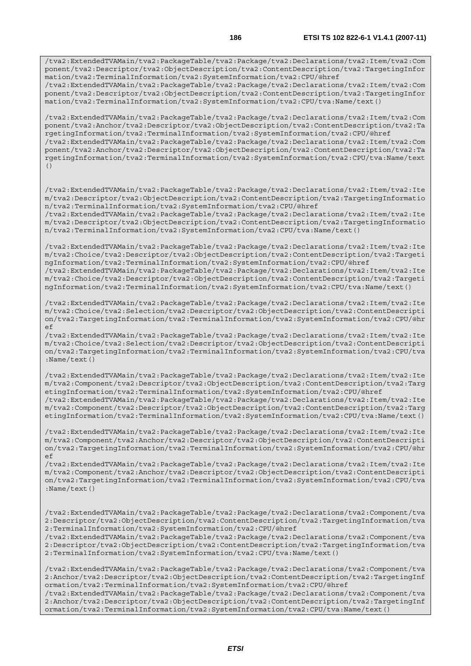/tva2:ExtendedTVAMain/tva2:PackageTable/tva2:Package/tva2:Declarations/tva2:Item/tva2:Com ponent/tva2:Descriptor/tva2:ObjectDescription/tva2:ContentDescription/tva2:TargetingInfor mation/tva2:TerminalInformation/tva2:SystemInformation/tva2:CPU/@href /tva2:ExtendedTVAMain/tva2:PackageTable/tva2:Package/tva2:Declarations/tva2:Item/tva2:Com

ponent/tva2:Descriptor/tva2:ObjectDescription/tva2:ContentDescription/tva2:TargetingInfor mation/tva2:TerminalInformation/tva2:SystemInformation/tva2:CPU/tva:Name/text()

/tva2:ExtendedTVAMain/tva2:PackageTable/tva2:Package/tva2:Declarations/tva2:Item/tva2:Com ponent/tva2:Anchor/tva2:Descriptor/tva2:ObjectDescription/tva2:ContentDescription/tva2:Ta rgetingInformation/tva2:TerminalInformation/tva2:SystemInformation/tva2:CPU/@href /tva2:ExtendedTVAMain/tva2:PackageTable/tva2:Package/tva2:Declarations/tva2:Item/tva2:Com ponent/tva2:Anchor/tva2:Descriptor/tva2:ObjectDescription/tva2:ContentDescription/tva2:Ta rgetingInformation/tva2:TerminalInformation/tva2:SystemInformation/tva2:CPU/tva:Name/text ()

/tva2:ExtendedTVAMain/tva2:PackageTable/tva2:Package/tva2:Declarations/tva2:Item/tva2:Ite m/tva2:Descriptor/tva2:ObjectDescription/tva2:ContentDescription/tva2:TargetingInformatio n/tva2:TerminalInformation/tva2:SystemInformation/tva2:CPU/@href /tva2:ExtendedTVAMain/tva2:PackageTable/tva2:Package/tva2:Declarations/tva2:Item/tva2:Ite

m/tva2:Descriptor/tva2:ObjectDescription/tva2:ContentDescription/tva2:TargetingInformatio n/tva2:TerminalInformation/tva2:SystemInformation/tva2:CPU/tva:Name/text()

/tva2:ExtendedTVAMain/tva2:PackageTable/tva2:Package/tva2:Declarations/tva2:Item/tva2:Ite m/tva2:Choice/tva2:Descriptor/tva2:ObjectDescription/tva2:ContentDescription/tva2:Targeti ngInformation/tva2:TerminalInformation/tva2:SystemInformation/tva2:CPU/@href /tva2:ExtendedTVAMain/tva2:PackageTable/tva2:Package/tva2:Declarations/tva2:Item/tva2:Ite m/tva2:Choice/tva2:Descriptor/tva2:ObjectDescription/tva2:ContentDescription/tva2:Targeti

ngInformation/tva2:TerminalInformation/tva2:SystemInformation/tva2:CPU/tva:Name/text()

/tva2:ExtendedTVAMain/tva2:PackageTable/tva2:Package/tva2:Declarations/tva2:Item/tva2:Ite m/tva2:Choice/tva2:Selection/tva2:Descriptor/tva2:ObjectDescription/tva2:ContentDescripti on/tva2:TargetingInformation/tva2:TerminalInformation/tva2:SystemInformation/tva2:CPU/@hr ef

/tva2:ExtendedTVAMain/tva2:PackageTable/tva2:Package/tva2:Declarations/tva2:Item/tva2:Ite m/tva2:Choice/tva2:Selection/tva2:Descriptor/tva2:ObjectDescription/tva2:ContentDescripti on/tva2:TargetingInformation/tva2:TerminalInformation/tva2:SystemInformation/tva2:CPU/tva :Name/text()

/tva2:ExtendedTVAMain/tva2:PackageTable/tva2:Package/tva2:Declarations/tva2:Item/tva2:Ite m/tva2:Component/tva2:Descriptor/tva2:ObjectDescription/tva2:ContentDescription/tva2:Targ etingInformation/tva2:TerminalInformation/tva2:SystemInformation/tva2:CPU/@href /tva2:ExtendedTVAMain/tva2:PackageTable/tva2:Package/tva2:Declarations/tva2:Item/tva2:Ite m/tva2:Component/tva2:Descriptor/tva2:ObjectDescription/tva2:ContentDescription/tva2:Targ etingInformation/tva2:TerminalInformation/tva2:SystemInformation/tva2:CPU/tva:Name/text()

/tva2:ExtendedTVAMain/tva2:PackageTable/tva2:Package/tva2:Declarations/tva2:Item/tva2:Ite m/tva2:Component/tva2:Anchor/tva2:Descriptor/tva2:ObjectDescription/tva2:ContentDescripti on/tva2:TargetingInformation/tva2:TerminalInformation/tva2:SystemInformation/tva2:CPU/@hr ef

/tva2:ExtendedTVAMain/tva2:PackageTable/tva2:Package/tva2:Declarations/tva2:Item/tva2:Ite m/tva2:Component/tva2:Anchor/tva2:Descriptor/tva2:ObjectDescription/tva2:ContentDescripti on/tva2:TargetingInformation/tva2:TerminalInformation/tva2:SystemInformation/tva2:CPU/tva :Name/text()

/tva2:ExtendedTVAMain/tva2:PackageTable/tva2:Package/tva2:Declarations/tva2:Component/tva 2:Descriptor/tva2:ObjectDescription/tva2:ContentDescription/tva2:TargetingInformation/tva 2:TerminalInformation/tva2:SystemInformation/tva2:CPU/@href

/tva2:ExtendedTVAMain/tva2:PackageTable/tva2:Package/tva2:Declarations/tva2:Component/tva 2:Descriptor/tva2:ObjectDescription/tva2:ContentDescription/tva2:TargetingInformation/tva 2:TerminalInformation/tva2:SystemInformation/tva2:CPU/tva:Name/text()

/tva2:ExtendedTVAMain/tva2:PackageTable/tva2:Package/tva2:Declarations/tva2:Component/tva 2:Anchor/tva2:Descriptor/tva2:ObjectDescription/tva2:ContentDescription/tva2:TargetingInf ormation/tva2:TerminalInformation/tva2:SystemInformation/tva2:CPU/@href

/tva2:ExtendedTVAMain/tva2:PackageTable/tva2:Package/tva2:Declarations/tva2:Component/tva 2:Anchor/tva2:Descriptor/tva2:ObjectDescription/tva2:ContentDescription/tva2:TargetingInf ormation/tva2:TerminalInformation/tva2:SystemInformation/tva2:CPU/tva:Name/text()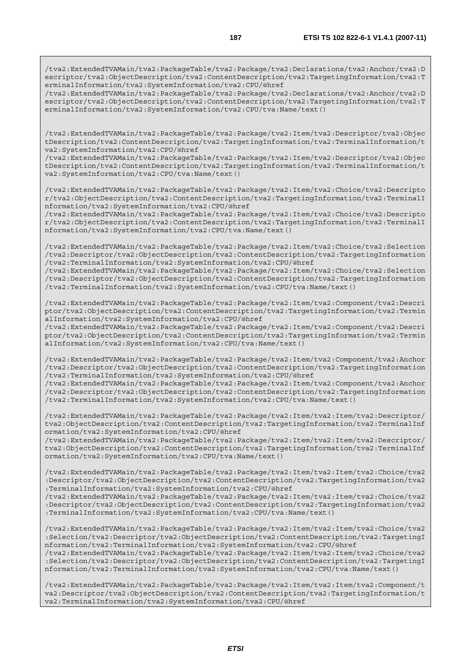/tva2:ExtendedTVAMain/tva2:PackageTable/tva2:Package/tva2:Declarations/tva2:Anchor/tva2:D escriptor/tva2:ObjectDescription/tva2:ContentDescription/tva2:TargetingInformation/tva2:T erminalInformation/tva2:SystemInformation/tva2:CPU/@href

/tva2:ExtendedTVAMain/tva2:PackageTable/tva2:Package/tva2:Declarations/tva2:Anchor/tva2:D escriptor/tva2:ObjectDescription/tva2:ContentDescription/tva2:TargetingInformation/tva2:T erminalInformation/tva2:SystemInformation/tva2:CPU/tva:Name/text()

/tva2:ExtendedTVAMain/tva2:PackageTable/tva2:Package/tva2:Item/tva2:Descriptor/tva2:Objec tDescription/tva2:ContentDescription/tva2:TargetingInformation/tva2:TerminalInformation/t va2:SystemInformation/tva2:CPU/@href

/tva2:ExtendedTVAMain/tva2:PackageTable/tva2:Package/tva2:Item/tva2:Descriptor/tva2:Objec tDescription/tva2:ContentDescription/tva2:TargetingInformation/tva2:TerminalInformation/t va2:SystemInformation/tva2:CPU/tva:Name/text()

/tva2:ExtendedTVAMain/tva2:PackageTable/tva2:Package/tva2:Item/tva2:Choice/tva2:Descripto r/tva2:ObjectDescription/tva2:ContentDescription/tva2:TargetingInformation/tva2:TerminalI nformation/tva2:SystemInformation/tva2:CPU/@href

/tva2:ExtendedTVAMain/tva2:PackageTable/tva2:Package/tva2:Item/tva2:Choice/tva2:Descripto r/tva2:ObjectDescription/tva2:ContentDescription/tva2:TargetingInformation/tva2:TerminalI nformation/tva2:SystemInformation/tva2:CPU/tva:Name/text()

/tva2:ExtendedTVAMain/tva2:PackageTable/tva2:Package/tva2:Item/tva2:Choice/tva2:Selection /tva2:Descriptor/tva2:ObjectDescription/tva2:ContentDescription/tva2:TargetingInformation /tva2:TerminalInformation/tva2:SystemInformation/tva2:CPU/@href

/tva2:ExtendedTVAMain/tva2:PackageTable/tva2:Package/tva2:Item/tva2:Choice/tva2:Selection /tva2:Descriptor/tva2:ObjectDescription/tva2:ContentDescription/tva2:TargetingInformation /tva2:TerminalInformation/tva2:SystemInformation/tva2:CPU/tva:Name/text()

/tva2:ExtendedTVAMain/tva2:PackageTable/tva2:Package/tva2:Item/tva2:Component/tva2:Descri ptor/tva2:ObjectDescription/tva2:ContentDescription/tva2:TargetingInformation/tva2:Termin alInformation/tva2:SystemInformation/tva2:CPU/@href

/tva2:ExtendedTVAMain/tva2:PackageTable/tva2:Package/tva2:Item/tva2:Component/tva2:Descri ptor/tva2:ObjectDescription/tva2:ContentDescription/tva2:TargetingInformation/tva2:Termin alInformation/tva2:SystemInformation/tva2:CPU/tva:Name/text()

/tva2:ExtendedTVAMain/tva2:PackageTable/tva2:Package/tva2:Item/tva2:Component/tva2:Anchor /tva2:Descriptor/tva2:ObjectDescription/tva2:ContentDescription/tva2:TargetingInformation /tva2:TerminalInformation/tva2:SystemInformation/tva2:CPU/@href

/tva2:ExtendedTVAMain/tva2:PackageTable/tva2:Package/tva2:Item/tva2:Component/tva2:Anchor /tva2:Descriptor/tva2:ObjectDescription/tva2:ContentDescription/tva2:TargetingInformation /tva2:TerminalInformation/tva2:SystemInformation/tva2:CPU/tva:Name/text()

/tva2:ExtendedTVAMain/tva2:PackageTable/tva2:Package/tva2:Item/tva2:Item/tva2:Descriptor/ tva2:ObjectDescription/tva2:ContentDescription/tva2:TargetingInformation/tva2:TerminalInf ormation/tva2:SystemInformation/tva2:CPU/@href

/tva2:ExtendedTVAMain/tva2:PackageTable/tva2:Package/tva2:Item/tva2:Item/tva2:Descriptor/ tva2:ObjectDescription/tva2:ContentDescription/tva2:TargetingInformation/tva2:TerminalInf ormation/tva2:SystemInformation/tva2:CPU/tva:Name/text()

/tva2:ExtendedTVAMain/tva2:PackageTable/tva2:Package/tva2:Item/tva2:Item/tva2:Choice/tva2 :Descriptor/tva2:ObjectDescription/tva2:ContentDescription/tva2:TargetingInformation/tva2 :TerminalInformation/tva2:SystemInformation/tva2:CPU/@href

/tva2:ExtendedTVAMain/tva2:PackageTable/tva2:Package/tva2:Item/tva2:Item/tva2:Choice/tva2 :Descriptor/tva2:ObjectDescription/tva2:ContentDescription/tva2:TargetingInformation/tva2 :TerminalInformation/tva2:SystemInformation/tva2:CPU/tva:Name/text()

/tva2:ExtendedTVAMain/tva2:PackageTable/tva2:Package/tva2:Item/tva2:Item/tva2:Choice/tva2 :Selection/tva2:Descriptor/tva2:ObjectDescription/tva2:ContentDescription/tva2:TargetingI nformation/tva2:TerminalInformation/tva2:SystemInformation/tva2:CPU/@href

/tva2:ExtendedTVAMain/tva2:PackageTable/tva2:Package/tva2:Item/tva2:Item/tva2:Choice/tva2 :Selection/tva2:Descriptor/tva2:ObjectDescription/tva2:ContentDescription/tva2:TargetingI nformation/tva2:TerminalInformation/tva2:SystemInformation/tva2:CPU/tva:Name/text()

/tva2:ExtendedTVAMain/tva2:PackageTable/tva2:Package/tva2:Item/tva2:Item/tva2:Component/t va2:Descriptor/tva2:ObjectDescription/tva2:ContentDescription/tva2:TargetingInformation/t va2:TerminalInformation/tva2:SystemInformation/tva2:CPU/@href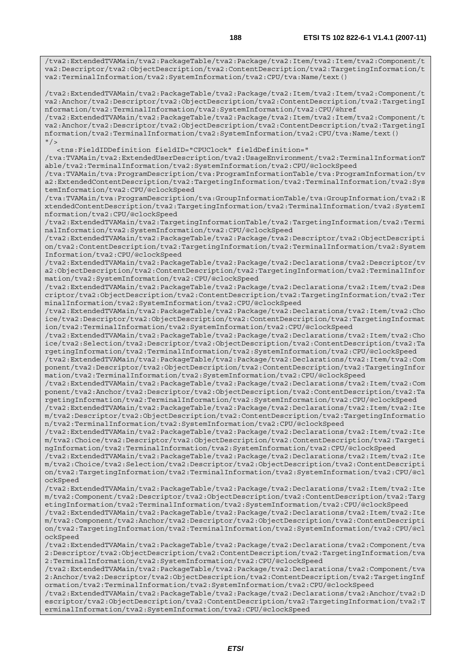/tva2:ExtendedTVAMain/tva2:PackageTable/tva2:Package/tva2:Item/tva2:Item/tva2:Component/t va2:Descriptor/tva2:ObjectDescription/tva2:ContentDescription/tva2:TargetingInformation/t va2:TerminalInformation/tva2:SystemInformation/tva2:CPU/tva:Name/text()

/tva2:ExtendedTVAMain/tva2:PackageTable/tva2:Package/tva2:Item/tva2:Item/tva2:Component/t va2:Anchor/tva2:Descriptor/tva2:ObjectDescription/tva2:ContentDescription/tva2:TargetingI nformation/tva2:TerminalInformation/tva2:SystemInformation/tva2:CPU/@href

/tva2:ExtendedTVAMain/tva2:PackageTable/tva2:Package/tva2:Item/tva2:Item/tva2:Component/t va2:Anchor/tva2:Descriptor/tva2:ObjectDescription/tva2:ContentDescription/tva2:TargetingI nformation/tva2:TerminalInformation/tva2:SystemInformation/tva2:CPU/tva:Name/text()  $"$ />

<tns:FieldIDDefinition fieldID="CPUClock" fieldDefinition="

/tva:TVAMain/tva2:ExtendedUserDescription/tva2:UsageEnvironment/tva2:TerminalInformationT able/tva2:TerminalInformation/tva2:SystemInformation/tva2:CPU/@clockSpeed

/tva:TVAMain/tva:ProgramDescription/tva:ProgramInformationTable/tva:ProgramInformation/tv a2:ExtendedContentDescription/tva2:TargetingInformation/tva2:TerminalInformation/tva2:Sys temInformation/tva2:CPU/@clockSpeed

/tva:TVAMain/tva:ProgramDescription/tva:GroupInformationTable/tva:GroupInformation/tva2:E xtendedContentDescription/tva2:TargetingInformation/tva2:TerminalInformation/tva2:SystemI nformation/tva2:CPU/@clockSpeed

/tva2:ExtendedTVAMain/tva2:TargetingInformationTable/tva2:TargetingInformation/tva2:Termi nalInformation/tva2:SystemInformation/tva2:CPU/@clockSpeed

/tva2:ExtendedTVAMain/tva2:PackageTable/tva2:Package/tva2:Descriptor/tva2:ObjectDescripti on/tva2:ContentDescription/tva2:TargetingInformation/tva2:TerminalInformation/tva2:System Information/tva2:CPU/@clockSpeed

/tva2:ExtendedTVAMain/tva2:PackageTable/tva2:Package/tva2:Declarations/tva2:Descriptor/tv a2:ObjectDescription/tva2:ContentDescription/tva2:TargetingInformation/tva2:TerminalInfor mation/tva2:SystemInformation/tva2:CPU/@clockSpeed

/tva2:ExtendedTVAMain/tva2:PackageTable/tva2:Package/tva2:Declarations/tva2:Item/tva2:Des criptor/tva2:ObjectDescription/tva2:ContentDescription/tva2:TargetingInformation/tva2:Ter minalInformation/tva2:SystemInformation/tva2:CPU/@clockSpeed

/tva2:ExtendedTVAMain/tva2:PackageTable/tva2:Package/tva2:Declarations/tva2:Item/tva2:Cho ice/tva2:Descriptor/tva2:ObjectDescription/tva2:ContentDescription/tva2:TargetingInformat ion/tva2:TerminalInformation/tva2:SystemInformation/tva2:CPU/@clockSpeed

/tva2:ExtendedTVAMain/tva2:PackageTable/tva2:Package/tva2:Declarations/tva2:Item/tva2:Cho ice/tva2:Selection/tva2:Descriptor/tva2:ObjectDescription/tva2:ContentDescription/tva2:Ta rgetingInformation/tva2:TerminalInformation/tva2:SystemInformation/tva2:CPU/@clockSpeed

/tva2:ExtendedTVAMain/tva2:PackageTable/tva2:Package/tva2:Declarations/tva2:Item/tva2:Com ponent/tva2:Descriptor/tva2:ObjectDescription/tva2:ContentDescription/tva2:TargetingInfor mation/tva2:TerminalInformation/tva2:SystemInformation/tva2:CPU/@clockSpeed

/tva2:ExtendedTVAMain/tva2:PackageTable/tva2:Package/tva2:Declarations/tva2:Item/tva2:Com ponent/tva2:Anchor/tva2:Descriptor/tva2:ObjectDescription/tva2:ContentDescription/tva2:Ta rgetingInformation/tva2:TerminalInformation/tva2:SystemInformation/tva2:CPU/@clockSpeed

/tva2:ExtendedTVAMain/tva2:PackageTable/tva2:Package/tva2:Declarations/tva2:Item/tva2:Ite m/tva2:Descriptor/tva2:ObjectDescription/tva2:ContentDescription/tva2:TargetingInformatio n/tva2:TerminalInformation/tva2:SystemInformation/tva2:CPU/@clockSpeed

/tva2:ExtendedTVAMain/tva2:PackageTable/tva2:Package/tva2:Declarations/tva2:Item/tva2:Ite m/tva2:Choice/tva2:Descriptor/tva2:ObjectDescription/tva2:ContentDescription/tva2:Targeti ngInformation/tva2:TerminalInformation/tva2:SystemInformation/tva2:CPU/@clockSpeed

/tva2:ExtendedTVAMain/tva2:PackageTable/tva2:Package/tva2:Declarations/tva2:Item/tva2:Ite m/tva2:Choice/tva2:Selection/tva2:Descriptor/tva2:ObjectDescription/tva2:ContentDescripti on/tva2:TargetingInformation/tva2:TerminalInformation/tva2:SystemInformation/tva2:CPU/@cl ockSpeed

/tva2:ExtendedTVAMain/tva2:PackageTable/tva2:Package/tva2:Declarations/tva2:Item/tva2:Ite m/tva2:Component/tva2:Descriptor/tva2:ObjectDescription/tva2:ContentDescription/tva2:Targ etingInformation/tva2:TerminalInformation/tva2:SystemInformation/tva2:CPU/@clockSpeed

/tva2:ExtendedTVAMain/tva2:PackageTable/tva2:Package/tva2:Declarations/tva2:Item/tva2:Ite m/tva2:Component/tva2:Anchor/tva2:Descriptor/tva2:ObjectDescription/tva2:ContentDescripti on/tva2:TargetingInformation/tva2:TerminalInformation/tva2:SystemInformation/tva2:CPU/@cl ockSpeed

/tva2:ExtendedTVAMain/tva2:PackageTable/tva2:Package/tva2:Declarations/tva2:Component/tva 2:Descriptor/tva2:ObjectDescription/tva2:ContentDescription/tva2:TargetingInformation/tva 2:TerminalInformation/tva2:SystemInformation/tva2:CPU/@clockSpeed

/tva2:ExtendedTVAMain/tva2:PackageTable/tva2:Package/tva2:Declarations/tva2:Component/tva 2:Anchor/tva2:Descriptor/tva2:ObjectDescription/tva2:ContentDescription/tva2:TargetingInf ormation/tva2:TerminalInformation/tva2:SystemInformation/tva2:CPU/@clockSpeed

/tva2:ExtendedTVAMain/tva2:PackageTable/tva2:Package/tva2:Declarations/tva2:Anchor/tva2:D escriptor/tva2:ObjectDescription/tva2:ContentDescription/tva2:TargetingInformation/tva2:T erminalInformation/tva2:SystemInformation/tva2:CPU/@clockSpeed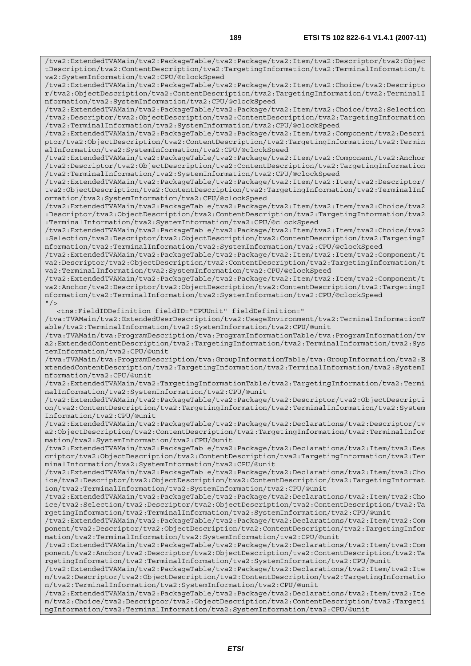/tva2:ExtendedTVAMain/tva2:PackageTable/tva2:Package/tva2:Item/tva2:Descriptor/tva2:Objec tDescription/tva2:ContentDescription/tva2:TargetingInformation/tva2:TerminalInformation/t va2:SystemInformation/tva2:CPU/@clockSpeed

/tva2:ExtendedTVAMain/tva2:PackageTable/tva2:Package/tva2:Item/tva2:Choice/tva2:Descripto r/tva2:ObjectDescription/tva2:ContentDescription/tva2:TargetingInformation/tva2:TerminalI nformation/tva2:SystemInformation/tva2:CPU/@clockSpeed

/tva2:ExtendedTVAMain/tva2:PackageTable/tva2:Package/tva2:Item/tva2:Choice/tva2:Selection /tva2:Descriptor/tva2:ObjectDescription/tva2:ContentDescription/tva2:TargetingInformation /tva2:TerminalInformation/tva2:SystemInformation/tva2:CPU/@clockSpeed

/tva2:ExtendedTVAMain/tva2:PackageTable/tva2:Package/tva2:Item/tva2:Component/tva2:Descri ptor/tva2:ObjectDescription/tva2:ContentDescription/tva2:TargetingInformation/tva2:Termin alInformation/tva2:SystemInformation/tva2:CPU/@clockSpeed

/tva2:ExtendedTVAMain/tva2:PackageTable/tva2:Package/tva2:Item/tva2:Component/tva2:Anchor /tva2:Descriptor/tva2:ObjectDescription/tva2:ContentDescription/tva2:TargetingInformation /tva2:TerminalInformation/tva2:SystemInformation/tva2:CPU/@clockSpeed

/tva2:ExtendedTVAMain/tva2:PackageTable/tva2:Package/tva2:Item/tva2:Item/tva2:Descriptor/ tva2:ObjectDescription/tva2:ContentDescription/tva2:TargetingInformation/tva2:TerminalInf ormation/tva2:SystemInformation/tva2:CPU/@clockSpeed

/tva2:ExtendedTVAMain/tva2:PackageTable/tva2:Package/tva2:Item/tva2:Item/tva2:Choice/tva2 :Descriptor/tva2:ObjectDescription/tva2:ContentDescription/tva2:TargetingInformation/tva2 :TerminalInformation/tva2:SystemInformation/tva2:CPU/@clockSpeed

/tva2:ExtendedTVAMain/tva2:PackageTable/tva2:Package/tva2:Item/tva2:Item/tva2:Choice/tva2 :Selection/tva2:Descriptor/tva2:ObjectDescription/tva2:ContentDescription/tva2:TargetingI nformation/tva2:TerminalInformation/tva2:SystemInformation/tva2:CPU/@clockSpeed

/tva2:ExtendedTVAMain/tva2:PackageTable/tva2:Package/tva2:Item/tva2:Item/tva2:Component/t va2:Descriptor/tva2:ObjectDescription/tva2:ContentDescription/tva2:TargetingInformation/t va2:TerminalInformation/tva2:SystemInformation/tva2:CPU/@clockSpeed

/tva2:ExtendedTVAMain/tva2:PackageTable/tva2:Package/tva2:Item/tva2:Item/tva2:Component/t va2:Anchor/tva2:Descriptor/tva2:ObjectDescription/tva2:ContentDescription/tva2:TargetingI nformation/tva2:TerminalInformation/tva2:SystemInformation/tva2:CPU/@clockSpeed  $''$  />

<tns:FieldIDDefinition fieldID="CPUUnit" fieldDefinition="

/tva:TVAMain/tva2:ExtendedUserDescription/tva2:UsageEnvironment/tva2:TerminalInformationT able/tva2:TerminalInformation/tva2:SystemInformation/tva2:CPU/@unit

/tva:TVAMain/tva:ProgramDescription/tva:ProgramInformationTable/tva:ProgramInformation/tv a2:ExtendedContentDescription/tva2:TargetingInformation/tva2:TerminalInformation/tva2:Sys temInformation/tva2:CPU/@unit

/tva:TVAMain/tva:ProgramDescription/tva:GroupInformationTable/tva:GroupInformation/tva2:E xtendedContentDescription/tva2:TargetingInformation/tva2:TerminalInformation/tva2:SystemI nformation/tva2:CPU/@unit

/tva2:ExtendedTVAMain/tva2:TargetingInformationTable/tva2:TargetingInformation/tva2:Termi nalInformation/tva2:SystemInformation/tva2:CPU/@unit

/tva2:ExtendedTVAMain/tva2:PackageTable/tva2:Package/tva2:Descriptor/tva2:ObjectDescripti on/tva2:ContentDescription/tva2:TargetingInformation/tva2:TerminalInformation/tva2:System Information/tva2:CPU/@unit

/tva2:ExtendedTVAMain/tva2:PackageTable/tva2:Package/tva2:Declarations/tva2:Descriptor/tv a2:ObjectDescription/tva2:ContentDescription/tva2:TargetingInformation/tva2:TerminalInfor mation/tva2:SystemInformation/tva2:CPU/@unit

/tva2:ExtendedTVAMain/tva2:PackageTable/tva2:Package/tva2:Declarations/tva2:Item/tva2:Des criptor/tva2:ObjectDescription/tva2:ContentDescription/tva2:TargetingInformation/tva2:Ter minalInformation/tva2:SystemInformation/tva2:CPU/@unit

/tva2:ExtendedTVAMain/tva2:PackageTable/tva2:Package/tva2:Declarations/tva2:Item/tva2:Cho ice/tva2:Descriptor/tva2:ObjectDescription/tva2:ContentDescription/tva2:TargetingInformat ion/tva2:TerminalInformation/tva2:SystemInformation/tva2:CPU/@unit

/tva2:ExtendedTVAMain/tva2:PackageTable/tva2:Package/tva2:Declarations/tva2:Item/tva2:Cho ice/tva2:Selection/tva2:Descriptor/tva2:ObjectDescription/tva2:ContentDescription/tva2:Ta rgetingInformation/tva2:TerminalInformation/tva2:SystemInformation/tva2:CPU/@unit

/tva2:ExtendedTVAMain/tva2:PackageTable/tva2:Package/tva2:Declarations/tva2:Item/tva2:Com ponent/tva2:Descriptor/tva2:ObjectDescription/tva2:ContentDescription/tva2:TargetingInfor mation/tva2:TerminalInformation/tva2:SystemInformation/tva2:CPU/@unit

/tva2:ExtendedTVAMain/tva2:PackageTable/tva2:Package/tva2:Declarations/tva2:Item/tva2:Com ponent/tva2:Anchor/tva2:Descriptor/tva2:ObjectDescription/tva2:ContentDescription/tva2:Ta rgetingInformation/tva2:TerminalInformation/tva2:SystemInformation/tva2:CPU/@unit

/tva2:ExtendedTVAMain/tva2:PackageTable/tva2:Package/tva2:Declarations/tva2:Item/tva2:Ite m/tva2:Descriptor/tva2:ObjectDescription/tva2:ContentDescription/tva2:TargetingInformatio n/tva2:TerminalInformation/tva2:SystemInformation/tva2:CPU/@unit

/tva2:ExtendedTVAMain/tva2:PackageTable/tva2:Package/tva2:Declarations/tva2:Item/tva2:Ite m/tva2:Choice/tva2:Descriptor/tva2:ObjectDescription/tva2:ContentDescription/tva2:Targeti ngInformation/tva2:TerminalInformation/tva2:SystemInformation/tva2:CPU/@unit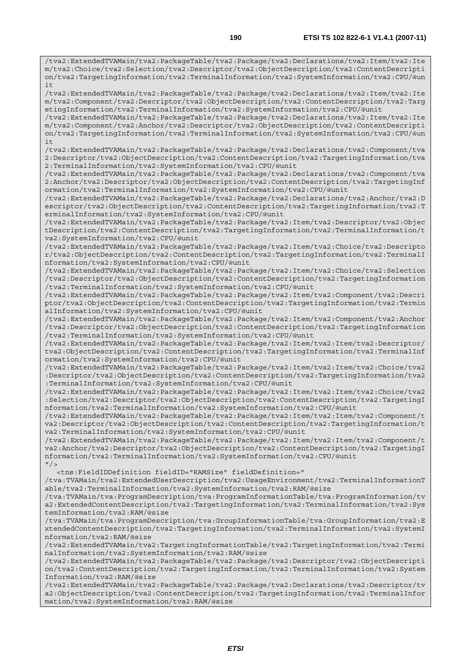/tva2:ExtendedTVAMain/tva2:PackageTable/tva2:Package/tva2:Declarations/tva2:Item/tva2:Ite m/tva2:Choice/tva2:Selection/tva2:Descriptor/tva2:ObjectDescription/tva2:ContentDescripti on/tva2:TargetingInformation/tva2:TerminalInformation/tva2:SystemInformation/tva2:CPU/@un  $i +$ 

/tva2:ExtendedTVAMain/tva2:PackageTable/tva2:Package/tva2:Declarations/tva2:Item/tva2:Ite m/tva2:Component/tva2:Descriptor/tva2:ObjectDescription/tva2:ContentDescription/tva2:Targ etingInformation/tva2:TerminalInformation/tva2:SystemInformation/tva2:CPU/@unit

/tva2:ExtendedTVAMain/tva2:PackageTable/tva2:Package/tva2:Declarations/tva2:Item/tva2:Ite m/tva2:Component/tva2:Anchor/tva2:Descriptor/tva2:ObjectDescription/tva2:ContentDescripti on/tva2:TargetingInformation/tva2:TerminalInformation/tva2:SystemInformation/tva2:CPU/@un it

/tva2:ExtendedTVAMain/tva2:PackageTable/tva2:Package/tva2:Declarations/tva2:Component/tva 2:Descriptor/tva2:ObjectDescription/tva2:ContentDescription/tva2:TargetingInformation/tva 2:TerminalInformation/tva2:SystemInformation/tva2:CPU/@unit

/tva2:ExtendedTVAMain/tva2:PackageTable/tva2:Package/tva2:Declarations/tva2:Component/tva 2:Anchor/tva2:Descriptor/tva2:ObjectDescription/tva2:ContentDescription/tva2:TargetingInf ormation/tva2:TerminalInformation/tva2:SystemInformation/tva2:CPU/@unit

/tva2:ExtendedTVAMain/tva2:PackageTable/tva2:Package/tva2:Declarations/tva2:Anchor/tva2:D escriptor/tva2:ObjectDescription/tva2:ContentDescription/tva2:TargetingInformation/tva2:T erminalInformation/tva2:SystemInformation/tva2:CPU/@unit

/tva2:ExtendedTVAMain/tva2:PackageTable/tva2:Package/tva2:Item/tva2:Descriptor/tva2:Objec tDescription/tva2:ContentDescription/tva2:TargetingInformation/tva2:TerminalInformation/t va2:SystemInformation/tva2:CPU/@unit

/tva2:ExtendedTVAMain/tva2:PackageTable/tva2:Package/tva2:Item/tva2:Choice/tva2:Descripto r/tva2:ObjectDescription/tva2:ContentDescription/tva2:TargetingInformation/tva2:TerminalI nformation/tva2:SystemInformation/tva2:CPU/@unit

/tva2:ExtendedTVAMain/tva2:PackageTable/tva2:Package/tva2:Item/tva2:Choice/tva2:Selection /tva2:Descriptor/tva2:ObjectDescription/tva2:ContentDescription/tva2:TargetingInformation /tva2:TerminalInformation/tva2:SystemInformation/tva2:CPU/@unit

/tva2:ExtendedTVAMain/tva2:PackageTable/tva2:Package/tva2:Item/tva2:Component/tva2:Descri ptor/tva2:ObjectDescription/tva2:ContentDescription/tva2:TargetingInformation/tva2:Termin alInformation/tva2:SystemInformation/tva2:CPU/@unit

/tva2:ExtendedTVAMain/tva2:PackageTable/tva2:Package/tva2:Item/tva2:Component/tva2:Anchor /tva2:Descriptor/tva2:ObjectDescription/tva2:ContentDescription/tva2:TargetingInformation /tva2:TerminalInformation/tva2:SystemInformation/tva2:CPU/@unit

/tva2:ExtendedTVAMain/tva2:PackageTable/tva2:Package/tva2:Item/tva2:Item/tva2:Descriptor/ tva2:ObjectDescription/tva2:ContentDescription/tva2:TargetingInformation/tva2:TerminalInf ormation/tva2:SystemInformation/tva2:CPU/@unit

/tva2:ExtendedTVAMain/tva2:PackageTable/tva2:Package/tva2:Item/tva2:Item/tva2:Choice/tva2 :Descriptor/tva2:ObjectDescription/tva2:ContentDescription/tva2:TargetingInformation/tva2 :TerminalInformation/tva2:SystemInformation/tva2:CPU/@unit

/tva2:ExtendedTVAMain/tva2:PackageTable/tva2:Package/tva2:Item/tva2:Item/tva2:Choice/tva2 :Selection/tva2:Descriptor/tva2:ObjectDescription/tva2:ContentDescription/tva2:TargetingI nformation/tva2:TerminalInformation/tva2:SystemInformation/tva2:CPU/@unit

/tva2:ExtendedTVAMain/tva2:PackageTable/tva2:Package/tva2:Item/tva2:Item/tva2:Component/t va2:Descriptor/tva2:ObjectDescription/tva2:ContentDescription/tva2:TargetingInformation/t va2:TerminalInformation/tva2:SystemInformation/tva2:CPU/@unit

/tva2:ExtendedTVAMain/tva2:PackageTable/tva2:Package/tva2:Item/tva2:Item/tva2:Component/t va2:Anchor/tva2:Descriptor/tva2:ObjectDescription/tva2:ContentDescription/tva2:TargetingI nformation/tva2:TerminalInformation/tva2:SystemInformation/tva2:CPU/@unit  $"$  / >

<tns:FieldIDDefinition fieldID="RAMSize" fieldDefinition="

/tva:TVAMain/tva2:ExtendedUserDescription/tva2:UsageEnvironment/tva2:TerminalInformationT able/tva2:TerminalInformation/tva2:SystemInformation/tva2:RAM/@size

/tva:TVAMain/tva:ProgramDescription/tva:ProgramInformationTable/tva:ProgramInformation/tv a2:ExtendedContentDescription/tva2:TargetingInformation/tva2:TerminalInformation/tva2:Sys temInformation/tva2:RAM/@size

/tva:TVAMain/tva:ProgramDescription/tva:GroupInformationTable/tva:GroupInformation/tva2:E xtendedContentDescription/tva2:TargetingInformation/tva2:TerminalInformation/tva2:SystemI nformation/tva2:RAM/@size

/tva2:ExtendedTVAMain/tva2:TargetingInformationTable/tva2:TargetingInformation/tva2:Termi nalInformation/tva2:SystemInformation/tva2:RAM/@size

/tva2:ExtendedTVAMain/tva2:PackageTable/tva2:Package/tva2:Descriptor/tva2:ObjectDescripti on/tva2:ContentDescription/tva2:TargetingInformation/tva2:TerminalInformation/tva2:System Information/tva2:RAM/@size

/tva2:ExtendedTVAMain/tva2:PackageTable/tva2:Package/tva2:Declarations/tva2:Descriptor/tv a2:ObjectDescription/tva2:ContentDescription/tva2:TargetingInformation/tva2:TerminalInfor mation/tva2:SystemInformation/tva2:RAM/@size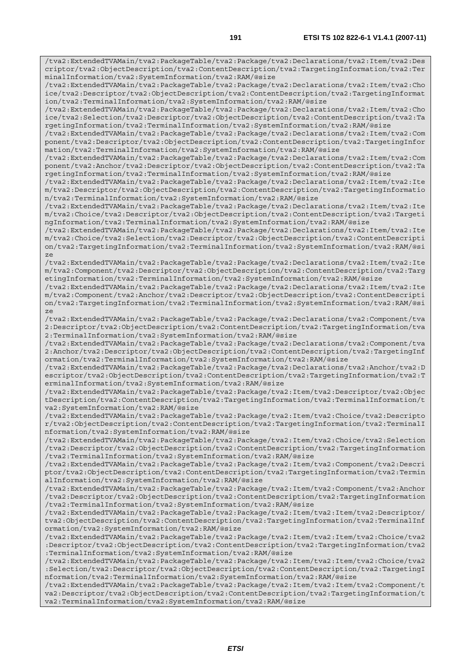/tva2:ExtendedTVAMain/tva2:PackageTable/tva2:Package/tva2:Declarations/tva2:Item/tva2:Des criptor/tva2:ObjectDescription/tva2:ContentDescription/tva2:TargetingInformation/tva2:Ter minalInformation/tva2:SystemInformation/tva2:RAM/@size /tva2:ExtendedTVAMain/tva2:PackageTable/tva2:Package/tva2:Declarations/tva2:Item/tva2:Cho ice/tva2:Descriptor/tva2:ObjectDescription/tva2:ContentDescription/tva2:TargetingInformat ion/tva2:TerminalInformation/tva2:SystemInformation/tva2:RAM/@size /tva2:ExtendedTVAMain/tva2:PackageTable/tva2:Package/tva2:Declarations/tva2:Item/tva2:Cho ice/tva2:Selection/tva2:Descriptor/tva2:ObjectDescription/tva2:ContentDescription/tva2:Ta rgetingInformation/tva2:TerminalInformation/tva2:SystemInformation/tva2:RAM/@size /tva2:ExtendedTVAMain/tva2:PackageTable/tva2:Package/tva2:Declarations/tva2:Item/tva2:Com ponent/tva2:Descriptor/tva2:ObjectDescription/tva2:ContentDescription/tva2:TargetingInfor mation/tva2:TerminalInformation/tva2:SystemInformation/tva2:RAM/@size /tva2:ExtendedTVAMain/tva2:PackageTable/tva2:Package/tva2:Declarations/tva2:Item/tva2:Com ponent/tva2:Anchor/tva2:Descriptor/tva2:ObjectDescription/tva2:ContentDescription/tva2:Ta rgetingInformation/tva2:TerminalInformation/tva2:SystemInformation/tva2:RAM/@size /tva2:ExtendedTVAMain/tva2:PackageTable/tva2:Package/tva2:Declarations/tva2:Item/tva2:Ite m/tva2:Descriptor/tva2:ObjectDescription/tva2:ContentDescription/tva2:TargetingInformatio n/tva2:TerminalInformation/tva2:SystemInformation/tva2:RAM/@size /tva2:ExtendedTVAMain/tva2:PackageTable/tva2:Package/tva2:Declarations/tva2:Item/tva2:Ite m/tva2:Choice/tva2:Descriptor/tva2:ObjectDescription/tva2:ContentDescription/tva2:Targeti ngInformation/tva2:TerminalInformation/tva2:SystemInformation/tva2:RAM/@size /tva2:ExtendedTVAMain/tva2:PackageTable/tva2:Package/tva2:Declarations/tva2:Item/tva2:Ite m/tva2:Choice/tva2:Selection/tva2:Descriptor/tva2:ObjectDescription/tva2:ContentDescripti on/tva2:TargetingInformation/tva2:TerminalInformation/tva2:SystemInformation/tva2:RAM/@si ze /tva2:ExtendedTVAMain/tva2:PackageTable/tva2:Package/tva2:Declarations/tva2:Item/tva2:Ite m/tva2:Component/tva2:Descriptor/tva2:ObjectDescription/tva2:ContentDescription/tva2:Targ etingInformation/tva2:TerminalInformation/tva2:SystemInformation/tva2:RAM/@size /tva2:ExtendedTVAMain/tva2:PackageTable/tva2:Package/tva2:Declarations/tva2:Item/tva2:Ite m/tva2:Component/tva2:Anchor/tva2:Descriptor/tva2:ObjectDescription/tva2:ContentDescripti on/tva2:TargetingInformation/tva2:TerminalInformation/tva2:SystemInformation/tva2:RAM/@si ze /tva2:ExtendedTVAMain/tva2:PackageTable/tva2:Package/tva2:Declarations/tva2:Component/tva 2:Descriptor/tva2:ObjectDescription/tva2:ContentDescription/tva2:TargetingInformation/tva 2:TerminalInformation/tva2:SystemInformation/tva2:RAM/@size /tva2:ExtendedTVAMain/tva2:PackageTable/tva2:Package/tva2:Declarations/tva2:Component/tva 2:Anchor/tva2:Descriptor/tva2:ObjectDescription/tva2:ContentDescription/tva2:TargetingInf ormation/tva2:TerminalInformation/tva2:SystemInformation/tva2:RAM/@size /tva2:ExtendedTVAMain/tva2:PackageTable/tva2:Package/tva2:Declarations/tva2:Anchor/tva2:D escriptor/tva2:ObjectDescription/tva2:ContentDescription/tva2:TargetingInformation/tva2:T erminalInformation/tva2:SystemInformation/tva2:RAM/@size /tva2:ExtendedTVAMain/tva2:PackageTable/tva2:Package/tva2:Item/tva2:Descriptor/tva2:Objec tDescription/tva2:ContentDescription/tva2:TargetingInformation/tva2:TerminalInformation/t va2:SystemInformation/tva2:RAM/@size /tva2:ExtendedTVAMain/tva2:PackageTable/tva2:Package/tva2:Item/tva2:Choice/tva2:Descripto r/tva2:ObjectDescription/tva2:ContentDescription/tva2:TargetingInformation/tva2:TerminalI nformation/tva2:SystemInformation/tva2:RAM/@size /tva2:ExtendedTVAMain/tva2:PackageTable/tva2:Package/tva2:Item/tva2:Choice/tva2:Selection /tva2:Descriptor/tva2:ObjectDescription/tva2:ContentDescription/tva2:TargetingInformation /tva2:TerminalInformation/tva2:SystemInformation/tva2:RAM/@size /tva2:ExtendedTVAMain/tva2:PackageTable/tva2:Package/tva2:Item/tva2:Component/tva2:Descri ptor/tva2:ObjectDescription/tva2:ContentDescription/tva2:TargetingInformation/tva2:Termin alInformation/tva2:SystemInformation/tva2:RAM/@size /tva2:ExtendedTVAMain/tva2:PackageTable/tva2:Package/tva2:Item/tva2:Component/tva2:Anchor /tva2:Descriptor/tva2:ObjectDescription/tva2:ContentDescription/tva2:TargetingInformation /tva2:TerminalInformation/tva2:SystemInformation/tva2:RAM/@size /tva2:ExtendedTVAMain/tva2:PackageTable/tva2:Package/tva2:Item/tva2:Item/tva2:Descriptor/ tva2:ObjectDescription/tva2:ContentDescription/tva2:TargetingInformation/tva2:TerminalInf ormation/tva2:SystemInformation/tva2:RAM/@size /tva2:ExtendedTVAMain/tva2:PackageTable/tva2:Package/tva2:Item/tva2:Item/tva2:Choice/tva2 :Descriptor/tva2:ObjectDescription/tva2:ContentDescription/tva2:TargetingInformation/tva2 :TerminalInformation/tva2:SystemInformation/tva2:RAM/@size /tva2:ExtendedTVAMain/tva2:PackageTable/tva2:Package/tva2:Item/tva2:Item/tva2:Choice/tva2 :Selection/tva2:Descriptor/tva2:ObjectDescription/tva2:ContentDescription/tva2:TargetingI nformation/tva2:TerminalInformation/tva2:SystemInformation/tva2:RAM/@size /tva2:ExtendedTVAMain/tva2:PackageTable/tva2:Package/tva2:Item/tva2:Item/tva2:Component/t va2:Descriptor/tva2:ObjectDescription/tva2:ContentDescription/tva2:TargetingInformation/t va2:TerminalInformation/tva2:SystemInformation/tva2:RAM/@size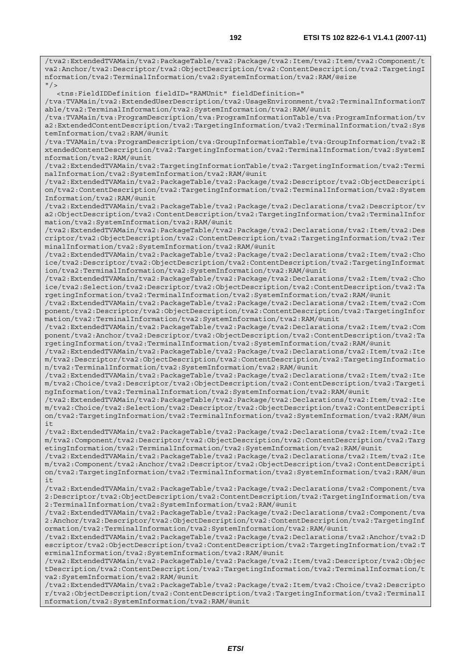/tva2:ExtendedTVAMain/tva2:PackageTable/tva2:Package/tva2:Item/tva2:Item/tva2:Component/t va2:Anchor/tva2:Descriptor/tva2:ObjectDescription/tva2:ContentDescription/tva2:TargetingI nformation/tva2:TerminalInformation/tva2:SystemInformation/tva2:RAM/@size  $^{\prime\prime}$  / > <tns:FieldIDDefinition fieldID="RAMUnit" fieldDefinition=" /tva:TVAMain/tva2:ExtendedUserDescription/tva2:UsageEnvironment/tva2:TerminalInformationT able/tva2:TerminalInformation/tva2:SystemInformation/tva2:RAM/@unit /tva:TVAMain/tva:ProgramDescription/tva:ProgramInformationTable/tva:ProgramInformation/tv a2:ExtendedContentDescription/tva2:TargetingInformation/tva2:TerminalInformation/tva2:Sys temInformation/tva2:RAM/@unit /tva:TVAMain/tva:ProgramDescription/tva:GroupInformationTable/tva:GroupInformation/tva2:E xtendedContentDescription/tva2:TargetingInformation/tva2:TerminalInformation/tva2:SystemI nformation/tva2:RAM/@unit /tva2:ExtendedTVAMain/tva2:TargetingInformationTable/tva2:TargetingInformation/tva2:Termi nalInformation/tva2:SystemInformation/tva2:RAM/@unit /tva2:ExtendedTVAMain/tva2:PackageTable/tva2:Package/tva2:Descriptor/tva2:ObjectDescripti on/tva2:ContentDescription/tva2:TargetingInformation/tva2:TerminalInformation/tva2:System Information/tva2:RAM/@unit /tva2:ExtendedTVAMain/tva2:PackageTable/tva2:Package/tva2:Declarations/tva2:Descriptor/tv a2:ObjectDescription/tva2:ContentDescription/tva2:TargetingInformation/tva2:TerminalInfor mation/tva2:SystemInformation/tva2:RAM/@unit /tva2:ExtendedTVAMain/tva2:PackageTable/tva2:Package/tva2:Declarations/tva2:Item/tva2:Des criptor/tva2:ObjectDescription/tva2:ContentDescription/tva2:TargetingInformation/tva2:Ter minalInformation/tva2:SystemInformation/tva2:RAM/@unit /tva2:ExtendedTVAMain/tva2:PackageTable/tva2:Package/tva2:Declarations/tva2:Item/tva2:Cho ice/tva2:Descriptor/tva2:ObjectDescription/tva2:ContentDescription/tva2:TargetingInformat ion/tva2:TerminalInformation/tva2:SystemInformation/tva2:RAM/@unit /tva2:ExtendedTVAMain/tva2:PackageTable/tva2:Package/tva2:Declarations/tva2:Item/tva2:Cho ice/tva2:Selection/tva2:Descriptor/tva2:ObjectDescription/tva2:ContentDescription/tva2:Ta rgetingInformation/tva2:TerminalInformation/tva2:SystemInformation/tva2:RAM/@unit /tva2:ExtendedTVAMain/tva2:PackageTable/tva2:Package/tva2:Declarations/tva2:Item/tva2:Com ponent/tva2:Descriptor/tva2:ObjectDescription/tva2:ContentDescription/tva2:TargetingInfor mation/tva2:TerminalInformation/tva2:SystemInformation/tva2:RAM/@unit /tva2:ExtendedTVAMain/tva2:PackageTable/tva2:Package/tva2:Declarations/tva2:Item/tva2:Com ponent/tva2:Anchor/tva2:Descriptor/tva2:ObjectDescription/tva2:ContentDescription/tva2:Ta rgetingInformation/tva2:TerminalInformation/tva2:SystemInformation/tva2:RAM/@unit /tva2:ExtendedTVAMain/tva2:PackageTable/tva2:Package/tva2:Declarations/tva2:Item/tva2:Ite m/tva2:Descriptor/tva2:ObjectDescription/tva2:ContentDescription/tva2:TargetingInformatio n/tva2:TerminalInformation/tva2:SystemInformation/tva2:RAM/@unit /tva2:ExtendedTVAMain/tva2:PackageTable/tva2:Package/tva2:Declarations/tva2:Item/tva2:Ite m/tva2:Choice/tva2:Descriptor/tva2:ObjectDescription/tva2:ContentDescription/tva2:Targeti ngInformation/tva2:TerminalInformation/tva2:SystemInformation/tva2:RAM/@unit /tva2:ExtendedTVAMain/tva2:PackageTable/tva2:Package/tva2:Declarations/tva2:Item/tva2:Ite m/tva2:Choice/tva2:Selection/tva2:Descriptor/tva2:ObjectDescription/tva2:ContentDescripti on/tva2:TargetingInformation/tva2:TerminalInformation/tva2:SystemInformation/tva2:RAM/@un it /tva2:ExtendedTVAMain/tva2:PackageTable/tva2:Package/tva2:Declarations/tva2:Item/tva2:Ite m/tva2:Component/tva2:Descriptor/tva2:ObjectDescription/tva2:ContentDescription/tva2:Targ etingInformation/tva2:TerminalInformation/tva2:SystemInformation/tva2:RAM/@unit /tva2:ExtendedTVAMain/tva2:PackageTable/tva2:Package/tva2:Declarations/tva2:Item/tva2:Ite m/tva2:Component/tva2:Anchor/tva2:Descriptor/tva2:ObjectDescription/tva2:ContentDescripti on/tva2:TargetingInformation/tva2:TerminalInformation/tva2:SystemInformation/tva2:RAM/@un it /tva2:ExtendedTVAMain/tva2:PackageTable/tva2:Package/tva2:Declarations/tva2:Component/tva 2:Descriptor/tva2:ObjectDescription/tva2:ContentDescription/tva2:TargetingInformation/tva 2:TerminalInformation/tva2:SystemInformation/tva2:RAM/@unit /tva2:ExtendedTVAMain/tva2:PackageTable/tva2:Package/tva2:Declarations/tva2:Component/tva 2:Anchor/tva2:Descriptor/tva2:ObjectDescription/tva2:ContentDescription/tva2:TargetingInf ormation/tva2:TerminalInformation/tva2:SystemInformation/tva2:RAM/@unit /tva2:ExtendedTVAMain/tva2:PackageTable/tva2:Package/tva2:Declarations/tva2:Anchor/tva2:D escriptor/tva2:ObjectDescription/tva2:ContentDescription/tva2:TargetingInformation/tva2:T erminalInformation/tva2:SystemInformation/tva2:RAM/@unit /tva2:ExtendedTVAMain/tva2:PackageTable/tva2:Package/tva2:Item/tva2:Descriptor/tva2:Objec tDescription/tva2:ContentDescription/tva2:TargetingInformation/tva2:TerminalInformation/t va2:SystemInformation/tva2:RAM/@unit /tva2:ExtendedTVAMain/tva2:PackageTable/tva2:Package/tva2:Item/tva2:Choice/tva2:Descripto r/tva2:ObjectDescription/tva2:ContentDescription/tva2:TargetingInformation/tva2:TerminalI nformation/tva2:SystemInformation/tva2:RAM/@unit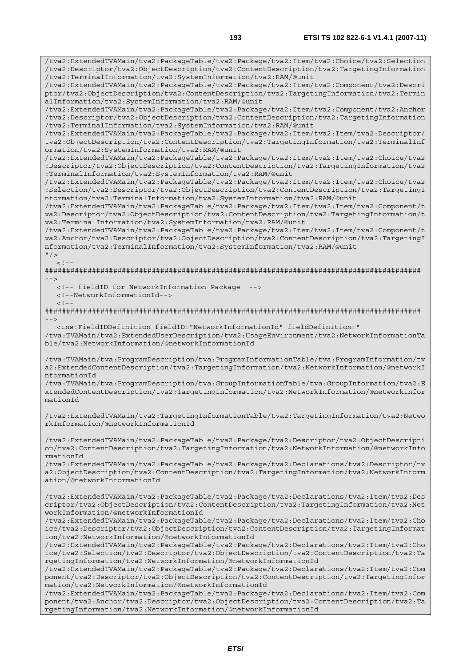/tva2:ExtendedTVAMain/tva2:PackageTable/tva2:Package/tva2:Item/tva2:Choice/tva2:Selection /tva2:Descriptor/tva2:ObjectDescription/tva2:ContentDescription/tva2:TargetingInformation

/tva2:ExtendedTVAMain/tva2:PackageTable/tva2:Package/tva2:Item/tva2:Component/tva2:Descri ptor/tva2:ObjectDescription/tva2:ContentDescription/tva2:TargetingInformation/tva2:Termin

/tva2:TerminalInformation/tva2:SystemInformation/tva2:RAM/@unit

alInformation/tva2:SystemInformation/tva2:RAM/@unit /tva2:ExtendedTVAMain/tva2:PackageTable/tva2:Package/tva2:Item/tva2:Component/tva2:Anchor /tva2:Descriptor/tva2:ObjectDescription/tva2:ContentDescription/tva2:TargetingInformation /tva2:TerminalInformation/tva2:SystemInformation/tva2:RAM/@unit /tva2:ExtendedTVAMain/tva2:PackageTable/tva2:Package/tva2:Item/tva2:Item/tva2:Descriptor/ tva2:ObjectDescription/tva2:ContentDescription/tva2:TargetingInformation/tva2:TerminalInf ormation/tva2:SystemInformation/tva2:RAM/@unit /tva2:ExtendedTVAMain/tva2:PackageTable/tva2:Package/tva2:Item/tva2:Item/tva2:Choice/tva2 :Descriptor/tva2:ObjectDescription/tva2:ContentDescription/tva2:TargetingInformation/tva2 :TerminalInformation/tva2:SystemInformation/tva2:RAM/@unit /tva2:ExtendedTVAMain/tva2:PackageTable/tva2:Package/tva2:Item/tva2:Item/tva2:Choice/tva2 :Selection/tva2:Descriptor/tva2:ObjectDescription/tva2:ContentDescription/tva2:TargetingI nformation/tva2:TerminalInformation/tva2:SystemInformation/tva2:RAM/@unit /tva2:ExtendedTVAMain/tva2:PackageTable/tva2:Package/tva2:Item/tva2:Item/tva2:Component/t va2:Descriptor/tva2:ObjectDescription/tva2:ContentDescription/tva2:TargetingInformation/t va2:TerminalInformation/tva2:SystemInformation/tva2:RAM/@unit /tva2:ExtendedTVAMain/tva2:PackageTable/tva2:Package/tva2:Item/tva2:Item/tva2:Component/t va2:Anchor/tva2:Descriptor/tva2:ObjectDescription/tva2:ContentDescription/tva2:TargetingI nformation/tva2:TerminalInformation/tva2:SystemInformation/tva2:RAM/@unit  $"$  />  $\lt$  ! -######################################################################################## --> <!-- fieldID for NetworkInformation Package --> <!--NetworkInformationId-->  $<$ ! --######################################################################################## --> <tns:FieldIDDefinition fieldID="NetworkInformationId" fieldDefinition=" /tva:TVAMain/tva2:ExtendedUserDescription/tva2:UsageEnvironment/tva2:NetworkInformationTa ble/tva2:NetworkInformation/@networkInformationId /tva:TVAMain/tva:ProgramDescription/tva:ProgramInformationTable/tva:ProgramInformation/tv a2:ExtendedContentDescription/tva2:TargetingInformation/tva2:NetworkInformation/@networkI nformationId /tva:TVAMain/tva:ProgramDescription/tva:GroupInformationTable/tva:GroupInformation/tva2:E xtendedContentDescription/tva2:TargetingInformation/tva2:NetworkInformation/@networkInfor mationId /tva2:ExtendedTVAMain/tva2:TargetingInformationTable/tva2:TargetingInformation/tva2:Netwo rkInformation/@networkInformationId /tva2:ExtendedTVAMain/tva2:PackageTable/tva2:Package/tva2:Descriptor/tva2:ObjectDescripti on/tva2:ContentDescription/tva2:TargetingInformation/tva2:NetworkInformation/@networkInfo rmationId /tva2:ExtendedTVAMain/tva2:PackageTable/tva2:Package/tva2:Declarations/tva2:Descriptor/tv a2:ObjectDescription/tva2:ContentDescription/tva2:TargetingInformation/tva2:NetworkInform ation/@networkInformationId /tva2:ExtendedTVAMain/tva2:PackageTable/tva2:Package/tva2:Declarations/tva2:Item/tva2:Des criptor/tva2:ObjectDescription/tva2:ContentDescription/tva2:TargetingInformation/tva2:Net workInformation/@networkInformationId /tva2:ExtendedTVAMain/tva2:PackageTable/tva2:Package/tva2:Declarations/tva2:Item/tva2:Cho ice/tva2:Descriptor/tva2:ObjectDescription/tva2:ContentDescription/tva2:TargetingInformat ion/tva2:NetworkInformation/@networkInformationId /tva2:ExtendedTVAMain/tva2:PackageTable/tva2:Package/tva2:Declarations/tva2:Item/tva2:Cho ice/tva2:Selection/tva2:Descriptor/tva2:ObjectDescription/tva2:ContentDescription/tva2:Ta rgetingInformation/tva2:NetworkInformation/@networkInformationId /tva2:ExtendedTVAMain/tva2:PackageTable/tva2:Package/tva2:Declarations/tva2:Item/tva2:Com ponent/tva2:Descriptor/tva2:ObjectDescription/tva2:ContentDescription/tva2:TargetingInfor

mation/tva2:NetworkInformation/@networkInformationId /tva2:ExtendedTVAMain/tva2:PackageTable/tva2:Package/tva2:Declarations/tva2:Item/tva2:Com ponent/tva2:Anchor/tva2:Descriptor/tva2:ObjectDescription/tva2:ContentDescription/tva2:Ta rgetingInformation/tva2:NetworkInformation/@networkInformationId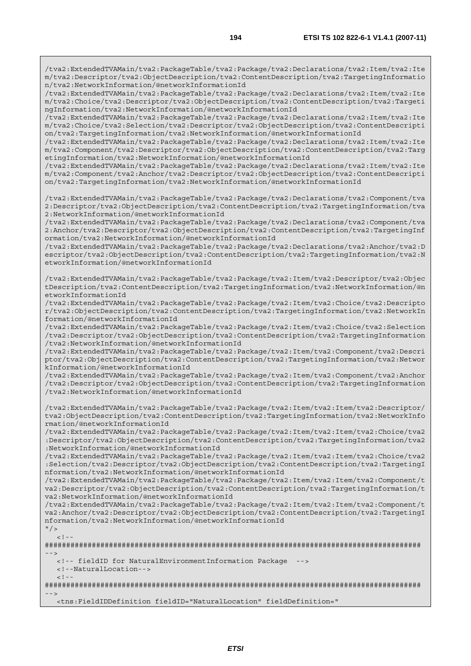/tva2:ExtendedTVAMain/tva2:PackageTable/tva2:Package/tva2:Declarations/tva2:Item/tva2:Ite m/tva2:Descriptor/tva2:ObjectDescription/tva2:ContentDescription/tva2:TargetingInformatio n/tva2:NetworkInformation/@networkInformationId

/tva2:ExtendedTVAMain/tva2:PackageTable/tva2:Package/tva2:Declarations/tva2:Item/tva2:Ite m/tva2:Choice/tva2:Descriptor/tva2:ObjectDescription/tva2:ContentDescription/tva2:Targeti ngInformation/tva2:NetworkInformation/@networkInformationId

/tva2:ExtendedTVAMain/tva2:PackageTable/tva2:Package/tva2:Declarations/tva2:Item/tva2:Ite m/tva2:Choice/tva2:Selection/tva2:Descriptor/tva2:ObjectDescription/tva2:ContentDescripti on/tva2:TargetingInformation/tva2:NetworkInformation/@networkInformationId

/tva2:ExtendedTVAMain/tva2:PackageTable/tva2:Package/tva2:Declarations/tva2:Item/tva2:Ite m/tva2:Component/tva2:Descriptor/tva2:ObjectDescription/tva2:ContentDescription/tva2:Targ etingInformation/tva2:NetworkInformation/@networkInformationId

/tva2:ExtendedTVAMain/tva2:PackageTable/tva2:Package/tva2:Declarations/tva2:Item/tva2:Ite m/tva2:Component/tva2:Anchor/tva2:Descriptor/tva2:ObjectDescription/tva2:ContentDescripti on/tva2:TargetingInformation/tva2:NetworkInformation/@networkInformationId

/tva2:ExtendedTVAMain/tva2:PackageTable/tva2:Package/tva2:Declarations/tva2:Component/tva 2:Descriptor/tva2:ObjectDescription/tva2:ContentDescription/tva2:TargetingInformation/tva 2:NetworkInformation/@networkInformationId

/tva2:ExtendedTVAMain/tva2:PackageTable/tva2:Package/tva2:Declarations/tva2:Component/tva 2:Anchor/tva2:Descriptor/tva2:ObjectDescription/tva2:ContentDescription/tva2:TargetingInf ormation/tva2:NetworkInformation/@networkInformationId

/tva2:ExtendedTVAMain/tva2:PackageTable/tva2:Package/tva2:Declarations/tva2:Anchor/tva2:D escriptor/tva2:ObjectDescription/tva2:ContentDescription/tva2:TargetingInformation/tva2:N etworkInformation/@networkInformationId

/tva2:ExtendedTVAMain/tva2:PackageTable/tva2:Package/tva2:Item/tva2:Descriptor/tva2:Objec tDescription/tva2:ContentDescription/tva2:TargetingInformation/tva2:NetworkInformation/@n etworkInformationId

/tva2:ExtendedTVAMain/tva2:PackageTable/tva2:Package/tva2:Item/tva2:Choice/tva2:Descripto r/tva2:ObjectDescription/tva2:ContentDescription/tva2:TargetingInformation/tva2:NetworkIn formation/@networkInformationId

/tva2:ExtendedTVAMain/tva2:PackageTable/tva2:Package/tva2:Item/tva2:Choice/tva2:Selection /tva2:Descriptor/tva2:ObjectDescription/tva2:ContentDescription/tva2:TargetingInformation /tva2:NetworkInformation/@networkInformationId

/tva2:ExtendedTVAMain/tva2:PackageTable/tva2:Package/tva2:Item/tva2:Component/tva2:Descri ptor/tva2:ObjectDescription/tva2:ContentDescription/tva2:TargetingInformation/tva2:Networ kInformation/@networkInformationId

/tva2:ExtendedTVAMain/tva2:PackageTable/tva2:Package/tva2:Item/tva2:Component/tva2:Anchor /tva2:Descriptor/tva2:ObjectDescription/tva2:ContentDescription/tva2:TargetingInformation /tva2:NetworkInformation/@networkInformationId

/tva2:ExtendedTVAMain/tva2:PackageTable/tva2:Package/tva2:Item/tva2:Item/tva2:Descriptor/ tva2:ObjectDescription/tva2:ContentDescription/tva2:TargetingInformation/tva2:NetworkInfo rmation/@networkInformationId

/tva2:ExtendedTVAMain/tva2:PackageTable/tva2:Package/tva2:Item/tva2:Item/tva2:Choice/tva2 :Descriptor/tva2:ObjectDescription/tva2:ContentDescription/tva2:TargetingInformation/tva2 :NetworkInformation/@networkInformationId

/tva2:ExtendedTVAMain/tva2:PackageTable/tva2:Package/tva2:Item/tva2:Item/tva2:Choice/tva2 :Selection/tva2:Descriptor/tva2:ObjectDescription/tva2:ContentDescription/tva2:TargetingI nformation/tva2:NetworkInformation/@networkInformationId

/tva2:ExtendedTVAMain/tva2:PackageTable/tva2:Package/tva2:Item/tva2:Item/tva2:Component/t va2:Descriptor/tva2:ObjectDescription/tva2:ContentDescription/tva2:TargetingInformation/t va2:NetworkInformation/@networkInformationId

/tva2:ExtendedTVAMain/tva2:PackageTable/tva2:Package/tva2:Item/tva2:Item/tva2:Component/t va2:Anchor/tva2:Descriptor/tva2:ObjectDescription/tva2:ContentDescription/tva2:TargetingI nformation/tva2:NetworkInformation/@networkInformationId  $"$  />

```
<! --
```
######################################################################################## -->

<!-- fieldID for NaturalEnvironmentInformation Package -->

<!--NaturalLocation-->

 $\lt$  ! -

######################################################################################## -->

<tns:FieldIDDefinition fieldID="NaturalLocation" fieldDefinition="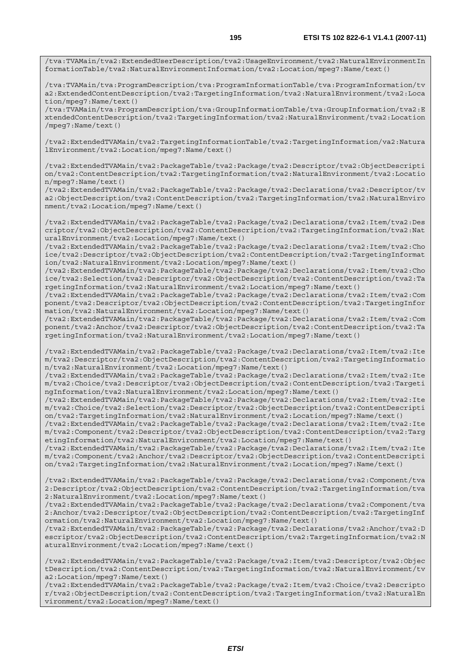/tva:TVAMain/tva2:ExtendedUserDescription/tva2:UsageEnvironment/tva2:NaturalEnvironmentIn formationTable/tva2:NaturalEnvironmentInformation/tva2:Location/mpeg7:Name/text()

/tva:TVAMain/tva:ProgramDescription/tva:ProgramInformationTable/tva:ProgramInformation/tv a2:ExtendedContentDescription/tva2:TargetingInformation/tva2:NaturalEnvironment/tva2:Loca tion/mpeg7:Name/text()

/tva:TVAMain/tva:ProgramDescription/tva:GroupInformationTable/tva:GroupInformation/tva2:E xtendedContentDescription/tva2:TargetingInformation/tva2:NaturalEnvironment/tva2:Location /mpeg7:Name/text()

/tva2:ExtendedTVAMain/tva2:TargetingInformationTable/tva2:TargetingInformation/va2:Natura lEnvironment/tva2:Location/mpeg7:Name/text()

/tva2:ExtendedTVAMain/tva2:PackageTable/tva2:Package/tva2:Descriptor/tva2:ObjectDescripti on/tva2:ContentDescription/tva2:TargetingInformation/tva2:NaturalEnvironment/tva2:Locatio n/mpeg7:Name/text()

/tva2:ExtendedTVAMain/tva2:PackageTable/tva2:Package/tva2:Declarations/tva2:Descriptor/tv a2:ObjectDescription/tva2:ContentDescription/tva2:TargetingInformation/tva2:NaturalEnviro nment/tva2:Location/mpeg7:Name/text()

/tva2:ExtendedTVAMain/tva2:PackageTable/tva2:Package/tva2:Declarations/tva2:Item/tva2:Des criptor/tva2:ObjectDescription/tva2:ContentDescription/tva2:TargetingInformation/tva2:Nat uralEnvironment/tva2:Location/mpeg7:Name/text()

/tva2:ExtendedTVAMain/tva2:PackageTable/tva2:Package/tva2:Declarations/tva2:Item/tva2:Cho ice/tva2:Descriptor/tva2:ObjectDescription/tva2:ContentDescription/tva2:TargetingInformat ion/tva2:NaturalEnvironment/tva2:Location/mpeg7:Name/text()

/tva2:ExtendedTVAMain/tva2:PackageTable/tva2:Package/tva2:Declarations/tva2:Item/tva2:Cho ice/tva2:Selection/tva2:Descriptor/tva2:ObjectDescription/tva2:ContentDescription/tva2:Ta rgetingInformation/tva2:NaturalEnvironment/tva2:Location/mpeg7:Name/text()

/tva2:ExtendedTVAMain/tva2:PackageTable/tva2:Package/tva2:Declarations/tva2:Item/tva2:Com ponent/tva2:Descriptor/tva2:ObjectDescription/tva2:ContentDescription/tva2:TargetingInfor mation/tva2:NaturalEnvironment/tva2:Location/mpeg7:Name/text()

/tva2:ExtendedTVAMain/tva2:PackageTable/tva2:Package/tva2:Declarations/tva2:Item/tva2:Com ponent/tva2:Anchor/tva2:Descriptor/tva2:ObjectDescription/tva2:ContentDescription/tva2:Ta rgetingInformation/tva2:NaturalEnvironment/tva2:Location/mpeg7:Name/text()

/tva2:ExtendedTVAMain/tva2:PackageTable/tva2:Package/tva2:Declarations/tva2:Item/tva2:Ite m/tva2:Descriptor/tva2:ObjectDescription/tva2:ContentDescription/tva2:TargetingInformatio n/tva2:NaturalEnvironment/tva2:Location/mpeg7:Name/text()

/tva2:ExtendedTVAMain/tva2:PackageTable/tva2:Package/tva2:Declarations/tva2:Item/tva2:Ite m/tva2:Choice/tva2:Descriptor/tva2:ObjectDescription/tva2:ContentDescription/tva2:Targeti ngInformation/tva2:NaturalEnvironment/tva2:Location/mpeg7:Name/text()

/tva2:ExtendedTVAMain/tva2:PackageTable/tva2:Package/tva2:Declarations/tva2:Item/tva2:Ite m/tva2:Choice/tva2:Selection/tva2:Descriptor/tva2:ObjectDescription/tva2:ContentDescripti on/tva2:TargetingInformation/tva2:NaturalEnvironment/tva2:Location/mpeg7:Name/text()

/tva2:ExtendedTVAMain/tva2:PackageTable/tva2:Package/tva2:Declarations/tva2:Item/tva2:Ite m/tva2:Component/tva2:Descriptor/tva2:ObjectDescription/tva2:ContentDescription/tva2:Targ etingInformation/tva2:NaturalEnvironment/tva2:Location/mpeg7:Name/text()

/tva2:ExtendedTVAMain/tva2:PackageTable/tva2:Package/tva2:Declarations/tva2:Item/tva2:Ite m/tva2:Component/tva2:Anchor/tva2:Descriptor/tva2:ObjectDescription/tva2:ContentDescripti on/tva2:TargetingInformation/tva2:NaturalEnvironment/tva2:Location/mpeg7:Name/text()

/tva2:ExtendedTVAMain/tva2:PackageTable/tva2:Package/tva2:Declarations/tva2:Component/tva 2:Descriptor/tva2:ObjectDescription/tva2:ContentDescription/tva2:TargetingInformation/tva 2:NaturalEnvironment/tva2:Location/mpeg7:Name/text()

/tva2:ExtendedTVAMain/tva2:PackageTable/tva2:Package/tva2:Declarations/tva2:Component/tva 2:Anchor/tva2:Descriptor/tva2:ObjectDescription/tva2:ContentDescription/tva2:TargetingInf ormation/tva2:NaturalEnvironment/tva2:Location/mpeg7:Name/text()

/tva2:ExtendedTVAMain/tva2:PackageTable/tva2:Package/tva2:Declarations/tva2:Anchor/tva2:D escriptor/tva2:ObjectDescription/tva2:ContentDescription/tva2:TargetingInformation/tva2:N aturalEnvironment/tva2:Location/mpeg7:Name/text()

/tva2:ExtendedTVAMain/tva2:PackageTable/tva2:Package/tva2:Item/tva2:Descriptor/tva2:Objec tDescription/tva2:ContentDescription/tva2:TargetingInformation/tva2:NaturalEnvironment/tv a2:Location/mpeg7:Name/text()

/tva2:ExtendedTVAMain/tva2:PackageTable/tva2:Package/tva2:Item/tva2:Choice/tva2:Descripto r/tva2:ObjectDescription/tva2:ContentDescription/tva2:TargetingInformation/tva2:NaturalEn vironment/tva2:Location/mpeg7:Name/text()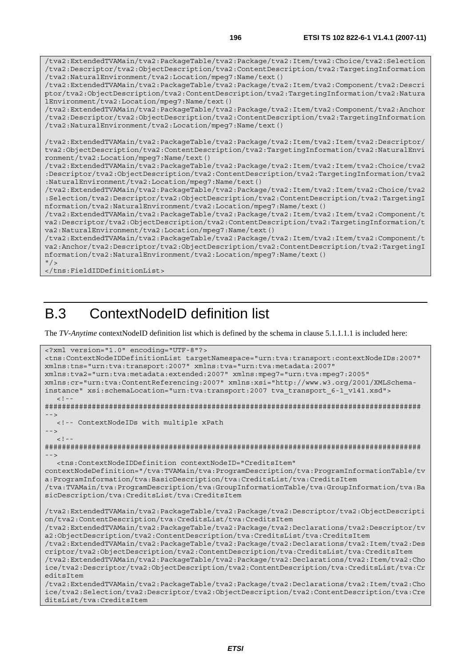/tva2:ExtendedTVAMain/tva2:PackageTable/tva2:Package/tva2:Item/tva2:Choice/tva2:Selection /tva2:Descriptor/tva2:ObjectDescription/tva2:ContentDescription/tva2:TargetingInformation /tva2:NaturalEnvironment/tva2:Location/mpeg7:Name/text() /tva2:ExtendedTVAMain/tva2:PackageTable/tva2:Package/tva2:Item/tva2:Component/tva2:Descri ptor/tva2:ObjectDescription/tva2:ContentDescription/tva2:TargetingInformation/tva2:Natura lEnvironment/tva2:Location/mpeg7:Name/text() /tva2:ExtendedTVAMain/tva2:PackageTable/tva2:Package/tva2:Item/tva2:Component/tva2:Anchor /tva2:Descriptor/tva2:ObjectDescription/tva2:ContentDescription/tva2:TargetingInformation /tva2:NaturalEnvironment/tva2:Location/mpeg7:Name/text() /tva2:ExtendedTVAMain/tva2:PackageTable/tva2:Package/tva2:Item/tva2:Item/tva2:Descriptor/ tva2:ObjectDescription/tva2:ContentDescription/tva2:TargetingInformation/tva2:NaturalEnvi ronment/tva2:Location/mpeg7:Name/text() /tva2:ExtendedTVAMain/tva2:PackageTable/tva2:Package/tva2:Item/tva2:Item/tva2:Choice/tva2 :Descriptor/tva2:ObjectDescription/tva2:ContentDescription/tva2:TargetingInformation/tva2 :NaturalEnvironment/tva2:Location/mpeg7:Name/text() /tva2:ExtendedTVAMain/tva2:PackageTable/tva2:Package/tva2:Item/tva2:Item/tva2:Choice/tva2 :Selection/tva2:Descriptor/tva2:ObjectDescription/tva2:ContentDescription/tva2:TargetingI nformation/tva2:NaturalEnvironment/tva2:Location/mpeg7:Name/text() /tva2:ExtendedTVAMain/tva2:PackageTable/tva2:Package/tva2:Item/tva2:Item/tva2:Component/t va2:Descriptor/tva2:ObjectDescription/tva2:ContentDescription/tva2:TargetingInformation/t va2:NaturalEnvironment/tva2:Location/mpeg7:Name/text() /tva2:ExtendedTVAMain/tva2:PackageTable/tva2:Package/tva2:Item/tva2:Item/tva2:Component/t va2:Anchor/tva2:Descriptor/tva2:ObjectDescription/tva2:ContentDescription/tva2:TargetingI

```
nformation/tva2:NaturalEnvironment/tva2:Location/mpeg7:Name/text()
```

```
'' / >
```
</tns:FieldIDDefinitionList>

## B.3 ContextNodeID definition list

The *TV-Anytime* contextNodeID definition list which is defined by the schema in clause 5.1.1.1.1 is included here:

```
<?xml version="1.0" encoding="UTF-8"?> 
<tns:ContextNodeIDDefinitionList targetNamespace="urn:tva:transport:contextNodeIDs:2007" 
xmlns:tns="urn:tva:transport:2007" xmlns:tva="urn:tva:metadata:2007" 
xmlns:tva2="urn:tva:metadata:extended:2007" xmlns:mpeg7="urn:tva:mpeg7:2005" 
xmlns:cr="urn:tva:ContentReferencing:2007" xmlns:xsi="http://www.w3.org/2001/XMLSchema-
instance" xsi:schemaLocation="urn:tva:transport:2007 tva_transport_6-1_v141.xsd"> 
  \lt ! -
######################################################################################## 
 --> 
   <!-- ContextNodeIDs with multiple xPath 
--> 
  <! --
######################################################################################## 
--> 
   <tns:ContextNodeIDDefinition contextNodeID="CreditsItem" 
contextNodeDefinition="/tva:TVAMain/tva:ProgramDescription/tva:ProgramInformationTable/tv
a:ProgramInformation/tva:BasicDescription/tva:CreditsList/tva:CreditsItem 
/tva:TVAMain/tva:ProgramDescription/tva:GroupInformationTable/tva:GroupInformation/tva:Ba
sicDescription/tva:CreditsList/tva:CreditsItem 
/tva2:ExtendedTVAMain/tva2:PackageTable/tva2:Package/tva2:Descriptor/tva2:ObjectDescripti
on/tva2:ContentDescription/tva:CreditsList/tva:CreditsItem 
/tva2:ExtendedTVAMain/tva2:PackageTable/tva2:Package/tva2:Declarations/tva2:Descriptor/tv
a2:ObjectDescription/tva2:ContentDescription/tva:CreditsList/tva:CreditsItem 
/tva2:ExtendedTVAMain/tva2:PackageTable/tva2:Package/tva2:Declarations/tva2:Item/tva2:Des
criptor/tva2:ObjectDescription/tva2:ContentDescription/tva:CreditsList/tva:CreditsItem 
/tva2:ExtendedTVAMain/tva2:PackageTable/tva2:Package/tva2:Declarations/tva2:Item/tva2:Cho
ice/tva2:Descriptor/tva2:ObjectDescription/tva2:ContentDescription/tva:CreditsList/tva:Cr
editsItem 
/tva2:ExtendedTVAMain/tva2:PackageTable/tva2:Package/tva2:Declarations/tva2:Item/tva2:Cho
ice/tva2:Selection/tva2:Descriptor/tva2:ObjectDescription/tva2:ContentDescription/tva:Cre
ditsList/tva:CreditsItem
```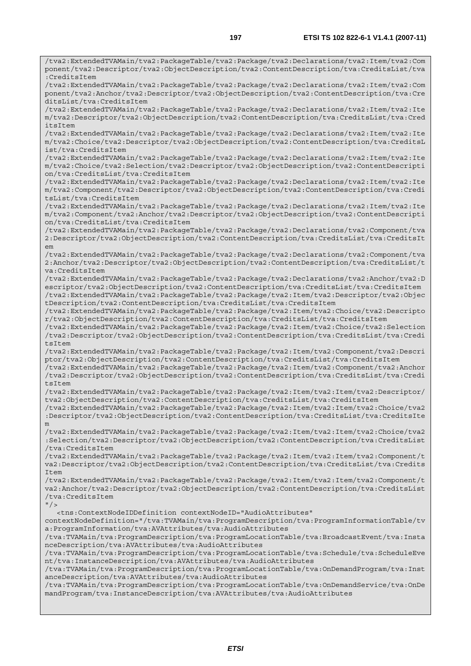/tva2:ExtendedTVAMain/tva2:PackageTable/tva2:Package/tva2:Declarations/tva2:Item/tva2:Com ponent/tva2:Descriptor/tva2:ObjectDescription/tva2:ContentDescription/tva:CreditsList/tva :CreditsItem /tva2:ExtendedTVAMain/tva2:PackageTable/tva2:Package/tva2:Declarations/tva2:Item/tva2:Com ponent/tva2:Anchor/tva2:Descriptor/tva2:ObjectDescription/tva2:ContentDescription/tva:Cre ditsList/tva:CreditsItem /tva2:ExtendedTVAMain/tva2:PackageTable/tva2:Package/tva2:Declarations/tva2:Item/tva2:Ite m/tva2:Descriptor/tva2:ObjectDescription/tva2:ContentDescription/tva:CreditsList/tva:Cred itsItem /tva2:ExtendedTVAMain/tva2:PackageTable/tva2:Package/tva2:Declarations/tva2:Item/tva2:Ite m/tva2:Choice/tva2:Descriptor/tva2:ObjectDescription/tva2:ContentDescription/tva:CreditsL ist/tva:CreditsItem /tva2:ExtendedTVAMain/tva2:PackageTable/tva2:Package/tva2:Declarations/tva2:Item/tva2:Ite m/tva2:Choice/tva2:Selection/tva2:Descriptor/tva2:ObjectDescription/tva2:ContentDescripti on/tva:CreditsList/tva:CreditsItem /tva2:ExtendedTVAMain/tva2:PackageTable/tva2:Package/tva2:Declarations/tva2:Item/tva2:Ite m/tva2:Component/tva2:Descriptor/tva2:ObjectDescription/tva2:ContentDescription/tva:Credi tsList/tva:CreditsItem /tva2:ExtendedTVAMain/tva2:PackageTable/tva2:Package/tva2:Declarations/tva2:Item/tva2:Ite m/tva2:Component/tva2:Anchor/tva2:Descriptor/tva2:ObjectDescription/tva2:ContentDescripti on/tva:CreditsList/tva:CreditsItem /tva2:ExtendedTVAMain/tva2:PackageTable/tva2:Package/tva2:Declarations/tva2:Component/tva 2:Descriptor/tva2:ObjectDescription/tva2:ContentDescription/tva:CreditsList/tva:CreditsIt em /tva2:ExtendedTVAMain/tva2:PackageTable/tva2:Package/tva2:Declarations/tva2:Component/tva 2:Anchor/tva2:Descriptor/tva2:ObjectDescription/tva2:ContentDescription/tva:CreditsList/t va:CreditsItem /tva2:ExtendedTVAMain/tva2:PackageTable/tva2:Package/tva2:Declarations/tva2:Anchor/tva2:D escriptor/tva2:ObjectDescription/tva2:ContentDescription/tva:CreditsList/tva:CreditsItem /tva2:ExtendedTVAMain/tva2:PackageTable/tva2:Package/tva2:Item/tva2:Descriptor/tva2:Objec tDescription/tva2:ContentDescription/tva:CreditsList/tva:CreditsItem /tva2:ExtendedTVAMain/tva2:PackageTable/tva2:Package/tva2:Item/tva2:Choice/tva2:Descripto r/tva2:ObjectDescription/tva2:ContentDescription/tva:CreditsList/tva:CreditsItem /tva2:ExtendedTVAMain/tva2:PackageTable/tva2:Package/tva2:Item/tva2:Choice/tva2:Selection /tva2:Descriptor/tva2:ObjectDescription/tva2:ContentDescription/tva:CreditsList/tva:Credi tsItem /tva2:ExtendedTVAMain/tva2:PackageTable/tva2:Package/tva2:Item/tva2:Component/tva2:Descri ptor/tva2:ObjectDescription/tva2:ContentDescription/tva:CreditsList/tva:CreditsItem /tva2:ExtendedTVAMain/tva2:PackageTable/tva2:Package/tva2:Item/tva2:Component/tva2:Anchor /tva2:Descriptor/tva2:ObjectDescription/tva2:ContentDescription/tva:CreditsList/tva:Credi tsItem /tva2:ExtendedTVAMain/tva2:PackageTable/tva2:Package/tva2:Item/tva2:Item/tva2:Descriptor/ tva2:ObjectDescription/tva2:ContentDescription/tva:CreditsList/tva:CreditsItem /tva2:ExtendedTVAMain/tva2:PackageTable/tva2:Package/tva2:Item/tva2:Item/tva2:Choice/tva2 :Descriptor/tva2:ObjectDescription/tva2:ContentDescription/tva:CreditsList/tva:CreditsIte m /tva2:ExtendedTVAMain/tva2:PackageTable/tva2:Package/tva2:Item/tva2:Item/tva2:Choice/tva2 :Selection/tva2:Descriptor/tva2:ObjectDescription/tva2:ContentDescription/tva:CreditsList /tva:CreditsItem /tva2:ExtendedTVAMain/tva2:PackageTable/tva2:Package/tva2:Item/tva2:Item/tva2:Component/t va2:Descriptor/tva2:ObjectDescription/tva2:ContentDescription/tva:CreditsList/tva:Credits Item /tva2:ExtendedTVAMain/tva2:PackageTable/tva2:Package/tva2:Item/tva2:Item/tva2:Component/t va2:Anchor/tva2:Descriptor/tva2:ObjectDescription/tva2:ContentDescription/tva:CreditsList /tva:CreditsItem  $"$  /> <tns:ContextNodeIDDefinition contextNodeID="AudioAttributes" contextNodeDefinition="/tva:TVAMain/tva:ProgramDescription/tva:ProgramInformationTable/tv a:ProgramInformation/tva:AVAttributes/tva:AudioAttributes /tva:TVAMain/tva:ProgramDescription/tva:ProgramLocationTable/tva:BroadcastEvent/tva:Insta nceDescription/tva:AVAttributes/tva:AudioAttributes /tva:TVAMain/tva:ProgramDescription/tva:ProgramLocationTable/tva:Schedule/tva:ScheduleEve nt/tva:InstanceDescription/tva:AVAttributes/tva:AudioAttributes /tva:TVAMain/tva:ProgramDescription/tva:ProgramLocationTable/tva:OnDemandProgram/tva:Inst anceDescription/tva:AVAttributes/tva:AudioAttributes /tva:TVAMain/tva:ProgramDescription/tva:ProgramLocationTable/tva:OnDemandService/tva:OnDe mandProgram/tva:InstanceDescription/tva:AVAttributes/tva:AudioAttributes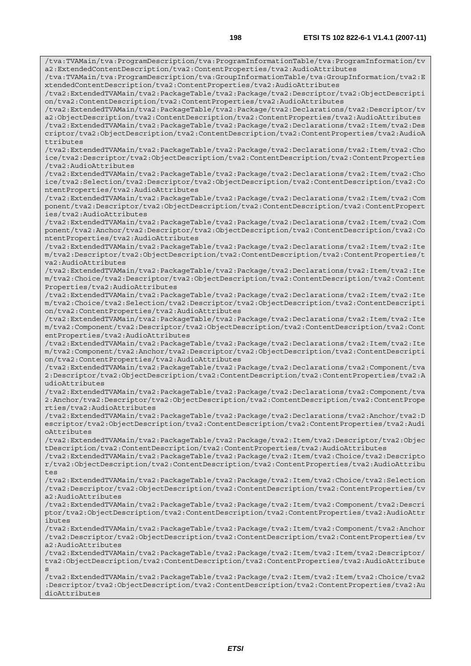/tva:TVAMain/tva:ProgramDescription/tva:ProgramInformationTable/tva:ProgramInformation/tv a2:ExtendedContentDescription/tva2:ContentProperties/tva2:AudioAttributes /tva:TVAMain/tva:ProgramDescription/tva:GroupInformationTable/tva:GroupInformation/tva2:E xtendedContentDescription/tva2:ContentProperties/tva2:AudioAttributes /tva2:ExtendedTVAMain/tva2:PackageTable/tva2:Package/tva2:Descriptor/tva2:ObjectDescripti on/tva2:ContentDescription/tva2:ContentProperties/tva2:AudioAttributes /tva2:ExtendedTVAMain/tva2:PackageTable/tva2:Package/tva2:Declarations/tva2:Descriptor/tv a2:ObjectDescription/tva2:ContentDescription/tva2:ContentProperties/tva2:AudioAttributes /tva2:ExtendedTVAMain/tva2:PackageTable/tva2:Package/tva2:Declarations/tva2:Item/tva2:Des criptor/tva2:ObjectDescription/tva2:ContentDescription/tva2:ContentProperties/tva2:AudioA ttributes /tva2:ExtendedTVAMain/tva2:PackageTable/tva2:Package/tva2:Declarations/tva2:Item/tva2:Cho ice/tva2:Descriptor/tva2:ObjectDescription/tva2:ContentDescription/tva2:ContentProperties /tva2:AudioAttributes /tva2:ExtendedTVAMain/tva2:PackageTable/tva2:Package/tva2:Declarations/tva2:Item/tva2:Cho ice/tva2:Selection/tva2:Descriptor/tva2:ObjectDescription/tva2:ContentDescription/tva2:Co ntentProperties/tva2:AudioAttributes /tva2:ExtendedTVAMain/tva2:PackageTable/tva2:Package/tva2:Declarations/tva2:Item/tva2:Com ponent/tva2:Descriptor/tva2:ObjectDescription/tva2:ContentDescription/tva2:ContentPropert ies/tva2:AudioAttributes /tva2:ExtendedTVAMain/tva2:PackageTable/tva2:Package/tva2:Declarations/tva2:Item/tva2:Com ponent/tva2:Anchor/tva2:Descriptor/tva2:ObjectDescription/tva2:ContentDescription/tva2:Co ntentProperties/tva2:AudioAttributes /tva2:ExtendedTVAMain/tva2:PackageTable/tva2:Package/tva2:Declarations/tva2:Item/tva2:Ite m/tva2:Descriptor/tva2:ObjectDescription/tva2:ContentDescription/tva2:ContentProperties/t va2:AudioAttributes /tva2:ExtendedTVAMain/tva2:PackageTable/tva2:Package/tva2:Declarations/tva2:Item/tva2:Ite m/tva2:Choice/tva2:Descriptor/tva2:ObjectDescription/tva2:ContentDescription/tva2:Content Properties/tva2:AudioAttributes /tva2:ExtendedTVAMain/tva2:PackageTable/tva2:Package/tva2:Declarations/tva2:Item/tva2:Ite m/tva2:Choice/tva2:Selection/tva2:Descriptor/tva2:ObjectDescription/tva2:ContentDescripti on/tva2:ContentProperties/tva2:AudioAttributes /tva2:ExtendedTVAMain/tva2:PackageTable/tva2:Package/tva2:Declarations/tva2:Item/tva2:Ite m/tva2:Component/tva2:Descriptor/tva2:ObjectDescription/tva2:ContentDescription/tva2:Cont entProperties/tva2:AudioAttributes /tva2:ExtendedTVAMain/tva2:PackageTable/tva2:Package/tva2:Declarations/tva2:Item/tva2:Ite m/tva2:Component/tva2:Anchor/tva2:Descriptor/tva2:ObjectDescription/tva2:ContentDescripti on/tva2:ContentProperties/tva2:AudioAttributes /tva2:ExtendedTVAMain/tva2:PackageTable/tva2:Package/tva2:Declarations/tva2:Component/tva 2:Descriptor/tva2:ObjectDescription/tva2:ContentDescription/tva2:ContentProperties/tva2:A udioAttributes /tva2:ExtendedTVAMain/tva2:PackageTable/tva2:Package/tva2:Declarations/tva2:Component/tva 2:Anchor/tva2:Descriptor/tva2:ObjectDescription/tva2:ContentDescription/tva2:ContentPrope rties/tva2:AudioAttributes /tva2:ExtendedTVAMain/tva2:PackageTable/tva2:Package/tva2:Declarations/tva2:Anchor/tva2:D escriptor/tva2:ObjectDescription/tva2:ContentDescription/tva2:ContentProperties/tva2:Audi oAttributes /tva2:ExtendedTVAMain/tva2:PackageTable/tva2:Package/tva2:Item/tva2:Descriptor/tva2:Objec tDescription/tva2:ContentDescription/tva2:ContentProperties/tva2:AudioAttributes /tva2:ExtendedTVAMain/tva2:PackageTable/tva2:Package/tva2:Item/tva2:Choice/tva2:Descripto r/tva2:ObjectDescription/tva2:ContentDescription/tva2:ContentProperties/tva2:AudioAttribu tes /tva2:ExtendedTVAMain/tva2:PackageTable/tva2:Package/tva2:Item/tva2:Choice/tva2:Selection /tva2:Descriptor/tva2:ObjectDescription/tva2:ContentDescription/tva2:ContentProperties/tv a2:AudioAttributes /tva2:ExtendedTVAMain/tva2:PackageTable/tva2:Package/tva2:Item/tva2:Component/tva2:Descri ptor/tva2:ObjectDescription/tva2:ContentDescription/tva2:ContentProperties/tva2:AudioAttr ibutes /tva2:ExtendedTVAMain/tva2:PackageTable/tva2:Package/tva2:Item/tva2:Component/tva2:Anchor /tva2:Descriptor/tva2:ObjectDescription/tva2:ContentDescription/tva2:ContentProperties/tv a2:AudioAttributes /tva2:ExtendedTVAMain/tva2:PackageTable/tva2:Package/tva2:Item/tva2:Item/tva2:Descriptor/ tva2:ObjectDescription/tva2:ContentDescription/tva2:ContentProperties/tva2:AudioAttribute s /tva2:ExtendedTVAMain/tva2:PackageTable/tva2:Package/tva2:Item/tva2:Item/tva2:Choice/tva2 :Descriptor/tva2:ObjectDescription/tva2:ContentDescription/tva2:ContentProperties/tva2:Au dioAttributes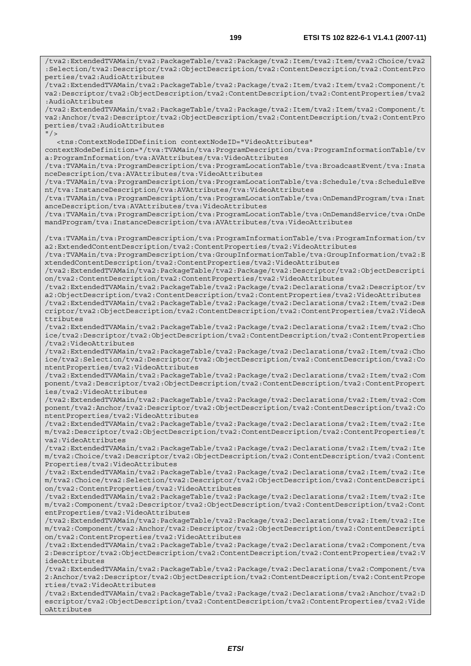/tva2:ExtendedTVAMain/tva2:PackageTable/tva2:Package/tva2:Item/tva2:Item/tva2:Choice/tva2 :Selection/tva2:Descriptor/tva2:ObjectDescription/tva2:ContentDescription/tva2:ContentPro perties/tva2:AudioAttributes /tva2:ExtendedTVAMain/tva2:PackageTable/tva2:Package/tva2:Item/tva2:Item/tva2:Component/t va2:Descriptor/tva2:ObjectDescription/tva2:ContentDescription/tva2:ContentProperties/tva2 :AudioAttributes /tva2:ExtendedTVAMain/tva2:PackageTable/tva2:Package/tva2:Item/tva2:Item/tva2:Component/t va2:Anchor/tva2:Descriptor/tva2:ObjectDescription/tva2:ContentDescription/tva2:ContentPro perties/tva2:AudioAttributes  $''$ /> <tns:ContextNodeIDDefinition contextNodeID="VideoAttributes" contextNodeDefinition="/tva:TVAMain/tva:ProgramDescription/tva:ProgramInformationTable/tv a:ProgramInformation/tva:AVAttributes/tva:VideoAttributes /tva:TVAMain/tva:ProgramDescription/tva:ProgramLocationTable/tva:BroadcastEvent/tva:Insta nceDescription/tva:AVAttributes/tva:VideoAttributes /tva:TVAMain/tva:ProgramDescription/tva:ProgramLocationTable/tva:Schedule/tva:ScheduleEve nt/tva:InstanceDescription/tva:AVAttributes/tva:VideoAttributes /tva:TVAMain/tva:ProgramDescription/tva:ProgramLocationTable/tva:OnDemandProgram/tva:Inst anceDescription/tva:AVAttributes/tva:VideoAttributes /tva:TVAMain/tva:ProgramDescription/tva:ProgramLocationTable/tva:OnDemandService/tva:OnDe mandProgram/tva:InstanceDescription/tva:AVAttributes/tva:VideoAttributes /tva:TVAMain/tva:ProgramDescription/tva:ProgramInformationTable/tva:ProgramInformation/tv a2:ExtendedContentDescription/tva2:ContentProperties/tva2:VideoAttributes /tva:TVAMain/tva:ProgramDescription/tva:GroupInformationTable/tva:GroupInformation/tva2:E xtendedContentDescription/tva2:ContentProperties/tva2:VideoAttributes /tva2:ExtendedTVAMain/tva2:PackageTable/tva2:Package/tva2:Descriptor/tva2:ObjectDescripti on/tva2:ContentDescription/tva2:ContentProperties/tva2:VideoAttributes /tva2:ExtendedTVAMain/tva2:PackageTable/tva2:Package/tva2:Declarations/tva2:Descriptor/tv a2:ObjectDescription/tva2:ContentDescription/tva2:ContentProperties/tva2:VideoAttributes /tva2:ExtendedTVAMain/tva2:PackageTable/tva2:Package/tva2:Declarations/tva2:Item/tva2:Des criptor/tva2:ObjectDescription/tva2:ContentDescription/tva2:ContentProperties/tva2:VideoA ttributes /tva2:ExtendedTVAMain/tva2:PackageTable/tva2:Package/tva2:Declarations/tva2:Item/tva2:Cho ice/tva2:Descriptor/tva2:ObjectDescription/tva2:ContentDescription/tva2:ContentProperties /tva2:VideoAttributes /tva2:ExtendedTVAMain/tva2:PackageTable/tva2:Package/tva2:Declarations/tva2:Item/tva2:Cho ice/tva2:Selection/tva2:Descriptor/tva2:ObjectDescription/tva2:ContentDescription/tva2:Co ntentProperties/tva2:VideoAttributes /tva2:ExtendedTVAMain/tva2:PackageTable/tva2:Package/tva2:Declarations/tva2:Item/tva2:Com ponent/tva2:Descriptor/tva2:ObjectDescription/tva2:ContentDescription/tva2:ContentPropert ies/tva2:VideoAttributes /tva2:ExtendedTVAMain/tva2:PackageTable/tva2:Package/tva2:Declarations/tva2:Item/tva2:Com ponent/tva2:Anchor/tva2:Descriptor/tva2:ObjectDescription/tva2:ContentDescription/tva2:Co ntentProperties/tva2:VideoAttributes /tva2:ExtendedTVAMain/tva2:PackageTable/tva2:Package/tva2:Declarations/tva2:Item/tva2:Ite m/tva2:Descriptor/tva2:ObjectDescription/tva2:ContentDescription/tva2:ContentProperties/t va2:VideoAttributes /tva2:ExtendedTVAMain/tva2:PackageTable/tva2:Package/tva2:Declarations/tva2:Item/tva2:Ite m/tva2:Choice/tva2:Descriptor/tva2:ObjectDescription/tva2:ContentDescription/tva2:Content Properties/tva2:VideoAttributes /tva2:ExtendedTVAMain/tva2:PackageTable/tva2:Package/tva2:Declarations/tva2:Item/tva2:Ite m/tva2:Choice/tva2:Selection/tva2:Descriptor/tva2:ObjectDescription/tva2:ContentDescripti on/tva2:ContentProperties/tva2:VideoAttributes /tva2:ExtendedTVAMain/tva2:PackageTable/tva2:Package/tva2:Declarations/tva2:Item/tva2:Ite m/tva2:Component/tva2:Descriptor/tva2:ObjectDescription/tva2:ContentDescription/tva2:Cont entProperties/tva2:VideoAttributes /tva2:ExtendedTVAMain/tva2:PackageTable/tva2:Package/tva2:Declarations/tva2:Item/tva2:Ite m/tva2:Component/tva2:Anchor/tva2:Descriptor/tva2:ObjectDescription/tva2:ContentDescripti on/tva2:ContentProperties/tva2:VideoAttributes /tva2:ExtendedTVAMain/tva2:PackageTable/tva2:Package/tva2:Declarations/tva2:Component/tva 2:Descriptor/tva2:ObjectDescription/tva2:ContentDescription/tva2:ContentProperties/tva2:V ideoAttributes /tva2:ExtendedTVAMain/tva2:PackageTable/tva2:Package/tva2:Declarations/tva2:Component/tva 2:Anchor/tva2:Descriptor/tva2:ObjectDescription/tva2:ContentDescription/tva2:ContentPrope rties/tva2:VideoAttributes /tva2:ExtendedTVAMain/tva2:PackageTable/tva2:Package/tva2:Declarations/tva2:Anchor/tva2:D escriptor/tva2:ObjectDescription/tva2:ContentDescription/tva2:ContentProperties/tva2:Vide oAttributes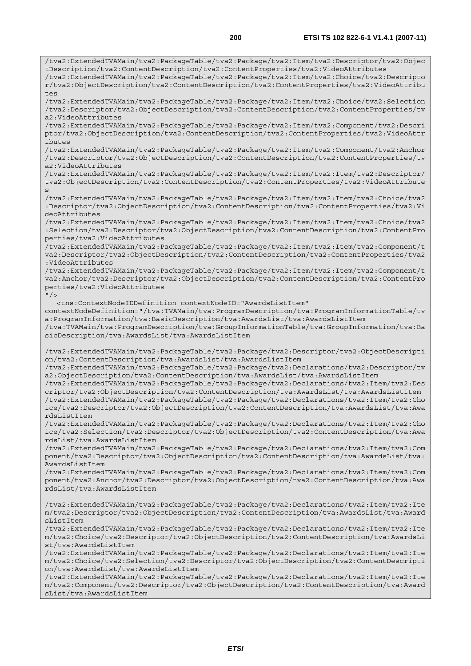/tva2:ExtendedTVAMain/tva2:PackageTable/tva2:Package/tva2:Item/tva2:Descriptor/tva2:Objec tDescription/tva2:ContentDescription/tva2:ContentProperties/tva2:VideoAttributes /tva2:ExtendedTVAMain/tva2:PackageTable/tva2:Package/tva2:Item/tva2:Choice/tva2:Descripto r/tva2:ObjectDescription/tva2:ContentDescription/tva2:ContentProperties/tva2:VideoAttribu tes /tva2:ExtendedTVAMain/tva2:PackageTable/tva2:Package/tva2:Item/tva2:Choice/tva2:Selection /tva2:Descriptor/tva2:ObjectDescription/tva2:ContentDescription/tva2:ContentProperties/tv a2:VideoAttributes /tva2:ExtendedTVAMain/tva2:PackageTable/tva2:Package/tva2:Item/tva2:Component/tva2:Descri ptor/tva2:ObjectDescription/tva2:ContentDescription/tva2:ContentProperties/tva2:VideoAttr ibutes /tva2:ExtendedTVAMain/tva2:PackageTable/tva2:Package/tva2:Item/tva2:Component/tva2:Anchor /tva2:Descriptor/tva2:ObjectDescription/tva2:ContentDescription/tva2:ContentProperties/tv a2:VideoAttributes /tva2:ExtendedTVAMain/tva2:PackageTable/tva2:Package/tva2:Item/tva2:Item/tva2:Descriptor/ tva2:ObjectDescription/tva2:ContentDescription/tva2:ContentProperties/tva2:VideoAttribute s /tva2:ExtendedTVAMain/tva2:PackageTable/tva2:Package/tva2:Item/tva2:Item/tva2:Choice/tva2 :Descriptor/tva2:ObjectDescription/tva2:ContentDescription/tva2:ContentProperties/tva2:Vi deoAttributes /tva2:ExtendedTVAMain/tva2:PackageTable/tva2:Package/tva2:Item/tva2:Item/tva2:Choice/tva2 :Selection/tva2:Descriptor/tva2:ObjectDescription/tva2:ContentDescription/tva2:ContentPro perties/tva2:VideoAttributes /tva2:ExtendedTVAMain/tva2:PackageTable/tva2:Package/tva2:Item/tva2:Item/tva2:Component/t va2:Descriptor/tva2:ObjectDescription/tva2:ContentDescription/tva2:ContentProperties/tva2 :VideoAttributes /tva2:ExtendedTVAMain/tva2:PackageTable/tva2:Package/tva2:Item/tva2:Item/tva2:Component/t va2:Anchor/tva2:Descriptor/tva2:ObjectDescription/tva2:ContentDescription/tva2:ContentPro perties/tva2:VideoAttributes  $''$  / > <tns:ContextNodeIDDefinition contextNodeID="AwardsListItem" contextNodeDefinition="/tva:TVAMain/tva:ProgramDescription/tva:ProgramInformationTable/tv a:ProgramInformation/tva:BasicDescription/tva:AwardsList/tva:AwardsListItem /tva:TVAMain/tva:ProgramDescription/tva:GroupInformationTable/tva:GroupInformation/tva:Ba sicDescription/tva:AwardsList/tva:AwardsListItem /tva2:ExtendedTVAMain/tva2:PackageTable/tva2:Package/tva2:Descriptor/tva2:ObjectDescripti on/tva2:ContentDescription/tva:AwardsList/tva:AwardsListItem /tva2:ExtendedTVAMain/tva2:PackageTable/tva2:Package/tva2:Declarations/tva2:Descriptor/tv a2:ObjectDescription/tva2:ContentDescription/tva:AwardsList/tva:AwardsListItem /tva2:ExtendedTVAMain/tva2:PackageTable/tva2:Package/tva2:Declarations/tva2:Item/tva2:Des criptor/tva2:ObjectDescription/tva2:ContentDescription/tva:AwardsList/tva:AwardsListItem /tva2:ExtendedTVAMain/tva2:PackageTable/tva2:Package/tva2:Declarations/tva2:Item/tva2:Cho ice/tva2:Descriptor/tva2:ObjectDescription/tva2:ContentDescription/tva:AwardsList/tva:Awa rdsListItem /tva2:ExtendedTVAMain/tva2:PackageTable/tva2:Package/tva2:Declarations/tva2:Item/tva2:Cho ice/tva2:Selection/tva2:Descriptor/tva2:ObjectDescription/tva2:ContentDescription/tva:Awa rdsList/tva:AwardsListItem /tva2:ExtendedTVAMain/tva2:PackageTable/tva2:Package/tva2:Declarations/tva2:Item/tva2:Com ponent/tva2:Descriptor/tva2:ObjectDescription/tva2:ContentDescription/tva:AwardsList/tva: AwardsListItem /tva2:ExtendedTVAMain/tva2:PackageTable/tva2:Package/tva2:Declarations/tva2:Item/tva2:Com ponent/tva2:Anchor/tva2:Descriptor/tva2:ObjectDescription/tva2:ContentDescription/tva:Awa rdsList/tva:AwardsListItem /tva2:ExtendedTVAMain/tva2:PackageTable/tva2:Package/tva2:Declarations/tva2:Item/tva2:Ite m/tva2:Descriptor/tva2:ObjectDescription/tva2:ContentDescription/tva:AwardsList/tva:Award sListItem /tva2:ExtendedTVAMain/tva2:PackageTable/tva2:Package/tva2:Declarations/tva2:Item/tva2:Ite m/tva2:Choice/tva2:Descriptor/tva2:ObjectDescription/tva2:ContentDescription/tva:AwardsLi st/tva:AwardsListItem /tva2:ExtendedTVAMain/tva2:PackageTable/tva2:Package/tva2:Declarations/tva2:Item/tva2:Ite m/tva2:Choice/tva2:Selection/tva2:Descriptor/tva2:ObjectDescription/tva2:ContentDescripti on/tva:AwardsList/tva:AwardsListItem /tva2:ExtendedTVAMain/tva2:PackageTable/tva2:Package/tva2:Declarations/tva2:Item/tva2:Ite m/tva2:Component/tva2:Descriptor/tva2:ObjectDescription/tva2:ContentDescription/tva:Award sList/tva:AwardsListItem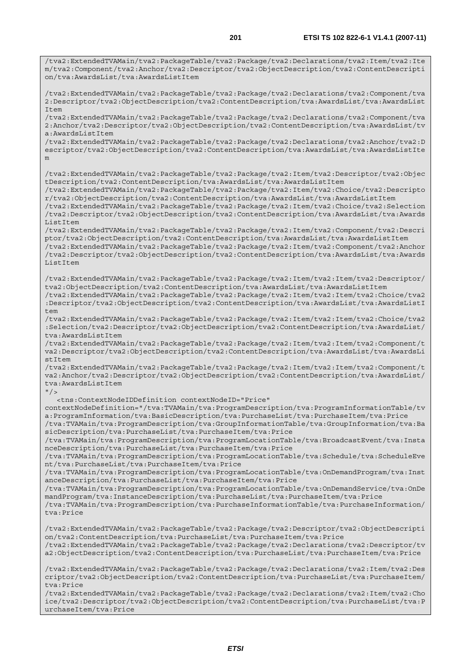/tva2:ExtendedTVAMain/tva2:PackageTable/tva2:Package/tva2:Declarations/tva2:Item/tva2:Ite m/tva2:Component/tva2:Anchor/tva2:Descriptor/tva2:ObjectDescription/tva2:ContentDescripti on/tva:AwardsList/tva:AwardsListItem /tva2:ExtendedTVAMain/tva2:PackageTable/tva2:Package/tva2:Declarations/tva2:Component/tva 2:Descriptor/tva2:ObjectDescription/tva2:ContentDescription/tva:AwardsList/tva:AwardsList Item /tva2:ExtendedTVAMain/tva2:PackageTable/tva2:Package/tva2:Declarations/tva2:Component/tva 2:Anchor/tva2:Descriptor/tva2:ObjectDescription/tva2:ContentDescription/tva:AwardsList/tv a:AwardsListItem /tva2:ExtendedTVAMain/tva2:PackageTable/tva2:Package/tva2:Declarations/tva2:Anchor/tva2:D escriptor/tva2:ObjectDescription/tva2:ContentDescription/tva:AwardsList/tva:AwardsListIte m /tva2:ExtendedTVAMain/tva2:PackageTable/tva2:Package/tva2:Item/tva2:Descriptor/tva2:Objec tDescription/tva2:ContentDescription/tva:AwardsList/tva:AwardsListItem /tva2:ExtendedTVAMain/tva2:PackageTable/tva2:Package/tva2:Item/tva2:Choice/tva2:Descripto r/tva2:ObjectDescription/tva2:ContentDescription/tva:AwardsList/tva:AwardsListItem /tva2:ExtendedTVAMain/tva2:PackageTable/tva2:Package/tva2:Item/tva2:Choice/tva2:Selection /tva2:Descriptor/tva2:ObjectDescription/tva2:ContentDescription/tva:AwardsList/tva:Awards ListItem /tva2:ExtendedTVAMain/tva2:PackageTable/tva2:Package/tva2:Item/tva2:Component/tva2:Descri ptor/tva2:ObjectDescription/tva2:ContentDescription/tva:AwardsList/tva:AwardsListItem /tva2:ExtendedTVAMain/tva2:PackageTable/tva2:Package/tva2:Item/tva2:Component/tva2:Anchor /tva2:Descriptor/tva2:ObjectDescription/tva2:ContentDescription/tva:AwardsList/tva:Awards ListItem /tva2:ExtendedTVAMain/tva2:PackageTable/tva2:Package/tva2:Item/tva2:Item/tva2:Descriptor/ tva2:ObjectDescription/tva2:ContentDescription/tva:AwardsList/tva:AwardsListItem /tva2:ExtendedTVAMain/tva2:PackageTable/tva2:Package/tva2:Item/tva2:Item/tva2:Choice/tva2 :Descriptor/tva2:ObjectDescription/tva2:ContentDescription/tva:AwardsList/tva:AwardsListI  $t$ em /tva2:ExtendedTVAMain/tva2:PackageTable/tva2:Package/tva2:Item/tva2:Item/tva2:Choice/tva2 :Selection/tva2:Descriptor/tva2:ObjectDescription/tva2:ContentDescription/tva:AwardsList/ tva:AwardsListItem /tva2:ExtendedTVAMain/tva2:PackageTable/tva2:Package/tva2:Item/tva2:Item/tva2:Component/t va2:Descriptor/tva2:ObjectDescription/tva2:ContentDescription/tva:AwardsList/tva:AwardsLi stItem /tva2:ExtendedTVAMain/tva2:PackageTable/tva2:Package/tva2:Item/tva2:Item/tva2:Component/t va2:Anchor/tva2:Descriptor/tva2:ObjectDescription/tva2:ContentDescription/tva:AwardsList/ tva:AwardsListItem  $''$  / > <tns:ContextNodeIDDefinition contextNodeID="Price" contextNodeDefinition="/tva:TVAMain/tva:ProgramDescription/tva:ProgramInformationTable/tv a:ProgramInformation/tva:BasicDescription/tva:PurchaseList/tva:PurchaseItem/tva:Price /tva:TVAMain/tva:ProgramDescription/tva:GroupInformationTable/tva:GroupInformation/tva:Ba sicDescription/tva:PurchaseList/tva:PurchaseItem/tva:Price /tva:TVAMain/tva:ProgramDescription/tva:ProgramLocationTable/tva:BroadcastEvent/tva:Insta nceDescription/tva:PurchaseList/tva:PurchaseItem/tva:Price /tva:TVAMain/tva:ProgramDescription/tva:ProgramLocationTable/tva:Schedule/tva:ScheduleEve nt/tva:PurchaseList/tva:PurchaseItem/tva:Price /tva:TVAMain/tva:ProgramDescription/tva:ProgramLocationTable/tva:OnDemandProgram/tva:Inst anceDescription/tva:PurchaseList/tva:PurchaseItem/tva:Price /tva:TVAMain/tva:ProgramDescription/tva:ProgramLocationTable/tva:OnDemandService/tva:OnDe mandProgram/tva:InstanceDescription/tva:PurchaseList/tva:PurchaseItem/tva:Price /tva:TVAMain/tva:ProgramDescription/tva:PurchaseInformationTable/tva:PurchaseInformation/ tva:Price /tva2:ExtendedTVAMain/tva2:PackageTable/tva2:Package/tva2:Descriptor/tva2:ObjectDescripti on/tva2:ContentDescription/tva:PurchaseList/tva:PurchaseItem/tva:Price /tva2:ExtendedTVAMain/tva2:PackageTable/tva2:Package/tva2:Declarations/tva2:Descriptor/tv a2:ObjectDescription/tva2:ContentDescription/tva:PurchaseList/tva:PurchaseItem/tva:Price /tva2:ExtendedTVAMain/tva2:PackageTable/tva2:Package/tva2:Declarations/tva2:Item/tva2:Des criptor/tva2:ObjectDescription/tva2:ContentDescription/tva:PurchaseList/tva:PurchaseItem/ tva:Price

/tva2:ExtendedTVAMain/tva2:PackageTable/tva2:Package/tva2:Declarations/tva2:Item/tva2:Cho ice/tva2:Descriptor/tva2:ObjectDescription/tva2:ContentDescription/tva:PurchaseList/tva:P urchaseItem/tva:Price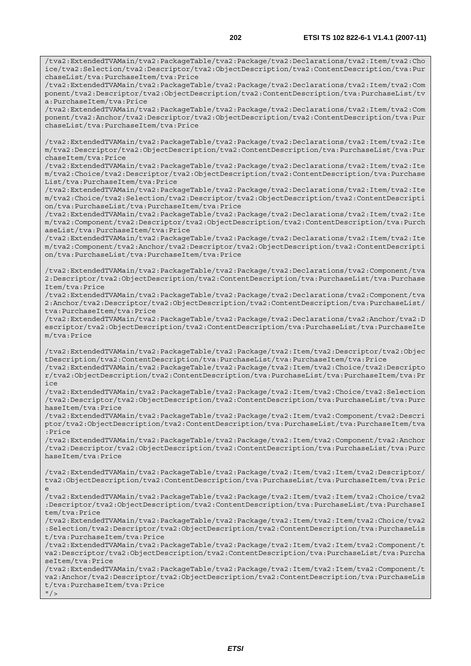/tva2:ExtendedTVAMain/tva2:PackageTable/tva2:Package/tva2:Declarations/tva2:Item/tva2:Cho ice/tva2:Selection/tva2:Descriptor/tva2:ObjectDescription/tva2:ContentDescription/tva:Pur chaseList/tva:PurchaseItem/tva:Price /tva2:ExtendedTVAMain/tva2:PackageTable/tva2:Package/tva2:Declarations/tva2:Item/tva2:Com ponent/tva2:Descriptor/tva2:ObjectDescription/tva2:ContentDescription/tva:PurchaseList/tv

a:PurchaseItem/tva:Price /tva2:ExtendedTVAMain/tva2:PackageTable/tva2:Package/tva2:Declarations/tva2:Item/tva2:Com ponent/tva2:Anchor/tva2:Descriptor/tva2:ObjectDescription/tva2:ContentDescription/tva:Pur chaseList/tva:PurchaseItem/tva:Price

/tva2:ExtendedTVAMain/tva2:PackageTable/tva2:Package/tva2:Declarations/tva2:Item/tva2:Ite m/tva2:Descriptor/tva2:ObjectDescription/tva2:ContentDescription/tva:PurchaseList/tva:Pur chaseItem/tva:Price

/tva2:ExtendedTVAMain/tva2:PackageTable/tva2:Package/tva2:Declarations/tva2:Item/tva2:Ite m/tva2:Choice/tva2:Descriptor/tva2:ObjectDescription/tva2:ContentDescription/tva:Purchase List/tva:PurchaseItem/tva:Price

/tva2:ExtendedTVAMain/tva2:PackageTable/tva2:Package/tva2:Declarations/tva2:Item/tva2:Ite m/tva2:Choice/tva2:Selection/tva2:Descriptor/tva2:ObjectDescription/tva2:ContentDescripti on/tva:PurchaseList/tva:PurchaseItem/tva:Price

/tva2:ExtendedTVAMain/tva2:PackageTable/tva2:Package/tva2:Declarations/tva2:Item/tva2:Ite m/tva2:Component/tva2:Descriptor/tva2:ObjectDescription/tva2:ContentDescription/tva:Purch aseList/tva:PurchaseItem/tva:Price

/tva2:ExtendedTVAMain/tva2:PackageTable/tva2:Package/tva2:Declarations/tva2:Item/tva2:Ite m/tva2:Component/tva2:Anchor/tva2:Descriptor/tva2:ObjectDescription/tva2:ContentDescripti on/tva:PurchaseList/tva:PurchaseItem/tva:Price

/tva2:ExtendedTVAMain/tva2:PackageTable/tva2:Package/tva2:Declarations/tva2:Component/tva 2:Descriptor/tva2:ObjectDescription/tva2:ContentDescription/tva:PurchaseList/tva:Purchase Item/tva:Price

/tva2:ExtendedTVAMain/tva2:PackageTable/tva2:Package/tva2:Declarations/tva2:Component/tva 2:Anchor/tva2:Descriptor/tva2:ObjectDescription/tva2:ContentDescription/tva:PurchaseList/ tva:PurchaseItem/tva:Price

/tva2:ExtendedTVAMain/tva2:PackageTable/tva2:Package/tva2:Declarations/tva2:Anchor/tva2:D escriptor/tva2:ObjectDescription/tva2:ContentDescription/tva:PurchaseList/tva:PurchaseIte m/tva:Price

/tva2:ExtendedTVAMain/tva2:PackageTable/tva2:Package/tva2:Item/tva2:Descriptor/tva2:Objec tDescription/tva2:ContentDescription/tva:PurchaseList/tva:PurchaseItem/tva:Price

/tva2:ExtendedTVAMain/tva2:PackageTable/tva2:Package/tva2:Item/tva2:Choice/tva2:Descripto r/tva2:ObjectDescription/tva2:ContentDescription/tva:PurchaseList/tva:PurchaseItem/tva:Pr ice

/tva2:ExtendedTVAMain/tva2:PackageTable/tva2:Package/tva2:Item/tva2:Choice/tva2:Selection /tva2:Descriptor/tva2:ObjectDescription/tva2:ContentDescription/tva:PurchaseList/tva:Purc haseItem/tva:Price

/tva2:ExtendedTVAMain/tva2:PackageTable/tva2:Package/tva2:Item/tva2:Component/tva2:Descri ptor/tva2:ObjectDescription/tva2:ContentDescription/tva:PurchaseList/tva:PurchaseItem/tva :Price

/tva2:ExtendedTVAMain/tva2:PackageTable/tva2:Package/tva2:Item/tva2:Component/tva2:Anchor /tva2:Descriptor/tva2:ObjectDescription/tva2:ContentDescription/tva:PurchaseList/tva:Purc haseItem/tva:Price

/tva2:ExtendedTVAMain/tva2:PackageTable/tva2:Package/tva2:Item/tva2:Item/tva2:Descriptor/ tva2:ObjectDescription/tva2:ContentDescription/tva:PurchaseList/tva:PurchaseItem/tva:Pric e

/tva2:ExtendedTVAMain/tva2:PackageTable/tva2:Package/tva2:Item/tva2:Item/tva2:Choice/tva2 :Descriptor/tva2:ObjectDescription/tva2:ContentDescription/tva:PurchaseList/tva:PurchaseI tem/tva:Price

/tva2:ExtendedTVAMain/tva2:PackageTable/tva2:Package/tva2:Item/tva2:Item/tva2:Choice/tva2 :Selection/tva2:Descriptor/tva2:ObjectDescription/tva2:ContentDescription/tva:PurchaseLis t/tva:PurchaseItem/tva:Price

/tva2:ExtendedTVAMain/tva2:PackageTable/tva2:Package/tva2:Item/tva2:Item/tva2:Component/t va2:Descriptor/tva2:ObjectDescription/tva2:ContentDescription/tva:PurchaseList/tva:Purcha seItem/tva:Price

/tva2:ExtendedTVAMain/tva2:PackageTable/tva2:Package/tva2:Item/tva2:Item/tva2:Component/t va2:Anchor/tva2:Descriptor/tva2:ObjectDescription/tva2:ContentDescription/tva:PurchaseLis t/tva:PurchaseItem/tva:Price

 $''$  /  $>$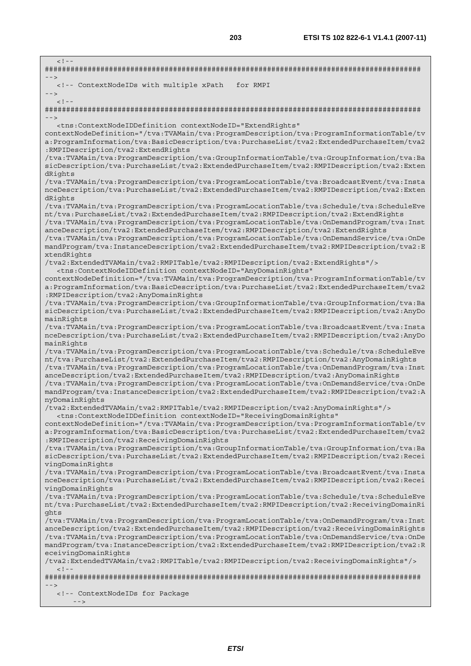$\leq$   $1 - \frac{1}{2}$ ######################################################################################## --> <!-- ContextNodeIDs with multiple xPath for RMPI -->  $<$ ! --######################################################################################## --> <tns:ContextNodeIDDefinition contextNodeID="ExtendRights" contextNodeDefinition="/tva:TVAMain/tva:ProgramDescription/tva:ProgramInformationTable/tv a:ProgramInformation/tva:BasicDescription/tva:PurchaseList/tva2:ExtendedPurchaseItem/tva2 :RMPIDescription/tva2:ExtendRights /tva:TVAMain/tva:ProgramDescription/tva:GroupInformationTable/tva:GroupInformation/tva:Ba sicDescription/tva:PurchaseList/tva2:ExtendedPurchaseItem/tva2:RMPIDescription/tva2:Exten dRights /tva:TVAMain/tva:ProgramDescription/tva:ProgramLocationTable/tva:BroadcastEvent/tva:Insta nceDescription/tva:PurchaseList/tva2:ExtendedPurchaseItem/tva2:RMPIDescription/tva2:Exten dRights /tva:TVAMain/tva:ProgramDescription/tva:ProgramLocationTable/tva:Schedule/tva:ScheduleEve nt/tva:PurchaseList/tva2:ExtendedPurchaseItem/tva2:RMPIDescription/tva2:ExtendRights /tva:TVAMain/tva:ProgramDescription/tva:ProgramLocationTable/tva:OnDemandProgram/tva:Inst anceDescription/tva2:ExtendedPurchaseItem/tva2:RMPIDescription/tva2:ExtendRights /tva:TVAMain/tva:ProgramDescription/tva:ProgramLocationTable/tva:OnDemandService/tva:OnDe mandProgram/tva:InstanceDescription/tva2:ExtendedPurchaseItem/tva2:RMPIDescription/tva2:E xtendRights /tva2:ExtendedTVAMain/tva2:RMPITable/tva2:RMPIDescription/tva2:ExtendRights"/> <tns:ContextNodeIDDefinition contextNodeID="AnyDomainRights" contextNodeDefinition="/tva:TVAMain/tva:ProgramDescription/tva:ProgramInformationTable/tv a:ProgramInformation/tva:BasicDescription/tva:PurchaseList/tva2:ExtendedPurchaseItem/tva2 :RMPIDescription/tva2:AnyDomainRights /tva:TVAMain/tva:ProgramDescription/tva:GroupInformationTable/tva:GroupInformation/tva:Ba sicDescription/tva:PurchaseList/tva2:ExtendedPurchaseItem/tva2:RMPIDescription/tva2:AnyDo mainRights /tva:TVAMain/tva:ProgramDescription/tva:ProgramLocationTable/tva:BroadcastEvent/tva:Insta nceDescription/tva:PurchaseList/tva2:ExtendedPurchaseItem/tva2:RMPIDescription/tva2:AnyDo mainRights /tva:TVAMain/tva:ProgramDescription/tva:ProgramLocationTable/tva:Schedule/tva:ScheduleEve nt/tva:PurchaseList/tva2:ExtendedPurchaseItem/tva2:RMPIDescription/tva2:AnyDomainRights /tva:TVAMain/tva:ProgramDescription/tva:ProgramLocationTable/tva:OnDemandProgram/tva:Inst anceDescription/tva2:ExtendedPurchaseItem/tva2:RMPIDescription/tva2:AnyDomainRights /tva:TVAMain/tva:ProgramDescription/tva:ProgramLocationTable/tva:OnDemandService/tva:OnDe mandProgram/tva:InstanceDescription/tva2:ExtendedPurchaseItem/tva2:RMPIDescription/tva2:A nyDomainRights /tva2:ExtendedTVAMain/tva2:RMPITable/tva2:RMPIDescription/tva2:AnyDomainRights"/> <tns:ContextNodeIDDefinition contextNodeID="ReceivingDomainRights" contextNodeDefinition="/tva:TVAMain/tva:ProgramDescription/tva:ProgramInformationTable/tv a:ProgramInformation/tva:BasicDescription/tva:PurchaseList/tva2:ExtendedPurchaseItem/tva2 :RMPIDescription/tva2:ReceivingDomainRights /tva:TVAMain/tva:ProgramDescription/tva:GroupInformationTable/tva:GroupInformation/tva:Ba sicDescription/tva:PurchaseList/tva2:ExtendedPurchaseItem/tva2:RMPIDescription/tva2:Recei vingDomainRights /tva:TVAMain/tva:ProgramDescription/tva:ProgramLocationTable/tva:BroadcastEvent/tva:Insta nceDescription/tva:PurchaseList/tva2:ExtendedPurchaseItem/tva2:RMPIDescription/tva2:Recei vingDomainRights /tva:TVAMain/tva:ProgramDescription/tva:ProgramLocationTable/tva:Schedule/tva:ScheduleEve nt/tva:PurchaseList/tva2:ExtendedPurchaseItem/tva2:RMPIDescription/tva2:ReceivingDomainRi ghts /tva:TVAMain/tva:ProgramDescription/tva:ProgramLocationTable/tva:OnDemandProgram/tva:Inst anceDescription/tva2:ExtendedPurchaseItem/tva2:RMPIDescription/tva2:ReceivingDomainRights /tva:TVAMain/tva:ProgramDescription/tva:ProgramLocationTable/tva:OnDemandService/tva:OnDe mandProgram/tva:InstanceDescription/tva2:ExtendedPurchaseItem/tva2:RMPIDescription/tva2:R eceivingDomainRights /tva2:ExtendedTVAMain/tva2:RMPITable/tva2:RMPIDescription/tva2:ReceivingDomainRights"/>  $\geq$   $\perp$   $\perp$ ######################################################################################## --> <!-- ContextNodeIDs for Package  $-$  -  $>$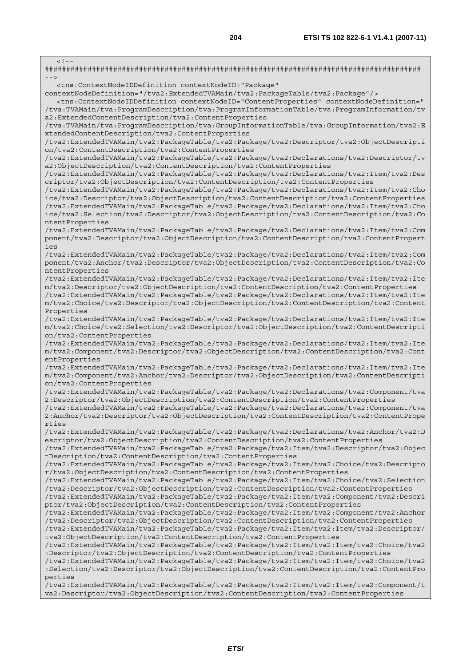$\lt$  !  $-$ ######################################################################################## --> <tns:ContextNodeIDDefinition contextNodeID="Package" contextNodeDefinition="/tva2:ExtendedTVAMain/tva2:PackageTable/tva2:Package"/> <tns:ContextNodeIDDefinition contextNodeID="ContentProperties" contextNodeDefinition=" /tva:TVAMain/tva:ProgramDescription/tva:ProgramInformationTable/tva:ProgramInformation/tv a2:ExtendedContentDescription/tva2:ContentProperties /tva:TVAMain/tva:ProgramDescription/tva:GroupInformationTable/tva:GroupInformation/tva2:E xtendedContentDescription/tva2:ContentProperties /tva2:ExtendedTVAMain/tva2:PackageTable/tva2:Package/tva2:Descriptor/tva2:ObjectDescripti on/tva2:ContentDescription/tva2:ContentProperties /tva2:ExtendedTVAMain/tva2:PackageTable/tva2:Package/tva2:Declarations/tva2:Descriptor/tv a2:ObjectDescription/tva2:ContentDescription/tva2:ContentProperties /tva2:ExtendedTVAMain/tva2:PackageTable/tva2:Package/tva2:Declarations/tva2:Item/tva2:Des criptor/tva2:ObjectDescription/tva2:ContentDescription/tva2:ContentProperties /tva2:ExtendedTVAMain/tva2:PackageTable/tva2:Package/tva2:Declarations/tva2:Item/tva2:Cho ice/tva2:Descriptor/tva2:ObjectDescription/tva2:ContentDescription/tva2:ContentProperties /tva2:ExtendedTVAMain/tva2:PackageTable/tva2:Package/tva2:Declarations/tva2:Item/tva2:Cho ice/tva2:Selection/tva2:Descriptor/tva2:ObjectDescription/tva2:ContentDescription/tva2:Co ntentProperties /tva2:ExtendedTVAMain/tva2:PackageTable/tva2:Package/tva2:Declarations/tva2:Item/tva2:Com ponent/tva2:Descriptor/tva2:ObjectDescription/tva2:ContentDescription/tva2:ContentPropert ies /tva2:ExtendedTVAMain/tva2:PackageTable/tva2:Package/tva2:Declarations/tva2:Item/tva2:Com ponent/tva2:Anchor/tva2:Descriptor/tva2:ObjectDescription/tva2:ContentDescription/tva2:Co ntentProperties /tva2:ExtendedTVAMain/tva2:PackageTable/tva2:Package/tva2:Declarations/tva2:Item/tva2:Ite m/tva2:Descriptor/tva2:ObjectDescription/tva2:ContentDescription/tva2:ContentProperties /tva2:ExtendedTVAMain/tva2:PackageTable/tva2:Package/tva2:Declarations/tva2:Item/tva2:Ite m/tva2:Choice/tva2:Descriptor/tva2:ObjectDescription/tva2:ContentDescription/tva2:Content Properties /tva2:ExtendedTVAMain/tva2:PackageTable/tva2:Package/tva2:Declarations/tva2:Item/tva2:Ite m/tva2:Choice/tva2:Selection/tva2:Descriptor/tva2:ObjectDescription/tva2:ContentDescripti on/tva2:ContentProperties /tva2:ExtendedTVAMain/tva2:PackageTable/tva2:Package/tva2:Declarations/tva2:Item/tva2:Ite m/tva2:Component/tva2:Descriptor/tva2:ObjectDescription/tva2:ContentDescription/tva2:Cont entProperties /tva2:ExtendedTVAMain/tva2:PackageTable/tva2:Package/tva2:Declarations/tva2:Item/tva2:Ite m/tva2:Component/tva2:Anchor/tva2:Descriptor/tva2:ObjectDescription/tva2:ContentDescripti on/tva2:ContentProperties /tva2:ExtendedTVAMain/tva2:PackageTable/tva2:Package/tva2:Declarations/tva2:Component/tva 2:Descriptor/tva2:ObjectDescription/tva2:ContentDescription/tva2:ContentProperties /tva2:ExtendedTVAMain/tva2:PackageTable/tva2:Package/tva2:Declarations/tva2:Component/tva 2:Anchor/tva2:Descriptor/tva2:ObjectDescription/tva2:ContentDescription/tva2:ContentPrope rties /tva2:ExtendedTVAMain/tva2:PackageTable/tva2:Package/tva2:Declarations/tva2:Anchor/tva2:D escriptor/tva2:ObjectDescription/tva2:ContentDescription/tva2:ContentProperties /tva2:ExtendedTVAMain/tva2:PackageTable/tva2:Package/tva2:Item/tva2:Descriptor/tva2:Objec tDescription/tva2:ContentDescription/tva2:ContentProperties /tva2:ExtendedTVAMain/tva2:PackageTable/tva2:Package/tva2:Item/tva2:Choice/tva2:Descripto r/tva2:ObjectDescription/tva2:ContentDescription/tva2:ContentProperties /tva2:ExtendedTVAMain/tva2:PackageTable/tva2:Package/tva2:Item/tva2:Choice/tva2:Selection /tva2:Descriptor/tva2:ObjectDescription/tva2:ContentDescription/tva2:ContentProperties /tva2:ExtendedTVAMain/tva2:PackageTable/tva2:Package/tva2:Item/tva2:Component/tva2:Descri ptor/tva2:ObjectDescription/tva2:ContentDescription/tva2:ContentProperties /tva2:ExtendedTVAMain/tva2:PackageTable/tva2:Package/tva2:Item/tva2:Component/tva2:Anchor /tva2:Descriptor/tva2:ObjectDescription/tva2:ContentDescription/tva2:ContentProperties /tva2:ExtendedTVAMain/tva2:PackageTable/tva2:Package/tva2:Item/tva2:Item/tva2:Descriptor/ tva2:ObjectDescription/tva2:ContentDescription/tva2:ContentProperties /tva2:ExtendedTVAMain/tva2:PackageTable/tva2:Package/tva2:Item/tva2:Item/tva2:Choice/tva2 :Descriptor/tva2:ObjectDescription/tva2:ContentDescription/tva2:ContentProperties /tva2:ExtendedTVAMain/tva2:PackageTable/tva2:Package/tva2:Item/tva2:Item/tva2:Choice/tva2 :Selection/tva2:Descriptor/tva2:ObjectDescription/tva2:ContentDescription/tva2:ContentPro perties /tva2:ExtendedTVAMain/tva2:PackageTable/tva2:Package/tva2:Item/tva2:Item/tva2:Component/t va2:Descriptor/tva2:ObjectDescription/tva2:ContentDescription/tva2:ContentProperties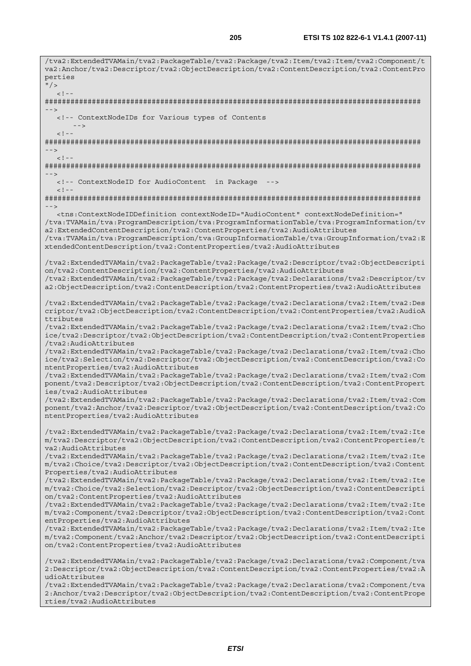/tva2:ExtendedTVAMain/tva2:PackageTable/tva2:Package/tva2:Item/tva2:Item/tva2:Component/t va2:Anchor/tva2:Descriptor/tva2:ObjectDescription/tva2:ContentDescription/tva2:ContentPro perties  $\mathsf{H}/\mathsf{S}$  $\geq$  1  $-$ ######################################################################################## --> <!-- ContextNodeIDs for Various types of Contents -->  $<$ ! - -######################################################################################## -->  $\langle$ ! -######################################################################################## --> <!-- ContextNodeID for AudioContent in Package -->  $<$ ! --######################################################################################## --> <tns:ContextNodeIDDefinition contextNodeID="AudioContent" contextNodeDefinition=" /tva:TVAMain/tva:ProgramDescription/tva:ProgramInformationTable/tva:ProgramInformation/tv a2:ExtendedContentDescription/tva2:ContentProperties/tva2:AudioAttributes /tva:TVAMain/tva:ProgramDescription/tva:GroupInformationTable/tva:GroupInformation/tva2:E xtendedContentDescription/tva2:ContentProperties/tva2:AudioAttributes /tva2:ExtendedTVAMain/tva2:PackageTable/tva2:Package/tva2:Descriptor/tva2:ObjectDescripti on/tva2:ContentDescription/tva2:ContentProperties/tva2:AudioAttributes /tva2:ExtendedTVAMain/tva2:PackageTable/tva2:Package/tva2:Declarations/tva2:Descriptor/tv a2:ObjectDescription/tva2:ContentDescription/tva2:ContentProperties/tva2:AudioAttributes /tva2:ExtendedTVAMain/tva2:PackageTable/tva2:Package/tva2:Declarations/tva2:Item/tva2:Des criptor/tva2:ObjectDescription/tva2:ContentDescription/tva2:ContentProperties/tva2:AudioA ttributes /tva2:ExtendedTVAMain/tva2:PackageTable/tva2:Package/tva2:Declarations/tva2:Item/tva2:Cho ice/tva2:Descriptor/tva2:ObjectDescription/tva2:ContentDescription/tva2:ContentProperties /tva2:AudioAttributes /tva2:ExtendedTVAMain/tva2:PackageTable/tva2:Package/tva2:Declarations/tva2:Item/tva2:Cho ice/tva2:Selection/tva2:Descriptor/tva2:ObjectDescription/tva2:ContentDescription/tva2:Co ntentProperties/tva2:AudioAttributes /tva2:ExtendedTVAMain/tva2:PackageTable/tva2:Package/tva2:Declarations/tva2:Item/tva2:Com ponent/tva2:Descriptor/tva2:ObjectDescription/tva2:ContentDescription/tva2:ContentPropert ies/tva2:AudioAttributes /tva2:ExtendedTVAMain/tva2:PackageTable/tva2:Package/tva2:Declarations/tva2:Item/tva2:Com ponent/tva2:Anchor/tva2:Descriptor/tva2:ObjectDescription/tva2:ContentDescription/tva2:Co ntentProperties/tva2:AudioAttributes /tva2:ExtendedTVAMain/tva2:PackageTable/tva2:Package/tva2:Declarations/tva2:Item/tva2:Ite m/tva2:Descriptor/tva2:ObjectDescription/tva2:ContentDescription/tva2:ContentProperties/t va2:AudioAttributes /tva2:ExtendedTVAMain/tva2:PackageTable/tva2:Package/tva2:Declarations/tva2:Item/tva2:Ite m/tva2:Choice/tva2:Descriptor/tva2:ObjectDescription/tva2:ContentDescription/tva2:Content Properties/tva2:AudioAttributes /tva2:ExtendedTVAMain/tva2:PackageTable/tva2:Package/tva2:Declarations/tva2:Item/tva2:Ite m/tva2:Choice/tva2:Selection/tva2:Descriptor/tva2:ObjectDescription/tva2:ContentDescripti on/tva2:ContentProperties/tva2:AudioAttributes /tva2:ExtendedTVAMain/tva2:PackageTable/tva2:Package/tva2:Declarations/tva2:Item/tva2:Ite m/tva2:Component/tva2:Descriptor/tva2:ObjectDescription/tva2:ContentDescription/tva2:Cont entProperties/tva2:AudioAttributes /tva2:ExtendedTVAMain/tva2:PackageTable/tva2:Package/tva2:Declarations/tva2:Item/tva2:Ite m/tva2:Component/tva2:Anchor/tva2:Descriptor/tva2:ObjectDescription/tva2:ContentDescripti on/tva2:ContentProperties/tva2:AudioAttributes /tva2:ExtendedTVAMain/tva2:PackageTable/tva2:Package/tva2:Declarations/tva2:Component/tva 2:Descriptor/tva2:ObjectDescription/tva2:ContentDescription/tva2:ContentProperties/tva2:A udioAttributes /tva2:ExtendedTVAMain/tva2:PackageTable/tva2:Package/tva2:Declarations/tva2:Component/tva 2:Anchor/tva2:Descriptor/tva2:ObjectDescription/tva2:ContentDescription/tva2:ContentPrope rties/tva2:AudioAttributes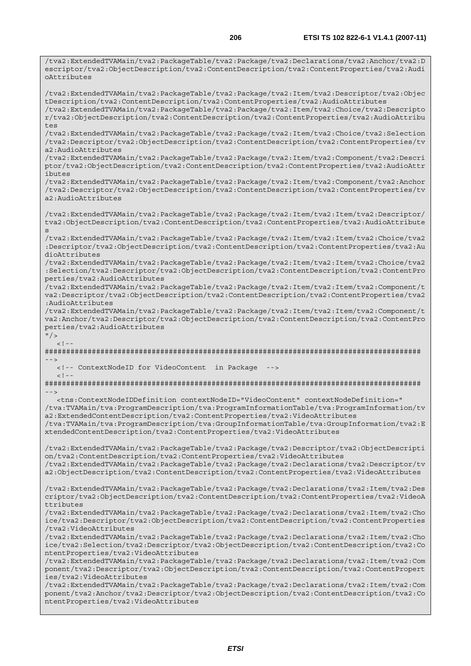/tva2:ExtendedTVAMain/tva2:PackageTable/tva2:Package/tva2:Declarations/tva2:Anchor/tva2:D

escriptor/tva2:ObjectDescription/tva2:ContentDescription/tva2:ContentProperties/tva2:Audi oAttributes /tva2:ExtendedTVAMain/tva2:PackageTable/tva2:Package/tva2:Item/tva2:Descriptor/tva2:Objec tDescription/tva2:ContentDescription/tva2:ContentProperties/tva2:AudioAttributes /tva2:ExtendedTVAMain/tva2:PackageTable/tva2:Package/tva2:Item/tva2:Choice/tva2:Descripto r/tva2:ObjectDescription/tva2:ContentDescription/tva2:ContentProperties/tva2:AudioAttribu  $t \geq t$ /tva2:ExtendedTVAMain/tva2:PackageTable/tva2:Package/tva2:Item/tva2:Choice/tva2:Selection /tva2:Descriptor/tva2:ObjectDescription/tva2:ContentDescription/tva2:ContentProperties/tv a2:AudioAttributes /tva2:ExtendedTVAMain/tva2:PackageTable/tva2:Package/tva2:Item/tva2:Component/tva2:Descri ptor/tva2:ObjectDescription/tva2:ContentDescription/tva2:ContentProperties/tva2:AudioAttr ibutes /tva2:ExtendedTVAMain/tva2:PackageTable/tva2:Package/tva2:Item/tva2:Component/tva2:Anchor /tva2:Descriptor/tva2:ObjectDescription/tva2:ContentDescription/tva2:ContentProperties/tv a2:AudioAttributes /tva2:ExtendedTVAMain/tva2:PackageTable/tva2:Package/tva2:Item/tva2:Item/tva2:Descriptor/ tva2:ObjectDescription/tva2:ContentDescription/tva2:ContentProperties/tva2:AudioAttribute s /tva2:ExtendedTVAMain/tva2:PackageTable/tva2:Package/tva2:Item/tva2:Item/tva2:Choice/tva2 :Descriptor/tva2:ObjectDescription/tva2:ContentDescription/tva2:ContentProperties/tva2:Au dioAttributes /tva2:ExtendedTVAMain/tva2:PackageTable/tva2:Package/tva2:Item/tva2:Item/tva2:Choice/tva2 :Selection/tva2:Descriptor/tva2:ObjectDescription/tva2:ContentDescription/tva2:ContentPro perties/tva2:AudioAttributes /tva2:ExtendedTVAMain/tva2:PackageTable/tva2:Package/tva2:Item/tva2:Item/tva2:Component/t va2:Descriptor/tva2:ObjectDescription/tva2:ContentDescription/tva2:ContentProperties/tva2 :AudioAttributes /tva2:ExtendedTVAMain/tva2:PackageTable/tva2:Package/tva2:Item/tva2:Item/tva2:Component/t va2:Anchor/tva2:Descriptor/tva2:ObjectDescription/tva2:ContentDescription/tva2:ContentPro perties/tva2:AudioAttributes  $"$  / >  $< ! - -$ ######################################################################################## --> <!-- ContextNodeID for VideoContent in Package -->  $<$ ! - -######################################################################################## --> <tns:ContextNodeIDDefinition contextNodeID="VideoContent" contextNodeDefinition=" /tva:TVAMain/tva:ProgramDescription/tva:ProgramInformationTable/tva:ProgramInformation/tv a2:ExtendedContentDescription/tva2:ContentProperties/tva2:VideoAttributes /tva:TVAMain/tva:ProgramDescription/tva:GroupInformationTable/tva:GroupInformation/tva2:E xtendedContentDescription/tva2:ContentProperties/tva2:VideoAttributes /tva2:ExtendedTVAMain/tva2:PackageTable/tva2:Package/tva2:Descriptor/tva2:ObjectDescripti on/tva2:ContentDescription/tva2:ContentProperties/tva2:VideoAttributes /tva2:ExtendedTVAMain/tva2:PackageTable/tva2:Package/tva2:Declarations/tva2:Descriptor/tv a2:ObjectDescription/tva2:ContentDescription/tva2:ContentProperties/tva2:VideoAttributes /tva2:ExtendedTVAMain/tva2:PackageTable/tva2:Package/tva2:Declarations/tva2:Item/tva2:Des criptor/tva2:ObjectDescription/tva2:ContentDescription/tva2:ContentProperties/tva2:VideoA ttributes /tva2:ExtendedTVAMain/tva2:PackageTable/tva2:Package/tva2:Declarations/tva2:Item/tva2:Cho ice/tva2:Descriptor/tva2:ObjectDescription/tva2:ContentDescription/tva2:ContentProperties /tva2:VideoAttributes /tva2:ExtendedTVAMain/tva2:PackageTable/tva2:Package/tva2:Declarations/tva2:Item/tva2:Cho ice/tva2:Selection/tva2:Descriptor/tva2:ObjectDescription/tva2:ContentDescription/tva2:Co ntentProperties/tva2:VideoAttributes /tva2:ExtendedTVAMain/tva2:PackageTable/tva2:Package/tva2:Declarations/tva2:Item/tva2:Com ponent/tva2:Descriptor/tva2:ObjectDescription/tva2:ContentDescription/tva2:ContentPropert ies/tva2:VideoAttributes /tva2:ExtendedTVAMain/tva2:PackageTable/tva2:Package/tva2:Declarations/tva2:Item/tva2:Com ponent/tva2:Anchor/tva2:Descriptor/tva2:ObjectDescription/tva2:ContentDescription/tva2:Co ntentProperties/tva2:VideoAttributes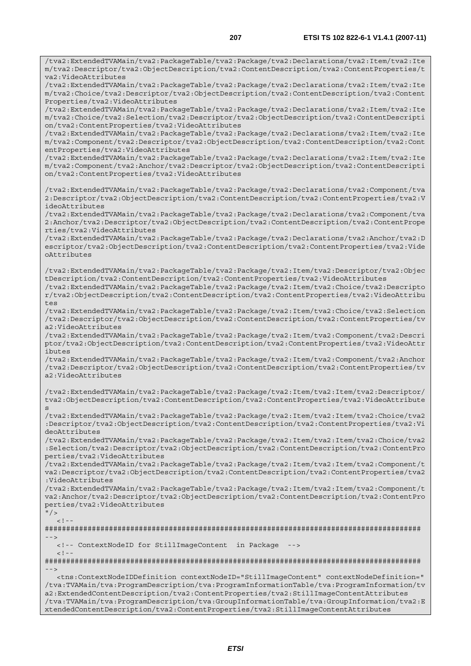/tva2:ExtendedTVAMain/tva2:PackageTable/tva2:Package/tva2:Declarations/tva2:Item/tva2:Ite

m/tva2:Descriptor/tva2:ObjectDescription/tva2:ContentDescription/tva2:ContentProperties/t va2:VideoAttributes /tva2:ExtendedTVAMain/tva2:PackageTable/tva2:Package/tva2:Declarations/tva2:Item/tva2:Ite m/tva2:Choice/tva2:Descriptor/tva2:ObjectDescription/tva2:ContentDescription/tva2:Content Properties/tva2:VideoAttributes /tva2:ExtendedTVAMain/tva2:PackageTable/tva2:Package/tva2:Declarations/tva2:Item/tva2:Ite m/tva2:Choice/tva2:Selection/tva2:Descriptor/tva2:ObjectDescription/tva2:ContentDescripti on/tva2:ContentProperties/tva2:VideoAttributes /tva2:ExtendedTVAMain/tva2:PackageTable/tva2:Package/tva2:Declarations/tva2:Item/tva2:Ite m/tva2:Component/tva2:Descriptor/tva2:ObjectDescription/tva2:ContentDescription/tva2:Cont entProperties/tva2:VideoAttributes /tva2:ExtendedTVAMain/tva2:PackageTable/tva2:Package/tva2:Declarations/tva2:Item/tva2:Ite m/tva2:Component/tva2:Anchor/tva2:Descriptor/tva2:ObjectDescription/tva2:ContentDescripti on/tva2:ContentProperties/tva2:VideoAttributes /tva2:ExtendedTVAMain/tva2:PackageTable/tva2:Package/tva2:Declarations/tva2:Component/tva 2:Descriptor/tva2:ObjectDescription/tva2:ContentDescription/tva2:ContentProperties/tva2:V ideoAttributes /tva2:ExtendedTVAMain/tva2:PackageTable/tva2:Package/tva2:Declarations/tva2:Component/tva 2:Anchor/tva2:Descriptor/tva2:ObjectDescription/tva2:ContentDescription/tva2:ContentPrope rties/tva2:VideoAttributes /tva2:ExtendedTVAMain/tva2:PackageTable/tva2:Package/tva2:Declarations/tva2:Anchor/tva2:D escriptor/tva2:ObjectDescription/tva2:ContentDescription/tva2:ContentProperties/tva2:Vide oAttributes /tva2:ExtendedTVAMain/tva2:PackageTable/tva2:Package/tva2:Item/tva2:Descriptor/tva2:Objec tDescription/tva2:ContentDescription/tva2:ContentProperties/tva2:VideoAttributes /tva2:ExtendedTVAMain/tva2:PackageTable/tva2:Package/tva2:Item/tva2:Choice/tva2:Descripto r/tva2:ObjectDescription/tva2:ContentDescription/tva2:ContentProperties/tva2:VideoAttribu tes /tva2:ExtendedTVAMain/tva2:PackageTable/tva2:Package/tva2:Item/tva2:Choice/tva2:Selection /tva2:Descriptor/tva2:ObjectDescription/tva2:ContentDescription/tva2:ContentProperties/tv a2:VideoAttributes /tva2:ExtendedTVAMain/tva2:PackageTable/tva2:Package/tva2:Item/tva2:Component/tva2:Descri ptor/tva2:ObjectDescription/tva2:ContentDescription/tva2:ContentProperties/tva2:VideoAttr ibutes /tva2:ExtendedTVAMain/tva2:PackageTable/tva2:Package/tva2:Item/tva2:Component/tva2:Anchor /tva2:Descriptor/tva2:ObjectDescription/tva2:ContentDescription/tva2:ContentProperties/tv a2:VideoAttributes /tva2:ExtendedTVAMain/tva2:PackageTable/tva2:Package/tva2:Item/tva2:Item/tva2:Descriptor/ tva2:ObjectDescription/tva2:ContentDescription/tva2:ContentProperties/tva2:VideoAttribute /tva2:ExtendedTVAMain/tva2:PackageTable/tva2:Package/tva2:Item/tva2:Item/tva2:Choice/tva2 :Descriptor/tva2:ObjectDescription/tva2:ContentDescription/tva2:ContentProperties/tva2:Vi deoAttributes /tva2:ExtendedTVAMain/tva2:PackageTable/tva2:Package/tva2:Item/tva2:Item/tva2:Choice/tva2 :Selection/tva2:Descriptor/tva2:ObjectDescription/tva2:ContentDescription/tva2:ContentPro perties/tva2:VideoAttributes /tva2:ExtendedTVAMain/tva2:PackageTable/tva2:Package/tva2:Item/tva2:Item/tva2:Component/t va2:Descriptor/tva2:ObjectDescription/tva2:ContentDescription/tva2:ContentProperties/tva2 :VideoAttributes /tva2:ExtendedTVAMain/tva2:PackageTable/tva2:Package/tva2:Item/tva2:Item/tva2:Component/t va2:Anchor/tva2:Descriptor/tva2:ObjectDescription/tva2:ContentDescription/tva2:ContentPro perties/tva2:VideoAttributes  $"$  / >  $\geq$   $\frac{1}{2}$ . ######################################################################################## --> <!-- ContextNodeID for StillImageContent in Package -->  $\lt$  ! - -######################################################################################## --> <tns:ContextNodeIDDefinition contextNodeID="StillImageContent" contextNodeDefinition=" /tva:TVAMain/tva:ProgramDescription/tva:ProgramInformationTable/tva:ProgramInformation/tv a2:ExtendedContentDescription/tva2:ContentProperties/tva2:StillImageContentAttributes /tva:TVAMain/tva:ProgramDescription/tva:GroupInformationTable/tva:GroupInformation/tva2:E

s

xtendedContentDescription/tva2:ContentProperties/tva2:StillImageContentAttributes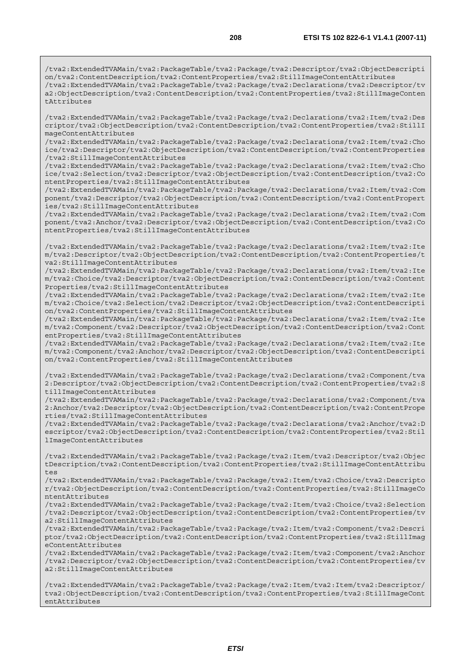/tva2:ExtendedTVAMain/tva2:PackageTable/tva2:Package/tva2:Descriptor/tva2:ObjectDescripti on/tva2:ContentDescription/tva2:ContentProperties/tva2:StillImageContentAttributes /tva2:ExtendedTVAMain/tva2:PackageTable/tva2:Package/tva2:Declarations/tva2:Descriptor/tv a2:ObjectDescription/tva2:ContentDescription/tva2:ContentProperties/tva2:StillImageConten tAttributes

/tva2:ExtendedTVAMain/tva2:PackageTable/tva2:Package/tva2:Declarations/tva2:Item/tva2:Des criptor/tva2:ObjectDescription/tva2:ContentDescription/tva2:ContentProperties/tva2:StillI mageContentAttributes

/tva2:ExtendedTVAMain/tva2:PackageTable/tva2:Package/tva2:Declarations/tva2:Item/tva2:Cho ice/tva2:Descriptor/tva2:ObjectDescription/tva2:ContentDescription/tva2:ContentProperties /tva2:StillImageContentAttributes

/tva2:ExtendedTVAMain/tva2:PackageTable/tva2:Package/tva2:Declarations/tva2:Item/tva2:Cho ice/tva2:Selection/tva2:Descriptor/tva2:ObjectDescription/tva2:ContentDescription/tva2:Co ntentProperties/tva2:StillImageContentAttributes

/tva2:ExtendedTVAMain/tva2:PackageTable/tva2:Package/tva2:Declarations/tva2:Item/tva2:Com ponent/tva2:Descriptor/tva2:ObjectDescription/tva2:ContentDescription/tva2:ContentPropert ies/tva2:StillImageContentAttributes

/tva2:ExtendedTVAMain/tva2:PackageTable/tva2:Package/tva2:Declarations/tva2:Item/tva2:Com ponent/tva2:Anchor/tva2:Descriptor/tva2:ObjectDescription/tva2:ContentDescription/tva2:Co ntentProperties/tva2:StillImageContentAttributes

/tva2:ExtendedTVAMain/tva2:PackageTable/tva2:Package/tva2:Declarations/tva2:Item/tva2:Ite m/tva2:Descriptor/tva2:ObjectDescription/tva2:ContentDescription/tva2:ContentProperties/t va2:StillImageContentAttributes

/tva2:ExtendedTVAMain/tva2:PackageTable/tva2:Package/tva2:Declarations/tva2:Item/tva2:Ite m/tva2:Choice/tva2:Descriptor/tva2:ObjectDescription/tva2:ContentDescription/tva2:Content Properties/tva2:StillImageContentAttributes

/tva2:ExtendedTVAMain/tva2:PackageTable/tva2:Package/tva2:Declarations/tva2:Item/tva2:Ite m/tva2:Choice/tva2:Selection/tva2:Descriptor/tva2:ObjectDescription/tva2:ContentDescripti on/tva2:ContentProperties/tva2:StillImageContentAttributes

/tva2:ExtendedTVAMain/tva2:PackageTable/tva2:Package/tva2:Declarations/tva2:Item/tva2:Ite m/tva2:Component/tva2:Descriptor/tva2:ObjectDescription/tva2:ContentDescription/tva2:Cont entProperties/tva2:StillImageContentAttributes

/tva2:ExtendedTVAMain/tva2:PackageTable/tva2:Package/tva2:Declarations/tva2:Item/tva2:Ite m/tva2:Component/tva2:Anchor/tva2:Descriptor/tva2:ObjectDescription/tva2:ContentDescripti on/tva2:ContentProperties/tva2:StillImageContentAttributes

/tva2:ExtendedTVAMain/tva2:PackageTable/tva2:Package/tva2:Declarations/tva2:Component/tva 2:Descriptor/tva2:ObjectDescription/tva2:ContentDescription/tva2:ContentProperties/tva2:S tillImageContentAttributes

/tva2:ExtendedTVAMain/tva2:PackageTable/tva2:Package/tva2:Declarations/tva2:Component/tva 2:Anchor/tva2:Descriptor/tva2:ObjectDescription/tva2:ContentDescription/tva2:ContentPrope rties/tva2:StillImageContentAttributes

/tva2:ExtendedTVAMain/tva2:PackageTable/tva2:Package/tva2:Declarations/tva2:Anchor/tva2:D escriptor/tva2:ObjectDescription/tva2:ContentDescription/tva2:ContentProperties/tva2:Stil lImageContentAttributes

/tva2:ExtendedTVAMain/tva2:PackageTable/tva2:Package/tva2:Item/tva2:Descriptor/tva2:Objec tDescription/tva2:ContentDescription/tva2:ContentProperties/tva2:StillImageContentAttribu tes

/tva2:ExtendedTVAMain/tva2:PackageTable/tva2:Package/tva2:Item/tva2:Choice/tva2:Descripto r/tva2:ObjectDescription/tva2:ContentDescription/tva2:ContentProperties/tva2:StillImageCo ntentAttributes

/tva2:ExtendedTVAMain/tva2:PackageTable/tva2:Package/tva2:Item/tva2:Choice/tva2:Selection /tva2:Descriptor/tva2:ObjectDescription/tva2:ContentDescription/tva2:ContentProperties/tv a2:StillImageContentAttributes

/tva2:ExtendedTVAMain/tva2:PackageTable/tva2:Package/tva2:Item/tva2:Component/tva2:Descri ptor/tva2:ObjectDescription/tva2:ContentDescription/tva2:ContentProperties/tva2:StillImag eContentAttributes

/tva2:ExtendedTVAMain/tva2:PackageTable/tva2:Package/tva2:Item/tva2:Component/tva2:Anchor /tva2:Descriptor/tva2:ObjectDescription/tva2:ContentDescription/tva2:ContentProperties/tv a2:StillImageContentAttributes

/tva2:ExtendedTVAMain/tva2:PackageTable/tva2:Package/tva2:Item/tva2:Item/tva2:Descriptor/ tva2:ObjectDescription/tva2:ContentDescription/tva2:ContentProperties/tva2:StillImageCont entAttributes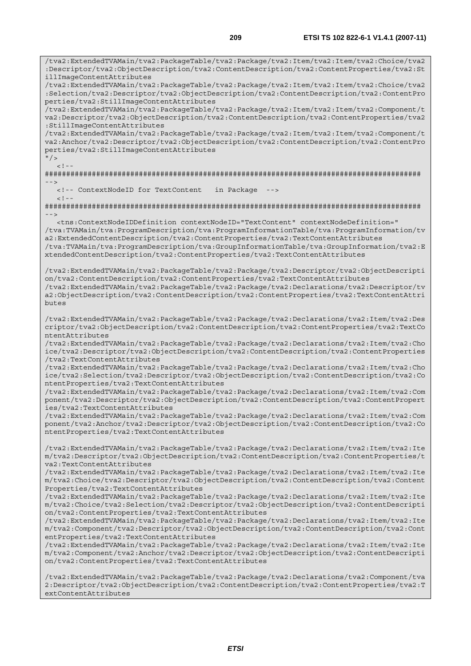/tva2:ExtendedTVAMain/tva2:PackageTable/tva2:Package/tva2:Item/tva2:Item/tva2:Choice/tva2 :Descriptor/tva2:ObjectDescription/tva2:ContentDescription/tva2:ContentProperties/tva2:St illImageContentAttributes /tva2:ExtendedTVAMain/tva2:PackageTable/tva2:Package/tva2:Item/tva2:Item/tva2:Choice/tva2 :Selection/tva2:Descriptor/tva2:ObjectDescription/tva2:ContentDescription/tva2:ContentPro perties/tva2:StillImageContentAttributes /tva2:ExtendedTVAMain/tva2:PackageTable/tva2:Package/tva2:Item/tva2:Item/tva2:Component/t va2:Descriptor/tva2:ObjectDescription/tva2:ContentDescription/tva2:ContentProperties/tva2 :StillImageContentAttributes /tva2:ExtendedTVAMain/tva2:PackageTable/tva2:Package/tva2:Item/tva2:Item/tva2:Component/t va2:Anchor/tva2:Descriptor/tva2:ObjectDescription/tva2:ContentDescription/tva2:ContentPro perties/tva2:StillImageContentAttributes  $\frac{1}{2}$  $\geq$  1 ######################################################################################## --> <!-- ContextNodeID for TextContent in Package -->  $<$ ! --######################################################################################## --> <tns:ContextNodeIDDefinition contextNodeID="TextContent" contextNodeDefinition=" /tva:TVAMain/tva:ProgramDescription/tva:ProgramInformationTable/tva:ProgramInformation/tv a2:ExtendedContentDescription/tva2:ContentProperties/tva2:TextContentAttributes /tva:TVAMain/tva:ProgramDescription/tva:GroupInformationTable/tva:GroupInformation/tva2:E xtendedContentDescription/tva2:ContentProperties/tva2:TextContentAttributes /tva2:ExtendedTVAMain/tva2:PackageTable/tva2:Package/tva2:Descriptor/tva2:ObjectDescripti on/tva2:ContentDescription/tva2:ContentProperties/tva2:TextContentAttributes /tva2:ExtendedTVAMain/tva2:PackageTable/tva2:Package/tva2:Declarations/tva2:Descriptor/tv a2:ObjectDescription/tva2:ContentDescription/tva2:ContentProperties/tva2:TextContentAttri butes /tva2:ExtendedTVAMain/tva2:PackageTable/tva2:Package/tva2:Declarations/tva2:Item/tva2:Des criptor/tva2:ObjectDescription/tva2:ContentDescription/tva2:ContentProperties/tva2:TextCo ntentAttributes /tva2:ExtendedTVAMain/tva2:PackageTable/tva2:Package/tva2:Declarations/tva2:Item/tva2:Cho ice/tva2:Descriptor/tva2:ObjectDescription/tva2:ContentDescription/tva2:ContentProperties /tva2:TextContentAttributes /tva2:ExtendedTVAMain/tva2:PackageTable/tva2:Package/tva2:Declarations/tva2:Item/tva2:Cho ice/tva2:Selection/tva2:Descriptor/tva2:ObjectDescription/tva2:ContentDescription/tva2:Co ntentProperties/tva2:TextContentAttributes /tva2:ExtendedTVAMain/tva2:PackageTable/tva2:Package/tva2:Declarations/tva2:Item/tva2:Com ponent/tva2:Descriptor/tva2:ObjectDescription/tva2:ContentDescription/tva2:ContentPropert ies/tva2:TextContentAttributes /tva2:ExtendedTVAMain/tva2:PackageTable/tva2:Package/tva2:Declarations/tva2:Item/tva2:Com ponent/tva2:Anchor/tva2:Descriptor/tva2:ObjectDescription/tva2:ContentDescription/tva2:Co ntentProperties/tva2:TextContentAttributes /tva2:ExtendedTVAMain/tva2:PackageTable/tva2:Package/tva2:Declarations/tva2:Item/tva2:Ite m/tva2:Descriptor/tva2:ObjectDescription/tva2:ContentDescription/tva2:ContentProperties/t va2:TextContentAttributes /tva2:ExtendedTVAMain/tva2:PackageTable/tva2:Package/tva2:Declarations/tva2:Item/tva2:Ite m/tva2:Choice/tva2:Descriptor/tva2:ObjectDescription/tva2:ContentDescription/tva2:Content Properties/tva2:TextContentAttributes /tva2:ExtendedTVAMain/tva2:PackageTable/tva2:Package/tva2:Declarations/tva2:Item/tva2:Ite m/tva2:Choice/tva2:Selection/tva2:Descriptor/tva2:ObjectDescription/tva2:ContentDescripti on/tva2:ContentProperties/tva2:TextContentAttributes /tva2:ExtendedTVAMain/tva2:PackageTable/tva2:Package/tva2:Declarations/tva2:Item/tva2:Ite m/tva2:Component/tva2:Descriptor/tva2:ObjectDescription/tva2:ContentDescription/tva2:Cont entProperties/tva2:TextContentAttributes /tva2:ExtendedTVAMain/tva2:PackageTable/tva2:Package/tva2:Declarations/tva2:Item/tva2:Ite m/tva2:Component/tva2:Anchor/tva2:Descriptor/tva2:ObjectDescription/tva2:ContentDescripti on/tva2:ContentProperties/tva2:TextContentAttributes

/tva2:ExtendedTVAMain/tva2:PackageTable/tva2:Package/tva2:Declarations/tva2:Component/tva 2:Descriptor/tva2:ObjectDescription/tva2:ContentDescription/tva2:ContentProperties/tva2:T extContentAttributes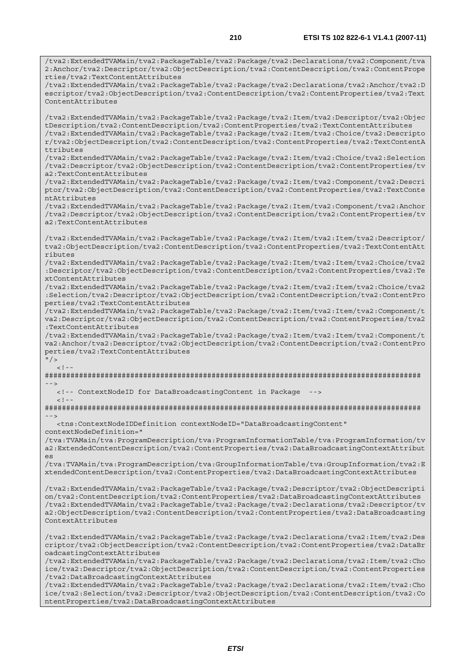/tva2:ExtendedTVAMain/tva2:PackageTable/tva2:Package/tva2:Declarations/tva2:Component/tva 2:Anchor/tva2:Descriptor/tva2:ObjectDescription/tva2:ContentDescription/tva2:ContentPrope rties/tva2:TextContentAttributes /tva2:ExtendedTVAMain/tva2:PackageTable/tva2:Package/tva2:Declarations/tva2:Anchor/tva2:D escriptor/tva2:ObjectDescription/tva2:ContentDescription/tva2:ContentProperties/tva2:Text ContentAttributes /tva2:ExtendedTVAMain/tva2:PackageTable/tva2:Package/tva2:Item/tva2:Descriptor/tva2:Objec tDescription/tva2:ContentDescription/tva2:ContentProperties/tva2:TextContentAttributes /tva2:ExtendedTVAMain/tva2:PackageTable/tva2:Package/tva2:Item/tva2:Choice/tva2:Descripto r/tva2:ObjectDescription/tva2:ContentDescription/tva2:ContentProperties/tva2:TextContentA ttributes /tva2:ExtendedTVAMain/tva2:PackageTable/tva2:Package/tva2:Item/tva2:Choice/tva2:Selection /tva2:Descriptor/tva2:ObjectDescription/tva2:ContentDescription/tva2:ContentProperties/tv a2:TextContentAttributes /tva2:ExtendedTVAMain/tva2:PackageTable/tva2:Package/tva2:Item/tva2:Component/tva2:Descri ptor/tva2:ObjectDescription/tva2:ContentDescription/tva2:ContentProperties/tva2:TextConte ntAttributes /tva2:ExtendedTVAMain/tva2:PackageTable/tva2:Package/tva2:Item/tva2:Component/tva2:Anchor /tva2:Descriptor/tva2:ObjectDescription/tva2:ContentDescription/tva2:ContentProperties/tv a2:TextContentAttributes /tva2:ExtendedTVAMain/tva2:PackageTable/tva2:Package/tva2:Item/tva2:Item/tva2:Descriptor/ tva2:ObjectDescription/tva2:ContentDescription/tva2:ContentProperties/tva2:TextContentAtt ributes /tva2:ExtendedTVAMain/tva2:PackageTable/tva2:Package/tva2:Item/tva2:Item/tva2:Choice/tva2 :Descriptor/tva2:ObjectDescription/tva2:ContentDescription/tva2:ContentProperties/tva2:Te xtContentAttributes /tva2:ExtendedTVAMain/tva2:PackageTable/tva2:Package/tva2:Item/tva2:Item/tva2:Choice/tva2 :Selection/tva2:Descriptor/tva2:ObjectDescription/tva2:ContentDescription/tva2:ContentPro perties/tva2:TextContentAttributes /tva2:ExtendedTVAMain/tva2:PackageTable/tva2:Package/tva2:Item/tva2:Item/tva2:Component/t va2:Descriptor/tva2:ObjectDescription/tva2:ContentDescription/tva2:ContentProperties/tva2 :TextContentAttributes /tva2:ExtendedTVAMain/tva2:PackageTable/tva2:Package/tva2:Item/tva2:Item/tva2:Component/t va2:Anchor/tva2:Descriptor/tva2:ObjectDescription/tva2:ContentDescription/tva2:ContentPro perties/tva2:TextContentAttributes  $"$  / >  $\geq 1$   $-$ ######################################################################################## --> <!-- ContextNodeID for DataBroadcastingContent in Package -->  $<$ ! --######################################################################################## --> <tns:ContextNodeIDDefinition contextNodeID="DataBroadcastingContent" contextNodeDefinition=" /tva:TVAMain/tva:ProgramDescription/tva:ProgramInformationTable/tva:ProgramInformation/tv a2:ExtendedContentDescription/tva2:ContentProperties/tva2:DataBroadcastingContextAttribut es /tva:TVAMain/tva:ProgramDescription/tva:GroupInformationTable/tva:GroupInformation/tva2:E xtendedContentDescription/tva2:ContentProperties/tva2:DataBroadcastingContextAttributes /tva2:ExtendedTVAMain/tva2:PackageTable/tva2:Package/tva2:Descriptor/tva2:ObjectDescripti on/tva2:ContentDescription/tva2:ContentProperties/tva2:DataBroadcastingContextAttributes /tva2:ExtendedTVAMain/tva2:PackageTable/tva2:Package/tva2:Declarations/tva2:Descriptor/tv a2:ObjectDescription/tva2:ContentDescription/tva2:ContentProperties/tva2:DataBroadcasting ContextAttributes /tva2:ExtendedTVAMain/tva2:PackageTable/tva2:Package/tva2:Declarations/tva2:Item/tva2:Des criptor/tva2:ObjectDescription/tva2:ContentDescription/tva2:ContentProperties/tva2:DataBr oadcastingContextAttributes /tva2:ExtendedTVAMain/tva2:PackageTable/tva2:Package/tva2:Declarations/tva2:Item/tva2:Cho ice/tva2:Descriptor/tva2:ObjectDescription/tva2:ContentDescription/tva2:ContentProperties /tva2:DataBroadcastingContextAttributes /tva2:ExtendedTVAMain/tva2:PackageTable/tva2:Package/tva2:Declarations/tva2:Item/tva2:Cho

ice/tva2:Selection/tva2:Descriptor/tva2:ObjectDescription/tva2:ContentDescription/tva2:Co ntentProperties/tva2:DataBroadcastingContextAttributes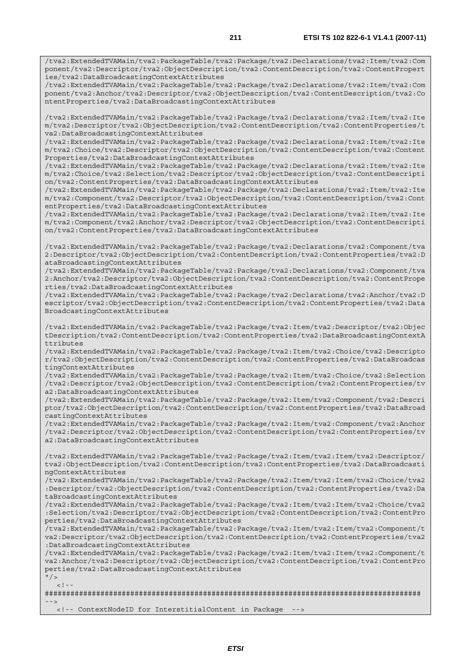/tva2:ExtendedTVAMain/tva2:PackageTable/tva2:Package/tva2:Declarations/tva2:Item/tva2:Com ponent/tva2:Descriptor/tva2:ObjectDescription/tva2:ContentDescription/tva2:ContentPropert ies/tva2:DataBroadcastingContextAttributes

/tva2:ExtendedTVAMain/tva2:PackageTable/tva2:Package/tva2:Declarations/tva2:Item/tva2:Com ponent/tva2:Anchor/tva2:Descriptor/tva2:ObjectDescription/tva2:ContentDescription/tva2:Co ntentProperties/tva2:DataBroadcastingContextAttributes

/tva2:ExtendedTVAMain/tva2:PackageTable/tva2:Package/tva2:Declarations/tva2:Item/tva2:Ite m/tva2:Descriptor/tva2:ObjectDescription/tva2:ContentDescription/tva2:ContentProperties/t va2:DataBroadcastingContextAttributes

/tva2:ExtendedTVAMain/tva2:PackageTable/tva2:Package/tva2:Declarations/tva2:Item/tva2:Ite m/tva2:Choice/tva2:Descriptor/tva2:ObjectDescription/tva2:ContentDescription/tva2:Content Properties/tva2:DataBroadcastingContextAttributes

/tva2:ExtendedTVAMain/tva2:PackageTable/tva2:Package/tva2:Declarations/tva2:Item/tva2:Ite m/tva2:Choice/tva2:Selection/tva2:Descriptor/tva2:ObjectDescription/tva2:ContentDescripti on/tva2:ContentProperties/tva2:DataBroadcastingContextAttributes

/tva2:ExtendedTVAMain/tva2:PackageTable/tva2:Package/tva2:Declarations/tva2:Item/tva2:Ite m/tva2:Component/tva2:Descriptor/tva2:ObjectDescription/tva2:ContentDescription/tva2:Cont entProperties/tva2:DataBroadcastingContextAttributes

/tva2:ExtendedTVAMain/tva2:PackageTable/tva2:Package/tva2:Declarations/tva2:Item/tva2:Ite m/tva2:Component/tva2:Anchor/tva2:Descriptor/tva2:ObjectDescription/tva2:ContentDescripti on/tva2:ContentProperties/tva2:DataBroadcastingContextAttributes

/tva2:ExtendedTVAMain/tva2:PackageTable/tva2:Package/tva2:Declarations/tva2:Component/tva 2:Descriptor/tva2:ObjectDescription/tva2:ContentDescription/tva2:ContentProperties/tva2:D ataBroadcastingContextAttributes

/tva2:ExtendedTVAMain/tva2:PackageTable/tva2:Package/tva2:Declarations/tva2:Component/tva 2:Anchor/tva2:Descriptor/tva2:ObjectDescription/tva2:ContentDescription/tva2:ContentPrope rties/tva2:DataBroadcastingContextAttributes

/tva2:ExtendedTVAMain/tva2:PackageTable/tva2:Package/tva2:Declarations/tva2:Anchor/tva2:D escriptor/tva2:ObjectDescription/tva2:ContentDescription/tva2:ContentProperties/tva2:Data BroadcastingContextAttributes

/tva2:ExtendedTVAMain/tva2:PackageTable/tva2:Package/tva2:Item/tva2:Descriptor/tva2:Objec tDescription/tva2:ContentDescription/tva2:ContentProperties/tva2:DataBroadcastingContextA ttributes

/tva2:ExtendedTVAMain/tva2:PackageTable/tva2:Package/tva2:Item/tva2:Choice/tva2:Descripto r/tva2:ObjectDescription/tva2:ContentDescription/tva2:ContentProperties/tva2:DataBroadcas tingContextAttributes

/tva2:ExtendedTVAMain/tva2:PackageTable/tva2:Package/tva2:Item/tva2:Choice/tva2:Selection /tva2:Descriptor/tva2:ObjectDescription/tva2:ContentDescription/tva2:ContentProperties/tv a2:DataBroadcastingContextAttributes

/tva2:ExtendedTVAMain/tva2:PackageTable/tva2:Package/tva2:Item/tva2:Component/tva2:Descri ptor/tva2:ObjectDescription/tva2:ContentDescription/tva2:ContentProperties/tva2:DataBroad castingContextAttributes

/tva2:ExtendedTVAMain/tva2:PackageTable/tva2:Package/tva2:Item/tva2:Component/tva2:Anchor /tva2:Descriptor/tva2:ObjectDescription/tva2:ContentDescription/tva2:ContentProperties/tv a2:DataBroadcastingContextAttributes

/tva2:ExtendedTVAMain/tva2:PackageTable/tva2:Package/tva2:Item/tva2:Item/tva2:Descriptor/ tva2:ObjectDescription/tva2:ContentDescription/tva2:ContentProperties/tva2:DataBroadcasti ngContextAttributes

/tva2:ExtendedTVAMain/tva2:PackageTable/tva2:Package/tva2:Item/tva2:Item/tva2:Choice/tva2 :Descriptor/tva2:ObjectDescription/tva2:ContentDescription/tva2:ContentProperties/tva2:Da taBroadcastingContextAttributes

/tva2:ExtendedTVAMain/tva2:PackageTable/tva2:Package/tva2:Item/tva2:Item/tva2:Choice/tva2 :Selection/tva2:Descriptor/tva2:ObjectDescription/tva2:ContentDescription/tva2:ContentPro perties/tva2:DataBroadcastingContextAttributes

/tva2:ExtendedTVAMain/tva2:PackageTable/tva2:Package/tva2:Item/tva2:Item/tva2:Component/t va2:Descriptor/tva2:ObjectDescription/tva2:ContentDescription/tva2:ContentProperties/tva2 :DataBroadcastingContextAttributes

/tva2:ExtendedTVAMain/tva2:PackageTable/tva2:Package/tva2:Item/tva2:Item/tva2:Component/t va2:Anchor/tva2:Descriptor/tva2:ObjectDescription/tva2:ContentDescription/tva2:ContentPro perties/tva2:DataBroadcastingContextAttributes

 $''$  / >  $\geq$  1

######################################################################################## -->

<!-- ContextNodeID for InterstitialContent in Package -->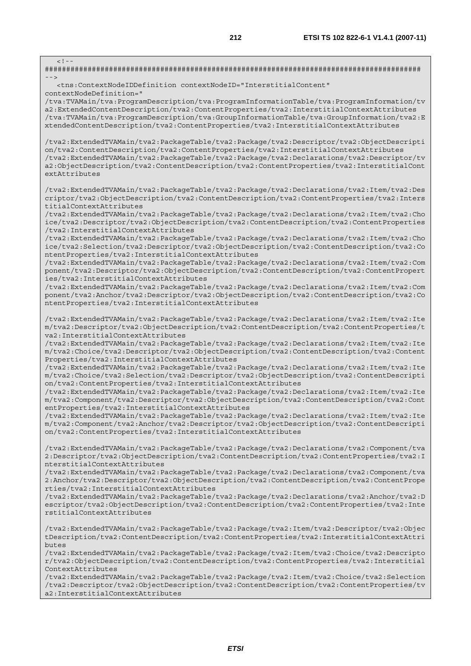| $\lt$ ! - -<br>$- - >$                                                                                                                                                                                                                                                                                                                                                                       |
|----------------------------------------------------------------------------------------------------------------------------------------------------------------------------------------------------------------------------------------------------------------------------------------------------------------------------------------------------------------------------------------------|
| <tns:contextnodeiddefinition <br="" contextnodeid="InterstitialContent">contextNodeDefinition="</tns:contextnodeiddefinition>                                                                                                                                                                                                                                                                |
| /tva:TVAMain/tva:ProgramDescription/tva:ProgramInformationTable/tva:ProgramInformation/tv<br>a2:ExtendedContentDescription/tva2:ContentProperties/tva2:InterstitialContextAttributes<br>/tva:TVAMain/tva:ProgramDescription/tva:GroupInformationTable/tva:GroupInformation/tva2:E<br>xtendedContentDescription/tva2:ContentProperties/tva2:InterstitialContextAttributes                     |
| /tva2:ExtendedTVAMain/tva2:PackageTable/tva2:Package/tva2:Descriptor/tva2:ObjectDescripti<br>on/tva2:ContentDescription/tva2:ContentProperties/tva2:InterstitialContextAttributes<br>tva2:ExtendedTVAMain/tva2:PackageTable/tva2:Package/tva2:Declarations/tva2:Descriptor/tv/<br>a2:ObjectDescription/tva2:ContentDescription/tva2:ContentProperties/tva2:InterstitialCont<br>extAttributes |
| /tva2:ExtendedTVAMain/tva2:PackageTable/tva2:Package/tva2:Declarations/tva2:Item/tva2:Des<br>criptor/tva2:ObjectDescription/tva2:ContentDescription/tva2:ContentProperties/tva2:Inters<br>titialContextAttributes                                                                                                                                                                            |
| /tva2:ExtendedTVAMain/tva2:PackageTable/tva2:Package/tva2:Declarations/tva2:Item/tva2:Cho<br>ice/tva2:Descriptor/tva2:ObjectDescription/tva2:ContentDescription/tva2:ContentProperties<br>/tva2:InterstitialContextAttributes                                                                                                                                                                |
| tva2:ExtendedTVAMain/tva2:PackageTable/tva2:Package/tva2:Declarations/tva2:Item/tva2:Cho/<br>ice/tva2:Selection/tva2:Descriptor/tva2:ObjectDescription/tva2:ContentDescription/tva2:Co<br>ntentProperties/tva2:InterstitialContextAttributes                                                                                                                                                 |
| /tva2:ExtendedTVAMain/tva2:PackageTable/tva2:Package/tva2:Declarations/tva2:Item/tva2:Com<br>ponent/tva2:Descriptor/tva2:ObjectDescription/tva2:ContentDescription/tva2:ContentPropert<br>ies/tva2:InterstitialContextAttributes                                                                                                                                                             |
| /tva2:ExtendedTVAMain/tva2:PackageTable/tva2:Package/tva2:Declarations/tva2:Item/tva2:Com<br>ponent/tva2:Anchor/tva2:Descriptor/tva2:ObjectDescription/tva2:ContentDescription/tva2:Co<br>ntentProperties/tva2:InterstitialContextAttributes                                                                                                                                                 |
| /tva2:ExtendedTVAMain/tva2:PackageTable/tva2:Package/tva2:Declarations/tva2:Item/tva2:Ite<br>m/tva2:Descriptor/tva2:ObjectDescription/tva2:ContentDescription/tva2:ContentProperties/t<br>va2:InterstitialContextAttributes                                                                                                                                                                  |
| /tva2:ExtendedTVAMain/tva2:PackageTable/tva2:Package/tva2:Declarations/tva2:Item/tva2:Ite<br>m/tva2:Choice/tva2:Descriptor/tva2:ObjectDescription/tva2:ContentDescription/tva2:Content<br>Properties/tva2:InterstitialContextAttributes                                                                                                                                                      |
| /tva2:ExtendedTVAMain/tva2:PackageTable/tva2:Package/tva2:Declarations/tva2:Item/tva2:Ite<br>m/tva2:Choice/tva2:Selection/tva2:Descriptor/tva2:ObjectDescription/tva2:ContentDescripti<br>on/tva2:ContentProperties/tva2:InterstitialContextAttributes                                                                                                                                       |
| /tva2:ExtendedTVAMain/tva2:PackageTable/tva2:Package/tva2:Declarations/tva2:Item/tva2:Ite<br>m/tva2:Component/tva2:Descriptor/tva2:ObjectDescription/tva2:ContentDescription/tva2:Cont<br>entProperties/tva2:InterstitialContextAttributes                                                                                                                                                   |
| /tva2:ExtendedTVAMain/tva2:PackageTable/tva2:Package/tva2:Declarations/tva2:Item/tva2:Ite<br>m/tva2:Component/tva2:Anchor/tva2:Descriptor/tva2:ObjectDescription/tva2:ContentDescripti<br>on/tva2:ContentProperties/tva2:InterstitialContextAttributes                                                                                                                                       |
| /tva2:ExtendedTVAMain/tva2:PackageTable/tva2:Package/tva2:Declarations/tva2:Component/tva<br>2:Descriptor/tva2:ObjectDescription/tva2:ContentDescription/tva2:ContentProperties/tva2:I<br>nterstitialContextAttributes                                                                                                                                                                       |
| /tva2:ExtendedTVAMain/tva2:PackageTable/tva2:Package/tva2:Declarations/tva2:Component/tva<br>2:Anchor/tva2:Descriptor/tva2:ObjectDescription/tva2:ContentDescription/tva2:ContentPrope<br>rties/tva2:InterstitialContextAttributes                                                                                                                                                           |
| /tva2:ExtendedTVAMain/tva2:PackageTable/tva2:Package/tva2:Declarations/tva2:Anchor/tva2:D<br>escriptor/tva2:ObjectDescription/tva2:ContentDescription/tva2:ContentProperties/tva2:Inte<br>rstitialContextAttributes                                                                                                                                                                          |
| /tva2:ExtendedTVAMain/tva2:PackageTable/tva2:Package/tva2:Item/tva2:Descriptor/tva2:Objec<br>tDescription/tva2:ContentDescription/tva2:ContentProperties/tva2:InterstitialContextAttri<br>butes                                                                                                                                                                                              |
| tva2:ExtendedTVAMain/tva2:PackageTable/tva2:Package/tva2:Item/tva2:Choice/tva2:Descripto/<br>r/tva2:ObjectDescription/tva2:ContentDescription/tva2:ContentProperties/tva2:Interstitial<br>ContextAttributes                                                                                                                                                                                  |

/tva2:ExtendedTVAMain/tva2:PackageTable/tva2:Package/tva2:Item/tva2:Choice/tva2:Selection /tva2:Descriptor/tva2:ObjectDescription/tva2:ContentDescription/tva2:ContentProperties/tv a2:InterstitialContextAttributes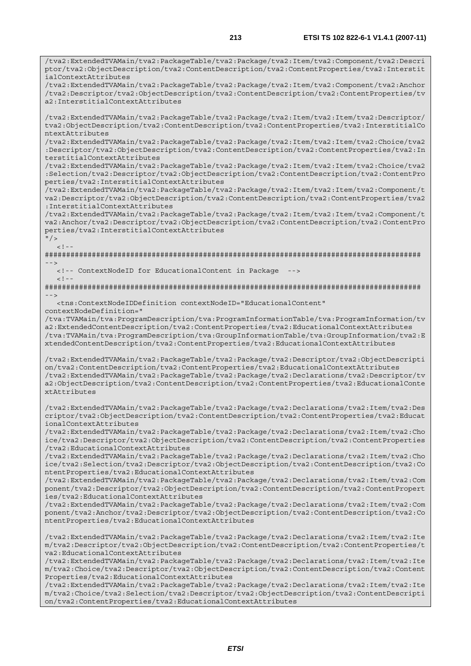/tva2:ExtendedTVAMain/tva2:PackageTable/tva2:Package/tva2:Item/tva2:Component/tva2:Descri ptor/tva2:ObjectDescription/tva2:ContentDescription/tva2:ContentProperties/tva2:Interstit ialContextAttributes

/tva2:ExtendedTVAMain/tva2:PackageTable/tva2:Package/tva2:Item/tva2:Component/tva2:Anchor /tva2:Descriptor/tva2:ObjectDescription/tva2:ContentDescription/tva2:ContentProperties/tv a2:InterstitialContextAttributes

/tva2:ExtendedTVAMain/tva2:PackageTable/tva2:Package/tva2:Item/tva2:Item/tva2:Descriptor/ tva2:ObjectDescription/tva2:ContentDescription/tva2:ContentProperties/tva2:InterstitialCo ntextAttributes

/tva2:ExtendedTVAMain/tva2:PackageTable/tva2:Package/tva2:Item/tva2:Item/tva2:Choice/tva2 :Descriptor/tva2:ObjectDescription/tva2:ContentDescription/tva2:ContentProperties/tva2:In terstitialContextAttributes

/tva2:ExtendedTVAMain/tva2:PackageTable/tva2:Package/tva2:Item/tva2:Item/tva2:Choice/tva2 :Selection/tva2:Descriptor/tva2:ObjectDescription/tva2:ContentDescription/tva2:ContentPro perties/tva2:InterstitialContextAttributes

/tva2:ExtendedTVAMain/tva2:PackageTable/tva2:Package/tva2:Item/tva2:Item/tva2:Component/t va2:Descriptor/tva2:ObjectDescription/tva2:ContentDescription/tva2:ContentProperties/tva2 :InterstitialContextAttributes

/tva2:ExtendedTVAMain/tva2:PackageTable/tva2:Package/tva2:Item/tva2:Item/tva2:Component/t va2:Anchor/tva2:Descriptor/tva2:ObjectDescription/tva2:ContentDescription/tva2:ContentPro perties/tva2:InterstitialContextAttributes

 $"$  />  $\langle$ !--

 $<$ ! --

######################################################################################## -->

<!-- ContextNodeID for EducationalContent in Package -->

######################################################################################## -->

 <tns:ContextNodeIDDefinition contextNodeID="EducationalContent" contextNodeDefinition="

/tva:TVAMain/tva:ProgramDescription/tva:ProgramInformationTable/tva:ProgramInformation/tv a2:ExtendedContentDescription/tva2:ContentProperties/tva2:EducationalContextAttributes /tva:TVAMain/tva:ProgramDescription/tva:GroupInformationTable/tva:GroupInformation/tva2:E xtendedContentDescription/tva2:ContentProperties/tva2:EducationalContextAttributes

/tva2:ExtendedTVAMain/tva2:PackageTable/tva2:Package/tva2:Descriptor/tva2:ObjectDescripti on/tva2:ContentDescription/tva2:ContentProperties/tva2:EducationalContextAttributes /tva2:ExtendedTVAMain/tva2:PackageTable/tva2:Package/tva2:Declarations/tva2:Descriptor/tv a2:ObjectDescription/tva2:ContentDescription/tva2:ContentProperties/tva2:EducationalConte xtAttributes

/tva2:ExtendedTVAMain/tva2:PackageTable/tva2:Package/tva2:Declarations/tva2:Item/tva2:Des criptor/tva2:ObjectDescription/tva2:ContentDescription/tva2:ContentProperties/tva2:Educat ionalContextAttributes

/tva2:ExtendedTVAMain/tva2:PackageTable/tva2:Package/tva2:Declarations/tva2:Item/tva2:Cho ice/tva2:Descriptor/tva2:ObjectDescription/tva2:ContentDescription/tva2:ContentProperties /tva2:EducationalContextAttributes

/tva2:ExtendedTVAMain/tva2:PackageTable/tva2:Package/tva2:Declarations/tva2:Item/tva2:Cho ice/tva2:Selection/tva2:Descriptor/tva2:ObjectDescription/tva2:ContentDescription/tva2:Co ntentProperties/tva2:EducationalContextAttributes

/tva2:ExtendedTVAMain/tva2:PackageTable/tva2:Package/tva2:Declarations/tva2:Item/tva2:Com ponent/tva2:Descriptor/tva2:ObjectDescription/tva2:ContentDescription/tva2:ContentPropert ies/tva2:EducationalContextAttributes

/tva2:ExtendedTVAMain/tva2:PackageTable/tva2:Package/tva2:Declarations/tva2:Item/tva2:Com ponent/tva2:Anchor/tva2:Descriptor/tva2:ObjectDescription/tva2:ContentDescription/tva2:Co ntentProperties/tva2:EducationalContextAttributes

/tva2:ExtendedTVAMain/tva2:PackageTable/tva2:Package/tva2:Declarations/tva2:Item/tva2:Ite m/tva2:Descriptor/tva2:ObjectDescription/tva2:ContentDescription/tva2:ContentProperties/t va2:EducationalContextAttributes

/tva2:ExtendedTVAMain/tva2:PackageTable/tva2:Package/tva2:Declarations/tva2:Item/tva2:Ite m/tva2:Choice/tva2:Descriptor/tva2:ObjectDescription/tva2:ContentDescription/tva2:Content Properties/tva2:EducationalContextAttributes

/tva2:ExtendedTVAMain/tva2:PackageTable/tva2:Package/tva2:Declarations/tva2:Item/tva2:Ite m/tva2:Choice/tva2:Selection/tva2:Descriptor/tva2:ObjectDescription/tva2:ContentDescripti on/tva2:ContentProperties/tva2:EducationalContextAttributes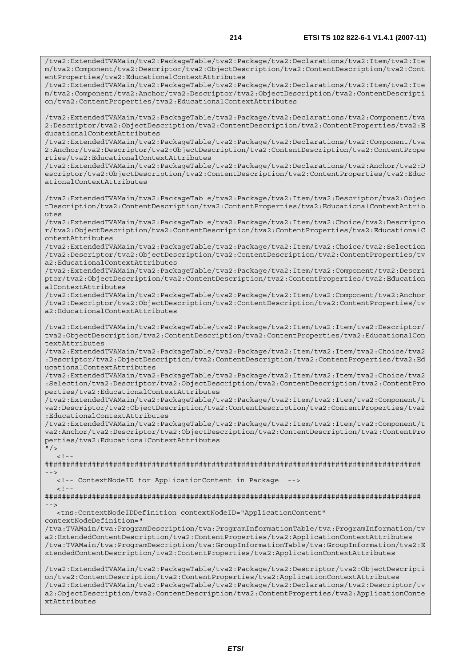/tva2:ExtendedTVAMain/tva2:PackageTable/tva2:Package/tva2:Declarations/tva2:Item/tva2:Ite m/tva2:Component/tva2:Descriptor/tva2:ObjectDescription/tva2:ContentDescription/tva2:Cont entProperties/tva2:EducationalContextAttributes

/tva2:ExtendedTVAMain/tva2:PackageTable/tva2:Package/tva2:Declarations/tva2:Item/tva2:Ite m/tva2:Component/tva2:Anchor/tva2:Descriptor/tva2:ObjectDescription/tva2:ContentDescripti on/tva2:ContentProperties/tva2:EducationalContextAttributes

/tva2:ExtendedTVAMain/tva2:PackageTable/tva2:Package/tva2:Declarations/tva2:Component/tva 2:Descriptor/tva2:ObjectDescription/tva2:ContentDescription/tva2:ContentProperties/tva2:E ducationalContextAttributes

/tva2:ExtendedTVAMain/tva2:PackageTable/tva2:Package/tva2:Declarations/tva2:Component/tva 2:Anchor/tva2:Descriptor/tva2:ObjectDescription/tva2:ContentDescription/tva2:ContentPrope rties/tva2:EducationalContextAttributes

/tva2:ExtendedTVAMain/tva2:PackageTable/tva2:Package/tva2:Declarations/tva2:Anchor/tva2:D escriptor/tva2:ObjectDescription/tva2:ContentDescription/tva2:ContentProperties/tva2:Educ ationalContextAttributes

/tva2:ExtendedTVAMain/tva2:PackageTable/tva2:Package/tva2:Item/tva2:Descriptor/tva2:Objec tDescription/tva2:ContentDescription/tva2:ContentProperties/tva2:EducationalContextAttrib  $u$ tes

/tva2:ExtendedTVAMain/tva2:PackageTable/tva2:Package/tva2:Item/tva2:Choice/tva2:Descripto r/tva2:ObjectDescription/tva2:ContentDescription/tva2:ContentProperties/tva2:EducationalC ontextAttributes

/tva2:ExtendedTVAMain/tva2:PackageTable/tva2:Package/tva2:Item/tva2:Choice/tva2:Selection /tva2:Descriptor/tva2:ObjectDescription/tva2:ContentDescription/tva2:ContentProperties/tv a2:EducationalContextAttributes

/tva2:ExtendedTVAMain/tva2:PackageTable/tva2:Package/tva2:Item/tva2:Component/tva2:Descri ptor/tva2:ObjectDescription/tva2:ContentDescription/tva2:ContentProperties/tva2:Education alContextAttributes

/tva2:ExtendedTVAMain/tva2:PackageTable/tva2:Package/tva2:Item/tva2:Component/tva2:Anchor /tva2:Descriptor/tva2:ObjectDescription/tva2:ContentDescription/tva2:ContentProperties/tv a2:EducationalContextAttributes

/tva2:ExtendedTVAMain/tva2:PackageTable/tva2:Package/tva2:Item/tva2:Item/tva2:Descriptor/ tva2:ObjectDescription/tva2:ContentDescription/tva2:ContentProperties/tva2:EducationalCon textAttributes

/tva2:ExtendedTVAMain/tva2:PackageTable/tva2:Package/tva2:Item/tva2:Item/tva2:Choice/tva2 :Descriptor/tva2:ObjectDescription/tva2:ContentDescription/tva2:ContentProperties/tva2:Ed ucationalContextAttributes

/tva2:ExtendedTVAMain/tva2:PackageTable/tva2:Package/tva2:Item/tva2:Item/tva2:Choice/tva2 :Selection/tva2:Descriptor/tva2:ObjectDescription/tva2:ContentDescription/tva2:ContentPro perties/tva2:EducationalContextAttributes

/tva2:ExtendedTVAMain/tva2:PackageTable/tva2:Package/tva2:Item/tva2:Item/tva2:Component/t va2:Descriptor/tva2:ObjectDescription/tva2:ContentDescription/tva2:ContentProperties/tva2 :EducationalContextAttributes

/tva2:ExtendedTVAMain/tva2:PackageTable/tva2:Package/tva2:Item/tva2:Item/tva2:Component/t va2:Anchor/tva2:Descriptor/tva2:ObjectDescription/tva2:ContentDescription/tva2:ContentPro perties/tva2:EducationalContextAttributes

 $''$ />  $\leq$  !  $-$ 

######################################################################################## -->

 <!-- ContextNodeID for ApplicationContent in Package -->  $\leq$  !  $-$ 

######################################################################################## -->

<tns:ContextNodeIDDefinition contextNodeID="ApplicationContent"

contextNodeDefinition="

/tva:TVAMain/tva:ProgramDescription/tva:ProgramInformationTable/tva:ProgramInformation/tv a2:ExtendedContentDescription/tva2:ContentProperties/tva2:ApplicationContextAttributes /tva:TVAMain/tva:ProgramDescription/tva:GroupInformationTable/tva:GroupInformation/tva2:E xtendedContentDescription/tva2:ContentProperties/tva2:ApplicationContextAttributes

/tva2:ExtendedTVAMain/tva2:PackageTable/tva2:Package/tva2:Descriptor/tva2:ObjectDescripti on/tva2:ContentDescription/tva2:ContentProperties/tva2:ApplicationContextAttributes /tva2:ExtendedTVAMain/tva2:PackageTable/tva2:Package/tva2:Declarations/tva2:Descriptor/tv a2:ObjectDescription/tva2:ContentDescription/tva2:ContentProperties/tva2:ApplicationConte xtAttributes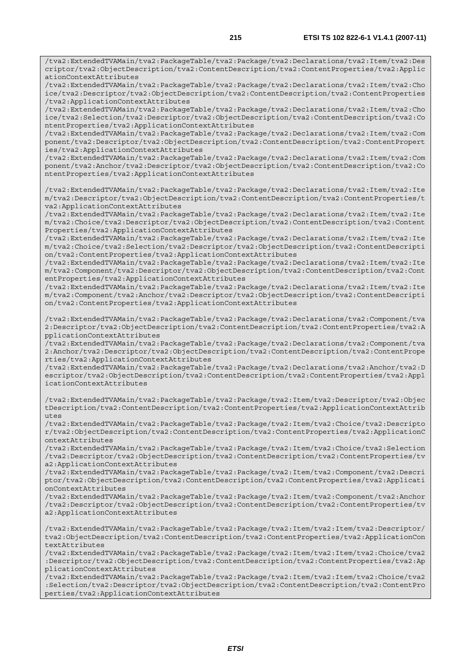/tva2:ExtendedTVAMain/tva2:PackageTable/tva2:Package/tva2:Declarations/tva2:Item/tva2:Des criptor/tva2:ObjectDescription/tva2:ContentDescription/tva2:ContentProperties/tva2:Applic ationContextAttributes

/tva2:ExtendedTVAMain/tva2:PackageTable/tva2:Package/tva2:Declarations/tva2:Item/tva2:Cho ice/tva2:Descriptor/tva2:ObjectDescription/tva2:ContentDescription/tva2:ContentProperties /tva2:ApplicationContextAttributes

/tva2:ExtendedTVAMain/tva2:PackageTable/tva2:Package/tva2:Declarations/tva2:Item/tva2:Cho ice/tva2:Selection/tva2:Descriptor/tva2:ObjectDescription/tva2:ContentDescription/tva2:Co ntentProperties/tva2:ApplicationContextAttributes

/tva2:ExtendedTVAMain/tva2:PackageTable/tva2:Package/tva2:Declarations/tva2:Item/tva2:Com ponent/tva2:Descriptor/tva2:ObjectDescription/tva2:ContentDescription/tva2:ContentPropert ies/tva2:ApplicationContextAttributes

/tva2:ExtendedTVAMain/tva2:PackageTable/tva2:Package/tva2:Declarations/tva2:Item/tva2:Com ponent/tva2:Anchor/tva2:Descriptor/tva2:ObjectDescription/tva2:ContentDescription/tva2:Co ntentProperties/tva2:ApplicationContextAttributes

/tva2:ExtendedTVAMain/tva2:PackageTable/tva2:Package/tva2:Declarations/tva2:Item/tva2:Ite m/tva2:Descriptor/tva2:ObjectDescription/tva2:ContentDescription/tva2:ContentProperties/t va2:ApplicationContextAttributes

/tva2:ExtendedTVAMain/tva2:PackageTable/tva2:Package/tva2:Declarations/tva2:Item/tva2:Ite m/tva2:Choice/tva2:Descriptor/tva2:ObjectDescription/tva2:ContentDescription/tva2:Content Properties/tva2:ApplicationContextAttributes

/tva2:ExtendedTVAMain/tva2:PackageTable/tva2:Package/tva2:Declarations/tva2:Item/tva2:Ite m/tva2:Choice/tva2:Selection/tva2:Descriptor/tva2:ObjectDescription/tva2:ContentDescripti on/tva2:ContentProperties/tva2:ApplicationContextAttributes

/tva2:ExtendedTVAMain/tva2:PackageTable/tva2:Package/tva2:Declarations/tva2:Item/tva2:Ite m/tva2:Component/tva2:Descriptor/tva2:ObjectDescription/tva2:ContentDescription/tva2:Cont entProperties/tva2:ApplicationContextAttributes

/tva2:ExtendedTVAMain/tva2:PackageTable/tva2:Package/tva2:Declarations/tva2:Item/tva2:Ite m/tva2:Component/tva2:Anchor/tva2:Descriptor/tva2:ObjectDescription/tva2:ContentDescripti on/tva2:ContentProperties/tva2:ApplicationContextAttributes

/tva2:ExtendedTVAMain/tva2:PackageTable/tva2:Package/tva2:Declarations/tva2:Component/tva 2:Descriptor/tva2:ObjectDescription/tva2:ContentDescription/tva2:ContentProperties/tva2:A pplicationContextAttributes

/tva2:ExtendedTVAMain/tva2:PackageTable/tva2:Package/tva2:Declarations/tva2:Component/tva 2:Anchor/tva2:Descriptor/tva2:ObjectDescription/tva2:ContentDescription/tva2:ContentPrope rties/tva2:ApplicationContextAttributes

/tva2:ExtendedTVAMain/tva2:PackageTable/tva2:Package/tva2:Declarations/tva2:Anchor/tva2:D escriptor/tva2:ObjectDescription/tva2:ContentDescription/tva2:ContentProperties/tva2:Appl icationContextAttributes

/tva2:ExtendedTVAMain/tva2:PackageTable/tva2:Package/tva2:Item/tva2:Descriptor/tva2:Objec tDescription/tva2:ContentDescription/tva2:ContentProperties/tva2:ApplicationContextAttrib utes

/tva2:ExtendedTVAMain/tva2:PackageTable/tva2:Package/tva2:Item/tva2:Choice/tva2:Descripto r/tva2:ObjectDescription/tva2:ContentDescription/tva2:ContentProperties/tva2:ApplicationC ontextAttributes

/tva2:ExtendedTVAMain/tva2:PackageTable/tva2:Package/tva2:Item/tva2:Choice/tva2:Selection /tva2:Descriptor/tva2:ObjectDescription/tva2:ContentDescription/tva2:ContentProperties/tv a2:ApplicationContextAttributes

/tva2:ExtendedTVAMain/tva2:PackageTable/tva2:Package/tva2:Item/tva2:Component/tva2:Descri ptor/tva2:ObjectDescription/tva2:ContentDescription/tva2:ContentProperties/tva2:Applicati onContextAttributes

/tva2:ExtendedTVAMain/tva2:PackageTable/tva2:Package/tva2:Item/tva2:Component/tva2:Anchor /tva2:Descriptor/tva2:ObjectDescription/tva2:ContentDescription/tva2:ContentProperties/tv a2:ApplicationContextAttributes

/tva2:ExtendedTVAMain/tva2:PackageTable/tva2:Package/tva2:Item/tva2:Item/tva2:Descriptor/ tva2:ObjectDescription/tva2:ContentDescription/tva2:ContentProperties/tva2:ApplicationCon textAttributes

/tva2:ExtendedTVAMain/tva2:PackageTable/tva2:Package/tva2:Item/tva2:Item/tva2:Choice/tva2 :Descriptor/tva2:ObjectDescription/tva2:ContentDescription/tva2:ContentProperties/tva2:Ap plicationContextAttributes

/tva2:ExtendedTVAMain/tva2:PackageTable/tva2:Package/tva2:Item/tva2:Item/tva2:Choice/tva2 :Selection/tva2:Descriptor/tva2:ObjectDescription/tva2:ContentDescription/tva2:ContentPro perties/tva2:ApplicationContextAttributes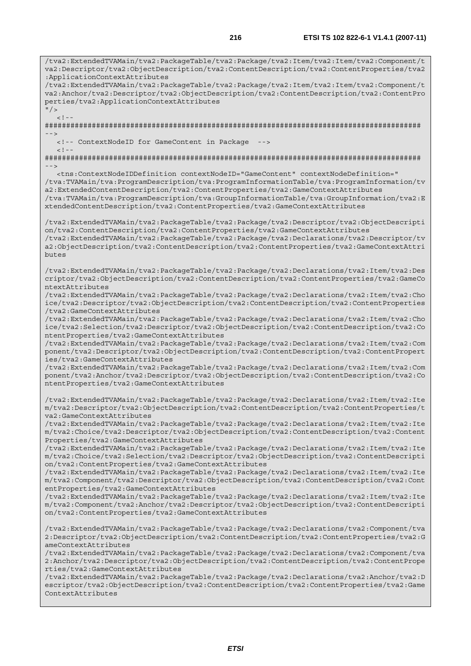/tva2:ExtendedTVAMain/tva2:PackageTable/tva2:Package/tva2:Item/tva2:Item/tva2:Component/t va2:Descriptor/tva2:ObjectDescription/tva2:ContentDescription/tva2:ContentProperties/tva2 :ApplicationContextAttributes /tva2:ExtendedTVAMain/tva2:PackageTable/tva2:Package/tva2:Item/tva2:Item/tva2:Component/t va2:Anchor/tva2:Descriptor/tva2:ObjectDescription/tva2:ContentDescription/tva2:ContentPro perties/tva2:ApplicationContextAttributes  $''$  /  $>$  $\lt$  ! -######################################################################################## --> <!-- ContextNodeID for GameContent in Package  $< ! - -$ ######################################################################################## --> <tns:ContextNodeIDDefinition contextNodeID="GameContent" contextNodeDefinition=" /tva:TVAMain/tva:ProgramDescription/tva:ProgramInformationTable/tva:ProgramInformation/tv a2:ExtendedContentDescription/tva2:ContentProperties/tva2:GameContextAttributes /tva:TVAMain/tva:ProgramDescription/tva:GroupInformationTable/tva:GroupInformation/tva2:E xtendedContentDescription/tva2:ContentProperties/tva2:GameContextAttributes /tva2:ExtendedTVAMain/tva2:PackageTable/tva2:Package/tva2:Descriptor/tva2:ObjectDescripti on/tva2:ContentDescription/tva2:ContentProperties/tva2:GameContextAttributes /tva2:ExtendedTVAMain/tva2:PackageTable/tva2:Package/tva2:Declarations/tva2:Descriptor/tv a2:ObjectDescription/tva2:ContentDescription/tva2:ContentProperties/tva2:GameContextAttri butes /tva2:ExtendedTVAMain/tva2:PackageTable/tva2:Package/tva2:Declarations/tva2:Item/tva2:Des criptor/tva2:ObjectDescription/tva2:ContentDescription/tva2:ContentProperties/tva2:GameCo ntextAttributes /tva2:ExtendedTVAMain/tva2:PackageTable/tva2:Package/tva2:Declarations/tva2:Item/tva2:Cho ice/tva2:Descriptor/tva2:ObjectDescription/tva2:ContentDescription/tva2:ContentProperties /tva2:GameContextAttributes /tva2:ExtendedTVAMain/tva2:PackageTable/tva2:Package/tva2:Declarations/tva2:Item/tva2:Cho ice/tva2:Selection/tva2:Descriptor/tva2:ObjectDescription/tva2:ContentDescription/tva2:Co ntentProperties/tva2:GameContextAttributes /tva2:ExtendedTVAMain/tva2:PackageTable/tva2:Package/tva2:Declarations/tva2:Item/tva2:Com ponent/tva2:Descriptor/tva2:ObjectDescription/tva2:ContentDescription/tva2:ContentPropert ies/tva2:GameContextAttributes /tva2:ExtendedTVAMain/tva2:PackageTable/tva2:Package/tva2:Declarations/tva2:Item/tva2:Com ponent/tva2:Anchor/tva2:Descriptor/tva2:ObjectDescription/tva2:ContentDescription/tva2:Co ntentProperties/tva2:GameContextAttributes /tva2:ExtendedTVAMain/tva2:PackageTable/tva2:Package/tva2:Declarations/tva2:Item/tva2:Ite m/tva2:Descriptor/tva2:ObjectDescription/tva2:ContentDescription/tva2:ContentProperties/t va2:GameContextAttributes /tva2:ExtendedTVAMain/tva2:PackageTable/tva2:Package/tva2:Declarations/tva2:Item/tva2:Ite m/tva2:Choice/tva2:Descriptor/tva2:ObjectDescription/tva2:ContentDescription/tva2:Content Properties/tva2:GameContextAttributes /tva2:ExtendedTVAMain/tva2:PackageTable/tva2:Package/tva2:Declarations/tva2:Item/tva2:Ite m/tva2:Choice/tva2:Selection/tva2:Descriptor/tva2:ObjectDescription/tva2:ContentDescripti on/tva2:ContentProperties/tva2:GameContextAttributes /tva2:ExtendedTVAMain/tva2:PackageTable/tva2:Package/tva2:Declarations/tva2:Item/tva2:Ite m/tva2:Component/tva2:Descriptor/tva2:ObjectDescription/tva2:ContentDescription/tva2:Cont entProperties/tva2:GameContextAttributes /tva2:ExtendedTVAMain/tva2:PackageTable/tva2:Package/tva2:Declarations/tva2:Item/tva2:Ite m/tva2:Component/tva2:Anchor/tva2:Descriptor/tva2:ObjectDescription/tva2:ContentDescripti on/tva2:ContentProperties/tva2:GameContextAttributes /tva2:ExtendedTVAMain/tva2:PackageTable/tva2:Package/tva2:Declarations/tva2:Component/tva 2:Descriptor/tva2:ObjectDescription/tva2:ContentDescription/tva2:ContentProperties/tva2:G ameContextAttributes /tva2:ExtendedTVAMain/tva2:PackageTable/tva2:Package/tva2:Declarations/tva2:Component/tva 2:Anchor/tva2:Descriptor/tva2:ObjectDescription/tva2:ContentDescription/tva2:ContentPrope rties/tva2:GameContextAttributes /tva2:ExtendedTVAMain/tva2:PackageTable/tva2:Package/tva2:Declarations/tva2:Anchor/tva2:D escriptor/tva2:ObjectDescription/tva2:ContentDescription/tva2:ContentProperties/tva2:Game ContextAttributes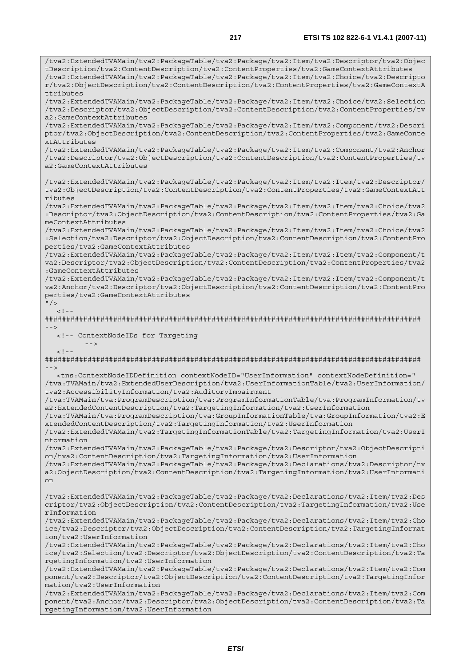/tva2:ExtendedTVAMain/tva2:PackageTable/tva2:Package/tva2:Item/tva2:Descriptor/tva2:Objec tDescription/tva2:ContentDescription/tva2:ContentProperties/tva2:GameContextAttributes /tva2:ExtendedTVAMain/tva2:PackageTable/tva2:Package/tva2:Item/tva2:Choice/tva2:Descripto r/tva2:ObjectDescription/tva2:ContentDescription/tva2:ContentProperties/tva2:GameContextA ttributes /tva2:ExtendedTVAMain/tva2:PackageTable/tva2:Package/tva2:Item/tva2:Choice/tva2:Selection /tva2:Descriptor/tva2:ObjectDescription/tva2:ContentDescription/tva2:ContentProperties/tv a2:GameContextAttributes /tva2:ExtendedTVAMain/tva2:PackageTable/tva2:Package/tva2:Item/tva2:Component/tva2:Descri ptor/tva2:ObjectDescription/tva2:ContentDescription/tva2:ContentProperties/tva2:GameConte xtAttributes /tva2:ExtendedTVAMain/tva2:PackageTable/tva2:Package/tva2:Item/tva2:Component/tva2:Anchor /tva2:Descriptor/tva2:ObjectDescription/tva2:ContentDescription/tva2:ContentProperties/tv a2:GameContextAttributes /tva2:ExtendedTVAMain/tva2:PackageTable/tva2:Package/tva2:Item/tva2:Item/tva2:Descriptor/ tva2:ObjectDescription/tva2:ContentDescription/tva2:ContentProperties/tva2:GameContextAtt ributes /tva2:ExtendedTVAMain/tva2:PackageTable/tva2:Package/tva2:Item/tva2:Item/tva2:Choice/tva2 :Descriptor/tva2:ObjectDescription/tva2:ContentDescription/tva2:ContentProperties/tva2:Ga meContextAttributes /tva2:ExtendedTVAMain/tva2:PackageTable/tva2:Package/tva2:Item/tva2:Item/tva2:Choice/tva2 :Selection/tva2:Descriptor/tva2:ObjectDescription/tva2:ContentDescription/tva2:ContentPro perties/tva2:GameContextAttributes /tva2:ExtendedTVAMain/tva2:PackageTable/tva2:Package/tva2:Item/tva2:Item/tva2:Component/t va2:Descriptor/tva2:ObjectDescription/tva2:ContentDescription/tva2:ContentProperties/tva2 :GameContextAttributes /tva2:ExtendedTVAMain/tva2:PackageTable/tva2:Package/tva2:Item/tva2:Item/tva2:Component/t va2:Anchor/tva2:Descriptor/tva2:ObjectDescription/tva2:ContentDescription/tva2:ContentPro perties/tva2:GameContextAttributes  $"$  / >  $\leq$ ######################################################################################## --> <!-- ContextNodeIDs for Targeting  $--&>$  $< ! - -$ ######################################################################################## --> <tns:ContextNodeIDDefinition contextNodeID="UserInformation" contextNodeDefinition=" /tva:TVAMain/tva2:ExtendedUserDescription/tva2:UserInformationTable/tva2:UserInformation/ tva2:AccessibilityInformation/tva2:AuditoryImpairment /tva:TVAMain/tva:ProgramDescription/tva:ProgramInformationTable/tva:ProgramInformation/tv a2:ExtendedContentDescription/tva2:TargetingInformation/tva2:UserInformation /tva:TVAMain/tva:ProgramDescription/tva:GroupInformationTable/tva:GroupInformation/tva2:E xtendedContentDescription/tva2:TargetingInformation/tva2:UserInformation /tva2:ExtendedTVAMain/tva2:TargetingInformationTable/tva2:TargetingInformation/tva2:UserI nformation /tva2:ExtendedTVAMain/tva2:PackageTable/tva2:Package/tva2:Descriptor/tva2:ObjectDescripti on/tva2:ContentDescription/tva2:TargetingInformation/tva2:UserInformation /tva2:ExtendedTVAMain/tva2:PackageTable/tva2:Package/tva2:Declarations/tva2:Descriptor/tv a2:ObjectDescription/tva2:ContentDescription/tva2:TargetingInformation/tva2:UserInformati on /tva2:ExtendedTVAMain/tva2:PackageTable/tva2:Package/tva2:Declarations/tva2:Item/tva2:Des criptor/tva2:ObjectDescription/tva2:ContentDescription/tva2:TargetingInformation/tva2:Use rInformation /tva2:ExtendedTVAMain/tva2:PackageTable/tva2:Package/tva2:Declarations/tva2:Item/tva2:Cho ice/tva2:Descriptor/tva2:ObjectDescription/tva2:ContentDescription/tva2:TargetingInformat ion/tva2:UserInformation /tva2:ExtendedTVAMain/tva2:PackageTable/tva2:Package/tva2:Declarations/tva2:Item/tva2:Cho ice/tva2:Selection/tva2:Descriptor/tva2:ObjectDescription/tva2:ContentDescription/tva2:Ta rgetingInformation/tva2:UserInformation /tva2:ExtendedTVAMain/tva2:PackageTable/tva2:Package/tva2:Declarations/tva2:Item/tva2:Com ponent/tva2:Descriptor/tva2:ObjectDescription/tva2:ContentDescription/tva2:TargetingInfor mation/tva2:UserInformation /tva2:ExtendedTVAMain/tva2:PackageTable/tva2:Package/tva2:Declarations/tva2:Item/tva2:Com ponent/tva2:Anchor/tva2:Descriptor/tva2:ObjectDescription/tva2:ContentDescription/tva2:Ta rgetingInformation/tva2:UserInformation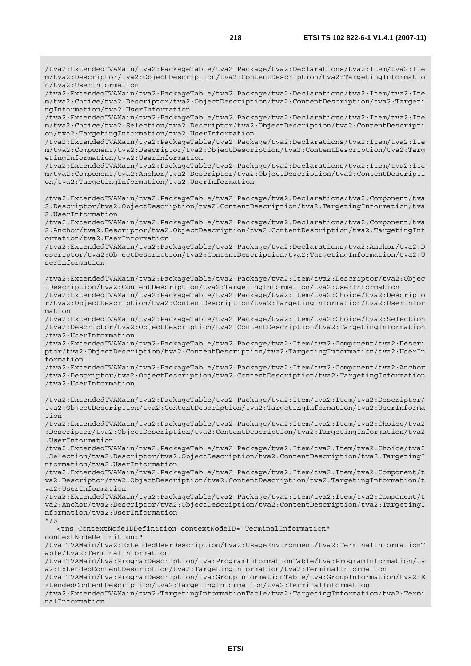/tva2:ExtendedTVAMain/tva2:PackageTable/tva2:Package/tva2:Declarations/tva2:Item/tva2:Ite m/tva2:Descriptor/tva2:ObjectDescription/tva2:ContentDescription/tva2:TargetingInformatio n/tva2:UserInformation /tva2:ExtendedTVAMain/tva2:PackageTable/tva2:Package/tva2:Declarations/tva2:Item/tva2:Ite m/tva2:Choice/tva2:Descriptor/tva2:ObjectDescription/tva2:ContentDescription/tva2:Targeti ngInformation/tva2:UserInformation /tva2:ExtendedTVAMain/tva2:PackageTable/tva2:Package/tva2:Declarations/tva2:Item/tva2:Ite m/tva2:Choice/tva2:Selection/tva2:Descriptor/tva2:ObjectDescription/tva2:ContentDescripti on/tva2:TargetingInformation/tva2:UserInformation /tva2:ExtendedTVAMain/tva2:PackageTable/tva2:Package/tva2:Declarations/tva2:Item/tva2:Ite m/tva2:Component/tva2:Descriptor/tva2:ObjectDescription/tva2:ContentDescription/tva2:Targ etingInformation/tva2:UserInformation /tva2:ExtendedTVAMain/tva2:PackageTable/tva2:Package/tva2:Declarations/tva2:Item/tva2:Ite m/tva2:Component/tva2:Anchor/tva2:Descriptor/tva2:ObjectDescription/tva2:ContentDescripti on/tva2:TargetingInformation/tva2:UserInformation /tva2:ExtendedTVAMain/tva2:PackageTable/tva2:Package/tva2:Declarations/tva2:Component/tva 2:Descriptor/tva2:ObjectDescription/tva2:ContentDescription/tva2:TargetingInformation/tva 2:UserInformation /tva2:ExtendedTVAMain/tva2:PackageTable/tva2:Package/tva2:Declarations/tva2:Component/tva 2:Anchor/tva2:Descriptor/tva2:ObjectDescription/tva2:ContentDescription/tva2:TargetingInf ormation/tva2:UserInformation /tva2:ExtendedTVAMain/tva2:PackageTable/tva2:Package/tva2:Declarations/tva2:Anchor/tva2:D escriptor/tva2:ObjectDescription/tva2:ContentDescription/tva2:TargetingInformation/tva2:U serInformation /tva2:ExtendedTVAMain/tva2:PackageTable/tva2:Package/tva2:Item/tva2:Descriptor/tva2:Objec tDescription/tva2:ContentDescription/tva2:TargetingInformation/tva2:UserInformation /tva2:ExtendedTVAMain/tva2:PackageTable/tva2:Package/tva2:Item/tva2:Choice/tva2:Descripto r/tva2:ObjectDescription/tva2:ContentDescription/tva2:TargetingInformation/tva2:UserInfor mation /tva2:ExtendedTVAMain/tva2:PackageTable/tva2:Package/tva2:Item/tva2:Choice/tva2:Selection /tva2:Descriptor/tva2:ObjectDescription/tva2:ContentDescription/tva2:TargetingInformation /tva2:UserInformation /tva2:ExtendedTVAMain/tva2:PackageTable/tva2:Package/tva2:Item/tva2:Component/tva2:Descri ptor/tva2:ObjectDescription/tva2:ContentDescription/tva2:TargetingInformation/tva2:UserIn formation /tva2:ExtendedTVAMain/tva2:PackageTable/tva2:Package/tva2:Item/tva2:Component/tva2:Anchor /tva2:Descriptor/tva2:ObjectDescription/tva2:ContentDescription/tva2:TargetingInformation /tva2:UserInformation /tva2:ExtendedTVAMain/tva2:PackageTable/tva2:Package/tva2:Item/tva2:Item/tva2:Descriptor/ tva2:ObjectDescription/tva2:ContentDescription/tva2:TargetingInformation/tva2:UserInforma tion /tva2:ExtendedTVAMain/tva2:PackageTable/tva2:Package/tva2:Item/tva2:Item/tva2:Choice/tva2 :Descriptor/tva2:ObjectDescription/tva2:ContentDescription/tva2:TargetingInformation/tva2 :UserInformation /tva2:ExtendedTVAMain/tva2:PackageTable/tva2:Package/tva2:Item/tva2:Item/tva2:Choice/tva2 :Selection/tva2:Descriptor/tva2:ObjectDescription/tva2:ContentDescription/tva2:TargetingI nformation/tva2:UserInformation /tva2:ExtendedTVAMain/tva2:PackageTable/tva2:Package/tva2:Item/tva2:Item/tva2:Component/t va2:Descriptor/tva2:ObjectDescription/tva2:ContentDescription/tva2:TargetingInformation/t va2:UserInformation /tva2:ExtendedTVAMain/tva2:PackageTable/tva2:Package/tva2:Item/tva2:Item/tva2:Component/t va2:Anchor/tva2:Descriptor/tva2:ObjectDescription/tva2:ContentDescription/tva2:TargetingI nformation/tva2:UserInformation  $''$  /> <tns:ContextNodeIDDefinition contextNodeID="TerminalInformation" contextNodeDefinition=" /tva:TVAMain/tva2:ExtendedUserDescription/tva2:UsageEnvironment/tva2:TerminalInformationT able/tva2:TerminalInformation /tva:TVAMain/tva:ProgramDescription/tva:ProgramInformationTable/tva:ProgramInformation/tv a2:ExtendedContentDescription/tva2:TargetingInformation/tva2:TerminalInformation /tva:TVAMain/tva:ProgramDescription/tva:GroupInformationTable/tva:GroupInformation/tva2:E xtendedContentDescription/tva2:TargetingInformation/tva2:TerminalInformation /tva2:ExtendedTVAMain/tva2:TargetingInformationTable/tva2:TargetingInformation/tva2:Termi

nalInformation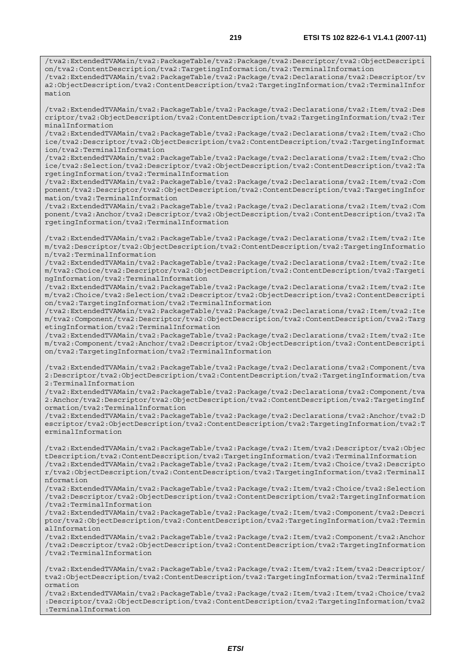/tva2:ExtendedTVAMain/tva2:PackageTable/tva2:Package/tva2:Descriptor/tva2:ObjectDescripti on/tva2:ContentDescription/tva2:TargetingInformation/tva2:TerminalInformation /tva2:ExtendedTVAMain/tva2:PackageTable/tva2:Package/tva2:Declarations/tva2:Descriptor/tv a2:ObjectDescription/tva2:ContentDescription/tva2:TargetingInformation/tva2:TerminalInfor mation

/tva2:ExtendedTVAMain/tva2:PackageTable/tva2:Package/tva2:Declarations/tva2:Item/tva2:Des criptor/tva2:ObjectDescription/tva2:ContentDescription/tva2:TargetingInformation/tva2:Ter minalInformation

/tva2:ExtendedTVAMain/tva2:PackageTable/tva2:Package/tva2:Declarations/tva2:Item/tva2:Cho ice/tva2:Descriptor/tva2:ObjectDescription/tva2:ContentDescription/tva2:TargetingInformat ion/tva2:TerminalInformation

/tva2:ExtendedTVAMain/tva2:PackageTable/tva2:Package/tva2:Declarations/tva2:Item/tva2:Cho ice/tva2:Selection/tva2:Descriptor/tva2:ObjectDescription/tva2:ContentDescription/tva2:Ta rgetingInformation/tva2:TerminalInformation

/tva2:ExtendedTVAMain/tva2:PackageTable/tva2:Package/tva2:Declarations/tva2:Item/tva2:Com ponent/tva2:Descriptor/tva2:ObjectDescription/tva2:ContentDescription/tva2:TargetingInfor mation/tva2:TerminalInformation

/tva2:ExtendedTVAMain/tva2:PackageTable/tva2:Package/tva2:Declarations/tva2:Item/tva2:Com ponent/tva2:Anchor/tva2:Descriptor/tva2:ObjectDescription/tva2:ContentDescription/tva2:Ta rgetingInformation/tva2:TerminalInformation

/tva2:ExtendedTVAMain/tva2:PackageTable/tva2:Package/tva2:Declarations/tva2:Item/tva2:Ite m/tva2:Descriptor/tva2:ObjectDescription/tva2:ContentDescription/tva2:TargetingInformatio n/tva2:TerminalInformation

/tva2:ExtendedTVAMain/tva2:PackageTable/tva2:Package/tva2:Declarations/tva2:Item/tva2:Ite m/tva2:Choice/tva2:Descriptor/tva2:ObjectDescription/tva2:ContentDescription/tva2:Targeti ngInformation/tva2:TerminalInformation

/tva2:ExtendedTVAMain/tva2:PackageTable/tva2:Package/tva2:Declarations/tva2:Item/tva2:Ite m/tva2:Choice/tva2:Selection/tva2:Descriptor/tva2:ObjectDescription/tva2:ContentDescripti on/tva2:TargetingInformation/tva2:TerminalInformation

/tva2:ExtendedTVAMain/tva2:PackageTable/tva2:Package/tva2:Declarations/tva2:Item/tva2:Ite m/tva2:Component/tva2:Descriptor/tva2:ObjectDescription/tva2:ContentDescription/tva2:Targ etingInformation/tva2:TerminalInformation

/tva2:ExtendedTVAMain/tva2:PackageTable/tva2:Package/tva2:Declarations/tva2:Item/tva2:Ite m/tva2:Component/tva2:Anchor/tva2:Descriptor/tva2:ObjectDescription/tva2:ContentDescripti on/tva2:TargetingInformation/tva2:TerminalInformation

/tva2:ExtendedTVAMain/tva2:PackageTable/tva2:Package/tva2:Declarations/tva2:Component/tva 2:Descriptor/tva2:ObjectDescription/tva2:ContentDescription/tva2:TargetingInformation/tva 2:TerminalInformation

/tva2:ExtendedTVAMain/tva2:PackageTable/tva2:Package/tva2:Declarations/tva2:Component/tva 2:Anchor/tva2:Descriptor/tva2:ObjectDescription/tva2:ContentDescription/tva2:TargetingInf ormation/tva2:TerminalInformation

/tva2:ExtendedTVAMain/tva2:PackageTable/tva2:Package/tva2:Declarations/tva2:Anchor/tva2:D escriptor/tva2:ObjectDescription/tva2:ContentDescription/tva2:TargetingInformation/tva2:T erminalInformation

/tva2:ExtendedTVAMain/tva2:PackageTable/tva2:Package/tva2:Item/tva2:Descriptor/tva2:Objec tDescription/tva2:ContentDescription/tva2:TargetingInformation/tva2:TerminalInformation /tva2:ExtendedTVAMain/tva2:PackageTable/tva2:Package/tva2:Item/tva2:Choice/tva2:Descripto r/tva2:ObjectDescription/tva2:ContentDescription/tva2:TargetingInformation/tva2:TerminalI nformation

/tva2:ExtendedTVAMain/tva2:PackageTable/tva2:Package/tva2:Item/tva2:Choice/tva2:Selection /tva2:Descriptor/tva2:ObjectDescription/tva2:ContentDescription/tva2:TargetingInformation /tva2:TerminalInformation

/tva2:ExtendedTVAMain/tva2:PackageTable/tva2:Package/tva2:Item/tva2:Component/tva2:Descri ptor/tva2:ObjectDescription/tva2:ContentDescription/tva2:TargetingInformation/tva2:Termin alInformation

/tva2:ExtendedTVAMain/tva2:PackageTable/tva2:Package/tva2:Item/tva2:Component/tva2:Anchor /tva2:Descriptor/tva2:ObjectDescription/tva2:ContentDescription/tva2:TargetingInformation /tva2:TerminalInformation

/tva2:ExtendedTVAMain/tva2:PackageTable/tva2:Package/tva2:Item/tva2:Item/tva2:Descriptor/ tva2:ObjectDescription/tva2:ContentDescription/tva2:TargetingInformation/tva2:TerminalInf ormation

/tva2:ExtendedTVAMain/tva2:PackageTable/tva2:Package/tva2:Item/tva2:Item/tva2:Choice/tva2 :Descriptor/tva2:ObjectDescription/tva2:ContentDescription/tva2:TargetingInformation/tva2 :TerminalInformation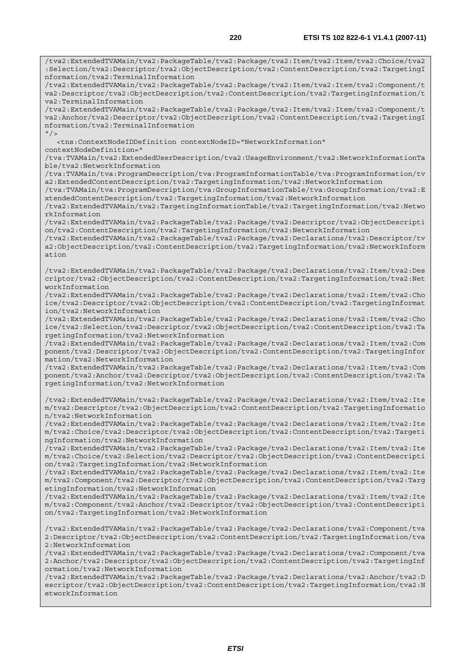/tva2:ExtendedTVAMain/tva2:PackageTable/tva2:Package/tva2:Item/tva2:Item/tva2:Choice/tva2 :Selection/tva2:Descriptor/tva2:ObjectDescription/tva2:ContentDescription/tva2:TargetingI nformation/tva2:TerminalInformation /tva2:ExtendedTVAMain/tva2:PackageTable/tva2:Package/tva2:Item/tva2:Item/tva2:Component/t va2:Descriptor/tva2:ObjectDescription/tva2:ContentDescription/tva2:TargetingInformation/t va2:TerminalInformation /tva2:ExtendedTVAMain/tva2:PackageTable/tva2:Package/tva2:Item/tva2:Item/tva2:Component/t va2:Anchor/tva2:Descriptor/tva2:ObjectDescription/tva2:ContentDescription/tva2:TargetingI nformation/tva2:TerminalInformation  $''$  / > <tns:ContextNodeIDDefinition contextNodeID="NetworkInformation" contextNodeDefinition=" /tva:TVAMain/tva2:ExtendedUserDescription/tva2:UsageEnvironment/tva2:NetworkInformationTa ble/tva2:NetworkInformation /tva:TVAMain/tva:ProgramDescription/tva:ProgramInformationTable/tva:ProgramInformation/tv a2:ExtendedContentDescription/tva2:TargetingInformation/tva2:NetworkInformation /tva:TVAMain/tva:ProgramDescription/tva:GroupInformationTable/tva:GroupInformation/tva2:E xtendedContentDescription/tva2:TargetingInformation/tva2:NetworkInformation /tva2:ExtendedTVAMain/tva2:TargetingInformationTable/tva2:TargetingInformation/tva2:Netwo rkInformation /tva2:ExtendedTVAMain/tva2:PackageTable/tva2:Package/tva2:Descriptor/tva2:ObjectDescripti on/tva2:ContentDescription/tva2:TargetingInformation/tva2:NetworkInformation /tva2:ExtendedTVAMain/tva2:PackageTable/tva2:Package/tva2:Declarations/tva2:Descriptor/tv a2:ObjectDescription/tva2:ContentDescription/tva2:TargetingInformation/tva2:NetworkInform ation /tva2:ExtendedTVAMain/tva2:PackageTable/tva2:Package/tva2:Declarations/tva2:Item/tva2:Des criptor/tva2:ObjectDescription/tva2:ContentDescription/tva2:TargetingInformation/tva2:Net workInformation /tva2:ExtendedTVAMain/tva2:PackageTable/tva2:Package/tva2:Declarations/tva2:Item/tva2:Cho ice/tva2:Descriptor/tva2:ObjectDescription/tva2:ContentDescription/tva2:TargetingInformat ion/tva2:NetworkInformation /tva2:ExtendedTVAMain/tva2:PackageTable/tva2:Package/tva2:Declarations/tva2:Item/tva2:Cho ice/tva2:Selection/tva2:Descriptor/tva2:ObjectDescription/tva2:ContentDescription/tva2:Ta rgetingInformation/tva2:NetworkInformation /tva2:ExtendedTVAMain/tva2:PackageTable/tva2:Package/tva2:Declarations/tva2:Item/tva2:Com ponent/tva2:Descriptor/tva2:ObjectDescription/tva2:ContentDescription/tva2:TargetingInfor mation/tva2:NetworkInformation /tva2:ExtendedTVAMain/tva2:PackageTable/tva2:Package/tva2:Declarations/tva2:Item/tva2:Com ponent/tva2:Anchor/tva2:Descriptor/tva2:ObjectDescription/tva2:ContentDescription/tva2:Ta rgetingInformation/tva2:NetworkInformation /tva2:ExtendedTVAMain/tva2:PackageTable/tva2:Package/tva2:Declarations/tva2:Item/tva2:Ite m/tva2:Descriptor/tva2:ObjectDescription/tva2:ContentDescription/tva2:TargetingInformatio n/tva2:NetworkInformation /tva2:ExtendedTVAMain/tva2:PackageTable/tva2:Package/tva2:Declarations/tva2:Item/tva2:Ite m/tva2:Choice/tva2:Descriptor/tva2:ObjectDescription/tva2:ContentDescription/tva2:Targeti ngInformation/tva2:NetworkInformation /tva2:ExtendedTVAMain/tva2:PackageTable/tva2:Package/tva2:Declarations/tva2:Item/tva2:Ite m/tva2:Choice/tva2:Selection/tva2:Descriptor/tva2:ObjectDescription/tva2:ContentDescripti on/tva2:TargetingInformation/tva2:NetworkInformation /tva2:ExtendedTVAMain/tva2:PackageTable/tva2:Package/tva2:Declarations/tva2:Item/tva2:Ite m/tva2:Component/tva2:Descriptor/tva2:ObjectDescription/tva2:ContentDescription/tva2:Targ etingInformation/tva2:NetworkInformation /tva2:ExtendedTVAMain/tva2:PackageTable/tva2:Package/tva2:Declarations/tva2:Item/tva2:Ite m/tva2:Component/tva2:Anchor/tva2:Descriptor/tva2:ObjectDescription/tva2:ContentDescripti on/tva2:TargetingInformation/tva2:NetworkInformation /tva2:ExtendedTVAMain/tva2:PackageTable/tva2:Package/tva2:Declarations/tva2:Component/tva 2:Descriptor/tva2:ObjectDescription/tva2:ContentDescription/tva2:TargetingInformation/tva 2:NetworkInformation /tva2:ExtendedTVAMain/tva2:PackageTable/tva2:Package/tva2:Declarations/tva2:Component/tva 2:Anchor/tva2:Descriptor/tva2:ObjectDescription/tva2:ContentDescription/tva2:TargetingInf ormation/tva2:NetworkInformation /tva2:ExtendedTVAMain/tva2:PackageTable/tva2:Package/tva2:Declarations/tva2:Anchor/tva2:D escriptor/tva2:ObjectDescription/tva2:ContentDescription/tva2:TargetingInformation/tva2:N etworkInformation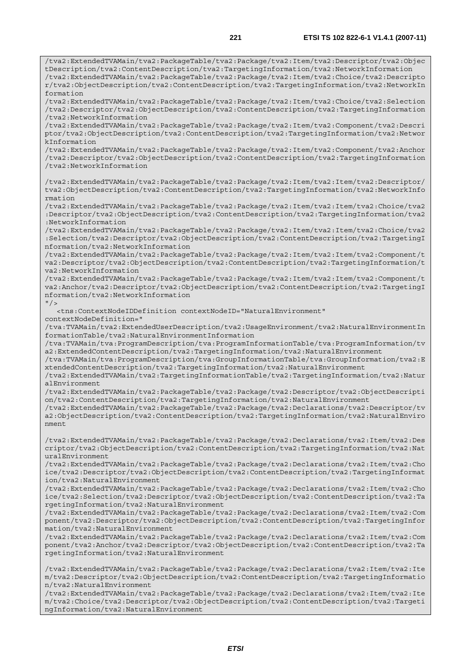/tva2:ExtendedTVAMain/tva2:PackageTable/tva2:Package/tva2:Item/tva2:Descriptor/tva2:Objec tDescription/tva2:ContentDescription/tva2:TargetingInformation/tva2:NetworkInformation /tva2:ExtendedTVAMain/tva2:PackageTable/tva2:Package/tva2:Item/tva2:Choice/tva2:Descripto

r/tva2:ObjectDescription/tva2:ContentDescription/tva2:TargetingInformation/tva2:NetworkIn formation /tva2:ExtendedTVAMain/tva2:PackageTable/tva2:Package/tva2:Item/tva2:Choice/tva2:Selection /tva2:Descriptor/tva2:ObjectDescription/tva2:ContentDescription/tva2:TargetingInformation /tva2:NetworkInformation /tva2:ExtendedTVAMain/tva2:PackageTable/tva2:Package/tva2:Item/tva2:Component/tva2:Descri ptor/tva2:ObjectDescription/tva2:ContentDescription/tva2:TargetingInformation/tva2:Networ kInformation /tva2:ExtendedTVAMain/tva2:PackageTable/tva2:Package/tva2:Item/tva2:Component/tva2:Anchor /tva2:Descriptor/tva2:ObjectDescription/tva2:ContentDescription/tva2:TargetingInformation /tva2:NetworkInformation /tva2:ExtendedTVAMain/tva2:PackageTable/tva2:Package/tva2:Item/tva2:Item/tva2:Descriptor/ tva2:ObjectDescription/tva2:ContentDescription/tva2:TargetingInformation/tva2:NetworkInfo rmation /tva2:ExtendedTVAMain/tva2:PackageTable/tva2:Package/tva2:Item/tva2:Item/tva2:Choice/tva2 :Descriptor/tva2:ObjectDescription/tva2:ContentDescription/tva2:TargetingInformation/tva2 :NetworkInformation /tva2:ExtendedTVAMain/tva2:PackageTable/tva2:Package/tva2:Item/tva2:Item/tva2:Choice/tva2 :Selection/tva2:Descriptor/tva2:ObjectDescription/tva2:ContentDescription/tva2:TargetingI nformation/tva2:NetworkInformation /tva2:ExtendedTVAMain/tva2:PackageTable/tva2:Package/tva2:Item/tva2:Item/tva2:Component/t va2:Descriptor/tva2:ObjectDescription/tva2:ContentDescription/tva2:TargetingInformation/t va2:NetworkInformation /tva2:ExtendedTVAMain/tva2:PackageTable/tva2:Package/tva2:Item/tva2:Item/tva2:Component/t va2:Anchor/tva2:Descriptor/tva2:ObjectDescription/tva2:ContentDescription/tva2:TargetingI nformation/tva2:NetworkInformation  $''$  /> <tns:ContextNodeIDDefinition contextNodeID="NaturalEnvironment" contextNodeDefinition=" /tva:TVAMain/tva2:ExtendedUserDescription/tva2:UsageEnvironment/tva2:NaturalEnvironmentIn formationTable/tva2:NaturalEnvironmentInformation /tva:TVAMain/tva:ProgramDescription/tva:ProgramInformationTable/tva:ProgramInformation/tv a2:ExtendedContentDescription/tva2:TargetingInformation/tva2:NaturalEnvironment /tva:TVAMain/tva:ProgramDescription/tva:GroupInformationTable/tva:GroupInformation/tva2:E xtendedContentDescription/tva2:TargetingInformation/tva2:NaturalEnvironment /tva2:ExtendedTVAMain/tva2:TargetingInformationTable/tva2:TargetingInformation/tva2:Natur alEnvironment /tva2:ExtendedTVAMain/tva2:PackageTable/tva2:Package/tva2:Descriptor/tva2:ObjectDescripti on/tva2:ContentDescription/tva2:TargetingInformation/tva2:NaturalEnvironment /tva2:ExtendedTVAMain/tva2:PackageTable/tva2:Package/tva2:Declarations/tva2:Descriptor/tv a2:ObjectDescription/tva2:ContentDescription/tva2:TargetingInformation/tva2:NaturalEnviro nment /tva2:ExtendedTVAMain/tva2:PackageTable/tva2:Package/tva2:Declarations/tva2:Item/tva2:Des criptor/tva2:ObjectDescription/tva2:ContentDescription/tva2:TargetingInformation/tva2:Nat uralEnvironment /tva2:ExtendedTVAMain/tva2:PackageTable/tva2:Package/tva2:Declarations/tva2:Item/tva2:Cho ice/tva2:Descriptor/tva2:ObjectDescription/tva2:ContentDescription/tva2:TargetingInformat ion/tva2:NaturalEnvironment /tva2:ExtendedTVAMain/tva2:PackageTable/tva2:Package/tva2:Declarations/tva2:Item/tva2:Cho ice/tva2:Selection/tva2:Descriptor/tva2:ObjectDescription/tva2:ContentDescription/tva2:Ta rgetingInformation/tva2:NaturalEnvironment /tva2:ExtendedTVAMain/tva2:PackageTable/tva2:Package/tva2:Declarations/tva2:Item/tva2:Com ponent/tva2:Descriptor/tva2:ObjectDescription/tva2:ContentDescription/tva2:TargetingInfor mation/tva2:NaturalEnvironment /tva2:ExtendedTVAMain/tva2:PackageTable/tva2:Package/tva2:Declarations/tva2:Item/tva2:Com ponent/tva2:Anchor/tva2:Descriptor/tva2:ObjectDescription/tva2:ContentDescription/tva2:Ta rgetingInformation/tva2:NaturalEnvironment /tva2:ExtendedTVAMain/tva2:PackageTable/tva2:Package/tva2:Declarations/tva2:Item/tva2:Ite m/tva2:Descriptor/tva2:ObjectDescription/tva2:ContentDescription/tva2:TargetingInformatio n/tva2:NaturalEnvironment /tva2:ExtendedTVAMain/tva2:PackageTable/tva2:Package/tva2:Declarations/tva2:Item/tva2:Ite m/tva2:Choice/tva2:Descriptor/tva2:ObjectDescription/tva2:ContentDescription/tva2:Targeti ngInformation/tva2:NaturalEnvironment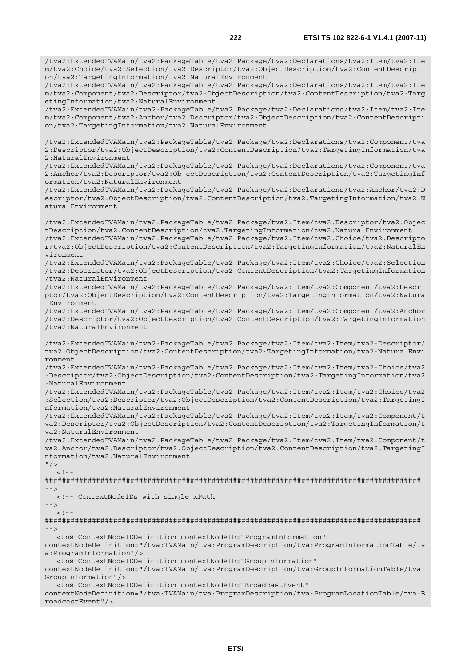/tva2:ExtendedTVAMain/tva2:PackageTable/tva2:Package/tva2:Declarations/tva2:Item/tva2:Ite

m/tva2:Choice/tva2:Selection/tva2:Descriptor/tva2:ObjectDescription/tva2:ContentDescripti on/tva2:TargetingInformation/tva2:NaturalEnvironment /tva2:ExtendedTVAMain/tva2:PackageTable/tva2:Package/tva2:Declarations/tva2:Item/tva2:Ite m/tva2:Component/tva2:Descriptor/tva2:ObjectDescription/tva2:ContentDescription/tva2:Targ etingInformation/tva2:NaturalEnvironment /tva2:ExtendedTVAMain/tva2:PackageTable/tva2:Package/tva2:Declarations/tva2:Item/tva2:Ite m/tva2:Component/tva2:Anchor/tva2:Descriptor/tva2:ObjectDescription/tva2:ContentDescripti on/tva2:TargetingInformation/tva2:NaturalEnvironment /tva2:ExtendedTVAMain/tva2:PackageTable/tva2:Package/tva2:Declarations/tva2:Component/tva 2:Descriptor/tva2:ObjectDescription/tva2:ContentDescription/tva2:TargetingInformation/tva 2:NaturalEnvironment /tva2:ExtendedTVAMain/tva2:PackageTable/tva2:Package/tva2:Declarations/tva2:Component/tva 2:Anchor/tva2:Descriptor/tva2:ObjectDescription/tva2:ContentDescription/tva2:TargetingInf ormation/tva2:NaturalEnvironment /tva2:ExtendedTVAMain/tva2:PackageTable/tva2:Package/tva2:Declarations/tva2:Anchor/tva2:D escriptor/tva2:ObjectDescription/tva2:ContentDescription/tva2:TargetingInformation/tva2:N aturalEnvironment /tva2:ExtendedTVAMain/tva2:PackageTable/tva2:Package/tva2:Item/tva2:Descriptor/tva2:Objec tDescription/tva2:ContentDescription/tva2:TargetingInformation/tva2:NaturalEnvironment /tva2:ExtendedTVAMain/tva2:PackageTable/tva2:Package/tva2:Item/tva2:Choice/tva2:Descripto r/tva2:ObjectDescription/tva2:ContentDescription/tva2:TargetingInformation/tva2:NaturalEn vironment /tva2:ExtendedTVAMain/tva2:PackageTable/tva2:Package/tva2:Item/tva2:Choice/tva2:Selection /tva2:Descriptor/tva2:ObjectDescription/tva2:ContentDescription/tva2:TargetingInformation /tva2:NaturalEnvironment /tva2:ExtendedTVAMain/tva2:PackageTable/tva2:Package/tva2:Item/tva2:Component/tva2:Descri ptor/tva2:ObjectDescription/tva2:ContentDescription/tva2:TargetingInformation/tva2:Natura lEnvironment /tva2:ExtendedTVAMain/tva2:PackageTable/tva2:Package/tva2:Item/tva2:Component/tva2:Anchor /tva2:Descriptor/tva2:ObjectDescription/tva2:ContentDescription/tva2:TargetingInformation /tva2:NaturalEnvironment /tva2:ExtendedTVAMain/tva2:PackageTable/tva2:Package/tva2:Item/tva2:Item/tva2:Descriptor/ tva2:ObjectDescription/tva2:ContentDescription/tva2:TargetingInformation/tva2:NaturalEnvi ronment /tva2:ExtendedTVAMain/tva2:PackageTable/tva2:Package/tva2:Item/tva2:Item/tva2:Choice/tva2 :Descriptor/tva2:ObjectDescription/tva2:ContentDescription/tva2:TargetingInformation/tva2 :NaturalEnvironment /tva2:ExtendedTVAMain/tva2:PackageTable/tva2:Package/tva2:Item/tva2:Item/tva2:Choice/tva2 :Selection/tva2:Descriptor/tva2:ObjectDescription/tva2:ContentDescription/tva2:TargetingI nformation/tva2:NaturalEnvironment /tva2:ExtendedTVAMain/tva2:PackageTable/tva2:Package/tva2:Item/tva2:Item/tva2:Component/t va2:Descriptor/tva2:ObjectDescription/tva2:ContentDescription/tva2:TargetingInformation/t va2:NaturalEnvironment /tva2:ExtendedTVAMain/tva2:PackageTable/tva2:Package/tva2:Item/tva2:Item/tva2:Component/t va2:Anchor/tva2:Descriptor/tva2:ObjectDescription/tva2:ContentDescription/tva2:TargetingI nformation/tva2:NaturalEnvironment  $"$  />  $\langle$ ! --######################################################################################## --> <!-- ContextNodeIDs with single xPath -->  $\lt$  !  $-$ ######################################################################################## --> <tns:ContextNodeIDDefinition contextNodeID="ProgramInformation" contextNodeDefinition="/tva:TVAMain/tva:ProgramDescription/tva:ProgramInformationTable/tv a:ProgramInformation"/> <tns:ContextNodeIDDefinition contextNodeID="GroupInformation" contextNodeDefinition="/tva:TVAMain/tva:ProgramDescription/tva:GroupInformationTable/tva: GroupInformation"/> <tns:ContextNodeIDDefinition contextNodeID="BroadcastEvent" contextNodeDefinition="/tva:TVAMain/tva:ProgramDescription/tva:ProgramLocationTable/tva:B roadcastEvent"/>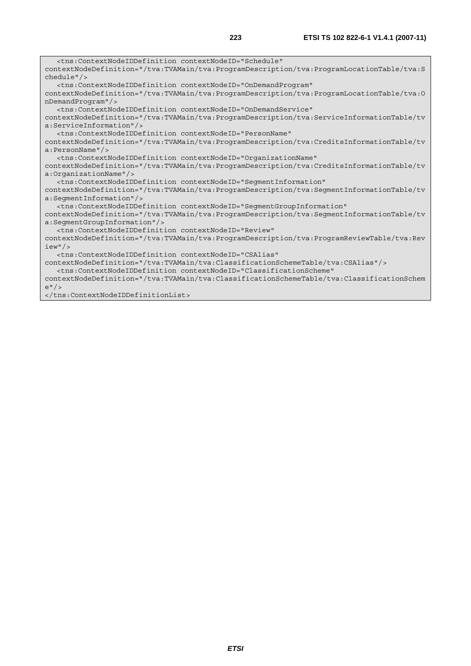<tns:ContextNodeIDDefinition contextNodeID="Schedule" contextNodeDefinition="/tva:TVAMain/tva:ProgramDescription/tva:ProgramLocationTable/tva:S chedule"/> <tns:ContextNodeIDDefinition contextNodeID="OnDemandProgram" contextNodeDefinition="/tva:TVAMain/tva:ProgramDescription/tva:ProgramLocationTable/tva:O nDemandProgram"/> <tns:ContextNodeIDDefinition contextNodeID="OnDemandService" contextNodeDefinition="/tva:TVAMain/tva:ProgramDescription/tva:ServiceInformationTable/tv a:ServiceInformation"/> <tns:ContextNodeIDDefinition contextNodeID="PersonName" contextNodeDefinition="/tva:TVAMain/tva:ProgramDescription/tva:CreditsInformationTable/tv a:PersonName"/> <tns:ContextNodeIDDefinition contextNodeID="OrganizationName" contextNodeDefinition="/tva:TVAMain/tva:ProgramDescription/tva:CreditsInformationTable/tv a:OrganizationName"/> <tns:ContextNodeIDDefinition contextNodeID="SegmentInformation" contextNodeDefinition="/tva:TVAMain/tva:ProgramDescription/tva:SegmentInformationTable/tv a:SegmentInformation"/> <tns:ContextNodeIDDefinition contextNodeID="SegmentGroupInformation" contextNodeDefinition="/tva:TVAMain/tva:ProgramDescription/tva:SegmentInformationTable/tv a:SegmentGroupInformation"/> <tns:ContextNodeIDDefinition contextNodeID="Review" contextNodeDefinition="/tva:TVAMain/tva:ProgramDescription/tva:ProgramReviewTable/tva:Rev iew"/> <tns:ContextNodeIDDefinition contextNodeID="CSAlias" contextNodeDefinition="/tva:TVAMain/tva:ClassificationSchemeTable/tva:CSAlias"/> <tns:ContextNodeIDDefinition contextNodeID="ClassificationScheme" contextNodeDefinition="/tva:TVAMain/tva:ClassificationSchemeTable/tva:ClassificationSchem e"/>

</tns:ContextNodeIDDefinitionList>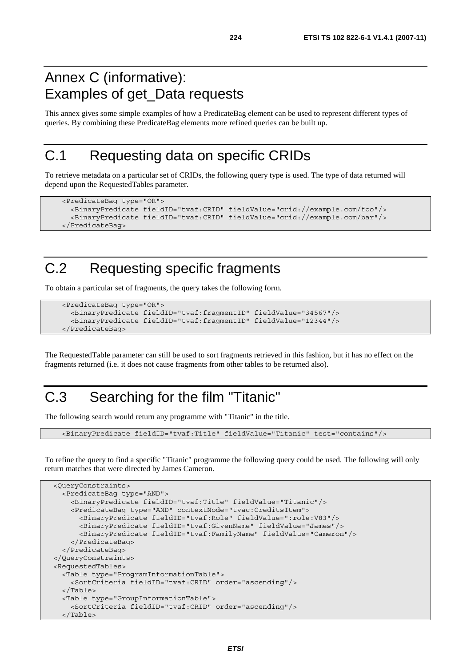#### Annex C (informative): Examples of get\_Data requests

This annex gives some simple examples of how a PredicateBag element can be used to represent different types of queries. By combining these PredicateBag elements more refined queries can be built up.

#### C.1 Requesting data on specific CRIDs

To retrieve metadata on a particular set of CRIDs, the following query type is used. The type of data returned will depend upon the RequestedTables parameter.

```
 <PredicateBag type="OR"> 
   <BinaryPredicate fieldID="tvaf:CRID" fieldValue="crid://example.com/foo"/> 
   <BinaryPredicate fieldID="tvaf:CRID" fieldValue="crid://example.com/bar"/> 
 </PredicateBag>
```
# C.2 Requesting specific fragments

To obtain a particular set of fragments, the query takes the following form.

```
 <PredicateBag type="OR"> 
   <BinaryPredicate fieldID="tvaf:fragmentID" fieldValue="34567"/> 
   <BinaryPredicate fieldID="tvaf:fragmentID" fieldValue="12344"/> 
 </PredicateBag>
```
The RequestedTable parameter can still be used to sort fragments retrieved in this fashion, but it has no effect on the fragments returned (i.e. it does not cause fragments from other tables to be returned also).

# C.3 Searching for the film "Titanic"

The following search would return any programme with "Titanic" in the title.

<BinaryPredicate fieldID="tvaf:Title" fieldValue="Titanic" test="contains"/>

To refine the query to find a specific "Titanic" programme the following query could be used. The following will only return matches that were directed by James Cameron.

```
 <QueryConstraints> 
   <PredicateBag type="AND"> 
     <BinaryPredicate fieldID="tvaf:Title" fieldValue="Titanic"/> 
     <PredicateBag type="AND" contextNode="tvac:CreditsItem"> 
       <BinaryPredicate fieldID="tvaf:Role" fieldValue=":role:V83"/> 
       <BinaryPredicate fieldID="tvaf:GivenName" fieldValue="James"/> 
       <BinaryPredicate fieldID="tvaf:FamilyName" fieldValue="Cameron"/> 
     </PredicateBag> 
   </PredicateBag> 
 </QueryConstraints> 
 <RequestedTables> 
   <Table type="ProgramInformationTable"> 
     <SortCriteria fieldID="tvaf:CRID" order="ascending"/> 
   </Table> 
   <Table type="GroupInformationTable"> 
     <SortCriteria fieldID="tvaf:CRID" order="ascending"/> 
   </Table>
```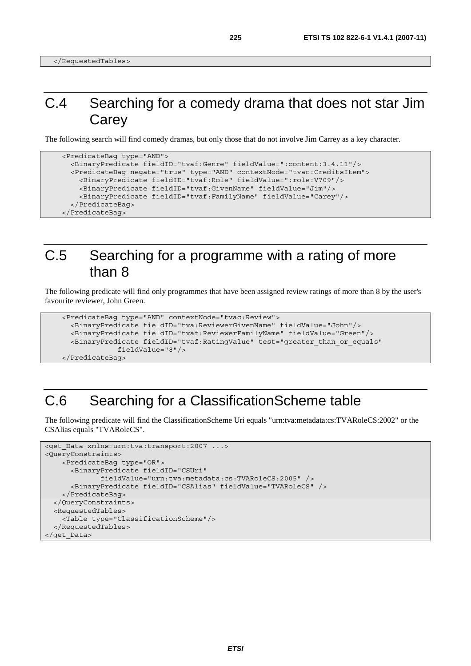## C.4 Searching for a comedy drama that does not star Jim **Carey**

The following search will find comedy dramas, but only those that do not involve Jim Carrey as a key character.

```
 <PredicateBag type="AND"> 
   <BinaryPredicate fieldID="tvaf:Genre" fieldValue=":content:3.4.11"/> 
   <PredicateBag negate="true" type="AND" contextNode="tvac:CreditsItem"> 
     <BinaryPredicate fieldID="tvaf:Role" fieldValue=":role:V709"/> 
     <BinaryPredicate fieldID="tvaf:GivenName" fieldValue="Jim"/> 
     <BinaryPredicate fieldID="tvaf:FamilyName" fieldValue="Carey"/> 
   </PredicateBag> 
 </PredicateBag>
```
#### C.5 Searching for a programme with a rating of more than 8

The following predicate will find only programmes that have been assigned review ratings of more than 8 by the user's favourite reviewer, John Green.

```
 <PredicateBag type="AND" contextNode="tvac:Review"> 
   <BinaryPredicate fieldID="tva:ReviewerGivenName" fieldValue="John"/> 
   <BinaryPredicate fieldID="tvaf:ReviewerFamilyName" fieldValue="Green"/> 
   <BinaryPredicate fieldID="tvaf:RatingValue" test="greater_than_or_equals" 
              fieldValue="8"/> 
 </PredicateBag>
```
#### C.6 Searching for a ClassificationScheme table

The following predicate will find the ClassificationScheme Uri equals "urn:tva:metadata:cs:TVARoleCS:2002" or the CSAlias equals "TVARoleCS".

```
<get Data xmlns=urn:tva:transport:2007 ...>
<QueryConstraints> 
     <PredicateBag type="OR"> 
       <BinaryPredicate fieldID="CSUri" 
              fieldValue="urn:tva:metadata:cs:TVARoleCS:2005" /> 
       <BinaryPredicate fieldID="CSAlias" fieldValue="TVARoleCS" /> 
    </PredicateBag> 
   </QueryConstraints> 
   <RequestedTables> 
     <Table type="ClassificationScheme"/> 
   </RequestedTables> 
</get_Data>
```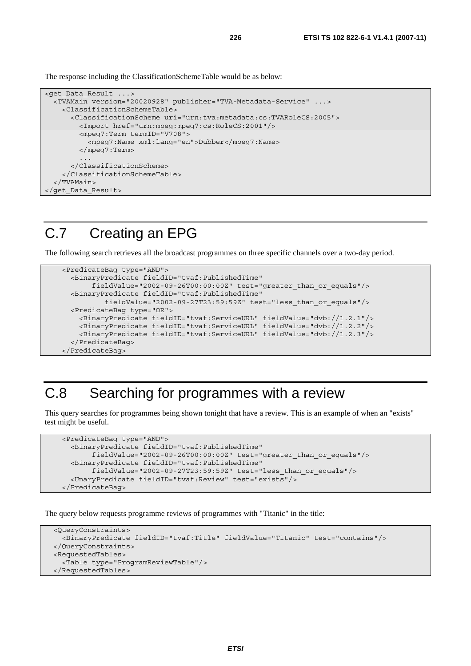The response including the ClassificationSchemeTable would be as below:

```
<get_Data_Result ...> 
   <TVAMain version="20020928" publisher="TVA-Metadata-Service" ...> 
     <ClassificationSchemeTable> 
       <ClassificationScheme uri="urn:tva:metadata:cs:TVARoleCS:2005"> 
         <Import href="urn:mpeg:mpeg7:cs:RoleCS:2001"/> 
         <mpeg7:Term termID="V708"> 
           <mpeg7:Name xml:lang="en">Dubber</mpeg7:Name> 
         </mpeg7:Term> 
 ... 
       </ClassificationScheme> 
     </ClassificationSchemeTable> 
   </TVAMain> 
</get_Data_Result>
```
### C.7 Creating an EPG

The following search retrieves all the broadcast programmes on three specific channels over a two-day period.

```
 <PredicateBag type="AND"> 
   <BinaryPredicate fieldID="tvaf:PublishedTime" 
        fieldValue="2002-09-26T00:00:00Z" test="greater_than_or_equals"/> 
   <BinaryPredicate fieldID="tvaf:PublishedTime" 
           fieldValue="2002-09-27T23:59:59Z" test="less_than_or_equals"/> 
   <PredicateBag type="OR"> 
    <BinaryPredicate fieldID="tvaf:ServiceURL" fieldValue="dvb://1.2.1"/> 
    <BinaryPredicate fieldID="tvaf:ServiceURL" fieldValue="dvb://1.2.2"/> 
    <BinaryPredicate fieldID="tvaf:ServiceURL" fieldValue="dvb://1.2.3"/> 
   </PredicateBag> 
 </PredicateBag>
```
#### C.8 Searching for programmes with a review

This query searches for programmes being shown tonight that have a review. This is an example of when an "exists" test might be useful.

```
 <PredicateBag type="AND"> 
   <BinaryPredicate fieldID="tvaf:PublishedTime" 
        fieldValue="2002-09-26T00:00:00Z" test="greater_than_or_equals"/> 
   <BinaryPredicate fieldID="tvaf:PublishedTime" 
        fieldValue="2002-09-27T23:59:59Z" test="less_than_or_equals"/> 
   <UnaryPredicate fieldID="tvaf:Review" test="exists"/> 
 </PredicateBag>
```
The query below requests programme reviews of programmes with "Titanic" in the title:

```
 <QueryConstraints> 
   <BinaryPredicate fieldID="tvaf:Title" fieldValue="Titanic" test="contains"/> 
 </QueryConstraints> 
 <RequestedTables> 
   <Table type="ProgramReviewTable"/> 
 </RequestedTables>
```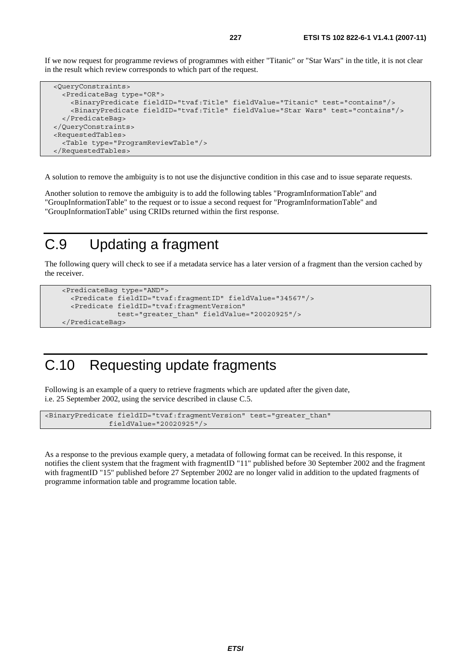If we now request for programme reviews of programmes with either "Titanic" or "Star Wars" in the title, it is not clear in the result which review corresponds to which part of the request.

```
 <QueryConstraints> 
   <PredicateBag type="OR"> 
     <BinaryPredicate fieldID="tvaf:Title" fieldValue="Titanic" test="contains"/> 
     <BinaryPredicate fieldID="tvaf:Title" fieldValue="Star Wars" test="contains"/> 
   </PredicateBag> 
 </QueryConstraints> 
 <RequestedTables> 
   <Table type="ProgramReviewTable"/> 
 </RequestedTables>
```
A solution to remove the ambiguity is to not use the disjunctive condition in this case and to issue separate requests.

Another solution to remove the ambiguity is to add the following tables "ProgramInformationTable" and "GroupInformationTable" to the request or to issue a second request for "ProgramInformationTable" and "GroupInformationTable" using CRIDs returned within the first response.

#### C.9 Updating a fragment

The following query will check to see if a metadata service has a later version of a fragment than the version cached by the receiver.

```
 <PredicateBag type="AND"> 
   <Predicate fieldID="tvaf:fragmentID" fieldValue="34567"/> 
   <Predicate fieldID="tvaf:fragmentVersion" 
               test="greater_than" fieldValue="20020925"/> 
 </PredicateBag>
```
### C.10 Requesting update fragments

Following is an example of a query to retrieve fragments which are updated after the given date, i.e. 25 September 2002, using the service described in clause C.5.

```
<BinaryPredicate fieldID="tvaf:fragmentVersion" test="greater_than" 
                fieldValue="20020925"/>
```
As a response to the previous example query, a metadata of following format can be received. In this response, it notifies the client system that the fragment with fragmentID "11" published before 30 September 2002 and the fragment with fragmentID "15" published before 27 September 2002 are no longer valid in addition to the updated fragments of programme information table and programme location table.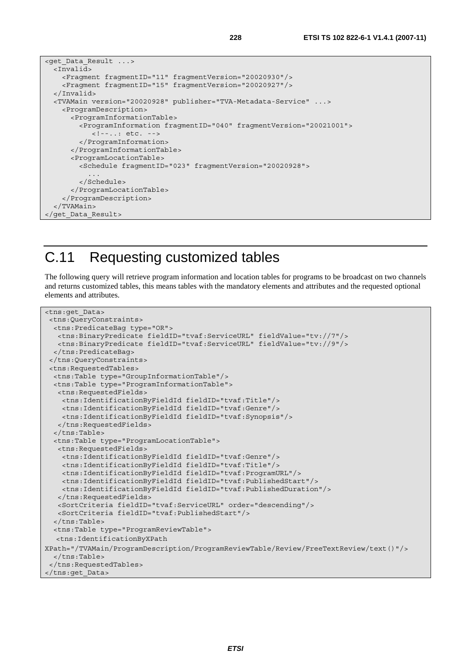```
<get_Data_Result ...> 
   <Invalid> 
     <Fragment fragmentID="11" fragmentVersion="20020930"/> 
     <Fragment fragmentID="15" fragmentVersion="20020927"/> 
   </Invalid> 
   <TVAMain version="20020928" publisher="TVA-Metadata-Service" ...> 
    <ProgramDescription> 
       <ProgramInformationTable> 
         <ProgramInformation fragmentID="040" fragmentVersion="20021001"> 
            <!--..: etc. --> 
         </ProgramInformation> 
       </ProgramInformationTable> 
       <ProgramLocationTable> 
         <Schedule fragmentID="023" fragmentVersion="20020928"> 
 ... 
         </Schedule> 
       </ProgramLocationTable> 
     </ProgramDescription> 
   </TVAMain> 
</get_Data_Result>
```
#### C.11 Requesting customized tables

The following query will retrieve program information and location tables for programs to be broadcast on two channels and returns customized tables, this means tables with the mandatory elements and attributes and the requested optional elements and attributes.

```
<tns:get_Data> 
  <tns:QueryConstraints> 
   <tns:PredicateBag type="OR"> 
    <tns:BinaryPredicate fieldID="tvaf:ServiceURL" fieldValue="tv://7"/> 
    <tns:BinaryPredicate fieldID="tvaf:ServiceURL" fieldValue="tv://9"/> 
   </tns:PredicateBag> 
  </tns:QueryConstraints> 
  <tns:RequestedTables> 
   <tns:Table type="GroupInformationTable"/> 
   <tns:Table type="ProgramInformationTable"> 
    <tns:RequestedFields> 
     <tns:IdentificationByFieldId fieldID="tvaf:Title"/> 
     <tns:IdentificationByFieldId fieldID="tvaf:Genre"/> 
     <tns:IdentificationByFieldId fieldID="tvaf:Synopsis"/> 
    </tns:RequestedFields> 
   </tns:Table> 
   <tns:Table type="ProgramLocationTable"> 
    <tns:RequestedFields> 
     <tns:IdentificationByFieldId fieldID="tvaf:Genre"/> 
     <tns:IdentificationByFieldId fieldID="tvaf:Title"/> 
     <tns:IdentificationByFieldId fieldID="tvaf:ProgramURL"/> 
     <tns:IdentificationByFieldId fieldID="tvaf:PublishedStart"/> 
     <tns:IdentificationByFieldId fieldID="tvaf:PublishedDuration"/> 
    </tns:RequestedFields> 
    <SortCriteria fieldID="tvaf:ServiceURL" order="descending"/> 
    <SortCriteria fieldID="tvaf:PublishedStart"/> 
   </tns:Table> 
   <tns:Table type="ProgramReviewTable"> 
   <tns:IdentificationByXPath 
XPath="/TVAMain/ProgramDescription/ProgramReviewTable/Review/FreeTextReview/text()"/> 
   </tns:Table> 
  </tns:RequestedTables> 
</tns:get_Data>
```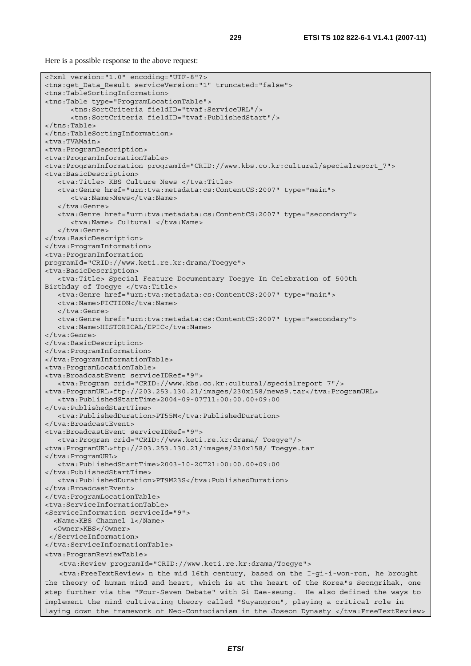Here is a possible response to the above request:

```
<?xml version="1.0" encoding="UTF-8"?> 
<tns:get_Data_Result serviceVersion="1" truncated="false"> 
<tns:TableSortingInformation> 
<tns:Table type="ProgramLocationTable"> 
       <tns:SortCriteria fieldID="tvaf:ServiceURL"/> 
       <tns:SortCriteria fieldID="tvaf:PublishedStart"/> 
</tns:Table> 
</tns:TableSortingInformation> 
<tva:TVAMain> 
<tva:ProgramDescription> 
<tva:ProgramInformationTable> 
<tva:ProgramInformation programId="CRID://www.kbs.co.kr:cultural/specialreport_7"> 
<tva:BasicDescription> 
    <tva:Title> KBS Culture News </tva:Title> 
    <tva:Genre href="urn:tva:metadata:cs:ContentCS:2007" type="main"> 
       <tva:Name>News</tva:Name> 
    </tva:Genre> 
    <tva:Genre href="urn:tva:metadata:cs:ContentCS:2007" type="secondary"> 
       <tva:Name> Cultural </tva:Name> 
    </tva:Genre> 
</tva:BasicDescription> 
</tva:ProgramInformation> 
<tva:ProgramInformation 
programId="CRID://www.keti.re.kr:drama/Toegye"> 
<tva:BasicDescription> 
    <tva:Title> Special Feature Documentary Toegye In Celebration of 500th 
Birthday of Toegye </tva:Title>
   <tva:Genre href="urn:tva:metadata:cs:ContentCS:2007" type="main"> 
    <tva:Name>FICTION</tva:Name> 
    </tva:Genre> 
    <tva:Genre href="urn:tva:metadata:cs:ContentCS:2007" type="secondary"> 
    <tva:Name>HISTORICAL/EPIC</tva:Name> 
</tva:Genre> 
</tva:BasicDescription> 
</tva:ProgramInformation> 
</tva:ProgramInformationTable> 
<tva:ProgramLocationTable> 
<tva:BroadcastEvent serviceIDRef="9"> 
    <tva:Program crid="CRID://www.kbs.co.kr:cultural/specialreport_7"/> 
<tva:ProgramURL>ftp://203.253.130.21/images/230x158/news9.tar</tva:ProgramURL> 
    <tva:PublishedStartTime>2004-09-07T11:00:00.00+09:00 
</tva:PublishedStartTime> 
    <tva:PublishedDuration>PT55M</tva:PublishedDuration> 
</tva:BroadcastEvent> 
<tva:BroadcastEvent serviceIDRef="9"> 
    <tva:Program crid="CRID://www.keti.re.kr:drama/ Toegye"/> 
<tva:ProgramURL>ftp://203.253.130.21/images/230x158/ Toegye.tar 
</tva:ProgramURL> 
    <tva:PublishedStartTime>2003-10-20T21:00:00.00+09:00 
</tva:PublishedStartTime> 
    <tva:PublishedDuration>PT9M23S</tva:PublishedDuration> 
</tva:BroadcastEvent> 
</tva:ProgramLocationTable> 
<tva:ServiceInformationTable> 
<ServiceInformation serviceId="9"> 
   <Name>KBS Channel 1</Name> 
   <Owner>KBS</Owner> 
  </ServiceInformation> 
</tva:ServiceInformationTable> 
<tva:ProgramReviewTable> 
   <tva:Review programId="CRID://www.keti.re.kr:drama/Toegye"> 
   <tva:FreeTextReview> n the mid 16th century, based on the I-gi-i-won-ron, he brought 
the theory of human mind and heart, which is at the heart of the Korea"s Seongrihak, one 
step further via the "Four-Seven Debate" with Gi Dae-seung. He also defined the ways to 
implement the mind cultivating theory called "Suyangron", playing a critical role in 
laying down the framework of Neo-Confucianism in the Joseon Dynasty </tva:FreeTextReview>
```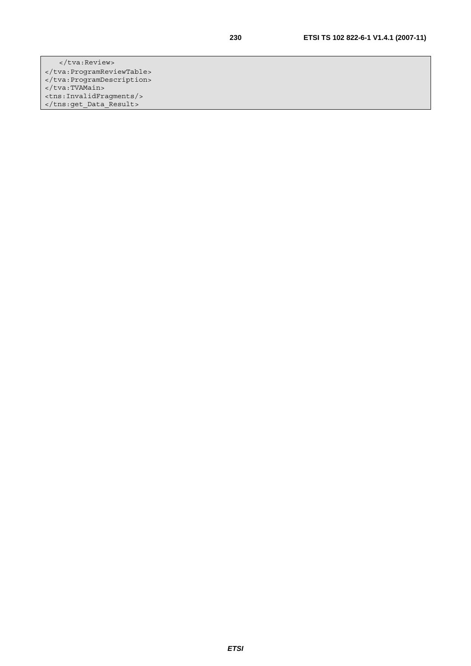</tva:Review> </tva:ProgramReviewTable> </tva:ProgramDescription> </tva:TVAMain> <tns:InvalidFragments/> </tns:get\_Data\_Result>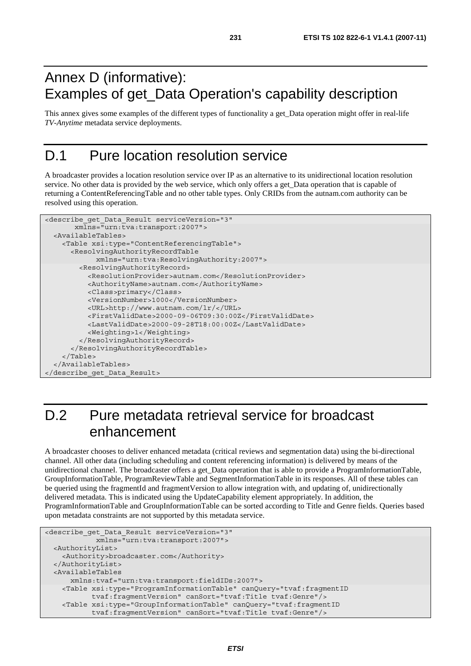## Annex D (informative): Examples of get\_Data Operation's capability description

This annex gives some examples of the different types of functionality a get\_Data operation might offer in real-life *TV-Anytime* metadata service deployments.

### D.1 Pure location resolution service

A broadcaster provides a location resolution service over IP as an alternative to its unidirectional location resolution service. No other data is provided by the web service, which only offers a get Data operation that is capable of returning a ContentReferencingTable and no other table types. Only CRIDs from the autnam.com authority can be resolved using this operation.

```
<describe_get_Data_Result serviceVersion="3" 
        xmlns="urn:tva:transport:2007"> 
   <AvailableTables> 
     <Table xsi:type="ContentReferencingTable"> 
       <ResolvingAuthorityRecordTable 
             xmlns="urn:tva:ResolvingAuthority:2007"> 
         <ResolvingAuthorityRecord> 
           <ResolutionProvider>autnam.com</ResolutionProvider> 
           <AuthorityName>autnam.com</AuthorityName> 
           <Class>primary</Class> 
           <VersionNumber>1000</VersionNumber> 
           <URL>http://www.autnam.com/lr/</URL> 
           <FirstValidDate>2000-09-06T09:30:00Z</FirstValidDate> 
           <LastValidDate>2000-09-28T18:00:00Z</LastValidDate> 
           <Weighting>1</Weighting> 
         </ResolvingAuthorityRecord> 
       </ResolvingAuthorityRecordTable> 
     </Table> 
   </AvailableTables> 
</describe_get_Data_Result>
```
# D.2 Pure metadata retrieval service for broadcast enhancement

A broadcaster chooses to deliver enhanced metadata (critical reviews and segmentation data) using the bi-directional channel. All other data (including scheduling and content referencing information) is delivered by means of the unidirectional channel. The broadcaster offers a get\_Data operation that is able to provide a ProgramInformationTable, GroupInformationTable, ProgramReviewTable and SegmentInformationTable in its responses. All of these tables can be queried using the fragmentId and fragmentVersion to allow integration with, and updating of, unidirectionally delivered metadata. This is indicated using the UpdateCapability element appropriately. In addition, the ProgramInformationTable and GroupInformationTable can be sorted according to Title and Genre fields. Queries based upon metadata constraints are not supported by this metadata service.

```
<describe_get_Data_Result serviceVersion="3" 
             xmlns="urn:tva:transport:2007"> 
  <AuthorityList> 
    <Authority>broadcaster.com</Authority> 
  </AuthorityList> 
  <AvailableTables 
      xmlns:tvaf="urn:tva:transport:fieldIDs:2007"> 
    <Table xsi:type="ProgramInformationTable" canQuery="tvaf:fragmentID 
            tvaf:fragmentVersion" canSort="tvaf:Title tvaf:Genre"/> 
    <Table xsi:type="GroupInformationTable" canQuery="tvaf:fragmentID 
            tvaf:fragmentVersion" canSort="tvaf:Title tvaf:Genre"/>
```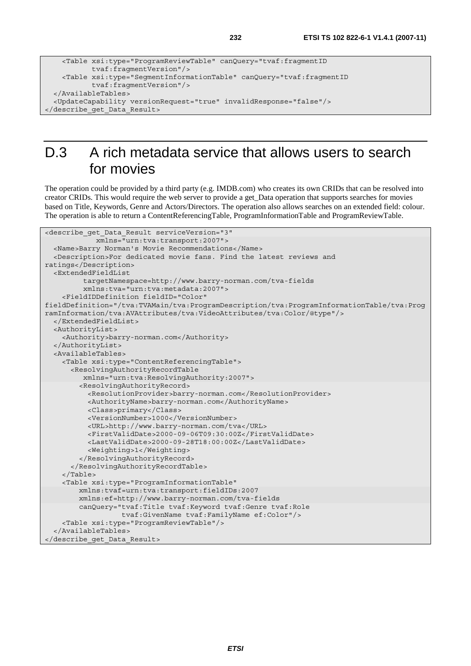```
 <Table xsi:type="ProgramReviewTable" canQuery="tvaf:fragmentID 
            tvaf:fragmentVersion"/> 
    <Table xsi:type="SegmentInformationTable" canQuery="tvaf:fragmentID 
            tvaf:fragmentVersion"/> 
  </AvailableTables> 
  <UpdateCapability versionRequest="true" invalidResponse="false"/> 
</describe_get_Data_Result>
```
# D.3 A rich metadata service that allows users to search for movies

The operation could be provided by a third party (e.g. IMDB.com) who creates its own CRIDs that can be resolved into creator CRIDs. This would require the web server to provide a get\_Data operation that supports searches for movies based on Title, Keywords, Genre and Actors/Directors. The operation also allows searches on an extended field: colour. The operation is able to return a ContentReferencingTable, ProgramInformationTable and ProgramReviewTable.

```
<describe_get_Data_Result serviceVersion="3" 
             xmlns="urn:tva:transport:2007"> 
   <Name>Barry Norman's Movie Recommendations</Name> 
   <Description>For dedicated movie fans. Find the latest reviews and 
ratings</Description> 
   <ExtendedFieldList 
          targetNamespace=http://www.barry-norman.com/tva-fields 
          xmlns:tva="urn:tva:metadata:2007"> 
     <FieldIDDefinition fieldID="Color" 
fieldDefinition="/tva:TVAMain/tva:ProgramDescription/tva:ProgramInformationTable/tva:Prog
ramInformation/tva:AVAttributes/tva:VideoAttributes/tva:Color/@type"/> 
   </ExtendedFieldList> 
   <AuthorityList> 
     <Authority>barry-norman.com</Authority> 
   </AuthorityList> 
   <AvailableTables> 
     <Table xsi:type="ContentReferencingTable"> 
       <ResolvingAuthorityRecordTable 
          xmlns="urn:tva:ResolvingAuthority:2007"> 
         <ResolvingAuthorityRecord> 
           <ResolutionProvider>barry-norman.com</ResolutionProvider> 
           <AuthorityName>barry-norman.com</AuthorityName> 
           <Class>primary</Class> 
           <VersionNumber>1000</VersionNumber> 
           <URL>http://www.barry-norman.com/tva</URL> 
           <FirstValidDate>2000-09-06T09:30:00Z</FirstValidDate> 
           <LastValidDate>2000-09-28T18:00:00Z</LastValidDate> 
           <Weighting>1</Weighting> 
         </ResolvingAuthorityRecord> 
       </ResolvingAuthorityRecordTable> 
     </Table> 
     <Table xsi:type="ProgramInformationTable" 
         xmlns:tvaf=urn:tva:transport:fieldIDs:2007 
         xmlns:ef=http://www.barry-norman.com/tva-fields 
         canQuery="tvaf:Title tvaf:Keyword tvaf:Genre tvaf:Role 
                    tvaf:GivenName tvaf:FamilyName ef:Color"/> 
     <Table xsi:type="ProgramReviewTable"/> 
   </AvailableTables> 
</describe_get_Data_Result>
```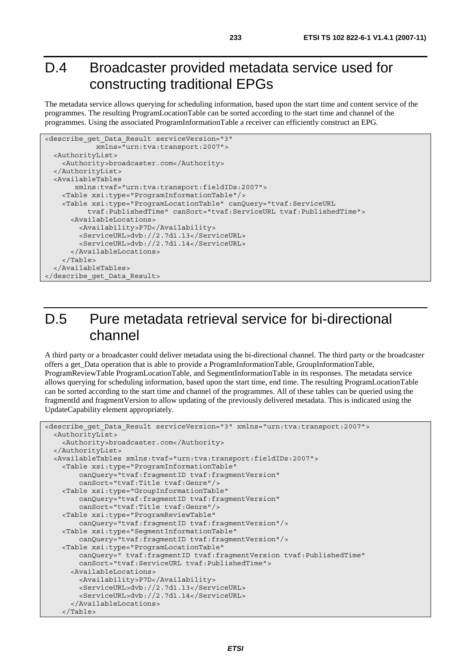### D.4 Broadcaster provided metadata service used for constructing traditional EPGs

The metadata service allows querying for scheduling information, based upon the start time and content service of the programmes. The resulting ProgramLocationTable can be sorted according to the start time and channel of the programmes. Using the associated ProgramInformationTable a receiver can efficiently construct an EPG.

```
<describe_get_Data_Result serviceVersion="3" 
             xmlns="urn:tva:transport:2007"> 
   <AuthorityList> 
     <Authority>broadcaster.com</Authority> 
   </AuthorityList> 
   <AvailableTables 
        xmlns:tvaf="urn:tva:transport:fieldIDs:2007"> 
     <Table xsi:type="ProgramInformationTable"/> 
     <Table xsi:type="ProgramLocationTable" canQuery="tvaf:ServiceURL 
           tvaf:PublishedTime" canSort="tvaf:ServiceURL tvaf:PublishedTime"> 
       <AvailableLocations> 
         <Availability>P7D</Availability> 
         <ServiceURL>dvb://2.7d1.13</ServiceURL> 
         <ServiceURL>dvb://2.7d1.14</ServiceURL> 
       </AvailableLocations> 
     </Table> 
   </AvailableTables> 
</describe_get_Data_Result>
```
# D.5 Pure metadata retrieval service for bi-directional channel

A third party or a broadcaster could deliver metadata using the bi-directional channel. The third party or the broadcaster offers a get\_Data operation that is able to provide a ProgramInformationTable, GroupInformationTable, ProgramReviewTable ProgramLocationTable, and SegmentInformationTable in its responses. The metadata service allows querying for scheduling information, based upon the start time, end time. The resulting ProgramLocationTable can be sorted according to the start time and channel of the programmes. All of these tables can be queried using the fragmentId and fragmentVersion to allow updating of the previously delivered metadata. This is indicated using the UpdateCapability element appropriately.

```
<describe get Data Result serviceVersion="3" xmlns="urn:tva:transport:2007">
   <AuthorityList> 
     <Authority>broadcaster.com</Authority> 
   </AuthorityList> 
   <AvailableTables xmlns:tvaf="urn:tva:transport:fieldIDs:2007"> 
     <Table xsi:type="ProgramInformationTable" 
         canQuery="tvaf:fragmentID tvaf:fragmentVersion" 
         canSort="tvaf:Title tvaf:Genre"/> 
     <Table xsi:type="GroupInformationTable" 
         canQuery="tvaf:fragmentID tvaf:fragmentVersion" 
         canSort="tvaf:Title tvaf:Genre"/> 
     <Table xsi:type="ProgramReviewTable" 
         canQuery="tvaf:fragmentID tvaf:fragmentVersion"/> 
     <Table xsi:type="SegmentInformationTable" 
         canQuery="tvaf:fragmentID tvaf:fragmentVersion"/> 
     <Table xsi:type="ProgramLocationTable" 
         canQuery=" tvaf:fragmentID tvaf:fragmentVersion tvaf:PublishedTime" 
         canSort="tvaf:ServiceURL tvaf:PublishedTime"> 
       <AvailableLocations> 
         <Availability>P7D</Availability> 
         <ServiceURL>dvb://2.7d1.13</ServiceURL> 
         <ServiceURL>dvb://2.7d1.14</ServiceURL> 
       </AvailableLocations> 
     </Table>
```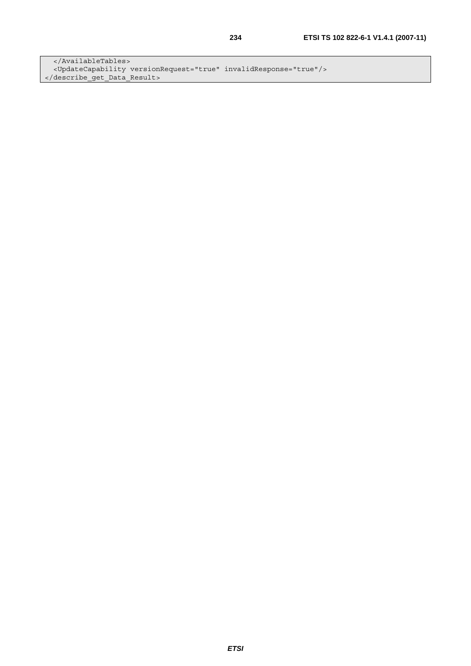</AvailableTables> <UpdateCapability versionRequest="true" invalidResponse="true"/> </describe\_get\_Data\_Result>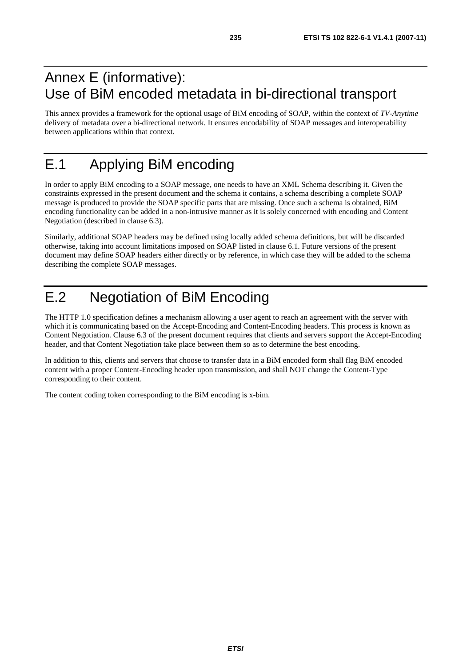### Annex E (informative): Use of BiM encoded metadata in bi-directional transport

This annex provides a framework for the optional usage of BiM encoding of SOAP, within the context of *TV-Anytime* delivery of metadata over a bi-directional network. It ensures encodability of SOAP messages and interoperability between applications within that context.

# E.1 Applying BiM encoding

In order to apply BiM encoding to a SOAP message, one needs to have an XML Schema describing it. Given the constraints expressed in the present document and the schema it contains, a schema describing a complete SOAP message is produced to provide the SOAP specific parts that are missing. Once such a schema is obtained, BiM encoding functionality can be added in a non-intrusive manner as it is solely concerned with encoding and Content Negotiation (described in clause 6.3).

Similarly, additional SOAP headers may be defined using locally added schema definitions, but will be discarded otherwise, taking into account limitations imposed on SOAP listed in clause 6.1. Future versions of the present document may define SOAP headers either directly or by reference, in which case they will be added to the schema describing the complete SOAP messages.

# E.2 Negotiation of BiM Encoding

The HTTP 1.0 specification defines a mechanism allowing a user agent to reach an agreement with the server with which it is communicating based on the Accept-Encoding and Content-Encoding headers. This process is known as Content Negotiation. Clause 6.3 of the present document requires that clients and servers support the Accept-Encoding header, and that Content Negotiation take place between them so as to determine the best encoding.

In addition to this, clients and servers that choose to transfer data in a BiM encoded form shall flag BiM encoded content with a proper Content-Encoding header upon transmission, and shall NOT change the Content-Type corresponding to their content.

The content coding token corresponding to the BiM encoding is x-bim.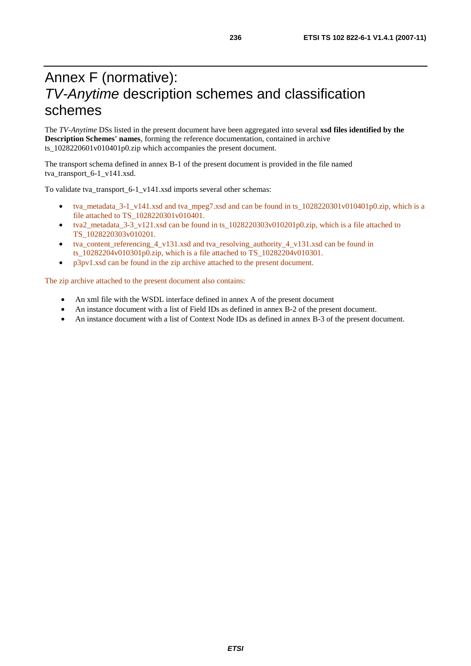# Annex F (normative): *TV-Anytime* description schemes and classification schemes

The *TV-Anytime* DSs listed in the present document have been aggregated into several **xsd files identified by the Description Schemes' names**, forming the reference documentation, contained in archive ts\_1028220601v010401p0.zip which accompanies the present document.

The transport schema defined in annex B-1 of the present document is provided in the file named tva\_transport\_6-1\_v141.xsd.

To validate tva\_transport\_6-1\_v141.xsd imports several other schemas:

- tva\_metadata\_3-1\_v141.xsd and tva\_mpeg7.xsd and can be found in ts\_1028220301v010401p0.zip, which is a file attached to TS\_1028220301v010401.
- tva2\_metadata\_3-3\_v121.xsd can be found in ts\_1028220303v010201p0.zip, which is a file attached to TS\_1028220303v010201.
- tva\_content\_referencing\_4\_v131.xsd and tva\_resolving\_authority\_4\_v131.xsd can be found in ts\_10282204v010301p0.zip, which is a file attached to TS\_10282204v010301.
- p3pv1.xsd can be found in the zip archive attached to the present document.

The zip archive attached to the present document also contains:

- An xml file with the WSDL interface defined in annex A of the present document
- An instance document with a list of Field IDs as defined in annex B-2 of the present document.
- An instance document with a list of Context Node IDs as defined in annex B-3 of the present document.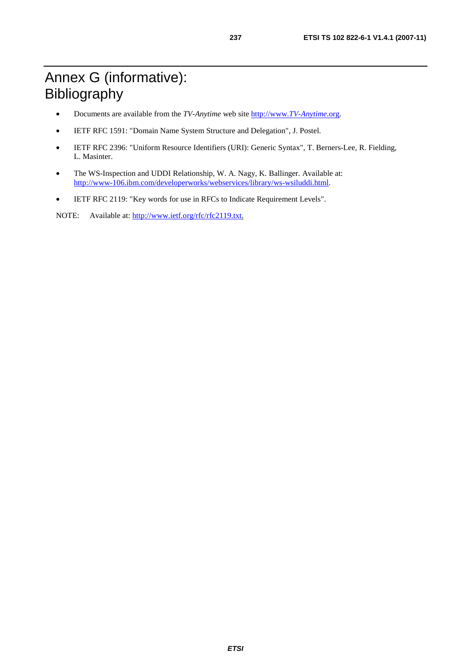# Annex G (informative): Bibliography

- Documents are available from the *TV-Anytime* web site [http://www.](http://www.tv-anytime.org/)*TV-Anytime*.org.
- IETF RFC 1591: "Domain Name System Structure and Delegation", J. Postel.
- IETF RFC 2396: "Uniform Resource Identifiers (URI): Generic Syntax", T. Berners-Lee, R. Fielding, L. Masinter.
- The WS-Inspection and UDDI Relationship, W. A. Nagy, K. Ballinger. Available at: <http://www-106.ibm.com/developerworks/webservices/library/ws-wsiluddi.html>.
- IETF RFC 2119: "Key words for use in RFCs to Indicate Requirement Levels".

NOTE: Available at:<http://www.ietf.org/rfc/rfc2119.txt>.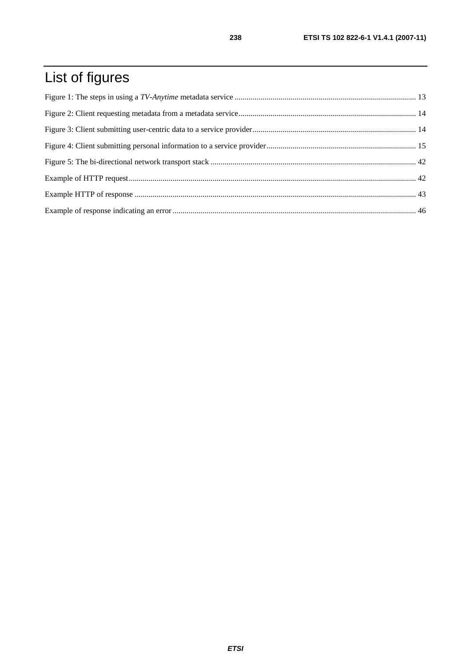# List of figures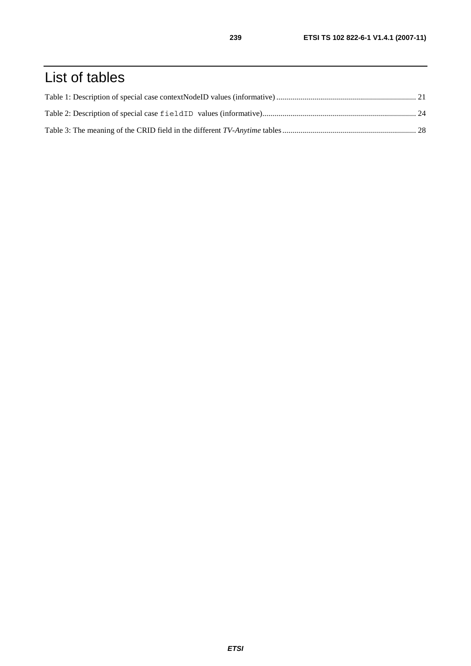# List of tables